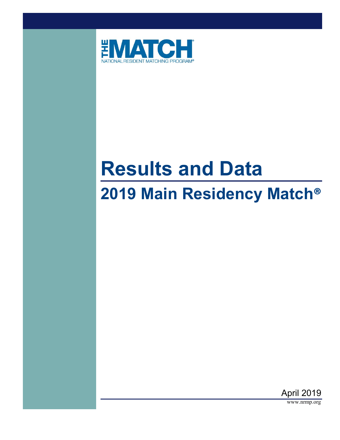

# **Results and Data**

# **2019 Main Residency Match®**

April 2019

www.nrmp.org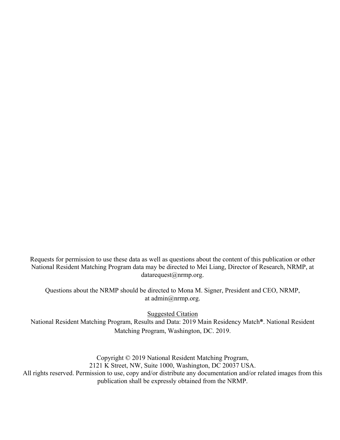Requests for permission to use these data as well as questions about the content of this publication or other National Resident Matching Program data may be directed to Mei Liang, Director of Research, NRMP, at datarequest@nrmp.org.

Questions about the NRMP should be directed to Mona M. Signer, President and CEO, NRMP, at admin@nrmp.org.

**Suggested Citation** 

National Resident Matching Program, Results and Data: 2019 Main Residency Match**®**. National Resident Matching Program, Washington, DC. 2019.

Copyright © 2019 National Resident Matching Program, 2121 K Street, NW, Suite 1000, Washington, DC 20037 USA. All rights reserved. Permission to use, copy and/or distribute any documentation and/or related images from this publication shall be expressly obtained from the NRMP.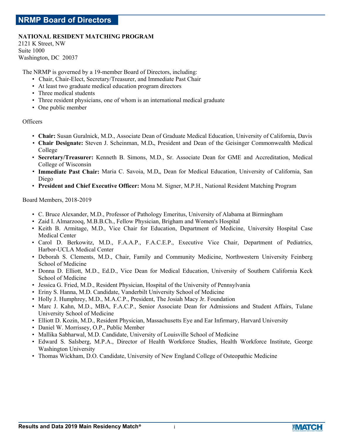#### **NATIONAL RESIDENT MATCHING PROGRAM**

2121 K Street, NW Suite 1000 Washington, DC 20037

The NRMP is governed by a 19-member Board of Directors, including:

- Chair, Chair-Elect, Secretary/Treasurer, and Immediate Past Chair
- At least two graduate medical education program directors
- Three medical students
- Three resident physicians, one of whom is an international medical graduate
- One public member

#### **Officers**

- **Chair:** Susan Guralnick, M.D., Associate Dean of Graduate Medical Education, University of California, Davis
- **Chair Designate:** Steven J. Scheinman, M.D**.**, President and Dean of the Geisinger Commonwealth Medical College
- **Secretary/Treasurer:** Kenneth B. Simons, M.D., Sr. Associate Dean for GME and Accreditation, Medical College of Wisconsin
- **Immediate Past Chair:** Maria C. Savoia, M.D**.**, Dean for Medical Education, University of California, San Diego
- **President and Chief Executive Officer:** Mona M. Signer, M.P.H., National Resident Matching Program

Board Members, 2018-2019

- C. Bruce Alexander, M.D., Professor of Pathology Emeritus, University of Alabama at Birmingham
- Zaid I. Almarzooq, M.B.B.Ch., Fellow Physician, Brigham and Women's Hospital
- Keith B. Armitage, M.D., Vice Chair for Education, Department of Medicine, University Hospital Case Medical Center
- Carol D. Berkowitz, M.D., F.A.A.P., F.A.C.E.P., Executive Vice Chair, Department of Pediatrics, Harbor-UCLA Medical Center
- Deborah S. Clements, M.D., Chair, Family and Community Medicine, Northwestern University Feinberg School of Medicine
- Donna D. Elliott, M.D., Ed.D., Vice Dean for Medical Education, University of Southern California Keck School of Medicine
- Jessica G. Fried, M.D., Resident Physician, Hospital of the University of Pennsylvania
- Eriny S. Hanna, M.D. Candidate, Vanderbilt University School of Medicine
- Holly J. Humphrey, M.D., M.A.C.P., President, The Josiah Macy Jr. Foundation
- Marc J. Kahn, M.D., MBA, F.A.C.P., Senior Associate Dean for Admissions and Student Affairs, Tulane University School of Medicine
- Elliott D. Kozin, M.D., Resident Physician, Massachusetts Eye and Ear Infirmary, Harvard University
- Daniel W. Morrissey, O.P., Public Member
- Mallika Sabharwal, M.D. Candidate, University of Louisville School of Medicine
- Edward S. Salsberg, M.P.A., Director of Health Workforce Studies, Health Workforce Institute, George Washington University
- Thomas Wickham, D.O. Candidate, University of New England College of Osteopathic Medicine

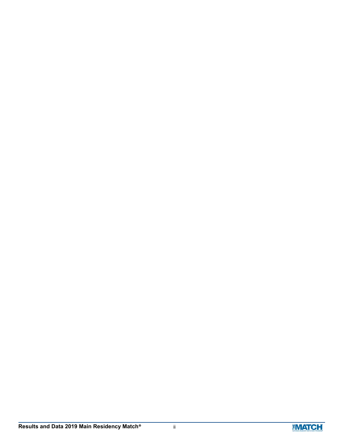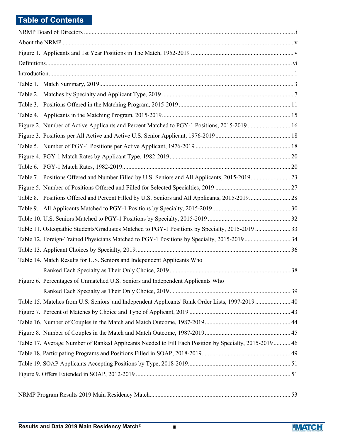# **Table of Contents**

| Figure 2. Number of Active Applicants and Percent Matched to PGY-1 Positions, 2015-2019  16            |  |
|--------------------------------------------------------------------------------------------------------|--|
|                                                                                                        |  |
|                                                                                                        |  |
|                                                                                                        |  |
|                                                                                                        |  |
|                                                                                                        |  |
|                                                                                                        |  |
|                                                                                                        |  |
|                                                                                                        |  |
|                                                                                                        |  |
| Table 11. Osteopathic Students/Graduates Matched to PGY-1 Positions by Specialty, 2015-2019  33        |  |
|                                                                                                        |  |
|                                                                                                        |  |
| Table 14. Match Results for U.S. Seniors and Independent Applicants Who                                |  |
|                                                                                                        |  |
| Figure 6. Percentages of Unmatched U.S. Seniors and Independent Applicants Who                         |  |
|                                                                                                        |  |
| Table 15. Matches from U.S. Seniors' and Independent Applicants' Rank Order Lists, 1997-2019  40       |  |
|                                                                                                        |  |
|                                                                                                        |  |
|                                                                                                        |  |
| Table 17. Average Number of Ranked Applicants Needed to Fill Each Position by Specialty, 2015-2019  46 |  |
|                                                                                                        |  |
|                                                                                                        |  |
|                                                                                                        |  |
|                                                                                                        |  |
|                                                                                                        |  |

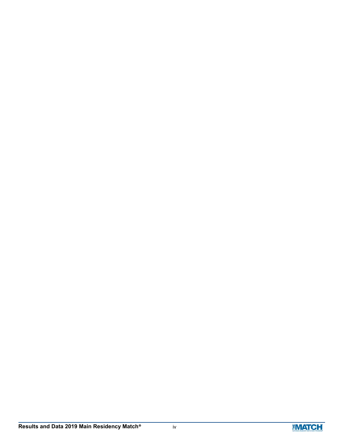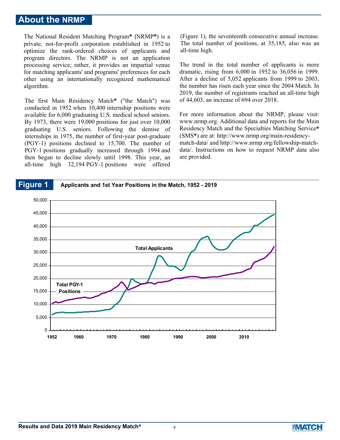# **About the NRMP**

The National Resident Matching Program**®** (NRMP**®**) is a private, not-for-profit corporation established in 1952 to optimize the rank-ordered choices of applicants and program directors. The NRMP is not an application processing service; rather, it provides an impartial venue for matching applicants' and programs' preferences for each other using an internationally recognized mathematical algorithm.

The first Main Residency Match**®** ("the Match") was conducted in 1952 when 10,400 internship positions were available for 6,000 graduating U.S. medical school seniors. By 1973, there were 19,000 positions for just over 10,000 graduating U.S. seniors. Following the demise of internships in 1975, the number of first-year post-graduate (PGY-1) positions declined to 15,700. The number of PGY-1 positions gradually increased through 1994 and then began to decline slowly until 1998. This year, an all-time high 32,194 PGY-1 positions were offered

(Figure 1), the seventeenth consecutive annual increase. The total number of positions, at 35,185, also was an all-time high.

The trend in the total number of applicants is more dramatic, rising from 6,000 in 1952 to 36,056 in 1999. After a decline of 5,052 applicants from 1999 to 2003, the number has risen each year since the 2004 Match. In 2019, the number of registrants reached an all-time high of 44,603, an increase of 694 over 2018.

For more information about the NRMP, please visit: www.nrmp.org. Additional data and reports for the Main Residency Match and the Specialties Matching Service**®** (SMS**®**) are at: http://www.nrmp.org/main-residencymatch-data/ and http://www.nrmp.org/fellowship-matchdata/. Instructions on how to request NRMP data also are provided.



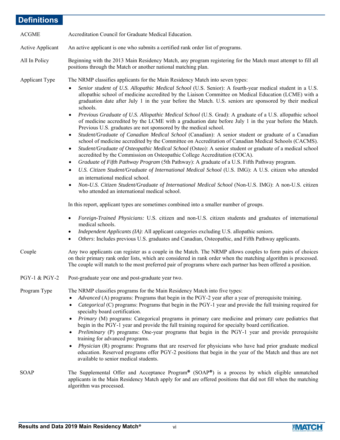#### **Definitions** ACGME Accreditation Council for Graduate Medical Education. Active Applicant An active applicant is one who submits a certified rank order list of programs. All In Policy Beginning with the 2013 Main Residency Match, any program registering for the Match must attempt to fill all positions through the Match or another national matching plan. Applicant Type The NRMP classifies applicants for the Main Residency Match into seven types: *Senior student of U.S. Allopathic Medical School* (U.S. Senior): A fourth-year medical student in a U.S. allopathic school of medicine accredited by the Liaison Committee on Medical Education (LCME) with a graduation date after July 1 in the year before the Match. U.S. seniors are sponsored by their medical schools. *Previous Graduate of U.S. Allopathic Medical School* (U.S. Grad): A graduate of a U.S. allopathic school of medicine accredited by the LCME with a graduation date before July 1 in the year before the Match. Previous U.S. graduates are not sponsored by the medical school. *Student/Graduate of Canadian Medical School* (Canadian): A senior student or graduate of a Canadian school of medicine accredited by the Committee on Accreditation of Canadian Medical Schools (CACMS). *Student/Graduate of Osteopathic Medical School* (Osteo): A senior student or graduate of a medical school accredited by the Commission on Osteopathic College Accreditation (COCA). *Graduate of Fifth Pathway Program* (5th Pathway): A graduate of a U.S. Fifth Pathway program. *U.S. Citizen Student/Graduate of International Medical School* (U.S. IMG): A U.S. citizen who attended an international medical school. *Non-U.S. Citizen Student/Graduate of International Medical School* (Non-U.S. IMG): A non-U.S. citizen who attended an international medical school. In this report, applicant types are sometimes combined into a smaller number of groups. *Foreign-Trained Physicians:* U.S. citizen and non-U.S. citizen students and graduates of international medical schools. *Independent Applicants (IA)*: All applicant categories excluding U.S. allopathic seniors. *Others*: Includes previous U.S. graduates and Canadian, Osteopathic, and Fifth Pathway applicants. Couple Any two applicants can register as a couple in the Match. The NRMP allows couples to form pairs of choices on their primary rank order lists, which are considered in rank order when the matching algorithm is processed. The couple will match to the most preferred pair of programs where each partner has been offered a position. PGY-1 & PGY-2 Post-graduate year one and post-graduate year two. Program Type The NRMP classifies programs for the Main Residency Match into five types: *Advanced* (A) programs: Programs that begin in the PGY-2 year after a year of prerequisite training. *Categorical* (C) programs: Programs that begin in the PGY-1 year and provide the full training required for specialty board certification. *Primary* (M) programs: Categorical programs in primary care medicine and primary care pediatrics that begin in the PGY-1 year and provide the full training required for specialty board certification. • *Preliminary* (P) programs: One-year programs that begin in the PGY-1 year and provide prerequisite training for advanced programs. *Physician* (R) programs: Programs that are reserved for physicians who have had prior graduate medical education. Reserved programs offer PGY-2 positions that begin in the year of the Match and thus are not available to senior medical students. SOAP The Supplemental Offer and Acceptance Program**®** (SOAP**®**) is a process by which eligible unmatched applicants in the Main Residency Match apply for and are offered positions that did not fill when the matching

algorithm was processed.

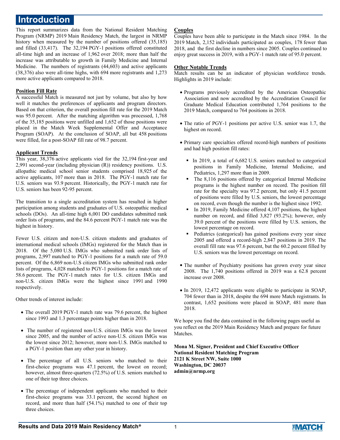# **Introduction**

This report summarizes data from the National Resident Matching Program (NRMP) 2019 Main Residency Match, the largest in NRMP history when measured by the number of positions offered (35,185) and filled (33,417). The 32,194 PGY-1 positions offered constituted all-time high and an increase of 1,962 over 2018; more than half the increase was attributable to growth in Family Medicine and Internal Medicine. The numbers of registrants (44,603) and active applicants (38,376) also were all-time highs, with 694 more registrants and 1,273 more active applicants compared to 2018.

#### **Position Fill Rate**

A successful Match is measured not just by volume, but also by how well it matches the preferences of applicants and program directors. Based on that criterion, the overall position fill rate for the 2019 Match was 95.0 percent. After the matching algorithm was processed, 1,768 of the 35,185 positions were unfilled and 1,652 of those positions were placed in the Match Week Supplemental Offer and Acceptance Program (SOAP). At the conclusion of SOAP, all but 458 positions were filled, for a post-SOAP fill rate of 98.7 percent.

#### **Applicant Trends**

This year, 38,376 active applicants vied for the 32,194 first-year and 2,991 second-year (including physician (R)) residency positions. U.S. allopathic medical school senior students comprised 18,925 of the active applicants, 107 more than in 2018. The PGY-1 match rate for U.S. seniors was 93.9 percent. Historically, the PGY-1 match rate for U.S. seniors has been 92-95 percent.

The transition to a single accreditation system has resulted in higher participation among students and graduates of U.S. osteopathic medical schools (DOs). An all-time high 6,001 DO candidates submitted rank order lists of programs, and the 84.6 percent PGY-1 match rate was the highest in history.

Fewer U.S. citizen and non-U.S. citizen students and graduates of international medical schools (IMGs) registered for the Match than in 2018. Of the 5,080 U.S. IMGs who submitted rank order lists of programs, 2,997 matched to PGY-1 positions for a match rate of 59.0 percent. Of the 6,869 non-U.S citizen IMGs who submitted rank order lists of programs, 4,028 matched to PGY-1 positions for a match rate of 58.6 percent. The PGY-1 match rates for U.S. citizen IMGs and non-U.S. citizen IMGs were the highest since 1991 and 1990 respectively.

Other trends of interest include:

- The overall 2019 PGY-1 match rate was 79.6 percent, the highest since 1993 and 1.3 percentage points higher than in 2018.
- The number of registered non-U.S. citizen IMGs was the lowest since 2005, and the number of active non-U.S. citizen IMGs was the lowest since 2012; however, more non-U.S. IMGs matched to a PGY-1 position than any other year in history.
- The percentage of all U.S. seniors who matched to their first-choice programs was 47.1 percent, the lowest on record; however, almost three-quarters (72.5%) of U.S. seniors matched to one of their top three choices.
- The percentage of independent applicants who matched to their first-choice programs was 33.1 percent, the second highest on record, and more than half (54.1%) matched to one of their top three choices.

#### **Couples**

Couples have been able to participate in the Match since 1984. In the 2019 Match, 2,152 individuals participated as couples, 178 fewer than 2018, and the first decline in numbers since 2005. Couples continued to enjoy great success in 2019, with a PGY-1 match rate of 95.0 percent.

#### **Other Notable Trends**

Match results can be an indicator of physician workforce trends. Highlights in 2019 include:

- Programs previously accredited by the American Osteopathic Association and now accredited by the Accreditation Council for Graduate Medical Education contributed 1,764 positions to the 2019 Match, compared to 764 positions in 2018.
- The ratio of PGY-1 positions per active U.S. senior was 1.7, the highest on record.
- Primary care specialties offered record-high numbers of positions and had high position fill rates:
	- In 2019, a total of 6,682 U.S. seniors matched to categorical positions in Family Medicine, Internal Medicine, and Pediatrics, 1,297 more than in 2009.
	- The 8,116 positions offered by categorical Internal Medicine programs is the highest number on record. The position fill rate for the specialty was 97.2 percent, but only 41.5 percent of positions were filled by U.S. seniors, the lowest percentage on record, even though the number is the highest since 1992.
	- In 2019, Family Medicine offered 4,107 positions, the highest number on record, and filled 3,827 (93.2%); however, only 39.0 percent of the positions were filled by U.S. seniors, the lowest percentage on record.
	- Pediatrics (categorical) has gained positions every year since 2005 and offered a record-high 2,847 positions in 2019. The overall fill rate was 97.6 percent, but the 60.2 percent filled by U.S. seniors was the lowest percentage on record.
- The number of Psychiatry positions has grown every year since 2008. The 1,740 positions offered in 2019 was a 62.8 percent increase over 2008.
- $\bullet$  In 2019, 12,472 applicants were eligible to participate in SOAP, 704 fewer than in 2018, despite the 694 more Match registrants. In contrast, 1,652 positions were placed in SOAP, 481 more than 2018.

We hope you find the data contained in the following pages useful as you reflect on the 2019 Main Residency Match and prepare for future Matches.

**Mona M. Signer, President and Chief Executive Officer National Resident Matching Program 2121 K Street NW, Suite 1000 Washington, DC 20037 admin@nrmp.org**

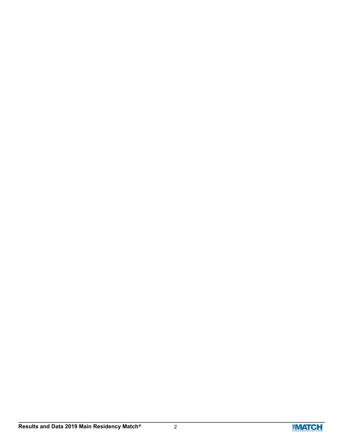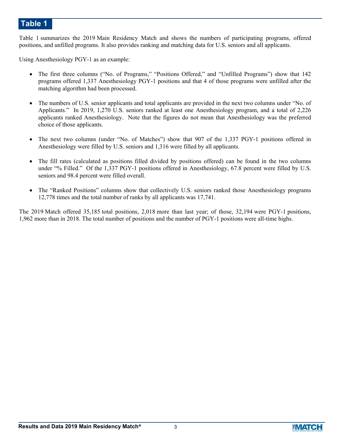Table 1 summarizes the 2019 Main Residency Match and shows the numbers of participating programs, offered positions, and unfilled programs. It also provides ranking and matching data for U.S. seniors and all applicants.

Using Anesthesiology PGY-1 as an example:

- The first three columns ("No. of Programs," "Positions Offered," and "Unfilled Programs") show that 142 programs offered 1,337 Anesthesiology PGY-1 positions and that 4 of those programs were unfilled after the matching algorithm had been processed.
- The numbers of U.S. senior applicants and total applicants are provided in the next two columns under "No. of Applicants." In 2019, 1,270 U.S. seniors ranked at least one Anesthesiology program, and a total of 2,226 applicants ranked Anesthesiology. Note that the figures do not mean that Anesthesiology was the preferred choice of those applicants.
- The next two columns (under "No. of Matches") show that 907 of the 1,337 PGY-1 positions offered in Anesthesiology were filled by U.S. seniors and 1,316 were filled by all applicants.
- The fill rates (calculated as positions filled divided by positions offered) can be found in the two columns under "% Filled." Of the 1,337 PGY-1 positions offered in Anesthesiology, 67.8 percent were filled by U.S. seniors and 98.4 percent were filled overall.
- The "Ranked Positions" columns show that collectively U.S. seniors ranked those Anesthesiology programs 12,778 times and the total number of ranks by all applicants was 17,741.

The 2019 Match offered 35,185 total positions, 2,018 more than last year; of those, 32,194 were PGY-1 positions, 1,962 more than in 2018. The total number of positions and the number of PGY-1 positions were all-time highs.

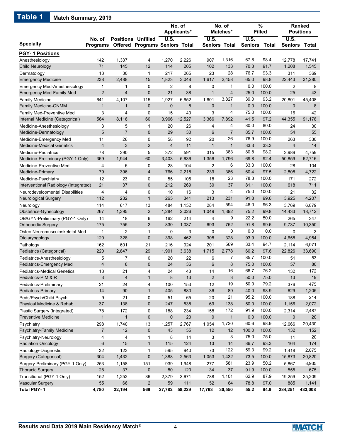| <b>Table 1</b><br><b>Match Summary, 2019</b> |                           |                           |                                       |             |                       |              |                      |                       |                    |                              |                            |
|----------------------------------------------|---------------------------|---------------------------|---------------------------------------|-------------|-----------------------|--------------|----------------------|-----------------------|--------------------|------------------------------|----------------------------|
|                                              |                           |                           |                                       |             | No. of<br>Applicants* |              | No. of<br>Matches*   |                       | %<br><b>Filled</b> |                              | Ranked<br><b>Positions</b> |
| <b>Specialty</b>                             | No. of<br><b>Programs</b> | <b>Positions Unfilled</b> | <b>Offered Programs Seniors Total</b> | U.S.        |                       | U.S.         | <b>Seniors Total</b> | U.S.<br>Seniors Total |                    | U.S.<br><b>Seniors Total</b> |                            |
| <b>PGY-1 Positions</b>                       |                           |                           |                                       |             |                       |              |                      |                       |                    |                              |                            |
| Anesthesiology                               | 142                       | 1,337                     | 4                                     | 1,270       | 2,226                 | 907          | 1,316                | 67.8                  | 98.4               | 12,778                       | 17,741                     |
| <b>Child Neurology</b>                       | 71                        | 145                       | 12                                    | 114         | 205                   | 102          | 133                  | 70.3                  | 91.7               | 1,208                        | 1,545                      |
| Dermatology                                  | 13                        | 30                        | 1                                     | 217         | 265                   | 23           | 28                   | 76.7                  | 93.3               | 311                          | 369                        |
| <b>Emergency Medicine</b>                    | 238                       | 2,488                     | 15                                    | 1,823       | 3,048                 | 1,617        | 2.458                | 65.0                  | 98.8               | 22,443                       | 31,280                     |
| <b>Emergency Med-Anesthesiology</b>          | 1                         | 1                         | 0                                     | 2           | 8                     | 0            | 1                    | 0.0                   | 100.0              | $\overline{2}$               | 8                          |
| <b>Emergency Med-Family Med</b>              | $\overline{2}$            | $\overline{4}$            | $\mathbf 0$                           | 21          | 38                    | $\mathbf{1}$ | $\overline{4}$       | 25.0                  | 100.0              | 25                           | 43                         |
| <b>Family Medicine</b>                       | 641                       | 4,107                     | 115                                   | 1,927       | 6,652                 | 1,601        | 3,827                | 39.0                  | 93.2               | 20,801                       | 45,408                     |
| <b>Family Medicine-ONMM</b>                  | $\mathbf{1}$              | $\mathbf{1}$              | $\mathbf 0$                           | $\mathbf 0$ | 8                     | 0            | $\mathbf{1}$         | 0.0                   | 100.0              | $\mathbf 0$                  | 8                          |
| Family Med-Preventive Med                    | 3                         | 4                         | 0                                     | 15          | 40                    | 3            | $\overline{4}$       | 75.0                  | 100.0              | 16                           | 42                         |
| Internal Medicine (Categorical)              | 564                       | 8,116                     | 60                                    | 3,966       | 12,527                | 3,366        | 7,892                | 41.5                  | 97.2               | 44,355                       | 91,178                     |
| Medicine-Anesthesiology                      | 3                         | 5                         | 1                                     | 20          | 26                    | 4            | 4                    | 80.0                  | 80.0               | 24                           | 30                         |
| Medicine-Dermatology                         | 5                         | $\overline{7}$            | $\mathbf 0$                           | 29          | 30                    | 6            | $\overline{7}$       | 85.7                  | 100.0              | 54                           | 55                         |
| Medicine-Emergency Med                       | 11                        | 26                        | 0                                     | 58          | 92                    | 20           | 26                   | 76.9                  | 100.0              | 263                          | 330                        |
| <b>Medicine-Medical Genetics</b>             | 4                         | 3                         | $\overline{2}$                        | 4           | 11                    | $\mathbf{1}$ | $\mathbf{1}$         | 33.3                  | 33.3               | $\overline{\mathbf{4}}$      | 14                         |
|                                              |                           |                           |                                       |             |                       |              | 383                  | 80.8                  | 98.2               |                              |                            |
| <b>Medicine-Pediatrics</b>                   | 78                        | 390                       | 5<br>60                               | 372         | 591                   | 315          |                      | 69.8                  | 92.4               | 3,989<br>50,859              | 4,759                      |
| Medicine-Preliminary (PGY-1 Only)            | 369                       | 1,944                     |                                       | 3,403       | 5,636                 | 1,356        | 1,796                |                       |                    |                              | 62,716                     |
| Medicine-Preventive Med                      | 4                         | 6                         | 0                                     | 28          | 104                   | 2            | 6                    | 33.3                  | 100.0              | 28                           | 104                        |
| Medicine-Primary                             | 79                        | 396                       | $\overline{4}$                        | 766         | 2,218                 | 239          | 386                  | 60.4                  | 97.5               | 2,808                        | 4,722                      |
| Medicine-Psychiatry                          | 12                        | 23                        | 0                                     | 55          | 105                   | 18           | 23                   | 78.3                  | 100.0              | 171                          | 272                        |
| Interventional Radiology (Integrated)        | 21                        | 37                        | $\mathbf 0$                           | 212         | 269                   | 30           | 37                   | 81.1                  | 100.0              | 618                          | 711                        |
| Neurodevelopmental Disabilities              | 4                         | 4                         | 0                                     | 10          | 16                    | 3            | 4                    | 75.0                  | 100.0              | 21                           | 32                         |
| Neurological Surgery                         | 112                       | 232                       | $\mathbf{1}$                          | 265         | 341                   | 213          | 231                  | 91.8                  | 99.6               | 3,925                        | 4,207                      |
| Neurology                                    | 114                       | 617                       | 13                                    | 484         | 1,152                 | 284          | 594                  | 46.0                  | 96.3               | 3,769                        | 6,879                      |
| Obstetrics-Gynecology                        | 267                       | 1,395                     | 2                                     | 1,284       | 2,026                 | 1,049        | 1,392                | 75.2                  | 99.8               | 14,433                       | 18,712                     |
| OB/GYN-Preliminary (PGY-1 Only)              | 14                        | 18                        | 6                                     | 162         | 214                   | 4            | 9                    | 22.2                  | 50.0               | 265                          | 347                        |
| <b>Orthopedic Surgery</b>                    | 175                       | 755                       | $\overline{2}$                        | 830         | 1,037                 | 693          | 752                  | 91.8                  | 99.6               | 9,737                        | 10,350                     |
| Osteo Neuromusculoskeletal Med               | 1                         | $\overline{2}$            | 1                                     | 0           | 3                     | 0            | 0                    | 0.0                   | 0.0                | 0                            | 3                          |
| Otolaryngology                               | 120                       | 328                       | $\mathbf 0$                           | 398         | 462                   | 308          | 328                  | 93.9                  | 100.0              | 4,658                        | 4,954                      |
| Pathology                                    | 162                       | 601                       | 21                                    | 216         | 924                   | 201          | 569                  | 33.4                  | 94.7               | 2,114                        | 6,071                      |
| Pediatrics (Categorical)                     | 220                       | 2,847                     | 29                                    | 1,901       | 3,638                 | 1,715        | 2,778                | 60.2                  | 97.6               | 22,826                       | 33,690                     |
| Pediatrics-Anesthesiology                    | 5                         | 7                         | 0                                     | 20          | 22                    | 6            | 7                    | 85.7                  | 100.0              | 51                           | 53                         |
| Pediatrics-Emergency Med                     | 4                         | 8                         | 0                                     | 24          | 36                    | 6            | 8                    | 75.0                  | 100.0              | 57                           | 80                         |
| <b>Pediatrics-Medical Genetics</b>           | 18                        | 21                        | 4                                     | 24          | 43                    | 14           | 16                   | 66.7                  | 76.2               | 132                          | 172                        |
| Pediatrics-P M & R                           | 3                         | $\overline{\mathbf{4}}$   | $\mathbf{1}$                          | 8           | 13                    | $\mathbf{2}$ | 3                    | 50.0                  | 75.0               | 13                           | 19                         |
| Pediatrics-Preliminary                       | 21                        | 24                        | 4                                     | 100         | 153                   | 12           | 19                   | 50.0                  | 79.2               | 376                          | 475                        |
| Pediatrics-Primary                           | 14                        | 90                        | $\mathbf{1}$                          | 405         | 880                   | 36           | 89                   | 40.0                  | 98.9               | 629                          | 1,205                      |
| Peds/Psych/Child Psych                       | 9                         | 21                        | 0                                     | 51          | 65                    | 20           | 21                   | 95.2                  | 100.0              | 188                          | 214                        |
| Physical Medicine & Rehab                    | 37                        | 138                       | $\pmb{0}$                             | 247         | 538                   | 69           | 138                  | 50.0                  | 100.0              | 1,156                        | 2,072                      |
| Plastic Surgery (Integrated)                 | 78                        | 172                       | 0                                     | 188         | 234                   | 158          | 172                  | 91.9                  | 100.0              | 2,314                        | 2,487                      |
| Preventive Medicine                          | $\mathbf{1}$              | $\mathbf{1}$              | $\pmb{0}$                             | $\pmb{0}$   | $20\,$                | $\pmb{0}$    | $\mathbf{1}$         | 0.0                   | 100.0              | $\pmb{0}$                    | 20                         |
| Psychiatry                                   | 298                       | 1,740                     | 13                                    | 1,257       | 2,767                 | 1,054        | 1,720                | 60.6                  | 98.9               | 12,666                       | 20,430                     |
| Psychiatry-Family Medicine                   | $\overline{7}$            | 12                        | $\pmb{0}$                             | 43          | 55                    | 12           | 12                   | 100.0                 | 100.0              | 132                          | 152                        |
| Psychiatry-Neurology                         | 4                         | 4                         | 1                                     | 8           | 14                    | 3            | 3                    | 75.0                  | 75.0               | 11                           | 20                         |
| <b>Radiation Oncology</b>                    | 6                         | 15                        | $\mathbf{1}$                          | 115         | 124                   | 13           | 14                   | 86.7                  | 93.3               | 164                          | 174                        |
| Radiology-Diagnostic                         | 32                        | 123                       | 1                                     | 595         | 940                   | 73           | 122                  | 59.3                  | 99.2               | 1,418                        | 2,075                      |
| Surgery (Categorical)                        | 304                       | 1,432                     | 0                                     | 1,388       | 2,563                 | 1,053        | 1,432                | 73.5                  | 100.0              | 15,873                       | 20,820                     |
| Surgery-Preliminary (PGY-1 Only)             |                           |                           |                                       |             |                       |              | 581                  | 23.9                  | 50.2               |                              |                            |
|                                              | 253                       | 1,158                     | 151                                   | 939         | 1,948                 | 277          |                      |                       |                    | 5,867                        | 8,935                      |
| <b>Thoracic Surgery</b>                      | 28                        | 37                        | 0                                     | 80          | 120                   | 34           | 37                   | 91.9                  | 100.0              | 555                          | 675                        |
| Transitional (PGY-1 Only)                    | 152                       | 1,252                     | 36                                    | 2,379       | 3,671                 | 788          | 1,101                | 62.9                  | 87.9               | 19,259                       | 25,209                     |
| <b>Vascular Surgery</b>                      | 55                        | 66                        | $\overline{2}$                        | 59          | 111                   | 52           | 64                   | 78.8                  | 97.0               | 885                          | 1,141                      |
| <b>Total PGY-1</b>                           | 4,780                     | 32,194                    | 569                                   | 27,782      | 58,229                | 17,763       | 30,550               | 55.2                  | 94.9               | 284,251                      | 433,008                    |

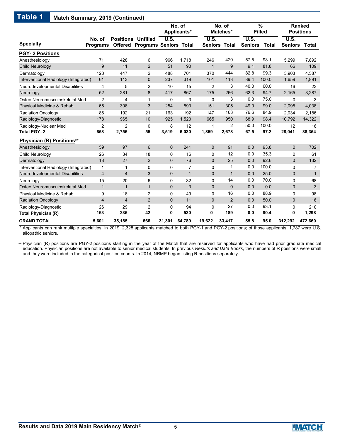| Table 1<br>Match Summary, 2019 (Continued)  |                           |                           |                                       |                |                       |                                     |                         |                        |                    |                        |                                   |
|---------------------------------------------|---------------------------|---------------------------|---------------------------------------|----------------|-----------------------|-------------------------------------|-------------------------|------------------------|--------------------|------------------------|-----------------------------------|
|                                             |                           |                           |                                       |                | No. of<br>Applicants* |                                     | No. of<br>Matches*      |                        | %<br><b>Filled</b> |                        | <b>Ranked</b><br><b>Positions</b> |
| <b>Specialty</b>                            | No. of<br><b>Programs</b> | <b>Positions Unfilled</b> | <b>Offered Programs Seniors Total</b> | U.S.           |                       | <b>U.S.</b><br><b>Seniors Total</b> |                         | U.S.<br><b>Seniors</b> | <b>Total</b>       | U.S.<br><b>Seniors</b> | <b>Total</b>                      |
| <b>PGY-2 Positions</b>                      |                           |                           |                                       |                |                       |                                     |                         |                        |                    |                        |                                   |
| Anesthesiology                              | 71                        | 428                       | 6                                     | 966            | 1.718                 | 246                                 | 420                     | 57.5                   | 98.1               | 5.299                  | 7.892                             |
| Child Neurology                             | 9                         | 11                        | $\overline{2}$                        | 51             | 90                    | $\mathbf{1}$                        | 9                       | 9.1                    | 81.8               | 66                     | 109                               |
| Dermatology                                 | 128                       | 447                       | $\overline{2}$                        | 488            | 701                   | 370                                 | 444                     | 82.8                   | 99.3               | 3,903                  | 4,587                             |
| Interventional Radiology (Integrated)       | 61                        | 113                       | 0                                     | 237            | 319                   | 101                                 | 113                     | 89.4                   | 100.0              | 1,659                  | 1,891                             |
| Neurodevelopmental Disabilities             | 4                         | 5                         | $\overline{2}$                        | 10             | 15                    | $\overline{2}$                      | 3                       | 40.0                   | 60.0               | 16                     | 23                                |
| Neurology                                   | 52                        | 281                       | 8                                     | 417            | 867                   | 175                                 | 266                     | 62.3                   | 94.7               | 2,165                  | 3,287                             |
| Osteo Neuromusculoskeletal Med              | $\overline{2}$            | 4                         | 1                                     | $\mathbf 0$    | 3                     | $\mathbf 0$                         | 3                       | 0.0                    | 75.0               | $\Omega$               | 3                                 |
| Physical Medicine & Rehab                   | 65                        | 308                       | 3                                     | 254            | 593                   | 151                                 | 305                     | 49.0                   | 99.0               | 2,095                  | 4,038                             |
| <b>Radiation Oncology</b>                   | 86                        | 192                       | 21                                    | 163            | 192                   | 147                                 | 163                     | 76.6                   | 84.9               | 2,034                  | 2,186                             |
| Radiology-Diagnostic                        | 178                       | 965                       | 10                                    | 925            | 1,520                 | 665                                 | 950                     | 68.9                   | 98.4               | 10,792                 | 14,322                            |
| Radiology-Nuclear Med<br><b>Total PGY-2</b> | $\overline{2}$<br>658     | $\overline{2}$<br>2,756   | 0<br>55                               | 8<br>3,519     | 12<br>6,030           | $\mathbf 1$<br>1,859                | $\overline{2}$<br>2,678 | 50.0<br>67.5           | 100.0<br>97.2      | 12<br>28,041           | 16<br>38,354                      |
| <b>Physician (R) Positions**</b>            |                           |                           |                                       |                |                       |                                     |                         |                        |                    |                        |                                   |
| Anesthesiology                              | 59                        | 97                        | 6                                     | $\mathbf{0}$   | 241                   | $\mathbf{0}$                        | 91                      | 0.0                    | 93.8               | $\mathbf{0}$           | 702                               |
| Child Neurology                             | 26                        | 34                        | 18                                    | $\Omega$       | 16                    | 0                                   | 12                      | 0.0                    | 35.3               | $\Omega$               | 61                                |
| Dermatology                                 | 18                        | 27                        | $\overline{2}$                        | $\overline{0}$ | 76                    | $\mathbf 0$                         | 25                      | 0.0                    | 92.6               | $\mathbf{0}$           | 132                               |
| Interventional Radiology (Integrated)       | 1                         | 1                         | 0                                     | 0              | $\overline{7}$        | 0                                   | 1                       | 0.0                    | 100.0              | 0                      | $\overline{7}$                    |
| Neurodevelopmental Disabilities             | $\overline{4}$            | $\overline{4}$            | 3                                     | $\mathbf 0$    | $\mathbf{1}$          | $\mathbf 0$                         | $\mathbf{1}$            | 0.0                    | 25.0               | $\mathbf{0}$           | $\mathbf{1}$                      |
| Neurology                                   | 15                        | 20                        | 6                                     | 0              | 32                    | $\mathbf 0$                         | 14                      | 0.0                    | 70.0               | $\mathbf 0$            | 68                                |
| Osteo Neuromusculoskeletal Med              | $\mathbf{1}$              | $\mathbf{1}$              | $\mathbf{1}$                          | $\mathbf{0}$   | 3                     | $\mathbf{0}$                        | $\overline{0}$          | 0.0                    | 0.0                | $\mathbf{0}$           | 3                                 |
| Physical Medicine & Rehab                   | 9                         | 18                        | 2                                     | 0              | 49                    | 0                                   | 16                      | 0.0                    | 88.9               | $\Omega$               | 98                                |
| <b>Radiation Oncology</b>                   | $\overline{4}$            | $\overline{4}$            | $\overline{2}$                        | $\mathbf 0$    | 11                    | $\mathbf 0$                         | $\overline{2}$          | 0.0                    | 50.0               | $\mathbf{0}$           | 16                                |
| Radiology-Diagnostic                        | 26                        | 29                        | 2                                     | 0              | 94                    | 0                                   | 27                      | 0.0                    | 93.1               | $\mathbf 0$            | 210                               |
| <b>Total Physician (R)</b>                  | 163                       | 235                       | 42                                    | 0              | 530                   | 0                                   | 189                     | 0.0                    | 80.4               | 0                      | 1,298                             |
| <b>GRAND TOTAL</b>                          | 5,601                     | 35,185                    | 666                                   | 31,301         | 64,789                | 19,622                              | 33,417                  | 55.8                   | 95.0               | 312,292                | 472,660                           |

\* Applicants can rank multiple specialties. In 2019, 2,328 applicants matched to both PGY-1 and PGY-2 positions; of those applicants, 1,787 were U.S. allopathic seniors.

Physician (R) positions are PGY-2 positions starting in the year of the Match that are reserved for applicants who have had prior graduate medical hysician (R) positions are PGY-2 positions starting in the year of the Match that are reserved for applicants who have had prior graduate medical \*\*<br>education. Physician positions are not available to senior medical stude and they were included in the categorical position counts. In 2014, NRMP began listing R positions separately.

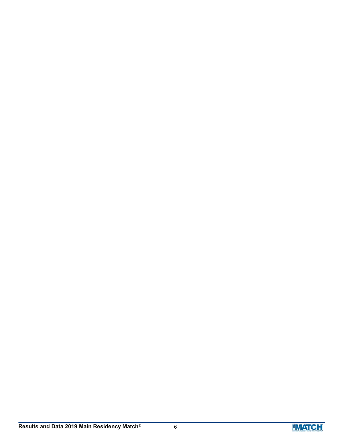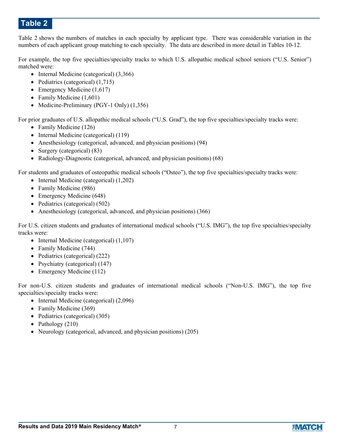Table 2 shows the numbers of matches in each specialty by applicant type. There was considerable variation in the numbers of each applicant group matching to each specialty. The data are described in more detail in Tables 10-12.

For example, the top five specialties/specialty tracks to which U.S. allopathic medical school seniors ("U.S. Senior") matched were:

- Internal Medicine (categorical) (3,366)
- Pediatrics (categorical) (1,715)
- Emergency Medicine (1,617)
- Family Medicine (1,601)
- Medicine-Preliminary (PGY-1 Only) (1,356)

For prior graduates of U.S. allopathic medical schools ("U.S. Grad"), the top five specialties/specialty tracks were:

- Family Medicine (126)
- Internal Medicine (categorical) (119)
- Anesthesiology (categorical, advanced, and physician positions) (94)
- Surgery (categorical) (83)
- Radiology-Diagnostic (categorical, advanced, and physician positions) (68)

For students and graduates of osteopathic medical schools ("Osteo"), the top five specialties/specialty tracks were:

- Internal Medicine (categorical) (1,202)
- Family Medicine (986)
- Emergency Medicine (648)
- Pediatrics (categorical) (502)
- Anesthesiology (categorical, advanced, and physician positions) (366)

For U.S. citizen students and graduates of international medical schools ("U.S. IMG"), the top five specialties/specialty tracks were:

- Internal Medicine (categorical)  $(1,107)$
- Family Medicine (744)
- Pediatrics (categorical) (222)
- Psychiatry (categorical) (147)
- Emergency Medicine (112)

For non-U.S. citizen students and graduates of international medical schools ("Non-U.S. IMG"), the top five specialties/specialty tracks were:

- Internal Medicine (categorical) (2,096)
- Family Medicine (369)
- Pediatrics (categorical) (305)
- Pathology  $(210)$
- Neurology (categorical, advanced, and physician positions) (205)

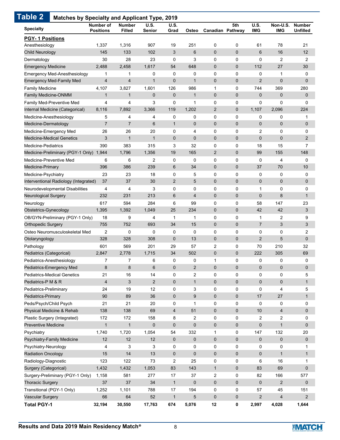| <b>Specialty</b>                                     | Number of<br><b>Positions</b> | <b>Number</b><br><b>Filled</b> | U.S.<br>Senior  | U.S.<br>Grad       | Osteo             | Canadian Pathway | 5th                        | <b>U.S.</b><br><b>IMG</b> | Non-U.S.<br>IMG               | <b>Number</b><br>Unfilled |
|------------------------------------------------------|-------------------------------|--------------------------------|-----------------|--------------------|-------------------|------------------|----------------------------|---------------------------|-------------------------------|---------------------------|
| <b>PGY-1 Positions</b>                               |                               |                                |                 |                    |                   |                  |                            |                           |                               |                           |
| Anesthesiology                                       | 1,337                         | 1,316                          | 907             | 19                 | 251               | 0                | 0                          | 61                        | 78                            | 21                        |
| Child Neurology                                      | 145                           | 133                            | 102             | 3                  | 6                 | $\mathbf{0}$     | $\mathbf 0$                | 6                         | 16                            | 12                        |
| Dermatology                                          | 30                            | 28                             | 23              | 0                  | 3                 | $\mathbf 0$      | 0                          | 0                         | 2                             | 2                         |
| <b>Emergency Medicine</b>                            | 2,488                         | 2,458                          | 1,617           | 54                 | 648               | $\mathbf 0$      | $\mathbf 0$                | 112                       | 27                            | 30                        |
| <b>Emergency Med-Anesthesiology</b>                  | 1                             | 1                              | 0               | 0                  | 0                 | $\mathbf 0$      | 0                          | 0                         | 1                             | 0                         |
| <b>Emergency Med-Family Med</b>                      | $\overline{4}$                | 4                              | $\mathbf{1}$    | $\mathbf 0$        | $\mathbf{1}$      | $\mathbf 0$      | $\mathbf 0$                | $\overline{2}$            | 0                             | $\mathbf 0$               |
| <b>Family Medicine</b>                               | 4,107                         | 3,827                          | 1,601           | 126                | 986               | $\mathbf 1$      | 0                          | 744                       | 369                           | 280                       |
| Family Medicine-ONMM                                 | $\mathbf{1}$                  | $\mathbf{1}$                   | $\pmb{0}$       | $\mathbf 0$        | $\mathbf{1}$      | $\mathbf 0$      | $\mathbf 0$                | $\mathbf{0}$              | 0                             | $\mathbf 0$               |
| Family Med-Preventive Med                            | 4                             | 4                              | 3               | 0                  | $\mathbf{1}$      | 0                | 0                          | 0                         | 0                             | 0                         |
| Internal Medicine (Categorical)                      | 8,116                         | 7,892                          | 3,366           | 119                | 1,202             | $\overline{2}$   | $\mathbf 0$                | 1,107                     | 2,096                         | 224                       |
| Medicine-Anesthesiology                              | 5                             | 4                              | 4               | $\mathbf 0$        | 0                 | $\mathbf 0$      | $\mathbf 0$                | 0                         | 0                             | 1                         |
| Medicine-Dermatology                                 | $\overline{7}$                | $\overline{7}$                 | $6\phantom{1}6$ | $\mathbf{1}$       | $\mathbf 0$       | $\mathbf 0$      | $\mathbf{0}$               | 0                         | 0                             | $\mathbf 0$               |
| Medicine-Emergency Med                               | 26                            | 26                             | 20              | $\mathbf 0$        | 4                 | $\mathbf 0$      | $\mathbf 0$                | 2                         | 0                             | 0                         |
| <b>Medicine-Medical Genetics</b>                     | 3                             | $\mathbf{1}$                   | $\mathbf{1}$    | $\mathbf{0}$       | $\mathbf 0$       | $\mathbf{0}$     | $\mathbf{0}$               | $\mathbf{0}$              | 0                             | $\overline{2}$            |
| <b>Medicine-Pediatrics</b>                           | 390                           | 383                            | 315             | 3                  | 32                | $\mathbf 0$      | 0                          | 18                        | 15                            | 7                         |
| Medicine-Preliminary (PGY-1 Only) 1,944              |                               | 1,796                          | 1,356           | 19                 | 165               | $\overline{2}$   | $\mathbf 0$                | 99                        | 155                           | 148                       |
| Medicine-Preventive Med                              | 6                             | 6                              | 2               | 0                  | 0                 | 0                | 0                          | 0                         | 4                             | 0                         |
|                                                      | 396                           | 386                            | 239             | $6\phantom{1}$     | 34                | $\mathbf 0$      | $\mathbf 0$                | 37                        | 70                            | 10                        |
| Medicine-Primary                                     |                               |                                |                 |                    |                   |                  |                            |                           |                               |                           |
| Medicine-Psychiatry                                  | 23                            | 23                             | 18              | 0                  | 5                 | $\mathbf 0$      | $\mathbf 0$                | 0                         | 0                             | 0                         |
| Interventional Radiology (Integrated)                | 37                            | 37                             | 30              | 2                  | 5                 | $\mathbf 0$      | $\mathbf{0}$               | 0                         | 0                             | $\mathbf 0$               |
| Neurodevelopmental Disabilities                      | 4                             | 4                              | 3               | 0                  | 0                 | $\mathbf 0$      | 0                          | $\mathbf{1}$              | 0                             | 0                         |
| Neurological Surgery                                 | 232                           | 231                            | 213             | 6                  | $\overline{4}$    | $\mathbf{0}$     | $\mathbf{0}$               | $\mathbf 0$               | 8                             | $\mathbf{1}$              |
| Neurology                                            | 617                           | 594                            | 284             | 6                  | 99                | $\mathbf 0$      | 0                          | 58                        | 147                           | 23                        |
| Obstetrics-Gynecology                                | 1,395                         | 1,392                          | 1,049           | 25                 | 234               | $\mathbf 0$      | $\mathbf 0$                | 42                        | 42                            | 3                         |
| OB/GYN-Preliminary (PGY-1 Only)                      | 18                            | 9                              | 4               | $\mathbf{1}$       | $\mathbf 1$       | 0                | 0                          | $\mathbf{1}$              | 2                             | 9                         |
| <b>Orthopedic Surgery</b>                            | 755                           | 752                            | 693             | 34                 | 15                | $\mathbf{0}$     | $\mathbf 0$                | $\overline{7}$            | 3                             | 3                         |
| Osteo Neuromusculoskeletal Med                       | 2                             | 0                              | 0               | 0                  | 0                 | 0                | 0                          | 0                         | 0                             | 2                         |
| Otolaryngology                                       | 328                           | 328                            | 308             | $\mathbf 0$        | 13                | $\mathbf{0}$     | $\mathbf 0$                | $\overline{2}$            | 5                             | $\mathbf 0$               |
| Pathology                                            | 601                           | 569                            | 201             | 29                 | 57                | $\overline{2}$   | 0                          | 70                        | 210                           | 32                        |
| Pediatrics (Categorical)                             | 2,847                         | 2,778                          | 1,715           | 34                 | 502               | 0                | $\mathbf 0$                | 222                       | 305                           | 69                        |
| Pediatrics-Anesthesiology                            | 7                             | 7                              | 6               | $\mathbf 0$        | 0                 | $\mathbf{1}$     | $\Omega$                   | 0                         | 0                             | 0                         |
| Pediatrics-Emergency Med                             | 8                             | 8                              | $\,6\,$         | $\mathbf 0$        | $\overline{2}$    | $\mathbf 0$      | $\mathbf 0$                | $\mathbf 0$               | $\mathbf 0$                   | $\mathbf 0$               |
| <b>Pediatrics-Medical Genetics</b>                   | 21                            | 16                             | 14              | 0                  | 2                 | $\mathbf 0$      | 0                          | 0                         | 0                             | 5                         |
| Pediatrics-P M & R                                   | $\overline{\mathbf{4}}$       | 3                              | $\overline{2}$  | $\mathbf{0}$       | $\mathbf{1}$      | $\mathbf 0$      | $\mathbf 0$                | 0                         | 0                             | $\mathbf{1}$              |
| Pediatrics-Preliminary                               | 24                            | 19                             | 12              | 0                  | 3                 | $\mathbf 0$      | 0                          | 0                         | 4                             | 5                         |
| Pediatrics-Primary                                   | 90                            | 89                             | 36              | $\mathbf 0$        | 9                 | $\mathbf{0}$     | $\mathbf{0}$               | 17                        | 27                            | $\mathbf{1}$              |
| Peds/Psych/Child Psych                               | 21                            | 21                             | 20              | 0                  | $\mathbf{1}$      | 0                | $\mathbf 0$                | 0                         | 0                             | 0                         |
| Physical Medicine & Rehab                            | 138                           | 138                            | 69              | $\overline{4}$     | 51                | $\pmb{0}$        | $\pmb{0}$                  | $10$                      | 4                             | $\pmb{0}$                 |
| Plastic Surgery (Integrated)                         | 172                           | 172                            | 158             | 8                  | 2                 | 0                | 0                          | 2                         | 2                             | 0                         |
| <b>Preventive Medicine</b>                           | $\mathbf{1}$                  | $\mathbf{1}$                   | $\pmb{0}$       | $\mathbf 0$        | $\pmb{0}$         | $\mathbf 0$      | $\mathbf 0$                | 0                         | $\mathbf{1}$                  | $\mathbf 0$               |
| Psychiatry                                           | 1,740                         | 1,720                          | 1,054           | 54                 | 332               | 1                | 0                          | 147                       | 132                           | 20                        |
| Psychiatry-Family Medicine                           | 12                            | 12                             | 12              | $\mathbf 0$        | $\mathbf 0$       | $\mathbf 0$      | $\mathbf 0$                | $\mathbf 0$               | 0                             | $\mathbf 0$               |
| Psychiatry-Neurology                                 | 4                             | 3                              | 3               | 0                  | 0                 | 0                | 0                          | 0                         | 0                             | $\mathbf{1}$              |
| <b>Radiation Oncology</b>                            | 15                            | 14                             | 13              | $\mathbf 0$        | $\pmb{0}$         | $\pmb{0}$        | $\mathbf 0$                | 0                         | $\mathbf{1}$                  | $\mathbf{1}$              |
| Radiology-Diagnostic                                 | 123                           | 122                            | 73              | 2                  | 25                | 0                | 0                          | 6                         | 16                            | 1                         |
| Surgery (Categorical)                                | 1,432                         | 1,432                          | 1,053           | 83                 | 143               | $\mathbf{1}$     | $\mathbf 0$                | 83                        | 69                            | $\mathbf 0$               |
|                                                      |                               |                                |                 |                    |                   |                  |                            |                           |                               |                           |
| Surgery-Preliminary (PGY-1 Only)                     | 1,158<br>37                   | 581<br>37                      | 277<br>34       | 17<br>$\mathbf{1}$ | 37<br>$\mathbf 0$ | 2<br>$\pmb{0}$   | $\mathbf 0$<br>$\mathbf 0$ | 82<br>$\mathbf 0$         | 166                           | 577                       |
| <b>Thoracic Surgery</b>                              |                               |                                |                 |                    |                   |                  |                            |                           | $\overline{c}$                | $\mathbf 0$               |
| Transitional (PGY-1 Only)<br><b>Vascular Surgery</b> | 1,252<br>66                   | 1,101<br>64                    | 788<br>52       | 17<br>$\mathbf{1}$ | 194               | $\mathbf 0$      | 0                          | 57<br>$\overline{c}$      | 45<br>$\overline{\mathbf{4}}$ | 151                       |
|                                                      |                               |                                |                 |                    | 5                 | $\pmb{0}$        | $\mathbf 0$                |                           |                               | $\overline{2}$            |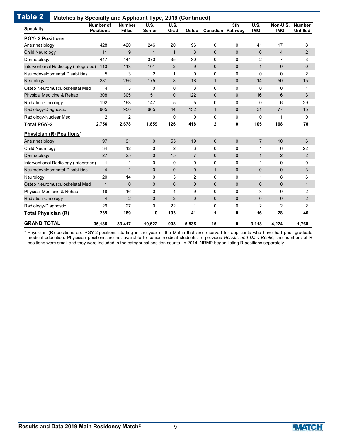| <b>Specialty</b>                      | Number of<br><b>Positions</b> | <b>Number</b><br><b>Filled</b> | U.S.<br><b>Senior</b> | U.S.<br>Grad   | Osteo          | Canadian Pathway | 5th          | U.S.<br><b>IMG</b> | Non-U.S.<br><b>IMG</b> | <b>Number</b><br><b>Unfilled</b> |
|---------------------------------------|-------------------------------|--------------------------------|-----------------------|----------------|----------------|------------------|--------------|--------------------|------------------------|----------------------------------|
| <b>PGY-2 Positions</b>                |                               |                                |                       |                |                |                  |              |                    |                        |                                  |
| Anesthesiology                        | 428                           | 420                            | 246                   | 20             | 96             | 0                | 0            | 41                 | 17                     | 8                                |
| <b>Child Neurology</b>                | 11                            | 9                              | $\mathbf{1}$          | $\mathbf{1}$   | 3              | $\mathbf 0$      | $\mathbf{0}$ | $\mathbf{0}$       | $\overline{4}$         | $\mathbf{2}$                     |
| Dermatology                           | 447                           | 444                            | 370                   | 35             | 30             | $\Omega$         | $\Omega$     | $\overline{2}$     | $\overline{7}$         | 3                                |
| Interventional Radiology (Integrated) | 113                           | 113                            | 101                   | $\overline{2}$ | 9              | $\mathbf 0$      | $\mathbf{0}$ | $\mathbf{1}$       | $\mathbf{0}$           | $\mathbf{0}$                     |
| Neurodevelopmental Disabilities       | 5                             | 3                              | 2                     | $\mathbf{1}$   | $\Omega$       | $\Omega$         | $\Omega$     | $\Omega$           | $\mathbf 0$            | 2                                |
| Neurology                             | 281                           | 266                            | 175                   | 8              | 18             | $\mathbf{1}$     | $\mathbf{0}$ | 14                 | 50                     | 15                               |
| Osteo Neuromusculoskeletal Med        | $\overline{4}$                | 3                              | $\mathbf 0$           | 0              | 3              | $\Omega$         | $\Omega$     | $\Omega$           | $\mathbf 0$            | $\mathbf{1}$                     |
| Physical Medicine & Rehab             | 308                           | 305                            | 151                   | 10             | 122            | $\Omega$         | $\mathbf{0}$ | 16                 | 6                      | 3                                |
| <b>Radiation Oncology</b>             | 192                           | 163                            | 147                   | 5              | 5              | $\Omega$         | 0            | 0                  | 6                      | 29                               |
| Radiology-Diagnostic                  | 965                           | 950                            | 665                   | 44             | 132            | $\mathbf{1}$     | $\Omega$     | 31                 | 77                     | 15                               |
| Radiology-Nuclear Med                 | $\overline{2}$                | 2                              | 1                     | 0              | 0              | 0                | 0            | 0                  | $\mathbf 1$            | 0                                |
| <b>Total PGY-2</b>                    | 2,756                         | 2,678                          | 1,859                 | 126            | 418            | $\mathbf{2}$     | 0            | 105                | 168                    | 78                               |
| Physician (R) Positions*              |                               |                                |                       |                |                |                  |              |                    |                        |                                  |
| Anesthesiology                        | 97                            | 91                             | $\mathbf{0}$          | 55             | 19             | $\mathbf{0}$     | $\mathbf{0}$ | $\overline{7}$     | 10                     | 6                                |
| Child Neurology                       | 34                            | 12                             | $\mathbf 0$           | $\overline{2}$ | 3              | 0                | 0            | 1                  | 6                      | 22                               |
| Dermatology                           | 27                            | 25                             | $\mathbf 0$           | 15             | $\overline{7}$ | $\mathbf{0}$     | $\mathbf{0}$ | $\mathbf{1}$       | $\overline{2}$         | $\overline{2}$                   |
| Interventional Radiology (Integrated) | $\mathbf{1}$                  | 1                              | $\mathbf 0$           | $\Omega$       | 0              | $\Omega$         | 0            | 1                  | $\mathbf 0$            | 0                                |
| Neurodevelopmental Disabilities       | 4                             | $\mathbf{1}$                   | $\mathbf 0$           | $\mathbf{0}$   | $\mathbf{0}$   | $\mathbf{1}$     | $\Omega$     | $\Omega$           | $\mathbf{0}$           | 3                                |
| Neurology                             | 20                            | 14                             | $\mathbf 0$           | 3              | 2              | $\Omega$         | 0            | 1                  | 8                      | 6                                |
| Osteo Neuromusculoskeletal Med        | $\mathbf{1}$                  | $\overline{0}$                 | $\mathbf{0}$          | $\Omega$       | $\mathbf{0}$   | $\Omega$         | $\Omega$     | $\Omega$           | $\mathbf{0}$           | $\mathbf{1}$                     |
| Physical Medicine & Rehab             | 18                            | 16                             | 0                     | 4              | 9              | 0                | 0            | 3                  | $\mathbf 0$            | 2                                |
| <b>Radiation Oncology</b>             | $\overline{4}$                | $\overline{2}$                 | $\mathbf{0}$          | $\overline{2}$ | $\mathbf{0}$   | $\mathbf{0}$     | $\mathbf{0}$ | $\mathbf{0}$       | $\mathbf{0}$           | $\overline{2}$                   |
| Radiology-Diagnostic                  | 29                            | 27                             | $\mathbf 0$           | 22             | $\mathbf{1}$   | 0                | 0            | $\overline{2}$     | $\overline{2}$         | $\overline{2}$                   |
| <b>Total Physician (R)</b>            | 235                           | 189                            | 0                     | 103            | 41             | 1                | 0            | 16                 | 28                     | 46                               |
| <b>GRAND TOTAL</b>                    | 35,185                        | 33,417                         | 19,622                | 903            | 5,535          | 15               | 0            | 3,118              | 4,224                  | 1,768                            |

\* Physician (R) positions are PGY-2 positions starting in the year of the Match that are reserved for applicants who have had prior graduate medical education. Physician positions are not available to senior medical students. In previous *Results and Data Books*, the numbers of R positions were small and they were included in the categorical position counts. In 2014, NRMP began listing R positions separately.

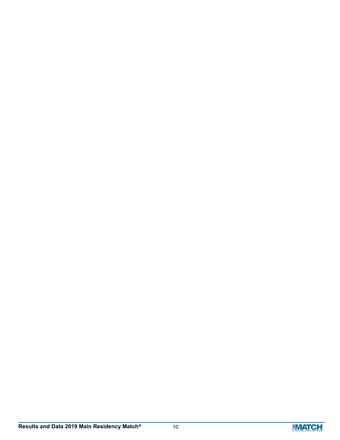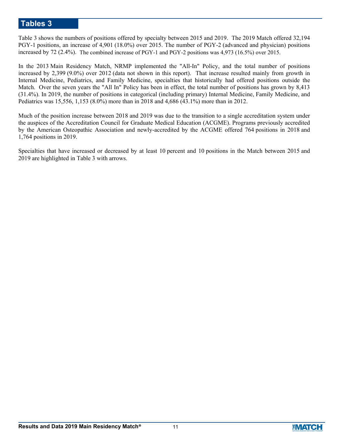Table 3 shows the numbers of positions offered by specialty between 2015 and 2019. The 2019 Match offered 32,194 PGY-1 positions, an increase of 4,901 (18.0%) over 2015. The number of PGY-2 (advanced and physician) positions increased by 72 (2.4%). The combined increase of PGY-1 and PGY-2 positions was 4,973 (16.5%) over 2015.

In the 2013 Main Residency Match, NRMP implemented the "All-In" Policy, and the total number of positions increased by 2,399 (9.0%) over 2012 (data not shown in this report). That increase resulted mainly from growth in Internal Medicine, Pediatrics, and Family Medicine, specialties that historically had offered positions outside the Match. Over the seven years the "All In" Policy has been in effect, the total number of positions has grown by 8,413 (31.4%). In 2019, the number of positions in categorical (including primary) Internal Medicine, Family Medicine, and Pediatrics was 15,556, 1,153 (8.0%) more than in 2018 and 4,686 (43.1%) more than in 2012.

Much of the position increase between 2018 and 2019 was due to the transition to a single accreditation system under the auspices of the Accreditation Council for Graduate Medical Education (ACGME). Programs previously accredited by the American Osteopathic Association and newly-accredited by the ACGME offered 764 positions in 2018 and 1,764 positions in 2019.

Specialties that have increased or decreased by at least 10 percent and 10 positions in the Match between 2015 and 2019 are highlighted in Table 3 with arrows.

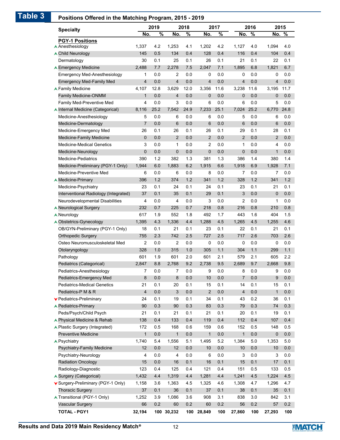|                                       |                | 2019          |                         | 2018          |                | 2017          |                         | 2016          | 2015           |      |
|---------------------------------------|----------------|---------------|-------------------------|---------------|----------------|---------------|-------------------------|---------------|----------------|------|
| <b>Specialty</b>                      | No.            | $\frac{9}{6}$ | No.                     | $\frac{1}{6}$ | No.            | $\frac{9}{6}$ | No.                     | $\frac{9}{6}$ | No.            | %    |
| <b>PGY-1 Positions</b>                |                |               |                         |               |                |               |                         |               |                |      |
| ▲ Anesthesiology                      | 1,337          | 4.2           | 1,253                   | 4.1           | 1,202          | 4.2           | 1,127                   | 4.0           | 1,094          | 4.0  |
| ▲ Child Neurology                     | 145            | 0.5           | 134                     | 0.4           | 128            | 0.4           | 116                     | 0.4           | 104            | 0.4  |
| Dermatology                           | 30             | 0.1           | 25                      | 0.1           | 26             | 0.1           | 21                      | 0.1           | 22             | 0.1  |
| ▲ Emergency Medicine                  | 2,488          | 7.7           | 2,278                   | 7.5           | 2,047          | 7.1           | 1,895                   | 6.8           | 1,821          | 6.7  |
| <b>Emergency Med-Anesthesiology</b>   | 1              | 0.0           | 2                       | 0.0           | 0              | 0.0           | 0                       | 0.0           | 0              | 0.0  |
| <b>Emergency Med-Family Med</b>       | $\overline{4}$ | 0.0           | $\overline{\mathbf{4}}$ | 0.0           | $\overline{4}$ | 0.0           | 4                       | 0.0           | 4              | 0.0  |
| ▲ Family Medicine                     | 4,107          | 12.8          | 3,629                   | 12.0          | 3,356          | 11.6          | 3,238                   | 11.6          | 3,195          | 11.7 |
| Family Medicine-ONMM                  | $\mathbf{1}$   | 0.0           | $\overline{4}$          | 0.0           | 0              | 0.0           | 0                       | 0.0           | $\mathbf{0}$   | 0.0  |
| Family Med-Preventive Med             | 4              | 0.0           | 3                       | 0.0           | 6              | 0.0           | 6                       | 0.0           | 5              | 0.0  |
| A Internal Medicine (Categorical)     | 8,116          | 25.2          | 7,542                   | 24.9          | 7,233          | 25.1          | 7,024                   | 25.2          | 6,770          | 24.8 |
| Medicine-Anesthesiology               | 5              | 0.0           | 6                       | 0.0           | 6              | 0.0           | 5                       | 0.0           | 6              | 0.0  |
| Medicine-Dermatology                  | $\overline{7}$ | 0.0           | 6                       | 0.0           | 6              | 0.0           | 6                       | 0.0           | 6              | 0.0  |
| Medicine-Emergency Med                | 26             | 0.1           | 26                      | 0.1           | 26             | 0.1           | 29                      | 0.1           | 28             | 0.1  |
| <b>Medicine-Family Medicine</b>       | $\mathbf 0$    | 0.0           | $\overline{2}$          | 0.0           | $\overline{2}$ | 0.0           | $\overline{2}$          | 0.0           | $\overline{2}$ | 0.0  |
| <b>Medicine-Medical Genetics</b>      | 3              | 0.0           | 1                       | 0.0           | 2              | 0.0           | 1                       | 0.0           | 4              | 0.0  |
| Medicine-Neurology                    | $\mathbf 0$    | 0.0           | 0                       | 0.0           | 0              | 0.0           | 0                       | 0.0           | $\mathbf{1}$   | 0.0  |
| <b>Medicine-Pediatrics</b>            | 390            | 1.2           | 382                     | 1.3           | 381            | 1.3           | 386                     | 1.4           | 380            | 1.4  |
| Medicine-Preliminary (PGY-1 Only)     | 1,944          | 6.0           | 1,883                   | 6.2           | 1,915          | 6.6           | 1,918                   | 6.9           | 1,928          | 7.1  |
| Medicine-Preventive Med               | 6              | 0.0           | 6                       | 0.0           | 8              | 0.0           | 7                       | 0.0           | 7              | 0.0  |
| ▲ Medicine-Primary                    | 396            | 1.2           | 374                     | 1.2           | 341            | 1.2           | 328                     | 1.2           | 341            | 1.2  |
| Medicine-Psychiatry                   | 23             | 0.1           | 24                      | 0.1           | 24             | 0.1           | 23                      | 0.1           | 21             | 0.1  |
| Interventional Radiology (Integrated) | 37             | 0.1           | 35                      | 0.1           | 29             | 0.1           | 3                       | 0.0           | 0              | 0.0  |
| Neurodevelopmental Disabilities       | 4              | 0.0           | 4                       | 0.0           | 3              | 0.0           | 2                       | 0.0           | 1              | 0.0  |
| Neurological Surgery                  | 232            | 0.7           | 225                     | 0.7           | 218            | 0.8           | 216                     | 0.8           | 210            | 0.8  |
| A Neurology                           | 617            | 1.9           | 552                     | 1.8           | 492            | 1.7           | 443                     | 1.6           | 404            | 1.5  |
| ▲ Obstetrics-Gynecology               | 1,395          | 4.3           | 1,336                   | 4.4           | 1,288          | 4.5           | 1,265                   | 4.5           | 1,255          | 4.6  |
| OB/GYN-Preliminary (PGY-1 Only)       | 18             | 0.1           | 21                      | 0.1           | 23             | 0.1           | 22                      | 0.1           | 21             | 0.1  |
| <b>Orthopedic Surgery</b>             | 755            | 2.3           | 742                     | 2.5           | 727            | 2.5           | 717                     | 2.6           | 703            | 2.6  |
| Osteo Neuromusculoskeletal Med        | 2              | 0.0           | 2                       | 0.0           | 0              | 0.0           | 0                       | 0.0           | 0              | 0.0  |
| Otolaryngology                        | 328            | 1.0           | 315                     | 1.0           | 305            | 1.1           | 304                     | 1.1           | 299            | 1.1  |
| Pathology                             | 601            | 1.9           | 601                     | 2.0           | 601            | 2.1           | 579                     | 2.1           | 605            | 2.2  |
| Pediatrics (Categorical)              | 2,847          | 8.8           | 2,768                   | 9.2           | 2,738          | 9.5           | 2,689                   | 9.7           | 2,668          | 9.8  |
| Pediatrics-Anesthesiology             | 7              | 0.0           | 7                       | 0.0           | 9              | 0.0           | 8                       | 0.0           | 9              | 0.0  |
| Pediatrics-Emergency Med              | 8              | 0.0           | 8                       | 0.0           | 10             | 0.0           | 7                       | 0.0           | 9              | 0.0  |
| <b>Pediatrics-Medical Genetics</b>    | 21             | 0.1           | 20                      | 0.1           | 15             | 0.1           | 14                      | 0.1           | 15             | 0.1  |
| Pediatrics-P M & R                    | $\overline{4}$ | 0.0           | 3                       | 0.0           | $\overline{2}$ | 0.0           | $\overline{\mathbf{4}}$ | 0.0           | $\mathbf{1}$   | 0.0  |
| ▼ Pediatrics-Preliminary              | 24             | 0.1           | 19                      | 0.1           | 34             | 0.1           | 43                      | 0.2           | 36             | 0.1  |
| ▲ Pediatrics-Primary                  | 90             | 0.3           | 90                      | 0.3           | 83             | 0.3           | 79                      | 0.3           | 74             | 0.3  |
| Peds/Psych/Child Psych                | 21             | 0.1           | 21                      | 0.1           | 21             | 0.1           | 20                      | 0.1           | 19             | 0.1  |
| A Physical Medicine & Rehab           | 138            | 0.4           | 133                     | 0.4           | 119            | 0.4           | 112                     | 0.4           | 107            | 0.4  |
| ▲ Plastic Surgery (Integrated)        | 172            | 0.5           | 168                     | 0.6           | 159            | 0.6           | 152                     | 0.5           | 148            | 0.5  |
| <b>Preventive Medicine</b>            | 1              | 0.0           | $\mathbf{1}$            | $0.0\,$       | $\mathbf{1}$   | 0.0           | 1                       | 0.0           | 0              | 0.0  |
| <b>A</b> Psychiatry                   | 1,740          | 5.4           | 1,556                   | 5.1           | 1,495          | 5.2           | 1,384                   | 5.0           | 1,353          | 5.0  |
| Psychiatry-Family Medicine            | 12             | 0.0           | 12                      | 0.0           | 10             | 0.0           | 10                      | 0.0           | 10             | 0.0  |
| Psychiatry-Neurology                  | 4              | 0.0           | 4                       | 0.0           | 6              | 0.0           | 3                       | 0.0           | 3              | 0.0  |
| <b>Radiation Oncology</b>             | 15             | 0.0           | 16                      | 0.1           | 16             | 0.1           | 15                      | 0.1           | 17             | 0.1  |
| Radiology-Diagnostic                  | 123            | 0.4           | 125                     | 0.4           | 121            | 0.4           | 151                     | 0.5           | 133            | 0.5  |
| A Surgery (Categorical)               | 1,432          | 4.4           | 1,319                   | 4.4           | 1,281          | 4.4           | 1,241                   | 4.5           | 1,224          | 4.5  |
| ▼ Surgery-Preliminary (PGY-1 Only)    | 1,158          | 3.6           | 1,363                   | 4.5           | 1,325          | 4.6           | 1,308                   | 4.7           | 1,296          | 4.7  |
| <b>Thoracic Surgery</b>               | 37             | 0.1           | 36                      | 0.1           | 37             | 0.1           | 38                      | 0.1           | 35             | 0.1  |
| ▲ Transitional (PGY-1 Only)           | 1,252          | 3.9           | 1,086                   | 3.6           | 908            | 3.1           | 838                     | 3.0           | 842            | 3.1  |
| <b>Vascular Surgery</b>               | 66             | 0.2           | 60                      | 0.2           | 60             | 0.2           | 56                      | 0.2           | 57             | 0.2  |
| <b>TOTAL - PGY1</b>                   | 32,194         |               | 100 30,232              | 100           | 28,849         | 100           | 27,860                  | 100           | 27,293         | 100  |

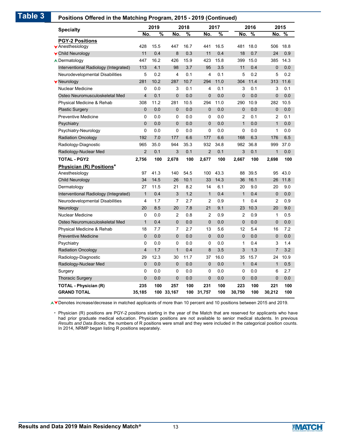#### **Positions Offered in the Matching Program, 2015 - 2019 (Continued)**

| <b>Specialty</b>                            |                | 2019          |                   | 2018          |                | 2017          |                | 2016          |                | 2015       |  |
|---------------------------------------------|----------------|---------------|-------------------|---------------|----------------|---------------|----------------|---------------|----------------|------------|--|
|                                             | No.            | $\frac{9}{6}$ | <b>No</b>         | $\frac{9}{6}$ | No             | $\frac{9}{6}$ | No.            | $\frac{9}{6}$ | No.            | %          |  |
| <b>PGY-2 Positions</b>                      |                |               |                   |               |                |               |                |               |                |            |  |
| <b>▼</b> Anesthesiology                     | 428            | 15.5          | 447               | 16.7          | 441            | 16.5          | 481            | 18.0          | 506            | 18.8       |  |
| ▼ Child Neurology                           | 11             | 0.4           | 8                 | 0.3           | 11             | 0.4           | 18             | 0.7           | 24             | 0.9        |  |
| ▲ Dermatology                               | 447            | 16.2          | 426               | 15.9          | 423            | 15.8          | 399            | 15.0          | 385            | 14.3       |  |
| Interventional Radiology (Integrated)       | 113            | 4.1           | 98                | 3.7           | 95             | 3.5           | 11             | 0.4           | $\overline{0}$ | 0.0        |  |
| Neurodevelopmental Disabilities             | 5              | 0.2           | 4                 | 0.1           | 4              | 0.1           | 5              | 0.2           | 5              | 0.2        |  |
| <b>V</b> Neurology                          | 281            | 10.2          | 287               | 10.7          | 294            | 11.0          | 304            | 11.4          | 313            | 11.6       |  |
| <b>Nuclear Medicine</b>                     | 0              | 0.0           | 3                 | 0.1           | 4              | 0.1           | 3              | 0.1           | 3              | 0.1        |  |
| Osteo Neuromusculoskeletal Med              | $\overline{4}$ | 0.1           | $\overline{0}$    | 0.0           | 0              | 0.0           | 0              | 0.0           | $\mathbf{0}$   | 0.0        |  |
| Physical Medicine & Rehab                   | 308            | 11.2          | 281               | 10.5          | 294            | 11.0          | 290            | 10.9          | 282            | 10.5       |  |
| <b>Plastic Surgery</b>                      | 0              | 0.0           | 0                 | 0.0           | 0              | 0.0           | $\mathbf 0$    | 0.0           | 0              | 0.0        |  |
| <b>Preventive Medicine</b>                  | 0              | 0.0           | 0                 | 0.0           | 0              | 0.0           | $\overline{2}$ | 0.1           | $\overline{2}$ | 0.1        |  |
| Psychiatry                                  | $\mathbf 0$    | 0.0           | 0                 | 0.0           | 0              | 0.0           | $\mathbf{1}$   | 0.0           | $\mathbf{1}$   | 0.0        |  |
| Psychiatry-Neurology                        | 0              | 0.0           | 0                 | 0.0           | 0              | 0.0           | 0              | 0.0           | 1              | 0.0        |  |
| <b>Radiation Oncology</b>                   | 192            | 7.0           | 177               | 6.6           | 177            | 6.6           | 168            | 6.3           | 176            | 6.5        |  |
| Radiology-Diagnostic                        | 965            | 35.0          | 944               | 35.3          | 932            | 34.8          | 982            | 36.8          | 999            | 37.0       |  |
| Radiology-Nuclear Med                       | $\overline{2}$ | 0.1           | 3                 | 0.1           | $\overline{2}$ | 0.1           | 3              | 0.1           | 1              | 0.0        |  |
| <b>TOTAL - PGY2</b>                         | 2,756          | 100           | 2,678             | 100           | 2,677          | 100           | 2,667          | 100           | 2,698          | 100        |  |
| Physician (R) Positions*                    |                |               |                   |               |                |               |                |               |                |            |  |
| Anesthesiology                              | 97             | 41.3          | 140               | 54.5          | 100            | 43.3          | 88             | 39.5          | 95             | 43.0       |  |
| <b>Child Neurology</b>                      | 34             | 14.5          | 26                | 10.1          | 33             | 14.3          | 36             | 16.1          | 26             | 11.8       |  |
| Dermatology                                 | 27             | 11.5          | 21                | 8.2           | 14             | 6.1           | 20             | 9.0           | 20             | 9.0        |  |
| Interventional Radiology (Integrated)       | $\mathbf{1}$   | 0.4           | 3                 | 1.2           | $\mathbf{1}$   | 0.4           | $\mathbf{1}$   | 0.4           | $\mathbf{0}$   | 0.0        |  |
| Neurodevelopmental Disabilities             | 4              | 1.7           | 7                 | 2.7           | 2              | 0.9           | $\mathbf{1}$   | 0.4           | $\overline{2}$ | 0.9        |  |
| Neurology                                   | 20             | 8.5           | 20                | 7.8           | 21             | 9.1           | 23             | 10.3          | 20             | 9.0        |  |
| Nuclear Medicine                            | 0              | 0.0           | 2                 | 0.8           | 2              | 0.9           | $\overline{2}$ | 0.9           | 1              | 0.5        |  |
| Osteo Neuromusculoskeletal Med              | 1              | 0.4           | 0                 | 0.0           | 0              | 0.0           | $\overline{0}$ | 0.0           | $\mathbf{0}$   | 0.0        |  |
| Physical Medicine & Rehab                   | 18             | 7.7           | 7                 | 2.7           | 13             | 5.6           | 12             | 5.4           | 16             | 7.2        |  |
| <b>Preventive Medicine</b>                  | $\mathbf 0$    | 0.0           | 0                 | 0.0           | 0              | 0.0           | $\mathbf 0$    | 0.0           | $\overline{0}$ | 0.0        |  |
| Psychiatry                                  | 0              | 0.0           | 0                 | 0.0           | $\mathbf 0$    | 0.0           | $\mathbf{1}$   | 0.4           | 3              | 1.4        |  |
| <b>Radiation Oncology</b>                   | $\overline{4}$ | 1.7           | $\mathbf{1}$      | 0.4           | 8              | 3.5           | 3              | 1.3           | $\overline{7}$ | 3.2        |  |
| Radiology-Diagnostic                        | 29             | 12.3          | 30                | 11.7          | 37             | 16.0          | 35             | 15.7          | 24             | 10.9       |  |
| Radiology-Nuclear Med                       | $\overline{0}$ | 0.0           | $\overline{0}$    | 0.0           | $\overline{0}$ | 0.0           | $\mathbf{1}$   | 0.4           | $\mathbf{1}$   | 0.5        |  |
| Surgery                                     | 0              | 0.0           | 0                 | 0.0           | 0              | 0.0           | 0              | 0.0           | 6              | 2.7        |  |
| <b>Thoracic Surgery</b>                     | $\mathbf{0}$   | 0.0           | 0                 | 0.0           | 0              | 0.0           | $\mathbf 0$    | 0.0           | $\mathbf{0}$   | 0.0        |  |
| TOTAL - Physician (R)<br><b>GRAND TOTAL</b> | 235<br>35,185  | 100           | 257<br>100 33,167 | 100<br>100    | 231<br>31,757  | 100<br>100    | 223<br>30,750  | 100<br>100    | 221<br>30,212  | 100<br>100 |  |

★▼Denotes increase/decrease in matched applicants of more than 10 percent and 10 positions between 2015 and 2019.

 $\ast$  Physician (R) positions are PGY-2 positions starting in the year of the Match that are reserved for applicants who have had prior graduate medical education. Physician positions are not available to senior medical students. In previous *Results and Data Books*, the numbers of R positions were small and they were included in the categorical position counts. In 2014, NRMP began listing R positions separately.

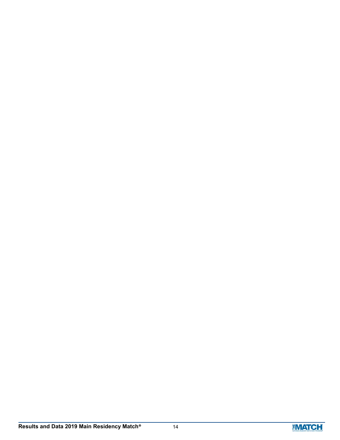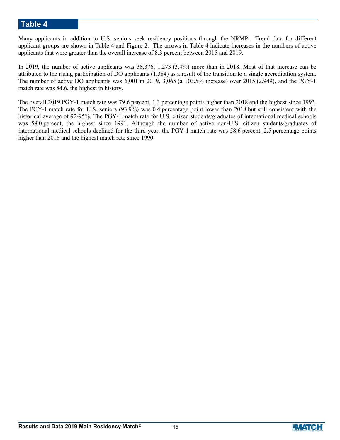Many applicants in addition to U.S. seniors seek residency positions through the NRMP. Trend data for different applicant groups are shown in Table 4 and Figure 2. The arrows in Table 4 indicate increases in the numbers of active applicants that were greater than the overall increase of 8.3 percent between 2015 and 2019.

In 2019, the number of active applicants was 38,376, 1,273 (3.4%) more than in 2018. Most of that increase can be attributed to the rising participation of DO applicants (1,384) as a result of the transition to a single accreditation system. The number of active DO applicants was 6,001 in 2019, 3,065 (a 103.5% increase) over 2015 (2,949), and the PGY-1 match rate was 84.6, the highest in history.

The overall 2019 PGY-1 match rate was 79.6 percent, 1.3 percentage points higher than 2018 and the highest since 1993. The PGY-1 match rate for U.S. seniors (93.9%) was 0.4 percentage point lower than 2018 but still consistent with the historical average of 92-95%. The PGY-1 match rate for U.S. citizen students/graduates of international medical schools was 59.0 percent, the highest since 1991. Although the number of active non-U.S. citizen students/graduates of international medical schools declined for the third year, the PGY-1 match rate was 58.6 percent, 2.5 percentage points higher than 2018 and the highest match rate since 1990.

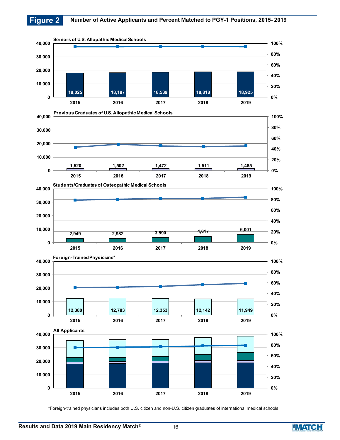

\*Foreign-trained physicians includes both U.S. citizen and non-U.S. citizen graduates of international medical schools.

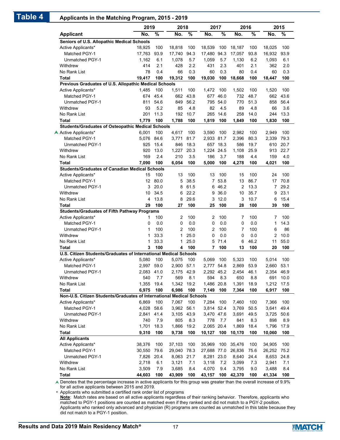#### **Table 4 Applicants in the Matching Program, 2015 - 2019**

| Applicants in the Matching Program, 2015 - 2019                      |                |                          |                |                          |                     |               |                |               |                |             |
|----------------------------------------------------------------------|----------------|--------------------------|----------------|--------------------------|---------------------|---------------|----------------|---------------|----------------|-------------|
|                                                                      | 2019           |                          | 2018           |                          | 2017                |               |                | 2016          |                | 2015        |
| <b>Applicant</b>                                                     | No.            | $\overline{\frac{9}{6}}$ | No.            | $\overline{\frac{9}{6}}$ | No.                 | $\frac{9}{6}$ | No.            | $\frac{9}{6}$ | No.            | %           |
| Seniors of U.S. Allopathic Medical Schools                           |                |                          |                |                          |                     |               |                |               |                |             |
| Active Applicants*                                                   | 18,925         | 100                      | 18,818         | 100                      | 18,539              | 100           | 18,187         | 100           | 18.025         | 100         |
| Matched PGY-1                                                        | 17,763         | 93.9                     | 17,740         | 94.3                     | 17,480 94.3         |               | 17,057         | 93.8          | 16,932         | 93.9        |
| Unmatched PGY-1                                                      | 1,162          | 6.1                      | 1,078          | 5.7                      | 1,059               | 5.7           | 1,130          | 6.2           | 1,093          | 6.1         |
| Withdrew                                                             | 414            | 2.1                      | 428            | 2.2                      | 431                 | 2.3           | 401            | 2.1           | 362            | 2.0         |
| No Rank List                                                         | 78             | 0.4                      | 66             | 0.3                      | 60                  | 0.3           | 80             | 0.4           | 60             | 0.3         |
| Total                                                                | 19.417         | 100                      | 19,312         | 100                      | 19,030              | 100           | 18,668         | 100           | 18,447         | 100         |
| Previous Graduates of U.S. Allopathic Medical Schools                |                |                          |                |                          |                     |               |                |               |                |             |
| Active Applicants*                                                   | 1,485          | 100                      | 1,511          | 100                      | 1,472               | 100           | 1,502          | 100           | 1,520          | 100         |
| Matched PGY-1                                                        | 674            | 45.4                     | 662            | 43.8                     | 677                 | 46.0          | 732            | 48.7          | 662            | 43.6        |
| Unmatched PGY-1                                                      | 811            | 54.6                     | 849            | 56.2                     | 795                 | 54.0          | 770            | 51.3          | 858            | 56.4        |
| Withdrew                                                             | 93<br>201      | 5.2<br>11.3              | 85             | 4.8                      | 82                  | 4.5           | 89             | 4.8           | 66             | 3.6<br>13.3 |
| No Rank List                                                         |                |                          | 192            | 10.7                     | 265                 | 14.6          | 258            | 14.0          | 244            |             |
| Total                                                                | 1,779          | 100                      | 1,788          | 100                      | 1,819               | 100           | 1,849          | 100           | 1,830          | 100         |
| <b>Students/Graduates of Osteopathic Medical Schools</b>             |                | 100                      |                | 100                      |                     |               |                | 100           |                | 100         |
| A Active Applicants*<br><b>Matched PGY-1</b>                         | 6,001<br>5,076 | 84.6                     | 4,617<br>3,771 | 81.7                     | 3,590<br>2,933 81.7 | 100           | 2,982<br>2,396 | 80.3          | 2,949<br>2,339 | 79.3        |
| Unmatched PGY-1                                                      | 925            | 15.4                     | 846            | 18.3                     |                     | 657 18.3      | 586            | 19.7          | 610            | 20.7        |
| Withdrew                                                             | 920            | 13.0                     | 1.227          | 20.3                     | 1.224 24.5          |               | 1,108          | 25.9          | 913            | 22.7        |
| No Rank List                                                         | 169            | 2.4                      | 210            | 3.5                      | 186                 | 3.7           | 188            | 4.4           | 159            | 4.0         |
| Total                                                                | 7,090          | 100                      | 6,054          | 100                      | 5,000               | 100           | 4,278          | 100           | 4,021          | 100         |
| <b>Students/Graduates of Canadian Medical Schools</b>                |                |                          |                |                          |                     |               |                |               |                |             |
| Active Applicants*                                                   | 15             | 100                      | 13             | 100                      | 13                  | 100           | 15             | 100           | 24             | 100         |
| Matched PGY-1                                                        | 12             | 80.0                     | 5              | 38.5                     | 7                   | 53.8          | 13             | 86.7          | 17             | 70.8        |
| <b>Unmatched PGY-1</b>                                               | 3              | 20.0                     | 8              | 61.5                     | 6                   | 46.2          | 2              | 13.3          | 7              | 29.2        |
| Withdrew                                                             | 10             | 34.5                     | 6              | 22.2                     | 9                   | 36.0          | 10             | 35.7          | 9              | 23.1        |
| No Rank List                                                         | 4              | 13.8                     | 8              | 29.6                     | 3                   | 12.0          | 3              | 10.7          | 6              | 15.4        |
| Total                                                                | 29             | 100                      | 27             | 100                      | 25                  | 100           | 28             | 100           | 39             | 100         |
| <b>Students/Graduates of Fifth Pathway Programs</b>                  |                |                          |                |                          |                     |               |                |               |                |             |
| Active Applicants*                                                   | 1              | 100                      | 2              | 100                      | 2                   | 100           | 7              | 100           | 7              | 100         |
| Matched PGY-1                                                        | 0              | 0.0                      | 0              | 0.0                      | 0                   | 0.0           | 0              | 0.0           | 1              | 14.3        |
| Unmatched PGY-1                                                      | 1              | 100                      | $\overline{2}$ | 100                      | 2                   | 100           | 7              | 100           | 6              | 86          |
| Withdrew                                                             | 1              | 33.3                     | 1              | 25.0                     | 0                   | 0.0           | 0              | 0.0           | 2              | 10.0        |
| No Rank List                                                         | 1              | 33.3                     | 1              | 25.0                     | 5                   | 71.4          | 6              | 46.2          | 11             | 55.0        |
| Total                                                                | 3              | 100                      | 4              | 100                      | 7                   | 100           | 13             | 100           | 20             | 100         |
| U.S. Citizen Students/Graduates of International Medical Schools     |                |                          |                |                          |                     |               |                |               |                |             |
| Active Applicants*                                                   | 5.080          | 100                      | 5,075          | 100                      | 5,069               | 100           | 5.323          | 100           | 5,014          | 100         |
| Matched PGY-1                                                        | 2,997          | 59.0                     | 2,900 57.1     |                          | 2,777 54.8          |               | 2,869          | 53.9          | 2,660          | 53.1        |
| Unmatched PGY-1                                                      | 2,083 41.0     |                          | 2,175 42.9     |                          | 2,292 45.2          |               | 2,454 46.1     |               | 2,354 46.9     |             |
| Withdrew                                                             | 540            | 7.7                      | 569            | 8.1                      |                     | 594 8.3       | 650            | 8.8           | 691            | 10.0        |
| No Rank List                                                         | 1,355          | 19.4                     | 1,342          | 19.2                     | 1,486 20.8          |               | 1,391          | 18.9          | 1,212 17.5     |             |
| Total                                                                | 6,975          | 100                      | 6,986          | 100                      | 7,149 100           |               | 7,364          | 100           | 6,917          | 100         |
| Non-U.S. Citizen Students/Graduates of International Medical Schools |                |                          |                |                          |                     |               |                |               |                |             |
| Active Applicants*                                                   | 6,869          | 100                      | 7,067          | 100                      | 7,284 100           |               | 7,460          | 100           | 7,366          | 100         |
| Matched PGY-1                                                        | 4,028          | 58.6                     | 3,962 56.1     |                          | 3,814 52.4          |               | 3,769          | 50.5          | 3,641 49.4     |             |
| Unmatched PGY-1                                                      | 2,841          | 41.4                     | 3,105 43.9     |                          | 3,470 47.6          |               | 3,691          | 49.5          | 3,725 50.6     |             |
| Withdrew                                                             | 740            | 7.9                      | 805            | 8.3                      | 778                 | 7.7           | 841            | 8.3           | 898            | 8.9         |
| No Rank List                                                         | 1,701          | 18.3                     | 1,866          | 19.2                     | 2,065 20.4          |               | 1,869          | 18.4          | 1,796          | 17.9        |
| Total                                                                | 9,310          | 100                      | 9,738          | 100                      | 10,127 100          |               | 10,170         | 100           | 10,060         | 100         |
| <b>All Applicants</b>                                                |                |                          |                |                          |                     |               |                |               |                |             |
| Active Applicants*                                                   | 38,376         | 100                      | 37,103         | 100                      | 35,969              | 100           | 35,476         | 100           | 34,905         | 100         |
| Matched PGY-1                                                        | 30,550         | 79.6                     | 29,040         | 78.3                     | 27,688 77.0         |               | 26,836         | 75.6          | 26,252 75.2    |             |
| Unmatched PGY-1                                                      | 7,826 20.4     |                          | 8,063 21.7     |                          | 8,281 23.0          |               | 8,640          | 24.4          | 8,653          | 24.8        |
| Withdrew                                                             | 2,718          | 6.1                      | 3,121          | 7.1                      | 3,118               | 7.2           | 3,099          | 7.3           | 2,941          | 7.1         |
| No Rank List                                                         | 3,509          | 7.9                      | 3,685          | 8.4                      | 4,070               | 9.4           | 3,795          | 9.0           | 3,488          | 8.4         |
| Total                                                                | 44,603         | 100                      | 43,909         | 100                      | 43,157              | 100           | 42,370         | 100           | 41,334         | 100         |

Denotes that the percentage increase in active applicants for this group was greater than the overall increase of 9.9% for all active applicants between 2015 and 2019.

Applicants who submitted a certified rank order list of programs \*

**Note**: Match rates are based on all active applicants regardless of their ranking behavior. Therefore, applicants who matched to PGY-1 positions are counted as matched even if they ranked and did not match to a PGY-2 position. Applicants who ranked only advanced and physician (R) programs are counted as unmatched in this table because they did not match to a PGY-1 position.

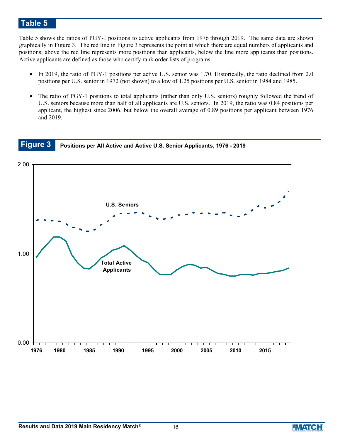Table 5 shows the ratios of PGY-1 positions to active applicants from 1976 through 2019. The same data are shown graphically in Figure 3. The red line in Figure 3 represents the point at which there are equal numbers of applicants and positions; above the red line represents more positions than applicants, below the line more applicants than positions. Active applicants are defined as those who certify rank order lists of programs.

- $\bullet$  In 2019, the ratio of PGY-1 positions per active U.S. senior was 1.70. Historically, the ratio declined from 2.0 positions per U.S. senior in 1972 (not shown) to a low of 1.25 positions per U.S. senior in 1984 and 1985.
- The ratio of PGY-1 positions to total applicants (rather than only U.S. seniors) roughly followed the trend of U.S. seniors because more than half of all applicants are U.S. seniors. In 2019, the ratio was 0.84 positions per applicant, the highest since 2006, but below the overall average of 0.89 positions per applicant between 1976 and 2019.





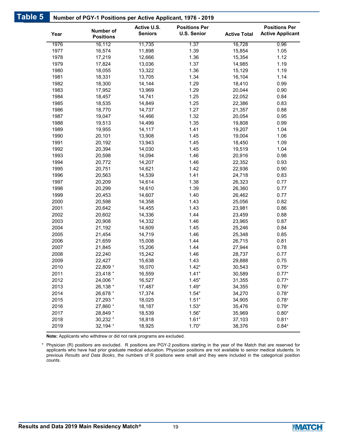| Year | Number of<br><b>Positions</b> | Active U.S.<br><b>Seniors</b> | <b>Positions Per</b><br><b>U.S. Senior</b> | <b>Active Total</b> | <b>Positions Per</b><br><b>Active Applicant</b> |
|------|-------------------------------|-------------------------------|--------------------------------------------|---------------------|-------------------------------------------------|
| 1976 | 16,112                        | 11,735                        | 1.37                                       | 16,728              | 0.96                                            |
| 1977 | 16,574                        | 11,898                        | 1.39                                       | 15,854              | 1.05                                            |
| 1978 | 17,219                        | 12,666                        | 1.36                                       | 15,354              | 1.12                                            |
| 1979 | 17,824                        | 13,036                        | 1.37                                       | 14,985              | 1.19                                            |
| 1980 | 18,055                        | 13,322                        | 1.36                                       | 15,129              | 1.19                                            |
| 1981 | 18,331                        | 13,705                        | 1.34                                       | 16,104              | 1.14                                            |
| 1982 | 18,300                        | 14,144                        | 1.29                                       | 18,410              | 0.99                                            |
| 1983 | 17,952                        | 13,969                        | 1.29                                       | 20,044              | 0.90                                            |
| 1984 | 18,457                        | 14,741                        | 1.25                                       | 22,052              | 0.84                                            |
| 1985 | 18,535                        | 14,849                        | 1.25                                       | 22,386              | 0.83                                            |
| 1986 | 18,770                        | 14,737                        | 1.27                                       | 21,357              | 0.88                                            |
| 1987 | 19,047                        | 14,466                        | 1.32                                       | 20,054              | 0.95                                            |
| 1988 | 19,513                        | 14,499                        | 1.35                                       | 19,808              | 0.99                                            |
| 1989 | 19,955                        | 14,117                        | 1.41                                       | 19,207              | 1.04                                            |
| 1990 | 20,101                        | 13,908                        | 1.45                                       | 19,004              | 1.06                                            |
| 1991 | 20,192                        | 13,943                        | 1.45                                       | 18,450              | 1.09                                            |
| 1992 | 20,394                        | 14,030                        | 1.45                                       | 19,519              | 1.04                                            |
| 1993 | 20,598                        | 14,094                        | 1.46                                       | 20,916              | 0.98                                            |
| 1994 | 20,772                        | 14,207                        | 1.46                                       | 22,352              | 0.93                                            |
| 1995 | 20,751                        | 14,621                        | 1.42                                       | 22,936              | 0.90                                            |
| 1996 | 20,563                        | 14,539                        | 1.41                                       | 24,718              | 0.83                                            |
| 1997 | 20,209                        | 14,614                        | 1.38                                       | 26,323              | 0.77                                            |
| 1998 | 20,299                        | 14,610                        | 1.39                                       | 26,360              | 0.77                                            |
| 1999 | 20,453                        | 14,607                        | 1.40                                       | 26,462              | 0.77                                            |
| 2000 | 20,598                        | 14,358                        | 1.43                                       | 25,056              | 0.82                                            |
| 2001 | 20,642                        | 14,455                        | 1.43                                       | 23,981              | 0.86                                            |
| 2002 | 20,602                        | 14,336                        | 1.44                                       | 23,459              | 0.88                                            |
| 2003 | 20,908                        | 14,332                        | 1.46                                       | 23,965              | 0.87                                            |
| 2004 | 21,192                        | 14,609                        | 1.45                                       | 25,246              | 0.84                                            |
| 2005 | 21,454                        | 14,719                        | 1.46                                       | 25,348              | 0.85                                            |
| 2006 | 21,659                        | 15,008                        | 1.44                                       | 26,715              | 0.81                                            |
| 2007 | 21,845                        | 15,206                        | 1.44                                       | 27,944              | 0.78                                            |
| 2008 | 22,240                        | 15,242                        | 1.46                                       | 28,737              | 0.77                                            |
| 2009 | 22,427                        | 15,638                        | 1.43                                       | 29,888              | 0.75                                            |
| 2010 | 22,809 *                      | 16,070                        | $1.42*$                                    | 30,543              | $0.75*$                                         |
| 2011 | 23,418 *                      | 16,559                        | $1.41*$                                    | 30,589              | $0.77*$                                         |
| 2012 | 24,006 *                      | 16,527                        | $1.45*$                                    | 31,355              | $0.77*$                                         |
| 2013 | 26,138 *                      | 17,487                        | $1.49*$                                    | 34,355              | $0.76*$                                         |
| 2014 | 26,678 *                      | 17,374                        | $1.54*$                                    | 34,270              | $0.78*$                                         |
| 2015 | 27,293 *                      | 18,025                        | $1.51*$                                    | 34,905              | $0.78*$                                         |
| 2016 | 27,860 *                      | 18,187                        | $1.53*$                                    | 35,476              | $0.79*$                                         |
| 2017 | 28,849 *                      | 18,539                        | $1.56*$                                    | 35,969              | $0.80*$                                         |
| 2018 | 30,232 *                      | 18,818                        | $1.61*$                                    | 37,103              | $0.81*$                                         |
| 2019 | 32,194 *                      | 18,925                        | $1.70*$                                    | 38,376              | $0.84*$                                         |

**Note:** Applicants who withdrew or did not rank programs are excluded.

Physician (R) positions are excluded. R positions are PGY-2 positions starting in the year of the Match that are reserved for applicants who have had prior graduate medical education. Physician positions are not available to senior medical students. In previous *Results and Data Books*, the numbers of R positions were small and they were included in the categorical position counts. \*

**Table 5**

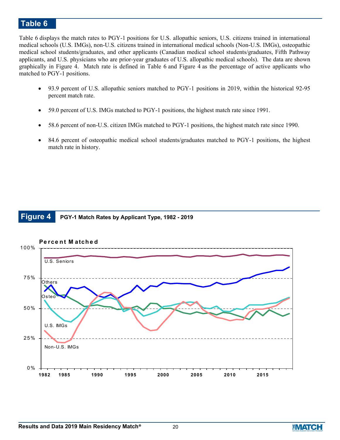Table 6 displays the match rates to PGY-1 positions for U.S. allopathic seniors, U.S. citizens trained in international medical schools (U.S. IMGs), non-U.S. citizens trained in international medical schools (Non-U.S. IMGs), osteopathic medical school students/graduates, and other applicants (Canadian medical school students/graduates, Fifth Pathway applicants, and U.S. physicians who are prior-year graduates of U.S. allopathic medical schools). The data are shown graphically in Figure 4. Match rate is defined in Table 6 and Figure 4 as the percentage of active applicants who matched to PGY-1 positions.

- 93.9 percent of U.S. allopathic seniors matched to PGY-1 positions in 2019, within the historical 92-95 percent match rate.
- 59.0 percent of U.S. IMGs matched to PGY-1 positions, the highest match rate since 1991.
- 58.6 percent of non-U.S. citizen IMGs matched to PGY-1 positions, the highest match rate since 1990.
- 84.6 percent of osteopathic medical school students/graduates matched to PGY-1 positions, the highest match rate in history.

# **Figure 4 PGY-1 Match Rates by Applicant Type, 1982 - 2019**



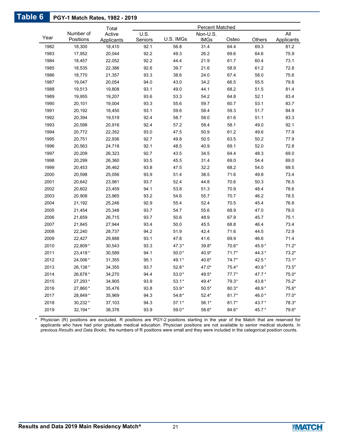#### **PGY-1 Match Rates, 1982 - 2019 Table 6**

|      |           | Total      |         |           | <b>Percent Matched</b> |         |         |            |
|------|-----------|------------|---------|-----------|------------------------|---------|---------|------------|
|      | Number of | Active     | U.S.    |           | Non-U.S.               |         |         | All        |
| Year | Positions | Applicants | Seniors | U.S. IMGs | <b>IMGs</b>            | Osteo   | Others  | Applicants |
| 1982 | 18,300    | 18,410     | 92.1    | 56.8      | 31.4                   | 64.4    | 69.3    | 81.2       |
| 1983 | 17,952    | 20,044     | 92.2    | 49.3      | 26.2                   | 69.6    | 64.6    | 75.9       |
| 1984 | 18,457    | 22,052     | 92.2    | 44.4      | 21.9                   | 61.7    | 60.4    | 73.1       |
| 1985 | 18,535    | 22,386     | 92.6    | 39.7      | 21.6                   | 58.9    | 61.2    | 72.8       |
| 1986 | 18,770    | 21,357     | 93.3    | 38.6      | 24.0                   | 67.4    | 58.0    | 75.6       |
| 1987 | 19,047    | 20,054     | 94.0    | 43.0      | 34.2                   | 66.5    | 55.5    | 79.8       |
| 1988 | 19,513    | 19,808     | 93.1    | 49.0      | 44.1                   | 68.2    | 51.5    | 81.4       |
| 1989 | 19,955    | 19,207     | 93.6    | 53.3      | 54.2                   | 64.8    | 52.1    | 83.4       |
| 1990 | 20,101    | 19,004     | 93.3    | 55.6      | 59.7                   | 60.7    | 53.1    | 83.7       |
| 1991 | 20,192    | 18,450     | 93.1    | 59.6      | 58.4                   | 59.3    | 51.7    | 84.9       |
| 1992 | 20,394    | 19,519     | 92.4    | 58.7      | 58.0                   | 61.6    | 51.1    | 83.3       |
| 1993 | 20,598    | 20,916     | 92.4    | 57.2      | 58.4                   | 58.1    | 49.0    | 92.1       |
| 1994 | 20,772    | 22,352     | 93.0    | 47.5      | 50.9                   | 61.2    | 49.6    | 77.9       |
| 1995 | 20,751    | 22,936     | 92.7    | 49.8      | 50.5                   | 63.5    | 50.2    | 77.9       |
| 1996 | 20,563    | 24,718     | 92.1    | 48.5      | 40.9                   | 69.1    | 52.0    | 72.8       |
| 1997 | 20,209    | 26,323     | 92.7    | 43.5      | 34.5                   | 64.4    | 48.3    | 69.0       |
| 1998 | 20,299    | 26,360     | 93.5    | 45.5      | 31.4                   | 69.0    | 54.4    | 69.0       |
| 1999 | 20,453    | 26,462     | 93.8    | 47.5      | 32.2                   | 68.2    | 54.0    | 69.5       |
| 2000 | 20,598    | 25,056     | 93.9    | 51.4      | 38.5                   | 71.6    | 49.8    | 73.4       |
| 2001 | 20,642    | 23,981     | 93.7    | 52.4      | 44.8                   | 70.6    | 50.3    | 76.5       |
| 2002 | 20,602    | 23,459     | 94.1    | 53.8      | 51.3                   | 70.9    | 48.4    | 78.6       |
| 2003 | 20,908    | 23,965     | 93.2    | 54.6      | 55.7                   | 70.7    | 46.2    | 78.5       |
| 2004 | 21,192    | 25,246     | 92.9    | 55.4      | 52.4                   | 70.5    | 45.4    | 76.8       |
| 2005 | 21,454    | 25,348     | 93.7    | 54.7      | 55.6                   | 68.9    | 47.0    | 78.0       |
| 2006 | 21,659    | 26,715     | 93.7    | 50.6      | 48.9                   | 67.9    | 45.7    | 75.1       |
| 2007 | 21,845    | 27,944     | 93.4    | 50.0      | 45.5                   | 68.8    | 46.4    | 73.4       |
| 2008 | 22,240    | 28,737     | 94.2    | 51.9      | 42.4                   | 71.6    | 44.5    | 72.9       |
| 2009 | 22,427    | 29,888     | 93.1    | 47.8      | 41.6                   | 69.9    | 46.6    | 71.4       |
| 2010 | 22,809*   | 30,543     | 93.3    | 47.3*     | $39.8*$                | 70.6*   | 45.9*   | $71.2*$    |
| 2011 | 23,418 *  | 30,589     | 94.1    | $50.0*$   | 40.9*                  | $71.7*$ | 44.3*   | $73.2*$    |
| 2012 | 24,006*   | 31,355     | 95.1    | 49.1*     | 40.6*                  | $74.7*$ | 42.5*   | $73.1*$    |
| 2013 | 26,138 *  | 34,355     | 93.7    | $52.8*$   | 47.0*                  | $75.4*$ | $40.9*$ | $73.5*$    |
| 2014 | 26,678 *  | 34,270     | 94.4    | $53.0*$   | 49.5*                  | $77.7*$ | $47.7*$ | $75.0*$    |
| 2015 | 27,293*   | 34,905     | 93.9    | $53.1*$   | 49.4*                  | 79.3*   | 43.8*   | $75.2*$    |
| 2016 | 27,860*   | 35,476     | 93.8    | 53.9*     | $50.5*$                | $80.3*$ | 48.9*   | 75.6*      |
| 2017 | 28,849 *  | 35,969     | 94.3    | $54.8*$   | $52.4*$                | $81.7*$ | 46.0*   | $77.0*$    |
| 2018 | 30,232 *  | 37,103     | 94.3    | $57.1*$   | $56.1*$                | $81.7*$ | 43.7*   | 78.3*      |
| 2019 | 32,194 *  | 38,376     | 93.9    | 59.0*     | 58.6*                  | 84.6*   | 45.7*   | 79.6*      |
|      |           |            |         |           |                        |         |         |            |

Physician (R) positions are excluded. R positions are PGY-2 positions starting in the year of the Match that are reserved for \* applicants who have had prior graduate medical education. Physician positions are not available to senior medical students. In previous *Results and Data Books*, the numbers of R positions were small and they were included in the categorical position counts.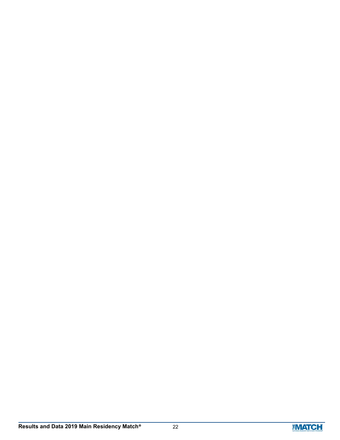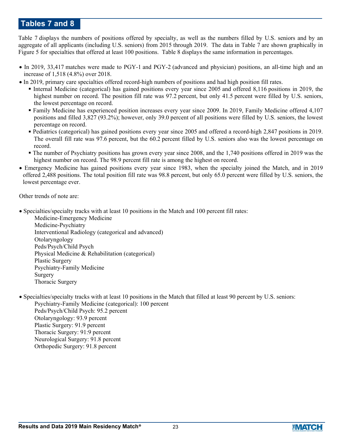# **Tables 7 and 8**

Table 7 displays the numbers of positions offered by specialty, as well as the numbers filled by U.S. seniors and by an aggregate of all applicants (including U.S. seniors) from 2015 through 2019. The data in Table 7 are shown graphically in Figure 5 for specialties that offered at least 100 positions. Table 8 displays the same information in percentages.

- In 2019, 33,417 matches were made to PGY-1 and PGY-2 (advanced and physician) positions, an all-time high and an increase of 1,518 (4.8%) over 2018.
- In 2019, primary care specialties offered record-high numbers of positions and had high position fill rates.
	- Internal Medicine (categorical) has gained positions every year since 2005 and offered 8,116 positions in 2019, the highest number on record. The position fill rate was 97.2 percent, but only 41.5 percent were filled by U.S. seniors, the lowest percentage on record.
	- Family Medicine has experienced position increases every year since 2009. In 2019, Family Medicine offered 4,107 positions and filled 3,827 (93.2%); however, only 39.0 percent of all positions were filled by U.S. seniors, the lowest percentage on record.
	- Pediatrics (categorical) has gained positions every year since 2005 and offered a record-high 2,847 positions in 2019. The overall fill rate was 97.6 percent, but the 60.2 percent filled by U.S. seniors also was the lowest percentage on record.
	- The number of Psychiatry positions has grown every year since 2008, and the 1,740 positions offered in 2019 was the highest number on record. The 98.9 percent fill rate is among the highest on record.
- Emergency Medicine has gained positions every year since 1983, when the specialty joined the Match, and in 2019 offered 2,488 positions. The total position fill rate was 98.8 percent, but only 65.0 percent were filled by U.S. seniors, the lowest percentage ever.

Other trends of note are:

Specialties/specialty tracks with at least 10 positions in the Match and 100 percent fill rates:

 Medicine-Emergency Medicine Medicine-Psychiatry Interventional Radiology (categorical and advanced) Otolaryngology Peds/Psych/Child Psych Physical Medicine & Rehabilitation (categorical) Plastic Surgery Psychiatry-Family Medicine Surgery Thoracic Surgery

- Specialties/specialty tracks with at least 10 positions in the Match that filled at least 90 percent by U.S. seniors: Psychiatry-Family Medicine (categorical): 100 percent Peds/Psych/Child Psych: 95.2 percent Otolaryngology: 93.9 percent Plastic Surgery: 91.9 percent Thoracic Surgery: 91:9 percent Neurological Surgery: 91.8 percent
	- Orthopedic Surgery: 91.8 percent



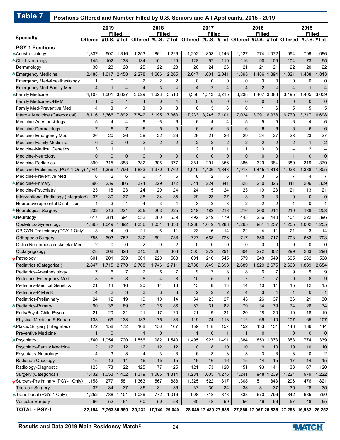|                                         |                | 2019           |               |                                           | 2018                     |                |                                                                                  | 2017                 |                |                                           | 2016           |                         | 2015           |                |                 |  |
|-----------------------------------------|----------------|----------------|---------------|-------------------------------------------|--------------------------|----------------|----------------------------------------------------------------------------------|----------------------|----------------|-------------------------------------------|----------------|-------------------------|----------------|----------------|-----------------|--|
| <b>Specialty</b>                        | Offered #U.S.  |                | <b>Filled</b> |                                           | <b>Filled</b>            |                | #Tot Offered #U.S. #Tot Offered #U.S. #Tot Offered #U.S. #Tot Offered #U.S. #Tot | <b>Filled</b>        |                |                                           | <b>Filled</b>  |                         |                |                | <b>Filled</b>   |  |
| <b>PGY-1 Positions</b>                  |                |                |               |                                           |                          |                |                                                                                  |                      |                |                                           |                |                         |                |                |                 |  |
| AAnesthesiology                         | 1,337          | 907            | 1,316         | 1,253                                     | 861                      | 1,226          | 1,202                                                                            | 803                  | 1,146          | 1,127                                     | 774            | 1,072                   | 1,094          | 799            | 1,066           |  |
| <b>AChild Neurology</b>                 | 145            | 102            | 133           | 134                                       | 101                      | 129            | 128                                                                              | 97                   | 119            | 116                                       | 90             | 109                     | 104            | 73             | 95              |  |
| Dermatology                             | 30             | 23             | 28            | 25                                        | 22                       | 23             | 26                                                                               | 24                   | 26             | 21                                        | 21             | 21                      | 22             | 20             | 22              |  |
| <b>A Emergency Medicine</b>             | 2,488          | 1,617          | 2.458         | 2,278                                     | 1,606                    | 2,265          | 2,047                                                                            | 1,601                | 2,041          | 1,895                                     |                | 1,486 1,894             | 1,821          | 1,438          | 1,813           |  |
| <b>Emergency Med-Anesthesiology</b>     | 1              | 0              | 1             | 2                                         | $\overline{2}$           | 2              | 0                                                                                | 0                    | 0              | 0                                         | 0              | 0                       | 0              | 0              | 0               |  |
| <b>Emergency Med-Family Med</b>         | $\overline{4}$ | $\overline{1}$ | 4             | $\overline{4}$                            | 3                        | $\overline{4}$ | $\overline{4}$                                                                   | $\overline{2}$       | $\overline{4}$ | $\overline{4}$                            | $\overline{2}$ | $\overline{4}$          | $\overline{4}$ | $\mathbf{1}$   | 4               |  |
| <b>AFamily Medicine</b>                 | 4,107          | 1,601          | 3,827         | 3,629                                     | 1,628                    | 3,510          | 3,356                                                                            | 1,513                | 3,215          | 3,238                                     | 1,467          | 3,083                   | 3,195          | 1,405          | 3,039           |  |
| <b>Family Medicine-ONMM</b>             | $\mathbf{1}$   | $\overline{0}$ | 1             | $\overline{4}$                            | $\mathbf 0$              | $\overline{4}$ | $\mathbf 0$                                                                      | $\overline{0}$       | $\mathbf 0$    | $\mathbf{0}$                              | $\mathbf 0$    | $\mathbf{0}$            | $\mathbf 0$    | $\mathbf 0$    | $\mathbf 0$     |  |
| Family Med-Preventive Med               | 4              | 3              | 4             | 3                                         | 3                        | 3              | 6                                                                                | 5                    | 6              | 6                                         | 1              | 6                       | 5              | 5              | 5               |  |
| Internal Medicine (Categorical)         | 8,116          | 3,366          | 7,892         | 7,542                                     | 3,195                    | 7,363          | 7,233                                                                            | 3,245                | 7,101          | 7,024                                     | 3,291          | 6,938                   | 6,770          | 3,317          | 6,698           |  |
| Medicine-Anesthesiology                 | 5              | 4              | 4             | 6                                         | 6                        | 6              | 6                                                                                | 4                    | 4              | 5                                         | 5              | 5                       | 6              | 4              | 6               |  |
| Medicine-Dermatology                    | $\overline{7}$ | 6              | 7             | 6                                         | 5                        | 5              | 6                                                                                | 6                    | 6              | 6                                         | 6              | 6                       | 6              | 6              | $6\phantom{1}6$ |  |
| Medicine-Emergency Med                  | 26             | 20             | 26            | 26                                        | 22                       | 26             | 26                                                                               | 21                   | 26             | 29                                        | 24             | 27                      | 28             | 23             | 27              |  |
| <b>Medicine-Family Medicine</b>         | $\mathbf{0}$   | $\mathbf 0$    | 0             | $\overline{2}$                            | $\overline{2}$           | $\overline{2}$ | $\overline{2}$                                                                   | $\overline{2}$       | $\overline{2}$ | $\overline{2}$                            | $\overline{2}$ | $\overline{2}$          | $\overline{2}$ | $\mathbf{1}$   | $\overline{2}$  |  |
| <b>Medicine-Medical Genetics</b>        | 3              | $\mathbf{1}$   | 1             | $\mathbf{1}$                              | $\mathbf{1}$             | 1              | $\overline{2}$                                                                   | 1                    | 1              | 1                                         | $\mathbf{0}$   | 0                       | 4              | 2              | 4               |  |
| Medicine-Neurology                      | $\mathbf{0}$   | $\mathbf 0$    | 0             | $\mathbf{0}$                              | $\mathbf{0}$             | $\mathbf{0}$   | $\mathbf 0$                                                                      | $\overline{0}$       | $\mathbf{0}$   | $\mathbf{0}$                              | $\mathbf 0$    | $\mathbf 0$             | $\mathbf{1}$   | $\overline{0}$ | $\mathbf 0$     |  |
| <b>Medicine-Pediatrics</b>              | 390            | 315            | 383           | 382                                       | 306                      | 377            | 381                                                                              | 291                  | 356            | 386                                       | 329            | 384                     | 380            | 319            | 379             |  |
| Medicine-Preliminary (PGY-1 Only) 1,944 |                | 1,356          | 1,796         | 1,883                                     | 1,370                    | 1,762          | 1,915                                                                            | 1,436                | 1,843          | 1,918                                     | 1,415          | 1,818                   | 1,928          | 1,388          | 1,805           |  |
| Medicine-Preventive Med                 | 6              | $\overline{2}$ | 6             | 6                                         | 4                        | 6              | 8                                                                                | $\overline{2}$       | 6              | 7                                         | 3              | 6                       | $\overline{7}$ | 4              | $\overline{7}$  |  |
| <b>AMedicine-Primary</b>                | 396            | 239            | 386           | 374                                       | 229                      | 372            | 341                                                                              | 224                  | 341            | 328                                       | 210            | 325                     | 341            | 206            | 339             |  |
| Medicine-Psychiatry                     | 23             | 18             | 23            | 24                                        | 20                       | 24             | 24                                                                               | 15                   | 24             | 23                                        | 19             | 23                      | 21             | 13             | 21              |  |
| Interventional Radiology (Integrated)   | 37             | 30             | 37            | 35                                        | 34                       | 35             | 29                                                                               | 23                   | 27             | 3                                         | 3              | 3                       | $\mathbf 0$    | $\mathbf{0}$   | $\mathbf 0$     |  |
| Neurodevelopmental Disabilities         | 4              | 3              | 4             | 4                                         | 3                        | 4              | 3                                                                                | 3                    | 3              | 2                                         | $\overline{2}$ | 2                       | 1              | $\mathbf 0$    | 1               |  |
| Neurological Surgery                    | 232            | 213            | 231           | 225                                       | 203                      | 225            | 218                                                                              | 183                  | 218            | 216                                       | 200            | 214                     | 210            | 188            | 208             |  |
| ANeurology                              | 617            | 284            | 594           | 552                                       | 280                      | 539            | 492                                                                              | 249                  | 479            | 443                                       | 236            | 440                     | 404            | 222            | 396             |  |
| Obstetrics-Gynecology                   | 1,395          | 1,049          | 1,392         | 1,336                                     | 1,051                    | 1,330          | 1,288                                                                            | 1,049                | 1,288          | 1,265                                     | 981            | 1,257                   | 1,255          | 1,002          | 1,255           |  |
| OB/GYN-Preliminary (PGY-1 Only)         | 18             | 4              | 9             | 21                                        | 6                        | 11             | 23                                                                               | 6                    | 14             | 22                                        | 4              | 11                      | 21             | 3              | 14              |  |
| <b>Orthopedic Surgery</b>               | 755            | 693            | 752           | 742                                       | 691                      | 738            | 727                                                                              | 668                  | 726            | 717                                       | 650            | 717                     | 703            | 663            | 703             |  |
| Osteo Neuromusculoskeletal Med          | 2              | 0              | 0             | 2                                         | 0                        | 2              | 0                                                                                | 0                    | 0              | 0                                         | $\mathbf 0$    | 0                       | 0              | 0              | 0               |  |
| Otolaryngology                          | 328            | 308            | 328           | 315                                       | 284                      | 303            | 305                                                                              | 279                  | 291            | 304                                       | 272            | 302                     | 299            | 283            | 298             |  |
| <b>Y</b> Pathology                      | 601            | 201            | 569           | 601                                       | 220                      | 568            | 601                                                                              | 216                  | 545            | 579                                       | 248            | 549                     | 605            | 282            | 568             |  |
| Pediatrics (Categorical)                | 2,847          |                | 1,715 2,778   | 2,768                                     | 1,746                    | 2,711          | 2,738                                                                            | 1,849                | 2,693          | 2,689                                     |                | 1,829 2,675             | 2,668          | 1,889          | 2,654           |  |
| Pediatrics-Anesthesiology               | 7              | 6              | 7             | 7                                         | 6                        | 7              | 9                                                                                | 7                    | 8              | 8                                         | 6              | 7                       | 9              | 9              | 9               |  |
| <b>Pediatrics-Emergency Med</b>         | 8              | 6              | 8             | 8                                         | $\overline{\mathcal{L}}$ | 8              | 10                                                                               | 5                    | 9              | $\overline{7}$                            | $\overline{7}$ | $\overline{7}$          | 9              | 8              | $9\,$           |  |
| <b>Pediatrics-Medical Genetics</b>      | 21             | 14             | 16            | 20                                        | 14                       | 18             | 15                                                                               | 8                    | 13             | 14                                        | 10             | 14                      | 15             | 12             | 15              |  |
| Pediatrics-P M & R                      | $\overline{4}$ | $\overline{2}$ | 3             | 3                                         | 3                        | 3              | $\overline{2}$                                                                   | $\overline{2}$       | $\overline{2}$ | $\overline{4}$                            | 3              | $\overline{\mathbf{4}}$ | $\mathbf{1}$   | $\mathbf 0$    | $\mathbf{1}$    |  |
| Pediatrics-Preliminary                  | 24             | 12             | 19            | 19                                        | 10                       | 14             | 34                                                                               | 23                   | 27             | 43                                        | 26             | 37                      | 36             | 21             | 30              |  |
| ▲ Pediatrics-Primary                    | 90             | 36             | 89            | 90                                        | 36                       | 86             | 83                                                                               | 31                   | 82             | 79                                        | 34             | 79                      | 74             | 26             | 74              |  |
| Peds/Psych/Child Psych                  | 21             | 20             | 21            | 21                                        | 17                       | 20             | 21                                                                               | 19                   | 21             | 20                                        | 18             | 20                      | 19             | 18             | 19              |  |
| Physical Medicine & Rehab               | 138            | 69             | 138           | 133                                       | 76                       | 133            | 119                                                                              | 74                   | 118            | 112                                       | 69             | 110                     | 107            | 65             | 107             |  |
| APlastic Surgery (Integrated)           | 172            | 158            | 172           | 168                                       | 156                      | 167            | 159                                                                              | 148                  | 157            | 152                                       | 133            | 151                     | 148            | 136            | 144             |  |
| <b>Preventive Medicine</b>              | $\mathbf{1}$   | $\mathbf 0$    | $\mathbf{1}$  | $\mathbf{1}$                              | $\mathbf 0$              | $\mathbf{1}$   | $\mathbf{1}$                                                                     | $\mathbf 0$          | $\mathbf{1}$   | $\mathbf{1}$                              | $\mathbf 0$    | $\overline{1}$          | $\mathbf 0$    | $\pmb{0}$      | $\mathbf 0$     |  |
| APsychiatry                             | 1,740          | 1,054          | 1,720         | 1,556                                     | 982                      | 1,540          | 1,495                                                                            | 923                  | 1,491          | 1,384                                     |                | 850 1,373               | 1,353          | 774            | 1,339           |  |
| Psychiatry-Family Medicine              | 12             | 12             | 12            | 12                                        | 12                       | 12             | 10                                                                               | 8                    | 10             | 10                                        | 9              | 10                      | 10             | 10             | 10              |  |
| Psychiatry-Neurology                    | 4              | 3              | 3             | 4                                         | 3                        | 3              | 6                                                                                | 3                    | 3              | 3                                         | 3              | 3                       | 3              | 0              | 2               |  |
| <b>Radiation Oncology</b>               | 15             | 13             | 14            | 16                                        | 15                       | 15             | 16                                                                               | 16                   | 16             | 15                                        | 14             | 15                      | 17             | 14             | 15              |  |
| Radiology-Diagnostic                    | 123            | 73             | 122           | 125                                       | 77                       | 125            | 121                                                                              | 73                   | 120            | 151                                       | 93             | 141                     | 133            | 67             | 120             |  |
| Surgery (Categorical)                   | 1,432          | 1,053          | 1,432         | 1,319                                     | 1,005                    | 1,314          | 1,281                                                                            | 1,005                | 1,276          | 1,241                                     | 948            | 1,239                   | 1,224          | 979            | 1,222           |  |
| ◆ Surgery-Preliminary (PGY-1 Only)      | 1,158          | 277            | 581           | 1,363                                     | 567                      | 888            | 1,325                                                                            | 522                  | 817            | 1,308                                     | 511            | 843                     | 1,296          | 476            | 821             |  |
| <b>Thoracic Surgery</b>                 | 37             | 34             | 37            | 36                                        | 31                       | 36             | 37                                                                               | 30                   | 34             | 38                                        | 31             | 37                      | 35             | 28             | 35              |  |
| <b>ATransitional (PGY-1 Only)</b>       | 1,252          | 788            | 1,101         | 1,086                                     | 772                      | 1,016          | 908                                                                              | 718                  | 873            | 838                                       | 673            | 796                     | 842            | 685            | 790             |  |
| <b>Vascular Surgery</b>                 | 66             | 52             | 64            | 60                                        | 50                       | 58             | 60                                                                               | 48                   | 59             | 56                                        | 49             | 56                      | 57             | 48             | 55              |  |
|                                         |                |                |               | 32,194 17,763 30,550 30,232 17,740 29,040 |                          |                |                                                                                  | 28,849 17,480 27,688 |                | 27,860 17,057 26,836 27,293 16,932 26,252 |                |                         |                |                |                 |  |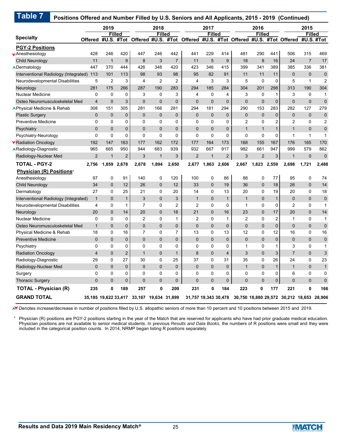|                                       | 2019                    |                |                | 2018           |              |                |                                                                                  | 2017           |                | 2016           |                |                |                | 2015           |                |  |
|---------------------------------------|-------------------------|----------------|----------------|----------------|--------------|----------------|----------------------------------------------------------------------------------|----------------|----------------|----------------|----------------|----------------|----------------|----------------|----------------|--|
|                                       | <b>Filled</b>           |                |                | <b>Filled</b>  |              | <b>Filled</b>  |                                                                                  |                | Filled         |                |                | <b>Filled</b>  |                |                |                |  |
| <b>Specialty</b>                      |                         | Offered #U.S.  |                |                |              |                | #Tot Offered #U.S. #Tot Offered #U.S. #Tot Offered #U.S. #Tot Offered #U.S. #Tot |                |                |                |                |                |                |                |                |  |
| <b>PGY-2 Positions</b>                |                         |                |                |                |              |                |                                                                                  |                |                |                |                |                |                |                |                |  |
| Anesthesiology                        | 428                     | 246            | 420            | 447            | 246          | 442            | 441                                                                              | 229            | 414            | 481            | 290            | 441            | 506            | 315            | 469            |  |
| <b>Child Neurology</b>                | 11                      | 1              | 9              | 8              | 3            | $\overline{7}$ | 11                                                                               | 5              | 9              | 18             | 8              | 16             | 24             | $\overline{7}$ | 17             |  |
| ADermatology                          | 447                     | 370            | 444            | 426            | 348          | 420            | 423                                                                              | 346            | 415            | 399            | 341            | 389            | 385            | 336            | 381            |  |
| Interventional Radiology (Integrated) | 113                     | 101            | 113            | 98             | 93           | 98             | 95                                                                               | 82             | 91             | 11             | 11             | 11             | $\Omega$       | $\Omega$       | $\overline{0}$ |  |
| Neurodevelopmental Disabilities       | 5                       | $\overline{2}$ | 3              | 4              | 2            | 2              | $\overline{4}$                                                                   | 3              | 3              | 5              | $\mathbf 0$    | $\mathbf 0$    | 5              | $\mathbf{1}$   | $\overline{2}$ |  |
| Neurology                             | 281                     | 175            | 266            | 287            | 190          | 283            | 294                                                                              | 185            | 284            | 304            | 201            | 298            | 313            | 190            | 304            |  |
| <b>Nuclear Medicine</b>               | $\Omega$                | $\Omega$       | $\mathbf 0$    | 3              | 0            | 3              | $\overline{4}$                                                                   | 0              | 4              | 3              | $\mathbf 0$    | 1              | 3              | $\mathbf 0$    | 1              |  |
| Osteo Neuromusculoskeletal Med        | $\overline{4}$          | $\mathbf 0$    | 3              | $\mathbf{0}$   | $\mathbf{0}$ | $\overline{0}$ | $\mathbf{0}$                                                                     | $\mathbf 0$    | $\overline{0}$ | $\overline{0}$ | $\mathbf{0}$   | $\overline{0}$ | $\overline{0}$ | $\overline{0}$ | $\mathbf 0$    |  |
| ▲Physical Medicine & Rehab            | 308                     | 151            | 305            | 281            | 166          | 281            | 294                                                                              | 181            | 294            | 290            | 153            | 283            | 282            | 127            | 279            |  |
| <b>Plastic Surgery</b>                | $\overline{0}$          | $\Omega$       | 0              | $\mathbf{0}$   | $\mathbf{0}$ | $\mathbf{0}$   | $\Omega$                                                                         | $\Omega$       | $\mathbf 0$    | $\Omega$       | $\mathbf{0}$   | $\mathbf 0$    | $\mathbf 0$    | $\mathbf{0}$   | $\overline{0}$ |  |
| <b>Preventive Medicine</b>            | 0                       | $\mathbf 0$    | 0              | 0              | 0            | 0              | $\mathbf 0$                                                                      | 0              | 0              | $\overline{2}$ | $\mathbf 0$    | 2              | $\overline{2}$ | $\mathbf 0$    | $\overline{c}$ |  |
| Psychiatry                            | $\Omega$                | $\Omega$       | 0              | $\Omega$       | $\Omega$     | $\Omega$       | $\Omega$                                                                         | $\Omega$       | $\Omega$       | $\mathbf{1}$   | $\mathbf{1}$   | $\mathbf{1}$   | $\mathbf{1}$   | $\Omega$       | $\mathbf 0$    |  |
| Psychiatry-Neurology                  | 0                       | $\mathbf 0$    | $\mathbf 0$    | 0              | $\mathbf 0$  | 0              | 0                                                                                | 0              | 0              | $\mathbf 0$    | 0              | $\mathbf 0$    | $\mathbf{1}$   | $\mathbf{1}$   | 1              |  |
| ▼Radiation Oncology                   | 192                     | 147            | 163            | 177            | 162          | 172            | 177                                                                              | 164            | 173            | 168            | 155            | 167            | 176            | 165            | 170            |  |
| ▲Radiology-Diagnostic                 | 965                     | 665            | 950            | 944            | 683          | 939            | 932                                                                              | 667            | 917            | 982            | 661            | 947            | 999            | 579            | 862            |  |
| Radiology-Nuclear Med                 | $\overline{2}$          | $\overline{1}$ | $\overline{2}$ | 3              | $\mathbf{1}$ | 3              | $\overline{2}$                                                                   | $\mathbf{1}$   | $\overline{2}$ | 3              | $\overline{2}$ | 3              | $\mathbf{1}$   | $\mathbf{0}$   | $\mathbf{0}$   |  |
| <b>TOTAL - PGY-2</b>                  | 2,756                   | 1,859          | 2,678          | 2,678          | 1,894        | 2,650          | 2,677                                                                            | 1,863          | 2,606          | 2,667          | 1,823          | 2,559          | 2,698          | 1,721          | 2,488          |  |
| Physician (R) Positions*              |                         |                |                |                |              |                |                                                                                  |                |                |                |                |                |                |                |                |  |
| Anesthesiology                        | 97                      | $\mathbf 0$    | 91             | 140            | 0            | 120            | 100                                                                              | 0              | 86             | 88             | 0              | 77             | 95             | 0              | 74             |  |
| <b>Child Neurology</b>                | 34                      | $\Omega$       | 12             | 26             | $\mathbf{0}$ | 12             | 33                                                                               | $\overline{0}$ | 19             | 36             | $\overline{0}$ | 18             | 26             | $\overline{0}$ | 14             |  |
| Dermatology                           | 27                      | $\Omega$       | 25             | 21             | 0            | 20             | 14                                                                               | 0              | 13             | 20             | $\mathbf{0}$   | 19             | 20             | $\Omega$       | 18             |  |
| Interventional Radiology (Integrated) | $\mathbf{1}$            | $\Omega$       | 1              | 3              | $\Omega$     | 3              | $\mathbf{1}$                                                                     | $\Omega$       | $\mathbf{1}$   | $\mathbf{1}$   | $\Omega$       | $\mathbf{1}$   | $\Omega$       | $\Omega$       | $\overline{0}$ |  |
| Neurodevelopmental Disabilities       | 4                       | $\mathbf 0$    | 1              | $\overline{7}$ | 0            | 2              | $\overline{2}$                                                                   | $\mathbf 0$    | $\mathbf 0$    | $\mathbf{1}$   | $\mathbf 0$    | $\mathbf 0$    | $\overline{2}$ | 0              | 1              |  |
| Neurology                             | 20                      | $\Omega$       | 14             | 20             | $\Omega$     | 18             | 21                                                                               | $\Omega$       | 16             | 23             | $\Omega$       | 17             | 20             | $\Omega$       | 14             |  |
| <b>Nuclear Medicine</b>               | $\Omega$                | $\Omega$       | $\mathbf 0$    | $\overline{2}$ | 0            | 1              | $\overline{2}$                                                                   | $\Omega$       | 1              | $\overline{2}$ | 0              | $\overline{2}$ | $\mathbf{1}$   | $\mathbf 0$    | 1              |  |
| Osteo Neuromusculoskeletal Med        | $\mathbf{1}$            | $\Omega$       | 0              | $\Omega$       | $\Omega$     | $\mathbf{0}$   | $\Omega$                                                                         | $\Omega$       | $\mathbf 0$    | $\Omega$       | $\Omega$       | $\pmb{0}$      | $\Omega$       | $\overline{0}$ | $\mathbf 0$    |  |
| Physical Medicine & Rehab             | 18                      | $\Omega$       | 16             | $\overline{7}$ | 0            | $\overline{7}$ | 13                                                                               | $\Omega$       | 13             | 12             | 0              | 12             | 16             | $\mathbf 0$    | 16             |  |
| <b>Preventive Medicine</b>            | $\mathbf{0}$            | $\Omega$       | 0              | $\mathbf{0}$   | $\mathbf{0}$ | $\mathbf{0}$   | $\Omega$                                                                         | $\Omega$       | $\mathbf{0}$   | $\Omega$       | $\overline{0}$ | $\mathbf 0$    | $\overline{0}$ | $\mathbf{0}$   | $\overline{0}$ |  |
| Psychiatry                            | 0                       | $\mathbf 0$    | 0              | 0              | 0            | 0              | 0                                                                                | $\mathbf 0$    | $\mathbf 0$    | 1              | $\mathbf 0$    | 1              | 3              | 0              | 1              |  |
| <b>Radiation Oncology</b>             | $\overline{\mathbf{4}}$ | $\Omega$       | $\overline{2}$ | $\mathbf{1}$   | $\Omega$     | $\mathbf{1}$   | 8                                                                                | $\Omega$       | $\overline{4}$ | 3              | $\Omega$       | 3              | $\overline{7}$ | $\Omega$       | 3              |  |
| Radiology-Diagnostic                  | 29                      | $\Omega$       | 27             | 30             | 0            | 25             | 37                                                                               | 0              | 31             | 35             | 0              | 26             | 24             | 0              | 23             |  |
| Radiology-Nuclear Med                 | $\mathbf{0}$            | $\Omega$       | 0              | $\mathbf{0}$   | $\mathbf{0}$ | $\mathbf{0}$   | $\mathbf 0$                                                                      | $\overline{0}$ | $\mathbf 0$    | $\mathbf{1}$   | $\overline{0}$ | $\mathbf{1}$   | $\mathbf{1}$   | $\mathbf{0}$   | $\mathbf{1}$   |  |
| Surgery                               | 0                       | $\Omega$       | $\mathbf 0$    | 0              | 0            | 0              | 0                                                                                | $\Omega$       | 0              | 0              | 0              | 0              | 6              | $\mathbf 0$    | $\mathbf 0$    |  |
| <b>Thoracic Surgery</b>               | $\mathbf{0}$            | $\Omega$       | 0              | 0              | $\mathbf{0}$ | 0              | 0                                                                                | $\Omega$       | $\mathbf 0$    | $\overline{0}$ | 0              | $\mathbf 0$    | $\overline{0}$ | $\overline{0}$ | $\overline{0}$ |  |
|                                       |                         |                |                |                |              |                |                                                                                  |                |                |                |                |                |                |                |                |  |
| TOTAL - Physician (R)                 | 235                     | 0              | 189            | 257            | 0            | 209            | 231                                                                              | $\bf{0}$       | 184            | 223            | 0              | 177            | 221            | 0              | 166            |  |

Denotes increase/decrease in number of positions filled by U.S. allopathic seniors of more than 10 percent and 10 positions between 2015 and 2019.

Physician (R) positions are PGY-2 positions starting in the year of the Match that are reserved for applicants who have had prior graduate medical education. Physician positions are not available to senior medical students. In previous *Results and Data Books*, the numbers of R positions were small and they were included in the categorical position counts. In 2014, NRMP began listing R positions separately. \*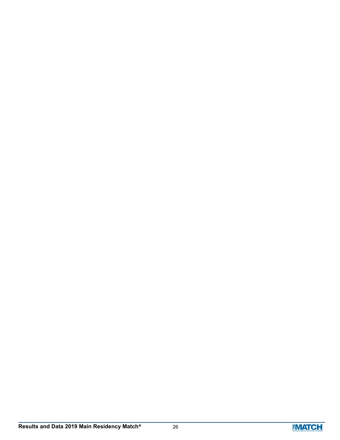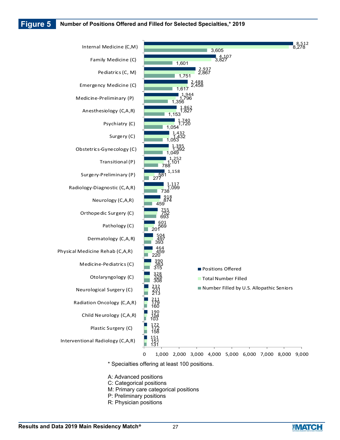**Figure 5 Number of Positions Offered and Filled for Selected Specialties,\* 2019**



\* Specialties offering at least 100 positions.

- A: Advanced positions
- C: Categorical positions
- M: Primary care categorical positions
- P: Preliminary positions
- R: Physician positions

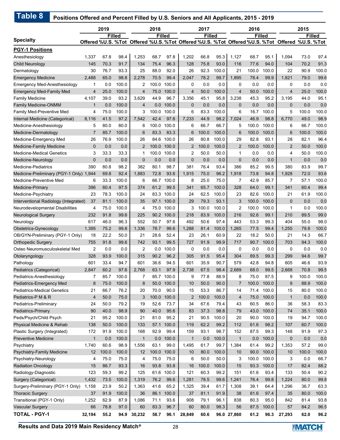|                                         | 2019           |              |               | 2018           |               | 2017         |                |              | 2016          |                |              | 2015         |                                                                                                |              |               |
|-----------------------------------------|----------------|--------------|---------------|----------------|---------------|--------------|----------------|--------------|---------------|----------------|--------------|--------------|------------------------------------------------------------------------------------------------|--------------|---------------|
|                                         | <b>Filled</b>  |              | <b>Filled</b> |                | <b>Filled</b> |              | <b>Filled</b>  |              |               | <b>Filled</b>  |              |              |                                                                                                |              |               |
| <b>Specialty</b>                        |                |              |               |                |               |              |                |              |               |                |              |              | Offered %U.S. %Tot Offered %U.S. %Tot Offered %U.S. %Tot Offered %U.S. %Tot Offered %U.S. %Tot |              |               |
| <b>PGY-1 Positions</b>                  |                |              |               |                |               |              |                |              |               |                |              |              |                                                                                                |              |               |
| Anesthesiology                          | 1,337          | 67.8         | 98.4          | 1,253          | 68.7          | 97.8         | 1,202          | 66.8         | 95.3          | 1,127          | 68.7         | 95.1         | 1,094                                                                                          | 73.0         | 97.4          |
| <b>Child Neurology</b>                  | 145            | 70.3         | 91.7          | 134            | 75.4          | 96.3         | 128            | 75.8         | 93.0          | 116            | 77.6         | 94.0         | 104                                                                                            | 70.2         | 91.3          |
| Dermatology                             | 30             | 76.7         | 93.3          | 25             | 88.0          | 92.0         | 26             | 92.3         | 100.0         | 21             | 100.0        | 100.0        | 22                                                                                             | 90.9         | 100.0         |
| <b>Emergency Medicine</b>               | 2,488          | 65.0         | 98.8          | 2,278          | 70.5          | 99.4         | 2,047          | 78.2         | 99.7          | 1,895          | 78.4         | 99.9         | 1,821                                                                                          | 79.0         | 99.6          |
| <b>Emergency Med-Anesthesiology</b>     | 1              | 0.0          | 100.0         | 2              | 100.0         | 100.0        | 0              | 0.0          | 0.0           | 0              | 0.0          | 0.0          | 0                                                                                              | 0.0          | 0.0           |
| <b>Emergency Med-Family Med</b>         | $\overline{4}$ | 25.0         | 100.0         | $\overline{4}$ | 75.0          | 100.0        | $\overline{4}$ | 50.0         | 100.0         | $\overline{4}$ | 50.0         | 100.0        | $\overline{4}$                                                                                 | 25.0         | 100.0         |
| <b>Family Medicine</b>                  | 4,107          | 39.0         | 93.2          | 3,629          | 44.9          | 96.7         | 3,356          | 45.1         | 95.8          | 3,238          | 45.3         | 95.2         | 3,195                                                                                          | 44.0         | 95.1          |
| <b>Family Medicine-ONMM</b>             | $\mathbf{1}$   | 0.0          | 100.0         | 4              | 0.0           | 100.0        | $\mathbf{0}$   | 0.0          | 0.0           | 0              | 0.0          | 0.0          | $\mathbf{0}$                                                                                   | 0.0          | 0.0           |
| Family Med-Preventive Med               | 4              | 75.0         | 100.0         | 3              | 100.0         | 100.0        | 6              | 83.3         | 100.0         | 6              | 16.7         | 100.0        | 5                                                                                              | 100.0        | 100.0         |
| Internal Medicine (Categorical)         | 8,116          | 41.5         | 97.2          | 7,542          | 42.4          | 97.6         | 7,233          | 44.9         | 98.2          | 7,024          | 46.9         | 98.8         | 6,770                                                                                          | 49.0         | 98.9          |
| Medicine-Anesthesiology                 | 5              | 80.0         | 80.0          | 6              | 100.0         | 100.0        | 6              | 66.7         | 66.7          | 5              | 100.0        | 100.0        | 6                                                                                              | 66.7         | 100.0         |
| Medicine-Dermatology                    | $\overline{7}$ | 85.7         | 100.0         | 6              | 83.3          | 83.3         | 6              | 100.0        | 100.0         | 6              | 100.0        | 100.0        | 6                                                                                              | 100.0        | 100.0         |
| Medicine-Emergency Med                  | 26             | 76.9         | 100.0         | 26             | 84.6          | 100.0        | 26             | 80.8         | 100.0         | 29             | 82.8         | 93.1         | 28                                                                                             | 82.1         | 96.4          |
| Medicine-Family Medicine                | $\mathbf{0}$   | 0.0          | 0.0           | $\overline{2}$ | 100.0 100.0   |              | 2              | 100.0        | 100.0         | $\overline{2}$ | 100.0        | 100.0        | 2                                                                                              | 50.0         | 100.0         |
| <b>Medicine-Medical Genetics</b>        | 3              | 33.3         | 33.3          | 1              | 100.0         | 100.0        | $\overline{2}$ | 50.0         | 50.0          | 1              | 0.0          | 0.0          | 4                                                                                              | 50.0         | 100.0         |
| Medicine-Neurology                      | $\mathbf 0$    | 0.0          | 0.0           | $\mathbf{0}$   | 0.0           | 0.0          | $\mathbf 0$    | 0.0          | 0.0           | $\mathbf 0$    | 0.0          | 0.0          | $\mathbf{1}$                                                                                   | 0.0          | 0.0           |
| <b>Medicine-Pediatrics</b>              | 390            | 80.8         | 98.2          | 382            | 80.1          | 98.7         | 381            | 76.4         | 93.4          | 386            | 85.2         | 99.5         | 380                                                                                            | 83.9         | 99.7          |
| Medicine-Preliminary (PGY-1 Only) 1,944 |                | 69.8         | 92.4          | 1,883          | 72.8          | 93.6         | 1,915          | 75.0         | 96.2          | 1,918          | 73.8         | 94.8         | 1,928                                                                                          | 72.0         | 93.6          |
| Medicine-Preventive Med                 | 6              | 33.3         | 100.0         | 6              | 66.7          | 100.0        | 8              | 25.0         | 75.0          | 7              | 42.9         | 85.7         | 7                                                                                              | 57.1         | 100.0         |
| Medicine-Primary                        | 396            | 60.4         | 97.5          | 374            | 61.2          | 99.5         | 341            | 65.7         | 100.0         | 328            | 64.0         | 99.1         | 341                                                                                            | 60.4         | 99.4          |
| Medicine-Psychiatry                     | 23             | 78.3         | 100.0         | 24             |               | 83.3 100.0   | 24             | 62.5         | 100.0         | 23             | 82.6         | 100.0        | 21                                                                                             | 61.9         | 100.0         |
| Interventional Radiology (Integrated)   | 37             | 81.1         | 100.0         | 35             |               | 97.1 100.0   | 29             | 79.3         | 93.1          | 3              | 100.0        | 100.0        | $\mathbf{0}$                                                                                   | 0.0          | 0.0           |
| Neurodevelopmental Disabilities         | 4              | 75.0         | 100.0         | 4              | 75.0          | 100.0        | 3              | 100.0        | 100.0         | 2              | 100.0        | 100.0        | 1                                                                                              | 0.0          | 100.0         |
| Neurological Surgery                    | 232            | 91.8         | 99.6          | 225            | 90.2          | 100.0        | 218            | 83.9         | 100.0         | 216            | 92.6         | 99.1         | 210                                                                                            | 89.5         | 99.0          |
| Neurology                               | 617            | 46.0         | 96.3          | 552            | 50.7          | 97.6         | 492            | 50.6         | 97.4          | 443            | 53.3         | 99.3         | 404                                                                                            | 55.0         | 98.0          |
| Obstetrics-Gynecology                   | 1,395          | 75.2<br>22.2 | 99.8<br>50.0  | 1,336          | 78.7<br>28.6  | 99.6<br>52.4 | 1,288<br>23    | 81.4<br>26.1 | 100.0<br>60.9 | 1,265<br>22    | 77.5<br>18.2 | 99.4         | 1,255                                                                                          | 79.8<br>14.3 | 100.0<br>66.7 |
| OB/GYN-Preliminary (PGY-1 Only)         | 18             | 91.8         |               | 21<br>742      | 93.1          | 99.5         | 727            |              | 99.9          | 717            |              | 50.0         | 21<br>703                                                                                      |              |               |
| <b>Orthopedic Surgery</b>               | 755<br>2       | 0.0          | 99.6<br>0.0   | 2              | $0.0\,$       | 100.0        | 0              | 91.9<br>0.0  | 0.0           | 0              | 90.7<br>0.0  | 100.0<br>0.0 | 0                                                                                              | 94.3<br>0.0  | 100.0<br>0.0  |
| Osteo Neuromusculoskeletal Med          | 328            | 93.9         | 100.0         | 315            | 90.2          | 96.2         | 305            | 91.5         | 95.4          | 304            | 89.5         | 99.3         | 299                                                                                            | 94.6         | 99.7          |
| Otolaryngology<br>Pathology             | 601            | 33.4         | 94.7          | 601            | 36.6          | 94.5         | 601            | 35.9         | 90.7          | 579            | 42.8         | 94.8         | 605                                                                                            | 46.6         | 93.9          |
| Pediatrics (Categorical)                | 2,847          | 60.2         | 97.6          | 2,768          | 63.1          | 97.9         | 2,738          | 67.5         | 98.4          | 2,689          | 68.0         | 99.5         | 2,668                                                                                          | 70.8         | 99.5          |
| Pediatrics-Anesthesiology               | 7              | 85.7         | 100.0         | 7              | 85.7          | 100.0        | 9              | 77.8         | 88.9          | 8              | 75.0         | 87.5         | 9                                                                                              | 100.0        | 100.0         |
| Pediatrics-Emergency Med                | 8              | 75.0         | 100.0         | 8              | 50.0          | 100.0        | 10             | 50.0         | 90.0          | $\overline{7}$ | 100.0        | 100.0        | 9                                                                                              | 88.9         | 100.0         |
| <b>Pediatrics-Medical Genetics</b>      | 21             | 66.7         | 76.2          | 20             | 70.0          | 90.0         | 15             | 53.3         | 86.7          | 14             | 71.4         | 100.0        | 15                                                                                             | 80.0         | 100.0         |
| Pediatrics-P M & R                      | $\overline{4}$ | 50.0         | 75.0          | 3              | 100.0         | 100.0        | $\overline{2}$ | 100.0        | 100.0         | $\overline{4}$ | 75.0         | 100.0        | $\mathbf{1}$                                                                                   | 0.0          | 100.0         |
| Pediatrics-Preliminary                  | 24             | 50.0         | 79.2          | 19             | 52.6          | 73.7         | 34             | 67.6         | 79.4          | 43             | 60.5         | 86.0         | 36                                                                                             | 58.3         | 83.3          |
| Pediatrics-Primary                      | 90             | 40.0         | 98.9          | 90             | 40.0          | 95.6         | 83             | 37.3         | 98.8          | 79             | 43.0         | 100.0        | 74                                                                                             | 35.1         | 100.0         |
| Peds/Psych/Child Psych                  | 21             | 95.2         | 100.0         | 21             | 81.0          | 95.2         | 21             | 90.5         | 100.0         | 20             | 90.0         | 100.0        | 19                                                                                             | 94.7         | 100.0         |
| Physical Medicine & Rehab               | 138            | 50.0         | 100.0         | 133            | 57.1          | 100.0        | 119            | 62.2         | 99.2          | 112            | 61.6         | 98.2         | 107                                                                                            | 60.7         | 100.0         |
| Plastic Surgery (Integrated)            | 172            | 91.9         | 100.0         | 168            | 92.9          | 99.4         | 159            | 93.1         | 98.7          | 152            | 87.5         | 99.3         | 148                                                                                            | 91.9         | 97.3          |
| <b>Preventive Medicine</b>              | $\mathbf{1}$   | 0.0          | 100.0         | $\mathbf{1}$   | 0.0           | 100.0        | $\mathbf{1}$   | 0.0          | 100.0         | $\mathbf{1}$   | 0.0          | 100.0        | $\pmb{0}$                                                                                      | 0.0          | 0.0           |
| Psychiatry                              | 1,740          | 60.6         | 98.9          | 1,556          | 63.1          | 99.0         | 1,495          | 61.7         | 99.7          | 1,384          | 61.4         | 99.2         | 1,353                                                                                          | 57.2         | 99.0          |
| Psychiatry-Family Medicine              | 12             | 100.0        | 100.0         | 12             | 100.0         | 100.0        | 10             | 80.0         | 100.0         | 10             | 90.0         | 100.0        | 10                                                                                             | 100.0        | 100.0         |
| Psychiatry-Neurology                    | 4              | 75.0         | 75.0          | 4              | 75.0          | 75.0         | 6              | 50.0         | 50.0          | 3              | 100.0        | 100.0        | 3                                                                                              | 0.0          | 66.7          |
| <b>Radiation Oncology</b>               | 15             | 86.7         | 93.3          | 16             | 93.8          | 93.8         | 16             | 100.0        | 100.0         | 15             | 93.3         | 100.0        | 17                                                                                             | 82.4         | 88.2          |
| Radiology-Diagnostic                    | 123            | 59.3         | 99.2          | 125            |               | 61.6 100.0   | 121            | 60.3         | 99.2          | 151            | 61.6         | 93.4         | 133                                                                                            | 50.4         | 90.2          |
| Surgery (Categorical)                   | 1,432          | 73.5         | 100.0         | 1,319          | 76.2          | 99.6         | 1,281          | 78.5         | 99.6          | 1,241          | 76.4         | 99.8         | 1,224                                                                                          | 80.0         | 99.8          |
| Surgery-Preliminary (PGY-1 Only)        | 1,158          | 23.9         | 50.2          | 1,363          | 41.6          | 65.2         | 1,325          | 39.4         | 61.7          | 1,308          | 39.1         | 64.4         | 1,296                                                                                          | 36.7         | 63.3          |
| <b>Thoracic Surgery</b>                 | 37             | 91.9         | 100.0         | 36             | 86.1          | 100.0        | 37             | 81.1         | 91.9          | 38             | 81.6         | 97.4         | 35                                                                                             | 80.0         | 100.0         |
| Transitional (PGY-1 Only)               | 1,252          | 62.9         | 87.9          | 1,086          | 71.1          | 93.6         | 908            | 79.1         | 96.1          | 838            | 80.3         | 95.0         | 842                                                                                            | 81.4         | 93.8          |
| <b>Vascular Surgery</b>                 | 66             | 78.8         | 97.0          | 60             | 83.3          | 96.7         | 60             | 80.0         | 98.3          | 56             | 87.5         | 100.0        | 57                                                                                             | 84.2         | 96.5          |
| <b>TOTAL - PGY-1</b>                    | 32,194         | 55.2         | 94.9          | 30,232         | 58.7          | 96.1         | 28,849         | 60.6         |               | 96.0 27,860    | 61.2         | 96.3         | 27,293                                                                                         | 62.0         | 96.2          |

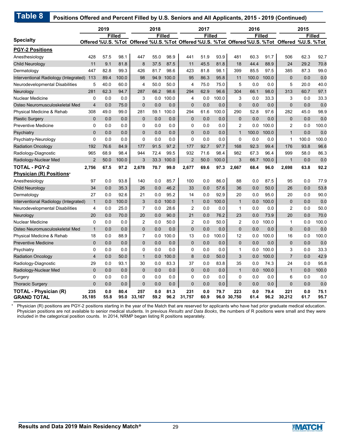| Table 8<br>Positions Offered and Percent Filled by U.S. Seniors and All Applicants, 2015 - 2019 (Continued) |                |             |               |                |             |               |                |               |              |               |             |              |                                                                                     |             |               |
|-------------------------------------------------------------------------------------------------------------|----------------|-------------|---------------|----------------|-------------|---------------|----------------|---------------|--------------|---------------|-------------|--------------|-------------------------------------------------------------------------------------|-------------|---------------|
|                                                                                                             |                | 2019        |               |                | 2018        |               |                | 2017          |              |               | 2016        |              |                                                                                     | 2015        |               |
|                                                                                                             |                |             | <b>Filled</b> |                |             | <b>Filled</b> |                | <b>Filled</b> |              |               |             | Filled       |                                                                                     |             | <b>Filled</b> |
| Specialty                                                                                                   |                |             |               |                |             |               |                |               |              |               |             |              | Offered %U.S. %Tot Offered %U.S. %Tot Offered %U.S. %Tot Offered %U.S. %Tot Offered | %U.S. %Tot  |               |
| <b>PGY-2 Positions</b>                                                                                      |                |             |               |                |             |               |                |               |              |               |             |              |                                                                                     |             |               |
| Anesthesiology                                                                                              | 428            | 57.5        | 98.1          | 447            | 55.0        | 98.9          | 441            | 51.9          | 93.9         | 481           | 60.3        | 91.7         | 506                                                                                 | 62.3        | 92.7          |
| <b>Child Neurology</b>                                                                                      | 11             | 9.1         | 81.8          | 8              | 37.5        | 87.5          | 11             | 45.5          | 81.8         | 18            | 44.4        | 88.9         | 24                                                                                  | 29.2        | 70.8          |
| Dermatology                                                                                                 | 447            | 82.8        | 99.3          | 426            | 81.7        | 98.6          | 423            | 81.8          | 98.1         | 399           | 85.5        | 97.5         | 385                                                                                 | 87.3        | 99.0          |
| Interventional Radiology (Integrated)                                                                       | 113            | 89.4        | 100.0         | 98             | 94.9        | 100.0         | 95             | 86.3          | 95.8         | 11            | 100.0       | 100.0        | $\Omega$                                                                            | 0.0         | 0.0           |
| Neurodevelopmental Disabilities                                                                             | 5              | 40.0        | 60.0          | 4              | 50.0        | 50.0          | 4              | 75.0          | 75.0         | 5             | 0.0         | 0.0          | 5                                                                                   | 20.0        | 40.0          |
| Neurology                                                                                                   | 281            | 62.3        | 94.7          | 287            | 66.2        | 98.6          | 294            | 62.9          | 96.6         | 304           | 66.1        | 98.0         | 313                                                                                 | 60.7        | 97.1          |
| <b>Nuclear Medicine</b>                                                                                     | $\mathbf 0$    | 0.0         | 0.0           | 3              | 0.0         | 100.0         | 4              | 0.0           | 100.0        | 3             | 0.0         | 33.3         | 3                                                                                   | 0.0         | 33.3          |
| Osteo Neuromusculoskeletal Med                                                                              | $\overline{4}$ | 0.0         | 75.0          | $\overline{0}$ | 0.0         | 0.0           | $\Omega$       | 0.0           | 0.0          | $\Omega$      | 0.0         | 0.0          | $\overline{0}$                                                                      | 0.0         | 0.0           |
| Physical Medicine & Rehab                                                                                   | 308            | 49.0        | 99.0          | 281            | 59.1        | 100.0         | 294            | 61.6          | 100.0        | 290           | 52.8        | 97.6         | 282                                                                                 | 45.0        | 98.9          |
| <b>Plastic Surgery</b>                                                                                      | $\mathbf{0}$   | 0.0         | 0.0           | $\Omega$       | 0.0         | 0.0           | $\mathbf{0}$   | 0.0           | 0.0          | $\Omega$      | 0.0         | 0.0          | $\Omega$                                                                            | 0.0         | 0.0           |
| <b>Preventive Medicine</b>                                                                                  | 0              | 0.0         | 0.0           | 0              | 0.0         | 0.0           | 0              | 0.0           | 0.0          | 2             | 0.0         | 100.0        | 2                                                                                   | 0.0         | 100.0         |
| Psychiatry                                                                                                  | $\mathbf{0}$   | 0.0         | 0.0           | $\Omega$       | 0.0         | 0.0           | $\Omega$       | 0.0           | 0.0          | $\mathbf{1}$  | 100.0       | 100.0        | $\mathbf{1}$                                                                        | 0.0         | 0.0           |
| Psychiatry-Neurology                                                                                        | 0              | 0.0         | 0.0           | $\Omega$       | 0.0         | 0.0           | $\Omega$       | 0.0           | 0.0          | $\pmb{0}$     | 0.0         | 0.0          | 1                                                                                   | 100.0       | 100.0         |
| <b>Radiation Oncology</b>                                                                                   | 192            | 76.6        | 84.9          | 177            | 91.5        | 97.2          | 177            | 92.7          | 97.7         | 168           | 92.3        | 99.4         | 176                                                                                 | 93.8        | 96.6          |
| Radiology-Diagnostic                                                                                        | 965            | 68.9        | 98.4          | 944            | 72.4        | 99.5          | 932            | 71.6          | 98.4         | 982           | 67.3        | 96.4         | 999                                                                                 | 58.0        | 86.3          |
| Radiology-Nuclear Med                                                                                       | $\overline{2}$ | 50.0        | 100.0         | 3              | 33.3        | 100.0         | $\overline{2}$ | 50.0          | 100.0        | 3             | 66.7        | 100.0        | $\mathbf{1}$                                                                        | 0.0         | 0.0           |
| <b>TOTAL - PGY-2</b>                                                                                        | 2,756          | 67.5        | 97.2          | 2,678          | 70.7        | 99.0          | 2,677          | 69.6          | 97.3         | 2,667         | 68.4        | 96.0         | 2,698                                                                               | 63.8        | 92.2          |
| Physician (R) Positions*                                                                                    |                |             |               |                |             |               |                |               |              |               |             |              |                                                                                     |             |               |
| Anesthesiology                                                                                              | 97             | 0.0         | 93.8          | 140            | 0.0         | 85.7          | 100            | 0.0           | 86.0         | 88            | 0.0         | 87.5         | 95                                                                                  | 0.0         | 77.9          |
| <b>Child Neurology</b>                                                                                      | 34             | 0.0         | 35.3          | 26             | 0.0         | 46.2          | 33             | 0.0           | 57.6         | 36            | 0.0         | 50.0         | 26                                                                                  | 0.0         | 53.8          |
| Dermatology                                                                                                 | 27             | 0.0         | 92.6          | 21             | 0.0         | 95.2          | 14             | 0.0           | 92.9         | 20            | 0.0         | 95.0         | 20                                                                                  | 0.0         | 90.0          |
| Interventional Radiology (Integrated)                                                                       | $\mathbf{1}$   | 0.0         | 100.0         | 3              | 0.0         | 100.0         | $\mathbf{1}$   | 0.0           | 100.0        | 1             | 0.0         | 100.0        | $\overline{0}$                                                                      | 0.0         | 0.0           |
| Neurodevelopmental Disabilities                                                                             | 4              | 0.0         | 25.0          | $\overline{7}$ | 0.0         | 28.6          | $\overline{2}$ | 0.0           | 0.0          | $\mathbf{1}$  | 0.0         | 0.0          | $\overline{2}$                                                                      | 0.0         | 50.0          |
| Neurology                                                                                                   | 20             | 0.0         | 70.0          | 20             | 0.0         | 90.0          | 21             | 0.0           | 76.2         | 23            | 0.0         | 73.9         | 20                                                                                  | 0.0         | 70.0          |
| Nuclear Medicine                                                                                            | $\Omega$       | 0.0         | 0.0           | $\overline{2}$ | 0.0         | 50.0          | $\overline{2}$ | 0.0           | 50.0         | 2             | 0.0         | 100.0        | 1                                                                                   | 0.0         | 100.0         |
| Osteo Neuromusculoskeletal Med                                                                              | $\mathbf{1}$   | 0.0         | 0.0           | 0              | 0.0         | 0.0           | $\mathbf{0}$   | 0.0           | 0.0          | $\mathbf{0}$  | 0.0         | 0.0          | $\mathbf{0}$                                                                        | 0.0         | 0.0           |
| Physical Medicine & Rehab                                                                                   | 18             | 0.0         | 88.9          | $\overline{7}$ | 0.0         | 100.0         | 13             | 0.0           | 100.0        | 12            | 0.0         | 100.0        | 16                                                                                  | 0.0         | 100.0         |
| <b>Preventive Medicine</b>                                                                                  | $\overline{0}$ | 0.0         | 0.0           | $\mathbf 0$    | 0.0         | 0.0           | $\overline{0}$ | 0.0           | 0.0          | $\mathbf{0}$  | 0.0         | 0.0          | $\overline{0}$                                                                      | 0.0         | 0.0           |
| Psychiatry                                                                                                  | $\Omega$       | 0.0         | 0.0           | $\Omega$       | 0.0         | 0.0           | $\Omega$       | 0.0           | 0.0          | 1             | 0.0         | 100.0        | 3                                                                                   | 0.0         | 33.3          |
| <b>Radiation Oncology</b>                                                                                   | $\overline{4}$ | 0.0         | 50.0          | $\mathbf{1}$   | 0.0         | 100.0         | 8              | 0.0           | 50.0         | 3             | 0.0         | 100.0        | $\overline{7}$                                                                      | 0.0         | 42.9          |
| Radiology-Diagnostic                                                                                        | 29             | 0.0         | 93.1          | 30             | 0.0         | 83.3          | 37             | 0.0           | 83.8         | 35            | 0.0         | 74.3         | 24                                                                                  | 0.0         | 95.8          |
| Radiology-Nuclear Med                                                                                       | $\mathbf{0}$   | 0.0         | 0.0           | $\Omega$       | 0.0         | 0.0           | $\mathbf{0}$   | 0.0           | 0.0          | $\mathbf{1}$  | 0.0         | 100.0        | $\mathbf{1}$                                                                        | 0.0         | 100.0         |
| Surgery                                                                                                     | 0              | 0.0         | 0.0           | 0              | 0.0         | 0.0           | $\mathbf 0$    | 0.0           | 0.0          | 0             | 0.0         | 0.0          | 6                                                                                   | 0.0         | 0.0           |
| <b>Thoracic Surgery</b>                                                                                     | $\overline{0}$ | 0.0         | 0.0           | 0              | 0.0         | 0.0           | $\Omega$       | 0.0           | 0.0          | $\mathbf{0}$  | 0.0         | 0.0          | 0                                                                                   | 0.0         | 0.0           |
| <b>TOTAL - Physician (R)</b><br><b>GRAND TOTAL</b>                                                          | 235<br>35,185  | 0.0<br>55.8 | 80.4<br>95.0  | 257<br>33,167  | 0.0<br>59.2 | 81.3<br>96.2  | 231<br>31.757  | 0.0<br>60.9   | 79.7<br>96.0 | 223<br>30.750 | 0.0<br>61.4 | 79.4<br>96.2 | 221<br>30,212                                                                       | 0.0<br>61.7 | 75.1<br>95.7  |

Physician (R) positions are PGY-2 positions starting in the year of the Match that are reserved for applicants who have had prior graduate medical education. Physician positions are not available to senior medical students. In previous *Results and Data Books*, the numbers of R positions were small and they were included in the categorical position counts. In 2014, NRMP began listing R positions separately.

\*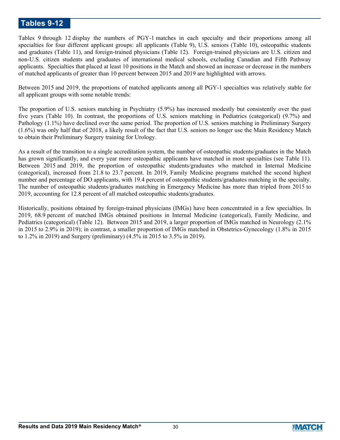## **Tables 9-12**

Tables 9 through 12 display the numbers of PGY-1 matches in each specialty and their proportions among all specialties for four different applicant groups: all applicants (Table 9), U.S. seniors (Table 10), osteopathic students and graduates (Table 11), and foreign-trained physicians (Table 12). Foreign-trained physicians are U.S. citizen and non-U.S. citizen students and graduates of international medical schools, excluding Canadian and Fifth Pathway applicants. Specialties that placed at least 10 positions in the Match and showed an increase or decrease in the numbers of matched applicants of greater than 10 percent between 2015 and 2019 are highlighted with arrows.

Between 2015 and 2019, the proportions of matched applicants among all PGY-1 specialties was relatively stable for all applicant groups with some notable trends:

The proportion of U.S. seniors matching in Psychiatry (5.9%) has increased modestly but consistently over the past five years (Table 10). In contrast, the proportions of U.S. seniors matching in Pediatrics (categorical) (9.7%) and Pathology (1.1%) have declined over the same period. The proportion of U.S. seniors matching in Preliminary Surgery (1.6%) was only half that of 2018, a likely result of the fact that U.S. seniors no longer use the Main Residency Match to obtain their Preliminary Surgery training for Urology.

As a result of the transition to a single accreditation system, the number of osteopathic students/graduates in the Match has grown significantly, and every year more osteopathic applicants have matched in most specialties (see Table 11). Between 2015 and 2019, the proportion of osteopathic students/graduates who matched in Internal Medicine (categorical), increased from 21.8 to 23.7 percent. In 2019, Family Medicine programs matched the second highest number and percentage of DO applicants, with 19.4 percent of osteopathic students/graduates matching in the specialty. The number of osteopathic students/graduates matching in Emergency Medicine has more than tripled from 2015 to 2019, accounting for 12.8 percent of all matched osteopathic students/graduates.

Historically, positions obtained by foreign-trained physicians (IMGs) have been concentrated in a few specialties. In 2019, 68.9 percent of matched IMGs obtained positions in Internal Medicine (categorical), Family Medicine, and Pediatrics (categorical) (Table 12). Between 2015 and 2019, a larger proportion of IMGs matched in Neurology (2.1% in 2015 to 2.9% in 2019); in contrast, a smaller proportion of IMGs matched in Obstetrics-Gynecology (1.8% in 2015 to 1.2% in 2019) and Surgery (preliminary) (4.5% in 2015 to 3.5% in 2019).

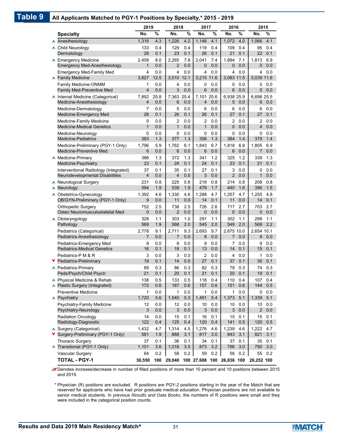### **Table 9 All Applicants Matched to PGY-1 Positions by Specialty,\* 2015 - 2019**

|    |                                                                | 2019                |                | 2018           |            | ,,<br>2017                      |            | 2016                 |            | 2015                    |                |
|----|----------------------------------------------------------------|---------------------|----------------|----------------|------------|---------------------------------|------------|----------------------|------------|-------------------------|----------------|
|    | <b>Specialty</b>                                               | No.                 | %              | No.            | %          | No.                             | $\%$       | No.                  | %          | No.                     | %              |
|    | Anesthesiology                                                 | 1,316               | 4.3            | 1,226          | 4.2        | 1,146                           | 4.1        | 1,072                | 4.0        | 1,066                   | 4.1            |
|    | ▲ Child Neurology                                              | 133                 | 0.4            | 129            | 0.4        | 119                             | 0.4        | 109                  | 0.4        | 95                      | 0.4            |
|    | Dermatology                                                    | 28                  | 0.1            | 23             | 0.1        | 26                              | 0.1        | 21                   | 0.1        | 22                      | 0.1            |
|    | ▲ Emergency Medicine                                           | 2,458               | 8.0            | 2,265          | 7.8        | 2,041                           | 7.4        | 1.894                | 7.1        | 1,813                   | 6.9            |
|    | <b>Emergency Med-Anesthesiology</b>                            | $\mathbf{1}$        | 0.0            | $\overline{2}$ | 0.0        | 0                               | 0.0        | 0                    | 0.0        | 0                       | 0.0            |
|    | <b>Emergency Med-Family Med</b>                                | 4                   | 0.0            | 4              | 0.0        | 4                               | 0.0        | 4                    | 0.0        | 4                       | 0.0            |
|    | ▲ Family Medicine                                              | 3,827               | 12.5           | 3,510          | 12.1       | 3,215                           | 11.6       | 3,083 11.5           |            | 3.039 11.6              |                |
|    | Family Medicine-ONMM<br><b>Family Med-Preventive Med</b>       | 1<br>$\overline{4}$ | 0.0<br>0.0     | 4<br>3         | 0.0<br>0.0 | 0<br>6                          | 0.0<br>0.0 | 0<br>$6\phantom{.}$  | 0.0<br>0.0 | 0<br>5                  | 0.0<br>0.0     |
|    | ▲ Internal Medicine (Categorical)                              | 7,892               | 25.8           | 7.363 25.4     |            | 7,101 25.6                      |            | 6,938 25.9           |            | 6,698 25.5              |                |
|    | Medicine-Anesthesiology                                        | $\overline{4}$      | 0.0            | 6              | 0.0        | $\overline{4}$                  | 0.0        | 5                    | 0.0        | 6                       | 0.0            |
|    | Medicine-Dermatology                                           | 7                   | 0.0            | 5              | 0.0        | 6                               | 0.0        | 6                    | 0.0        | 6                       | 0.0            |
|    | Medicine-Emergency Med                                         | 26                  | 0.1            | 26             | 0.1        | 26                              | 0.1        | 27                   | 0.1        | 27                      | 0.1            |
|    | Medicine-Family Medicine                                       | 0                   | 0.0            | 2              | 0.0        | 2                               | 0.0        | 2                    | 0.0        | 2                       | 0.0            |
|    | <b>Medicine-Medical Genetics</b>                               | 1                   | 0.0            | $\mathbf{1}$   | 0.0        | $\mathbf{1}$                    | 0.0        | 0                    | 0.0        | $\overline{4}$          | 0.0            |
|    | Medicine-Neurology                                             | $\mathbf 0$<br>383  | 0.0<br>1.3     | 0              | 0.0        | 0                               | 0.0        | 0                    | 0.0        | 0                       | 0.0            |
|    | <b>Medicine-Pediatrics</b>                                     | 1.796               | 5.9            | 377<br>1.762   | 1.3<br>6.1 | 356<br>1,843                    | 1.3        | 384                  | 1.4<br>6.8 | 379                     | 1.4            |
|    | Medicine-Preliminary (PGY-1 Only)<br>Medicine-Preventive Med   | 6                   | 0.0            | 6              | 0.0        | 6                               | 6.7<br>0.0 | 1,818<br>6           | 0.0        | 1,805<br>$\overline{7}$ | 6.9<br>0.0     |
|    | ▲ Medicine-Primary                                             | 386                 | 1.3            | 372            | 1.3        | 341                             | 1.2        | 325                  | 1.2        | 339                     | 1.3            |
|    | Medicine-Psychiatry                                            | 23                  | 0.1            | 24             | 0.1        | 24                              | 0.1        | 23                   | 0.1        | 21                      | 0.1            |
|    | Interventional Radiology (Integrated)                          | 37                  | 0.1            | 35             | 0.1        | 27                              | 0.1        | 3                    | 0.0        | 0                       | 0.0            |
|    | Neurodevelopmental Disabilities                                | $\overline{4}$      | 0.0            | $\overline{4}$ | 0.0        | 3                               | 0.0        | $\overline{2}$       | 0.0        | $\mathbf{1}$            | 0.0            |
| A  | Neurological Surgery                                           | 231                 | 0.8            | 225            | 0.8        | 218                             | 0.8        | 214                  | 0.8        | 208                     | 0.8            |
| A  | Neurology                                                      | 594                 | 1.9            | 539            | 1.9        | 479                             | 1.7        | 440                  | 1.6        | 396                     | 1.5            |
|    | ▲ Obstetrics-Gynecology                                        | 1,392<br>9          | 4.6<br>0.0     | 1,330<br>11    | 4.6<br>0.0 | 1,288<br>14                     | 4.7<br>0.1 | 1,257<br>11          | 4.7<br>0.0 | 1,255<br>14             | 4.8<br>0.1     |
|    | OB/GYN-Preliminary (PGY-1 Only)<br><b>Orthopedic Surgery</b>   | 752                 | 2.5            | 738            | 2.5        | 726                             | 2.6        | 717                  | 2.7        | 703                     | 2.7            |
|    | Osteo Neuromusculoskeletal Med                                 | 0                   | 0.0            | $\overline{2}$ | 0.0        | 0                               | 0.0        | 0                    | 0.0        | 0                       | 0.0            |
|    | ▲ Otolaryngology                                               | 328                 | 1.1            | 303            | 1.0        | 291                             | 1.1        | 302                  | 1.1        | 298                     | 1.1            |
|    | Pathology                                                      | 569                 | 1.9            | 568            | 2.0        | 545                             | 2.0        | 549                  | 2.0        | 568                     | 2.2            |
|    | Pediatrics (Categorical)                                       | 2,778               | 9.1            | 2,711          | 9.3        | 2,693                           | 9.7        | 2,675 10.0           |            | 2,654 10.1              |                |
|    | Pediatrics-Anesthesiology                                      | 7                   | 0.0            | 7              | 0.0        | 8                               | 0.0        | 7                    | 0.0        | 9                       | 0.0            |
|    | Pediatrics-Emergency Med<br><b>Pediatrics-Medical Genetics</b> | 8                   | 0.0            | 8<br>18        | 0.0        | 9<br>13                         | 0.0        | 7<br>14              | 0.0        | 9                       | 0.0            |
|    | Pediatrics-P M & R                                             | 16<br>3             | 0.1            | 3              | 0.1        | $\overline{2}$                  | 0.0<br>0.0 | 4                    | 0.1        | 15<br>$\mathbf{1}$      | 0.1<br>0.0     |
|    | Pediatrics-Preliminary                                         | 19                  | 0.0<br>0.1     | 14             | 0.0<br>0.0 | 27                              | 0.1        | 37                   | 0.0<br>0.1 | 30                      | 0.1            |
|    | Pediatrics-Primary                                             | 89                  | 0.3            | 86             | 0.3        | 82                              | 0.3        | 79                   | 0.3        | 74                      | 0.3            |
|    | Peds/Psych/Child Psych                                         | 21                  | 0.1            | 20             | 0.1        | 21                              | 0.1        | 20                   | 0.1        | 19                      | 0.1            |
|    | ▲ Physical Medicine & Rehab                                    | 138                 | 0.5            | 133            | 0.5        | 118                             | 0.4        | 110                  | 0.4        | 107                     | 0.4            |
| A. | Plastic Surgery (Integrated)                                   | 172                 | 0.6            | 167            | 0.6        | 157                             | 0.6        | 151                  | 0.6        | 144                     | 0.5            |
|    | <b>Preventive Medicine</b>                                     | 1                   | 0.0            | 1              | 0.0        | 1                               | 0.0        | 1                    | 0.0        | 0                       | 0.0            |
|    | <b>A</b> Psychiatry                                            | 1,720               | 5.6            | 1,540          | 5.3        | 1,491                           | 5.4        | 1,373                | 5.1        | 1,339                   | 5.1            |
|    | Psychiatry-Family Medicine                                     | 12                  | 0.0            | 12             | 0.0        | 10                              | 0.0        | 10                   | 0.0        | 10                      | 0.0            |
|    | Psychiatry-Neurology<br><b>Radiation Oncology</b>              | 3<br>14             | $0.0\,$<br>0.0 | 3<br>15        | 0.0<br>0.1 | $\ensuremath{\mathsf{3}}$<br>16 | 0.0<br>0.1 | $\mathfrak{S}$<br>15 | 0.0<br>0.1 | $\overline{c}$<br>15    | $0.0\,$<br>0.1 |
|    | Radiology-Diagnostic                                           | 122                 | 0.4            | 125            | 0.4        | 120                             | 0.4        | 141                  | 0.5        | 120                     | 0.5            |
|    | ▲ Surgery (Categorical)                                        | 1,432               | 4.7            | 1,314          | 4.5        | 1,276                           | 4.6        | 1,239                | 4.6        | 1,222                   | 4.7            |
| v  | Surgery-Preliminary (PGY-1 Only)                               | 581                 | 1.9            | 888            | 3.1        | 817                             | 3.0        | 843                  | 3.1        | 821                     | 3.1            |
|    | <b>Thoracic Surgery</b>                                        | 37                  | 0.1            | 36             | 0.1        | 34                              | 0.1        | 37                   | 0.1        | 35                      | 0.1            |
|    | ▲ Transitional (PGY-1 Only)                                    | 1,101               | 3.6            | 1,016          | 3.5        | 873                             | 3.2        | 796                  | 3.0        | 790                     | 3.0            |
|    | Vascular Surgery                                               | 64                  | 0.2            | 58             | 0.2        | 59                              | 0.2        | 56                   | 0.2        | 55                      | 0.2            |
|    | <b>TOTAL - PGY-1</b>                                           | 30,550              | 100            | 29,040         |            | 100 27,688                      |            | 100 26,836 100       |            | 26,252 100              |                |

Denotes increase/decrease in number of filled positions of more than 10 percent and 10 positions between 2015 and 2019.

\* Physician (R) positions are excluded. R positions are PGY-2 positions starting in the year of the Match that are reserved for applicants who have had prior graduate medical education. Physician positions are not available to senior medical students. In previous *Results and Data Books*, the numbers of R positions were small and they were included in the categorical position counts.

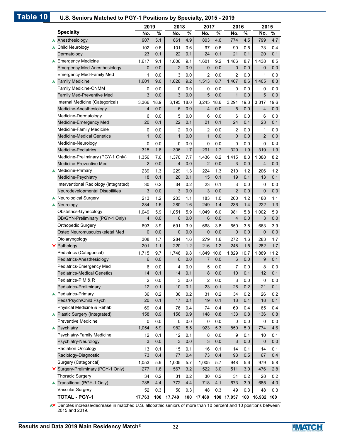## **Table 10 U.S. Seniors Matched to PGY-1 Positions by Specialty, 2015 - 2019**

|   |                                                       | 2019                      |            | 2018               |            | 2017                      |            | 2016                  |            | 2015               |            |
|---|-------------------------------------------------------|---------------------------|------------|--------------------|------------|---------------------------|------------|-----------------------|------------|--------------------|------------|
|   | <b>Specialty</b>                                      | No.                       | %          | No.                | %          | No.                       | %          | No.                   | %          | No.                | %          |
|   | Anesthesiology                                        | 907                       | 5.1        | 861                | 4.9        | 803                       | 4.6        | 774                   | 4.5        | 799                | 4.7        |
|   | <b>Child Neurology</b>                                | 102                       | 0.6        | 101                | 0.6        | 97                        | 0.6        | 90                    | 0.5        | 73                 | 0.4        |
|   | Dermatology                                           | 23                        | 0.1        | 22                 | 0.1        | 24                        | 0.1        | 21                    | 0.1        | 20                 | 0.1        |
|   | ▲ Emergency Medicine                                  | 1,617                     | 9.1        | 1,606              | 9.1        | 1,601                     | 9.2        | 1,486                 | 8.7        | 1,438              | 8.5        |
|   | <b>Emergency Med-Anesthesiology</b>                   | $\mathbf{0}$              | 0.0        | 2                  | 0.0        | $\mathbf{0}$              | 0.0        | 0                     | 0.0        | 0                  | 0.0        |
|   | <b>Emergency Med-Family Med</b>                       | 1                         | 0.0        | 3                  | 0.0        | 2                         | 0.0        | 2                     | 0.0        | 1                  | 0.0        |
|   | <b>Family Medicine</b>                                | 1,601                     | 9.0        | 1,628              | 9.2        | 1,513                     | 8.7        | 1,467                 | 8.6        | 1,405              | 8.3        |
|   | Family Medicine-ONMM                                  | 0                         | 0.0        | 0                  | 0.0        | 0                         | 0.0        | 0                     | 0.0        | 0                  | 0.0        |
|   | Family Med-Preventive Med                             | 3                         | 0.0        | 3                  | 0.0        | 5                         | 0.0        | $\mathbf{1}$          | 0.0        | 5                  | 0.0        |
|   | Internal Medicine (Categorical)                       | 3,366                     | 18.9       | 3,195              | 18.0       | 3,245                     | 18.6       | 3,291                 | 19.3       | 3,317              | 19.6       |
|   | Medicine-Anesthesiology                               | $\overline{4}$            | 0.0        | 6                  | 0.0        | $\overline{4}$            | 0.0        | 5                     | 0.0        | $\overline{4}$     | 0.0        |
|   | Medicine-Dermatology                                  | 6                         | 0.0        | 5                  | 0.0        | 6                         | 0.0        | 6                     | 0.0        | 6                  | 0.0        |
|   | Medicine-Emergency Med                                | 20                        | 0.1        | 22                 | 0.1        | 21                        | 0.1        | 24                    | 0.1        | 23                 | 0.1        |
|   | Medicine-Family Medicine                              | 0                         | 0.0        | 2                  | 0.0        | 2                         | 0.0        | 2                     | 0.0        | 1                  | 0.0        |
|   | <b>Medicine-Medical Genetics</b>                      | $\mathbf{1}$              | 0.0        | $\mathbf{1}$       | 0.0        | $\mathbf{1}$              | 0.0        | 0                     | 0.0        | $\overline{2}$     | 0.0        |
|   | Medicine-Neurology                                    | 0                         | 0.0        | 0                  | 0.0        | 0                         | 0.0        | 0                     | 0.0        | 0                  | 0.0        |
|   | Medicine-Pediatrics                                   | 315                       | 1.8        | 306                | 1.7        | 291                       | 1.7        | 329                   | 1.9        | 319                | 1.9        |
|   | Medicine-Preliminary (PGY-1 Only)                     | 1,356                     | 7.6        | 1,370              | 7.7        | 1,436                     | 8.2        | 1,415                 | 8.3        | 1,388              | 8.2        |
|   | Medicine-Preventive Med                               | 2                         | 0.0        | $\overline{4}$     | 0.0        | $\overline{2}$            | 0.0        | 3                     | 0.0        | 4                  | 0.0        |
|   | Medicine-Primary                                      | 239                       | 1.3        | 229                | 1.3        | 224                       | 1.3        | 210                   | 1.2        | 206                | 1.2        |
|   | Medicine-Psychiatry                                   | 18                        | 0.1        | 20                 | 0.1        | 15                        | 0.1        | 19                    | 0.1        | 13                 | 0.1        |
|   | Interventional Radiology (Integrated)                 | 30                        | 0.2        | 34                 | 0.2        | 23                        | 0.1        | 3                     | 0.0        | 0                  | 0.0        |
|   | Neurodevelopmental Disabilities                       | 3                         | 0.0        | 3                  | 0.0        | 3                         | 0.0        | $\overline{2}$        | 0.0        | 0                  | 0.0        |
|   | <b>Neurological Surgery</b>                           | 213                       | 1.2        | 203                | 1.1        | 183                       | 1.0        | 200                   | 1.2        | 188                | 1.1        |
| A | Neurology                                             | 284                       | 1.6        | 280                | 1.6        | 249                       | 1.4        | 236                   | 1.4        | 222                | 1.3        |
|   | Obstetrics-Gynecology                                 | 1,049<br>$\overline{4}$   | 5.9        | 1,051              | 5.9        | 1,049                     | 6.0        | 981<br>$\overline{4}$ | 5.8        | 1,002              | 5.9        |
|   | OB/GYN-Preliminary (PGY-1 Only)<br>Orthopedic Surgery |                           | 0.0        | 6                  | 0.0        | 6                         | 0.0        |                       | 0.0        | 3                  | 0.0        |
|   | Osteo Neuromusculoskeletal Med                        | 693<br>$\mathbf 0$        | 3.9<br>0.0 | 691<br>$\mathbf 0$ | 3.9<br>0.0 | 668<br>$\mathbf 0$        | 3.8<br>0.0 | 650<br>0              | 3.8<br>0.0 | 663<br>$\mathbf 0$ | 3.9<br>0.0 |
|   | Otolaryngology                                        | 308                       | 1.7        | 284                |            | 279                       | 1.6        | 272                   | 1.6        | 283                | 1.7        |
|   | ▼ Pathology                                           | 201                       | 1.1        | 220                | 1.6<br>1.2 | 216                       | 1.2        | 248                   | 1.5        | 282                | 1.7        |
|   | Pediatrics (Categorical)                              | 1,715                     | 9.7        | 1,746              | 9.8        | 1.849                     | 10.6       | 1,829                 | 10.7       | 1,889              | 11.2       |
|   | Pediatrics-Anesthesiology                             | 6                         | 0.0        | 6                  | 0.0        | $\overline{7}$            | 0.0        | 6                     | 0.0        | 9                  | 0.1        |
|   | Pediatrics-Emergency Med                              | 6                         | 0.0        | 4                  | 0.0        | 5                         | 0.0        | 7                     | 0.0        | 8                  | 0.0        |
|   | <b>Pediatrics-Medical Genetics</b>                    | 14                        | 0.1        | 14                 | 0.1        | 8                         | 0.0        | 10                    | 0.1        | 12                 | 0.1        |
|   | Pediatrics-P M & R                                    | $\overline{c}$            | 0.0        | 3                  | 0.0        | $\boldsymbol{2}$          | 0.0        | 3                     | 0.0        | 0                  | 0.0        |
|   | Pediatrics-Preliminary                                | 12                        | 0.1        | 10                 | 0.1        | 23                        | 0.1        | 26                    | 0.2        | 21                 | 0.1        |
|   | ▲ Pediatrics-Primary                                  | 36                        | 0.2        | 36                 | 0.2        | 31                        | 0.2        | 34                    | 0.2        | 26                 | 0.2        |
|   | Peds/Psych/Child Psych                                | 20                        | 0.1        | 17                 | 0.1        | 19                        | 0.1        | 18                    | 0.1        | 18                 | 0.1        |
|   | Physical Medicine & Rehab                             | 69                        | 0.4        | 76                 | 0.4        | 74                        | 0.4        | 69                    | 0.4        | 65                 | 0.4        |
|   | Plastic Surgery (Integrated)                          | 158                       | 0.9        | 156                | 0.9        | 148                       | 0.8        | 133                   | 0.8        | 136                | 0.8        |
|   | Preventive Medicine                                   | 0                         | 0.0        | $\pmb{0}$          | 0.0        | 0                         | 0.0        | $\pmb{0}$             | 0.0        | 0                  | 0.0        |
|   | $\triangle$ Psychiatry                                | 1,054                     | 5.9        | 982                | 5.5        | 923                       | 5.3        | 850                   | 5.0        | 774                | 4.6        |
|   | Psychiatry-Family Medicine                            | 12                        | 0.1        | 12                 | 0.1        | 8                         | 0.0        | 9                     | 0.1        | 10                 | 0.1        |
|   | Psychiatry-Neurology                                  | $\ensuremath{\mathsf{3}}$ | 0.0        | 3                  | 0.0        | $\ensuremath{\mathsf{3}}$ | 0.0        | 3                     | 0.0        | $\pmb{0}$          | 0.0        |
|   | <b>Radiation Oncology</b>                             | 13                        | 0.1        | 15                 | 0.1        | 16                        | 0.1        | 14                    | 0.1        | 14                 | 0.1        |
|   | Radiology-Diagnostic                                  | 73                        | 0.4        | $77 \,$            | 0.4        | 73                        | 0.4        | 93                    | 0.5        | 67                 | 0.4        |
|   | Surgery (Categorical)                                 | 1,053                     | 5.9        | 1,005              | 5.7        | 1,005                     | 5.7        | 948                   | 5.6        | 979                | 5.8        |
|   | Surgery-Preliminary (PGY-1 Only)                      | 277                       | 1.6        | 567                | 3.2        | 522                       | 3.0        | 511                   | 3.0        | 476                | 2.8        |
|   | <b>Thoracic Surgery</b>                               | 34                        | 0.2        | 31                 | 0.2        | 30                        | 0.2        | 31                    | 0.2        | 28                 | 0.2        |
|   | Transitional (PGY-1 Only)                             | 788                       | 4.4        | 772                | 4.4        | 718                       | 4.1        | 673                   | 3.9        | 685                | 4.0        |
|   | Vascular Surgery                                      | 52                        | 0.3        | 50                 | 0.3        | 48                        | 0.3        | 49                    | 0.3        | 48                 | 0.3        |
|   | TOTAL - PGY-1                                         | 17,763                    | 100        | 17,740             | 100        | 17,480                    |            | 100 17,057            | 100        | 16,932 100         |            |

Denotes increase/decrease in matched U.S. allopathic seniors of more than 10 percent and 10 positions between **2015** and 2019.

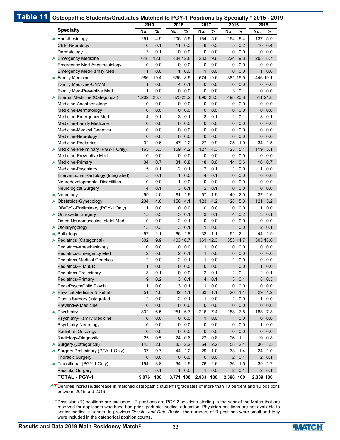| Osteopathic Students/Graduates Matched to PGY-1 Positions by Specialty,* 2015 - 2019 | 2019           |      |                | 2017  |                |          |                |          |                | 2015   |  |
|--------------------------------------------------------------------------------------|----------------|------|----------------|-------|----------------|----------|----------------|----------|----------------|--------|--|
|                                                                                      |                |      | 2018           |       |                |          | 2016           |          |                |        |  |
| <b>Specialty</b>                                                                     | No.            | %    | No.            | %     | No.            | %        | No.            | $\%$     | No.            | $\%$   |  |
| A Anesthesiology                                                                     | 251            | 4.9  | 206            | 5.5   | 164            | 5.6      | 154            | 6.4      | 137            | 5.9    |  |
| <b>Child Neurology</b>                                                               | 6              | 0.1  | 11             | 0.3   | 8              | 0.3      | 5              | 0.2      |                | 10 0.4 |  |
| Dermatology                                                                          | 3              | 0.1  | 0              | 0.0   | 0              | 0.0      | 0              | 0.0      | 0              | 0.0    |  |
| ▲ Emergency Medicine                                                                 | 648            | 12.8 | 484 12.8       |       | 283            | 9.6      | 224            | 9.3      | 203 8.7        |        |  |
| <b>Emergency Med-Anesthesiology</b>                                                  | 0              | 0.0  | 0              | 0.0   | 0              | 0.0      | 0              | 0.0      | 0              | 0.0    |  |
| <b>Emergency Med-Family Med</b>                                                      | $\mathbf{1}$   | 0.0  | 1              | 0.0   | $\mathbf{1}$   | 0.0      | $\mathbf 0$    | 0.0      | $\mathbf{1}$   | 0.0    |  |
| ▲ Family Medicine                                                                    | 986            | 19.4 | 696 18.5       |       | 574            | 19.6     |                | 381 15.9 | 446 19.1       |        |  |
| <b>Family Medicine-ONMM</b>                                                          | $\mathbf{1}$   | 0.0  | 4              | 0.1   | 0              | 0.0      | $\mathbf 0$    | 0.0      | $\mathbf{0}$   | 0.0    |  |
| <b>Family Med-Preventive Med</b>                                                     | 1              | 0.0  | 0              | 0.0   | 0              | 0.0      | 3              | 0.1      | 0              | 0.0    |  |
| ▲ Internal Medicine (Categorical)                                                    | 1,202          | 23.7 | 875 23.2       |       |                | 690 23.5 |                | 498 20.8 | 511 21.8       |        |  |
| Medicine-Anesthesiology                                                              | 0              | 0.0  | 0              | 0.0   | 0              | 0.0      | 0              | 0.0      | 0              | 0.0    |  |
| Medicine-Dermatology                                                                 | $\mathbf 0$    | 0.0  | 0              | 0.0   | $\mathbf 0$    | 0.0      | $\mathbf 0$    | 0.0      | 0              | 0.0    |  |
| Medicine-Emergency Med                                                               | 4              | 0.1  | 3              | 0.1   | 3              | 0.1      | 2              | 0.1      | 3              | 0.1    |  |
| Medicine-Family Medicine                                                             | $\mathbf 0$    | 0.0  | 0              | 0.0   | $\mathbf 0$    | 0.0      | $\mathbf 0$    | 0.0      | 0              | 0.0    |  |
| <b>Medicine-Medical Genetics</b>                                                     | 0              | 0.0  | 0              | 0.0   | 0              | 0.0      | 0              | 0.0      | 0              | 0.0    |  |
| Medicine-Neurology                                                                   | $\mathbf 0$    | 0.0  | 0              | 0.0   | 0              | 0.0      | $\mathbf 0$    | 0.0      | 0              | 0.0    |  |
| Medicine-Pediatrics                                                                  | 32             | 0.6  | 47             | 1.2   | 27             | 0.9      | 25             | 1.0      | 34             | 1.5    |  |
| A Medicine-Preliminary (PGY-1 Only)                                                  | 165            | 3.3  | 159            | 4.2   | 127            | 4.3      | 123            | 5.1      | 119            | 5.1    |  |
| Medicine-Preventive Med                                                              | $\mathbf 0$    | 0.0  | 0              | 0.0   | 0              | 0.0      | 0              | 0.0      | 0              | 0.0    |  |
| ▲ Medicine-Primary                                                                   | 34             | 0.7  | 31             | 0.8   | 18             | 0.6      | 14             | 0.6      | 16             | 0.7    |  |
| Medicine-Psychiatry                                                                  | 5              | 0.1  | 2              | 0.1   | 2              | 0.1      | 1              | 0.0      | 1              | 0.0    |  |
| Interventional Radiology (Integrated)                                                | 5              | 0.1  | $\mathbf{1}$   | 0.0   | $\overline{4}$ | 0.1      | $\mathbf 0$    | 0.0      | $\mathbf 0$    | 0.0    |  |
| Neurodevelopmental Disabilities                                                      | 0              | 0.0  | 1              | 0.0   | 0              | 0.0      | 0              | 0.0      | 0              | 0.0    |  |
| Neurological Surgery                                                                 | $\overline{4}$ | 0.1  | 3              | 0.1   | $\overline{2}$ | 0.1      | $\mathbf 0$    | 0.0      | 0              | 0.0    |  |
| A Neurology                                                                          | 99             | 2.0  | 61             | 1.6   | 57             | 1.9      | 49             | 2.0      | 37             | 1.6    |  |
| ▲ Obstetrics-Gynecology                                                              | 234            | 4.6  | 156            | 4.1   | 123            | 4.2      | 128            | 5.3      | 121            | 5.2    |  |
| OB/GYN-Preliminary (PGY-1 Only)                                                      | 1              | 0.0  | 0              | 0.0   | 0              | 0.0      | 0              | 0.0      | 1              | 0.0    |  |
| ▲ Orthopedic Surgery                                                                 | 15             | 0.3  | 5              | 0.1   | 3              | 0.1      | 4              | 0.2      | 3              | 0.1    |  |
| Osteo Neuromusculoskeletal Med                                                       | $\mathbf 0$    | 0.0  | 2              | 0.1   | 0              | 0.0      | 0              | 0.0      | 0              | 0.0    |  |
| ▲ Otolaryngology                                                                     | 13             | 0.3  | 3              | 0.1   | $\mathbf{1}$   | 0.0      | $\mathbf{1}$   | 0.0      | $2^{\circ}$    | 0.1    |  |
| $\triangle$ Pathology                                                                | 57             | 1.1  | 66             | 1.8   | 32             | 1.1      | 51             | 2.1      | 44             | 1.9    |  |
| ▲ Pediatrics (Categorical)                                                           | 502            | 9.9  | 403 10.7       |       | 361            | 12.3     |                | 353 14.7 | 303 13.0       |        |  |
| Pediatrics-Anesthesiology                                                            | 0              | 0.0  | 0              | 0.0   | 1              | 0.0      | 0              | 0.0      | 0              | 0.0    |  |
| Pediatrics-Emergency Med                                                             | $\overline{2}$ | 0.0  | $\overline{2}$ | 0.1   | $\mathbf{1}$   | 0.0      | $\mathbf 0$    | 0.0      | 0              | 0.0    |  |
| Pediatrics-Medical Genetics                                                          | $\overline{2}$ | 0.0  | 2              | 0.1   | 1              | 0.0      | 1              | 0.0      |                | 0.0    |  |
| Pediatrics-P M & R                                                                   | $\mathbf{1}$   | 0.0  | 0              | 0.0   | 0              | 0.0      | $\mathbf{1}$   | 0.0      | 1              | 0.0    |  |
| Pediatrics-Preliminary                                                               | 3              | 0.1  | 0              | 0.0   | 2              | 0.1      | $\overline{c}$ | 0.1      | $\overline{2}$ | 0.1    |  |
| Pediatrics-Primary                                                                   | 9              | 0.2  | 3              | 0.1   | $\overline{4}$ | 0.1      | 3 <sup>1</sup> | 0.1      |                | 8 0.3  |  |
| Peds/Psych/Child Psych                                                               | 1              | 0.0  | 3              | 0.1   | 1              | 0.0      | 0              | $0.0\,$  | 0              | 0.0    |  |
| ▲ Physical Medicine & Rehab                                                          | 51             | 1.0  | 42             | 1.1   | 33             | 1.1      | 26             | 1.1      |                | 29 1.2 |  |
| Plastic Surgery (Integrated)                                                         | $\overline{2}$ | 0.0  | 2              | 0.1   | 1              | 0.0      | 1              | 0.0      | 1              | 0.0    |  |
| Preventive Medicine                                                                  | $\pmb{0}$      | 0.0  | 0              | 0.0   | $\mathbf 0$    | 0.0      | $\pmb{0}$      | 0.0      |                | 0.0    |  |
| A Psychiatry                                                                         | 332            | 6.5  | 251            | 6.7   | 216            | 7.4      | 188            | 7.8      | 183            | 7.8    |  |
| Psychiatry-Family Medicine                                                           | $\mathbf 0$    | 0.0  | 0              | 0.0   | $\mathbf{1}$   | 0.0      | $\mathbf{1}$   | 0.0      |                | 0.0    |  |
| Psychiatry-Neurology                                                                 | 0              | 0.0  | 0              | 0.0   | 0              | 0.0      | 0              | 0.0      | 1              | 0.0    |  |
| <b>Radiation Oncology</b>                                                            | $\mathbf 0$    | 0.0  | 0              | 0.0   | 0              | 0.0      | $\mathbf 0$    | 0.0      | 0              | 0.0    |  |
| Radiology-Diagnostic                                                                 | 25             | 0.5  | 24             | 0.6   | 22             | 0.8      | 26             | 1.1      | 19             | 0.8    |  |
| ▲ Surgery (Categorical)                                                              | 143            | 2.8  | 83             | 2.2   | 64             | 2.2      | 58             | 2.4      | 36             | 1.5    |  |
| ▲ Surgery-Preliminary (PGY-1 Only)                                                   | 37             | 0.7  | 44             | $1.2$ | 29             | 1.0      | 33             | 1.4      | 24             | 1.0    |  |
| <b>Thoracic Surgery</b>                                                              | $\mathbf 0$    | 0.0  | $\mathbf 0$    | 0.0   | $\pmb{0}$      | 0.0      | $\overline{2}$ | 0.1      |                | 20.1   |  |
| ▲ Transitional (PGY-1 Only)                                                          | 194            | 3.8  | 94             | 2.5   | 76             | 2.6      | 36             | 1.5      | 39             | 1.7    |  |
| <b>Vascular Surgery</b>                                                              | 5              | 0.1  | 1              | 0.0   | $\mathbf{1}$   | 0.0      | $2^{\circ}$    | 0.1      |                | 20.1   |  |
| <b>TOTAL - PGY-1</b>                                                                 | 5,076          | 100  | 3,771 100      |       | 2,933          | 100      | 2,396 100      |          | 2,339 100      |        |  |

**AV** Denotes increase/decrease in matched osteopathic students/graduates of more than 10 percent and 10 positions between 2015 and 2019.

Physician (R) positions are excluded. R positions are PGY-2 positions starting in the year of the Match that are reserved for applicants who have had prior graduate medical education. Physician positions are not available to senior medical students. In previous *Results and Data Books*, the numbers of R positions were small and they were included in the categorical position counts. \*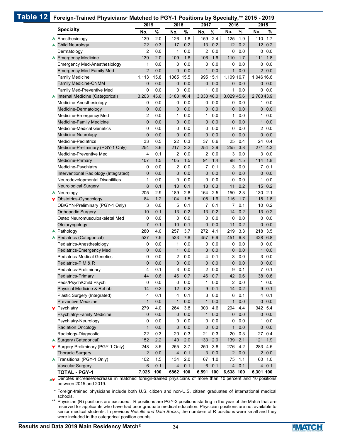| Table 12 | Foreign-Trained Physicians* Matched to PGY-1 Positions by Specialty,** 2015 - 2019                                               | 2019<br>2018   |      |                |              |              |              |                 |              |            |          |
|----------|----------------------------------------------------------------------------------------------------------------------------------|----------------|------|----------------|--------------|--------------|--------------|-----------------|--------------|------------|----------|
|          |                                                                                                                                  |                |      |                |              | 2017         |              | 2016            |              | 2015       |          |
|          | <b>Specialty</b>                                                                                                                 | No.            | $\%$ | No.            | $\%$         | No.          | $\%$         | No.             | $\%$         | No.        | %        |
|          | A Anesthesiology                                                                                                                 | 139            | 2.0  | 126            | 1.8          | 159          | 2.4          | 125             | 1.9          | 110 1.7    |          |
|          | ▲ Child Neurology                                                                                                                | 22             | 0.3  | 17             | 0.2          | 13           | 0.2          | 12 <sup>7</sup> | 0.2          |            | 12 0.2   |
|          | Dermatology                                                                                                                      | 2              | 0.0  | 1              | 0.0          | 2            | 0.0          | 0               | 0.0          |            | 0.0      |
|          | ▲ Emergency Medicine                                                                                                             | 139            | 2.0  | 109            | 1.6          | 106          | 1.6          | 110             | 1.7          |            | 111 1.8  |
|          | <b>Emergency Med-Anesthesiology</b>                                                                                              | 1              | 0.0  | 0              | 0.0          | 0            | 0.0          | 0               | 0.0          |            | $0\,0.0$ |
|          | <b>Emergency Med-Family Med</b>                                                                                                  | $\overline{2}$ | 0.0  | $\mathbf 0$    | 0.0          | $\mathbf{1}$ | 0.0          | $\mathbf{1}$    | 0.0          |            | 20.0     |
|          | <b>Family Medicine</b>                                                                                                           | 1,113          | 15.8 | 1065 15.5      |              | 995 15.1     |              | 1,109 16.7      |              | 1,046 16.6 |          |
|          | Family Medicine-ONMM                                                                                                             | $\overline{0}$ | 0.0  | $\mathbf 0$    | 0.0          | 0            | 0.0          | $\overline{0}$  | 0.0          |            | 0.0      |
|          | Family Med-Preventive Med                                                                                                        | 0              | 0.0  | 0              | 0.0          | 1            | 0.0          | $\mathbf{1}$    | 0.0          |            | 0.0      |
|          | Internal Medicine (Categorical)                                                                                                  | 3,203          | 45.6 | 3183 46.4      |              | 3,033 46.0   |              | 3,029 45.6      |              | 2,76343.9  |          |
|          | Medicine-Anesthesiology                                                                                                          | 0              | 0.0  | 0              | 0.0          | 0            | 0.0          | 0               | 0.0          |            | $1\ 0.0$ |
|          | Medicine-Dermatology                                                                                                             | 0              | 0.0  | $\mathbf 0$    | 0.0          | 0            | 0.0          | $\mathbf{0}$    | 0.0          |            | 0.0      |
|          | Medicine-Emergency Med                                                                                                           | 2              | 0.0  | 1              | 0.0          | 1            | 0.0          | 1               | 0.0          | 1          | 0.0      |
|          | Medicine-Family Medicine                                                                                                         | $\overline{0}$ | 0.0  | $\mathbf 0$    | 0.0          | 0            | 0.0          | $\mathbf 0$     | 0.0          |            | 10.0     |
|          | <b>Medicine-Medical Genetics</b>                                                                                                 | 0              | 0.0  | 0              | 0.0          | 0            | 0.0          | 0               | 0.0          |            | 20.0     |
|          | Medicine-Neurology                                                                                                               | $\overline{0}$ | 0.0  | 0              | 0.0          | 0            | 0.0          | 0               | 0.0          |            | 0.0      |
|          | Medicine-Pediatrics                                                                                                              | 33             | 0.5  | 22             | 0.3          | 37           | 0.6          | 25              | 0.4          | 24         | 0.4      |
|          | Medicine-Preliminary (PGY-1 Only)                                                                                                | 254            | 3.6  | 217            | 3.2          | 254          | 3.9          | 255             | 3.8          | 271        | 4.3      |
|          | Medicine-Preventive Med                                                                                                          | 4              | 0.1  | 2              | 0.0          | 2            | 0.0          | 3               | 0.0          |            | 30.0     |
|          | Medicine-Primary                                                                                                                 | 107            | 1.5  | 105            | 1.5          | 91           | 1.4          | 98              | 1.5          | 114 1.8    |          |
|          | Medicine-Psychiatry                                                                                                              | 0              | 0.0  | 2              | 0.0          | 7            | 0.1          | 3               | 0.0          |            | 70.1     |
|          | Interventional Radiology (Integrated)                                                                                            | $\overline{0}$ | 0.0  | 0              | 0.0          | 0            | 0.0          | $\overline{0}$  | 0.0          |            | 0.0      |
|          | Neurodevelopmental Disabilities                                                                                                  | 1              | 0.0  | 0              | 0.0          | 0            | 0.0          | 0               | 0.0          |            | 10.0     |
|          | Neurological Surgery                                                                                                             | 8              | 0.1  | 10             | 0.1          | 18           | 0.3          | 11              | 0.2          |            | 15 0.2   |
|          | $\triangle$ Neurology                                                                                                            | 205            | 2.9  | 189            | 2.8          | 164          | 2.5          | 150             | 2.3          | 130 2.1    |          |
|          | Obstetrics-Gynecology                                                                                                            | 84             | 1.2  | 104            | 1.5          | 105          | 1.6          | 115             | 1.7          |            | 115 1.8  |
|          | OB/GYN-Preliminary (PGY-1 Only)                                                                                                  | 3              | 0.0  | 5              | 0.1          | 7            | 0.1          | $\overline{7}$  | 0.1          |            | 10 0.2   |
|          | <b>Orthopedic Surgery</b>                                                                                                        | 10             | 0.1  | 13             | 0.2          | 13           | 0.2          | 14              | 0.2          |            | 13 0.2   |
|          | Osteo Neuromusculoskeletal Med                                                                                                   | 0              | 0.0  | 0              | 0.0          | 0            | 0.0          | 0               | 0.0          |            | 0.0      |
|          | Otolaryngology                                                                                                                   | $\overline{7}$ | 0.1  | 10             | 0.1          | 0            | 0.0          | 11              | 0.2          |            | 0.0      |
|          | $\triangle$ Pathology                                                                                                            | 280            | 4.0  | 257            | 3.7          | 272          | 4.1          | 219             | 3.3          | 218 3.5    |          |
|          | ▲ Pediatrics (Categorical)                                                                                                       | 527            | 7.5  | 533            | 7.8          | 457          | 6.9          | 451             | 6.8          | 428 6.8    |          |
|          | Pediatrics-Anesthesiology                                                                                                        | 0              | 0.0  | 1              | 0.0          | 0            | 0.0          | 0               | 0.0          |            | 0.0      |
|          | Pediatrics-Emergency Med                                                                                                         | $\mathbf 0$    | 0.0  | $\mathbf{1}$   | 0.0          | 3            | 0.0          | $\mathbf{0}$    | 0.0          | 1          | 0.0      |
|          | <b>Pediatrics-Medical Genetics</b>                                                                                               | 0              | 0.0  | $\mathbf{2}$   | 0.0          |              | 40.1         | 3               | 0.0          |            | 30.0     |
|          | Pediatrics-P M & R                                                                                                               | $\overline{0}$ | 0.0  |                | $0\quad 0.0$ |              | $0\quad 0.0$ |                 | $0\quad 0.0$ |            | 0.0      |
|          | Pediatrics-Preliminary                                                                                                           | 4              | 0.1  | 3              | 0.0          |              | 20.0         | 9               | 0.1          |            | 70.1     |
|          | Pediatrics-Primary                                                                                                               | 44             | 0.6  | 46             | 0.7          | 46           | 0.7          | 42              | 0.6          |            | 38 0.6   |
|          | Peds/Psych/Child Psych                                                                                                           | 0              | 0.0  | 0              | 0.0          | 1            | 0.0          | $\overline{c}$  | 0.0          |            | 10.0     |
|          | Physical Medicine & Rehab                                                                                                        | 14             | 0.2  | 12             | 0.2          | 9            | 0.1          | 14              | 0.2          |            | 90.1     |
|          | Plastic Surgery (Integrated)                                                                                                     | 4              | 0.1  | 4              | 0.1          | 3            | 0.0          | 6               | 0.1          |            | 40.1     |
|          | <b>Preventive Medicine</b>                                                                                                       | $\mathbf{1}$   | 0.0  | $\mathbf{1}$   | 0.0          | $\mathbf{1}$ | 0.0          | $\mathbf{1}$    | 0.0          |            | 0.0      |
|          | ▼ Psychiatry                                                                                                                     | 279            | 4.0  | 264            | 3.8          | 303          | 4.6          | 294             | 4.4          | 342 5.4    |          |
|          | Psychiatry-Family Medicine                                                                                                       | 0              | 0.0  | $\mathbf 0$    | 0.0          | $\mathbf{1}$ | 0.0          | $\mathbf 0$     | 0.0          |            | 0.0      |
|          | Psychiatry-Neurology                                                                                                             | 0              | 0.0  | 0              | 0.0          | 0            | 0.0          | 0               | 0.0          |            | 10.0     |
|          | <b>Radiation Oncology</b>                                                                                                        | $\mathbf{1}$   | 0.0  | $\mathbf 0$    | 0.0          | 0            | 0.0          | $\mathbf{1}$    | 0.0          |            | 0.0      |
|          | Radiology-Diagnostic                                                                                                             | 22             | 0.3  | 20             | 0.3          | 21           | 0.3          | 20              | 0.3          |            | 27 0.4   |
|          | Surgery (Categorical)                                                                                                            | 152            | 2.2  | 140            | 2.0          | 133          | 2.0          | 139             | 2.1          |            | 121 1.9  |
|          | ▼ Surgery-Preliminary (PGY-1 Only)                                                                                               | 248            | 3.5  | 255            | 3.7          | 250          | 3.8          | 276             | 4.2          | 283 4.5    |          |
|          | <b>Thoracic Surgery</b>                                                                                                          | $\overline{2}$ | 0.0  | $\overline{4}$ | 0.1          | 3            | 0.0          | $2^{\circ}$     | 0.0          |            | 20.0     |
|          | ▲ Transitional (PGY-1 Only)                                                                                                      | 102            | 1.5  | 134            | 2.0          | 67           | 1.0          | 75              | 1.1          |            | 60 1.0   |
|          | <b>Vascular Surgery</b>                                                                                                          | 6              | 0.1  | $\overline{4}$ | 0.1          | 6            | 0.1          | $\overline{4}$  | 0.1          |            | 40.1     |
|          | <b>TOTAL - PGY-1</b><br>Depates increase/decrease in metabod fergian trained physicians of more than 10 percent and 10 pecitions | 7,025          | 100  | 6862           | 100          | 6,591        | 100          | 6,638 100       |              | 6,301 100  |          |

Denotes increase/decrease in matched foreign-trained physicians of more than 10 percent and 10 positions between 2015 and 2019.  $\boldsymbol{N}$ 

Foreign-trained physicians include both U.S. citizen and non-U.S. citizen graduates of international medical \* schools.

\*\* Physician (R) positions are excluded. R positions are PGY-2 positions starting in the year of the Match that are reserved for applicants who have had prior graduate medical education. Physician positions are not available to senior medical students. In previous *Results and Data Books*, the numbers of R positions were small and they were included in the categorical position counts.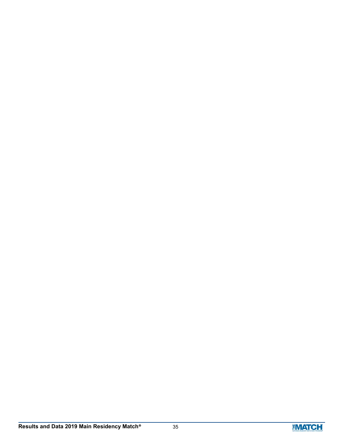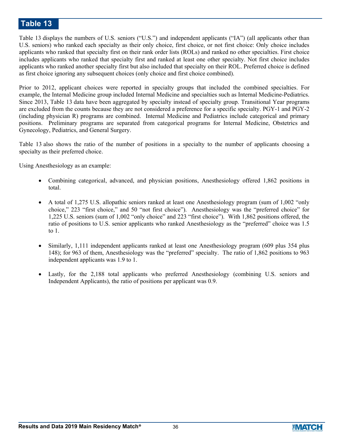## **Table 13**

Table 13 displays the numbers of U.S. seniors ("U.S.") and independent applicants ("IA") (all applicants other than U.S. seniors) who ranked each specialty as their only choice, first choice, or not first choice: Only choice includes applicants who ranked that specialty first on their rank order lists (ROLs) and ranked no other specialties. First choice includes applicants who ranked that specialty first and ranked at least one other specialty. Not first choice includes applicants who ranked another specialty first but also included that specialty on their ROL. Preferred choice is defined as first choice ignoring any subsequent choices (only choice and first choice combined).

Prior to 2012, applicant choices were reported in specialty groups that included the combined specialties. For example, the Internal Medicine group included Internal Medicine and specialties such as Internal Medicine-Pediatrics. Since 2013, Table 13 data have been aggregated by specialty instead of specialty group. Transitional Year programs are excluded from the counts because they are not considered a preference for a specific specialty. PGY-1 and PGY-2 (including physician R) programs are combined. Internal Medicine and Pediatrics include categorical and primary positions. Preliminary programs are separated from categorical programs for Internal Medicine, Obstetrics and Gynecology, Pediatrics, and General Surgery.

Table 13 also shows the ratio of the number of positions in a specialty to the number of applicants choosing a specialty as their preferred choice.

Using Anesthesiology as an example:

- Combining categorical, advanced, and physician positions, Anesthesiology offered 1,862 positions in total.
- A total of 1,275 U.S. allopathic seniors ranked at least one Anesthesiology program (sum of 1,002 "only choice," 223 "first choice," and 50 "not first choice"). Anesthesiology was the "preferred choice" for 1,225 U.S. seniors (sum of 1,002 "only choice" and 223 "first choice"). With 1,862 positions offered, the ratio of positions to U.S. senior applicants who ranked Anesthesiology as the "preferred" choice was 1.5 to 1.
- Similarly, 1,111 independent applicants ranked at least one Anesthesiology program (609 plus 354 plus 148); for 963 of them, Anesthesiology was the "preferred" specialty. The ratio of 1,862 positions to 963 independent applicants was 1.9 to 1.
- Lastly, for the 2,188 total applicants who preferred Anesthesiology (combining U.S. seniors and Independent Applicants), the ratio of positions per applicant was 0.9.

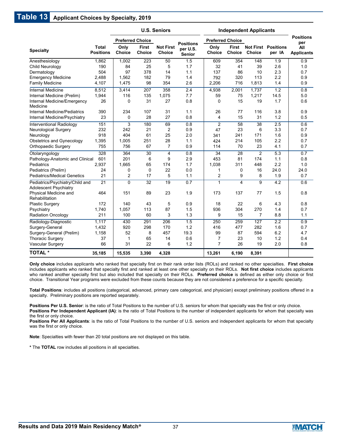### **Table 13 Applicant Choices by Specialty, 2019**

|                                                                 |                                  |                                                  |                               | <b>U.S. Seniors</b>               |                                               | <b>Independent Applicants</b><br><b>Preferred Choice</b> |                               |                 |                                      |                                                     |
|-----------------------------------------------------------------|----------------------------------|--------------------------------------------------|-------------------------------|-----------------------------------|-----------------------------------------------|----------------------------------------------------------|-------------------------------|-----------------|--------------------------------------|-----------------------------------------------------|
| <b>Specialty</b>                                                | <b>Total</b><br><b>Positions</b> | <b>Preferred Choice</b><br>Only<br><b>Choice</b> | <b>First</b><br><b>Choice</b> | <b>Not First</b><br><b>Choice</b> | <b>Positions</b><br>per U.S.<br><b>Senior</b> | Only<br><b>Choice</b>                                    | <b>First</b><br><b>Choice</b> | <b>Choice</b>   | <b>Not First Positions</b><br>per IA | <b>Positions</b><br>per<br>All<br><b>Applicants</b> |
| Anesthesiology                                                  | 1,862                            | 1.002                                            | 223                           | 50                                | 1.5                                           | 609                                                      | 354                           | 148             | 1.9                                  | 0.9                                                 |
| Child Neurology                                                 | 190                              | 84                                               | 25                            | 5                                 | 1.7                                           | 32                                                       | 41                            | 39              | 2.6                                  | 1.0                                                 |
| Dermatology                                                     | 504                              | 97                                               | 378                           | 14                                | 1.1                                           | 137                                                      | 86                            | 10              | 2.3                                  | 0.7                                                 |
| <b>Emergency Medicine</b>                                       | 2,488                            | 1,562                                            | 182                           | 79                                | 1.4                                           | 792                                                      | 320                           | 113             | 2.2                                  | 0.9                                                 |
| <b>Family Medicine</b>                                          | 4,107                            | 1,475                                            | 98                            | 354                               | 2.6                                           | 2,206                                                    | 716                           | 1,813           | 1.4                                  | 0.9                                                 |
| <b>Internal Medicine</b>                                        | 8,512                            | 3,414                                            | 207                           | 358                               | 2.4                                           | 4,938                                                    | 2,001                         | 1.737           | 1.2                                  | 0.8                                                 |
| Internal Medicine (Prelim)                                      | 1,944                            | 116                                              | 135                           | 1,075                             | 7.7                                           | 59                                                       | 75                            | 1,217           | 14.5                                 | 5.0                                                 |
| Internal Medicine/Emergency                                     | 26                               | 0                                                | 31                            | 27                                | 0.8                                           | 0                                                        | 15                            | 19              | 1.7                                  | 0.6                                                 |
| Medicine                                                        |                                  |                                                  |                               |                                   |                                               |                                                          |                               |                 |                                      |                                                     |
| <b>Internal Medicine/Pediatrics</b>                             | 390                              | 234                                              | 107                           | 31                                | 1.1                                           | 26                                                       | 77                            | 116             | 3.8                                  | 0.9                                                 |
| Internal Medicine/Psychiatry                                    | 23                               | 0                                                | 28                            | 27                                | 0.8                                           | 4                                                        | 15                            | 31              | 1.2                                  | 0.5                                                 |
| <b>Interventional Radiology</b>                                 | 151                              | $\overline{3}$                                   | 180                           | 69                                | 0.8                                           | $\overline{2}$                                           | $\overline{58}$               | $\overline{38}$ | 2.5                                  | 0.6                                                 |
| <b>Neurological Surgery</b>                                     | 232                              | 242                                              | 21                            | $\overline{2}$                    | 0.9                                           | 47                                                       | 23                            | 6               | 3.3                                  | 0.7                                                 |
| Neurology                                                       | 918                              | 404                                              | 61                            | 25                                | 2.0                                           | 341                                                      | 241                           | 171             | 1.6                                  | 0.9                                                 |
| <b>Obstetrics and Gynecology</b>                                | 1,395                            | 1,005                                            | 251                           | 28                                | 1.1                                           | 424                                                      | 214                           | 105             | 2.2                                  | 0.7                                                 |
| Orthopaedic Surgery                                             | 755                              | 756                                              | 67                            | $\overline{7}$                    | 0.9                                           | 114                                                      | 70                            | 23              | 4.1                                  | 0.7                                                 |
| Otolaryngology                                                  | 328                              | 364                                              | $\overline{30}$               | $\overline{4}$                    | 0.8                                           | $\overline{34}$                                          | $\overline{28}$               | $\overline{2}$  | 5.3                                  | 0.7                                                 |
| Pathology-Anatomic and Clinical                                 | 601                              | 201                                              | 6                             | 9                                 | 2.9                                           | 453                                                      | 81                            | 174             | 1.1                                  | 0.8                                                 |
| Pediatrics                                                      | 2.937                            | 1.665                                            | 65                            | 174                               | 1.7                                           | 1,038                                                    | 311                           | 448             | 2.2                                  | 1.0                                                 |
| Pediatrics (Prelim)                                             | 24                               | 0                                                | 0                             | 22                                | 0.0                                           | 1                                                        | 0                             | 16              | 24.0                                 | 24.0                                                |
| <b>Pediatrics/Medical Genetics</b>                              | 21                               | 2                                                | 17                            | 5                                 | 1.1                                           | $\overline{2}$                                           | 9                             | 8               | 1.9                                  | 0.7                                                 |
| Pediatrics/Psychiatry/Child and<br><b>Adolescent Psychiatry</b> | $\overline{21}$                  | 0                                                | 32                            | 19                                | 0.7                                           | 1                                                        | 4                             | 9               | 4.2                                  | 0.6                                                 |
| Physical Medicine and<br>Rehabilitation                         | 464                              | 151                                              | 89                            | 23                                | 1.9                                           | 173                                                      | 137                           | 77              | 1.5                                  | 0.8                                                 |
| <b>Plastic Surgery</b>                                          | 172                              | 140                                              | 43                            | 5                                 | 0.9                                           | 18                                                       | 22                            | 6               | 4.3                                  | 0.8                                                 |
| Psychiatry                                                      | 1,740                            | 1,057                                            | 113                           | 87                                | 1.5                                           | 936                                                      | 304                           | 270             | 1.4                                  | 0.7                                                 |
| <b>Radiation Oncology</b>                                       | 211                              | 100                                              | 60                            | 3                                 | 1.3                                           | 9                                                        | 15                            | $\overline{7}$  | 8.8                                  | 1.1                                                 |
| Radiology-Diagnostic                                            | 1,117                            | 430                                              | 291                           | 206                               | 1.5                                           | 250                                                      | 259                           | 127             | 2.2                                  | 0.9                                                 |
| Surgery-General                                                 | 1,432                            | 920                                              | 298                           | 170                               | 1.2                                           | 416                                                      | 477                           | 282             | 1.6                                  | 0.7                                                 |
| Surgery-General (Prelim)                                        | 1,158                            | 52                                               | 8                             | 457                               | 19.3                                          | 99                                                       | 87                            | 594             | 6.2                                  | 4.7                                                 |
| <b>Thoracic Surgery</b>                                         | 37                               | 1                                                | 65                            | 14                                | 0.6                                           | 7                                                        | 23                            | 10              | 1.2                                  | 0.4                                                 |
| Vascular Surgery                                                | 66                               | 31                                               | 22                            | 6                                 | 1.2                                           | $\overline{7}$                                           | 26                            | 19              | 2.0                                  | 0.8                                                 |
| <b>TOTAL*</b>                                                   | 35,185                           | 15,535                                           | 3,390                         | 4,328                             |                                               | 13,261                                                   | 6,190                         | 8,391           |                                      |                                                     |

**Only choice** includes applicants who ranked that specialty first on their rank order lists (ROLs) and ranked no other specialties. **First choice** includes applicants who ranked that specialty first and ranked at least one other specialty on their ROLs. **Not first choice** includes applicants who ranked another specialty first but also included that specialty on their ROLs. **Preferred choice** is defined as either only choice or first choice. Transitional Year programs were excluded from these counts because they are not considered a preference for a specific specialty.

**Total Positions**: includes all positions (categorical, advanced, primary care categorical, and physician) except preliminary positions offered in a specialty. Preliminary positions are reported separately.

Positions Per U.S. Senior: is the ratio of Total Positions to the number of U.S. seniors for whom that specialty was the first or only choice. Positions Per Independent Applicant (IA): is the ratio of Total Positions to the number of independent applicants for whom that specialty was the first or only choice.

**Positions Per All Applicants**: is the ratio of Total Positions to the number of U.S. seniors and independent applicants for whom that specialty was the first or only choice.

**Note**: Specialties with fewer than 20 total positions are not displayed on this table.

**\*** The **TOTAL** row includes all positions in all specialties.

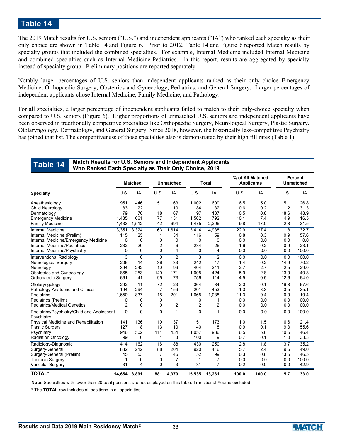## **Table 14**

The 2019 Match results for U.S. seniors ("U.S.") and independent applicants ("IA") who ranked each specialty as their only choice are shown in Table 14 and Figure 6. Prior to 2012, Table 14 and Figure 6 reported Match results by specialty groups that included the combined specialties. For example, Internal Medicine included Internal Medicine and combined specialties such as Internal Medicine-Pediatrics. In this report, results are aggregated by specialty instead of specialty group. Preliminary positions are reported separately.

Notably larger percentages of U.S. seniors than independent applicants ranked as their only choice Emergency Medicine, Orthopaedic Surgery, Obstetrics and Gynecology, Pediatrics, and General Surgery. Larger percentages of independent applicants chose Internal Medicine, Family Medicine, and Pathology.

For all specialties, a larger percentage of independent applicants failed to match to their only-choice specialty when compared to U.S. seniors (Figure 6). Higher proportions of unmatched U.S. seniors and independent applicants have been observed in traditionally competitive specialties like Orthopaedic Surgery, Neurological Surgery, Plastic Surgery, Otolaryngology, Dermatology, and General Surgery. Since 2018, however, the historically less-competitive Psychiatry has joined that list. The competitiveness of those specialties also is demonstrated by their high fill rates (Table 1).

#### **Match Results for U.S. Seniors and Independent Applicants Who Ranked Each Specialty as Their Only Choice, 2019 Table 14**

|                                                          |                | <b>Matched</b> |                 | <b>Unmatched</b> |                | <b>Total</b>    |       | % of All Matched<br><b>Applicants</b> |      | Percent<br><b>Unmatched</b> |
|----------------------------------------------------------|----------------|----------------|-----------------|------------------|----------------|-----------------|-------|---------------------------------------|------|-----------------------------|
| <b>Specialty</b>                                         | U.S.           | IA             | U.S.            | IA               | U.S.           | IA              | U.S.  | IA                                    | U.S. | IA                          |
| Anesthesiology                                           | 951            | 446            | 51              | 163              | 1,002          | 609             | 6.5   | 5.0                                   | 5.1  | 26.8                        |
| Child Neurology                                          | 83             | 22             | 1               | 10               | 84             | 32              | 0.6   | 0.2                                   | 1.2  | 31.3                        |
| Dermatology                                              | 79             | 70             | 18              | 67               | 97             | 137             | 0.5   | 0.8                                   | 18.6 | 48.9                        |
| <b>Emergency Medicine</b>                                | 1.485          | 661            | 77              | 131              | 1,562          | 792             | 10.1  | 7.4                                   | 4.9  | 16.5                        |
| <b>Family Medicine</b>                                   | 1,433          | 1,512          | 42              | 694              | 1,475          | 2,206           | 9.8   | 17.0                                  | 2.8  | 31.5                        |
| <b>Internal Medicine</b>                                 | 3,351          | 3,324          | 63              | ,614             | 3,414          | 4,938           | 22.9  | 37.4                                  | 1.8  | 32.7                        |
| Internal Medicine (Prelim)                               | 115            | 25             | 1               | 34               | 116            | 59              | 0.8   | 0.3                                   | 0.9  | 57.6                        |
| Internal Medicine/Emergency Medicine                     | 0              | 0              | 0               | 0                | 0              | 0               | 0.0   | 0.0                                   | 0.0  | 0.0                         |
| Internal Medicine/Pediatrics                             | 232            | 20             | $\overline{2}$  | 6                | 234            | 26              | 1.6   | 0.2                                   | 0.9  | 23.1                        |
| Internal Medicine/Psychiatry                             | 0              | 0              | 0               | 4                | 0              | 4               | 0.0   | 0.0                                   | 0.0  | 100.0                       |
| Interventional Radiology                                 | 3              | 0              | $\mathbf 0$     | $\overline{2}$   | 3              | $\overline{2}$  | 0.0   | 0.0                                   | 0.0  | 100.0                       |
| <b>Neurological Surgery</b>                              | 206            | 14             | 36              | 33               | 242            | 47              | 1.4   | 0.2                                   | 14.9 | 70.2                        |
| Neurology                                                | 394            | 242            | 10              | 99               | 404            | 341             | 2.7   | 2.7                                   | 2.5  | 29.0                        |
| Obstetrics and Gynecology                                | 865            | 253            | 140             | 171              | 1,005          | 424             | 5.9   | 2.8                                   | 13.9 | 40.3                        |
| <b>Orthopaedic Surgery</b>                               | 661            | 41             | 95              | 73               | 756            | 114             | 4.5   | 0.5                                   | 12.6 | 64.0                        |
| Otolaryngology                                           | 292            | 11             | $\overline{72}$ | 23               | 364            | $\overline{34}$ | 2.0   | 0.1                                   | 19.8 | 67.6                        |
| Pathology-Anatomic and Clinical                          | 194            | 294            | 7               | 159              | 201            | 453             | 1.3   | 3.3                                   | 3.5  | 35.1                        |
| Pediatrics                                               | 1.650          | 837            | 15              | 201              | 1,665          | 1,038           | 11.3  | 9.4                                   | 0.9  | 19.4                        |
| Pediatrics (Prelim)                                      | 0              | 0              | 0               | 1                | 0              | 1               | 0.0   | 0.0                                   | 0.0  | 100.0                       |
| <b>Pediatrics/Medical Genetics</b>                       | $\overline{2}$ | 0              | $\mathbf 0$     | 2                | $\overline{2}$ | $\overline{2}$  | 0.0   | 0.0                                   | 0.0  | 100.0                       |
| Pediatrics/Psychiatry/Child and Adolescent<br>Psychiatry | 0              | $\Omega$       | $\mathbf 0$     | $\mathbf{1}$     | $\mathbf 0$    | 1               | 0.0   | 0.0                                   | 0.0  | 100.0                       |
| Physical Medicine and Rehabilitation                     | 141            | 136            | 10              | 37               | 151            | 173             | 1.0   | 1.5                                   | 6.6  | 21.4                        |
| <b>Plastic Surgery</b>                                   | 127            | 8              | 13              | 10               | 140            | 18              | 0.9   | 0.1                                   | 9.3  | 55.6                        |
| Psychiatry                                               | 946            | 502            | 111             | 434              | 1,057          | 936             | 6.5   | 5.6                                   | 10.5 | 46.4                        |
| <b>Radiation Oncology</b>                                | 99             | 6              | 1               | 3                | 100            | 9               | 0.7   | 0.1                                   | 1.0  | 33.3                        |
| Radiology-Diagnostic                                     | 414            | 162            | 16              | 88               | 430            | 250             | 2.8   | 1.8                                   | 3.7  | 35.2                        |
| Surgery-General                                          | 832            | 212            | 88              | 204              | 920            | 416             | 5.7   | 2.4                                   | 9.6  | 49.0                        |
| Surgery-General (Prelim)                                 | 45             | 53             | 7               | 46               | 52             | 99              | 0.3   | 0.6                                   | 13.5 | 46.5                        |
| <b>Thoracic Surgery</b>                                  | 1              | 0              | 0               | 7                | 1              | 7               | 0.0   | 0.0                                   | 0.0  | 100.0                       |
| Vascular Surgery                                         | 31             | 4              | $\mathbf 0$     | 3                | 31             | $\overline{7}$  | 0.2   | 0.0                                   | 0.0  | 42.9                        |
| <b>TOTAL*</b>                                            | 14,654 8,891   |                | 881             | 4,370            | 15,535         | 13,261          | 100.0 | 100.0                                 | 5.7  | 33.0                        |

**Note**: Specialties with fewer than 20 total positions are not displayed on this table. Transitional Year is excluded.

**\*** The **TOTAL** row includes all positions in all specialties.

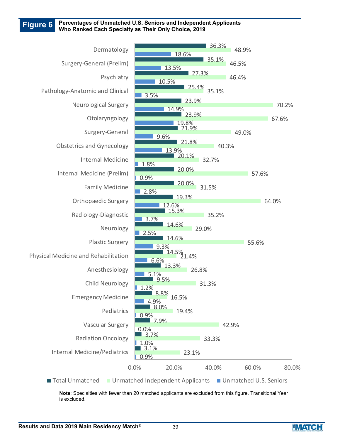### **Figure 6 Percentages of Unmatched U.S. Seniors and Independent Applicants Who Ranked Each Specialty as Their Only Choice, 2019**



**Note**: Specialties with fewer than 20 matched applicants are excluded from this figure. Transitional Year is excluded.

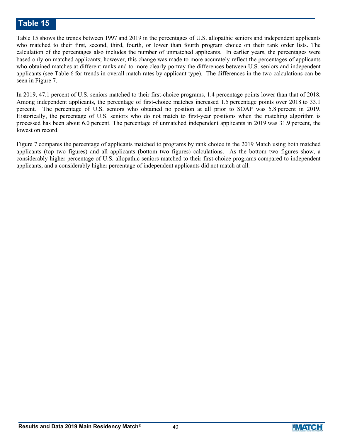## **Table 15**

Table 15 shows the trends between 1997 and 2019 in the percentages of U.S. allopathic seniors and independent applicants who matched to their first, second, third, fourth, or lower than fourth program choice on their rank order lists. The calculation of the percentages also includes the number of unmatched applicants. In earlier years, the percentages were based only on matched applicants; however, this change was made to more accurately reflect the percentages of applicants who obtained matches at different ranks and to more clearly portray the differences between U.S. seniors and independent applicants (see Table 6 for trends in overall match rates by applicant type). The differences in the two calculations can be seen in Figure 7.

In 2019, 47.1 percent of U.S. seniors matched to their first-choice programs, 1.4 percentage points lower than that of 2018. Among independent applicants, the percentage of first-choice matches increased 1.5 percentage points over 2018 to 33.1 percent. The percentage of U.S. seniors who obtained no position at all prior to SOAP was 5.8 percent in 2019. Historically, the percentage of U.S. seniors who do not match to first-year positions when the matching algorithm is processed has been about 6.0 percent. The percentage of unmatched independent applicants in 2019 was 31.9 percent, the lowest on record.

Figure 7 compares the percentage of applicants matched to programs by rank choice in the 2019 Match using both matched applicants (top two figures) and all applicants (bottom two figures) calculations. As the bottom two figures show, a considerably higher percentage of U.S. allopathic seniors matched to their first-choice programs compared to independent applicants, and a considerably higher percentage of independent applicants did not match at all.

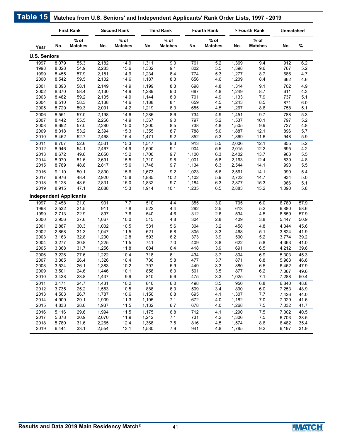| Table 15                      |                |                          |                |                          |            |                          |            |                          |            | Matches from U.S. Seniors' and Independent Applicants' Rank Order Lists, 1997 - 2019 |                  |              |
|-------------------------------|----------------|--------------------------|----------------|--------------------------|------------|--------------------------|------------|--------------------------|------------|--------------------------------------------------------------------------------------|------------------|--------------|
|                               |                | <b>First Rank</b>        |                | <b>Second Rank</b>       |            | <b>Third Rank</b>        |            | <b>Fourth Rank</b>       |            | > Fourth Rank                                                                        | <b>Unmatched</b> |              |
| Year                          | No.            | $%$ of<br><b>Matches</b> | No.            | $%$ of<br><b>Matches</b> | No.        | $%$ of<br><b>Matches</b> | No.        | $%$ of<br><b>Matches</b> | No.        | $%$ of<br><b>Matches</b>                                                             | No.              | %            |
| <b>U.S. Seniors</b>           |                |                          |                |                          |            |                          |            |                          |            |                                                                                      |                  |              |
| 1997                          | 8,079          | 55.3                     | 2,182          | 14.9                     | 1,311      | 9.0                      | 761        | 5.2                      | 1,369      | 9.4                                                                                  | 912              | 6.2          |
| 1998                          | 8,028          | 54.9                     | 2,283          | 15.6                     | 1,332      | 9.1                      | 802        | 5.5                      | 1,398      | 9.6                                                                                  | 767              | 5.2          |
| 1999                          | 8,455          | 57.9                     | 2,181          | 14.9                     | 1,234      | 8.4                      | 774        | 5.3                      | 1,277      | 8.7                                                                                  | 686              | 4.7          |
| 2000                          | 8,542          | 59.5                     | 2,102          | 14.6                     | 1,187      | 8.3                      | 656        | 4.6                      | 1,209      | 8.4                                                                                  | 662              | 4.6          |
| 2001                          | 8,393          | 58.1                     | 2,149          | 14.9                     | 1,199      | 8.3                      | 698        | 4.8                      | 1,314      | 9.1                                                                                  | 702              | 4.9          |
| 2002                          | 8,370          | 58.4                     | 2,130          | 14.9                     | 1,289      | 9.0                      | 687        | 4.8                      | 1,249      | 8.7                                                                                  | 611              | 4.3          |
| 2003                          | 8,482          | 59.2                     | 2,135          | 14.9                     | 1,144      | 8.0                      | 701        | 4.9                      | 1,133      | 7.9                                                                                  | 737              | 5.1          |
| 2004                          | 8,510          | 58.3                     | 2,138          | 14.6                     | 1,188      | 8.1                      | 659        | 4.5                      | 1,243      | 8.5                                                                                  | 871              | 6.0          |
| 2005                          | 8,729          | 59.3                     | 2,091          | 14.2                     | 1,219      | 8.3                      | 655        | 4.5                      | 1,267      | 8.6                                                                                  | 758              | 5.1          |
| 2006                          | 8,551          | 57.0                     | 2,198          | 14.6                     | 1,286      | 8.6                      | 734        | 4.9                      | 1,451      | 9.7                                                                                  | 788              | 5.3          |
| 2007                          | 8,442          | 55.5                     | 2,266          | 14.9                     | 1,367      | 9.0                      | 797        | 5.2                      | 1,537      | 10.1                                                                                 | 797              | $5.2\,$      |
| 2008                          | 8,692          | 57.0                     | 2,280          | 15.0                     | 1,300      | 8.5                      | 738        | 4.8                      | 1,505      | 9.9                                                                                  | 727              | 4.8          |
| 2009                          | 8,318          | 53.2                     | 2,394          | 15.3                     | 1,355      | 8.7                      | 788        | 5.0                      | 1,887      | 12.1                                                                                 | 896              | 5.7          |
| 2010                          | 8,462          | 52.7                     | 2,468          | 15.4                     | 1,471      | 9.2                      | 852        | 5.3                      | 1,869      | 11.6                                                                                 | 948              | 5.9          |
| 2011                          | 8,707          | 52.6                     | 2,531          | 15.3                     | 1,547      | 9.3                      | 913        | $5.5\,$                  | 2,006      | 12.1                                                                                 | 855              | 5.2          |
| 2012                          | 8,946          | 54.1                     | 2,467          | 14.9                     | 1,500      | 9.1                      | 904        | 5.5                      | 2,015      | 12.2                                                                                 | 695              | 4.2          |
| 2013                          | 8,672          | 49.6                     | 2,650          | 15.2                     | 1,700      | 9.7                      | 1,100      | 6.3                      | 2,402      | 13.7                                                                                 | 963              | $5.5\,$      |
| 2014                          | 8,970          | 51.6                     | 2,691          | 15.5                     | 1,710      | 9.8                      | 1,001      | 5.8                      | 2,163      | 12.4                                                                                 | 839              | 4.8          |
| 2015                          | 8,789          | 48.8                     | 2,817          | 15.6                     | 1,748      | 9.7                      | 1,134      | 6.3                      | 2,544      | 14.1                                                                                 | 993              | 5.5          |
| 2016                          | 9,110          | 50.1                     | 2,830          | 15.6                     | 1,673      | 9.2                      | 1,023      | 5.6                      | 2,561      | 14.1                                                                                 | 990              | 5.4          |
| 2017                          | 8,976          | 48.4                     | 2,920          | 15.8                     | 1,885      | 10.2                     | 1,102      | 5.9                      | 2,722      | 14.7                                                                                 | 934              | 5.0          |
| 2018                          | 9,128          | 48.5                     | 2,831          | 15.0                     | 1,832      | 9.7                      | 1,184      | 6.3                      | 2,877      | 15.3                                                                                 | 966              | 5.1          |
| 2019                          | 8,915          | 47.1                     | 2,888          | 15.3                     | 1,914      | 10.1                     | 1,235      | 6.5                      | 2,883      | 15.2                                                                                 | 1,090            | 5.8          |
| <b>Independent Applicants</b> |                |                          |                |                          |            |                          |            |                          |            |                                                                                      |                  |              |
| 1997                          | 2,458          | 21.0                     | 901            | 7.7                      | 510        | 4.4                      | 355        | 3.0                      | 705        | 6.0                                                                                  | 6,780            | 57.9         |
| 1998                          | 2,532          | 21.5                     | 911            | 7.8                      | 522        | 4.4                      | 292        | 2.5                      | 613        | $5.2\,$                                                                              | 6,880            | 58.6         |
| 1999                          | 2,713          | 22.9                     | 897            | 7.6                      | 540        | 4.6                      | 312        | 2.6                      | 534        | 4.5                                                                                  | 6,859            | 57.9         |
| 2000                          | 2,956          | 27.6                     | 1,067          | 10.0                     | 515        | 4.8                      | 304        | 2.8                      | 409        | 3.8                                                                                  | 5,447            | 50.9         |
|                               |                |                          |                |                          |            |                          | 304        |                          |            |                                                                                      |                  |              |
| 2001                          | 2,887          | 30.3                     | 1,002<br>1,047 | 10.5                     | 531<br>621 | 5.6                      |            | 3.2                      | 458        | 4.8                                                                                  | 4,344            | 45.6         |
| 2002<br>2003                  | 2,858<br>3,163 | 31.3<br>32.8             | 1,230          | 11.5<br>12.8             | 593        | 6.8<br>6.2               | 305<br>373 | 3.3<br>3.9               | 468<br>500 | 5.1<br>5.2                                                                           | 3,824<br>3,774   | 41.9<br>39.2 |
| 2004                          | 3,277          | 30.8                     | 1,225          | 11.5                     | 741        | $7.0$                    | 409        | $3.8\,$                  | 622        | 5.8                                                                                  | 4,363            | 41.0         |
| 2005                          | 3,368          | 31.7                     | 1,256          | 11.8                     | 684        | 6.4                      | 418        | 3.9                      | 691        | 6.5                                                                                  | 4,212            | 39.6         |
|                               |                |                          |                |                          |            |                          |            |                          |            |                                                                                      |                  |              |
| 2006                          | 3,226          | 27.6                     | 1,222          | 10.4                     | 718        | 6.1                      | 434        | 3.7                      | 804        | 6.9                                                                                  | 5,303            | 45.3         |
| 2007                          | 3,365          | 26.4                     | 1,326          | 10.4                     | 736        | 5.8                      | 477        | $3.7\,$                  | 871        | 6.8                                                                                  | 5,963            | 46.8         |
| 2008                          | 3,524          | 26.1                     | 1,383          | 10.2                     | 797        | 5.9                      | 449        | 3.3                      | 880        | 6.5                                                                                  | 6,462            | 47.9         |
| 2009<br>2010                  | 3,501          | 24.6                     | 1,446<br>1,437 | 10.1<br>9.9              | 858        | $6.0\,$                  | 501<br>475 | 3.5                      | 877        | 6.2                                                                                  | 7,067            | 49.6         |
|                               | 3,438          | 23.8                     |                |                          | 810        | 5.6                      |            | 3.3                      | 1,025      | 7.1                                                                                  | 7,288            | 50.4         |
| 2011                          | 3,471          | 24.7                     | 1,431          | 10.2                     | 840        | 6.0                      | 498        | $3.5\,$                  | 950        | $6.8\,$                                                                              | 6,840            | 48.8         |
| 2012                          | 3,735          | 25.2                     | 1,553          | 10.5                     | 888        | 6.0                      | 509        | 3.4                      | 890        | 6.0                                                                                  | 7,253            | 48.9         |
| 2013                          | 4,503          | 26.7                     | 1,787          | 10.6                     | 1,150      | 6.8                      | 695        | 4.1                      | 1,307      | 7.7                                                                                  | 7,426            | 44.0         |
| 2014                          | 4,909          | 29.1                     | 1,909          | 11.3                     | 1,195      | 7.1                      | 672        | 4.0                      | 1,182      | 7.0                                                                                  | 7,029            | 41.6         |
| 2015                          | 4,833          | 28.6                     | 1,937          | 11.5                     | 1,132      | 6.7                      | 678        | 4.0                      | 1,268      | 7.5                                                                                  | 7,032            | 41.7         |
| 2016                          | 5,116          | 29.6                     | 1,994          | 11.5                     | 1,175      | $6.8\,$                  | 712        | 4.1                      | 1,290      | $7.5\,$                                                                              | 7,002            | 40.5         |
| 2017                          | 5,378          | 30.9                     | 2,070          | 11.9                     | 1,242      | 7.1                      | 731        | 4.2                      | 1,306      | 7.5                                                                                  | 6,703            | 38.5         |
| 2018                          | 5,780<br>6,444 | 31.6<br>33.1             | 2,265          | 12.4                     | 1,368      | $7.5\,$                  | 816        | 4.5                      | 1,574      | 8.6                                                                                  | 6,482            | 35.4         |
| 2019                          |                |                          | 2,554          | 13.1                     | 1,530      | $7.9\,$                  | 941        | 4.8                      | 1,785      | 9.2                                                                                  | 6,197            | 31.9         |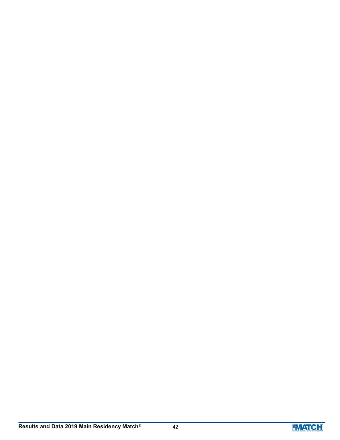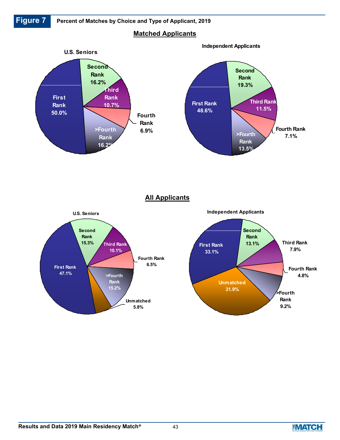#### **Percent of Matches by Choice and Type of Applicant, 2019 Figure 7**

### **Matched Applicants**



**All Applicants**



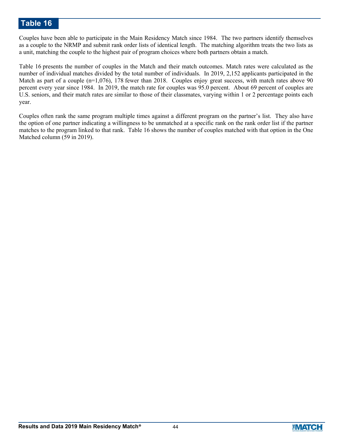## **Table 16**

Couples have been able to participate in the Main Residency Match since 1984. The two partners identify themselves as a couple to the NRMP and submit rank order lists of identical length. The matching algorithm treats the two lists as a unit, matching the couple to the highest pair of program choices where both partners obtain a match.

Table 16 presents the number of couples in the Match and their match outcomes. Match rates were calculated as the number of individual matches divided by the total number of individuals. In 2019, 2,152 applicants participated in the Match as part of a couple  $(n=1,076)$ , 178 fewer than 2018. Couples enjoy great success, with match rates above 90 percent every year since 1984. In 2019, the match rate for couples was 95.0 percent. About 69 percent of couples are U.S. seniors, and their match rates are similar to those of their classmates, varying within 1 or 2 percentage points each year.

Couples often rank the same program multiple times against a different program on the partner's list. They also have the option of one partner indicating a willingness to be unmatched at a specific rank on the rank order list if the partner matches to the program linked to that rank. Table 16 shows the number of couples matched with that option in the One Matched column (59 in 2019).

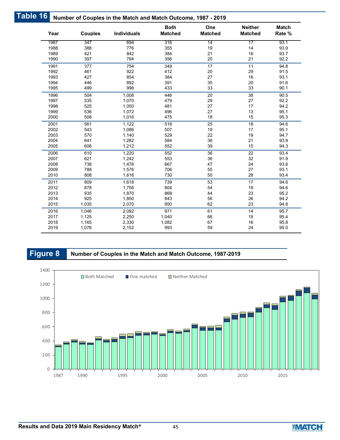| Year | <b>Couples</b> | <b>Individuals</b> | <b>Both</b><br><b>Matched</b> | One<br><b>Matched</b> | <b>Neither</b><br><b>Matched</b> | <b>Match</b><br>Rate % |
|------|----------------|--------------------|-------------------------------|-----------------------|----------------------------------|------------------------|
| 1987 | 347            | 694                | 316                           | 14                    | 17                               | 93.1                   |
| 1988 | 388            | 776                | 355                           | 19                    | 14                               | 93.9                   |
| 1989 | 421            | 842                | 384                           | 21                    | 16                               | 93.7                   |
| 1990 | 397            | 794                | 356                           | 20                    | 21                               | 92.2                   |
| 1991 | 377            | 754                | 349                           | 17                    | 11                               | 94.8                   |
| 1992 | 461            | 922                | 412                           | 20                    | 29                               | 91.5                   |
| 1993 | 427            | 854                | 384                           | 27                    | 16                               | 93.1                   |
| 1994 | 446            | 892                | 391                           | 35                    | 20                               | 91.6                   |
| 1995 | 499            | 998                | 433                           | 33                    | 33                               | 90.1                   |
| 1996 | 504            | 1,008              | 446                           | 20                    | 38                               | 90.5                   |
| 1997 | 535            | 1,070              | 479                           | 29                    | 27                               | 92.2                   |
| 1998 | 525            | 1,050              | 481                           | 27                    | 17                               | 94.2                   |
| 1999 | 536            | 1,072              | 496                           | 27                    | 13                               | 95.1                   |
| 2000 | 508            | 1,016              | 475                           | 18                    | 15                               | 95.3                   |
| 2001 | 561            | 1,122              | 518                           | 25                    | 18                               | 94.6                   |
| 2002 | 543            | 1,086              | 507                           | 19                    | 17                               | 95.1                   |
| 2003 | 570            | 1,140              | 529                           | 22                    | 19                               | 94.7                   |
| 2004 | 641            | 1,282              | 584                           | 36                    | 21                               | 93.9                   |
| 2005 | 606            | 1,212              | 552                           | 39                    | 15                               | 94.3                   |
| 2006 | 610            | 1,220              | 552                           | 36                    | 22                               | 93.4                   |
| 2007 | 621            | 1,242              | 553                           | 36                    | 32                               | 91.9                   |
| 2008 | 738            | 1,476              | 667                           | 47                    | 24                               | 93.6                   |
| 2009 | 788            | 1,576              | 706                           | 55                    | 27                               | 93.1                   |
| 2010 | 808            | 1,616              | 730                           | 50                    | 28                               | 93.4                   |
| 2011 | 809            | 1,618              | 739                           | 53                    | 17                               | 94.6                   |
| 2012 | 878            | 1,756              | 804                           | 54                    | 19                               | 94.6                   |
| 2013 | 935            | 1,870              | 868                           | 44                    | 23                               | 95.2                   |
| 2014 | 925            | 1,850              | 843                           | 56                    | 26                               | 94.2                   |
| 2015 | 1,035          | 2,070              | 950                           | 62                    | 23                               | 94.8                   |
| 2016 | 1,046          | 2,092              | 971                           | 61                    | 14                               | 95.7                   |
| 2017 | 1,125          | 2,250              | 1,040                         | 66                    | 19                               | 95.4                   |
| 2018 | 1,165          | 2,330              | 1,082                         | 67                    | 16                               | 95.8                   |
| 2019 | 1,076          | 2,152              | 993                           | 59                    | 24                               | 95.0                   |



**Tabl** 

## **Figure 8 Number of Couples in the Match and Match Outcome, 1987-2019**



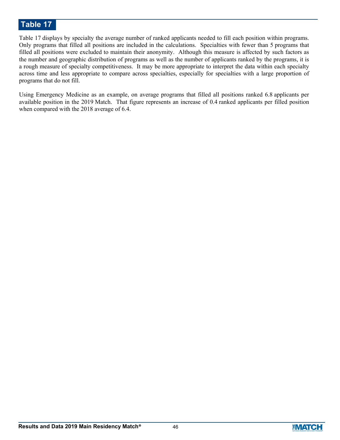## **Table 17**

Table 17 displays by specialty the average number of ranked applicants needed to fill each position within programs. Only programs that filled all positions are included in the calculations. Specialties with fewer than 5 programs that filled all positions were excluded to maintain their anonymity. Although this measure is affected by such factors as the number and geographic distribution of programs as well as the number of applicants ranked by the programs, it is a rough measure of specialty competitiveness. It may be more appropriate to interpret the data within each specialty across time and less appropriate to compare across specialties, especially for specialties with a large proportion of programs that do not fill.

Using Emergency Medicine as an example, on average programs that filled all positions ranked 6.8 applicants per available position in the 2019 Match. That figure represents an increase of 0.4 ranked applicants per filled position when compared with the 2018 average of 6.4.

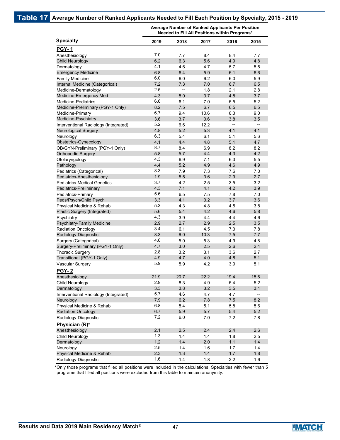### **Table 17 Average Number of Ranked Applicants Needed to Fill Each Position by Specialty, 2015 - 2019**

|                                                           |            |                          |             | Needed to Fill All Positions within Programs* |                |
|-----------------------------------------------------------|------------|--------------------------|-------------|-----------------------------------------------|----------------|
| <b>Specialty</b>                                          | 2019       | 2018                     | 2017        | 2016                                          | 2015           |
| PGY-1                                                     |            |                          |             |                                               |                |
| Anesthesiology                                            | 7.0        | 7.7                      | 8.4         | 8.4                                           | 7.7            |
| <b>Child Neurology</b>                                    | 6.2        | 6.3                      | 5.6         | 4.9                                           | 4.8            |
| Dermatology                                               | 4.1        | 4.6                      | 4.7         | 5.7                                           | 5.5            |
| <b>Emergency Medicine</b>                                 | 6.8        | 6.4                      | 5.9         | 6.1                                           | 6.6            |
| <b>Family Medicine</b>                                    | 6.0        | 6.0                      | 6.2         | 6.0                                           | 5.9            |
| Internal Medicine (Categorical)                           | 7.2        | 7.3                      | 7.0         | 6.7                                           | 6.5            |
| Medicine-Dermatology                                      | 2.5        | $\overline{\phantom{a}}$ | 1.8         | 2.1                                           | 2.8            |
| Medicine-Emergency Med                                    | 4.3        | 5.0                      | 3.7         | 4.8                                           | 3.7            |
| Medicine-Pediatrics                                       | 6.6        | 6.1                      | 7.0         | 5.5                                           | 5.2            |
| Medicine-Preliminary (PGY-1 Only)                         | 8.2        | 7.5                      | 6.7         | 6.5                                           | 6.5            |
| Medicine-Primary                                          | 6.7        | 9.4                      | 10.6        | 8.3                                           | 9.0            |
| Medicine-Psychiatry                                       | 3.6        | 3.7                      | 3.6         | 3.8                                           | 3.5            |
| Interventional Radiology (Integrated)                     | 5.2        | 6.6                      | 12.2        | $\overline{\phantom{a}}$                      | $\overline{a}$ |
| Neurological Surgery                                      | 4.8        | 5.2                      | 5.3         | 4.1                                           | 4.1            |
| Neurology                                                 | 6.3        | 5.4                      | 6.1         | 5.1                                           | 5.6            |
| Obstetrics-Gynecology                                     | 4.1        | 4.4                      | 4.8         | 5.1                                           | 4.7            |
| OB/GYN-Preliminary (PGY-1 Only)                           | 8.7        | 8.4                      | 6.9         | 8.2                                           | 8.2            |
| <b>Orthopedic Surgery</b>                                 | 5.8        | 5.7                      | 4.4         | 4.3                                           | 4.2            |
| Otolaryngology                                            | 4.3        | 6.9                      | 7.1         | 6.3                                           | 5.5            |
| Pathology                                                 | 4.4        | 5.2                      | 4.9         | 4.6                                           | 4.9            |
| Pediatrics (Categorical)                                  | 8.3        | 7.9                      | 7.3         | 7.6                                           | 7.0            |
| Pediatrics-Anesthesiology                                 | 1.9        | 5.5                      | 3.6         | 2.9                                           | 2.7            |
| <b>Pediatrics-Medical Genetics</b>                        | 3.7        | 4.2                      | 2.5         | 3.5                                           | 3.2            |
| Pediatrics-Preliminary                                    | 4.3        | 7.1                      | 4.1         | 4.2                                           | 3.9            |
| Pediatrics-Primary                                        | 5.6        | 6.5                      | 7.5         | 7.8                                           | 7.0            |
| Peds/Psych/Child Psych                                    | 3.3        | 4.1                      | 3.2         | 3.7                                           | 3.6            |
| Physical Medicine & Rehab                                 | 5.3        | 4.3                      | 4.8         | 4.5                                           | 3.8            |
| Plastic Surgery (Integrated)                              | 5.6<br>4.3 | 5.4                      | 4.2         | 4.6                                           | 5.8            |
| Psychiatry                                                | 2.9        | 3.9                      | 4.4         | 4.4                                           | 4.6            |
| Psychiatry-Family Medicine                                | 3.4        | 2.7                      | 2.9         | 2.5                                           | 3.5            |
| <b>Radiation Oncology</b>                                 | 8.3        | 6.1<br>6.0               | 4.5<br>10.3 | 7.3<br>7.5                                    | 7.8<br>7.7     |
| Radiology-Diagnostic                                      | 4.6        | 5.0                      |             |                                               |                |
| Surgery (Categorical)<br>Surgery-Preliminary (PGY-1 Only) | 4.7        | 3.0                      | 5.3<br>2.5  | 4.9<br>2.6                                    | 4.8<br>2.4     |
| <b>Thoracic Surgery</b>                                   | 2.8        | 3.2                      | 3.1         | 3.6                                           | 2.7            |
| Transitional (PGY-1 Only)                                 | 4.9        | 4.7                      | 4.0         | 4.8                                           | 5.1            |
| <b>Vascular Surgery</b>                                   | 5.9        | 5.9                      | 4.2         | 3.9                                           | 5.1            |
|                                                           |            |                          |             |                                               |                |
| <b>PGY-2</b>                                              |            |                          |             |                                               |                |
| Anesthesiology                                            | 21.9       | 20.7                     | 22.2        | 19.4                                          | 15.6           |
| Child Neurology                                           | 2.9        | 8.3                      | 4.9         | 5.4                                           | 5.2            |
| Dermatology                                               | 3.3        | 3.8                      | 3.2         | 3.5                                           | 3.1            |
| Interventional Radiology (Integrated)                     | 5.7        | 4.6                      | 4.7         | 4.7                                           | --             |
| Neurology                                                 | 7.9<br>6.8 | 6.2                      | 7.8         | 7.5                                           | 8.2            |
| Physical Medicine & Rehab                                 | 6.7        | 5.4<br>5.9               | 5.1<br>5.7  | 5.8<br>5.4                                    | 5.6<br>5.2     |
| <b>Radiation Oncology</b>                                 | 7.2        |                          |             |                                               |                |
| Radiology-Diagnostic                                      |            | 6.0                      | 7.0         | 7.2                                           | 7.8            |
| Physician (R)*                                            |            |                          |             |                                               |                |
| Anesthesiology                                            | 2.1        | 2.5                      | 2.4         | 2.4                                           | 2.6            |
| Child Neurology                                           | 1.3        | 1.4                      | 1.4         | 1.8                                           | 2.5            |
| Dermatology                                               | 1.2        | 1.4                      | 2.0         | 1.1                                           | 1.4            |
| Neurology                                                 | 2.5        | 1.4                      | 1.6         | 1.7                                           | 1.4            |
| Physical Medicine & Rehab                                 | 2.3        | 1.3                      | 1.4         | 1.7                                           | 1.8            |
| Radiology-Diagnostic                                      | 1.6        | 1.4                      | 1.8         | 2.2                                           | 1.6            |

**Average Number of Ranked Applicants Per Position** 

Only those programs that filled all positions were included in the calculations. Specialties with fewer than 5 \* programs that filled all positions were excluded from this table to maintain anonymity.

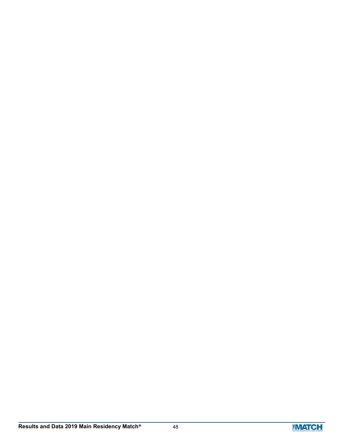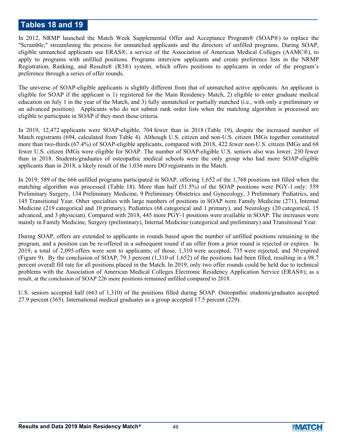## **Tables 18 and 19**

In 2012, NRMP launched the Match Week Supplemental Offer and Acceptance Program® (SOAP®) to replace the "Scramble," streamlining the process for unmatched applicants and the directors of unfilled programs. During SOAP, eligible unmatched applicants use ERAS®, a service of the Association of American Medical Colleges (AAMC®), to apply to programs with unfilled positions. Programs interview applicants and create preference lists in the NRMP Registration, Ranking, and Results® (R3®) system, which offers positions to applicants in order of the program's preference through a series of offer rounds.

The universe of SOAP-eligible applicants is slightly different from that of unmatched active applicants. An applicant is eligible for SOAP if the applicant is 1) registered for the Main Residency Match, 2) eligible to enter graduate medical education on July 1 in the year of the Match, and 3) fully unmatched or partially matched (i.e., with only a preliminary or an advanced position). Applicants who do not submit rank order lists when the matching algorithm is processed are eligible to participate in SOAP if they meet those criteria.

In 2019, 12,472 applicants were SOAP-eligible, 704 fewer than in 2018 (Table 19), despite the increased number of Match registrants (694, calculated from Table 4). Although U.S. citizen and non-U.S. citizen IMGs together constituted more than two-thirds (67.4%) of SOAP-eligible applicants, compared with 2018, 422 fewer non-U.S. citizen IMGs and 68 fewer U.S. citizen IMGs were eligible for SOAP. The number of SOAP-eligible U.S. seniors also was lower, 230 fewer than in 2018. Students/graduates of osteopathic medical schools were the only group who had more SOAP-eligible applicants than in 2018, a likely result of the 1,036 more DO registrants in the Match.

In 2019, 589 of the 666 unfilled programs participated in SOAP, offering 1,652 of the 1,768 positions not filled when the matching algorithm was processed (Table 18). More than half (51.5%) of the SOAP positions were PGY-1 only: 559 Preliminary Surgery, 134 Preliminary Medicine, 9 Preliminary Obstetrics and Gynecology, 3 Preliminary Pediatrics, and 145 Transitional Year. Other specialties with large numbers of positions in SOAP were Family Medicine (271), Internal Medicine (219 categorical and 10 primary), Pediatrics (68 categorical and 1 primary), and Neurology (20 categorical, 15 advanced, and 3 physician). Compared with 2018, 445 more PGY-1 positions were available in SOAP. The increases were mainly in Family Medicine, Surgery (preliminary), Internal Medicine (categorical and preliminary) and Transitional Year.

During SOAP, offers are extended to applicants in rounds based upon the number of unfilled positions remaining in the program, and a position can be re-offered in a subsequent round if an offer from a prior round is rejected or expires. In 2019, a total of 2,095 offers were sent to applicants; of those, 1,310 were accepted, 735 were rejected, and 50 expired (Figure 9). By the conclusion of SOAP, 79.3 percent (1,310 of 1,652) of the positions had been filled, resulting in a 98.7 percent overall fill rate for all positions placed in the Match. In 2019, only two offer rounds could be held due to technical problems with the Association of American Medical Colleges Electronic Residency Application Service (ERAS®); as a result, at the conclusion of SOAP 226 more positions remained unfilled compared to 2018.

U.S. seniors accepted half (663 of 1,310) of the positions filled during SOAP. Osteopathic students/graduates accepted 27.9 percent (365). International medical graduates as a group accepted 17.5 percent (229).

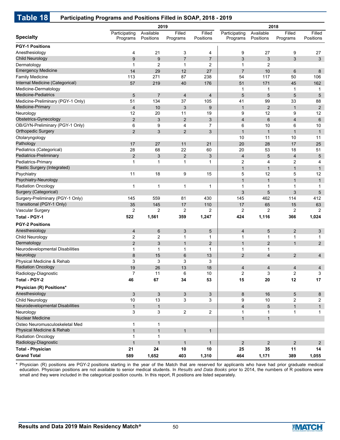## **Table 18 Participating Programs and Positions Filled in SOAP, 2018 - 2019**

|                                   |                |                | 2019           |                |                |                | 2018            |                |
|-----------------------------------|----------------|----------------|----------------|----------------|----------------|----------------|-----------------|----------------|
|                                   | Participating  | Available      | Filled         | Filled         | Participating  | Available      | Filled          | Filled         |
| <b>Specialty</b>                  | Programs       | Positions      | Programs       | Positions      | Programs       | Positions      | Programs        | Positions      |
| <b>PGY-1 Positions</b>            |                |                |                |                |                |                |                 |                |
| Anesthesiology                    | 4              | 21             | 3              | 4              | 9              | 27             | 9               | 27             |
| <b>Child Neurology</b>            | 9              | 9              | $\overline{7}$ | $\overline{7}$ | 3              | 3              | 3               | 3              |
| Dermatology                       | $\mathbf{1}$   | $\overline{2}$ | $\mathbf{1}$   | 2              | 1              | $\overline{2}$ |                 |                |
| <b>Emergency Medicine</b>         | 14             | 29             | 12             | 27             | $\overline{7}$ | 10             | $6\phantom{1}6$ | 8              |
| <b>Family Medicine</b>            | 113            | 271            | 87             | 238            | 54             | 117            | 50              | 106            |
| Internal Medicine (Categorical)   | 57             | 219            | 40             | 176            | 51             | 171            | 45              | 162            |
| Medicine-Dermatology              |                |                |                |                | $\mathbf 1$    | 1              | $\mathbf{1}$    | $\mathbf{1}$   |
| <b>Medicine-Pediatrics</b>        | 5              | $\overline{7}$ | $\overline{4}$ | 4              | 5              | 5              | 5               | 5              |
| Medicine-Preliminary (PGY-1 Only) | 51             | 134            | 37             | 105            | 41             | 99             | 33              | 88             |
| Medicine-Primary                  | $\overline{4}$ | 10             | 3              | 9              | $\mathbf{1}$   | $\overline{2}$ | $\mathbf{1}$    | 2              |
| Neurology                         | 12             | 20             | 11             | 19             | 9              | 12             | 9               | 12             |
| Obstetrics-Gynecology             | $\overline{2}$ | 3              | $\overline{2}$ | 3              | $\overline{4}$ | $6\phantom{1}$ | $\overline{4}$  | 6              |
| OB/GYN-Preliminary (PGY-1 Only)   | 6              | 9              | 4              | 7              | 6              | 10             | 6               | 10             |
| <b>Orthopedic Surgery</b>         | $\overline{2}$ | 3              | $\overline{2}$ | 3              | $\mathbf{1}$   | $\overline{1}$ | $\mathbf{1}$    | $\mathbf{1}$   |
| Otolaryngology                    |                |                |                |                | 10             | 11             | 10              | 11             |
| Pathology                         | 17             | 27             | 11             | 21             | 20             | 28             | 17              | 25             |
| Pediatrics (Categorical)          | 28             | 68             | 22             | 60             | 20             | 53             | 18              | 51             |
| Pediatrics-Preliminary            | $\overline{2}$ | 3              | $\overline{2}$ | 3              | $\overline{4}$ | 5              | $\overline{4}$  | 5              |
| Pediatrics-Primary                | $\mathbf{1}$   | $\mathbf 1$    | $\mathbf 1$    | 1              | 2              | $\overline{4}$ | 2               | 4              |
| Plastic Surgery (Integrated)      |                |                |                |                | $\mathbf{1}$   | $\mathbf{1}$   | $\mathbf{1}$    | $\mathbf{1}$   |
| Psychiatry                        | 11             | 18             | 9              | 15             | 5              | 12             | 5               | 12             |
| Psychiatry-Neurology              |                |                |                |                | $\overline{1}$ | $\overline{1}$ | $\overline{1}$  | $\mathbf{1}$   |
| <b>Radiation Oncology</b>         | 1              | $\mathbf 1$    | 1              | 1              | 1              | $\mathbf{1}$   | $\mathbf 1$     | 1              |
| Surgery (Categorical)             |                |                |                |                | 3              | 5              | 3               | 5              |
| Surgery-Preliminary (PGY-1 Only)  | 145            | 559            | 81             | 430            | 145            | 462            | 114             | 412            |
| Transitional (PGY-1 Only)         | 35             | 145            | 17             | 110            | 17             | 65             | 15              | 63             |
| Vascular Surgery                  | 2              | $\overline{2}$ | 2              | 2              | 2              | $\overline{2}$ | $\overline{c}$  | 2              |
| Total - PGY-1                     | 522            | 1,561          | 359            | 1,247          | 424            | 1,116          | 366             | 1,024          |
|                                   |                |                |                |                |                |                |                 |                |
| <b>PGY-2 Positions</b>            |                |                |                |                |                |                |                 |                |
| Anesthesiology                    | $\overline{4}$ | 6              | 3              | 5              | 4              | 5              | $\overline{2}$  | 3              |
| Child Neurology                   | $\overline{2}$ | $\overline{2}$ | $\mathbf 1$    | 1              | $\mathbf{1}$   | $\mathbf{1}$   | $\mathbf{1}$    | 1              |
| Dermatology                       | $\overline{2}$ | 3              | $\mathbf{1}$   | $\overline{2}$ | 1              | $\overline{2}$ | $\overline{1}$  | $\overline{2}$ |
| Neurodevelopmental Disabilities   | $\mathbf{1}$   | $\overline{1}$ | $\mathbf{1}$   | 1              | 1              | $\mathbf{1}$   |                 |                |
| Neurology                         | 8              | 15             | $6\phantom{1}$ | 13             | $\overline{2}$ | $\overline{4}$ | $\overline{2}$  | $\overline{4}$ |
| Physical Medicine & Rehab         | 3              | 3              | 3              | 3              |                |                |                 |                |
| <b>Radiation Oncology</b>         | 19             | 26             | 13             | 18             | $\overline{4}$ | $\overline{4}$ | $\overline{4}$  | $\overline{4}$ |
| Radiology-Diagnostic              | $\overline{7}$ | 11             | 6              | 10             | 2              | 3              | $\overline{2}$  | 3              |
| Total - PGY-2                     | 46             | 67             | 34             | 53             | 15             | 20             | 12              | 17             |
| Physician (R) Positions*          |                |                |                |                |                |                |                 |                |
| Anesthesiology                    | 3              | 3              | $\sqrt{3}$     | 3              | 8              | 16             | $\overline{5}$  | 8              |
| Child Neurology                   | 10             | 13             | 3              | 3              | 9              | 10             | $\overline{2}$  | 2              |
| Neurodevelopmental Disabilities   | $\mathbf{1}$   | $\mathbf{1}$   |                |                | $\overline{4}$ | 5              | $\overline{1}$  | $\mathbf{1}$   |
| Neurology                         | 3              | 3              | $\overline{c}$ | $\overline{2}$ | 1              | $\mathbf{1}$   | $\mathbf{1}$    | $\mathbf{1}$   |
| Nuclear Medicine                  |                |                |                |                | $\mathbf{1}$   | $\mathbf{1}$   |                 |                |
| Osteo Neuromusculoskeletal Med    | 1              | $\mathbf 1$    |                |                |                |                |                 |                |
| Physical Medicine & Rehab         | $\mathbf{1}$   | $\mathbf{1}$   | $\mathbf{1}$   | $\mathbf{1}$   |                |                |                 |                |
| Radiation Oncology                | 1              | $\mathbf{1}$   |                |                |                |                |                 |                |
| Radiology-Diagnostic              | $\mathbf{1}$   | $\mathbf{1}$   | $\mathbf{1}$   | $\mathbf{1}$   | 2              | $\overline{2}$ | $\overline{2}$  | $\overline{2}$ |
| <b>Total - Physician</b>          | 21             | 24             | 10             | 10             | 25             | 35             | 11              | 14             |
| <b>Grand Total</b>                | 589            | 1,652          | 403            | 1,310          | 464            | 1,171          | 389             | 1,055          |
|                                   |                |                |                |                |                |                |                 |                |

Physician (R) positions are PGY-2 positions starting in the year of the Match that are reserved for applicants who have had prior graduate medical education. Physician positions are not available to senior medical students. In *Results and Data Books* prior to 2014, the numbers of R positions were small and they were included in the categorical position counts. In this report, R positions are listed separately. \*

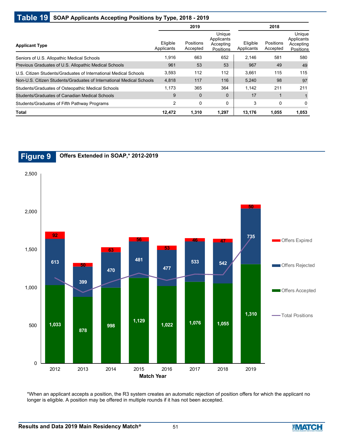## **Table 19 SOAP Applicants Accepting Positions by Type, 2018 - 2019**

|                                                                      |                        | 2019                  |                                                |                        | 2018                  |                                                |  |
|----------------------------------------------------------------------|------------------------|-----------------------|------------------------------------------------|------------------------|-----------------------|------------------------------------------------|--|
| <b>Applicant Type</b>                                                | Eligible<br>Applicants | Positions<br>Accepted | Unique<br>Applicants<br>Accepting<br>Positions | Eligible<br>Applicants | Positions<br>Accepted | Unique<br>Applicants<br>Accepting<br>Positions |  |
| Seniors of U.S. Allopathic Medical Schools                           | 1,916                  | 663                   | 652                                            | 2.146                  | 581                   | 580                                            |  |
| Previous Graduates of U.S. Allopathic Medical Schools                | 961                    | 53                    | 53                                             | 967                    | 49                    | 49                                             |  |
| U.S. Citizen Students/Graduates of International Medical Schools     | 3,593                  | 112                   | 112                                            | 3.661                  | 115                   | 115                                            |  |
| Non-U.S. Citizen Students/Graduates of International Medical Schools | 4,818                  | 117                   | 116                                            | 5,240                  | 98                    | 97                                             |  |
| Students/Graduates of Osteopathic Medical Schools                    | 1,173                  | 365                   | 364                                            | 1,142                  | 211                   | 211                                            |  |
| Students/Graduates of Canadian Medical Schools                       | 9                      | $\Omega$              | $\Omega$                                       | 17                     |                       |                                                |  |
| Students/Graduates of Fifth Pathway Programs                         | $\overline{2}$         | 0                     | $\Omega$                                       | 3                      | $\Omega$              | $\Omega$                                       |  |
| <b>Total</b>                                                         | 12,472                 | 1,310                 | 1,297                                          | 13,176                 | 1,055                 | 1,053                                          |  |



\*When an applicant accepts a position, the R3 system creates an automatic rejection of position offers for which the applicant no longer is eligible. A position may be offered in multiple rounds if it has not been accepted.

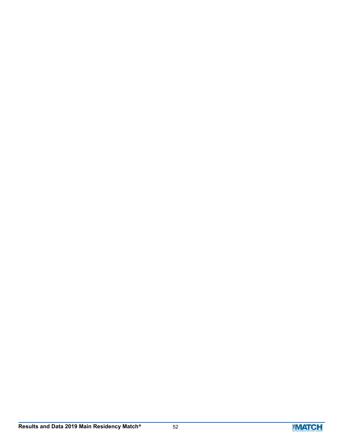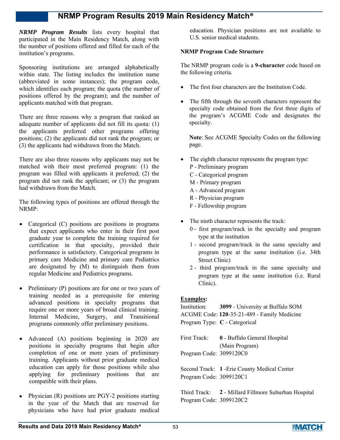*NRMP Program Results* lists every hospital that participated in the Main Residency Match, along with the number of positions offered and filled for each of the institution's programs.

Sponsoring institutions are arranged alphabetically within state. The listing includes the institution name (abbreviated in some instances); the program code, which identifies each program; the quota (the number of positions offered by the program); and the number of applicants matched with that program.

There are three reasons why a program that ranked an adequate number of applicants did not fill its quota: (1) the applicants preferred other programs offering positions; (2) the applicants did not rank the program; or (3) the applicants had withdrawn from the Match.

There are also three reasons why applicants may not be matched with their most preferred program: (1) the program was filled with applicants it preferred; (2) the program did not rank the applicant; or (3) the program had withdrawn from the Match.

The following types of positions are offered through the NRMP:

- Categorical (C) positions are positions in programs that expect applicants who enter in their first post graduate year to complete the training required for certification in that specialty, provided their performance is satisfactory. Categorical programs in primary care Medicine and primary care Pediatrics are designated by (M) to distinguish them from regular Medicine and Pediatrics programs.
- Preliminary (P) positions are for one or two years of training needed as a prerequisite for entering advanced positions in specialty programs that require one or more years of broad clinical training. Internal Medicine, Surgery, and Transitional programs commonly offer preliminary positions.
- Advanced (A) positions beginning in 2020 are positions in specialty programs that begin after completion of one or more years of preliminary training. Applicants without prior graduate medical education can apply for those positions while also applying for preliminary positions that are compatible with their plans.
- Physician (R) positions are PGY-2 positions starting in the year of the Match that are reserved for physicians who have had prior graduate medical

education. Physician positions are not available to U.S. senior medical students.

### **NRMP Program Code Structure**

The NRMP program code is a **9-character** code based on the following criteria.

- The first four characters are the Institution Code.
- The fifth through the seventh characters represent the specialty code obtained from the first three digits of the program's ACGME Code and designates the specialty.

**Note**: See ACGME Specialty Codes on the following page.

- The eighth character represents the program type:
	- P Preliminary program
	- C Categorical program
	- M Primary program
	- A Advanced program
	- R Physician program
	- F Fellowship program
- The ninth character represents the track:
	- 0 first program/track in the specialty and program type at the institution
	- 1 second program/track in the same specialty and program type at the same institution (i.e. 34th Street Clinic)
	- 2 third program/track in the same specialty and program type at the same institution (i.e. Rural Clinic).

### **Examples:**

| Institution: <b>3099</b> - University at Buffalo SOM |
|------------------------------------------------------|
| ACGME Code: 120-35-21-489 - Family Medicine          |
| Program Type: C - Categorical                        |
|                                                      |

| First Track:            | 0 - Buffalo General Hospital |
|-------------------------|------------------------------|
|                         | (Main Program)               |
| Program Code: 3099120C0 |                              |

Second Track: **1** -Erie County Medical Center Program Code: 3099120C1

Third Track: **2** - Millard Fillmore Suburban Hospital Program Code: 3099120C2

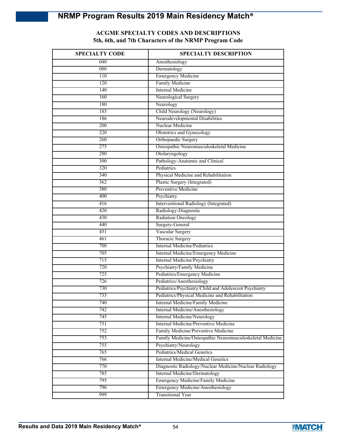### **ACGME SPECIALTY CODES AND DESCRIPTIONS 5th, 6th, and 7th Characters of the NRMP Program Code**

| <b>SPECIALTY CODE</b> | <b>SPECIALTY DESCRIPTION</b>                              |
|-----------------------|-----------------------------------------------------------|
| 040                   | Anesthesiology                                            |
| 080                   | Dermatology                                               |
| 110                   | <b>Emergency Medicine</b>                                 |
| 120                   | Family Medicine                                           |
| 140                   | Internal Medicine                                         |
| 160                   | Neurological Surgery                                      |
| 180                   | Neurology                                                 |
| 185                   | Child Neurology (Neurology)                               |
| 186                   | Neurodevelopmental Disabilities                           |
| 200                   | Nuclear Medicine                                          |
| 220                   | Obstetrics and Gynecology                                 |
| 260                   | Orthopaedic Surgery                                       |
| 275                   | Osteopathic Neuromusculoskeletal Medicine                 |
| 280                   | Otolaryngology                                            |
| 300                   | Pathology-Anatomic and Clinical                           |
| 320                   | Pediatrics                                                |
| 340                   | Physical Medicine and Rehabilitation                      |
| 362                   | Plastic Surgery (Integrated)                              |
| 380                   | Preventive Medicine                                       |
| 400                   | Psychiatry                                                |
| 416                   | Interventional Radiology (Integrated)                     |
| 420                   | Radiology-Diagnostic                                      |
| 430                   | Radiation Oncology                                        |
| 440                   | Surgery-General                                           |
| 451                   | Vascular Surgery                                          |
| 461                   | Thoracic Surgery                                          |
| 700                   | <b>Internal Medicine/Pediatrics</b>                       |
| 705                   | Internal Medicine/Emergency Medicine                      |
| 715                   | Internal Medicine/Psychiatry                              |
| 720                   | Psychiatry/Family Medicine                                |
| 725                   | Pediatrics/Emergency Medicine                             |
| 726                   | Pediatrics/Anesthesiology                                 |
| 730                   | Pediatrics/Psychiatry/Child and Adolescent Psychiatry     |
| 735                   | Pediatrics/Physical Medicine and Rehabilitation           |
| 740                   | Internal Medicine/Family Medicine                         |
| 742                   | Internal Medicine/Anesthesiology                          |
| 745                   | <b>Internal Medicine/Neurology</b>                        |
| 751                   | Internal Medicine/Preventive Medicine                     |
| 752                   | Family Medicine/Preventive Medicine                       |
| 753                   | Family Medicine/Osteopathic Neuromusculoskeletal Medicine |
| 755                   | Psychiatry/Neurology                                      |
| 765                   | Pediatrics/Medical Genetics                               |
| 766                   | <b>Internal Medicine/Medical Genetics</b>                 |
| 770                   | Diagnostic Radiology/Nuclear Medicine/Nuclear Radiology   |
| 785                   | Internal Medicine/Dermatology                             |
| 795                   | Emergency Medicine/Family Medicine                        |
| 796                   | Emergency Medicine/Anesthesiology                         |
| 999                   | <b>Transitional Year</b>                                  |

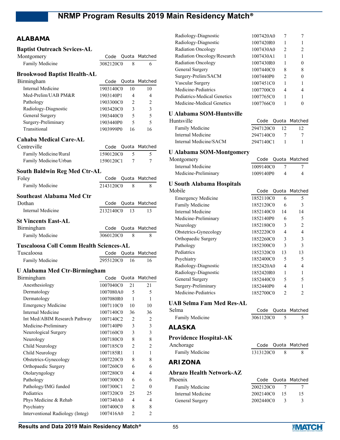### **ALABAMA**

#### **Baptist Outreach Sevices-AL**

| Montgomery      |           | Code Quota Matched |
|-----------------|-----------|--------------------|
| Family Medicine | 3082120C0 |                    |

#### **Brookwood Baptist Health-AL**

| Birmingham           | Code      |               | Quota Matched |
|----------------------|-----------|---------------|---------------|
| Internal Medicine    | 1903140C0 | 10            | 10            |
| Med-Prelim/UAB PM&R  | 1903140P1 | 4             | 4             |
| Pathology            | 1903300C0 | $\mathcal{P}$ | $\mathcal{P}$ |
| Radiology-Diagnostic | 1903420C0 | 3             | 3             |
| General Surgery      | 1903440C0 | 5             | 5             |
| Surgery-Preliminary  | 1903440P0 | 5             | 5             |
| Transitional         | 1903999P0 |               |               |

#### **Cahaba Medical Care-AL**

| Centreville           |           | Code Quota Matched |
|-----------------------|-----------|--------------------|
| Family Medicine/Rural | 1590120C0 |                    |
| Family Medicine/Urban | 1590120C1 |                    |

#### **South Baldwin Reg Med Ctr-AL**

| Foley                      |           |                | Code Ouota Matched |
|----------------------------|-----------|----------------|--------------------|
| Family Medicine            | 2143120C0 | 8              | 8                  |
| Southeast Alabama Med Ctr  |           |                |                    |
| Dothan                     | Code      |                | Quota Matched      |
| Internal Medicine          | 2132140C0 | $\frac{13}{2}$ | 13                 |
| <b>St Vincents East-AL</b> |           |                |                    |
| Birmingham                 | Code      |                | Ouota Matched      |
| <b>Family Medicine</b>     | 3060120C0 | 8              | 8                  |

### **Tuscaloosa Coll Comm Health Sciences-AL**

| Tuscaloosa      |              | Code Quota Matched |
|-----------------|--------------|--------------------|
| Family Medicine | 2955120C0 16 |                    |

#### **U Alabama Med Ctr-Birmingham**

| Birmingham                       | Code      |                | Quota Matched            |
|----------------------------------|-----------|----------------|--------------------------|
| Anesthesiology                   | 1007040C0 | 21             | 21                       |
| Dermatology                      | 1007080A0 | 5              | $\overline{\phantom{0}}$ |
| Dermatology                      | 1007080R0 | 1              | 1                        |
| <b>Emergency Medicine</b>        | 1007110C0 | 10             | 10                       |
| Internal Medicine                | 1007140C0 | 36             | 36                       |
| Int Med/ABIM Research Pathway    | 1007140C2 | 2              | 2                        |
| Medicine-Preliminary             | 1007140P0 | 3              | 3                        |
| Neurological Surgery             | 1007160C0 | 3              | 3                        |
| Neurology                        | 1007180C0 | 8              | 8                        |
| Child Neurology                  | 1007185C0 | $\mathfrak{D}$ | $\mathfrak{D}$           |
| Child Neurology                  | 1007185R1 | 1              | 1                        |
| Obstetrics-Gynecology            | 1007220C0 | 8              | 8                        |
| Orthopaedic Surgery              | 1007260C0 | 6              | 6                        |
| Otolaryngology                   | 1007280C0 | 4              | 4                        |
| Pathology                        | 1007300C0 | 6              | 6                        |
| Pathology/IMG funded             | 1007300C1 | $\mathfrak{D}$ | $\Omega$                 |
| Pediatrics                       | 1007320C0 | 25             | 25                       |
| Phys Medicine & Rehab            | 1007340A0 | 4              | 4                        |
| Psychiatry                       | 1007400C0 | 8              | 8                        |
| Interventional Radiology (Integ) | 1007416A0 | $\overline{2}$ | $\overline{c}$           |
|                                  |           |                |                          |

| 8 |
|---|
|   |
|   |
|   |
|   |
|   |
|   |

#### **U Alabama SOM-Huntsville**

| Huntsville             |              |     | Code Quota Matched |
|------------------------|--------------|-----|--------------------|
| <b>Family Medicine</b> | 2947120C0 12 |     |                    |
| Internal Medicine      | 2947140C0    |     |                    |
| Internal Medicine/SACM | 2947140C1    | -1. |                    |

#### **U Alabama SOM-Montgomery**

| Montgomery           |           |          | Code Quota Matched |
|----------------------|-----------|----------|--------------------|
| Internal Medicine    | 1009140C0 |          |                    |
| Medicine-Preliminary | 1009140P0 | $\Delta$ |                    |

## **U South Alabama Hospitals**

| Mobile                    | Code      | Ouota          | Matched        |
|---------------------------|-----------|----------------|----------------|
| <b>Emergency Medicine</b> | 1852110C0 | 6              | 5              |
| Family Medicine           | 1852120C0 | 6              | 3              |
| Internal Medicine         | 1852140C0 | 14             | 14             |
| Medicine-Preliminary      | 1852140P0 | 6              | 5              |
| Neurology                 | 1852180C0 | 3              | $\mathfrak{D}$ |
| Obstetrics-Gynecology     | 1852220C0 | 4              | 4              |
| Orthopaedic Surgery       | 1852260C0 | 3              | 3              |
| Pathology                 | 1852300C0 | 3              | 3              |
| Pediatrics                | 1852320C0 | 13             | 13             |
| Psychiatry                | 1852400C0 | 5              | 5              |
| Radiology-Diagnostic      | 1852420A0 | 4              | 4              |
| Radiology-Diagnostic      | 1852420R0 | 1              |                |
| General Surgery           | 1852440C0 | 5              | 5              |
| Surgery-Preliminary       | 1852440P0 | 4              |                |
| Medicine-Pediatrics       | 1852700C0 | $\mathfrak{D}$ |                |
|                           |           |                |                |

### **UAB Selma Fam Med Res-AL**

| Selma           |           | Code Ouota Matched |
|-----------------|-----------|--------------------|
| Family Medicine | 3061120C0 |                    |

### **ALASKA**

## **Providence Hospital-AK**

| ∧nchorage       |           |  | Code Quota Matched |
|-----------------|-----------|--|--------------------|
| Family Medicine | 1313120C0 |  |                    |

### **ARIZONA**

### **Abrazo Health Network-AZ**

| Phoenix           |             |    | Code Quota Matched |  |
|-------------------|-------------|----|--------------------|--|
| Family Medicine   | 2002120C0 7 |    |                    |  |
| Internal Medicine | 2002140C0   | 15 | 15                 |  |
| General Surgery   | 2002440C0   |    | $\mathcal{R}$      |  |
|                   |             |    |                    |  |

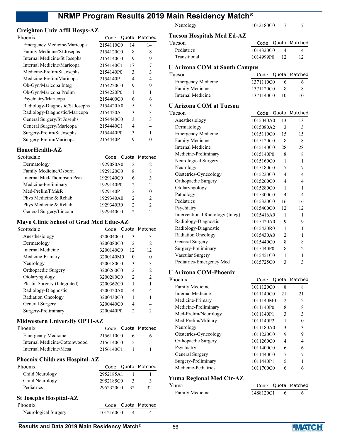### **Creighton Univ Affil Hosps-AZ**

| Phoenix                         | Code      | Quota | Matched |
|---------------------------------|-----------|-------|---------|
| Emergency Medicine/Maricopa     | 2154110C0 | 14    | 14      |
| Family Medicine/St Josephs      | 2154120C0 | 8     | 8       |
| Internal Medicine/St Josephs    | 2154140C0 | 9     | 9       |
| Internal Medicine/Maricopa      | 2154140C1 | 17    | 17      |
| Medicine-Prelim/St Josephs      | 2154140P0 | 3     | 3       |
| Medicine-Prelim/Maricopa        | 2154140P1 | 4     | 4       |
| Ob-Gyn/Maricopa Integ           | 2154220C0 | 9     | 9       |
| Ob-Gyn/Maricopa Prelim          | 2154220P0 | 1     |         |
| Psychiatry/Maricopa             | 2154400C0 | 6     | 6       |
| Radiology-Diagnostic/St Josephs | 2154420A0 | 5     | 5       |
| Radiology-Diagnostic/Maricopa   | 2154420A1 | 3     | 3       |
| General Surgery/St Josephs      | 2154440C0 | 3     | 3       |
| General Surgery/Maricopa        | 2154440C1 | 4     | 4       |
| Surgery-Prelim/St Josephs       | 2154440P0 | 3     |         |
| Surgery-Prelim/Maricopa         | 2154440P1 | 9     |         |

### **HonorHealth-AZ**

| Scottsdale                 |           |                               | Code Quota Matched          |
|----------------------------|-----------|-------------------------------|-----------------------------|
| Dermatology                | 1929080A0 | $\mathfrak{D}_{\mathfrak{p}}$ | $\mathcal{L}$               |
| Family Medicine/Osborn     | 1929120C0 | 8                             | 8                           |
| Internal Med/Thompson Peak | 1929140C0 | 6                             | 3                           |
| Medicine-Preliminary       | 1929140P0 | 2                             | $\mathfrak{D}$              |
| Med-Prelim/PM&R            | 1929140P1 | $\mathcal{P}$                 | $\Omega$                    |
| Phys Medicine & Rehab      | 1929340A0 | $\mathfrak{D}_{\mathfrak{p}}$ | $\mathcal{D}$               |
| Phys Medicine & Rehab      | 1929340R0 | $\mathcal{L}$                 | $\mathcal{D}_{\mathcal{L}}$ |
| General Surgery/Lincoln    | 1929440C0 | $\mathcal{P}$                 | $\mathfrak{D}$              |

### **Mayo Clinic School of Grad Med Educ-AZ**

| Scottsdale                   | Code      |                | Quota Matched |
|------------------------------|-----------|----------------|---------------|
| Anesthesiology               | 3200040C0 | 3              | 3             |
| Dermatology                  | 3200080C0 | 2              | 2             |
| Internal Medicine            | 3200140C0 | 12             | 12            |
| Medicine-Primary             | 3200140M0 | 0              |               |
| Neurology                    | 3200180C0 | 3              | 3             |
| Orthopaedic Surgery          | 3200260C0 | $\mathfrak{D}$ | $\mathcal{P}$ |
| Otolaryngology               | 3200280C0 | 2              | 2             |
| Plastic Surgery (Integrated) | 3200362C0 |                |               |
| Radiology-Diagnostic         | 3200420A0 | 4              |               |
| <b>Radiation Oncology</b>    | 3200430C0 |                |               |
| General Surgery              | 3200440C0 | 4              |               |
| Surgery-Preliminary          | 3200440P0 | C              |               |
|                              |           |                |               |

### **Midwestern University OPTI-AZ**

| Phoenix                       |           | Code Quota Matched |
|-------------------------------|-----------|--------------------|
| <b>Emergency Medicine</b>     | 2156110C0 | 6                  |
| Internal Medicine/Cottonwoood | 2156140C0 |                    |
| Internal Medicine/Mesa        | 2156140C1 |                    |

#### **Phoenix Childrens Hospital-AZ**

| Phoenix                                     |           |               | Code Quota Matched |
|---------------------------------------------|-----------|---------------|--------------------|
| Child Neurology                             | 2952185A1 |               |                    |
| Child Neurology                             | 2952185C0 | $\mathcal{R}$ | 3                  |
| Pediatrics                                  | 2952320C0 | 32            | 32                 |
| $\mathbb{C}$ + Locambe Hoemital $\Lambda$ 7 |           |               |                    |

#### **St Josephs Hospital-AZ**

| Phoenix              |           | Code Quota Matched |
|----------------------|-----------|--------------------|
| Neurological Surgery | 1012160C0 |                    |

Tucson Pediatrics Transitional

### Neurology 1012180C0 7 7

#### **Tucson Hospitals Med Ed-AZ**

|           |                 | Code Ouota Matched |
|-----------|-----------------|--------------------|
| 1014320C0 | 4               | 4                  |
| 1014999P0 | $\overline{12}$ |                    |

#### **U Arizona COM at South Campus**

| Tucson                    |           |     | Code Ouota Matched |
|---------------------------|-----------|-----|--------------------|
| <b>Emergency Medicine</b> | 1371110C0 | 6   |                    |
| Family Medicine           | 1371120C0 | X   |                    |
| Internal Medicine         | 1371140C0 | -10 | 10                 |

#### **U Arizona COM at Tucson**

| $\cdots$                         |           |                |               |
|----------------------------------|-----------|----------------|---------------|
| Tucson                           | Code      |                | Quota Matched |
| Anesthesiology                   | 1015040A0 | 13             | 13            |
| Dermatology                      | 1015080A2 | 3              | 3             |
| <b>Emergency Medicine</b>        | 1015110C0 | 15             | 15            |
| Family Medicine                  | 1015120C0 | 8              | 8             |
| Internal Medicine                | 1015140C0 | 28             | 28            |
| Medicine-Preliminary             | 1015140P0 | 8              | 8             |
| Neurological Surgery             | 1015160C0 | 1              | 1             |
| Neurology                        | 1015180C0 | 7              | 7             |
| Obstetrics-Gynecology            | 1015220C0 | 4              | 4             |
| Orthopaedic Surgery              | 1015260C0 | 4              | 4             |
| Otolaryngology                   | 1015280C0 | 1              | 1             |
| Pathology                        | 1015300C0 | 4              | 4             |
| Pediatrics                       | 1015320C0 | 16             | 16            |
| Psychiatry                       | 1015400C0 | 12             | 12            |
| Interventional Radiology (Integ) | 1015416A0 | 1              | 1             |
| Radiology-Diagnostic             | 1015420A0 | 9              | 9             |
| Radiology-Diagnostic             | 1015420R0 | 1              | 1             |
| <b>Radiation Oncology</b>        | 1015430A0 | $\overline{c}$ | 1             |
| General Surgery                  | 1015440C0 | 8              | 8             |
| Surgery-Preliminary              | 1015440P0 | 8              | 2             |
| Vascular Surgery                 | 1015451C0 | 1              | 1             |
| Pediatrics-Emergency Med         | 1015725C0 | 3              | 3             |
|                                  |           |                |               |

### **U Arizona COM-Phoenix**

| Phoenix                |           |                | Code Ouota Matched |
|------------------------|-----------|----------------|--------------------|
| <b>Family Medicine</b> | 1011120C0 | 8              | 8                  |
| Internal Medicine      | 1011140C0 | 21             | 21                 |
| Medicine-Primary       | 1011140M0 | $\mathfrak{D}$ | $\mathfrak{D}$     |
| Medicine-Preliminary   | 1011140P0 | 8              | 8                  |
| Med-Prelim/Neurology   | 1011140P1 | 3              | 3                  |
| Med-Prelim/Military    | 1011140P2 |                |                    |
| Neurology              | 1011180A0 | 3              | 3                  |
| Obstetrics-Gynecology  | 1011220C0 | 9              | 9                  |
| Orthopaedic Surgery    | 1011260C0 | 4              |                    |
| Psychiatry             | 1011400C0 | 6              | 6                  |
| General Surgery        | 1011440C0 | 7              |                    |
| Surgery-Preliminary    | 1011440P1 | 5              |                    |
| Medicine-Pediatrics    | 1011700C0 | 6              | 6                  |
|                        |           |                |                    |

#### **Yuma Regional Med Ctr-AZ**

| Yuma            |             | Code Ouota Matched |
|-----------------|-------------|--------------------|
| Family Medicine | 1488120C1 6 |                    |

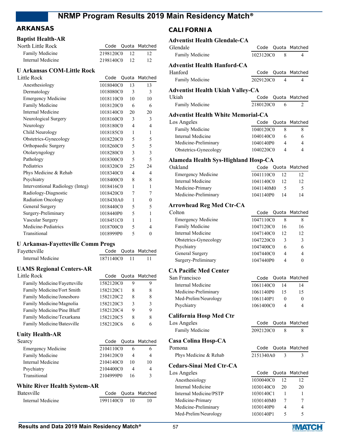### **ARKANSAS**

### **Baptist Health-AR**

| North Little Rock |              |  | Code Ouota Matched |
|-------------------|--------------|--|--------------------|
| Family Medicine   | 2198120C0 12 |  | 12                 |
| Internal Medicine | 2198140C0 12 |  | 12                 |

### **U Arkansas COM-Little Rock**

| Little Rock                      |           |    | Code Quota Matched |
|----------------------------------|-----------|----|--------------------|
| Anesthesiology                   | 1018040C0 | 13 | 13                 |
| Dermatology                      | 1018080C0 | 3  | 3                  |
| <b>Emergency Medicine</b>        | 1018110C0 | 10 | 10                 |
| Family Medicine                  | 1018120C0 | 6  | 6                  |
| Internal Medicine                | 1018140C0 | 20 | 20                 |
| Neurological Surgery             | 1018160C0 | 3  | 3                  |
| Neurology                        | 1018180C0 | 4  | 4                  |
| Child Neurology                  | 1018185C0 | 1  | 1                  |
| Obstetrics-Gynecology            | 1018220C0 | 5  | 5                  |
| Orthopaedic Surgery              | 1018260C0 | 5  | 5                  |
| Otolaryngology                   | 1018280C0 | 3  | 3                  |
| Pathology                        | 1018300C0 | 5  | 5                  |
| Pediatrics                       | 1018320C0 | 25 | 24                 |
| Phys Medicine & Rehab            | 1018340C0 | 4  | 4                  |
| Psychiatry                       | 1018400C0 | 8  | 8                  |
| Interventional Radiology (Integ) | 1018416C0 | 1  | 1                  |
| Radiology-Diagnostic             | 1018420C0 | 7  | 7                  |
| Radiation Oncology               | 1018430A0 | 1  | 0                  |
| General Surgery                  | 1018440C0 | 5  | 5                  |
| Surgery-Preliminary              | 1018440P0 | 5  | 1                  |
| Vascular Surgery                 | 1018451C0 | 1  | 1                  |
| Medicine-Pediatrics              | 1018700C0 | 5  | 4                  |
| Transitional                     | 1018999P0 | 5  | $\mathbf{0}$       |

#### **U Arkansas-Fayetteville Comm Progs**

| ivetteville       |              | Code Ouota Matched |
|-------------------|--------------|--------------------|
| Internal Medicine | 1871140C0 11 |                    |

### **UAMS Regional Centers-AR**

| Little Rock                  | Code      |   | Quota Matched |
|------------------------------|-----------|---|---------------|
| Family Medicine/Fayetteville | 1582120C0 | 9 | Q             |
| Family Medicine/Fort Smith   | 1582120C1 | 8 | 8             |
| Family Medicine/Jonesboro    | 1582120C2 | 8 | 8             |
| Family Medicine/Magnolia     | 1582120C3 | 3 | 3             |
| Family Medicine/Pine Bluff   | 1582120C4 | 9 | 9             |
| Family Medicine/Texarkana    | 1582120C5 | 8 | 8             |
| Family Medicine/Batesville   | 1582120C6 | 6 |               |

### **Unity Health-AR**

Fayetteville

| Searcy                    |           |    | Code Quota Matched |
|---------------------------|-----------|----|--------------------|
| <b>Emergency Medicine</b> | 2104110C0 |    |                    |
| Family Medicine           | 2104120C0 |    |                    |
| Internal Medicine         | 2104140C0 | 10 | 10                 |
| Psychiatry                | 2104400C0 |    |                    |
| Transitional              | 2104999P0 | 16 |                    |

### **White River Health System-AR**

| <b>Batesville</b> |           |      | Code Ouota Matched |
|-------------------|-----------|------|--------------------|
| Internal Medicine | 1991140C0 | - 10 |                    |

### **CALIFORNIA**

#### **Adventist Health Glendale-CA**

| <b>Adventist Health Glendale-CA</b>           |           |                |         |
|-----------------------------------------------|-----------|----------------|---------|
| Glendale                                      | Code      | Quota          | Matched |
| Family Medicine                               | 1023120C0 | 8              | 4       |
| <b>Adventist Health Hanford-CA</b>            |           |                |         |
| Hanford                                       | Code      | Quota          | Matched |
| Family Medicine                               | 2029120C0 | 4              | 4       |
|                                               |           |                |         |
| <b>Adventist Health Ukiah Valley-CA</b>       |           |                |         |
| Ukiah                                         | Code      | Quota          | Matched |
| Family Medicine                               | 2180120C0 | 6              | 2       |
| <b>Adventist Health White Memorial-CA</b>     |           |                |         |
| Los Angeles                                   | Code      | Quota          | Matched |
| Family Medicine                               | 1040120C0 | 8              | 8       |
| <b>Internal Medicine</b>                      | 1040140C0 | 6              | 6       |
| Medicine-Preliminary                          | 1040140P0 | 4              | 4       |
| Obstetrics-Gynecology                         | 1040220C0 | $\overline{4}$ | 4       |
| Alameda Health Sys-Highland Hosp-CA           |           |                |         |
| Oakland                                       | Code      | Quota          | Matched |
| <b>Emergency Medicine</b>                     | 1041110C0 | 12             | 12      |
| <b>Internal Medicine</b>                      | 1041140C0 | 12             | 12      |
| Medicine-Primary                              | 1041140M0 | 5              | 5       |
| Medicine-Preliminary                          | 1041140P0 | 14             | 14      |
| <b>Arrowhead Reg Med Ctr-CA</b>               |           |                |         |
| Colton                                        | Code      | Quota          | Matched |
| <b>Emergency Medicine</b>                     | 1047110C0 | 8              | 8       |
| Family Medicine                               | 1047120C0 | 16             | 16      |
| <b>Internal Medicine</b>                      | 1047140C0 | 12             | 12      |
| Obstetrics-Gynecology                         | 1047220C0 | 3              | 3       |
| Psychiatry                                    | 1047400C0 | 6              | 6       |
| General Surgery                               | 1047440C0 | 4              | 4       |
| Surgery-Preliminary                           | 1047440P0 | 4              | 0       |
| <b>CA Pacific Med Center</b>                  |           |                |         |
| San Francisco                                 | Code      | Quota          | Matched |
| Internal Medicine                             | 1061140C0 | 14             | 14      |
| Medicine-Preliminary                          | 1061140P0 | 15             | 15      |
| Med-Prelim/Neurology                          | 1061140P1 | $\Omega$       | 0       |
| Psychiatry                                    | 1061400C0 | 4              | 4       |
|                                               |           |                |         |
| <b>California Hosp Med Ctr</b><br>Los Angeles | Code      | Quota          | Matched |
| Family Medicine                               | 2092120C0 | 8              | 8       |
|                                               |           |                |         |
| <b>Casa Colina Hosp-CA</b>                    |           |                |         |
| Pomona                                        | Code      | Quota          | Matched |
| Phys Medicine & Rehab                         | 2151340A0 | 3              | 3       |
| Cedars-Sinai Med Ctr-CA                       |           |                |         |
| Los Angeles                                   | Code      | Quota          | Matched |
| Anesthesiology                                | 1030040C0 | 12             | 12      |
| <b>Internal Medicine</b>                      | 1030140C0 | 20             | 20      |
| <b>Internal Medicine/PSTP</b>                 | 1030140C1 | 1              | 1       |
| Medicine-Primary                              | 1030140M0 | 7              | 7       |
| Medicine-Preliminary                          | 1030140P0 | 4              | 4       |
| Med-Prelim/Neurology                          | 1030140P1 | 5              | 5       |
|                                               |           |                |         |

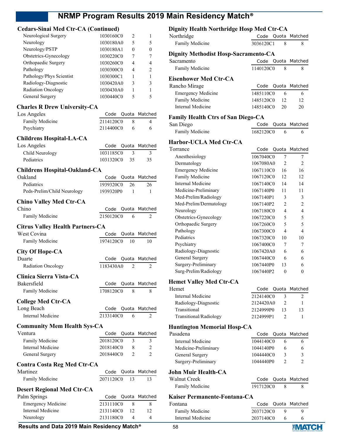### **Cedars-Sinai Med Ctr-CA (Continued)**

| Neurological Surgery      | 1030160C0 | 2        |                |
|---------------------------|-----------|----------|----------------|
| Neurology                 | 1030180A0 | 5        | 5              |
| Neurology/PSTP            | 1030180A1 | $\theta$ | 0              |
| Obstetrics-Gynecology     | 1030220C0 | 7        | 7              |
| Orthopaedic Surgery       | 1030260C0 | 4        | 4              |
| Pathology                 | 1030300C0 | 4        | $\mathfrak{D}$ |
| Pathology/Phys Scientist  | 1030300C1 |          |                |
| Radiology-Diagnostic      | 1030420A0 | 3        | 3              |
| <b>Radiation Oncology</b> | 1030430A0 |          |                |
| General Surgery           | 1030440C0 |          | 5              |

### **Charles R Drew University-CA**

| Los Angeles     |           |   | Code Quota Matched |
|-----------------|-----------|---|--------------------|
| Family Medicine | 2114120C0 | x |                    |
| Psychiatry      | 2114400C0 |   | 6                  |

### **Childrens Hospital-LA-CA**

| Los Angeles       |              |  | Code Quota Matched |
|-------------------|--------------|--|--------------------|
| Child Neurology   | 1031185C0    |  |                    |
| <b>Pediatrics</b> | 1031320C0 35 |  | 35                 |

### **Childrens Hospital-Oakland-CA**

| Oakland                        |           | Code Quota Matched |
|--------------------------------|-----------|--------------------|
| Pediatrics                     | 1939320C0 | 26<br>26           |
| Peds-Prelim/Child Neurology    | 1939320P0 |                    |
| <b>Chino Valley Med Ctr-CA</b> |           |                    |
| Chino                          |           | Code Quota Matched |
| <b>Family Medicine</b>         | 2150120C0 |                    |

### **Citrus Valley Health Partners-CA**

| Citrus Valley Health Partners-CA |                                            |
|----------------------------------|--------------------------------------------|
| West Covina                      | Code Quota Matched                         |
| Family Medicine                  | 1974120C0 10<br>10                         |
| City Of Hope-CA                  |                                            |
| Duarte                           | Code Quota Matched                         |
| <b>Radiation Oncology</b>        | 1183430A0 2<br>$\mathcal{D}_{\mathcal{L}}$ |
| Clinica Sierra Vista-CA          |                                            |
| <b>Bakersfield</b>               | Code Quota Matched                         |
| Family Medicine                  | 1708120C0<br>8<br>8                        |
| <b>College Med Ctr-CA</b>        |                                            |
| Long Beach                       | Code Quota Matched                         |
| Internal Medicine                | 2133140C0<br>6                             |

### **Community Mem Health Sys-CA**

| Ventura           |           |        | Code Quota Matched |
|-------------------|-----------|--------|--------------------|
| Family Medicine   | 2018120C0 | $\sim$ |                    |
| Internal Medicine | 2018140C0 | x      |                    |
| General Surgery   | 2018440C0 |        |                    |

### **Contra Costa Reg Med Ctr-CA**

| Martinez                                         |              | Code Quota Matched |
|--------------------------------------------------|--------------|--------------------|
| Family Medicine                                  | 2071120C0 13 |                    |
| $\sim$ $\sim$ $\sim$ $\sim$ $\sim$ $\sim$ $\sim$ |              |                    |

## **Desert Regional Med Ctr-CA**

| Palm Springs              |           |    | Code Ouota Matched |
|---------------------------|-----------|----|--------------------|
| <b>Emergency Medicine</b> | 2131110C0 |    |                    |
| Internal Medicine         | 2131140C0 | 12 | 12                 |
| Neurology                 | 2131180C0 |    |                    |

### **Dignity Health Northridge Hosp Med Ctr-CA**

| <b>Dignity Health Northridge Hosp Med Ctr-CA</b> |           |                |                |
|--------------------------------------------------|-----------|----------------|----------------|
| Northridge                                       | Code      | Quota          | Matched        |
| Family Medicine                                  | 3036120C1 | 8              | 8              |
| <b>Dignity Methodist Hosp-Sacramento-CA</b>      |           |                |                |
| Sacramento                                       | Code      | Quota          | Matched        |
| Family Medicine                                  | 1140120C0 | 8              | 8              |
| Eisenhower Med Ctr-CA                            |           |                |                |
| Rancho Mirage                                    | Code      | Quota          | Matched        |
| <b>Emergency Medicine</b>                        | 1485110C0 | 6              | 6              |
| Family Medicine                                  | 1485120C0 | 12             | 12             |
| Internal Medicine                                | 1485140C0 | 20             | 20             |
| <b>Family Health Ctrs of San Diego-CA</b>        |           |                |                |
| San Diego                                        | Code      | Quota          | Matched        |
| Family Medicine                                  | 1682120C0 | 6              | 6              |
| <b>Harbor-UCLA Med Ctr-CA</b>                    |           |                |                |
| Torrance                                         | Code      | Quota          | Matched        |
| Anesthesiology                                   | 1067040C0 | 7              | 7              |
| Dermatology                                      | 1067080A0 | $\overline{c}$ | $\overline{2}$ |
| <b>Emergency Medicine</b>                        | 1067110C0 | 16             | 16             |
| Family Medicine                                  | 1067120C0 | 12             | 12             |
| <b>Internal Medicine</b>                         | 1067140C0 | 14             | 14             |
| Medicine-Preliminary                             | 1067140P0 | 11             | 11             |
| Med-Prelim/Radiology                             | 1067140P1 | 3              | 3              |
| Med-Prelim/Dermatology                           | 1067140P2 | $\overline{2}$ | $\overline{c}$ |
| Neurology                                        | 1067180C0 | $\overline{4}$ | $\overline{4}$ |
| Obstetrics-Gynecology                            | 1067220C0 | 5              | 5              |
| Orthopaedic Surgery                              | 1067260C0 | 5              | 5              |
| Pathology                                        | 1067300C0 | $\overline{4}$ | $\overline{4}$ |
| Pediatrics                                       | 1067320C0 | 10             | 10             |
| Psychiatry                                       | 1067400C0 | 7              | 7              |
| Radiology-Diagnostic                             | 1067420A0 | 6              | 6              |
| General Surgery                                  | 1067440C0 | 6              | 6              |

### **Hemet Valley Med Ctr-CA**

| Hemet                  |           |    | Code Quota Matched |
|------------------------|-----------|----|--------------------|
| Internal Medicine      | 2124140C0 |    |                    |
| Radiology-Diagnostic   | 2124420A0 |    |                    |
| Transitional           | 2124999P0 | 13 | 13                 |
| Transitional/Radiology | 2124999P1 |    |                    |
|                        |           |    |                    |

Surgery-Preliminary 1067440P0 13 6 Surg-Prelim/Radiology 1067440P2 0 0

#### **Huntington Memorial Hosp-CA**

| Pasadena             |           |   | Code Quota Matched |
|----------------------|-----------|---|--------------------|
| Internal Medicine    | 1044140C0 |   |                    |
| Medicine-Preliminary | 1044140P0 |   | 6                  |
| General Surgery      | 1044440C0 | 3 | 3                  |
| Surgery-Preliminary  | 1044440P0 |   |                    |
|                      |           |   |                    |

#### **John Muir Health-CA**

| Walnut Creek    |           | Code Ouota Matched |
|-----------------|-----------|--------------------|
| Family Medicine | 1917120C0 |                    |

### **Kaiser Permanente-Fontana-CA**

| Fontana           |           | Code Quota Matched |
|-------------------|-----------|--------------------|
| Family Medicine   | 2037120C0 |                    |
| Internal Medicine | 2037140C0 |                    |

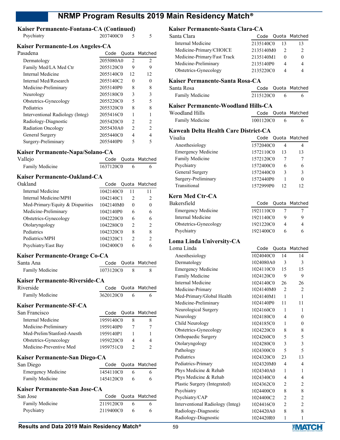### **Kaiser Permanente-Fontana-CA (Continued)**

Psychiatry 2037400C0 5 5

#### **Kaiser Permanente-Los Angeles-CA**

| 0                                |           |                |                    |
|----------------------------------|-----------|----------------|--------------------|
| Pasadena                         |           |                | Code Ouota Matched |
| Dermatology                      | 2055080A0 | 2              | $\overline{c}$     |
| Family Med/LA Med Ctr            | 2055120C0 | 9              | 9                  |
| Internal Medicine                | 2055140C0 | 12             | 12                 |
| Internal Med/Research            | 2055140C2 | 0              | 0                  |
| Medicine-Preliminary             | 2055140P0 | 8              | 8                  |
| Neurology                        | 2055180C0 | 3              | 3                  |
| Obstetrics-Gynecology            | 2055220C0 | 5              | 5                  |
| Pediatrics                       | 2055320C0 | 8              | 8                  |
| Interventional Radiology (Integ) | 2055416C0 | 1              |                    |
| Radiology-Diagnostic             | 2055420C0 | $\mathfrak{D}$ | 2                  |
| <b>Radiation Oncology</b>        | 2055430A0 | $\mathfrak{D}$ | $\mathfrak{D}$     |
| General Surgery                  | 2055440C0 | 4              |                    |
| Surgery-Preliminary              | 2055440P0 | 5              | 5                  |

### **Kaiser Permanente-Napa/Solano-CA**

| Vallejo         |           | Code Quota Matched |
|-----------------|-----------|--------------------|
| Family Medicine | 1637120C0 |                    |

### **Kaiser Permanente-Oakland-CA**

| Oakland                          | Code      |                | Ouota Matched  |
|----------------------------------|-----------|----------------|----------------|
| Internal Medicine                | 1042140C0 | 11             | 11             |
| Internal Medicine/MPH            | 1042140C1 | $\mathfrak{D}$ | 2              |
| Med-Primary/Equity & Disparities | 1042140M0 | 0              | 0              |
| Medicine-Preliminary             | 1042140P0 | 6              | 6              |
| Obstetrics-Gynecology            | 1042220C0 | 6              | 6              |
| Otolaryngology                   | 1042280C0 | $\mathfrak{D}$ | $\mathfrak{D}$ |
| Pediatrics                       | 1042320C0 | 8              | 8              |
| Pediatrics/MPH                   | 1042320C1 | $\mathcal{P}$  | $\mathfrak{D}$ |
| Psychiatry/East Bay              | 1042400C0 | 6              | 6              |

#### **Kaiser Permanente-Orange Co-CA**

| Santa Ana                             | Code      |   | Quota Matched  |
|---------------------------------------|-----------|---|----------------|
| Family Medicine                       | 1073120C0 | 8 | 8              |
| <b>Kaiser Permanente-Riverside-CA</b> |           |   |                |
| Riverside                             | Code      |   | Quota Matched  |
| <b>Family Medicine</b>                | 3620120C0 | 6 | 6              |
| <b>Kaiser Permanente-SF-CA</b>        |           |   |                |
| San Francisco                         | Code      |   | Ouota Matched  |
| Internal Medicine                     | 1959140C0 | 8 | 8              |
| Medicine-Preliminary                  | 1959140P0 | 7 | 7              |
| Med-Prelim/Stanford-Anesth            | 1959140P1 | 1 | 1              |
| Obstetrics-Gynecology                 | 1959220C0 | 4 | 4              |
| Medicine-Preventive Med               | 1959751C0 | 2 | $\overline{2}$ |
| Kaiser Permanente-San Diego-CA        |           |   |                |
| San Diego                             | Code      |   | Quota Matched  |
| <b>Emergency Medicine</b>             | 1454110C0 | 6 | 6              |
| Family Medicine                       | 1454120C0 | 6 | 6              |
| Kaiser Permanente-San Jose-CA         |           |   |                |
| San Jose                              | Code      |   | Quota Matched  |
| <b>Family Medicine</b>                | 2119120C0 | 6 | 6              |
| Psychiatry                            | 2119400C0 | 6 | 6              |

### **Kaiser Permanente-Santa Clara-CA**

| Santa Clara                          | Code Quota Matched                |
|--------------------------------------|-----------------------------------|
| Internal Medicine                    | 2135140C0<br>13<br>13             |
| Medicine-Primary/CHOICE              | 2135140M0<br>2<br>2               |
| Medicine-Primary/Fast Track          | 2135140M1<br>$\theta$<br>$\theta$ |
| Medicine-Preliminary                 | 2135140P0<br>4<br>$\overline{4}$  |
| Obstetrics-Gynecology                | 2135220C0<br>4<br>4               |
| Kaiser Permanente-Santa Rosa-CA      |                                   |
| Santa Rosa                           | Quota Matched<br>Code             |
| Family Medicine                      | 2115120C0<br>6<br>6               |
| Kaiser Permanente-Woodland Hills-CA  |                                   |
| Woodland Hills                       | Quota Matched<br>Code             |
| <b>Family Medicine</b>               | 1001120C0<br>6<br>6               |
| Kaweah Delta Health Care District-CA |                                   |
| Visalia                              | Code Quota Matched                |
| Anesthesiology                       | 1572040C0<br>4<br>4               |
| <b>Emergency Medicine</b>            | 1572110C0<br>13<br>13             |
| Family Medicine                      | 1572120C0<br>7<br>7               |
| Psychiatry                           | 1572400C0<br>6<br>6               |
| General Surgery                      | 1572440C0<br>3<br>3               |
| Surgery-Preliminary                  | 1572440P0<br>1<br>$\overline{0}$  |

### **Kern Med Ctr-CA**

|  |                                                  | Q                  |
|--|--------------------------------------------------|--------------------|
|  |                                                  | 4                  |
|  |                                                  | h                  |
|  | 1921110C0<br>1921140C0<br>1921220C0<br>1921400C0 | Code Quota Matched |

Transitional 1572999P0 12 12

## **Loma Linda University-CA**

| Loma Linda                       | Code      | Quota          | Matched        |
|----------------------------------|-----------|----------------|----------------|
| Anesthesiology                   | 1024040C0 | 14             | 14             |
| Dermatology                      | 1024080A0 | 3              | 3              |
| <b>Emergency Medicine</b>        | 1024110C0 | 15             | 15             |
| Family Medicine                  | 1024120C0 | 9              | 9              |
| Internal Medicine                | 1024140C0 | 26             | 26             |
| Medicine-Primary                 | 1024140M0 | $\overline{2}$ | $\overline{2}$ |
| Med-Primary/Global Health        | 1024140M1 | 1              | 1              |
| Medicine-Preliminary             | 1024140P0 | 11             | 11             |
| Neurological Surgery             | 1024160C0 | 1              | 1              |
| Neurology                        | 1024180C0 | 4              | $\theta$       |
| Child Neurology                  | 1024185C0 | 1              | $\theta$       |
| Obstetrics-Gynecology            | 1024220C0 | 8              | 8              |
| Orthopaedic Surgery              | 1024260C0 | 5              | 5              |
| Otolaryngology                   | 1024280C0 | 3              | 3              |
| Pathology                        | 1024300C0 | 5              | 5              |
| Pediatrics                       | 1024320C0 | 23             | 13             |
| Pediatrics-Primary               | 1024320M0 | 4              | 4              |
| Phys Medicine & Rehab            | 1024340A0 | 1              | 1              |
| Phys Medicine & Rehab            | 1024340C0 | 4              | $\overline{4}$ |
| Plastic Surgery (Integrated)     | 1024362C0 | $\overline{2}$ | 2              |
| Psychiatry                       | 1024400C0 | 8              | 8              |
| Psychiatry/CAP                   | 1024400C2 | $\overline{2}$ | 2              |
| Interventional Radiology (Integ) | 1024416C0 | $\mathfrak{D}$ | 2              |
| Radiology-Diagnostic             | 1024420A0 | 8              | 8              |
| Radiology-Diagnostic             | 1024420R0 | 1              | 1              |
|                                  |           |                |                |

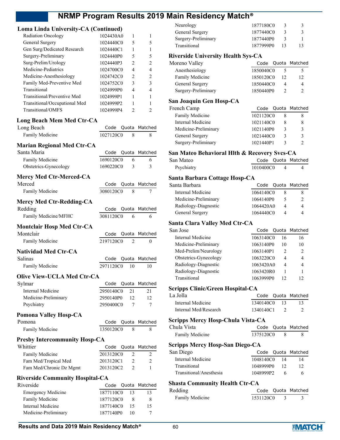### **Loma Linda University-CA (Continued)**

| <b>Radiation Oncology</b>     | 1024430A0 |               |                |
|-------------------------------|-----------|---------------|----------------|
| General Surgery               | 1024440C0 | 5             |                |
| Gen Surg/Dedicated Research   | 1024440C1 |               |                |
| Surgery-Preliminary           | 1024440P0 | 5             |                |
| Surg-Prelim/Urology           | 1024440P3 | $\mathcal{L}$ | $\mathfrak{D}$ |
| Medicine-Pediatrics           | 1024700C0 | 4             | 4              |
| Medicine-Anesthesiology       | 1024742C0 | $\mathcal{L}$ | $\mathcal{P}$  |
| Family Med-Preventive Med     | 1024752C0 | 3             | 3              |
| Transitional                  | 1024999P0 | 4             |                |
| Transitional/Preventive Med   | 1024999P1 |               |                |
| Transitional/Occupational Med | 1024999P2 |               |                |
| Transitional/OMFS             | 1024999P4 | 2             |                |
|                               |           |               |                |

### **Long Beach Mem Med Ctr-CA**

| Long Beach                             | Code      | Quota          | Matched        |
|----------------------------------------|-----------|----------------|----------------|
| Family Medicine                        | 1027120C0 | 8              | 8              |
| <b>Marian Regional Med Ctr-CA</b>      |           |                |                |
| Santa Maria                            | Code      | Quota          | Matched        |
| <b>Family Medicine</b>                 | 1690120C0 | 6              | 6              |
| Obstetrics-Gynecology                  | 1690220C0 | 3              | 3              |
| <b>Mercy Med Ctr-Merced-CA</b>         |           |                |                |
| Merced                                 | Code      | Quota          | Matched        |
| Family Medicine                        | 3080120C0 | 8              | 7              |
| <b>Mercy Med Ctr-Redding-CA</b>        |           |                |                |
| Redding                                | Code      | Quota          | Matched        |
| Family Medicine/MFHC                   | 3081120C0 | 6              | 6              |
| <b>Montclair Hosp Med Ctr-CA</b>       |           |                |                |
| Montclair                              | Code      | Quota          | Matched        |
| Family Medicine                        | 2197120C0 | 2              | $\theta$       |
| <b>Natividad Med Ctr-CA</b>            |           |                |                |
| Salinas                                | Code      | Quota          | Matched        |
| Family Medicine                        | 2971120C0 | 10             | 10             |
| <b>Olive View-UCLA Med Ctr-CA</b>      |           |                |                |
| Sylmar                                 | Code      | Quota          | Matched        |
| <b>Internal Medicine</b>               | 2950140C0 | 21             | 21             |
| Medicine-Preliminary                   | 2950140P0 | 12             | 12             |
| Psychiatry                             | 2950400C0 | 7              | 7              |
| <b>Pomona Valley Hosp-CA</b>           |           |                |                |
| Pomona                                 | Code      | Quota          | Matched        |
| Family Medicine                        | 1350120C0 | 8              | 8              |
| <b>Presby Intercommunity Hosp-CA</b>   |           |                |                |
| Whittier                               | Code      | Quota          | Matched        |
| Family Medicine                        | 2013120C0 | 2              | $\overline{2}$ |
| Fam Med/Tropical Med                   | 2013120C1 | 2              | $\overline{2}$ |
| Fam Med/Chronic Dz Mgmt                | 2013120C2 | $\mathfrak{D}$ | 1              |
| <b>Riverside Community Hospital-CA</b> |           |                |                |
| Riverside                              | Code      | Quota          | Matched        |
| <b>Emergency Medicine</b>              | 1877110C0 | 13             | 13             |
| Family Medicine                        | 1877120C0 | 8              | 8              |

| Neurology           | 1877180C0 |    |
|---------------------|-----------|----|
| General Surgery     | 1877440C0 |    |
| Surgery-Preliminary | 1877440P0 |    |
| Transitional        | 1877999P0 | 13 |

#### **Riverside University Health Sys-CA**

| Moreno Valley       |           |  | Code Quota Matched |
|---------------------|-----------|--|--------------------|
| Anesthesiology      | 1850040C0 |  |                    |
| Family Medicine     | 1850120C0 |  | 12                 |
| General Surgery     | 1850440C0 |  | 4                  |
| Surgery-Preliminary | 1850440P0 |  |                    |
|                     |           |  |                    |

### **San Joaquin Gen Hosp-CA**

| French Camp          |           |   | Code Quota Matched |
|----------------------|-----------|---|--------------------|
| Family Medicine      | 1021120C0 |   |                    |
| Internal Medicine    | 1021140C0 |   | 8                  |
| Medicine-Preliminary | 1021140P0 | 3 | 3                  |
| General Surgery      | 1021440C0 | 3 | 3                  |
| Surgery-Preliminary  | 1021440P1 | 3 |                    |

### **San Mateo Behavioral Hlth & Recovery Svcs-CA**

| San Mateo  |           | Code Ouota Matched |
|------------|-----------|--------------------|
| Psychiatry | 1010400C0 |                    |

#### **Santa Barbara Cottage Hosp-CA**

| Santa Barbara        |           |   | Code Quota Matched |
|----------------------|-----------|---|--------------------|
| Internal Medicine    | 1064140C0 |   |                    |
| Medicine-Preliminary | 1064140P0 | ↖ |                    |
| Radiology-Diagnostic | 1064420A0 | 4 | 4                  |
| General Surgery      | 1064440C0 |   |                    |

### **Santa Clara Valley Med Ctr-CA**

| San Jose              | Code      |               | Ouota Matched |
|-----------------------|-----------|---------------|---------------|
| Internal Medicine     | 1063140C0 | 16            | 16            |
| Medicine-Preliminary  | 1063140P0 | 10            | 10            |
| Med-Prelim/Neurology  | 1063140P1 | $\mathcal{P}$ | $\mathcal{P}$ |
| Obstetrics-Gynecology | 1063220C0 | 4             | 4             |
| Radiology-Diagnostic  | 1063420A0 | 4             | 4             |
| Radiology-Diagnostic  | 1063420R0 |               |               |
| Transitional          | 1063999P0 | 12            | 12            |

### **Scripps Clinic/Green Hospital-CA**

| La Jolla              |              |  | Code Ouota Matched |
|-----------------------|--------------|--|--------------------|
| Internal Medicine     | 1340140C0 13 |  |                    |
| Internal Med/Research | 1340140C1 2  |  |                    |

### **Scripps Mercy Hosp-Chula Vista-CA**

| 1ula Vista      |           | Code Ouota Matched |
|-----------------|-----------|--------------------|
| Family Medicine | 1375120C0 |                    |

#### **Scripps Mercy Hosp-San Diego-CA**

| San Diego               |           |      | Code Quota Matched |
|-------------------------|-----------|------|--------------------|
| Internal Medicine       | 1048140C0 | - 14 | 14                 |
| Transitional            | 1048999P0 | -12  |                    |
| Transitional/Anesthesia | 1048999P2 | 6    |                    |
|                         |           |      |                    |

### **Shasta Community Health Ctr-CA**

| Redding         |           | Code Quota Matched |
|-----------------|-----------|--------------------|
| Family Medicine | 1531120C0 |                    |

#### **Results and Data 2019 Main Residency Match<sup>®</sup> 60**

Internal Medicine 1877140C0 15 15 Medicine-Preliminary 1877140P0 10 7 Chula Vista

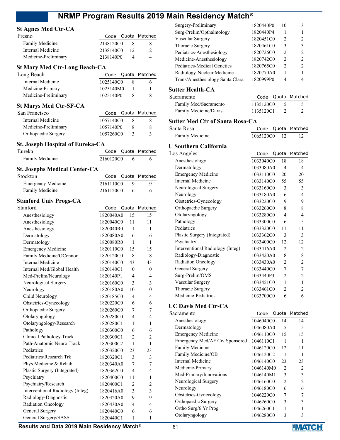### **St Agnes Med Ctr-CA**

| Fresno               |           |    | Code Quota Matched |
|----------------------|-----------|----|--------------------|
| Family Medicine      | 2138120C0 | ×  | x                  |
| Internal Medicine    | 2138140C0 | 12 | 12                 |
| Medicine-Preliminary | 2138140P0 |    |                    |

### **St Mary Med Ctr-Long Beach-CA**

| Long Beach           | Code Quota Matched |  |
|----------------------|--------------------|--|
| Internal Medicine    | 1025140C0          |  |
| Medicine-Primary     | 1025140M0          |  |
| Medicine-Preliminary | 1025140P0          |  |

### **St Marys Med Ctr-SF-CA**

| San Francisco        |           | Code Quota Matched |
|----------------------|-----------|--------------------|
| Internal Medicine    | 1057140C0 |                    |
| Medicine-Preliminary | 1057140P0 | x                  |
| Orthopaedic Surgery  | 1057260C0 |                    |

#### **St. Joseph Hospital of Eureka-CA**

| Eureka          |           | Code Quota Matched |
|-----------------|-----------|--------------------|
| Family Medicine | 2160120C0 |                    |

#### **St. Josephs Medical Center-CA**

| <b>Stockton</b>           |           | Code Ouota Matched |
|---------------------------|-----------|--------------------|
| <b>Emergency Medicine</b> | 2161110C0 |                    |
| Family Medicine           | 2161120C0 |                    |

### **Stanford Univ Progs-CA**

| Stanford                         | Code      | Quota          | Matched  |
|----------------------------------|-----------|----------------|----------|
| Anesthesiology                   | 1820040A0 | 15             | 15       |
| Anesthesiology                   | 1820040C0 | 11             | 11       |
| Anesthesiology                   | 1820040R0 | 1              | 1        |
| Dermatology                      | 1820080A0 | 6              | 6        |
| Dermatology                      | 1820080R0 | $\mathbf{1}$   | 1        |
| <b>Emergency Medicine</b>        | 1820110C0 | 15             | 15       |
| Family Medicine/OConnor          | 1820120C0 | 8              | 8        |
| Internal Medicine                | 1820140C0 | 43             | 43       |
| Internal Med/Global Health       | 1820140C1 | $\theta$       | $\theta$ |
| Med-Prelim/Neurology             | 1820140P1 | 4              | 4        |
| Neurological Surgery             | 1820160C0 | 3              | 3        |
| Neurology                        | 1820180A0 | 10             | 10       |
| Child Neurology                  | 1820185C0 | 4              | 4        |
| Obstetrics-Gynecology            | 1820220C0 | 6              | 6        |
| Orthopaedic Surgery              | 1820260C0 | 7              | 7        |
| Otolaryngology                   | 1820280C0 | $\overline{4}$ | 4        |
| Otolaryngology/Research          | 1820280C1 | 1              | 1        |
| Pathology                        | 1820300C0 | 6              | 6        |
| <b>Clinical Pathology Track</b>  | 1820300C1 | 2              | 2        |
| Path-Anatomic Neuro Track        | 1820300C2 | 1              | 1        |
| Pediatrics                       | 1820320C0 | 23             | 23       |
| Pediatrics/Research Trk          | 1820320C1 | 3              | 3        |
| Phys Medicine & Rehab            | 1820340A0 | 7              | 7        |
| Plastic Surgery (Integrated)     | 1820362C0 | $\overline{4}$ | 4        |
| Psychiatry                       | 1820400C0 | 11             | 11       |
| Psychiatry/Research              | 1820400C1 | $\overline{2}$ | 2        |
| Interventional Radiology (Integ) | 1820416A0 | 3              | 3        |
| Radiology-Diagnostic             | 1820420A0 | 9              | 9        |
| Radiation Oncology               | 1820430A0 | $\overline{4}$ | 4        |
| General Surgery                  | 1820440C0 | 6              | 6        |
| General Surgery/SASS             | 1820440C1 | 1              | 1        |

| Surgery-Preliminary                    | 1820440P0 | 10             | 3              |
|----------------------------------------|-----------|----------------|----------------|
| Surg-Prelim/Opthalmology               | 1820440P4 | 1              | 1              |
| Vascular Surgery                       | 1820451C0 | 2              | $\overline{c}$ |
| Thoracic Surgery                       | 1820461C0 | 3              | 3              |
| Pediatrics-Anesthesiology              | 1820726C0 | $\overline{c}$ | $\overline{c}$ |
| Medicine-Anesthesiology                | 1820742C0 | $\overline{2}$ | $\overline{c}$ |
| Pediatrics-Medical Genetics            | 1820765C0 | $\overline{c}$ | $\overline{c}$ |
| Radiology-Nuclear Medicine             | 1820770A0 | 1              | 1              |
| Trans/Anesthesiology Santa Clara       | 1820999P0 | 4              | 4              |
| <b>Sutter Health-CA</b>                |           |                |                |
| Sacramento                             | Code      | Quota          | Matched        |
| Family Med/Sacramento                  | 1135120C0 | 5              | 5              |
| Family Medicine/Davis                  | 1135120C1 | $\overline{2}$ | 2              |
| <b>Sutter Med Ctr of Santa Rosa-CA</b> |           |                |                |
| Santa Rosa                             | Code      |                | Quota Matched  |
| Family Medicine                        | 1065120C0 | 12             | 12             |
| <b>U Southern California</b>           |           |                |                |
| Los Angeles                            | Code      | Quota          | Matched        |
| Anesthesiology                         | 1033040C0 | 18             | 18             |
| Dermatology                            | 1033080A0 | 4              | 4              |
| <b>Emergency Medicine</b>              | 1033110C0 | 20             | 20             |
| <b>Internal Medicine</b>               | 1033140C0 | 55             | 55             |
| Neurological Surgery                   | 1033160C0 | 3              | 3              |
| Neurology                              | 1033180A0 | 6              | 4              |
| Obstetrics-Gynecology                  | 1033220C0 | 9              | 9              |
| Orthopaedic Surgery                    | 1033260C0 | 8              | 8              |
| Otolaryngology                         | 1033280C0 | 4              | $\overline{4}$ |
| Pathology                              | 1033300C0 | 6              | 5              |
| Pediatrics                             | 1033320C0 | 11             | 11             |
| Plastic Surgery (Integrated)           | 1033362C0 | 3              | 3              |
| Psychiatry                             | 1033400C0 | 12             | 12             |
| Interventional Radiology (Integ)       | 1033416A0 | 2              | 2              |
| Radiology-Diagnostic                   | 1033420A0 | 8              | 8              |
| Radiation Oncology                     | 1033430A0 | $\overline{c}$ | $\overline{c}$ |
| General Surgery                        | 1033440C0 | 7              | 7              |
| Surg-Prelim/OMS                        | 1033440P3 | 2              | 2              |
| Vascular Surgery                       | 1033451C0 | 1              | 1              |
| Thoracic Surgery                       | 1033461C0 | $\overline{c}$ | $\overline{c}$ |
| Medicine-Pediatrics                    | 1033700C0 | 6              | 6              |
| <b>UC Davis Med Ctr-CA</b>             |           |                |                |
| Sacramento                             | Code      | Quota          | Matched        |
| Anesthesiology                         | 1046040C0 | 14             | 14             |
| Dermatology                            | 1046080A0 | 5              | 5              |
| <b>Emergency Medicine</b>              | 1046110C0 | 15             | 15             |
| Emergency Med/AF Civ Sponsored         | 1046110C1 | 1              | 1              |
| Family Medicine                        | 1046120C0 | 12             | 11             |
| Family Medicine/OB                     | 1046120C2 | 1              | 1              |
| <b>Internal Medicine</b>               | 1046140C0 | 23             | 23             |
| Medicine-Primary                       | 1046140M0 | 2              | 2              |
| Med-Primary/Innovations                | 1046140M1 | 3              | 3              |
| Neurological Surgery                   | 1046160C0 | $\overline{c}$ | $\overline{c}$ |
| Neurology                              | 1046180C0 | 6              | 6              |
|                                        |           |                |                |

Obstetrics-Gynecology 1046220C0 7 7 Orthopaedic Surgery 1046260C0 3 3 Ortho Surg/6 Yr Prog 1046260C1 1 1 Otolaryngology 1046280C0 3 3

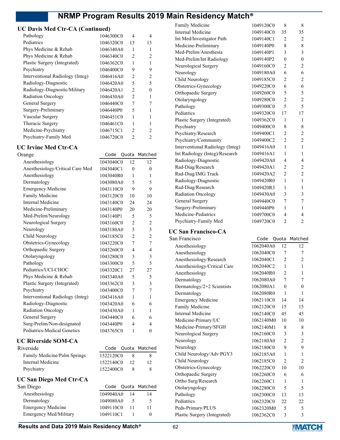### **UC Davis Med Ctr-CA (Continued)**

| Pathology                        | 1046300C0 | 4              | 4              |
|----------------------------------|-----------|----------------|----------------|
| Pediatrics                       | 1046320C0 | 13             | 13             |
| Phys Medicine & Rehab            | 1046340A0 | 1              |                |
| Phys Medicine & Rehab            | 1046340C0 | 2              | $\mathfrak{D}$ |
| Plastic Surgery (Integrated)     | 1046362C0 | 1              |                |
| Psychiatry                       | 1046400C0 | 9              | 9              |
| Interventional Radiology (Integ) | 1046416A0 | 2              | 2              |
| Radiology-Diagnostic             | 1046420A0 | 5              | 5              |
| Radiology-Diagnostic/Military    | 1046420A1 | $\overline{2}$ | 0              |
| <b>Radiation Oncology</b>        | 1046430A0 | $\overline{c}$ |                |
| General Surgery                  | 1046440C0 | 7              | 7              |
| Surgery-Preliminary              | 1046440P0 | 5              |                |
| Vascular Surgery                 | 1046451C0 | 1              |                |
| Thoracic Surgery                 | 1046461C0 | 1              |                |
| Medicine-Psychiatry              | 1046715C1 | $\overline{c}$ | $\mathfrak{D}$ |
| Psychiatry-Family Med            | 1046720C0 | 2              | 2              |
|                                  |           |                |                |

### **UC Irvine Med Ctr-CA**

| Orange                           | Code      | Quota          | Matched        |
|----------------------------------|-----------|----------------|----------------|
| Anesthesiology                   | 1043040C0 | 12             | 12             |
| Anesthesiology/Critical Care Med | 1043040C1 | $\theta$       | 0              |
| Anesthesiology                   | 1043040R0 | 1              | 1              |
| Dermatology                      | 1043080A0 | 5              | 5              |
| <b>Emergency Medicine</b>        | 1043110C0 | 9              | 9              |
| Family Medicine                  | 1043120C0 | 10             | 10             |
| Internal Medicine                | 1043140C0 | 24             | 24             |
| Medicine-Preliminary             | 1043140P0 | 20             | 20             |
| Med-Prelim/Neurology             | 1043140P1 | 5              | 5              |
| Neurological Surgery             | 1043160C0 | $\overline{c}$ | $\overline{c}$ |
| Neurology                        | 1043180A0 | 5              | 5              |
| Child Neurology                  | 1043185C0 | $\overline{2}$ | $\overline{c}$ |
| Obstetrics-Gynecology            | 1043220C0 | 7              | 7              |
| Orthopaedic Surgery              | 1043260C0 | 4              | $\overline{4}$ |
| Otolaryngology                   | 1043280C0 | 3              | 3              |
| Pathology                        | 1043300C0 | 5              | 5              |
| Pediatrics/UCI-CHOC              | 1043320C1 | 27             | 27             |
| Phys Medicine & Rehab            | 1043340A0 | 5              | 5              |
| Plastic Surgery (Integrated)     | 1043362C0 | 3              | 3              |
| Psychiatry                       | 1043400C0 | 7              | 7              |
| Interventional Radiology (Integ) | 1043416A0 | 1              | $\mathbf{1}$   |
| Radiology-Diagnostic             | 1043420A0 | 6              | 6              |
| Radiation Oncology               | 1043430A0 | 1              | 1              |
| General Surgery                  | 1043440C0 | 6              | 6              |
| Surg-Prelim/Non-designated       | 1043440P0 | 4              | 4              |
| Pediatrics-Medical Genetics      | 1043765C0 | 1              | 0              |
| <b>UC Riverside SOM-CA</b>       |           |                |                |
| Riverside                        | Code      | Quota          | Matched        |
| Family Medicine/Palm Springs     | 1522120C0 | 8              | 8              |
| <b>Internal Medicine</b>         | 1522140C0 | 12             | 12             |
| Psychiatry                       | 1522400C0 | 8              | 8              |
| <b>UC San Diego Med Ctr-CA</b>   |           |                |                |
| San Diego                        | Code      | Quota          | Matched        |

| San Diego                     |           |    | Code Quota Matched |
|-------------------------------|-----------|----|--------------------|
| Anesthesiology                | 1049040A0 | 14 | 14                 |
| Dermatology                   | 1049080A0 |    |                    |
| <b>Emergency Medicine</b>     | 1049110C0 | 11 | 11                 |
| <b>Emergency Med/Military</b> | 1049110C1 |    |                    |
|                               |           |    |                    |

| Family Medicine                  | 1049120C0 | 8              | 8                |
|----------------------------------|-----------|----------------|------------------|
| <b>Internal Medicine</b>         | 1049140C0 | 35             | 35               |
| Int Med/Investigator Path        | 1049140C1 | 2              | 2                |
| Medicine-Preliminary             | 1049140P0 | 8              | 8                |
| Med-Prelim/Anesthesia            | 1049140P1 | 3              | 3                |
| Med-Prelim/Int Radiology         | 1049140P2 | $\mathbf{0}$   | $\mathbf{0}$     |
| Neurological Surgery             | 1049160C0 | $\overline{2}$ | $\overline{c}$   |
| Neurology                        | 1049180A0 | 6              | 6                |
| Child Neurology                  | 1049185C0 | $\overline{c}$ | $\overline{c}$   |
| Obstetrics-Gynecology            | 1049220C0 | 6              | 6                |
| Orthopaedic Surgery              | 1049260C0 | 5              | 5                |
| Otolaryngology                   | 1049280C0 | $\overline{c}$ | $\overline{c}$   |
| Pathology                        | 1049300C0 | 5              | 5                |
| Pediatrics                       | 1049320C0 | 17             | 17               |
| Plastic Surgery (Integrated)     | 1049362C0 | 1              | 1                |
| Psychiatry                       | 1049400C0 | 8              | 8                |
| Psychiatry/Research              | 1049400C1 | $\overline{c}$ | $\overline{c}$   |
| Psychiatry/Community             | 1049400C2 | $\overline{2}$ | $\overline{c}$   |
| Interventional Radiology (Integ) | 1049416A0 | $\mathbf{1}$   | $\mathbf{1}$     |
| Int Radiology (Integ)/Research   | 1049416A1 | 1              | $\mathbf{1}$     |
| Radiology-Diagnostic             | 1049420A0 | 4              | 4                |
| Rad-Diag/Research                | 1049420A1 | 2              | $\overline{c}$   |
| Rad-Diag/IMG Track               | 1049420A2 | $\overline{2}$ | $\overline{c}$   |
| Radiology-Diagnostic             | 1049420R0 | $\mathbf{1}$   | $\mathbf{1}$     |
| Rad-Diag/Research                | 1049420R3 | 1              | $\mathbf{1}$     |
| Radiation Oncology               | 1049430A0 | 3              | 3                |
| General Surgery                  | 1049440C0 | 7              | $\boldsymbol{7}$ |
| Surgery-Preliminary              | 1049440P0 | $\mathbf{1}$   | $\mathbf{1}$     |
| Medicine-Pediatrics              | 1049700C0 | 4              | 4                |
| Psychiatry-Family Med            | 1049720C0 | $\overline{2}$ | $\overline{2}$   |

# **UC San Francisco-CA**

| San Francisco                | Code      | Quota          | Matched        |
|------------------------------|-----------|----------------|----------------|
| Anesthesiology               | 1062040A0 | 12             | 12             |
| Anesthesiology               | 1062040C0 | 7              | 7              |
| Anesthesiology/Research      | 1062040C1 | $\overline{2}$ | $\overline{c}$ |
| Anesthesiology/Critical Care | 1062040C2 | 1              | 1              |
| Anesthesiology               | 1062040R0 | $\overline{2}$ | 1              |
| Dermatology                  | 1062080A0 | 7              | 7              |
| Dermatology/2+2 Scientists   | 1062080A1 | $\theta$       | $\theta$       |
| Dermatology                  | 1062080R0 | 1              | 1              |
| <b>Emergency Medicine</b>    | 1062110C0 | 14             | 14             |
| Family Medicine              | 1062120C0 | 15             | 15             |
| <b>Internal Medicine</b>     | 1062140C0 | 45             | 45             |
| Medicine-Primary/UC          | 1062140M0 | 10             | 10             |
| Medicine-Primary/SFGH        | 1062140M1 | 8              | 8              |
| Neurological Surgery         | 1062160C0 | 3              | 3              |
| Neurology                    | 1062180A0 | $\overline{2}$ | $\overline{2}$ |
| Neurology                    | 1062180C0 | 9              | 9              |
| Child Neurology/Adv PGY3     | 1062185A0 | 1              | 1              |
| Child Neurology              | 1062185C0 | $\overline{c}$ | $\overline{c}$ |
| Obstetrics-Gynecology        | 1062220C0 | 10             | 10             |
| Orthopaedic Surgery          | 1062260C0 | 6              | 6              |
| Ortho Surg/Research          | 1062260C1 | 1              | 1              |
| Otolaryngology               | 1062280C0 | 5              | 5              |
| Pathology                    | 1062300C0 | 13             | 13             |
| Pediatrics                   | 1062320C0 | 22             | 22             |
| Peds-Primary/PLUS            | 1062320M0 | 5              | 5              |
| Plastic Surgery (Integrated) | 1062362C0 | 3              | 3              |
|                              |           |                |                |

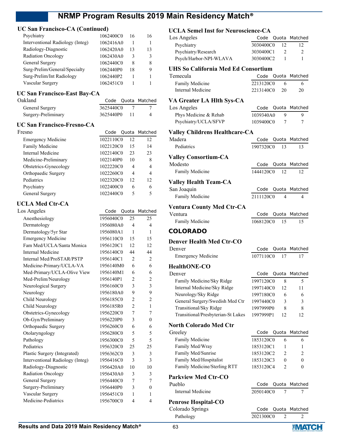### **UC San Francisco-CA (Continued)**

| Psychiatry                       | 1062400C0 | 16 | 16 |
|----------------------------------|-----------|----|----|
| Interventional Radiology (Integ) | 1062416A0 |    |    |
| Radiology-Diagnostic             | 1062420A0 | 13 | 13 |
| <b>Radiation Oncology</b>        | 1062430A0 | 3  |    |
| General Surgery                  | 1062440C0 | 8  | 8  |
| Surg-Prelim/General/Specialty    | 1062440P0 | 18 | 9  |
| Surg-Prelim/Int Radiology        | 1062440P2 |    |    |
| Vascular Surgery                 | 1062451C0 |    |    |

### **UC San Francisco-East Bay-CA**

| Oakland             |              | Code Quota Matched |
|---------------------|--------------|--------------------|
| General Surgery     | 3625440C0    |                    |
| Surgery-Preliminary | 3625440P0 11 | 4                  |

### **UC San Francisco-Fresno-CA**

| Fresno                    | Code      |    | Quota Matched |
|---------------------------|-----------|----|---------------|
| <b>Emergency Medicine</b> | 1022110C0 | 12 | 12            |
| Family Medicine           | 1022120C0 | 15 | 14            |
| Internal Medicine         | 1022140C0 | 23 | 23            |
| Medicine-Preliminary      | 1022140P0 | 10 | 8             |
| Obstetrics-Gynecology     | 1022220C0 | 4  | 4             |
| Orthopaedic Surgery       | 1022260C0 | 4  | 4             |
| Pediatrics                | 1022320C0 | 12 | 12            |
| Psychiatry                | 1022400C0 | 6  | 6             |
| General Surgery           | 1022440C0 | 5  |               |

#### **UCLA Med Ctr-CA**

| Los Angeles                      | Code      | Quota          | Matched        |
|----------------------------------|-----------|----------------|----------------|
| Anesthesiology                   | 1956040C0 | 25             | 25             |
| Dermatology                      | 1956080A0 | 4              | 4              |
| Dermatology/5yr Star             | 1956080A1 | 1              | 1              |
| <b>Emergency Medicine</b>        | 1956110C0 | 15             | 15             |
| Fam Med/UCLA/Santa Monica        | 1956120C1 | 12             | 12             |
| Internal Medicine                | 1956140C0 | 44             | 44             |
| Internal Med/ProSTAR/PSTP        | 1956140C1 | $\overline{c}$ | $\overline{c}$ |
| Medicine-Primary/UCLA-VA         | 1956140M0 | 6              | 6              |
| Med-Primary/UCLA-Olive View      | 1956140M1 | 6              | 6              |
| Med-Prelim/Neurology             | 1956140P1 | 2              | 2              |
| Neurological Surgery             | 1956160C0 | 3              | 3              |
| Neurology                        | 1956180A0 | 9              | 9              |
| Child Neurology                  | 1956185C0 | 2              | $\overline{2}$ |
| Child Neurology                  | 1956185R0 | $\overline{c}$ | 1              |
| Obstetrics-Gynecology            | 1956220C0 | 7              | 7              |
| Ob-Gyn/Preliminary               | 1956220P0 | 3              | $\theta$       |
| Orthopaedic Surgery              | 1956260C0 | 6              | 6              |
| Otolaryngology                   | 1956280C0 | 5              | 5              |
| Pathology                        | 1956300C0 | 5              | 5              |
| Pediatrics                       | 1956320C0 | 25             | 25             |
| Plastic Surgery (Integrated)     | 1956362C0 | 3              | 3              |
| Interventional Radiology (Integ) | 1956416C0 | 3              | 3              |
| Radiology-Diagnostic             | 1956420A0 | 10             | 10             |
| Radiation Oncology               | 1956430A0 | 3              | 3              |
| General Surgery                  | 1956440C0 | 7              | 7              |
| Surgery-Preliminary              | 1956440P0 | 3              | $\theta$       |
| Vascular Surgery                 | 1956451C0 | 1              | 1              |
| Medicine-Pediatrics              | 1956700C0 | $\overline{4}$ | 4              |
|                                  |           |                |                |

| <b>UCLA Semel Inst for Neuroscience-CA</b> |                    |                |                |
|--------------------------------------------|--------------------|----------------|----------------|
| Los Angeles                                | Code               | Quota          | Matched        |
| Psychiatry                                 | 3030400C0          | 12             | 12             |
| Psychiatry/Research                        | 3030400C1          | 2              | 2              |
| Psych/Harbor-NPI-WLAVA                     | 3030400C2          | $\overline{1}$ | 1              |
| <b>UHS So California Med Ed Consortium</b> |                    |                |                |
| Temecula                                   | Code               |                | Quota Matched  |
| Family Medicine                            | 2213120C0          | 6              | 6              |
| <b>Internal Medicine</b>                   | 2213140C0          | 20             | 20             |
| VA Greater LA Hlth Sys-CA                  |                    |                |                |
| Los Angeles                                | Code               | Quota          | Matched        |
| Phys Medicine & Rehab                      | 1039340A0          | 9              | 9              |
| Psychiatry/UCLA/SFVP                       | 1039400C0          | 7              | 7              |
| <b>Valley Childrens Healthcare-CA</b>      |                    |                |                |
| Madera                                     | Code Quota Matched |                |                |
| Pediatrics                                 | 1907320C0          | 13             | 13             |
| <b>Valley Consortium-CA</b>                |                    |                |                |
| Modesto                                    | Code               | Quota          | Matched        |
| Family Medicine                            | 1444120C0          | 12             | 12             |
| <b>Valley Health Team-CA</b>               |                    |                |                |
| San Joaquin                                | Code               | Quota          | Matched        |
| Family Medicine                            | 2111120C0          | 4              | 4              |
| <b>Ventura County Med Ctr-CA</b>           |                    |                |                |
| Ventura                                    | Code               | Quota          | Matched        |
| Family Medicine                            | 1068120C0          | 15             | 15             |
| <b>COLORADO</b>                            |                    |                |                |
| <b>Denver Health Med Ctr-CO</b>            |                    |                |                |
| Denver                                     | Code               | Quota          | Matched        |
| <b>Emergency Medicine</b>                  | 1077110C0          | 17             | 17             |
| <b>HealthONE-CO</b>                        |                    |                |                |
| Denver                                     | Code               | Quota          | Matched        |
| Family Medicine/Sky Ridge                  | 1997120C0          | 8              | 5              |
| Internal Medicine/Sky Ridge                | 1997140C0          | 12             | 11             |
| Neurology/Sky Ridge                        | 1997180C0          | 6              | 6              |
| General Surgery/Swedish Med Ctr            | 1997440C0          | 3              | 3              |
| Transitional/Sky Ridge                     | 1997999P0          | 8              | 8              |
| Transitional/Presbyterian-St Lukes         | 1997999P1          | 12             | 12             |
| <b>North Colorado Med Ctr</b>              |                    |                |                |
| Greeley                                    | Code               | Quota          | Matched        |
| Family Medicine                            | 1853120C0          | 6              | 6              |
| Family Med/Wray                            | 1853120C1          | 1              | 1              |
| Family Med/Sunrise                         | 1853120C2          | 2              | $\overline{c}$ |
| Family Med/Hospitalist                     | 1853120C3          | $\mathbf{0}$   | 0              |
| Family Medicine/Sterling RTT               | 1853120C4          | 2              | 0              |
| Parkview Med Ctr-CO                        |                    |                |                |

#### **Parkview Med Ctr-CO** Pueblo

| ıeblo             |           | Code Quota Matched |
|-------------------|-----------|--------------------|
| Internal Medicine | 2050140C0 |                    |
|                   |           |                    |

# **Penrose Hospital-CO**

| Colorado Springs |           | Code Quota Matched |
|------------------|-----------|--------------------|
| Pathology        | 2021300C0 |                    |



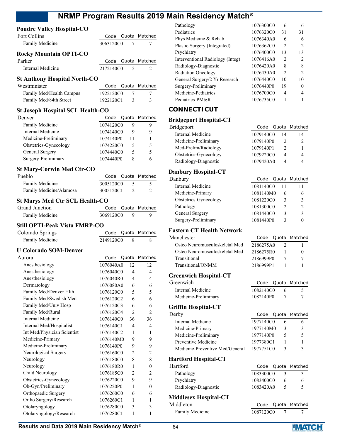### **Poudre Valley Hospital-CO**

| Fort Collins                  |             |  | Code Quota Matched |
|-------------------------------|-------------|--|--------------------|
| <b>Family Medicine</b>        | 3063120C0 7 |  |                    |
| <b>Rocky Mountain OPTI-CO</b> |             |  |                    |
| Parker                        |             |  | Code Quota Matched |
| Internal Medicine             | 2172140C0   |  |                    |

### **St Anthony Hospital North-CO**

| Westminister             |           |               | Code Quota Matched |
|--------------------------|-----------|---------------|--------------------|
| Family Med/Health Campus | 1922120C0 |               |                    |
| Family Med/84th Street   | 1922120C1 | $\mathcal{R}$ |                    |

#### **St Joseph Hospital SCL Health-CO**

| Denver                | Code Quota Matched |    |    |
|-----------------------|--------------------|----|----|
| Family Medicine       | 1074120C0          | 9  |    |
| Internal Medicine     | 1074140C0          | 9  | 9  |
| Medicine-Preliminary  | 1074140P0          | 11 | 11 |
| Obstetrics-Gynecology | 1074220C0          |    | 5  |
| General Surgery       | 1074440C0          | 5  | 5  |
| Surgery-Preliminary   | 1074440P0          | 8  | 6  |

#### **St Mary-Corwin Med Ctr-CO**

| Pueblo                  |             | Code Ouota Matched |
|-------------------------|-------------|--------------------|
| Family Medicine         | 3005120C0   |                    |
| Family Medicine/Alamosa | 3005120C1 2 |                    |

#### **St Marys Med Ctr SCL Health-CO**

| Grand Junction  |           | Code Ouota Matched |
|-----------------|-----------|--------------------|
| Family Medicine | 3069120C0 |                    |

#### **Still OPTI-Peak Vista FMRP-CO**

| Colorado Springs             | Code      |                         | Quota Matched  |
|------------------------------|-----------|-------------------------|----------------|
| Family Medicine              | 2149120C0 | 8                       | 8              |
| <b>U Colorado SOM-Denver</b> |           |                         |                |
| Aurora                       | Code      |                         | Quota Matched  |
| Anesthesiology               | 1076040A0 | 12                      | 12             |
| Anesthesiology               | 1076040C0 | $\overline{4}$          | 4              |
| Anesthesiology               | 1076040R0 | $\overline{\mathbf{4}}$ | 4              |
| Dermatology                  | 1076080A0 | 6                       | 6              |
| Family Med/Denver Hlth       | 1076120C0 | 5                       | 5              |
| Family Med/Swedish Med       | 1076120C2 | 6                       | 6              |
| Family Med/Univ Hosp         | 1076120C3 | 6                       | 6              |
| Family Med/Rural             | 1076120C4 | $\overline{2}$          | $\overline{2}$ |
| <b>Internal Medicine</b>     | 1076140C0 | 36                      | 36             |
| Internal Med/Hospitalist     | 1076140C1 | 4                       | 4              |
| Int Med/Physician Scientist  | 1076140C2 | $\mathbf{1}$            | 1              |
| Medicine-Primary             | 1076140M0 | 9                       | 9              |
| Medicine-Preliminary         | 1076140P0 | 9                       | 9              |
| Neurological Surgery         | 1076160C0 | $\overline{2}$          | $\overline{2}$ |
| Neurology                    | 1076180C0 | 8                       | 8              |
| Neurology                    | 1076180R0 | 1                       | $\overline{0}$ |
| Child Neurology              | 1076185C0 | $\overline{2}$          | $\overline{2}$ |
| Obstetrics-Gynecology        | 1076220C0 | 9                       | 9              |
| Ob-Gyn/Preliminary           | 1076220P0 | 1                       | $\theta$       |
| Orthopaedic Surgery          | 1076260C0 | 6                       | 6              |
| Ortho Surgery/Research       | 1076260C1 | 1                       | 1              |
| Otolaryngology               | 1076280C0 | 3                       | 3              |
| Otolaryngology/Research      | 1076280C1 | $\mathbf{1}$            | 1              |

| Pathology                        | 1076300C0 | 6              | 6              |
|----------------------------------|-----------|----------------|----------------|
| Pediatrics                       | 1076320C0 | 31             | 31             |
| Phys Medicine & Rehab            | 1076340A0 | 6              | 6              |
| Plastic Surgery (Integrated)     | 1076362C0 | $\overline{c}$ | 2              |
| Psychiatry                       | 1076400C0 | 13             | 13             |
| Interventional Radiology (Integ) | 1076416A0 | $\mathfrak{D}$ | $\overline{c}$ |
| Radiology-Diagnostic             | 1076420A0 | 8              | 8              |
| <b>Radiation Oncology</b>        | 1076430A0 | $\mathcal{D}$  | 2              |
| General Surgery/2 Yr Research    | 1076440C0 | 10             | 10             |
| Surgery-Preliminary              | 1076440P0 | 19             | 0              |
| Medicine-Pediatrics              | 1076700C0 | 4              | 4              |
| Pediatrics-PM&R                  | 1076735C0 |                |                |

### **CONNECTICUT**

#### **Bridgeport Hospital-CT**

| <b>Bridgeport</b>     |           |    | Code Quota Matched |
|-----------------------|-----------|----|--------------------|
| Internal Medicine     | 1079140C0 | 14 | 14                 |
| Medicine-Preliminary  | 1079140P0 |    | $\mathcal{D}$      |
| Med-Prelim/Radiology  | 1079140P1 |    |                    |
| Obstetrics-Gynecology | 1079220C0 | 4  | 4                  |
| Radiology-Diagnostic  | 1079420A0 | 4  |                    |

### **Danbury Hospital-CT**

| Danbury               |           |               | Code Quota Matched |
|-----------------------|-----------|---------------|--------------------|
| Internal Medicine     | 1081140C0 |               |                    |
| Medicine-Primary      | 1081140M0 | 6             |                    |
| Obstetrics-Gynecology | 1081220C0 | 3             |                    |
| Pathology             | 1081300C0 | $\mathcal{P}$ |                    |
| General Surgery       | 1081440C0 | 3             |                    |
| Surgery-Preliminary   | 1081440P0 |               |                    |

### **Eastern CT Health Network**

| Manchester                      | Code      | Quota |              | Matched                  |
|---------------------------------|-----------|-------|--------------|--------------------------|
| Osteo Neuromusculoskeletal Med  | 2186275A0 |       | 2            | 1                        |
| Osteo Neuromusculoskeletal Med  | 2186275R0 |       | 1            | $\Omega$                 |
| Transitional                    | 2186999P0 |       | 7            | 7                        |
| Transitional/ONMM               | 2186999P1 |       | 1            | 1                        |
| <b>Greenwich Hospital-CT</b>    |           |       |              |                          |
| Greenwich                       | Code      |       |              | Quota Matched            |
| Internal Medicine               | 1082140C0 |       | 6            | 5                        |
| Medicine-Preliminary            | 1082140P0 |       | 7            | 7                        |
| <b>Griffin Hospital-CT</b>      |           |       |              |                          |
| Derby                           | Code      | Quota |              | Matched                  |
| Internal Medicine               | 1977140C0 |       | 6            | 6                        |
| Medicine-Primary                | 1977140M0 |       | 3            | 3                        |
| Medicine-Preliminary            | 1977140P0 |       | 5            | 5                        |
| Preventive Medicine             | 1977380C1 |       | $\mathbf{1}$ | $\mathbf{1}$             |
| Medicine-Preventive Med/General | 1977751C0 |       | 3            | 3                        |
| <b>Hartford Hospital-CT</b>     |           |       |              |                          |
| Hartford                        | Code      |       |              | Quota Matched            |
| Pathology                       | 1083300C0 |       | 3            | 3                        |
| Psychiatry                      | 1083400C0 |       | 6            | 6                        |
| Radiology-Diagnostic            | 1083420A0 |       | 5            | $\overline{\phantom{0}}$ |
| <b>Middlesex Hospital-CT</b>    |           |       |              |                          |
| Middleton                       | Code      | Quota |              | Matched                  |
| <b>Family Medicine</b>          | 1087120C0 |       | 7            | 7                        |

**Results and Data 2019 Main Residency Match®** 64

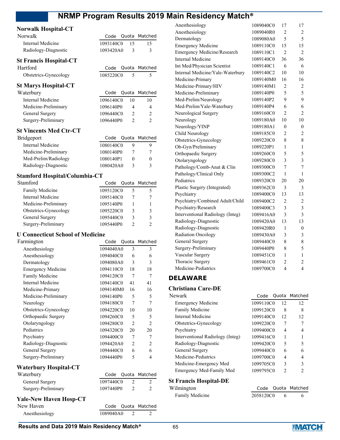| <b>Norwalk Hospital-CT</b>    |               |                                  |
|-------------------------------|---------------|----------------------------------|
| Norwalk                       | Code          | Quota Matched                    |
| Internal Medicine             | 1093140C0     | 15<br>15                         |
| Radiology-Diagnostic          | 1093420A0     | 3<br>3                           |
| <b>St Francis Hospital-CT</b> |               |                                  |
| Hartford                      | Code          | Ouota Matched                    |
| Obstetrics-Gynecology         | 1085220C0     | 5<br>5                           |
| <b>St Marys Hospital-CT</b>   |               |                                  |
| Waterbury                     | Code          | Quota<br>Matched                 |
| Internal Medicine             | 1096140C0     | 10<br>10                         |
| Medicine-Preliminary          | 1096140P0     | 4<br>4                           |
| General Surgery               | 1096440C0     | 2<br>2                           |
| Surgery-Preliminary           | 1096440P0     | $\mathfrak{D}$<br>$\overline{2}$ |
| St Vincents Med Ctr-CT        |               |                                  |
| Bridgeport                    | Quota<br>Code | Matched                          |
| Internal Medicine             | 1080140C0     | 9<br>9                           |
| Medicine-Preliminary          | 1080140P0     | 7<br>7                           |
| Med-Prelim/Radiology          | 1080140P1     | $\theta$<br>$\theta$             |
| Radiology-Diagnostic          | 1080420A0     | 3<br>3                           |

#### **Stamford Hospital/Columbia-CT**

| Stamford              | Code      |              | Quota Matched |
|-----------------------|-----------|--------------|---------------|
| Family Medicine       | 1095120C0 |              |               |
| Internal Medicine     | 1095140C0 |              |               |
| Medicine-Preliminary  | 1095140P0 |              |               |
| Obstetrics-Gynecology | 1095220C0 | 3            |               |
| General Surgery       | 1095440C0 | $\mathbf{3}$ |               |
| Surgery-Preliminary   | 1095440P0 |              |               |

#### **U Connecticut School of Medicine**

| Farmington                    |           |                | Code Quota Matched |
|-------------------------------|-----------|----------------|--------------------|
| Anesthesiology                | 1094040A0 | 3              | 3                  |
| Anesthesiology                | 1094040C0 | 6              | 6                  |
| Dermatology                   | 1094080A0 | $\mathcal{E}$  | 3                  |
| <b>Emergency Medicine</b>     | 1094110C0 | 18             | 18                 |
| Family Medicine               | 1094120C0 | 7              | 7                  |
| Internal Medicine             | 1094140C0 | 41             | 41                 |
| Medicine-Primary              | 1094140M0 | 16             | 16                 |
| Medicine-Preliminary          | 1094140P0 | 5              | 5                  |
| Neurology                     | 1094180C0 | 7              | 7                  |
| Obstetrics-Gynecology         | 1094220C0 | 10             | 10                 |
| Orthopaedic Surgery           | 1094260C0 | 5              | 5                  |
| Otolaryngology                | 1094280C0 | $\mathfrak{D}$ | $\overline{2}$     |
| Pediatrics                    | 1094320C0 | 20             | 20                 |
| Psychiatry                    | 1094400C0 | 7              | 7                  |
| Radiology-Diagnostic          | 1094420A0 | $\overline{2}$ | $\overline{c}$     |
| General Surgery               | 1094440C0 | 6              | 6                  |
| Surgery-Preliminary           | 1094440P0 | 5              | $\overline{4}$     |
| Waterbury Hospital-CT         |           |                |                    |
| Waterbury                     | Code      | Quota          | Matched            |
| General Surgery               | 1097440C0 | $\overline{2}$ | $\overline{2}$     |
| Surgery-Preliminary           | 1097440P0 | $\overline{2}$ | $\overline{2}$     |
| <b>Yale-New Haven Hosp-CT</b> |           |                |                    |
| New Haven                     | Code      | Quota          | Matched            |
| Anesthesiology                | 1089040A0 | $\overline{2}$ | $\overline{c}$     |

| Anesthesiology                   | 1089040C0 | 17                       | 17               |
|----------------------------------|-----------|--------------------------|------------------|
| Anesthesiology                   | 1089040R0 | $\overline{2}$           | 2                |
| Dermatology                      | 1089080A0 | 5                        | 5                |
| <b>Emergency Medicine</b>        | 1089110C0 | 15                       | 15               |
| Emergency Medicine/Research      | 1089110C1 | $\overline{2}$           | $\overline{2}$   |
| <b>Internal Medicine</b>         | 1089140C0 | 36                       | 36               |
| Int Med/Physician Scientist      | 1089140C1 | 6                        | 6                |
| Internal Medicine/Yale-Waterbury | 1089140C2 | 10                       | 10               |
| Medicine-Primary                 | 1089140M0 | 16                       | 16               |
| Medicine-Primary/HIV             | 1089140M1 | 2                        | 2                |
| Medicine-Preliminary             | 1089140P0 | 5                        | 5                |
| Med-Prelim/Neurology             | 1089140P2 | 9                        | 9                |
| Med-Prelim/Yale-Waterbury        | 1089140P4 | 6                        | 6                |
| Neurological Surgery             | 1089160C0 | $\overline{\mathcal{L}}$ | $\overline{2}$   |
| Neurology                        | 1089180A0 | 10                       | 10               |
| Neurology/YINP                   | 1089180A1 | 0                        | 0                |
| Child Neurology                  | 1089185C0 | $\overline{2}$           | $\overline{c}$   |
| Obstetrics-Gynecology            | 1089220C0 | 8                        | 8                |
| Ob-Gyn/Preliminary               | 1089220P1 | 1                        | 1                |
| Orthopaedic Surgery              | 1089260C0 | 5                        | 5                |
| Otolaryngology                   | 1089280C0 | 3                        | 3                |
| Pathology/Comb-Anat & Clin       | 1089300C0 | 7                        | 7                |
| Pathology/Clinical Only          | 1089300C2 | 1                        | 1                |
| Pediatrics                       | 1089320C0 | 20                       | 20               |
| Plastic Surgery (Integrated)     | 1089362C0 | 3                        | 3                |
| Psychiatry                       | 1089400C0 | 13                       | 13               |
| Psychiatry/Combined Adult/Child  | 1089400C2 | $\overline{2}$           | 2                |
| Psychiatry/Research              | 1089400C3 | 3                        | 3                |
| Interventional Radiology (Integ) | 1089416A0 | 3                        | 3                |
| Radiology-Diagnostic             | 1089420A0 | 13                       | 13               |
| Radiology-Diagnostic             | 1089420R0 | 1                        | $\boldsymbol{0}$ |
| Radiation Oncology               | 1089430A0 | 3                        | 3                |
| General Surgery                  | 1089440C0 | 8                        | 8                |
| Surgery-Preliminary              | 1089440P0 | 8                        | 5                |
| Vascular Surgery                 | 1089451C0 | 1                        | 1                |
| Thoracic Surgery                 | 1089461C0 | $\overline{c}$           | $\overline{c}$   |
| Medicine-Pediatrics              | 1089700C0 | $\overline{4}$           | $\overline{4}$   |

#### **DELAWARE**

#### **Christiana Care-DE**

| Newark                           | Code      |    | Quota Matched |
|----------------------------------|-----------|----|---------------|
| <b>Emergency Medicine</b>        | 1099110C0 | 12 | 12            |
| Family Medicine                  | 1099120C0 | 8  | 8             |
| Internal Medicine                | 1099140C0 | 12 | 12            |
| Obstetrics-Gynecology            | 1099220C0 | 7  | 7             |
| Psychiatry                       | 1099400C0 | 4  |               |
| Interventional Radiology (Integ) | 1099416C0 |    |               |
| Radiology-Diagnostic             | 1099420C0 | 5  | 5             |
| General Surgery                  | 1099440C0 | 6  | 6             |
| Medicine-Pediatrics              | 1099700C0 | 4  |               |
| Medicine-Emergency Med           | 1099705C0 | 3  | 3             |
| Emergency Med-Family Med         | 1099795C0 | 2  |               |
| <b>St Francis Hospital-DE</b>    |           |    |               |

| Wilmington      |           | Code Quota Matched |
|-----------------|-----------|--------------------|
| Family Medicine | 2058120C0 |                    |

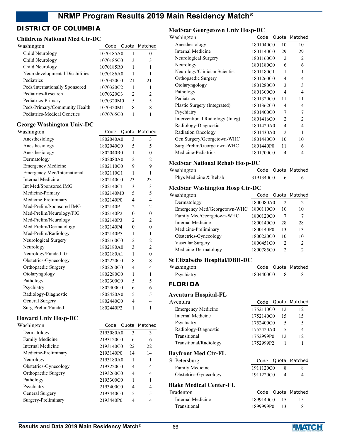#### **DISTRICT OF COLUMBIA**

#### **Childrens National Med Ctr-DC**

| Code |    | Ouota Matched                                                                                                                  |
|------|----|--------------------------------------------------------------------------------------------------------------------------------|
|      |    |                                                                                                                                |
|      | 3  | 3                                                                                                                              |
|      |    |                                                                                                                                |
|      |    |                                                                                                                                |
|      | 21 | 21                                                                                                                             |
|      |    |                                                                                                                                |
|      | 2  | $\mathcal{P}$                                                                                                                  |
|      | 5  | 5                                                                                                                              |
|      | 8  | 8                                                                                                                              |
|      |    |                                                                                                                                |
|      |    | 1070185A0<br>1070185C0<br>1070185R0<br>1070186A0<br>1070320C0<br>1070320C2<br>1070320C3<br>1070320M0<br>1070320M1<br>1070765C0 |

#### **George Washington Univ-DC**

| Washington                  | Code      | Quota    | Matched        |
|-----------------------------|-----------|----------|----------------|
| Anesthesiology              | 1802040A0 | 3        | 3              |
| Anesthesiology              | 1802040C0 | 5        | 5              |
| Anesthesiology              | 1802040R0 | 1        | $\mathbf{0}$   |
| Dermatology                 | 1802080A0 | 2        | $\overline{2}$ |
| <b>Emergency Medicine</b>   | 1802110C0 | 9        | 9              |
| Emergency Med/International | 1802110C1 | 1        | 1              |
| Internal Medicine           | 1802140C0 | 23       | 23             |
| Int Med/Sponsored IMG       | 1802140C1 | 3        | 3              |
| Medicine-Primary            | 1802140M0 | 5        | 5              |
| Medicine-Preliminary        | 1802140P0 | 4        | 4              |
| Med-Prelim/Sponsored IMG    | 1802140P1 | 2        | $\overline{c}$ |
| Med-Prelim/Neurology/FIG    | 1802140P2 | $\theta$ | $\overline{0}$ |
| Med-Prelim/Neurology        | 1802140P3 | 2        | $\overline{c}$ |
| Med-Prelim/Dermatology      | 1802140P4 | $\theta$ | $\overline{0}$ |
| Med-Prelim/Radiology        | 1802140P5 | 1        | 1              |
| Neurological Surgery        | 1802160C0 | 2        | $\overline{2}$ |
| Neurology                   | 1802180A0 | 3        | $\overline{2}$ |
| Neurology/Funded IG         | 1802180A1 | 1        | $\mathbf{0}$   |
| Obstetrics-Gynecology       | 1802220C0 | 8        | 8              |
| Orthopaedic Surgery         | 1802260C0 | 4        | 4              |
| Otolaryngology              | 1802280C0 | 1        | 1              |
| Pathology                   | 1802300C0 | 5        | 5              |
| Psychiatry                  | 1802400C0 | 6        | 6              |
| Radiology-Diagnostic        | 1802420A0 | 5        | 5              |
| General Surgery             | 1802440C0 | 4        | 4              |
| Surg-Prelim/Funded          | 1802440P2 | 1        | 1              |

#### **Howard Univ Hosp-DC**

| Washington            | Code      |    | Quota Matched |
|-----------------------|-----------|----|---------------|
| Dermatology           | 2193080A0 | 3  | 3             |
| Family Medicine       | 2193120C0 | 6  | 6             |
| Internal Medicine     | 2193140C0 | 22 | 22            |
| Medicine-Preliminary  | 2193140P0 | 14 | 14            |
| Neurology             | 2193180A0 |    |               |
| Obstetrics-Gynecology | 2193220C0 | 4  | 4             |
| Orthopaedic Surgery   | 2193260C0 | 4  | 4             |
| Pathology             | 2193300C0 |    |               |
| Psychiatry            | 2193400C0 | 4  | 4             |
| General Surgery       | 2193440C0 | 5  | 5             |
| Surgery-Preliminary   | 2193440P0 |    |               |

#### **MedStar Georgetown Univ Hosp-DC**

| o                                |           |                |                             |
|----------------------------------|-----------|----------------|-----------------------------|
| Washington                       | Code      | Quota          | Matched                     |
| Anesthesiology                   | 1801040C0 | 10             | 10                          |
| Internal Medicine                | 1801140C0 | 29             | 29                          |
| Neurological Surgery             | 1801160C0 | 2              | 2                           |
| Neurology                        | 1801180C0 | 6              | 6                           |
| Neurology/Clinician Scientist    | 1801180C1 | 1              | 1                           |
| Orthopaedic Surgery              | 1801260C0 | 4              | 4                           |
| Otolaryngology                   | 1801280C0 | 3              | 3                           |
| Pathology                        | 1801300C0 | 4              | 4                           |
| Pediatrics                       | 1801320C0 | 11             | 11                          |
| Plastic Surgery (Integrated)     | 1801362C0 | 4              | 4                           |
| Psychiatry                       | 1801400C0 | 7              | 7                           |
| Interventional Radiology (Integ) | 1801416C0 | $\overline{c}$ | $\mathcal{D}_{\mathcal{L}}$ |
| Radiology-Diagnostic             | 1801420A0 | 4              | 4                           |
| <b>Radiation Oncology</b>        | 1801430A0 | $\mathfrak{D}$ |                             |
| Gen Surgery/Georgetown-WHC       | 1801440C0 | 10             | 10                          |
| Surg-Prelim/Georgetown-WHC       | 1801440P0 | 11             | 6                           |
| Medicine-Pediatrics              | 1801700C0 | 4              | 4                           |

#### **MedStar National Rehab Hosp-DC**

| Washington            |           | Code Quota Matched |
|-----------------------|-----------|--------------------|
| Phys Medicine & Rehab | 3191340C0 |                    |

#### **MedStar Washington Hosp Ctr-DC**

| Washington                   | Code      |                | Ouota Matched  |
|------------------------------|-----------|----------------|----------------|
| Dermatology                  | 1800080A0 | 2              | $\mathfrak{D}$ |
| Emergency Med/Georgetown-WHC | 1800110C0 | 10             | 10             |
| Family Med/Georgetown-WHC    | 1800120C0 | 7              |                |
| Internal Medicine            | 1800140C0 | 28             | 28             |
| Medicine-Preliminary         | 1800140P0 | 13             | 13             |
| Obstetrics-Gynecology        | 1800220C0 | 10             | 10             |
| Vascular Surgery             | 1800451C0 | $\mathfrak{D}$ | $\mathcal{P}$  |
| Medicine-Dermatology         | 1800785C0 | C              | 2              |
|                              |           |                |                |

#### **St Elizabeths Hospital/DBH-DC**

| Washington |           | Code Quota Matched |
|------------|-----------|--------------------|
| Psychiatry | 1804400C0 |                    |

#### **FLORIDA**

#### **Aventura Hospital-FL**

| Aventura                       |           |    | Code Quota Matched |
|--------------------------------|-----------|----|--------------------|
| <b>Emergency Medicine</b>      | 1752110C0 | 12 | 12                 |
| Internal Medicine              | 1752140C0 | 15 | 15                 |
| Psychiatry                     | 1752400C0 | 5  | 5                  |
| Radiology-Diagnostic           | 1752420A0 | 5  | $\overline{4}$     |
| Transitional                   | 1752999P0 | 12 | 12                 |
| Transitional/Radiology         | 1752999P2 | 1  | 1                  |
| <b>Bayfront Med Ctr-FL</b>     |           |    |                    |
| St Petersburg                  |           |    | Code Quota Matched |
| <b>Family Medicine</b>         | 1911120C0 | 8  | 8                  |
| Obstetrics-Gynecology          | 1911220C0 | 4  | 4                  |
| <b>Blake Medical Center-FL</b> |           |    |                    |
| <b>Bradenton</b>               | Code      |    | Quota Matched      |
| Internal Medicine              | 1899140C0 | 15 | 15                 |
| Transitional                   | 1899999P0 | 13 | 8                  |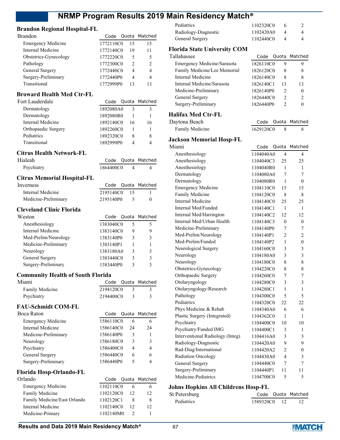#### **Brandon Regional Hospital-FL**

| Brandon                   |           |               | Code Quota Matched |
|---------------------------|-----------|---------------|--------------------|
| <b>Emergency Medicine</b> | 1772110C0 | 15            | 15                 |
| Internal Medicine         | 1772140C0 | 19            | 11                 |
| Obstetrics-Gynecology     | 1772220C0 | 5             | 5                  |
| Pathology                 | 1772300C0 | $\mathcal{P}$ | $\mathcal{D}$      |
| General Surgery           | 1772440C0 | 4             | 4                  |
| Surgery-Preliminary       | 1772440P0 | 4             | 4                  |
| Transitional              | 1772999P0 | 13            | 13                 |

#### **Broward Health Med Ctr-FL**

| Fort Lauderdale     | Code      |    | Quota Matched |
|---------------------|-----------|----|---------------|
| Dermatology         | 1892080A0 |    |               |
| Dermatology         | 1892080R0 |    |               |
| Internal Medicine   | 1892140C0 | 16 | 16            |
| Orthopaedic Surgery | 1892260C0 |    |               |
| Pediatrics          | 1892320C0 | 8  |               |
| Transitional        | 1892999P0 |    |               |

#### **Citrus Health Network-FL**

| Hialeah    |  |           | Code Ouota Matched |
|------------|--|-----------|--------------------|
| Psychiatry |  | 1864400C0 |                    |
| $ -$       |  |           |                    |

#### **Citrus Memorial Hospital-FL**

| <i>Inverness</i>     |              | Code Quota Matched |
|----------------------|--------------|--------------------|
| Internal Medicine    | 2195140C0 15 |                    |
| Medicine-Preliminary | 2195140P0 5  |                    |

#### **Cleveland Clinic Florida**

| Weston               | Code Quota Matched |   |   |
|----------------------|--------------------|---|---|
| Anesthesiology       | 1383040C0          |   | 5 |
| Internal Medicine    | 1383140C0          | 9 | 9 |
| Med-Prelim/Neurology | 1383140P0          | 3 | 3 |
| Medicine-Preliminary | 1383140P1          |   |   |
| Neurology            | 1383180A0          | 3 | 3 |
| General Surgery      | 1383440C0          | 3 | 3 |
| Surgery-Preliminary  | 1383440P0          |   | ٩ |

#### **Community Health of South Florida**

| Miami           |           |    | Code Quota Matched |
|-----------------|-----------|----|--------------------|
| Family Medicine | 2194120C0 | -3 |                    |
| Psychiatry      | 2194400C0 | -3 |                    |

#### **FAU-Schmidt COM-FL**

| Boca Raton                |           |    | Code Quota Matched |
|---------------------------|-----------|----|--------------------|
| <b>Emergency Medicine</b> | 1586110C0 | 6  |                    |
| Internal Medicine         | 1586140C0 | 24 | 24                 |
| Medicine-Preliminary      | 1586140P0 | 3  |                    |
| Neurology                 | 1586180C0 | 3  |                    |
| Psychiatry                | 1586400C0 | 4  |                    |
| General Surgery           | 1586440C0 | 6  |                    |
| Surgery-Preliminary       | 1586440P0 | 5  |                    |

#### **Florida Hosp-Orlando-FL**

| Orlando                      | Code Quota Matched |    |    |
|------------------------------|--------------------|----|----|
| <b>Emergency Medicine</b>    | 1102110C0          |    |    |
| Family Medicine              | 1102120C0          | 12 | 12 |
| Family Medicine/East Orlando | 1102120C1          |    |    |
| Internal Medicine            | 1102140C0          | 12 | 12 |
| Medicine-Primary             | 1102140M0          |    |    |
|                              |                    |    |    |

| <b>Pediatrics</b>    | 1102320C0 |  |
|----------------------|-----------|--|
| Radiology-Diagnostic | 1102420A0 |  |
| General Surgery      | 1102440C0 |  |

#### **Florida State University COM**

| Tallahassee                  |           |               | Code Quota Matched |
|------------------------------|-----------|---------------|--------------------|
| Emergency Medicine/Sarasota  | 1826110C0 | 9             |                    |
| Family Medicine/Lee Memorial | 1826120C0 | 8             | 8                  |
| Internal Medicine            | 1826140C0 | 8             |                    |
| Internal Medicine/Sarasota   | 1826140C1 | 13            | 13                 |
| Medicine-Preliminary         | 1826140P0 | $\mathcal{P}$ |                    |
| General Surgery              | 1826440C0 | 2             |                    |
| Surgery-Preliminary          | 1826440P0 |               |                    |
|                              |           |               |                    |

#### **Halifax Med Ctr-FL**

| Daytona Beach   |           | Code Quota Matched |
|-----------------|-----------|--------------------|
| Family Medicine | 1629120C0 |                    |

#### **Jackson Memorial Hosp-FL**

| Miami                            | Code      | Quota          | Matched        |
|----------------------------------|-----------|----------------|----------------|
| Anesthesiology                   | 1104040A0 | 4              | 4              |
| Anesthesiology                   | 1104040C3 | 25             | 25             |
| Anesthesiology                   | 1104040R0 | 1              | 1              |
| Dermatology                      | 1104080A0 | 7              | 7              |
| Dermatology                      | 1104080R0 | 1              | $\theta$       |
| <b>Emergency Medicine</b>        | 1104110C0 | 15             | 15             |
| Family Medicine                  | 1104120C0 | 8              | 8              |
| <b>Internal Medicine</b>         | 1104140C0 | 25             | 25             |
| Internal Med/Funded              | 1104140C1 | 1              | 1              |
| Internal Med/Harrington          | 1104140C2 | 12             | 12             |
| Internal Med/Urban Health        | 1104140C3 | $\mathbf{0}$   | $\theta$       |
| Medicine-Preliminary             | 1104140P0 | 7              | 7              |
| Med-Prelim/Neurology             | 1104140P1 | $\overline{c}$ | $\overline{c}$ |
| Med-Prelim/Funded                | 1104140P2 | 1              | $\mathbf{0}$   |
| Neurological Surgery             | 1104160C0 | 3              | 3              |
| Neurology                        | 1104180A0 | 3              | 3              |
| Neurology                        | 1104180C0 | 8              | 8              |
| Obstetrics-Gynecology            | 1104220C0 | 8              | 8              |
| Orthopaedic Surgery              | 1104260C0 | 7              | 7              |
| Otolaryngology                   | 1104280C0 | 3              | 3              |
| Otolaryngology/Research          | 1104280C1 | 1              | $\mathbf{1}$   |
| Pathology                        | 1104300C0 | 5              | 5              |
| Pediatrics                       | 1104320C0 | 22             | 22             |
| Phys Medicine & Rehab            | 1104340A0 | 6              | 6              |
| Plastic Surgery (Integrated)     | 1104362C0 | 1              | 1              |
| Psychiatry                       | 1104400C0 | 10             | 10             |
| Psychiatry/Funded IMG            | 1104400C1 | 3              | 1              |
| Interventional Radiology (Integ) | 1104416A0 | 3              | 3              |
| Radiology-Diagnostic             | 1104420A0 | 9              | 9              |
| Rad-Diag/International           | 1104420A2 | $\overline{2}$ | 0              |
| <b>Radiation Oncology</b>        | 1104430A0 | 4              | 3              |
| General Surgery                  | 1104440C0 | 7              | 7              |
| Surgery-Preliminary              | 1104440P1 | 11             | 11             |
| Medicine-Pediatrics              | 1104700C0 | 5              | 5              |

#### **Johns Hopkins All Childrens Hosp-FL**

| St Petersburg     |              | Code Ouota Matched |
|-------------------|--------------|--------------------|
| <b>Pediatrics</b> | 1589320C0 12 |                    |

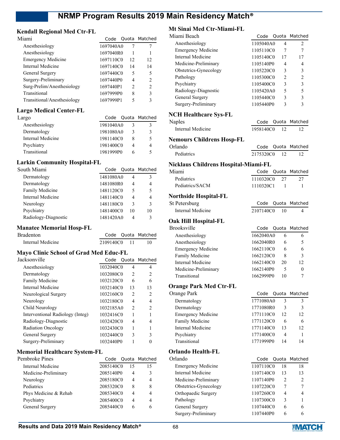#### **Kendall Regional Med Ctr-FL**

| Miami                       |           |                | Code Ouota Matched |
|-----------------------------|-----------|----------------|--------------------|
| Anesthesiology              | 1697040A0 |                |                    |
| Anesthesiology              | 1697040R0 |                |                    |
| <b>Emergency Medicine</b>   | 1697110C0 | 12             | 12                 |
| Internal Medicine           | 1697140C0 | 14             | 14                 |
| General Surgery             | 1697440C0 | 5              | 5                  |
| Surgery-Preliminary         | 1697440P0 | 4              | $\mathcal{L}$      |
| Surg-Prelim/Anesthesiology  | 1697440P1 | $\mathfrak{D}$ | $\mathcal{P}$      |
| Transitional                | 1697999P0 | 8              | 3                  |
| Transitional/Anesthesiology | 1697999P1 | 5              | ٩                  |
|                             |           |                |                    |

#### **Largo Medical Center-FL**

| Largo             | Code Quota Matched |   |   |
|-------------------|--------------------|---|---|
| Anesthesiology    | 1981040A0          |   | 3 |
| Dermatology       | 1981080A0          | 3 | 3 |
| Internal Medicine | 1981140C0          | 8 | 5 |
| Psychiatry        | 1981400C0          | 4 | 4 |
| Transitional      | 1981999P0          |   |   |

#### **Larkin Community Hospital-FL**

| South Miami          | Code      |    | Quota Matched |
|----------------------|-----------|----|---------------|
| Dermatology          | 1481080A0 | 4  |               |
| Dermatology          | 1481080R0 | 4  |               |
| Family Medicine      | 1481120C0 | 5  |               |
| Internal Medicine    | 1481140C0 | 4  |               |
| Neurology            | 1481180C0 | 3  | 3             |
| Psychiatry           | 1481400C0 | 10 | 10            |
| Radiology-Diagnostic | 1481420A0 |    |               |

#### **Manatee Memorial Hosp-FL**

| <b>Bradenton</b>  |              |  | Code Quota Matched |
|-------------------|--------------|--|--------------------|
| Internal Medicine | 2109140C0 11 |  |                    |

#### **Mayo Clinic School of Grad Med Educ-FL**

| Jacksonville                     |           |                | Code Ouota Matched |
|----------------------------------|-----------|----------------|--------------------|
| Anesthesiology                   | 1032040C0 | 4              | 4                  |
| Dermatology                      | 1032080C0 | $\mathcal{L}$  | $\mathfrak{D}$     |
| Family Medicine                  | 1032120C0 | 6              | 6                  |
| Internal Medicine                | 1032140C0 | 13             | 13                 |
| Neurological Surgery             | 1032160C0 | $\overline{c}$ | 2                  |
| Neurology                        | 1032180C0 | 4              |                    |
| Child Neurology                  | 1032185A0 | 2              | $\mathfrak{D}$     |
| Interventional Radiology (Integ) | 1032416C0 |                |                    |
| Radiology-Diagnostic             | 1032420C0 | 4              |                    |
| <b>Radiation Oncology</b>        | 1032430C0 | 1              |                    |
| General Surgery                  | 1032440C0 | 3              | 3                  |
| Surgery-Preliminary              | 1032440P0 |                |                    |

#### **Memorial Healthcare System-FL**

| Pembroke Pines        | Code      |    | Quota Matched |
|-----------------------|-----------|----|---------------|
| Internal Medicine     | 2085140C0 | 15 | 15            |
| Medicine-Preliminary  | 2085140P0 | 4  | 3             |
| Neurology             | 2085180C0 | 4  | 4             |
| Pediatrics            | 2085320C0 | 8  | 8             |
| Phys Medicine & Rehab | 2085340C0 | 4  | 4             |
| Psychiatry            | 2085400C0 | 4  | 4             |
| General Surgery       | 2085440C0 | 6  | 6             |
|                       |           |    |               |

#### **Mt Sinai Med Ctr-Miami-FL**

| Miami Beach               |           |               | Code Ouota Matched |
|---------------------------|-----------|---------------|--------------------|
| Anesthesiology            | 1105040A0 | 4             | $\mathfrak{D}$     |
| <b>Emergency Medicine</b> | 1105110C0 |               |                    |
| Internal Medicine         | 1105140C0 | 17            | 17                 |
| Medicine-Preliminary      | 1105140P0 | 4             | 4                  |
| Obstetrics-Gynecology     | 1105220C0 | 3             | 3                  |
| Pathology                 | 1105300C0 | $\mathcal{P}$ | $\mathcal{P}$      |
| Psychiatry                | 1105400C0 | 3             | 3                  |
| Radiology-Diagnostic      | 1105420A0 | 5             | 5                  |
| General Surgery           | 1105440C0 | ٩             | 3                  |
| Surgery-Preliminary       | 1105440P0 | ٩             |                    |
|                           |           |               |                    |

#### **NCH Healthcare Sys-FL**

| Naples                           |              |  | Code Quota Matched |
|----------------------------------|--------------|--|--------------------|
| Internal Medicine                | 1958140C0 12 |  | 12                 |
| <b>Nemours Childrens Hosp-FL</b> |              |  |                    |
| Orlando                          |              |  | Code Quota Matched |
| Pediatrics                       | 2175320C0 12 |  |                    |

### **Nicklaus Childrens Hospital-Miami-FL**

| Nicklaus Childrens Hospital-Miami-FL |           |       |               |
|--------------------------------------|-----------|-------|---------------|
| Miami                                | Code      | Quota | Matched       |
| Pediatrics                           | 1110320C0 | 27    | 27            |
| Pediatrics/SACM                      | 1110320C1 | 1     | 1             |
| <b>Northside Hospital-FL</b>         |           |       |               |
| St Petersburg                        | Code      |       | Quota Matched |
| Internal Medicine                    | 2107140C0 | 10    | 4             |
| Oak Hill Hospital-FL                 |           |       |               |
| <b>Brooksville</b>                   | Code      | Quota | Matched       |
| Anesthesiology                       | 1662040A0 | 6     | 6             |
| Anesthesiology                       | 1662040R0 | 6     | 5             |
| <b>Emergency Medicine</b>            | 1662110C0 | 6     | 6             |
| Family Medicine                      | 1662120C0 | 8     | 3             |
| Internal Medicine                    | 1662140C0 | 20    | 12            |
| Medicine-Preliminary                 | 1662140P0 | 5     | $\theta$      |
| Transitional                         | 1662999P0 | 10    | 7             |
| Orange Park Med Ctr-FL               |           |       |               |
| Orange Park                          | Code      | Quota | Matched       |
| Dermatology                          | 1771080A0 | 3     | 3             |
| Dermatology                          | 1771080R0 | 3     | 3             |
| <b>Emergency Medicine</b>            | 1771110C0 | 12.   | 12            |
| Family Medicine                      | 1771120C0 | 6     | 6             |
| Internal Medicine                    | 1771140C0 | 13    | 12            |
| Psychiatry                           | 1771400C0 | 4     | 1             |
| Transitional                         | 1771999P0 | 14    | 14            |

#### **Orlando Health-FL**

| Orlando                   |           |                | Code Quota Matched |
|---------------------------|-----------|----------------|--------------------|
| <b>Emergency Medicine</b> | 1107110C0 | 18             | 18                 |
| Internal Medicine         | 1107140C0 | 13             | 13                 |
| Medicine-Preliminary      | 1107140P0 | $\mathfrak{D}$ | 2                  |
| Obstetrics-Gynecology     | 1107220C0 | 7              | 7                  |
| Orthopaedic Surgery       | 1107260C0 | 4              | 4                  |
| Pathology                 | 1107300C0 | 3              |                    |
| General Surgery           | 1107440C0 | 6              | 6                  |
| Surgery-Preliminary       | 1107440P0 | 6              |                    |

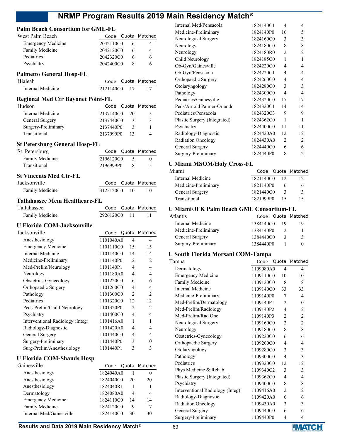#### **Palm Beach Consortium for GME-FL**

| West Palm Beach           |           | Code Quota Matched |
|---------------------------|-----------|--------------------|
| <b>Emergency Medicine</b> | 2042110C0 |                    |
| Family Medicine           | 2042120C0 | 4                  |
| Pediatrics                | 2042320C0 | 6                  |
| Psychiatry                | 2042400C0 |                    |
|                           |           |                    |

#### **Palmetto General Hosp-FL**

| Hialeah           |           |      | Code Quota Matched |
|-------------------|-----------|------|--------------------|
| Internal Medicine | 2121140C0 | - 17 |                    |

#### **Regional Med Ctr Bayonet Point-FL**

| Hudson              |           |    | Code Ouota Matched |
|---------------------|-----------|----|--------------------|
| Internal Medicine   | 2137140C0 | 20 |                    |
| General Surgery     | 2137440C0 |    | 3                  |
| Surgery-Preliminary | 2137440P0 |    | 3                  |
| Transitional        | 2137999P0 |    |                    |

#### **St Petersburg General Hosp-FL**

| St. Petersburg  |           |  | Code Quota Matched |
|-----------------|-----------|--|--------------------|
| Family Medicine | 2196120C0 |  |                    |
| Transitional    | 2196999P0 |  |                    |

#### **St Vincents Med Ctr-FL**

| Jacksonville    |              | Code Quota Matched |
|-----------------|--------------|--------------------|
| Family Medicine | 3125120C0 10 |                    |

#### **Tallahassee Mem Healthcare-FL**

| Tallahassee     |              | Code Ouota Matched |
|-----------------|--------------|--------------------|
| Family Medicine | 2926120C0 11 |                    |

#### **U Florida COM-Jacksonville**

| Jacksonville                     | Code      |                | Quota Matched |
|----------------------------------|-----------|----------------|---------------|
| Anesthesiology                   | 1101040A0 | 4              | 4             |
| <b>Emergency Medicine</b>        | 1101110C0 | 15             | 15            |
| Internal Medicine                | 1101140C0 | 14             | 14            |
| Medicine-Preliminary             | 1101140P0 | $\overline{c}$ | 2             |
| Med-Prelim/Neurology             | 1101140P1 | 4              | 4             |
| Neurology                        | 1101180A0 | 4              | 4             |
| Obstetrics-Gynecology            | 1101220C0 | 6              | 6             |
| Orthopaedic Surgery              | 1101260C0 | 4              | 4             |
| Pathology                        | 1101300C0 | $\overline{c}$ | 2             |
| Pediatrics                       | 1101320C0 | 12             | 12            |
| Peds-Prelim/Child Neurology      | 1101320P0 | $\overline{2}$ | 2             |
| Psychiatry                       | 1101400C0 | 4              | 4             |
| Interventional Radiology (Integ) | 1101416A0 | 1              | 1             |
| Radiology-Diagnostic             | 1101420A0 | 4              | 4             |
| General Surgery                  | 1101440C0 | 4              | 4             |
| Surgery-Preliminary              | 1101440P0 | 3              | $\Omega$      |
| Surg-Prelim/Anesthesiology       | 1101440P1 | 3              | 3             |

#### **U Florida COM-Shands Hosp**

| Gainesville               | Code      |    | Quota Matched |
|---------------------------|-----------|----|---------------|
| Anesthesiology            | 1824040A0 |    |               |
| Anesthesiology            | 1824040C0 | 20 | 20            |
| Anesthesiology            | 1824040R1 |    |               |
| Dermatology               | 1824080A0 | 4  |               |
| <b>Emergency Medicine</b> | 1824110C0 | 14 | 14            |
| Family Medicine           | 1824120C0 | 9  |               |
| Internal Med/Gainesville  | 1824140C0 | 30 | 30            |

| Internal Med/Pensacola       | 1824140C1 | 4  | 4              |
|------------------------------|-----------|----|----------------|
| Medicine-Preliminary         | 1824140P0 | 16 | 5              |
| Neurological Surgery         | 1824160C0 | 3  | 3              |
| Neurology                    | 1824180C0 | 8  | 8              |
| Neurology                    | 1824180R0 | 2  | 2              |
| Child Neurology              | 1824185C0 | 1  | 1              |
| Ob-Gyn/Gainesville           | 1824220C0 | 4  | 4              |
| Ob-Gyn/Pensacola             | 1824220C1 | 4  | 4              |
| Orthopaedic Surgery          | 1824260C0 | 4  | 4              |
| Otolaryngology               | 1824280C0 | 3  | 3              |
| Pathology                    | 1824300C0 | 4  | $\overline{4}$ |
| Pediatrics/Gainesville       | 1824320C0 | 17 | 17             |
| Peds/Arnold Palmer-Orlando   | 1824320C1 | 14 | 14             |
| Pediatrics/Pensacola         | 1824320C3 | 9  | 9              |
| Plastic Surgery (Integrated) | 1824362C0 | 1  | 1              |
| Psychiatry                   | 1824400C0 | 11 | 11             |
| Radiology-Diagnostic         | 1824420A0 | 12 | 12             |
| Radiation Oncology           | 1824430A0 | 2  | $\overline{2}$ |
| General Surgery              | 1824440C0 | 6  | 6              |
| Surgery-Preliminary          | 1824440P0 | 8  | 2              |

#### **U Miami MSOM/Holy Cross-FL**

| Miami                |           |                 | Code Quota Matched |
|----------------------|-----------|-----------------|--------------------|
| Internal Medicine    | 1821140C0 | $\overline{12}$ |                    |
| Medicine-Preliminary | 1821140P0 |                 |                    |
| General Surgery      | 1821440C0 | 3               | 2                  |
| Transitional         | 1821999P0 | -15             | 15                 |
|                      |           |                 |                    |

#### **U Miami/JFK Palm Beach GME Consortium-FL**

| <b>Atlantis</b>      |           |    | Code Quota Matched |
|----------------------|-----------|----|--------------------|
| Internal Medicine    | 1384140C0 | 19 | 19                 |
| Medicine-Preliminary | 1384140P0 |    |                    |
| General Surgery      | 1384440C0 | 3  | 3                  |
| Surgery-Preliminary  | 1384440P0 |    |                    |

#### **U South Florida Morsani COM-Tampa**

| Tampa                            |           |                | Code Quota Matched |
|----------------------------------|-----------|----------------|--------------------|
| Dermatology                      | 1109080A0 | $\overline{4}$ | $\overline{4}$     |
| <b>Emergency Medicine</b>        | 1109110C0 | 10             | 10                 |
| Family Medicine                  | 1109120C0 | 8              | 8                  |
| Internal Medicine                | 1109140C0 | 33             | 33                 |
| Medicine-Preliminary             | 1109140P0 | 7              | 4                  |
| Med-Prelim/Dermatology           | 1109140P1 | $\overline{c}$ | $\theta$           |
| Med-Prelim/Radiology             | 1109140P2 | 4              | 2                  |
| Med-Prelim/Rad Onc               | 1109140P3 | $\overline{2}$ | $\overline{2}$     |
| Neurological Surgery             | 1109160C0 | $\overline{c}$ | $\overline{2}$     |
| Neurology                        | 1109180C0 | 8              | 8                  |
| Obstetrics-Gynecology            | 1109220C0 | 6              | 6                  |
| Orthopaedic Surgery              | 1109260C0 | 4              | 4                  |
| Otolaryngology                   | 1109280C0 | 3              | 3                  |
| Pathology                        | 1109300C0 | 4              | 3                  |
| Pediatrics                       | 1109320C0 | 12             | 12                 |
| Phys Medicine & Rehab            | 1109340C2 | 3              | 3                  |
| Plastic Surgery (Integrated)     | 1109362C0 | 4              | 4                  |
| Psychiatry                       | 1109400C0 | 8              | 8                  |
| Interventional Radiology (Integ) | 1109416A0 | $\overline{c}$ | $\overline{2}$     |
| Radiology-Diagnostic             | 1109420A0 | 6              | 6                  |
| Radiation Oncology               | 1109430A0 | 3              | 3                  |
| General Surgery                  | 1109440C0 | 6              | 6                  |
| Surgery-Preliminary              | 1109440P0 | 4              | 4                  |
|                                  |           |                |                    |

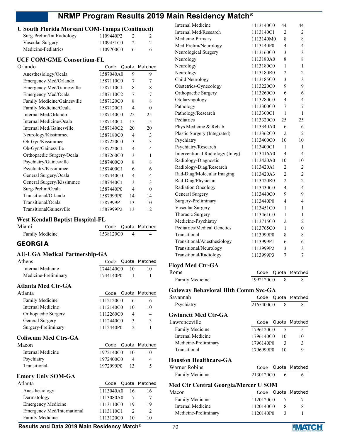#### **U South Florida Morsani COM-Tampa (Continued)**

| Surg-Prelim/Int Radiology | 1109440P2 |   |
|---------------------------|-----------|---|
| Vascular Surgery          | 1109451C0 |   |
| Medicine-Pediatrics       | 1109700C0 | 6 |
|                           |           |   |

#### **UCF COM/GME Consortium-FL**

| Orlando                        | Code      |                | Quota Matched |
|--------------------------------|-----------|----------------|---------------|
| Anesthesiology/Ocala           | 1587040A0 | 9              | 9             |
| Emergency Med/Orlando          | 1587110C0 | 7              | 7             |
| Emergency Med/Gainesville      | 1587110C1 | 8              | 8             |
| Emergency Med/Ocala            | 1587110C2 | 7              | 7             |
| Family Medicine/Gainesville    | 1587120C0 | 8              | 8             |
| Family Medicine/Ocala          | 1587120C1 | $\overline{4}$ | $\theta$      |
| Internal Med/Orlando           | 1587140C0 | 25             | 25            |
| Internal Medicine/Ocala        | 1587140C1 | 15             | 15            |
| Internal Med/Gainesville       | 1587140C2 | 20             | 20            |
| Neurology/Kissimmee            | 1587180C0 | 4              | 3             |
| Ob-Gyn/Kissimmee               | 1587220C0 | 3              | 3             |
| Ob-Gyn/Gainesville             | 1587220C1 | 4              | 4             |
| Orthopaedic Surgery/Ocala      | 1587260C0 | 3              | 1             |
| Psychiatry/Gainesville         | 1587400C0 | 8              | 8             |
| Psychiatry/Kissimmee           | 1587400C1 | 6              | 6             |
| General Surgery/Ocala          | 1587440C0 | 4              | 4             |
| General Surgery/Kissimmee      | 1587440C1 | 3              | 3             |
| Surg-Prelim/Ocala              | 1587440P0 | $\overline{4}$ | 0             |
| Transitional/Orlando           | 1587999P0 | 14             | 14            |
| Transitional/Ocala             | 1587999P1 | 13             | 10            |
| <b>TransitionalGainesville</b> | 1587999P2 | 13             | 12            |

#### **West Kendall Baptist Hospital-FL**

| Miami           |           | Code Ouota Matched |
|-----------------|-----------|--------------------|
| Family Medicine | 1538120C0 |                    |

#### **GEORGIA**

#### **AU-UGA Medical Partnership-GA**

| <b>Athens</b>        |           |      | Code Ouota Matched |
|----------------------|-----------|------|--------------------|
| Internal Medicine    | 1744140C0 | - 10 | 10                 |
| Medicine-Preliminary | 1744140P0 |      |                    |

#### **Atlanta Med Ctr-GA**

| Atlanta             |           |    | Code Quota Matched |
|---------------------|-----------|----|--------------------|
| Family Medicine     | 1112120C0 |    |                    |
| Internal Medicine   | 1112140C0 | 10 | 10                 |
| Orthopaedic Surgery | 1112260C0 |    | 4                  |
| General Surgery     | 1112440C0 | 3  | $\mathbf{R}$       |
| Surgery-Preliminary | 1112440P0 |    |                    |

#### **Coliseum Med Ctrs-GA**

| Macon             |           |     | Code Ouota Matched |
|-------------------|-----------|-----|--------------------|
| Internal Medicine | 1972140C0 | -10 | 10                 |
| Psychiatry        | 1972400C0 |     |                    |
| Transitional      | 1972999P0 | -13 | ↖                  |

#### **Emory Univ SOM-GA**

| Atlanta                     |           |    | Code Quota Matched |
|-----------------------------|-----------|----|--------------------|
| Anesthesiology              | 1113040A0 | 16 | 16                 |
| Dermatology                 | 1113080A0 |    |                    |
| <b>Emergency Medicine</b>   | 1113110C0 | 19 | 19                 |
| Emergency Med/International | 1113110C1 |    |                    |
| Family Medicine             | 1113120C0 | 10 | 10                 |

| Internal Medicine                               | 1113140C0          | 44             | 44             |
|-------------------------------------------------|--------------------|----------------|----------------|
| Internal Med/Research                           | 1113140C1          | 2              | 2              |
| Medicine-Primary                                | 1113140M0          | 8              | 8              |
| Med-Prelim/Neurology                            | 1113140P0          | 4              | $\overline{4}$ |
| Neurological Surgery                            | 1113160C0          | 3              | 3              |
| Neurology                                       | 1113180A0          | 8              | 8              |
| Neurology                                       | 1113180C0          | 1              | 1              |
| Neurology                                       | 1113180R0          | $\overline{2}$ | $\overline{c}$ |
| Child Neurology                                 | 1113185C0          | 3              | 3              |
| Obstetrics-Gynecology                           | 1113220C0          | 9              | 9              |
| Orthopaedic Surgery                             | 1113260C0          | 6              | 6              |
| Otolaryngology                                  | 1113280C0          | 4              | 4              |
| Pathology                                       | 1113300C0          | 7              | 7              |
| Pathology/Research                              | 1113300C1          | 1              | 1              |
| Pediatrics                                      | 1113320C0          | 25             | 25             |
| Phys Medicine & Rehab                           | 1113340A0          | 6              | 6              |
| Plastic Surgery (Integrated)                    | 1113362C0          | $\overline{c}$ | 2              |
| Psychiatry                                      | 1113400C0          | 10             | 10             |
| Psychiatry/Research                             | 1113400C1          | 1              | 1              |
| Interventional Radiology (Integ)                | 1113416A0          | 4              | 4              |
| Radiology-Diagnostic                            | 1113420A0          | 10             | 10             |
| Radiology-Diag/Research                         | 1113420A1          | 2              | 2              |
| Rad-Diag/Molecular Imaging                      | 1113420A3          | $\overline{2}$ | $\overline{2}$ |
| Rad-Diag/Physician                              | 1113420R0          | $\overline{2}$ | $\overline{c}$ |
| Radiation Oncology                              | 1113430C0          | 4              | 4              |
| General Surgery                                 | 1113440C0          | 9              | 9              |
| Surgery-Preliminary                             | 1113440P0          | 4              | $\overline{4}$ |
| Vascular Surgery                                | 1113451C0          | 1              | 1              |
| Thoracic Surgery                                | 1113461C0          | 1              | 1              |
| Medicine-Psychiatry                             | 1113715C0          | $\overline{c}$ | $\overline{c}$ |
| Pediatrics/Medical Genetics                     | 1113765C0          | 1              | 0              |
| Transitional                                    | 1113999P0          | 8              | 8              |
| Transitional/Anesthesiology                     | 1113999P1          | 6              | 6              |
| Transitional/Neurology                          | 1113999P2          | 3              | 3              |
| Transitional/Radiology                          | 1113999P3          | 7              | 7              |
|                                                 |                    |                |                |
| <b>Floyd Med Ctr-GA</b>                         |                    |                |                |
| Rome                                            | Code Quota Matched |                |                |
| Family Medicine                                 | 1992120C0          | 8              | 8              |
|                                                 |                    |                |                |
| Gateway Behavioral Hlth Comm Svc-GA<br>Savannah | Code               | Quota          | Matched        |
|                                                 |                    |                |                |
| Psychiatry                                      | 2165400C0          | 8              | 8              |
| <b>Gwinnett Med Ctr-GA</b>                      |                    |                |                |
| Lawrenceville                                   | Code               | Quota          | Matched        |
| Family Medicine                                 | 1796120C0          | 5              | 5              |
| <b>Internal Medicine</b>                        | 1796140C0          | 10             | 10             |
| Medicine-Preliminary                            | 1796140P0          | 3              | 3              |
| Transitional                                    | 1796999P0          | 10             | 9              |
|                                                 |                    |                |                |
| <b>Houston Healthcare-GA</b>                    |                    |                |                |
| Warner Robins                                   | Code               | Quota          | Matched        |
| Family Medicine                                 | 2130120C0          | 6              | 6              |
|                                                 |                    |                |                |

#### **Med Ctr Central Georgia/Mercer U SOM**

|  | x                                                         |
|--|-----------------------------------------------------------|
|  |                                                           |
|  | Code Quota Matched<br>1120120C0<br>1120140C0<br>1120140P0 |

#### **Results and Data 2019 Main Residency Match<sup>®</sup> 70**

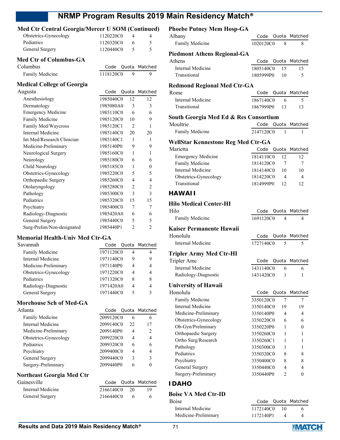#### **Med Ctr Central Georgia/Mercer U SOM (Continued)**

| Med Ctr of Columbus-GA |           |   |  |
|------------------------|-----------|---|--|
| General Surgery        | 1120440C0 | ↖ |  |
| Pediatrics             | 1120320C0 | h |  |
| Obstetrics-Gynecology  | 1120220C0 |   |  |
|                        |           |   |  |

| <b>Columbus</b> |           | Code Quota Matched |
|-----------------|-----------|--------------------|
| Family Medicine | 1118120C0 |                    |

#### **Medical College of Georgia**

| Augusta                    |           |                | Code Quota Matched |
|----------------------------|-----------|----------------|--------------------|
| Anesthesiology             | 1985040C0 | 12             | 12                 |
| Dermatology                | 1985080A0 | 3              | 3                  |
| <b>Emergency Medicine</b>  | 1985110C0 | 6              | 6                  |
| Family Medicine            | 1985120C0 | 10             | 9                  |
| Family Med/Waycross        | 1985120C1 | $\overline{2}$ | 1                  |
| Internal Medicine          | 1985140C0 | 20             | 20                 |
| Int Med/Research Clinician | 1985140C1 | 1              | 1                  |
| Medicine-Preliminary       | 1985140P0 | 9              | 9                  |
| Neurological Surgery       | 1985160C0 | 1              | 1                  |
| Neurology                  | 1985180C0 | 6              | 6                  |
| Child Neurology            | 1985185C0 | 1              | 0                  |
| Obstetrics-Gynecology      | 1985220C0 | 5              | 5                  |
| Orthopaedic Surgery        | 1985260C0 | 4              | 4                  |
| Otolaryngology             | 1985280C0 | $\overline{c}$ | $\overline{c}$     |
| Pathology                  | 1985300C0 | 3              | 3                  |
| Pediatrics                 | 1985320C0 | 15             | 15                 |
| Psychiatry                 | 1985400C0 | 7              | 7                  |
| Radiology-Diagnostic       | 1985420A0 | 6              | 6                  |
| General Surgery            | 1985440C0 | 5              | 5                  |
| Surg-Prelim/Non-designated | 1985440P1 | 2              | $\overline{2}$     |

# **Memorial Health-Univ Med Ctr-GA**<br>Coc

| Savannah              |           |   | Code Ouota Matched |
|-----------------------|-----------|---|--------------------|
| Family Medicine       | 1971120C0 | 4 |                    |
| Internal Medicine     | 1971140C0 | 9 | 9                  |
| Medicine-Preliminary  | 1971140P0 |   | 4                  |
| Obstetrics-Gynecology | 1971220C0 | 4 | 4                  |
| Pediatrics            | 1971320C0 | 8 | 8                  |
| Radiology-Diagnostic  | 1971420A0 |   | 4                  |
| General Surgery       | 1971440C0 |   |                    |

#### **Morehouse Sch of Med-GA**

| Atlanta               | Code      |    | Quota Matched |
|-----------------------|-----------|----|---------------|
| Family Medicine       | 2099120C0 | 6  | 6             |
| Internal Medicine     | 2099140C0 | 22 | 17            |
| Medicine-Preliminary  | 2099140P0 | 4  | 2             |
| Obstetrics-Gynecology | 2099220C0 | 4  | 4             |
| Pediatrics            | 2099320C0 | 6  | 6             |
| Psychiatry            | 2099400C0 |    | 4             |
| General Surgery       | 2099440C0 | 3  | 3             |
| Surgery-Preliminary   | 2099440P0 | 6  | 0             |
|                       |           |    |               |

# **Northeast Georgia Med Ctr**

| Gainesville       | Code Quota Matched |     |  |
|-------------------|--------------------|-----|--|
| Internal Medicine | 2166140C0 20       |     |  |
| General Surgery   | 2166440C0          | - 6 |  |

### **Phoebe Putney Mem Hosp-GA**

| і после і инісу ілеш позр-97              |                        |                |               |
|-------------------------------------------|------------------------|----------------|---------------|
| Albany                                    | Code                   |                | Quota Matched |
| Family Medicine                           | 1020120C0              | 8              | 8             |
| <b>Piedmont Athens Regional-GA</b>        |                        |                |               |
| Athens                                    | Code                   |                | Quota Matched |
| Internal Medicine                         | 1805140C0              | 15             | 15            |
| Transitional                              | 1805999P0              | 10             | 5             |
|                                           |                        |                |               |
| <b>Redmond Regional Med Ctr-GA</b>        |                        |                |               |
| Rome<br>Internal Medicine                 | Code                   | Quota          | Matched       |
| Transitional                              | 1867140C0<br>1867999P0 | 6<br>13        | 5<br>13       |
|                                           |                        |                |               |
| South Georgia Med Ed & Res Consortium     |                        |                |               |
| Moultrie                                  | Code                   | Quota          | Matched       |
| Family Medicine                           | 2147120C0              | 1              | 1             |
| <b>WellStar Kennestone Reg Med Ctr-GA</b> |                        |                |               |
| Marietta                                  | Code Quota             |                | Matched       |
| <b>Emergency Medicine</b>                 | 1814110C0              | 12             | 12            |
| Family Medicine                           | 1814120C0              | 7              | 7             |
| <b>Internal Medicine</b>                  | 1814140C0              | 10             | 10            |
| Obstetrics-Gynecology                     | 1814220C0              | $\overline{4}$ | 4             |
| Transitional                              | 1814999P0              | 12             | 12            |
|                                           |                        |                |               |
| <b>HAWAII</b>                             |                        |                |               |
| <b>Hilo Medical Center-HI</b>             |                        |                |               |
| Hilo                                      | Code                   | Quota          | Matched       |
| Family Medicine                           | 1691120C0              | 4              | 4             |
| Kaiser Permanente Hawaii                  |                        |                |               |
| Honolulu                                  | Code                   | Quota          | Matched       |
| <b>Internal Medicine</b>                  | 1727140C0              | 5              | 5             |
|                                           |                        |                |               |
| <b>Tripler Army Med Ctr-HI</b>            |                        |                |               |
| Tripler Amc                               | Code                   | Quota          | Matched       |
| <b>Internal Medicine</b>                  | 1431140C0              | 6              | 6             |
| Radiology-Diagnostic                      | 1431420C0              | 1              | 1             |
| <b>University of Hawaii</b>               |                        |                |               |
| Honolulu                                  | Code                   | Quota          | Matched       |
| Family Medicine                           | 3350120C0              | 7              | 7             |
| <b>Internal Medicine</b>                  | 3350140C0              | 19             | 19            |
| Medicine-Preliminary                      | 3350140P0              | 4              | 4             |
| Obstetrics-Gynecology                     | 3350220C0              | 6              | 6             |
| Ob-Gyn/Preliminary                        | 3350220P0              | 1              | 0             |
| Orthopaedic Surgery                       | 3350260C0              | 1              | 1             |
| Ortho Surg/Research                       | 3350260C1              | 1              | 1             |
| Pathology                                 | 3350300C0              | 1              | 1             |
| Pediatrics                                | 3350320C0              | 8              | 8             |
| Psychiatry                                | 3350400C0              | 8              | 8             |
| General Surgery                           | 3350440C0              | 4              | 4             |
| Surgery-Preliminary                       | 3350440P0              | $\overline{c}$ | 0             |
|                                           |                        |                |               |
| <b>IDAHO</b>                              |                        |                |               |
| <b>Boise VA Med Ctr-ID</b>                |                        |                |               |
| <b>Boise</b>                              | Code                   | Quota          | Matched       |
| <b>Internal Medicine</b>                  | 1172140C0              | 10             | 6             |

Medicine-Preliminary 1172140P1 4 4

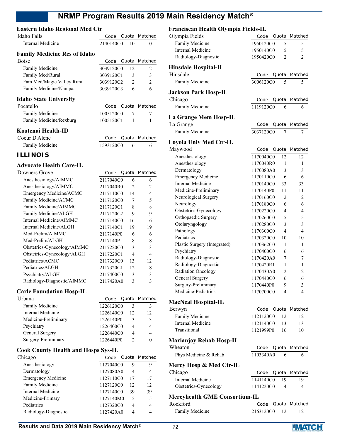| <b>NRMP Program Results 2019</b>           |           |                |                |
|--------------------------------------------|-----------|----------------|----------------|
| Eastern Idaho Regional Med Ctr             |           |                |                |
| Idaho Falls                                | Code      | Quota          | Matched        |
| Internal Medicine                          | 2140140C0 | 10             | 10             |
| <b>Family Medicine Res of Idaho</b>        |           |                |                |
| <b>Boise</b>                               | Code      | Ouota          | Matched        |
| <b>Family Medicine</b>                     | 3039120C0 | 12             | 12             |
| Family Med/Rural                           | 3039120C1 | 3              | 3              |
| Fam Med/Magic Valley Rural                 | 3039120C2 | 2              | $\overline{c}$ |
| Family Medicine/Nampa                      | 3039120C3 | 6              | 6              |
|                                            |           |                |                |
| <b>Idaho State University</b><br>Pocatello | Code      | Quota          | Matched        |
|                                            |           |                |                |
| Family Medicine                            | 1005120C0 | 7              | 7              |
| Family Medicine/Rexburg                    | 1005120C1 | 1              | 1              |
| Kootenai Health-ID                         |           |                |                |
| Coeur D'Alene                              | Code      | Quota          | Matched        |
| Family Medicine                            | 1593120C0 | 6              | 6              |
| <b>ILLINOIS</b>                            |           |                |                |
| <b>Advocate Health Care-IL</b>             |           |                |                |
| Downers Grove                              | Code      | Quota          | Matched        |
| Anesthesiology/AIMMC                       | 2117040C0 | 6              | 6              |
| Anesthesiology/AIMMC                       | 2117040R0 | $\mathfrak{D}$ | 2              |
| Emergency Medicine/ACMC                    | 2117110C0 | 14             | 14             |
| Family Medicine/ACMC                       | 2117120C0 | 7              | 5              |
| Family Medicine/AIMMC                      | 2117120C1 | 8              | 8              |
| Family Medicine/ALGH                       | 2117120C2 | 9              | 9              |
| Internal Medicine/AIMMC                    | 2117140C0 | 16             | 16             |
| Internal Medicine/ALGH                     | 2117140C1 | 19             | 19             |
| Med-Prelim/AIMMC                           | 2117140P0 | 6              | 6              |
| Med-Prelim/ALGH                            | 2117140P1 | 8              | 8              |
|                                            | 2117220C0 | 3              | 3              |
| Obstetrics-Gynecology/AIMMC                |           |                |                |
| Obstetrics-Gynecology/ALGH                 | 2117220C1 | 4              | 4              |
| Pediatrics/ACMC                            | 2117320C0 | 13             | 12             |
| Pediatrics/ALGH                            | 2117320C1 | 12             | 8              |
| Psychiatry/ALGH                            | 2117400C0 | 3              | 3              |
| Radiology-Diagnostic/AIMMC                 | 2117420A0 | 3              | 3              |
| <b>Carle Foundation Hosp-IL</b>            |           |                |                |
| Urbana                                     | Code      | Quota          | Matched        |
| Family Medicine                            | 1226120C0 | 3              | 3              |
| <b>Internal Medicine</b>                   | 1226140C0 | 12             | 12             |
| Medicine-Preliminary                       | 1226140P0 | 3              | 3              |
| Psychiatry                                 | 1226400C0 | $\overline{4}$ | 4              |

### **Cook County Health and Hosps Sys-IL**

| Chicago                   | Code      |    | Quota Matched            |
|---------------------------|-----------|----|--------------------------|
| Anesthesiology            | 1127040C0 | 9  |                          |
| Dermatology               | 1127080A0 | 4  | 4                        |
| <b>Emergency Medicine</b> | 1127110C0 | 17 | 17                       |
| Family Medicine           | 1127120C0 | 12 | 12                       |
| Internal Medicine         | 1127140C0 | 39 | 39                       |
| Medicine-Primary          | 1127140M0 | 5  | $\overline{\mathcal{L}}$ |
| Pediatrics                | 1127320C0 | 4  | 4                        |
| Radiology-Diagnostic      | 1127420A0 | 4  |                          |

General Surgery 1226440C0 4 4 Surgery-Preliminary 1226440P0 2 0

#### **Franciscan Health Olympia Fields-IL**

| гтансізсан псанн Отушріа гісіцэ      |           |          |                                  |
|--------------------------------------|-----------|----------|----------------------------------|
| Olympia Fields                       | Code      | Quota    | Matched                          |
| Family Medicine                      | 1950120C0 |          | 5<br>5                           |
| <b>Internal Medicine</b>             | 1950140C0 |          | 5<br>5                           |
| Radiology-Diagnostic                 | 1950420C0 |          | $\overline{2}$<br>$\mathfrak{D}$ |
|                                      |           |          |                                  |
| Hinsdale Hospital-IL                 |           |          |                                  |
| Hinsdale                             | Code      | Quota    | Matched                          |
| Family Medicine                      | 3006120C0 |          | 5<br>5                           |
| Jackson Park Hosp-IL                 |           |          |                                  |
| Chicago                              | Code      | Quota    | Matched                          |
| Family Medicine                      | 1119120C0 |          | 6<br>6                           |
|                                      |           |          |                                  |
| La Grange Mem Hosp-IL<br>La Grange   | Code      | Quota    | Matched                          |
|                                      |           |          |                                  |
| Family Medicine                      | 3037120C0 |          | 7<br>7                           |
| Loyola Univ Med Ctr-IL               |           |          |                                  |
| Maywood                              | Code      | Quota    | Matched                          |
| Anesthesiology                       | 1170040C0 | 12       | 12                               |
| Anesthesiology                       | 1170040R0 |          | 1<br>1                           |
| Dermatology                          | 1170080A0 |          | 3<br>3                           |
| <b>Emergency Medicine</b>            | 1170110C0 |          | 6<br>6                           |
| <b>Internal Medicine</b>             | 1170140C0 | 33       | 33                               |
| Medicine-Preliminary                 | 1170140P0 | 11       | 11                               |
| Neurological Surgery                 | 1170160C0 |          | 2<br>2                           |
| Neurology                            | 1170180C0 |          | 6<br>6                           |
| Obstetrics-Gynecology                | 1170220C0 |          | 4<br>4                           |
| Orthopaedic Surgery                  | 1170260C0 |          | 5<br>5                           |
| Otolaryngology                       | 1170280C0 |          | 3<br>3                           |
| Pathology                            | 1170300C0 |          | 4<br>4                           |
| Pediatrics                           | 1170320C0 | 10       | 10                               |
| Plastic Surgery (Integrated)         | 1170362C0 |          | 1<br>1                           |
| Psychiatry                           | 1170400C0 |          | 6<br>6                           |
| Radiology-Diagnostic                 | 1170420A0 |          | 7<br>7                           |
| Radiology-Diagnostic                 | 1170420R1 |          | 1<br>1                           |
| Radiation Oncology                   | 1170430A0 |          | $\overline{2}$<br>2              |
| General Surgery                      | 1170440C0 |          | 6<br>6                           |
| Surgery-Preliminary                  | 1170440P0 |          | 9<br>3                           |
| Medicine-Pediatrics                  | 1170700C0 |          | 4<br>$\overline{4}$              |
|                                      |           |          |                                  |
| <b>MacNeal Hospital-IL</b><br>Berwyn | Code      | Quota    | Matched                          |
| Family Medicine                      | 1121120C0 |          |                                  |
| <b>Internal Medicine</b>             |           | 12       | 12                               |
| Transitional                         | 1121140C0 | 13<br>16 | 13                               |
|                                      | 1121999P0 |          | 10                               |
| Marianjoy Rehab Hosp-IL              |           |          |                                  |
| Wheaton                              | Code      | Quota    | Matched                          |
| Phys Medicine & Rehab                | 1103340A0 |          | 6<br>6                           |
| Mercy Hosp & Med Ctr-IL              |           |          |                                  |
| Chicago                              | Code      | Quota    | Matched                          |
| Internal Medicine                    | 1141140C0 |          | 19<br>19                         |
| Obstetrics-Gynecology                | 1141220C0 |          | 4<br>4                           |
|                                      |           |          |                                  |
| Mercyhealth GME Consortium-IL        |           |          |                                  |
| Rockford                             | Code      | Quota    | Matched                          |
| Family Medicine                      | 2163120C0 | 12       | 12                               |
|                                      |           |          |                                  |

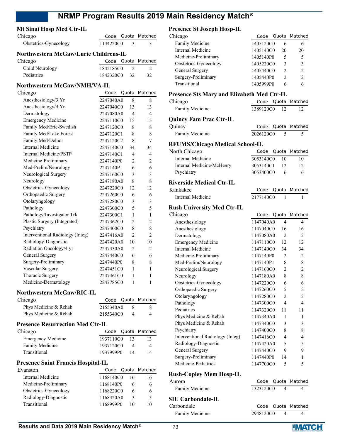| Mt Sinai Hosp Med Ctr-IL                     |           |                |                |
|----------------------------------------------|-----------|----------------|----------------|
| Chicago                                      | Code      | Quota          | Matched        |
| Obstetrics-Gynecology                        | 1144220C0 | 3              | 3              |
| <b>Northwestern McGaw/Lurie Childrens-IL</b> |           |                |                |
| Chicago                                      | Code      | Quota          | Matched        |
| Child Neurology                              | 1842185C0 | $\overline{c}$ | $\overline{2}$ |
| Pediatrics                                   | 1842320C0 | 32             | 32             |
| <b>Northwestern McGaw/NMH/VA-IL</b>          |           |                |                |
| Chicago                                      | Code      | Quota          | Matched        |
| Anesthesiology/3 Yr                          | 2247040A0 | 8              | 8              |
| Anesthesiology/4 Yr                          | 2247040C0 | 13             | 13             |
| Dermatology                                  | 2247080A0 | 4              | 4              |
| <b>Emergency Medicine</b>                    | 2247110C0 | 15             | 15             |
| Family Med/Erie-Swedish                      | 2247120C0 | 8              | 8              |
| Family Med/Lake Forest                       | 2247120C1 | 8              | 8              |
| Family Med/Delnor                            | 2247120C2 | 8              | 7              |
| <b>Internal Medicine</b>                     | 2247140C0 | 34             | 34             |
| <b>Internal Medicine/PSTP</b>                | 2247140C1 | 4              | 4              |
| Medicine-Preliminary                         | 2247140P0 | $\overline{c}$ | $\overline{2}$ |
| Med-Prelim/Neurology                         | 2247140P1 | 6              | 6              |
| Neurological Surgery                         | 2247160C0 | 3              | 3              |
| Neurology                                    | 2247180A0 | 8              | 8              |
| Obstetrics-Gynecology                        | 2247220C0 | 12             | 12             |
| Orthopaedic Surgery                          | 2247260C0 | 6              | 6              |
| Otolaryngology                               | 2247280C0 | 3              | 3              |
| Pathology                                    | 2247300C0 | 5              | 5              |
| Pathology/Investigator Trk                   | 2247300C1 | 1              | 1              |
| Plastic Surgery (Integrated)                 | 2247362C0 | $\overline{2}$ | $\overline{2}$ |
| Psychiatry                                   | 2247400C0 | 8              | 8              |
| Interventional Radiology (Integ)             | 2247416A0 | 2              | $\overline{2}$ |
| Radiology-Diagnostic                         | 2247420A0 | 10             | 10             |
| Radiation Oncology/4 yr                      | 2247430A0 | $\mathfrak{D}$ | $\mathfrak{D}$ |
| General Surgery                              | 2247440C0 | 6              | 6              |
| Surgery-Preliminary                          | 2247440P0 | 8              | 8              |
| Vascular Surgery                             | 2247451C0 | 1              | 1              |

#### **Northwestern McGaw/RIC-IL**

| Chicago               |           | Code Quota Matched |
|-----------------------|-----------|--------------------|
| Phys Medicine & Rehab | 2155340A0 |                    |
| Phys Medicine & Rehab | 2155340C0 |                    |

Thoracic Surgery 2247461C0 1 1 Medicine-Dermatology 2247785C0 1 1

#### **Presence Resurrection Med Ctr-IL**

| Chicago                   |           |                | Code Quota Matched |
|---------------------------|-----------|----------------|--------------------|
| <b>Emergency Medicine</b> | 1937110C0 | $\frac{13}{2}$ |                    |
| Family Medicine           | 1937120C0 |                |                    |
| Transitional              | 1937999P0 | -14            | 14                 |

#### **Presence Saint Francis Hospital-IL**

| Evanston              |           |    | Code Quota Matched |
|-----------------------|-----------|----|--------------------|
| Internal Medicine     | 1168140C0 | 16 | 16                 |
| Medicine-Preliminary  | 1168140P0 |    |                    |
| Obstetrics-Gynecology | 1168220C0 | 6  |                    |
| Radiology-Diagnostic  | 1168420A0 | 3  | 3                  |
| Transitional          | 1168999P0 | 10 | 10                 |
|                       |           |    |                    |

#### **Presence St Joseph Hosp-IL**

| Chicago                |           |    | Code Quota Matched |
|------------------------|-----------|----|--------------------|
| <b>Family Medicine</b> | 1405120C0 | 6  |                    |
| Internal Medicine      | 1405140C0 | 20 | 20                 |
| Medicine-Preliminary   | 1405140P0 | 5  |                    |
| Obstetrics-Gynecology  | 1405220C0 | ٩  | ٩                  |
| General Surgery        | 1405440C0 | 2  | っ                  |
| Surgery-Preliminary    | 1405440P0 | 2  |                    |
| Transitional           | 1405999P0 |    |                    |

#### **Presence Sts Mary and Elizabeth Med Ctr-IL**

#### Chicago Code Quota Matched Family Medicine 1389120C0 12 12 **Quincy Fam Prac Ctr-IL** Quincy Code Quota Matched Family Medicine

|                  | .         |  | - 2006 - 2010 - 2010 - 2010 - 2010 - 2010 - 2020 - 2021 - 2021 - 2021 - 2021 - 20 |  |
|------------------|-----------|--|-----------------------------------------------------------------------------------|--|
|                  | 2026120C0 |  |                                                                                   |  |
| edical School-IL |           |  |                                                                                   |  |

#### **RFUMS/Chicago Me**

| <u>ru</u> Umbremengo medican benoon |           |                |                         |
|-------------------------------------|-----------|----------------|-------------------------|
| North Chicago                       | Code      | Quota          | Matched                 |
| Internal Medicine                   | 3053140C0 | 10             | 10                      |
| Internal Medicine/McHenry           | 3053140C1 | 12             | 12                      |
| Psychiatry                          | 3053400C0 | 6              | 6                       |
| <b>Riverside Medical Ctr-IL</b>     |           |                |                         |
| Kankakee                            | Code      | Quota          | Matched                 |
| Internal Medicine                   | 2177140C0 | 1              | 1                       |
| <b>Rush University Med Ctr-IL</b>   |           |                |                         |
| Chicago                             | Code      | Quota          | Matched                 |
| Anesthesiology                      | 1147040A0 | 4              | 4                       |
| Anesthesiology                      | 1147040C0 | 16             | 16                      |
| Dermatology                         | 1147080A0 | $\overline{2}$ | $\overline{2}$          |
| <b>Emergency Medicine</b>           | 1147110C0 | 12             | 12                      |
| <b>Internal Medicine</b>            | 1147140C0 | 34             | 34                      |
| Medicine-Preliminary                | 1147140P0 | $\overline{2}$ | $\overline{2}$          |
| Med-Prelim/Neurology                | 1147140P1 | 8              | 8                       |
| Neurological Surgery                | 1147160C0 | $\overline{2}$ | $\overline{2}$          |
| Neurology                           | 1147180A0 | 8              | 8                       |
| Obstetrics-Gynecology               | 1147220C0 | 6              | 6                       |
| Orthopaedic Surgery                 | 1147260C0 | 5              | 5                       |
| Otolaryngology                      | 1147280C0 | $\overline{2}$ | $\overline{c}$          |
| Pathology                           | 1147300C0 | $\overline{4}$ | $\overline{\mathbf{4}}$ |
| Pediatrics                          | 1147320C0 | 11             | 11                      |
| Phys Medicine & Rehab               | 1147340A0 | 1              | 1                       |
| Phys Medicine & Rehab               | 1147340C0 | 3              | 3                       |
| Psychiatry                          | 1147400C0 | 8              | 8                       |
| Interventional Radiology (Integ)    | 1147416C0 | 4              | 4                       |
| Radiology-Diagnostic                | 1147420A0 | 5              | 5                       |
| General Surgery                     | 1147440C0 | 9              | 9                       |
| Surgery-Preliminary                 | 1147440P0 | 14             | $\mathbf{1}$            |
| Medicine-Pediatrics                 | 1147700C0 | 5              | 5                       |
|                                     |           |                |                         |

#### **Rush-Copley Mem Hosp-IL**

| Aurora                   |           |  | Code Quota Matched |
|--------------------------|-----------|--|--------------------|
| <b>Family Medicine</b>   | 1323120C0 |  |                    |
| <b>SIU Carbondale-IL</b> |           |  |                    |

| Carbondale      |           | Code Quota Matched |
|-----------------|-----------|--------------------|
| Family Medicine | 2948120C0 |                    |

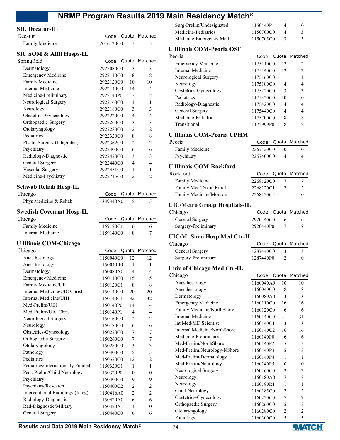#### **SIU Decatur-IL**

| Decatur         |           | Code Quota Matched |
|-----------------|-----------|--------------------|
| Family Medicine | 2016120C0 |                    |

#### **SIU SOM & Affil Hosps-IL**

| Springfield                  |           |                | Code Quota Matched |
|------------------------------|-----------|----------------|--------------------|
| Dermatology                  | 2922080C0 | 3              | 3                  |
| <b>Emergency Medicine</b>    | 2922110C0 | 8              | 8                  |
| Family Medicine              | 2922120C0 | 10             | 10                 |
| Internal Medicine            | 2922140C0 | 14             | 14                 |
| Medicine-Preliminary         | 2922140P0 | 2              | $\mathfrak{D}$     |
| Neurological Surgery         | 2922160C0 | 1              |                    |
| Neurology                    | 2922180C0 | 3              | 3                  |
| Obstetrics-Gynecology        | 2922220C0 | 4              | 4                  |
| Orthopaedic Surgery          | 2922260C0 | 3              | 3                  |
| Otolaryngology               | 2922280C0 | $\overline{2}$ | $\overline{c}$     |
| Pediatrics                   | 2922320C0 | 8              | 8                  |
| Plastic Surgery (Integrated) | 2922362C0 | $\overline{2}$ | 2                  |
| Psychiatry                   | 2922400C0 | 6              | 6                  |
| Radiology-Diagnostic         | 2922420C0 | 3              | 3                  |
| General Surgery              | 2922440C0 | 4              | 4                  |
| Vascular Surgery             | 2922451C0 | 1              |                    |
| Medicine-Psychiatry          | 2922715C0 | $\overline{2}$ | $\overline{c}$     |

#### **Schwab Rehab Hosp-IL**

| Chicago               |             | Code Quota Matched |
|-----------------------|-------------|--------------------|
| Phys Medicine & Rehab | 1339340A0 5 |                    |

#### **Swedish Covenant Hosp-IL**

| Chicago           |           |    | Code Quota Matched |
|-------------------|-----------|----|--------------------|
| Family Medicine   | 1159120C1 |    |                    |
| Internal Medicine | 1159140C0 | -8 |                    |

#### **U Illinois COM-Chicago**

| Chicago                           | Code      | Quota          | Matched        |
|-----------------------------------|-----------|----------------|----------------|
| Anesthesiology                    | 1150040C0 | 12             | 12             |
| Anesthesiology                    | 1150040R0 | 1              | 1              |
| Dermatology                       | 1150080A0 | $\overline{4}$ | 4              |
| <b>Emergency Medicine</b>         | 1150110C0 | 15             | 15             |
| Family Medicine/UIH               | 1150120C1 | 8              | 8              |
| Internal Medicine/UIC Christ      | 1150140C0 | 20             | 20             |
| Internal Medicine/UIH             | 1150140C1 | 32             | 32             |
| Med-Prelim/UIH                    | 1150140P0 | 14             | 14             |
| Med-Prelim/UIC Christ             | 1150140P1 | 4              | 4              |
| Neurological Surgery              | 1150160C0 | $\overline{2}$ | 2              |
| Neurology                         | 1150180C0 | 6              | 6              |
| Obstetrics-Gynecology             | 1150220C0 | 7              | 7              |
| Orthopaedic Surgery               | 1150260C0 | 7              | 7              |
| Otolaryngology                    | 1150280C0 | 3              | 3              |
| Pathology                         | 1150300C0 | 5              | 5              |
| Pediatrics                        | 1150320C0 | 12             | 12             |
| Pediatrics/Internationally Funded | 1150320C1 | 1              | 1              |
| Peds-Prelim/Child Neurology       | 1150320P0 | $\theta$       | 0              |
| Psychiatry                        | 1150400C0 | 9              | 9              |
| Psychiatry/Research               | 1150400C2 | $\overline{2}$ | $\overline{c}$ |
| Interventional Radiology (Integ)  | 1150416A0 | $\overline{2}$ | $\overline{c}$ |
| Radiology-Diagnostic              | 1150420A0 | 6              | 6              |
| Rad-Diagnostic/Military           | 1150420A1 | 1              | $\Omega$       |
| General Surgery                   | 1150440C0 | 6              | 6              |

| Surg-Prelim/Undesignated | 1150440P1 |  |
|--------------------------|-----------|--|
| Medicine-Pediatrics      | 1150700C0 |  |
| Medicine-Emergency Med   | 1150705C0 |  |

#### **U Illinois COM-Peoria OSF**

| Peoria                    |           |    | Code Quota Matched |
|---------------------------|-----------|----|--------------------|
| <b>Emergency Medicine</b> | 1175110C0 | 12 | 12                 |
| Internal Medicine         | 1175140C0 | 12 | 12                 |
| Neurological Surgery      | 1175160C0 |    |                    |
| Neurology                 | 1175180C0 | 4  |                    |
| Obstetrics-Gynecology     | 1175220C0 | 3  | 3                  |
| Pediatrics                | 1175320C0 | 10 | 10                 |
| Radiology-Diagnostic      | 1175420C0 | 4  |                    |
| General Surgery           | 1175440C0 | 4  |                    |
| Medicine-Pediatrics       | 1175700C0 | 8  | 8                  |
| Transitional              | 1175999P0 | 8  |                    |

#### **U Illinois COM-Peoria UPHM**

| Peoria          | Code Ouota Matched    |
|-----------------|-----------------------|
| Family Medicine | 2267120C0<br>-10      |
| Psychiatry      | 2267400C0<br>$\Delta$ |

#### **U Illinois COM-Rockford**

| Rockford               |           | Code Quota Matched |
|------------------------|-----------|--------------------|
| Family Medicine        | 2268120C0 |                    |
| Family Med/Dixon Rural | 2268120C1 |                    |
| Family Medicine/Monroe | 2268120C2 |                    |

#### **UIC/Metro Group Hospitals-IL**

Chicago

| hicago              |           | Code Ouota Matched |
|---------------------|-----------|--------------------|
| General Surgery     | 2920440C0 |                    |
| Surgery-Preliminary | 2920440P0 |                    |

#### **UIC/Mt Sinai Hosp Med Ctr-IL**

| Chicago             |           |  | Code Ouota Matched |
|---------------------|-----------|--|--------------------|
| General Surgery     | 1287440C0 |  |                    |
| Surgery-Preliminary | 1287440P0 |  |                    |

#### **Univ of Chicago Med Ctr-IL**

| Chicago                      | Code      |                | Quota Matched               |
|------------------------------|-----------|----------------|-----------------------------|
| Anesthesiology               | 1160040A0 | 10             | 10                          |
| Anesthesiology               | 1160040C0 | 8              | 8                           |
| Dermatology                  | 1160080A0 | 3              | 3                           |
| <b>Emergency Medicine</b>    | 1160110C0 | 16             | 16                          |
| Family Medicine/NorthShore   | 1160120C0 | 6              | 6                           |
| Internal Medicine            | 1160140C0 | 31             | 31                          |
| Int Med/MD Scientist         | 1160140C1 | 3              | 3                           |
| Internal Medicine/NorthShore | 1160140C2 | 16             | 16                          |
| Medicine-Preliminary         | 1160140P0 | 6              | 6                           |
| Med-Prelim/NorthShore        | 1160140P2 | 5              | 5                           |
| Med-Prelim/Neurology-NShore  | 1160140P3 | 5              | 5                           |
| Med-Prelim/Dermatology       | 1160140P4 | 1              | 1                           |
| Med-Prelim/Neurology         | 1160140P5 | $\theta$       | $\theta$                    |
| Neurological Surgery         | 1160160C0 | 2              | 2                           |
| Neurology                    | 1160180A0 | 7              | 7                           |
| Neurology                    | 1160180R1 | 1              | 1                           |
| Child Neurology              | 1160185C0 | 2              | $\mathcal{D}_{\mathcal{L}}$ |
| Obstetrics-Gynecology        | 1160220C0 | 7              | 7                           |
| Orthopaedic Surgery          | 1160260C0 | 5              | 5                           |
| Otolaryngology               | 1160280C0 | $\overline{2}$ | $\mathfrak{D}$              |
| Pathology                    | 1160300C0 | 5              | 5                           |

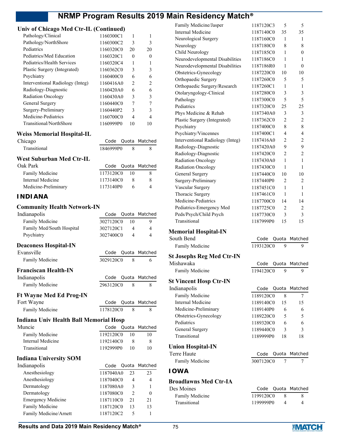#### **Univ of Chicago Med Ctr-IL (Continued)**

| $\ldots$ . $\ldots$ . $\ldots$ . $\ldots$ | .         |          |    |
|-------------------------------------------|-----------|----------|----|
| Pathology/Clinical                        | 1160300C1 |          |    |
| Pathology/NorthShore                      | 1160300C2 | 3        | 3  |
| Pediatrics                                | 1160320C0 | 20       | 20 |
| Pediatrics/Med Education                  | 1160320C1 | $\theta$ |    |
| Pediatrics/Health Services                | 1160320C4 |          |    |
| Plastic Surgery (Integrated)              | 1160362C0 | 3        | 3  |
| Psychiatry                                | 1160400C0 | 6        | 6  |
| Interventional Radiology (Integ)          | 1160416A0 | 2        | 2  |
| Radiology-Diagnostic                      | 1160420A0 | 6        | 6  |
| <b>Radiation Oncology</b>                 | 1160430A0 | 3        | 3  |
| General Surgery                           | 1160440C0 | 7        |    |
| Surgery-Preliminary                       | 1160440P2 | 3        | 3  |
| Medicine-Pediatrics                       | 1160700C0 | 4        | 4  |
| Transitional/NorthShore                   | 1160999P0 | 10       | 10 |
|                                           |           |          |    |

#### **Weiss Memorial Hospital-IL**

| Chicago      |           | Code Ouota Matched |
|--------------|-----------|--------------------|
| Transitional | 1846999P0 |                    |

#### **West Suburban Med Ctr-IL**

| Oak Park             |           |    | Code Quota Matched |
|----------------------|-----------|----|--------------------|
| Family Medicine      | 1173120C0 | 10 | x                  |
| Internal Medicine    | 1173140C0 |    | x                  |
| Medicine-Preliminary | 1173140P0 |    | 4                  |
|                      |           |    |                    |

#### **INDIANA**

#### **Community Health Network-IN**

| Indianapolis                                  | Code      | Quota          | Matched        |
|-----------------------------------------------|-----------|----------------|----------------|
| Family Medicine                               | 3027120C0 | 10             | 9              |
| Family Med/South Hospital                     | 3027120C1 | 4              | 4              |
| Psychiatry                                    | 3027400C0 | 4              | $\overline{4}$ |
| <b>Deaconess Hospital-IN</b>                  |           |                |                |
| Evansville                                    | Code      | Quota          | Matched        |
| Family Medicine                               | 3029120C0 | 8              | 6              |
| <b>Franciscan Health-IN</b>                   |           |                |                |
| Indianapolis                                  | Code      | Quota          | Matched        |
| Family Medicine                               | 2963120C0 | 8              | 8              |
| <b>Ft Wayne Med Ed Prog-IN</b>                |           |                |                |
| Fort Wayne                                    | Code      | Quota          | Matched        |
| Family Medicine                               | 1178120C0 | 8              | 8              |
| <b>Indiana Univ Health Ball Memorial Hosp</b> |           |                |                |
| Muncie                                        | Code      | Quota          | Matched        |
| <b>Family Medicine</b>                        | 1192120C0 | 10             | 10             |
|                                               |           |                |                |
| <b>Internal Medicine</b>                      | 1192140C0 | 8              | 8              |
| Transitional                                  | 1192999P0 | 10             | 10             |
| <b>Indiana University SOM</b>                 |           |                |                |
| Indianapolis                                  | Code      | Quota          | Matched        |
| Anesthesiology                                | 1187040A0 | 23             | 23             |
| Anesthesiology                                | 1187040C0 | 4              | 4              |
| Dermatology                                   | 1187080A0 | 3              | 1              |
| Dermatology                                   | 1187080C0 | $\mathfrak{D}$ | $\theta$       |
| <b>Emergency Medicine</b>                     | 1187110C0 | 21             | 21             |
| Family Medicine                               | 1187120C0 | 13             | 13             |

| Family Medicine/Jasper                 | 1187120C3              | 5              | 5              |
|----------------------------------------|------------------------|----------------|----------------|
| <b>Internal Medicine</b>               | 1187140C0              | 35             | 35             |
| Neurological Surgery                   | 1187160C0              | 1              | 1              |
| Neurology                              | 1187180C0              | 8              | 8              |
| Child Neurology                        | 1187185C0              | 1              | 0              |
| Neurodevelopmental Disabilities        | 1187186C0              | 1              | 1              |
| Neurodevelopmental Disabilities        | 1187186R0              | 1              | 0              |
| Obstetrics-Gynecology                  | 1187220C0              | 10             | 10             |
| Orthopaedic Surgery                    | 1187260C0              | 5              | 5              |
| Orthopaedic Surgery/Research           | 1187260C1              | 1              | 1              |
| Otolaryngology-Clinical                | 1187280C0              | 3              | 3              |
| Pathology                              | 1187300C0              | 5              | 5              |
| Pediatrics                             | 1187320C0              | 25             | 25             |
| Phys Medicine & Rehab                  | 1187340A0              | 3              | 3              |
| Plastic Surgery (Integrated)           | 1187362C0              | $\overline{c}$ | $\overline{c}$ |
| Psychiatry                             | 1187400C0              | 8              | 8              |
| Psychiatry/Vincennes                   | 1187400C1              | 4              | 4              |
| Interventional Radiology (Integ)       | 1187416A0              | 2              | $\overline{2}$ |
| Radiology-Diagnostic                   | 1187420A0              | 9              | 9              |
| Radiology-Diagnostic                   | 1187420C0              | $\overline{2}$ | $\overline{2}$ |
| Radiation Oncology                     | 1187430A0              | 1              | 1              |
| Radiation Oncology                     | 1187430C0              | 1              | 1              |
| General Surgery                        | 1187440C0              | 10             | 10             |
| Surgery-Preliminary                    | 1187440P0              | $\overline{c}$ | 2              |
| Vascular Surgery                       | 1187451C0              | 1              | 1              |
| Thoracic Surgery                       | 1187461C0              | 1              | 1              |
| Medicine-Pediatrics                    | 1187700C0              | 14             | 14             |
| Pediatrics-Emergency Med               | 1187725C0              | 2              | 2              |
| Peds/Psych/Child Psych                 | 1187730C0              | 3              | 3              |
| Transitional                           | 1187999P0              | 15             | 15             |
| <b>Memorial Hospital-IN</b>            |                        |                |                |
| South Bend                             | Code                   | Quota          | Matched        |
| Family Medicine                        | 1193120C0              | 9              | 9              |
| <b>St Josephs Reg Med Ctr-IN</b>       |                        |                |                |
| Mishawaka                              | Code                   | Quota          | Matched        |
| Family Medicine                        | 1194120C0              | 9              | 9              |
|                                        |                        |                |                |
| St Vincent Hosp Ctr-IN<br>Indianapolis | Code                   | Quota          | Matched        |
| Family Medicine                        | 1189120C0              | 8              | 7              |
| Internal Medicine                      | 1189140C0              | 15             | 15             |
| Medicine-Preliminary                   | 1189140P0              | 6              | 6              |
|                                        | 1189220C0              | 5              |                |
| Obstetrics-Gynecology<br>Pediatrics    |                        |                | 5              |
|                                        | 1189320C0              | 6              | 6              |
| General Surgery<br>Transitional        | 1189440C0<br>1189999P0 | 3<br>18        | 3<br>18        |
|                                        |                        |                |                |
| <b>Union Hospital-IN</b>               |                        |                |                |
| Terre Haute                            | Code                   | Quota          | Matched        |
| Family Medicine                        | 3007120C0              | 7              | 7              |
| <b>IOWA</b>                            |                        |                |                |
| <b>Broadlawns Med Ctr-IA</b>           |                        |                |                |
| Des Moines                             | Code                   | Quota          | Matched        |
| Family Medicine                        | 1199120C0              | 8              | 8              |

Transitional 1199999P0 4 4

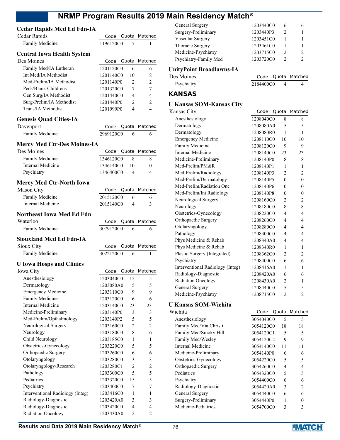#### **Cedar Rapids Med Ed Fdn-IA**

| Cedar Rapids    |           | Code Quota Matched |
|-----------------|-----------|--------------------|
| Family Medicine | 1196120C0 |                    |
|                 |           |                    |

### **Central Iowa Health System**

| яни ат тома ттеанит эузинг                               |                        |       |                          |                    |
|----------------------------------------------------------|------------------------|-------|--------------------------|--------------------|
| Des Moines                                               |                        |       |                          | Code Quota Matched |
| Family Med/IA Lutheran                                   | 1201120C0              |       | 6                        | 6                  |
| Int Med/IA Methodist                                     | 1201140C0              |       | 10                       | 8                  |
| Med-Prelim/IA Methodist                                  | 1201140P0              |       | 2                        | 2                  |
| Peds/Blank Childrens                                     | 1201320C0              |       | 7                        | 7                  |
| Gen Surg/IA Methodist                                    | 1201440C0              |       | 4                        | 4                  |
| Surg-Prelim/IA Methodist                                 | 1201440P0              |       | $\overline{2}$           | $\overline{c}$     |
| Trans/IA Methodist                                       | 1201999P0              |       | $\overline{\mathcal{L}}$ | 4                  |
| <b>Genesis Quad Cities-IA</b>                            |                        |       |                          |                    |
|                                                          |                        |       |                          |                    |
| Davenport                                                | Code                   |       |                          | Quota Matched      |
| Family Medicine                                          | 2969120C0              |       | 6                        | 6                  |
| <b>Mercy Med Ctr-Des Moines-IA</b>                       |                        |       |                          |                    |
| Des Moines                                               | Code                   | Quota |                          | Matched            |
| Family Medicine                                          | 1346120C0              |       | 8                        | 8                  |
| Internal Medicine                                        | 1346140C0              |       | 10                       | 10                 |
| Psychiatry                                               | 1346400C0              |       | 4                        | 4                  |
|                                                          |                        |       |                          |                    |
| <b>Mercy Med Ctr-North Iowa</b>                          |                        |       |                          |                    |
| Mason City                                               | Code                   |       | Quota                    | Matched            |
| Family Medicine                                          | 2015120C0              |       | 6                        | 6                  |
| <b>Internal Medicine</b>                                 | 2015140C0              |       | 4                        | 3                  |
| <b>Northeast Iowa Med Ed Fdn</b>                         |                        |       |                          |                    |
| Waterloo                                                 | Code                   |       | Quota                    | Matched            |
| Family Medicine                                          | 3079120C0              |       | 6                        | 6                  |
|                                                          |                        |       |                          |                    |
|                                                          |                        |       |                          |                    |
| <b>Siouxland Med Ed Fdn-IA</b>                           |                        |       |                          |                    |
| Sioux City                                               | Code                   |       | Quota                    | Matched            |
| Family Medicine                                          | 3022120C0              |       | 6                        | 1                  |
|                                                          |                        |       |                          |                    |
| <b>U</b> Iowa Hosps and Clinics                          | Code                   |       | Quota                    | Matched            |
| Iowa City                                                |                        |       |                          |                    |
| Anesthesiology                                           | 1203040C0              |       | 15                       | 15                 |
| Dermatology                                              | 1203080A0              |       | 5                        | 5                  |
| <b>Emergency Medicine</b>                                | 1203110C0              |       | 9                        | 9                  |
| Family Medicine                                          | 1203120C0              |       | 6                        | 6                  |
| Internal Medicine                                        | 1203140C0              |       | 23                       | 23                 |
| Medicine-Preliminary                                     | 1203140P0              |       | 3                        | 3                  |
| Med-Prelim/Opthalmology                                  | 1203140P2              |       | 5                        | 5                  |
| Neurological Surgery                                     | 1203160C0              |       | $\overline{c}$           | $\overline{c}$     |
| Neurology                                                | 1203180C0              |       | 8                        | 6                  |
| Child Neurology                                          | 1203185C0              |       | 1                        | 1                  |
| Obstetrics-Gynecology                                    | 1203220C0              |       | 5                        | 5                  |
| Orthopaedic Surgery                                      | 1203260C0              |       | 6                        | 6                  |
| Otolaryngology                                           | 1203280C0              |       | 3                        | $\mathfrak{Z}$     |
| Otolaryngology/Research                                  | 1203280C1              |       | $\overline{c}$           | $\overline{c}$     |
| Pathology<br>Pediatrics                                  | 1203300C0              |       | 5                        | 5                  |
|                                                          | 1203320C0              |       | 15<br>7                  | 15                 |
| Psychiatry                                               | 1203400C0              |       | 1                        | 7<br>$\mathbf{1}$  |
| Interventional Radiology (Integ)<br>Radiology-Diagnostic | 1203416C0<br>1203420A0 |       | 3                        | 3                  |

| General Surgery       | 1203440C0 |   | h |
|-----------------------|-----------|---|---|
| Surgery-Preliminary   | 1203440P3 |   |   |
| Vascular Surgery      | 1203451C0 |   |   |
| Thoracic Surgery      | 1203461C0 |   |   |
| Medicine-Psychiatry   | 1203715C0 | 2 |   |
| Psychiatry-Family Med | 1203720C0 | 7 |   |
|                       |           |   |   |

#### **UnityPoint Broadlawns-IA**

| Des Moines |           | Code Ouota Matched |
|------------|-----------|--------------------|
| Psychiatry | 2184400C0 |                    |

#### **KANSAS**

#### **U Kansas SOM-Kansas City**

| Kansas City                                                     | Code      |                | Quota Matched    |
|-----------------------------------------------------------------|-----------|----------------|------------------|
| Anesthesiology                                                  | 1208040C0 | 8              | 8                |
| Dermatology                                                     | 1208080A0 | 5              | 5                |
| Dermatology                                                     | 1208080R0 | 1              | $\mathbf{1}$     |
| <b>Emergency Medicine</b>                                       | 1208110C0 | 10             | 10               |
| Family Medicine                                                 | 1208120C0 | 9              | 9                |
| Internal Medicine                                               | 1208140C0 | 23             | 23               |
| Medicine-Preliminary                                            | 1208140P0 | 8              | 8                |
| Med-Prelim/PM&R                                                 | 1208140P1 | 1              | 1                |
| Med-Prelim/Radiology                                            | 1208140P3 | $\overline{2}$ | 2                |
| Med-Prelim/Dermatology                                          | 1208140P5 | $\theta$       | $\theta$         |
| Med-Prelim/Radiation Onc                                        | 1208140P6 | $\theta$       | $\theta$         |
| Med-Prelim/Int Radiology                                        | 1208140P8 | $\mathbf{0}$   | $\boldsymbol{0}$ |
| Neurological Surgery                                            | 1208160C0 | $\overline{2}$ | $\overline{2}$   |
| Neurology                                                       | 1208180C0 | 8              | 8                |
| Obstetrics-Gynecology                                           | 1208220C0 | 4              | 4                |
| Orthopaedic Surgery                                             | 1208260C0 | 4              | 4                |
| Otolaryngology                                                  | 1208280C0 | 4              | 4                |
| Pathology                                                       | 1208300C0 | 4              | 4                |
| Phys Medicine & Rehab                                           | 1208340A0 | 4              | 4                |
| Phys Medicine & Rehab                                           | 1208340R0 | 1              | 1                |
| Plastic Surgery (Integrated)                                    | 1208362C0 | $\overline{2}$ | $\overline{2}$   |
| Psychiatry                                                      | 1208400C0 | 6              | 6                |
| Interventional Radiology (Integ)                                | 1208416A0 | 1              | 1                |
| Radiology-Diagnostic                                            | 1208420A0 | 6              | 6                |
| Radiation Oncology                                              | 1208430A0 | $\overline{2}$ | 1                |
| General Surgery                                                 | 1208440C0 | 5              | 5                |
| Medicine-Psychiatry                                             | 1208715C0 | $\overline{c}$ | $\overline{2}$   |
| $\sim$ $\sim$ $\sim$<br>$\mathbf{v}$ and $\mathbf{v}$<br>.<br>. |           |                |                  |

#### **U Kansas SOM-Wichita**

| Wichita                | Code      | Ouota                    | Matched       |
|------------------------|-----------|--------------------------|---------------|
| Anesthesiology         | 3054040C0 | $\overline{\mathcal{L}}$ | 5             |
| Family Med/Via Christi | 3054120C0 | 18                       | 18            |
| Family Med/Smoky Hill  | 3054120C1 | $\overline{\mathcal{L}}$ | 5             |
| Family Med/Wesley      | 3054120C2 | 9                        | 9             |
| Internal Medicine      | 3054140C0 | 11                       | 11            |
| Medicine-Preliminary   | 3054140P0 | 6                        | 6             |
| Obstetrics-Gynecology  | 3054220C0 | 5                        | 5             |
| Orthopaedic Surgery    | 3054260C0 | 4                        | 4             |
| Pediatrics             | 3054320C0 | 5                        | 5             |
| Psychiatry             | 3054400C0 | 6                        | 6             |
| Radiology-Diagnostic   | 3054420A0 | 3                        | $\mathcal{P}$ |
| General Surgery        | 3054440C0 | 6                        | 6             |
| Surgery-Preliminary    | 3054440P0 | 1                        | 0             |
| Medicine-Pediatrics    | 3054700C0 | 3                        |               |
|                        |           |                          |               |

Radiation Oncology 1203430A0 2 2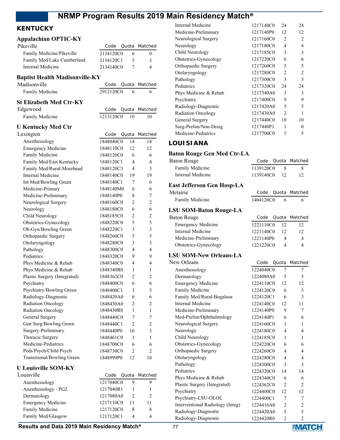#### **KENTUCKY**

Madisonville Family Medicine

#### **Appalachian OPTIC-KY**

| Pikeville                  |           |   | Code Quota Matched |
|----------------------------|-----------|---|--------------------|
| Family Medicine/Pikeville  | 2134120C0 | h |                    |
| Family Med/Lake Cumberland | 2134120C1 |   | $\mathcal{R}$      |
| Internal Medicine          | 2134140C0 |   | 4                  |

#### **Baptist Health Madisonville-KY**

|           |   | Code Quota Matched |  |
|-----------|---|--------------------|--|
| 2912120C0 | 6 | 6                  |  |

#### **St Elizabeth Med Ctr-KY**

| Edgewood        |           |      | Code Quota Matched |
|-----------------|-----------|------|--------------------|
| Family Medicine | 1213120C0 | - 10 |                    |

#### **U Kentucky Med Ctr**

| Lexington                    | Code      | Quota          | Matched        |
|------------------------------|-----------|----------------|----------------|
| Anesthesiology               | 1848040C0 | 14             | 14             |
| <b>Emergency Medicine</b>    | 1848110C0 | 12             | 12             |
| Family Medicine              | 1848120C0 | 6              | 6              |
| Family Med/East Kentucky     | 1848120C1 | 4              | 4              |
| Family Med/Rural-Morehead    | 1848120C3 | 4              | 3              |
| <b>Internal Medicine</b>     | 1848140C0 | 19             | 19             |
| Int Med/Bowling Green        | 1848140C1 | 7              | 6              |
| Medicine-Primary             | 1848140M0 | 6              | 6              |
| Medicine-Preliminary         | 1848140P0 | 8              | 7              |
| Neurological Surgery         | 1848160C0 | $\overline{2}$ | $\overline{c}$ |
| Neurology                    | 1848180C0 | 6              | 6              |
| Child Neurology              | 1848185C0 | $\overline{2}$ | $\overline{c}$ |
| Obstetrics-Gynecology        | 1848220C0 | 5              | 5              |
| Ob-Gyn/Bowling Green         | 1848220C1 | 3              | 3              |
| Orthopaedic Surgery          | 1848260C0 | 5              | 5              |
| Otolaryngology               | 1848280C0 | 3              | 3              |
| Pathology                    | 1848300C0 | 4              | 4              |
| Pediatrics                   | 1848320C0 | 9              | 9              |
| Phys Medicine & Rehab        | 1848340C0 | 4              | 4              |
| Phys Medicine & Rehab        | 1848340R0 | 1              | 1              |
| Plastic Surgery (Integrated) | 1848362C0 | $\overline{2}$ | $\overline{2}$ |
| Psychiatry                   | 1848400C0 | 6              | 6              |
| Psychiatry/Bowling Green     | 1848400C1 | 3              | 3              |
| Radiology-Diagnostic         | 1848420A0 | 6              | 6              |
| Radiation Oncology           | 1848430A0 | $\overline{2}$ | 2              |
| <b>Radiation Oncology</b>    | 1848430R0 | 1              | 1              |
| General Surgery              | 1848440C0 | 7              | 7              |
| Gen Surg/Bowling Green       | 1848440C1 | $\overline{c}$ | $\overline{c}$ |
| Surgery-Preliminary          | 1848440P0 | 16             | 3              |
| Thoracic Surgery             | 1848461C0 | 1              | 1              |
| Medicine-Pediatrics          | 1848700C0 | 6              | 6              |
| Peds/Psych/Child Psych       | 1848730C0 | $\overline{2}$ | $\overline{2}$ |
| Transitional/Bowling Green   | 1848999P0 | 12             | 10             |
| <b>U Louisville SOM-KY</b>   |           |                |                |
| Louisville                   | Code      | Quota          | Matched        |
| Anesthesiology               | 1217040C0 | 9              | 9              |

| ain Residency Match®  |           |                |                |
|-----------------------|-----------|----------------|----------------|
| Internal Medicine     | 1217140C0 | 24             | 24             |
| Medicine-Preliminary  | 1217140P0 | 12             | 12             |
| Neurological Surgery  | 1217160C0 | 2              | $\overline{2}$ |
| Neurology             | 1217180C0 | 4              | $\overline{4}$ |
| Child Neurology       | 1217185C0 | 3              | 3              |
| Obstetrics-Gynecology | 1217220C0 | 6              | 6              |
| Orthopaedic Surgery   | 1217260C0 | 5              | 5              |
| Otolaryngology        | 1217280C0 | 2              | $\overline{2}$ |
| Pathology             | 1217300C0 | 3              | 3              |
| Pediatrics            | 1217320C0 | 24             | 24             |
| Phys Medicine & Rehab | 1217340A0 | 3              | 3              |
| Psychiatry            | 1217400C0 | 9              | 9              |
| Radiology-Diagnostic  | 1217420A0 | 5              | 5              |
| Radiation Oncology    | 1217430A0 | $\overline{2}$ | 1              |
| General Surgery       | 1217440C0 | 10             | 10             |
| Surg-Prelim/Non-Desig | 1217440P1 | 1              | 0              |
| Medicine-Pediatrics   | 1217700C0 | 5              | 5              |

#### **LOUISIANA**

#### **Baton Rouge Gen Med Ctr-LA**

| <b>Baton Rouge</b>               | Code      | Quota                    | Matched                  |
|----------------------------------|-----------|--------------------------|--------------------------|
| Family Medicine                  | 1139120C0 | 8                        | 8                        |
| <b>Internal Medicine</b>         | 1139140C0 | 12                       | 12                       |
| East Jefferson Gen Hosp-LA       |           |                          |                          |
| Metairie                         | Code      | Quota                    | Matched                  |
| Family Medicine                  | 1404120C0 | 6                        | 6                        |
| <b>LSU SOM-Baton Rouge-LA</b>    |           |                          |                          |
| <b>Baton Rouge</b>               | Code      | Quota                    | Matched                  |
| <b>Emergency Medicine</b>        | 1221110C0 | 12.                      | 12                       |
| Internal Medicine                | 1221140C0 | 12                       | 12                       |
| Medicine-Preliminary             | 1221140P0 | 4                        | 4                        |
| Obstetrics-Gynecology            | 1221220C0 | $\overline{4}$           | $\overline{4}$           |
| <b>LSU SOM-New Orleans-LA</b>    |           |                          |                          |
| New Orleans                      | Code      | Quota                    | Matched                  |
| Anesthesiology                   | 1224040C0 | 7                        | 7                        |
| Dermatology                      | 1224080A0 | 5                        | 5                        |
| <b>Emergency Medicine</b>        | 1224110C0 | 12                       | 12                       |
| Family Medicine                  | 1224120C0 | 6                        | 5                        |
| Family Med/Rural-Bogalusa        | 1224120C1 | 6                        | 3                        |
| <b>Internal Medicine</b>         | 1224140C0 | 12                       | 11                       |
| Medicine-Preliminary             | 1224140P0 | 9                        | 7                        |
| Med-Prelim/Ophthalmology         | 1224140P1 | 6                        | 6                        |
| Neurological Surgery             | 1224160C0 | 1                        | 1                        |
| Neurology                        | 1224180C0 | 4                        | 4                        |
| Child Neurology                  | 1224185C0 | 1                        | 1                        |
| Obstetrics-Gynecology            | 1224220C0 | 6                        | 6                        |
| Orthopaedic Surgery              | 1224260C0 | 4                        | 4                        |
| Otolaryngology                   | 1224280C0 | 4                        | 4                        |
| Pathology                        | 1224300C0 | 3                        | 3                        |
| Pediatrics                       | 1224320C0 | 14                       | 14                       |
| Phys Medicine & Rehab            | 1224340C0 | 6                        | 6                        |
| Plastic Surgery (Integrated)     | 1224362C0 | $\overline{2}$           | 2                        |
| Psychiatry                       | 1224400C0 | 12                       | 12                       |
| Psychiatry-LSU-OLOL              | 1224400C1 | 7                        | 7                        |
| Interventional Radiology (Integ) | 1224416A0 | $\overline{c}$           | $\overline{c}$           |
| Radiology-Diagnostic             | 1224420A0 | $\overline{\phantom{0}}$ | $\overline{\phantom{0}}$ |

Radiology-Diagnostic 1224420R0 2

Anesthesiology - PG2 1217040R1 1 1 Dermatology 1217080A0 2 2 Emergency Medicine 1217110C0 11 11 Family Medicine 1217120C0 8 8 Family Med/Glasgow 1217120C1 4 4

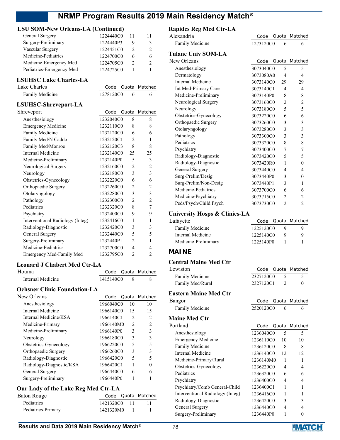#### **LSU SOM-New Orleans-LA (Continued)**

| General Surgery          | 1224440C0 |   |               |
|--------------------------|-----------|---|---------------|
|                          |           |   |               |
| Surgery-Preliminary      | 1224440P3 | Q | ٩             |
| Vascular Surgery         | 1224451C0 |   | $\mathcal{D}$ |
| Medicine-Pediatrics      | 1224700C0 |   | 6             |
| Medicine-Emergency Med   | 1224705C0 |   | $\mathcal{P}$ |
| Pediatrics-Emergency Med | 1224725C0 |   |               |

#### **LSUHSC Lake Charles-LA**

| Lake Charles    |           | Code Ouota Matched |
|-----------------|-----------|--------------------|
| Family Medicine | 1278120C0 |                    |

#### **LSUHSC-Shreveport-LA**

| LSUNSU-SIII EVEPOIT-LA           |           |                |                    |
|----------------------------------|-----------|----------------|--------------------|
| Shreveport                       |           |                | Code Quota Matched |
| Anesthesiology                   | 1232040C0 | 8              | 8                  |
| <b>Emergency Medicine</b>        | 1232110C0 | 8              | 8                  |
| Family Medicine                  | 1232120C0 | 6              | 6                  |
| Family Med/N Caddo               | 1232120C1 | $\overline{c}$ | 1                  |
| Family Med/Monroe                | 1232120C3 | 8              | 8                  |
| Internal Medicine                | 1232140C0 | 25             | 25                 |
| Medicine-Preliminary             | 1232140P0 | 5              | 3                  |
| Neurological Surgery             | 1232160C0 | $\overline{2}$ | $\overline{c}$     |
| Neurology                        | 1232180C0 | 3              | 3                  |
| Obstetrics-Gynecology            | 1232220C0 | 6              | 6                  |
| Orthopaedic Surgery              | 1232260C0 | $\overline{2}$ | $\overline{2}$     |
| Otolaryngology                   | 1232280C0 | 3              | 3                  |
| Pathology                        | 1232300C0 | $\overline{2}$ | $\overline{c}$     |
| Pediatrics                       | 1232320C0 | 8              | 7                  |
| Psychiatry                       | 1232400C0 | 9              | 9                  |
| Interventional Radiology (Integ) | 1232416C0 | 1              | 1                  |
| Radiology-Diagnostic             | 1232420C0 | 3              | 3                  |
| General Surgery                  | 1232440C0 | 5              | 5                  |
| Surgery-Preliminary              | 1232440P1 | $\overline{2}$ | 1                  |
| Medicine-Pediatrics              | 1232700C0 | 4              | 4                  |
| Emergency Med-Family Med         | 1232795C0 | $\overline{2}$ | 2                  |

#### **Leonard J Chabert Med Ctr-LA**

| Houma             |           | Code Ouota Matched |
|-------------------|-----------|--------------------|
| Internal Medicine | 1415140C0 |                    |

#### **Ochsner Clinic Foundation-LA**

| New Orleans              | Code      |                | Quota Matched |
|--------------------------|-----------|----------------|---------------|
| Anesthesiology           | 1966040C0 | 10             | 10            |
| Internal Medicine        | 1966140C0 | 15             | 15            |
| Internal Medicine/KSA    | 1966140C1 | $\mathcal{L}$  | 2             |
| Medicine-Primary         | 1966140M0 | $\overline{2}$ | 2             |
| Medicine-Preliminary     | 1966140P0 | 3              | 3             |
| Neurology                | 1966180C0 | 3              | 3             |
| Obstetrics-Gynecology    | 1966220C0 | 5              | 5             |
| Orthopaedic Surgery      | 1966260C0 | 3              | 3             |
| Radiology-Diagnostic     | 1966420C0 | 5              | 5             |
| Radiology-Diagnostic/KSA | 1966420C1 | 1              |               |
| General Surgery          | 1966440C0 | 6              |               |
| Surgery-Preliminary      | 1966440P0 |                |               |

#### **Our Lady of the Lake Reg Med Ctr-LA**

| Baton Rouge        |              | Code Ouota Matched |
|--------------------|--------------|--------------------|
| <b>Pediatrics</b>  | 1421320C0 11 |                    |
| Pediatrics-Primary | 1421320M0 1  |                    |

# **Rapides Reg Med Ctr-LA**

| Alexandria                       | Code      | Quota          | Matched          |
|----------------------------------|-----------|----------------|------------------|
| Family Medicine                  | 1273120C0 | 6              | 6                |
|                                  |           |                |                  |
| <b>Tulane Univ SOM-LA</b>        |           |                |                  |
| New Orleans                      | Code      | Quota          | Matched          |
| Anesthesiology                   | 3073040C0 | 5              | 5                |
| Dermatology                      | 3073080A0 | 4              | 4                |
| <b>Internal Medicine</b>         | 3073140C0 | 29             | 29               |
| Int Med-Primary Care             | 3073140C1 | 4              | 4                |
| Medicine-Preliminary             | 3073140P0 | 8              | 8                |
| Neurological Surgery             | 3073160C0 | $\overline{c}$ | $\overline{2}$   |
| Neurology                        | 3073180C0 | 5              | 5                |
| Obstetrics-Gynecology            | 3073220C0 | 6              | 6                |
| Orthopaedic Surgery              | 3073260C0 | 3              | 3                |
| Otolaryngology                   | 3073280C0 | 3              | 3                |
| Pathology                        | 3073300C0 | 3              | 3                |
| Pediatrics                       | 3073320C0 | 8              | 8                |
| Psychiatry                       | 3073400C0 | 7              | 7                |
| Radiology-Diagnostic             | 3073420C0 | 5              | 5                |
| Radiology-Diagnostic             | 3073420R0 | 1              | $\theta$         |
| General Surgery                  | 3073440C0 | 4              | 4                |
| Surg-Prelim/Desig                | 3073440P0 | 3              | $\theta$         |
| Surg-Prelim/Non-Desig            | 3073440P1 | 3              | 1                |
| Medicine-Pediatrics              | 3073700C0 | 6              | 6                |
| Medicine-Psychiatry              | 3073715C0 | 2              | 2                |
| Peds/Psych/Child Psych           | 3073730C0 | $\mathfrak{D}$ | $\mathfrak{D}$   |
|                                  |           |                |                  |
| University Hosps & Clinics-LA    |           |                |                  |
| Lafayette                        | Code      | Quota          | Matched          |
| Family Medicine                  | 1225120C0 | 9              | 9                |
| <b>Internal Medicine</b>         | 1225140C0 | 9              | 9                |
| Medicine-Preliminary             | 1225140P0 | 1              | 1                |
|                                  |           |                |                  |
| <b>MAINE</b>                     |           |                |                  |
| <b>Central Maine Med Ctr</b>     |           |                |                  |
| Lewiston                         | Code      | Quota          | Matched          |
| Family Medicine                  | 2327120C0 | 5              | 5                |
| Family Med/Rural                 | 2327120C1 | 2              | $\boldsymbol{0}$ |
|                                  |           |                |                  |
| <b>Eastern Maine Med Ctr</b>     |           |                |                  |
| Bangor                           | Code      |                | Quota Matched    |
| Family Medicine                  | 2520120C0 | 6              | 6                |
|                                  |           |                |                  |
| <b>Maine Med Ctr</b>             |           |                |                  |
| Portland                         | Code      | Quota          | Matched          |
| Anesthesiology                   | 1236040C0 | 5              | 5                |
| <b>Emergency Medicine</b>        | 1236110C0 | 10             | 10               |
| Family Medicine                  | 1236120C0 | 8              | 8                |
| <b>Internal Medicine</b>         | 1236140C0 | 12             | 12               |
| Medicine-Primary/Rural           | 1236140M0 | 1              | 1                |
| Obstetrics-Gynecology            | 1236220C0 | 4              | 4                |
| Pediatrics                       | 1236320C0 | 6              | 6                |
| Psychiatry                       | 1236400C0 | 4              | 4                |
| Psychiatry/Comb General-Child    | 1236400C1 | 1              | 1                |
| Interventional Radiology (Integ) | 1236416C0 | 1              | 1                |
| Radiology-Diagnostic             | 1236420C0 | 3              | 3                |
| General Surgery                  | 1236440C0 | 4              | 4                |

Surgery-Preliminary 1236440P0 1 0

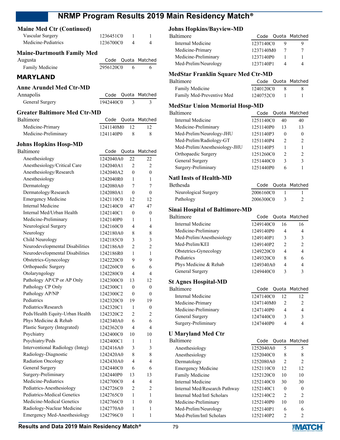#### **Maine Med Ctr (Continued)**

| Vascular Surgery    | 1236451C0 |  |
|---------------------|-----------|--|
| Medicine-Pediatrics | 1236700C0 |  |

#### **Maine-Dartmouth Family Med**

| Augusta         |           | Code Quota Matched |
|-----------------|-----------|--------------------|
| Family Medicine | 2956120C0 |                    |

#### **MARYLAND**

#### **Anne Arundel Med Ctr-MD**

| Annapolis       |             | Code Ouota Matched |
|-----------------|-------------|--------------------|
| General Surgery | 1942440C0 3 |                    |

#### **Greater Baltimore Med Ctr-MD**

| Baltimore            |              |  | Code Quota Matched |
|----------------------|--------------|--|--------------------|
| Medicine-Primary     | 1241140M0 12 |  |                    |
| Medicine-Preliminary | 1241140P0    |  |                    |

#### **Johns Hopkins Hosp-MD**

| Baltimore                           | Code      | Quota          | Matched        |
|-------------------------------------|-----------|----------------|----------------|
| Anesthesiology                      | 1242040A0 | 22             | 22             |
| Anesthesiology/Critical Care        | 1242040A1 | $\overline{c}$ | $\overline{c}$ |
| Anesthesiology/Research             | 1242040A2 | $\overline{0}$ | $\overline{0}$ |
| Anesthesiology                      | 1242040R0 | 1              | 1              |
| Dermatology                         | 1242080A0 | 7              | 7              |
| Dermatology/Research                | 1242080A1 | 0              | $\theta$       |
| <b>Emergency Medicine</b>           | 1242110C0 | 12             | 12             |
| <b>Internal Medicine</b>            | 1242140C0 | 47             | 47             |
| Internal Med/Urban Health           | 1242140C1 | 0              | $\mathbf{0}$   |
| Medicine-Preliminary                | 1242140P0 | 1              | 1              |
| Neurological Surgery                | 1242160C0 | 4              | 4              |
| Neurology                           | 1242180A0 | 8              | 8              |
| Child Neurology                     | 1242185C0 | 3              | 3              |
| Neurodevelopmental Disabilities     | 1242186A0 | 2              | 2              |
| Neurodevelopmental Disabilities     | 1242186R0 | $\mathbf{1}$   | 1              |
| Obstetrics-Gynecology               | 1242220C0 | 9              | 9              |
| Orthopaedic Surgery                 | 1242260C0 | 6              | 6              |
| Otolaryngology                      | 1242280C0 | 4              | 4              |
| Pathology AP/CP or AP Only          | 1242300C0 | 13             | 12             |
| Pathology CP Only                   | 1242300C1 | 0              | $\theta$       |
| Pathology AP/NP                     | 1242300C2 | 0              | 0              |
| Pediatrics                          | 1242320C0 | 19             | 19             |
| Pediatrics/Research                 | 1242320C1 | 1              | 0              |
| Peds/Health Equity-Urban Health     | 1242320C2 | 2              | 2              |
| Phys Medicine & Rehab               | 1242340A0 | 6              | 6              |
| Plastic Surgery (Integrated)        | 1242362C0 | 4              | 4              |
| Psychiatry                          | 1242400C0 | 10             | 10             |
| Psychiatry/Peds                     | 1242400C1 | 1              | 1              |
| Interventional Radiology (Integ)    | 1242416A0 | 3              | 3              |
| Radiology-Diagnostic                | 1242420A0 | 8              | 8              |
| <b>Radiation Oncology</b>           | 1242430A0 | 4              | 4              |
| General Surgery                     | 1242440C0 | 6              | 6              |
| Surgery-Preliminary                 | 1242440P0 | 13             | 13             |
| Medicine-Pediatrics                 | 1242700C0 | 4              | 4              |
| Pediatrics-Anesthesiology           | 1242726C0 | 2              | 2              |
| Pediatrics-Medical Genetics         | 1242765C0 | 1              | 1              |
| Medicine-Medical Genetics           | 1242766C0 | 1              | 0              |
| Radiology-Nuclear Medicine          | 1242770A0 | 1              | 1              |
| <b>Emergency Med-Anesthesiology</b> | 1242796C0 | 1              | 1              |
|                                     |           |                |                |

#### **Johns Hopkins/Bayview-MD**

| Baltimore            |           |   | Code Quota Matched |
|----------------------|-----------|---|--------------------|
| Internal Medicine    | 1237140C0 |   |                    |
| Medicine-Primary     | 1237140M0 |   |                    |
| Medicine-Preliminary | 1237140P0 |   |                    |
| Med-Prelim/Neurology | 1237140P1 | 4 |                    |
|                      |           |   |                    |

#### **MedStar Franklin Square Med Ctr-MD**

| Baltimore                 |           |     | Code Quota Matched |
|---------------------------|-----------|-----|--------------------|
| Family Medicine           | 1240120C0 | - X |                    |
| Family Med-Preventive Med | 1240752C0 |     |                    |

#### **MedStar Union Memorial Hosp-MD**

| Baltimore                     | Code      |               | Quota Matched |
|-------------------------------|-----------|---------------|---------------|
| Internal Medicine             | 1251140C0 | 40            | 40            |
| Medicine-Preliminary          | 1251140P0 | 13            | 13            |
| Med-Prelim/Neurology-JHU      | 1251140P3 | 0             |               |
| Med-Prelim/Radiology-GT       | 1251140P4 | $\mathcal{P}$ | $\mathcal{P}$ |
| Med-Prelim/Anesthesiology-JHU | 1251140P5 |               |               |
| Orthopaedic Surgery           | 1251260C0 | 2             | $\mathcal{P}$ |
| General Surgery               | 1251440C0 | ٩             | ٩             |
| Surgery-Preliminary           | 1251440P0 | 6             |               |
|                               |           |               |               |

#### **Natl Insts of Health-MD**

| Bethesda             |           | Code Quota Matched |
|----------------------|-----------|--------------------|
| Neurological Surgery | 2006160C0 |                    |
| Pathology            | 2006300C0 |                    |

#### **Sinai Hospital of Baltimore-MD**

| Baltimore                     | Code      | Quota                    | Matched        |
|-------------------------------|-----------|--------------------------|----------------|
| Internal Medicine             | 1249140C0 | 16                       | 16             |
| Medicine-Preliminary          | 1249140P0 | 4                        | 4              |
| Med-Prelim/Anesthesiology     | 1249140P1 | 3                        | 3              |
| Med-Prelim/KEI                | 1249140P2 | $\overline{2}$           | $\overline{2}$ |
| Obstetrics-Gynecology         | 1249220C0 | 4                        | $\overline{4}$ |
| Pediatrics                    | 1249320C0 | 8                        | 6              |
| Phys Medicine & Rehab         | 1249340A0 | $\overline{\mathcal{L}}$ | $\overline{4}$ |
| General Surgery               | 1249440C0 | 3                        | 3              |
| <b>St Agnes Hospital-MD</b>   |           |                          |                |
| Baltimore                     | Code      | Quota                    | Matched        |
| Internal Medicine             | 1247140C0 | 12                       | 12             |
| Medicine-Primary              | 1247140M0 | $\overline{2}$           | $\overline{2}$ |
| Medicine-Preliminary          | 1247140P0 | 4                        | $\overline{4}$ |
| General Surgery               | 1247440C0 | 3                        | 3              |
| Surgery-Preliminary           | 1247440P0 | 4                        | $\overline{4}$ |
| <b>U Maryland Med Ctr</b>     |           |                          |                |
| <b>Baltimore</b>              | Code      | Quota                    | Matched        |
| Anesthesiology                | 1252040A0 | 5                        | 5              |
| Anesthesiology                | 1252040C0 | 8                        | $\,$ 8 $\,$    |
| Dermatology                   | 1252080A0 | $\overline{2}$           | $\overline{c}$ |
| <b>Emergency Medicine</b>     | 1252110C0 | 12                       | 12             |
| Family Medicine               | 1252120C0 | 10                       | 10             |
| Internal Medicine             | 1252140C0 | 30                       | 30             |
| Internal Med/Research Pathway | 1252140C1 | $\theta$                 | $\theta$       |
| Internal Med/Intl Scholars    | 1252140C2 | $\overline{c}$           | 2              |
| Medicine-Preliminary          | 1252140P0 | 10                       | 10             |
| Med-Prelim/Neurology          | 1252140P1 | 6                        | 6              |
| Med-Prelim/Intl Scholars      | 1252140P2 | $\overline{2}$           | $\overline{c}$ |

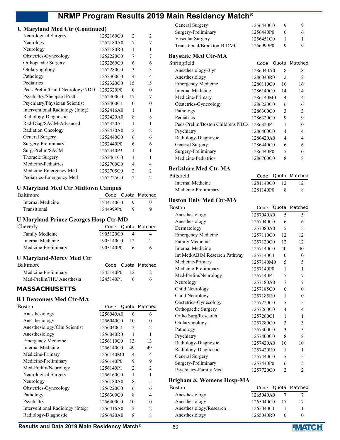#### **U Maryland Med Ctr (Continued)**

| Neurological Surgery             | 1252160C0 | $\overline{2}$   | $\overline{c}$   |
|----------------------------------|-----------|------------------|------------------|
| Neurology                        | 1252180A0 | 7                | 7                |
| Neurology                        | 1252180R0 | 1                | 1                |
| Obstetrics-Gynecology            | 1252220C0 | 7                | 7                |
| Orthopaedic Surgery              | 1252260C0 | 6                | 6                |
| Otolaryngology                   | 1252280C0 | 3                | 3                |
| Pathology                        | 1252300C0 | $\overline{4}$   | 4                |
| Pediatrics                       | 1252320C0 | 15               | 15               |
| Peds-Prelim/Child Neurology/NDD  | 1252320P0 | $\mathbf{0}$     | $\boldsymbol{0}$ |
| Psychiatry/Sheppard Pratt        | 1252400C0 | 17               | 17               |
| Psychiatry/Physician Scientist   | 1252400C1 | $\boldsymbol{0}$ | $\mathbf{0}$     |
| Interventional Radiology (Integ) | 1252416A0 | 1                | 1                |
| Radiology-Diagnostic             | 1252420A0 | 8                | 8                |
| Rad-Diag/SACM-Advanced           | 1252420A1 | 1                | 1                |
| <b>Radiation Oncology</b>        | 1252430A0 | $\overline{2}$   | $\overline{2}$   |
| General Surgery                  | 1252440C0 | 6                | 6                |
| Surgery-Preliminary              | 1252440P0 | 6                | 6                |
| Surg-Prelim/SACM                 | 1252440P3 | 1                | 1                |
| Thoracic Surgery                 | 1252461C0 | 1                | 1                |
| Medicine-Pediatrics              | 1252700C0 | 4                | 4                |
| Medicine-Emergency Med           | 1252705C0 | 2                | $\overline{c}$   |
| Pediatrics-Emergency Med         | 1252725C0 | $\overline{2}$   | $\overline{c}$   |
|                                  |           |                  |                  |

#### **U Maryland Med Ctr Midtown Campus**

| <b>Baltimore</b>  | Code Ouota Matched |  |
|-------------------|--------------------|--|
| Internal Medicine | 1244140C0          |  |
| Transitional      | 1244999P0          |  |

#### **U Maryland Prince Georges Hosp Ctr-MD**

| Cheverly             | Code Quota Matched |   |
|----------------------|--------------------|---|
| Family Medicine      | 1905120C0          | 4 |
| Internal Medicine    | 1905140C0<br>12    |   |
| Medicine-Preliminary | 1905140P0          | 6 |

#### **U Maryland-Mercy Med Ctr**

| Baltimore                 |              | Code Ouota Matched |
|---------------------------|--------------|--------------------|
| Medicine-Preliminary      | 1245140P0 12 |                    |
| Med-Prelim/JHU Anesthesia | 1245140P1    | 6                  |

#### **MASSACHUSETTS**

#### **B I Deaconess Med Ctr-MA**

| Boston                           | Code      |                | Quota Matched  |
|----------------------------------|-----------|----------------|----------------|
| Anesthesiology                   | 1256040A0 | 6              | 6              |
| Anesthesiology                   | 1256040C0 | 10             | 10             |
| Anesthesiology/Clin Scientist    | 1256040C1 | $\mathfrak{D}$ | $\mathcal{L}$  |
| Anesthesiology                   | 1256040R0 | 1              | 1              |
| <b>Emergency Medicine</b>        | 1256110C0 | 13             | 13             |
| Internal Medicine                | 1256140C0 | 49             | 49             |
| Medicine-Primary                 | 1256140M0 | 4              | 4              |
| Medicine-Preliminary             | 1256140P0 | 9              | 9              |
| Med-Prelim/Neurology             | 1256140P1 | $\overline{c}$ | 2              |
| Neurological Surgery             | 1256160C0 | 1              | 1              |
| Neurology                        | 1256180A0 | 8              | 5              |
| Obstetrics-Gynecology            | 1256220C0 | 6              | 6              |
| Pathology                        | 1256300C0 | 8              | 4              |
| Psychiatry                       | 1256400C0 | 10             | 10             |
| Interventional Radiology (Integ) | 1256416A0 | $\overline{c}$ | $\overline{2}$ |
| Radiology-Diagnostic             | 1256420A0 | 8              | 8              |

| General Surgery             | 1256440C0 |  |
|-----------------------------|-----------|--|
| Surgery-Preliminary         | 1256440P0 |  |
| Vascular Surgery            | 1256451C0 |  |
| Transitional/Brockton-BIDMC | 1256999P0 |  |

#### **Baystate Med Ctr-MA**

| Springfield                      | Code      |                          | Quota Matched  |
|----------------------------------|-----------|--------------------------|----------------|
| Anesthesiology-3 yr              | 1286040A0 | 8                        | 8              |
| Anesthesiology                   | 1286040R0 | 2                        | $\overline{c}$ |
| <b>Emergency Medicine</b>        | 1286110C0 | 16                       | 16             |
| Internal Medicine                | 1286140C0 | 14                       | 14             |
| Medicine-Primary                 | 1286140M0 | 4                        | 4              |
| Obstetrics-Gynecology            | 1286220C0 | 6                        | 6              |
| Pathology                        | 1286300C0 | 3                        | 3              |
| Pediatrics                       | 1286320C0 | 9                        | 9              |
| Peds-Prelim/Boston Childrens NDD | 1286320P1 | 1                        | 0              |
| Psychiatry                       | 1286400C0 | 4                        | 4              |
| Radiology-Diagnostic             | 1286420A0 | 4                        | 4              |
| General Surgery                  | 1286440C0 | 6                        | 6              |
| Surgery-Preliminary              | 1286440P0 | $\overline{\mathcal{L}}$ |                |
| Medicine-Pediatrics              | 1286700C0 | 8                        | 8              |
|                                  |           |                          |                |

#### **Berkshire Med Ctr-MA** Pittsfield

Internal Medicine Medicine-Preliminary

|           |    | Code Ouota Matched |
|-----------|----|--------------------|
| 1281140C0 | 12 | 12                 |
| 1281140P0 | 8  | 8                  |

#### **Boston Univ Med Ctr-MA**

| Boston                        | Code      | Quota        | Matched          |
|-------------------------------|-----------|--------------|------------------|
| Anesthesiology                | 1257040A0 | 5            | 5                |
| Anesthesiology                | 1257040C0 | 6            | 6                |
| Dermatology                   | 1257080A0 | 5            | 5                |
| <b>Emergency Medicine</b>     | 1257110C0 | 12           | 12               |
| Family Medicine               | 1257120C0 | 12           | 12               |
| Internal Medicine             | 1257140C0 | 40           | 40               |
| Int Med/ABIM Research Pathway | 1257140C1 | $\theta$     | $\theta$         |
| Medicine-Primary              | 1257140M0 | 5            | 5                |
| Medicine-Preliminary          | 1257140P0 | 1            | 1                |
| Med-Prelim/Neurology          | 1257140P1 | 7            | 7                |
| Neurology                     | 1257180A0 | 7            | 7                |
| Child Neurology               | 1257185C0 | $\mathbf{0}$ | $\boldsymbol{0}$ |
| Child Neurology               | 1257185R0 | 1            | $\theta$         |
| Obstetrics-Gynecology         | 1257220C0 | 5            | 5                |
| Orthopaedic Surgery           | 1257260C0 | 4            | 4                |
| Ortho Surg/Research           | 1257260C1 | 1            | 1                |
| Otolaryngology                | 1257280C0 | 3            | 3                |
| Pathology                     | 1257300C0 | 3            | 3                |
| Psychiatry                    | 1257400C0 | 8            | 8                |
| Radiology-Diagnostic          | 1257420A0 | 10           | 10               |
| Radiology-Diagnostic          | 1257420R0 | 1            | 1                |
| General Surgery               | 1257440C0 | 5            | 5                |
| Surgery-Preliminary           | 1257440P0 | 6            | 5                |
| Psychiatry-Family Med         | 1257720C0 | 2            | $\overline{2}$   |

#### **Brigham & Womens Hosp-MA**

| Boston                  |           | Code Quota Matched |
|-------------------------|-----------|--------------------|
| Anesthesiology          | 1265040A0 |                    |
| Anesthesiology          | 1265040C0 |                    |
| Anesthesiology/Research | 1265040C1 |                    |
| Anesthesiology          | 1265040R0 |                    |
|                         |           |                    |

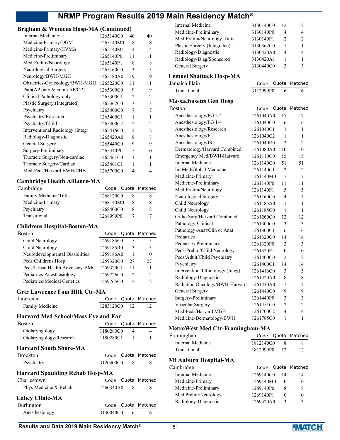#### **Brigham & Womens Hosp-MA (Continued)**

| лтенані ос угонісня позр-ічж (Continucu) |           |                |                  |
|------------------------------------------|-----------|----------------|------------------|
| Internal Medicine                        | 1265140C0 | 40             | 40               |
| Medicine-Primary/DGM                     | 1265140M0 | 8              | 8                |
| Medicine-Primary/HVMA                    | 1265140M1 | 4              | 4                |
| Medicine-Preliminary                     | 1265140P0 | 11             | 11               |
| Med-Prelim/Neurology                     | 1265140P1 | 8              | 8                |
| Neurological Surgery                     | 1265160C0 | 3              | 3                |
| Neurology/BWH-MGH                        | 1265180A0 | 19             | 19               |
| Obstetrics-Gynecology/BWH-MGH            | 1265220C0 | 11             | 11               |
| Path $(AP$ only & comb $AP/CP$ )         | 1265300C0 | 9              | 9                |
| Clinical Pathology only                  | 1265300C1 | 2              | $\overline{2}$   |
| Plastic Surgery (Integrated)             | 1265362C0 | 3              | 3                |
| Psychiatry                               | 1265400C0 | 7              | 7                |
| Psychiatry/Research                      | 1265400C1 | 1              | $\mathbf{1}$     |
| Psychiatry/Child                         | 1265400C2 | 2              | 2                |
| Interventional Radiology (Integ)         | 1265416C0 | $\overline{2}$ | $\overline{2}$   |
| Radiology-Diagnostic                     | 1265420A0 | 8              | 8                |
| General Surgery                          | 1265440C0 | 9              | 9                |
| Surgery-Preliminary                      | 1265440P0 | 5              | $\boldsymbol{0}$ |
| Thoracic Surgery/Non-cardiac             | 1265461C0 | 1              | 1                |
| Thoracic Surgery/Cardiac                 | 1265461C1 | 1              | 1                |
| Med-Peds/Harvard BWH/CHB                 | 1265700C0 | 4              | 4                |
|                                          |           |                |                  |

#### **Cambridge Health Alliance-MA**

| Cambridge             |           | Code Quota Matched |
|-----------------------|-----------|--------------------|
| Family Medicine/Tufts | 1268120C0 |                    |
| Medicine-Primary      | 1268140M0 | x                  |
| Psychiatry            | 1268400C0 | x                  |
| Transitional          | 1268999P0 |                    |

#### **Childrens Hospital-Boston-MA**

| <b>Boston</b>                   |           |    | Code Quota Matched |
|---------------------------------|-----------|----|--------------------|
| Child Neurology                 | 1259185C0 | 5  |                    |
| Child Neurology                 | 1259185R0 | 3  | ٩                  |
| Neurodevelopmental Disabilities | 1259186A0 |    |                    |
| Peds/Childrens Hosp             | 1259320C0 | 27 | 27                 |
| Peds/Urban Health Advocacy-BMC  | 1259320C1 | 11 | 11                 |
| Pediatrics-Anesthesiology       | 1259726C0 | 2  | 2                  |
| Pediatrics-Medical Genetics     | 1259765C0 |    |                    |

#### **Grtr Lawrence Fam Hlth Ctr-MA**

| Lawrence        |              | Code Quota Matched |
|-----------------|--------------|--------------------|
| Family Medicine | 1283120C0 12 |                    |

#### **Harvard Med School/Mass Eye and Ear**

| <b>Boston</b>                          |           |   | Code Quota Matched |
|----------------------------------------|-----------|---|--------------------|
| Otolaryngology                         | 1180280C0 | 4 | 4                  |
| Otolaryngology/Research                | 1180280C1 | 1 |                    |
| <b>Harvard South Shore-MA</b>          |           |   |                    |
| <b>Brockton</b>                        |           |   | Code Quota Matched |
| Psychiatry                             | 3120400C0 | 8 | 8                  |
| <b>Harvard Spaulding Rehab Hosp-MA</b> |           |   |                    |
| Charlestown                            |           |   | Code Quota Matched |
| Phys Medicine & Rehab                  | 1260340A0 | 8 | 8                  |
| <b>Lahey Clinic-MA</b>                 |           |   |                    |
| Burlington                             |           |   | Code Quota Matched |
|                                        |           |   |                    |
| Anesthesiology                         | 3130040C0 | 6 | 6                  |

| Internal Medicine                | 3130140C0 | 12               | 12             |
|----------------------------------|-----------|------------------|----------------|
| Medicine-Preliminary             | 3130140P0 | 4                | 4              |
| Med-Prelim/Neurology-Tufts       | 3130140P1 | 2                | 2              |
| Plastic Surgery (Integrated)     | 3130362C0 | 1                | 1              |
| Radiology-Diagnostic             | 3130420A0 | 4                | 4              |
| Radiology-Diag/Sponsored         | 3130420A1 | 1                | 1              |
| General Surgery                  | 3130440C0 | 3                | 3              |
| <b>Lemuel Shattuck Hosp-MA</b>   |           |                  |                |
| Jamaica Plain                    | Code      | Quota            | Matched        |
| Transitional                     | 3112999P0 | 6                | 6              |
| <b>Massachusetts Gen Hosp</b>    |           |                  |                |
| <b>Boston</b>                    | Code      | Quota            | Matched        |
| Anesthesiology/PG 2-4            | 1261040A0 | 17               | 17             |
| Anesthesiology/PG 1-4            | 1261040C0 | 6                | 6              |
| Anesthesiology/Research          | 1261040C1 | 1                | 1              |
| Anesthesiology/F                 | 1261040C2 | 1                | 1              |
| Anesthesiology/IS                | 1261040R0 | $\overline{2}$   | 2              |
| Dermatology/Harvard Combined     | 1261080A0 | 10               | 10             |
| Emergency Med/BWH-Harvard        | 1261110C0 | 15               | 15             |
| <b>Internal Medicine</b>         | 1261140C0 | 51               | 51             |
| Int Med/Global Medicine          | 1261140C1 | $\overline{2}$   | 2              |
| Medicine-Primary                 | 1261140M0 | 7                | 7              |
| Medicine-Preliminary             | 1261140P0 | 11               | 11             |
| Med-Prelim/Neurology             | 1261140P1 | 5                | 5              |
| Neurological Surgery             | 1261160C0 | 4                | 4              |
| Child Neurology                  | 1261185A0 | 1                | 1              |
| Child Neurology                  | 1261185C0 | 1                | 1              |
| Ortho Surg/Harvard Combined      | 1261260C0 | 12               | 12             |
| Pathology-Clinical               | 1261300C0 | 3                | 3              |
| Pathology-Anat/Clin or Anat      | 1261300C1 | 6                | 6              |
| Pediatrics                       | 1261320C0 | 14               | 14             |
| Pediatrics-Preliminary           | 1261320P0 | 3                | 3              |
| Peds-Prelim/Child Neurology      | 1261320P1 | $\boldsymbol{0}$ | 0              |
| Peds/Adult/Child Psychiatry      | 1261400C0 | 2                | 2              |
| Psychiatry                       | 1261400C1 | 14               | 14             |
| Interventional Radiology (Integ) | 1261416C0 | $\mathfrak{Z}$   | $\sqrt{3}$     |
| Radiology-Diagnostic             | 1261420A0 | 8                | 8              |
| Radiation Oncology/BWH-Harvard   | 1261430A0 | 7                | 7              |
| General Surgery                  | 1261440C0 | 9                | 9              |
| Surgery-Preliminary              | 1261440P0 | 3                | 3              |
| Vascular Surgery                 | 1261451C0 | $\overline{2}$   | $\overline{c}$ |
| Med-Peds/Harvard MGH             | 1261700C2 | $\overline{4}$   | 4              |
| Medicine-Dermatology/BWH         | 1261785C0 | 1                | 1              |
| MetroWest Med Ctr-Framingham-MA  |           |                  |                |

#### **MetroWest Med Ctr-Framingham-MA**

| Framingham        |              |      | Code Quota Matched |
|-------------------|--------------|------|--------------------|
| Internal Medicine | 1812140C0    | - 83 |                    |
| Transitional      | 1812999P0 12 |      |                    |

#### **Mt Auburn Hospital-MA**

| 1269140C0 | 14       | 14                 |
|-----------|----------|--------------------|
| 1269140M0 | $\theta$ | $_{0}$             |
| 1269140P0 | 8        | 8                  |
| 1269140P1 | $\theta$ | $_{0}$             |
| 1269420A0 | 3        | ٩                  |
|           |          | Code Quota Matched |

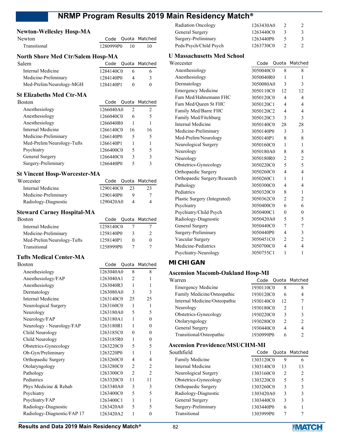#### **Newton-Wellesley Hosp-MA**

| Newton       |           | Code Ouota Matched |
|--------------|-----------|--------------------|
| Transitional | 1280999P0 |                    |

#### **North Shore Med Ctr/Salem Hosp-MA**

| Salem                    |           |   | Code Quota Matched |
|--------------------------|-----------|---|--------------------|
| Internal Medicine        | 1284140C0 | h | 6.                 |
| Medicine-Preliminary     | 1284140P0 |   | 3                  |
| Med-Prelim/Neurology-MGH | 1284140P1 |   | $^{\circ}$         |

#### **St Elizabeths Med Ctr-MA**

| Boston                     |           |                | Code Ouota Matched |
|----------------------------|-----------|----------------|--------------------|
| Anesthesiology             | 1266040A0 | $\mathfrak{D}$ | $\mathfrak{D}$     |
| Anesthesiology             | 1266040C0 | 6              | 5                  |
| Anesthesiology             | 1266040R0 |                |                    |
| Internal Medicine          | 1266140C0 | 16             | 16                 |
| Medicine-Preliminary       | 1266140P0 | 5              | 5                  |
| Med-Prelim/Neurology-Tufts | 1266140P1 |                |                    |
| Psychiatry                 | 1266400C0 | 5              | 5                  |
| General Surgery            | 1266440C0 | 3              | 3                  |
| Surgery-Preliminary        | 1266440P0 | 5              | 3                  |

#### **St Vincent Hosp-Worcester-MA**

| Worcester            |           |                 | Code Quota Matched |
|----------------------|-----------|-----------------|--------------------|
| Internal Medicine    | 1290140C0 | $\overline{23}$ | 23                 |
| Medicine-Preliminary | 1290140P0 |                 |                    |
| Radiology-Diagnostic | 1290420A0 |                 |                    |

#### **Steward Carney Hospital-MA**

| Boston                     |           | Code Quota Matched |
|----------------------------|-----------|--------------------|
| Internal Medicine          | 1258140C0 |                    |
| Medicine-Preliminary       | 1258140P0 | $\mathcal{D}$      |
| Med-Prelim/Neurology-Tufts | 1258140P1 | $^{\circ}$         |
| Transitional               | 1258999P0 |                    |

#### **Tufts Medical Center-MA**

| Boston                      | Code      | Quota          | Matched        |
|-----------------------------|-----------|----------------|----------------|
| Anesthesiology              | 1263040A0 | 8              | 8              |
| Anesthesiology/FAP          | 1263040A1 | $\overline{c}$ | 1              |
| Anesthesiology              | 1263040R3 | $\mathbf{1}$   | 1              |
| Dermatology                 | 1263080A0 | 3              | 3              |
| Internal Medicine           | 1263140C0 | 25             | 25             |
| Neurological Surgery        | 1263160C0 | 1              | 1              |
| Neurology                   | 1263180A0 | 5              | 5              |
| Neurology/FAP               | 1263180A1 | 1              | 0              |
| Neurology - Neurology/FAP   | 1263180R1 | $\mathbf{1}$   | 0              |
| Child Neurology             | 1263185C0 | $\theta$       | $\theta$       |
| Child Neurology             | 1263185R0 | 1              | $\mathbf{0}$   |
| Obstetrics-Gynecology       | 1263220C0 | 5              | 5              |
| Ob-Gyn/Preliminary          | 1263220P0 | 1              | 1              |
| Orthopaedic Surgery         | 1263260C0 | 4              | 4              |
| Otolaryngology              | 1263280C0 | $\overline{2}$ | $\overline{2}$ |
| Pathology                   | 1263300C0 | $\mathfrak{D}$ | $\mathfrak{D}$ |
| Pediatrics                  | 1263320C0 | 11             | 11             |
| Phys Medicine & Rehab       | 1263340A0 | 3              | 3              |
| Psychiatry                  | 1263400C0 | 5              | 5              |
| Psychiatry/FAP              | 1263400C1 | $\mathbf{1}$   | 1              |
| Radiology-Diagnostic        | 1263420A0 | 5              | 5              |
| Radiology-Diagnostic/FAP 17 | 1263420A2 | 1              | $\overline{0}$ |

| <b>Radiation Oncology</b> | 1263430A0 | $\mathcal{D}_{\mathcal{L}}$ |
|---------------------------|-----------|-----------------------------|
| General Surgery           | 1263440C0 | 3                           |
| Surgery-Preliminary       | 1263440P0 | 3                           |
| Peds/Psych/Child Psych    | 1263730C0 |                             |

#### **U Massachusetts Med School**

| Worcester                    | Code      |                | Quota Matched  |
|------------------------------|-----------|----------------|----------------|
| Anesthesiology               | 3050040C0 | 8              | 8              |
| Anesthesiology               | 3050040R0 | 1              | 1              |
| Dermatology                  | 3050080A0 | 3              | 3              |
| <b>Emergency Medicine</b>    | 3050110C0 | 12.            | 12             |
| Fam Med/Hahnemann FHC        | 3050120C0 | 4              | 4              |
| Fam Med/Queen St FHC         | 3050120C1 | 4              | 4              |
| Family Med/Barre FHC         | 3050120C2 | 4              | $\overline{4}$ |
| Family Med/Fitchburg         | 3050120C3 | 3              | 3              |
| Internal Medicine            | 3050140C0 | 28             | 28             |
| Medicine-Preliminary         | 3050140P0 | 3              | 3              |
| Med-Prelim/Neurology         | 3050140P1 | 8              | 8              |
| Neurological Surgery         | 3050160C0 | 1              | 1              |
| Neurology                    | 3050180A0 | 8              | 8              |
| Neurology                    | 3050180R0 | $\overline{2}$ | 2              |
| Obstetrics-Gynecology        | 3050220C0 | 5              | 5              |
| Orthopaedic Surgery          | 3050260C0 | 4              | $\overline{4}$ |
| Orthopaedic Surgery/Research | 3050260C1 | 1              | 1              |
| Pathology                    | 3050300C0 | 4              | 4              |
| Pediatrics                   | 3050320C0 | 8              | 1              |
| Plastic Surgery (Integrated) | 3050362C0 | $\overline{2}$ | 2              |
| Psychiatry                   | 3050400C0 | 6              | 6              |
| Psychiatry/Child Psych       | 3050400C1 | $\theta$       | $\theta$       |
| Radiology-Diagnostic         | 3050420A0 | 5              | 5              |
| General Surgery              | 3050440C0 | 7              | 7              |
| Surgery-Preliminary          | 3050440P0 | 4              | 3              |
| Vascular Surgery             | 3050451C0 | $\overline{2}$ | $\overline{2}$ |
| Medicine-Pediatrics          | 3050700C0 | 4              | 4              |
| Psychiatry-Neurology         | 3050755C1 | 1              | 1              |
|                              |           |                |                |

#### **MICHIGAN**

#### **Ascension Macomb-Oakland Hosp-MI**

| Warren                        | Code      |               | Quota Matched |
|-------------------------------|-----------|---------------|---------------|
| <b>Emergency Medicine</b>     | 1930110C0 | 8             | 8             |
| Family Medicine/Osteopathic   | 1930120C0 | 6             | 4             |
| Internal Medicine/Osteopathic | 1930140C0 | 12            |               |
| Neurology                     | 1930180C0 | $\mathcal{P}$ |               |
| Obstetrics-Gynecology         | 1930220C0 | ٩             | ٩             |
| Otolaryngology                | 1930280C0 | 2             | $\mathcal{P}$ |
| General Surgery               | 1930440C0 | 4             | 4             |
| Transitional/Osteopathic      | 1930999P0 |               |               |

#### **Ascension Providence/MSUCHM-MI**

| Southfield             | Code      |               | Ouota Matched |
|------------------------|-----------|---------------|---------------|
| <b>Family Medicine</b> | 1303120C0 | 9             | 6             |
| Internal Medicine      | 1303140C0 | 13            | 13            |
| Neurological Surgery   | 1303160C0 | $\mathcal{P}$ | $\mathcal{L}$ |
| Obstetrics-Gynecology  | 1303220C0 | 5             |               |
| Orthopaedic Surgery    | 1303260C0 | 3             | 3             |
| Radiology-Diagnostic   | 1303420A0 | 3             | 3             |
| General Surgery        | 1303440C0 | 3             | 3             |
| Surgery-Preliminary    | 1303440P0 | 6             |               |
| Transitional           | 1303999P0 |               |               |

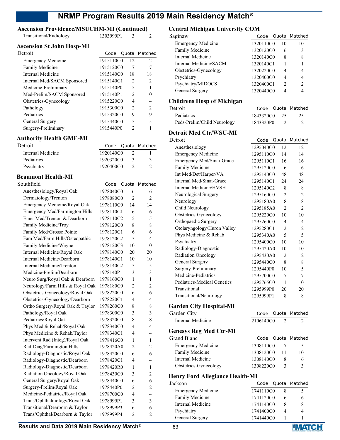#### **Ascension Providence/MSUCHM-MI (Continued)**

Transitional/Radiology 1303999P1 3 2

#### **Ascension St John Hosp-MI**

| Detroit                     |           |                | Code Ouota Matched |
|-----------------------------|-----------|----------------|--------------------|
| <b>Emergency Medicine</b>   | 1915110C0 | 12             | 12                 |
| Family Medicine             | 1915120C0 | 7              |                    |
| Internal Medicine           | 1915140C0 | 18             | 18                 |
| Internal Med/SACM Sponsored | 1915140C1 | $\mathfrak{D}$ | 2                  |
| Medicine-Preliminary        | 1915140P0 | 5              |                    |
| Med-Prelim/SACM Sponsored   | 1915140P1 | $\mathfrak{D}$ |                    |
| Obstetrics-Gynecology       | 1915220C0 | 4              |                    |
| Pathology                   | 1915300C0 | $\mathfrak{D}$ | $\mathfrak{D}$     |
| Pediatrics                  | 1915320C0 | 9              | 9                  |
| General Surgery             | 1915440C0 | 5              | 5                  |
| Surgery-Preliminary         | 1915440P0 | 2              |                    |

#### **Authority Health GME-MI**

| Detroit           |           | Code Quota Matched |
|-------------------|-----------|--------------------|
| Internal Medicine | 1920140C0 |                    |
| Pediatrics        | 1920320C0 |                    |
| Psychiatry        | 1920400C0 |                    |

#### **Beaumont Health-MI**

| Southfield                       | Code      | Quota          | Matched                  |
|----------------------------------|-----------|----------------|--------------------------|
| Anesthesiology/Royal Oak         | 1978040C0 | 6              | 6                        |
| Dermatology/Trenton              | 1978080C0 | $\overline{2}$ | $\overline{2}$           |
| Emergency Medicine/Royal Oak     | 1978110C0 | 14             | 14                       |
| Emergency Med/Farmington Hills   | 1978110C1 | 6              | 6                        |
| Emer Med/Trenton & Dearborn      | 1978110C2 | 5              | 5                        |
| Family Medicine/Troy             | 1978120C0 | 8              | 8                        |
| Family Med/Grosse Pointe         | 1978120C1 | 6              | 6                        |
| Fam Med/Farm Hills/Osteopathic   | 1978120C2 | 5              | $\overline{\mathcal{L}}$ |
| Family Medicine/Wayne            | 1978120C3 | 10             | 10                       |
| Internal Medicine/Royal Oak      | 1978140C0 | 20             | 20                       |
| Internal Medicine/Dearborn       | 1978140C1 | 10             | 10                       |
| Internal Medicine/Trenton        | 1978140C2 | 5              | 5                        |
| Medicine-Prelim/Dearborn         | 1978140P1 | 3              | 3                        |
| Neuro Surg/Royal Oak & Dearborn  | 1978160C0 | 1              | $\mathbf{1}$             |
| Neurology/Farm Hills & Royal Oak | 1978180C0 | $\overline{c}$ | $\overline{c}$           |
| Obstetrics-Gynecology/Royal Oak  | 1978220C0 | 6              | 6                        |
| Obstetrics-Gynecology/Dearborn   | 1978220C1 | 4              | $\overline{4}$           |
| Ortho Surgery/Royal Oak & Taylor | 1978260C0 | 8              | 8                        |
| Pathology/Royal Oak              | 1978300C0 | 3              | 3                        |
| Pediatrics/Royal Oak             | 1978320C0 | 8              | 8                        |
| Phys Med & Rehab/Royal Oak       | 1978340C0 | 4              | 4                        |
| Phys Medicine & Rehab/Taylor     | 1978340C1 | 4              | 4                        |
| Intervent Rad (Integ)/Royal Oak  | 1978416C0 | 1              | 1                        |
| Rad-Diag/Farmington Hills        | 1978420A0 | $\overline{2}$ | $\overline{2}$           |
| Radiology-Diagnostic/Royal Oak   | 1978420C0 | 6              | 6                        |
| Radiology-Diagnostic/Dearborn    | 1978420C1 | 4              | $\overline{4}$           |
| Radiology-Diagnostic/Dearborn    | 1978420R0 | 1              | $\mathbf{1}$             |
| Radiation Oncology/Royal Oak     | 1978430C0 | 3              | $\overline{c}$           |
| General Surgery/Royal Oak        | 1978440C0 | 6              | 6                        |
| Surgery-Prelim/Royal Oak         | 1978440P0 | 2              | $\overline{c}$           |
| Medicine-Pediatrics/Royal Oak    | 1978700C0 | 4              | $\overline{4}$           |
| Trans/Ophthalmology/Royal Oak    | 1978999P1 | 3              | 3                        |
| Transitional/Dearborn & Taylor   | 1978999P3 | 6              | 6                        |
| Trans/Ophthal/Dearborn & Taylor  | 1978999P4 | $\overline{2}$ | $\overline{2}$           |
|                                  |           |                |                          |

#### **Central Michigan University COM**

| Central michigan Umversity COM               |           |                |                  |
|----------------------------------------------|-----------|----------------|------------------|
| Saginaw                                      | Code      | Quota          | Matched          |
| <b>Emergency Medicine</b>                    | 1320110C0 | 10             | 10               |
| Family Medicine                              | 1320120C0 | 6              | 3                |
| Internal Medicine                            | 1320140C0 | 8              | 8                |
| Internal Medicine/SACM                       | 1320140C1 | 1              | 1                |
| Obstetrics-Gynecology                        | 1320220C0 | 4              | 4                |
| Psychiatry                                   | 1320400C0 | 4              | 4                |
| Psychiatry/MIDOCS                            | 1320400C1 | 2              | $\overline{c}$   |
| General Surgery                              | 1320440C0 | 4              | 4                |
|                                              |           |                |                  |
| <b>Childrens Hosp of Michigan</b><br>Detroit |           |                |                  |
|                                              | Code      |                | Quota Matched    |
| Pediatrics                                   | 1843320C0 | 25             | 25               |
| Peds-Prelim/Child Neurology                  | 1843320P0 | 2              | 2                |
| <b>Detroit Med Ctr/WSU-MI</b>                |           |                |                  |
| Detroit                                      | Code      | Quota          | Matched          |
| Anesthesiology                               | 1295040C0 | 12             | 12               |
| <b>Emergency Medicine</b>                    | 1295110C0 | 14             | 14               |
| Emergency Med/Sinai-Grace                    | 1295110C1 | 16             | 16               |
| Family Medicine                              | 1295120C0 | 6              | 6                |
| Int Med/Det/Harper/VA                        | 1295140C0 | 48             | 48               |
| Internal Med/Sinai-Grace                     | 1295140C1 | 24             | 24               |
| Internal Medicine/HVSH                       | 1295140C2 | 8              | 8                |
| Neurological Surgery                         | 1295160C0 | 2              | 2                |
| Neurology                                    | 1295180A0 | 8              | 8                |
| Child Neurology                              | 1295185A0 | $\overline{c}$ | 2                |
| Obstetrics-Gynecology                        | 1295220C0 | 10             | 10               |
| Orthopaedic Surgery                          | 1295260C0 | 4              | 4                |
| Otolaryngology/Huron Valley                  | 1295280C1 | 2              | $\overline{2}$   |
| Phys Medicine & Rehab                        | 1295340A0 | 5              | 5                |
| Psychiatry                                   | 1295400C0 | 10             | 10               |
| Radiology-Diagnostic                         | 1295420A0 | 10             | 10               |
| Radiation Oncology                           | 1295430A0 | 2              | 2                |
| General Surgery                              | 1295440C0 | 8              | 8                |
| Surgery-Preliminary                          | 1295440P0 | 10             | 5                |
| Medicine-Pediatrics                          | 1295700C0 | 7              | 7                |
| Pediatrics-Medical Genetics                  | 1295765C0 | 1              | $\boldsymbol{0}$ |
| Transitional                                 | 1295999P0 | 20             | 20               |
| Transitional/Neurology                       | 1295999P1 | 8              | 8                |
| <b>Garden City Hospital-MI</b>               |           |                |                  |
| Garden City                                  | Code      | Quota          | Matched          |
| Internal Medicine                            | 2106140C0 | 2              | $\overline{2}$   |
|                                              |           |                |                  |
| <b>Genesys Reg Med Ctr-MI</b>                |           |                |                  |
| <b>Grand Blanc</b>                           | Code      |                | Quota Matched    |
| <b>Emergency Medicine</b>                    | 1308110C0 | 7              | 5                |
| Family Medicine                              | 1308120C0 | 11             | 10               |
| <b>Internal Medicine</b>                     | 1308140C0 | 8              | 6                |
| Obstetrics-Gynecology                        | 1308220C0 | 3              | 3                |
| <b>Henry Ford Allegiance Health-MI</b>       |           |                |                  |
| Jackson                                      |           |                |                  |
|                                              | Code      | Quota          | Matched          |
| <b>Emergency Medicine</b>                    | 1741110C0 | 8              | 5                |
| Family Medicine<br>Internal Medicine         | 1741120C0 | 6              | 6                |
|                                              | 1741140C0 | 8<br>4         | 8<br>4           |
| Psychiatry                                   | 1741400C0 |                |                  |
| General Surgery                              | 1741440C0 | 1              | 1                |

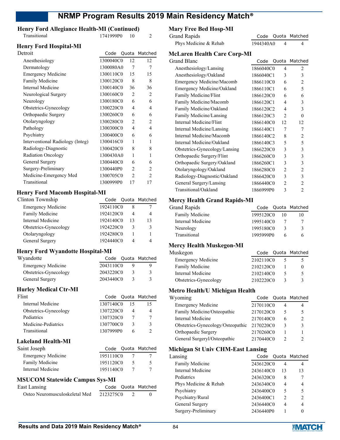#### **Henry Ford Allegiance Health-MI (Continued)**

| Transitional | 1741999P0 |  |
|--------------|-----------|--|
|              |           |  |

#### **Henry Ford Hospital-MI**

| Detroit                          | Code      |                | Quota Matched |
|----------------------------------|-----------|----------------|---------------|
| Anesthesiology                   | 1300040C0 | 12             | 12            |
| Dermatology                      | 1300080A0 | 7              | 7             |
| <b>Emergency Medicine</b>        | 1300110C0 | 15             | 15            |
| Family Medicine                  | 1300120C0 | 8              | 8             |
| Internal Medicine                | 1300140C0 | 36             | 36            |
| Neurological Surgery             | 1300160C0 | 2              | 2             |
| Neurology                        | 1300180C0 | 6              | 6             |
| Obstetrics-Gynecology            | 1300220C0 | 4              | 4             |
| Orthopaedic Surgery              | 1300260C0 | 6              | 6             |
| Otolaryngology                   | 1300280C0 | $\mathfrak{D}$ | 2             |
| Pathology                        | 1300300C0 | 4              | 4             |
| Psychiatry                       | 1300400C0 | 6              | 6             |
| Interventional Radiology (Integ) | 1300416C0 | 1              | 1             |
| Radiology-Diagnostic             | 1300420C0 | 8              | 8             |
| Radiation Oncology               | 1300430A0 | 1              | 1             |
| General Surgery                  | 1300440C0 | 6              | 6             |
| Surgery-Preliminary              | 1300440P0 | $\mathfrak{D}$ | 2             |
| Medicine-Emergency Med           | 1300705C0 | $\mathfrak{D}$ | 2             |
| Transitional                     | 1300999P0 | 17             | 17            |
|                                  |           |                |               |

#### **Henry Ford Macomb Hospital-MI**

| Clinton Township          |           |    | Code Quota Matched |
|---------------------------|-----------|----|--------------------|
| <b>Emergency Medicine</b> | 1924110C0 |    |                    |
| Family Medicine           | 1924120C0 | 4  | 4                  |
| Internal Medicine         | 1924140C0 | 13 | 13                 |
| Obstetrics-Gynecology     | 1924220C0 | 3  |                    |
| Otolaryngology            | 1924280C0 |    |                    |
| General Surgery           | 1924440C0 |    |                    |

#### **Henry Ford Wyandotte Hospital-MI**

| Wyandotte                 |           | Code Quota Matched |
|---------------------------|-----------|--------------------|
| <b>Emergency Medicine</b> | 2043110C0 |                    |
| Obstetrics-Gynecology     | 2043220C0 |                    |
| General Surgery           | 2043440C0 |                    |

#### **Hurley Medical Ctr-MI**

| Flint                 | Code Ouota Matched |    |               |
|-----------------------|--------------------|----|---------------|
| Internal Medicine     | 1307140C0          | 15 | 15            |
| Obstetrics-Gynecology | 1307220C0          |    |               |
| Pediatrics            | 1307320C0          |    |               |
| Medicine-Pediatrics   | 1307700C0          | 3  | 3             |
| Transitional          | 1307999P0          | 6  | $\mathcal{P}$ |
|                       |                    |    |               |

#### **Lakeland Health-MI**

| Saint Joseph              |           |               | Code Quota Matched   |
|---------------------------|-----------|---------------|----------------------|
| <b>Emergency Medicine</b> | 1951110C0 |               |                      |
| Family Medicine           | 1951120C0 | $\rightarrow$ | $\ddot{\phantom{1}}$ |
| Internal Medicine         | 1951140C0 |               |                      |

#### **MSUCOM Statewide Campus Sys-MI**

| East Lansing                   |             | Code Ouota Matched |
|--------------------------------|-------------|--------------------|
| Osteo Neuromusculoskeletal Med | 2123275C0 2 |                    |

#### **Mary Free Bed Hosp-MI** Grand Rapids

| rand Rapids           |           | Code Quota Matched |
|-----------------------|-----------|--------------------|
| Phys Medicine & Rehab | 1944340A0 |                    |

#### **McLaren Health Care Corp-MI**

| Grand Blanc                   |           |                | Code Quota Matched |
|-------------------------------|-----------|----------------|--------------------|
| Anesthesiology/Lansing        | 1866040C0 | 4              | 2                  |
| Anesthesiology/Oakland        | 1866040C1 | 3              | 3                  |
| Emergency Medicine/Macomb     | 1866110C0 | 6              | 2                  |
| Emergency Medicine/Oakland    | 1866110C1 | 6              | 5                  |
| Family Medicine/Flint         | 1866120C0 | 6              | 6                  |
| Family Medicine/Macomb        | 1866120C1 | 4              | 3                  |
| Family Medicine/Oakland       | 1866120C2 | 4              | 3                  |
| Family Medicine/Lansing       | 1866120C3 | 2              | $\theta$           |
| Internal Medicine/Flint       | 1866140C0 | 12             | 12                 |
| Internal Medicine/Lansing     | 1866140C1 | 7              | 7                  |
| Internal Medicine/Macomb      | 1866140C2 | 8              | 2                  |
| Internal Medicine/Oakland     | 1866140C3 | 5              | 5                  |
| Obstetrics-Gynecology/Lansing | 1866220C0 | 3              | 3                  |
| Orthopaedic Surgery/Flint     | 1866260C0 | 3              | 3                  |
| Orthopaedic Surgery/Oakland   | 1866260C1 | 3              | 3                  |
| Otolaryngology/Oakland        | 1866280C0 | $\overline{2}$ | $\overline{2}$     |
| Radiology-Diagnostic/Oakland  | 1866420C0 | 3              | 3                  |
| General Surgery/Lansing       | 1866440C0 | 2              | 2                  |
| Transitional/Oakland          | 1866999P0 | 3              | $\overline{2}$     |
|                               |           |                |                    |

#### **Mercy Health Grand Rapids-MI**

| Grand Rapids      |           |    | Code Quota Matched |
|-------------------|-----------|----|--------------------|
| Family Medicine   | 1995120C0 | 10 | 10                 |
| Internal Medicine | 1995140C0 |    |                    |
| Neurology         | 1995180C0 | 3  | 3                  |
| Transitional      | 1995999P0 |    |                    |

#### **Mercy Health Muskegon-MI**

| Muskegon                  |           | Code Quota Matched |
|---------------------------|-----------|--------------------|
| <b>Emergency Medicine</b> | 2102110C0 |                    |
| Family Medicine           | 2102120C0 |                    |
| Internal Medicine         | 2102140C0 | 5                  |
| Obstetrics-Gynecology     | 2102220C0 | κ                  |

#### **Metro Health/U Michigan Health**

| Wyoming                           | Code      |   | Quota Matched |
|-----------------------------------|-----------|---|---------------|
| <b>Emergency Medicine</b>         | 2170110C0 |   |               |
| Family Medicine/Osteopathic       | 2170120C0 | 5 |               |
| Internal Medicine                 | 2170140C0 | 6 |               |
| Obstetrics-Gynecology/Osteopathic | 2170220C0 | 3 |               |
| Orthopaedic Surgery               | 2170260C0 |   |               |
| General Surgeryl/Osteopathic      | 2170440C0 |   |               |

#### **Michigan St Univ CHM-East Lansing**

| Lansing               |           |    | Code Quota Matched |
|-----------------------|-----------|----|--------------------|
| Family Medicine       | 2436120C0 | 4  | 4                  |
| Internal Medicine     | 2436140C0 | 13 | 13                 |
| Pediatrics            | 2436320C0 | 8  |                    |
| Phys Medicine & Rehab | 2436340C0 | 4  | 4                  |
| Psychiatry            | 2436400C0 | 5  | 5                  |
| Psychiatry/Rural      | 2436400C1 | 2  | 2                  |
| General Surgery       | 2436440C0 | 4  | 4                  |
| Surgery-Preliminary   | 2436440P0 |    |                    |
|                       |           |    |                    |

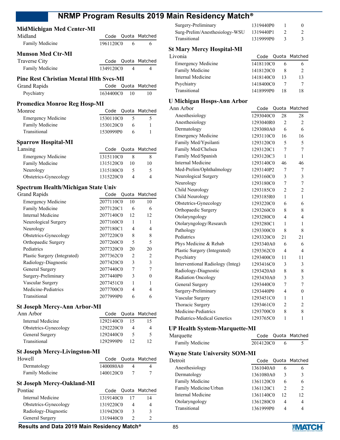#### **MidMichigan Med Center-MI**

| Midland                                        | Code      |     | Quota Matched      |
|------------------------------------------------|-----------|-----|--------------------|
| Family Medicine                                | 1961120C0 | - 6 | 6                  |
| <b>Munson Med Ctr-MI</b>                       |           |     |                    |
| Traverse City                                  |           |     | Code Quota Matched |
| <b>Family Medicine</b>                         | 1349120C0 | 4   | 4                  |
| <b>Pine Rest Christian Mental Hlth Svcs-MI</b> |           |     |                    |
| <b>Grand Rapids</b>                            | Code      |     | Quota Matched      |
| Psychiatry                                     | 1634400C0 | 10  | 10                 |
| <b>Promedica Monroe Reg Hosp-MI</b>            |           |     |                    |
| Monroe                                         |           |     | Code Quota Matched |
| <b>Emergency Medicine</b>                      | 1530110C0 | 5   | 5                  |
| <b>Family Medicine</b>                         | 1530120C0 | 6   | 1                  |
| Transitional                                   | 1530999P0 | 6   | 1                  |
| <b>Sparrow Hospital-MI</b>                     |           |     |                    |
|                                                |           |     |                    |

| Lansing                   |           |    | Code Quota Matched |
|---------------------------|-----------|----|--------------------|
| <b>Emergency Medicine</b> | 1315110C0 |    |                    |
| Family Medicine           | 1315120C0 | 10 | 10                 |
| Neurology                 | 1315180C0 |    | 5                  |
| Obstetrics-Gynecology     | 1315220C0 |    |                    |
|                           |           |    |                    |

#### **Spectrum Health/Michigan State Univ**

| Grand Rapids                 | Code      |                | Quota Matched |
|------------------------------|-----------|----------------|---------------|
| <b>Emergency Medicine</b>    | 2077110C0 | 10             | 10            |
| Family Medicine              | 2077120C1 | 6              | 6             |
| Internal Medicine            | 2077140C0 | 12             | 12            |
| Neurological Surgery         | 2077160C0 | 1              |               |
| Neurology                    | 2077180C1 | 4              | 4             |
| Obstetrics-Gynecology        | 2077220C0 | 8              | 8             |
| Orthopaedic Surgery          | 2077260C0 | 5              | 5             |
| Pediatrics                   | 2077320C0 | 20             | 20            |
| Plastic Surgery (Integrated) | 2077362C0 | $\mathfrak{D}$ | 2             |
| Radiology-Diagnostic         | 2077420C0 | 3              | 3             |
| General Surgery              | 2077440C0 | 7              |               |
| Surgery-Preliminary          | 2077440P0 | 3              |               |
| Vascular Surgery             | 2077451C0 | 1              |               |
| Medicine-Pediatrics          | 2077700C0 | 4              |               |
| Transitional                 | 2077999P0 | 6              | 6             |

#### **St Joseph Mercy-Ann Arbor-MI**

| Ann Arbor             |           |    | Code Quota Matched |
|-----------------------|-----------|----|--------------------|
| Internal Medicine     | 1292140C0 | 15 | 15                 |
| Obstetrics-Gynecology | 1292220C0 |    | 4                  |
| General Surgery       | 1292440C0 |    | ↖                  |
| Transitional          | 1292999P0 |    |                    |

#### **St Joseph Mercy-Livingston-MI**

| Howell                            |           |    | Code Quota Matched |
|-----------------------------------|-----------|----|--------------------|
| Dermatology                       | 1400080A0 | 4  | 4                  |
| Family Medicine                   | 1400120C0 |    |                    |
| <b>St Joseph Mercy-Oakland-MI</b> |           |    |                    |
| Pontiac                           | Code      |    | Quota Matched      |
| Internal Medicine                 | 1319140C0 | 17 | 14                 |
| Obstetrics-Gynecology             | 1319220C0 | 4  | $\overline{4}$     |
| Radiology-Diagnostic              | 1319420C0 | 3  | 3                  |
| General Surgery                   | 1319440C0 | っ  | $\mathfrak{D}$     |

#### Surgery-Preliminary 1319440P0 1 0 Surg-Prelim/Anesthesiology-WSU 1319440P1 2 2 Transitional 1319999P0 3 3

#### **St Mary Mercy Hospital-MI**

| Livonia                   |           |    | Code Quota Matched |
|---------------------------|-----------|----|--------------------|
| <b>Emergency Medicine</b> | 1418110C0 |    |                    |
| Family Medicine           | 1418120C0 |    |                    |
| Internal Medicine         | 1418140C0 | 13 | 13                 |
| Psychiatry                | 1418400C0 |    |                    |
| Transitional              | 1418999P0 | 18 | 18                 |
|                           |           |    |                    |

#### **U Michigan Hosps-Ann Arbor**

| Ann Arbor                        | Code      | Quota                    | Matched        |
|----------------------------------|-----------|--------------------------|----------------|
| Anesthesiology                   | 1293040C0 | 28                       | 28             |
| Anesthesiology                   | 1293040R0 | $\overline{2}$           | $\overline{c}$ |
| Dermatology                      | 1293080A0 | 6                        | 6              |
| <b>Emergency Medicine</b>        | 1293110C0 | 16                       | 16             |
| Family Med/Ypsilanti             | 1293120C0 | 5                        | 5              |
| Family Med/Chelsea               | 1293120C1 | 7                        | 7              |
| Family Med/Spanish               | 1293120C3 | 1                        | 1              |
| Internal Medicine                | 1293140C0 | 46                       | 46             |
| Med-Prelim/Ophthalmology         | 1293140P2 | 7                        | 7              |
| Neurological Surgery             | 1293160C0 | 3                        | 3              |
| Neurology                        | 1293180C0 | 7                        | 7              |
| Child Neurology                  | 1293185C0 | $\overline{2}$           | $\overline{2}$ |
| Child Neurology                  | 1293185R0 | 1                        | 1              |
| Obstetrics-Gynecology            | 1293220C0 | 6                        | 6              |
| Orthopaedic Surgery              | 1293260C0 | 8                        | 8              |
| Otolaryngology                   | 1293280C0 | 4                        | 4              |
| Otolaryngology/Research          | 1293280C1 | 1                        | 1              |
| Pathology                        | 1293300C0 | 8                        | 8              |
| Pediatrics                       | 1293320C0 | 21                       | 21             |
| Phys Medicine & Rehab            | 1293340A0 | 6                        | 6              |
| Plastic Surgery (Integrated)     | 1293362C0 | 4                        | 4              |
| Psychiatry                       | 1293400C0 | 11                       | 11             |
| Interventional Radiology (Integ) | 1293416C0 | 3                        | 3              |
| Radiology-Diagnostic             | 1293420A0 | 8                        | 8              |
| Radiation Oncology               | 1293430A0 | 3                        | 3              |
| General Surgery                  | 1293440C0 | 7                        | 7              |
| Surgery-Preliminary              | 1293440P0 | $\overline{\mathcal{L}}$ | $\theta$       |
| Vascular Surgery                 | 1293451C0 | 1                        | 1              |
| Thoracic Surgery                 | 1293461C0 | $\overline{2}$           | 2              |
| Medicine-Pediatrics              | 1293700C0 | 8                        | 8              |
| Pediatrics-Medical Genetics      | 1293765C0 | 1                        | 1              |
|                                  |           |                          |                |

#### **UP Health System-Marquette-MI**

| Marquette       |           | Code Quota Matched |
|-----------------|-----------|--------------------|
| Family Medicine | 2014120C0 |                    |

#### **Wayne State University SOM-MI**

| 6             | 6                                                                                                             |
|---------------|---------------------------------------------------------------------------------------------------------------|
| 3             | 3                                                                                                             |
| 6             | 6                                                                                                             |
| $\mathcal{L}$ | 2                                                                                                             |
| 12            | 12                                                                                                            |
| 4             |                                                                                                               |
| 4             |                                                                                                               |
|               | Code Quota Matched<br>1361040A0<br>1361080A0<br>1361120C0<br>1361120C1<br>1361140C0<br>1361280C0<br>1361999P0 |

**Results and Data 2019 Main Residency Match®** 85

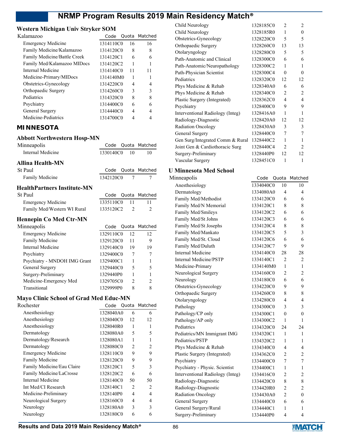#### **Western Michigan Univ Stryker SOM**

| Kalamazoo                    | Code      |    | Quota Matched |
|------------------------------|-----------|----|---------------|
| <b>Emergency Medicine</b>    | 1314110C0 | 16 | 16            |
| Family Medicine/Kalamazoo    | 1314120C0 | 8  | 8             |
| Family Medicine/Battle Creek | 1314120C1 | 6  | 6             |
| Family Med/Kalamazoo MIDocs  | 1314120C2 |    |               |
| Internal Medicine            | 1314140C0 | 11 | 11            |
| Medicine-Primary/MIDocs      | 1314140M0 |    |               |
| Obstetrics-Gynecology        | 1314220C0 | 4  | 4             |
| Orthopaedic Surgery          | 1314260C0 | 3  | 3             |
| Pediatrics                   | 1314320C0 | 8  | 8             |
| Psychiatry                   | 1314400C0 | 6  | 6             |
| General Surgery              | 1314440C0 | 4  | 4             |
| Medicine-Pediatrics          | 1314700C0 |    |               |
|                              |           |    |               |

#### **MINNESOTA**

#### **Abbott Northwestern Hosp-MN**

| Minneapolis       |              | Code Quota Matched |
|-------------------|--------------|--------------------|
| Internal Medicine | 1330140C0 10 | 10                 |
| Allina Health-MN  |              |                    |
| <b>St Paul</b>    |              | Code Quota Matched |

### Family Medicine 1342120C0 7 7

#### **HealthPartners Institute-MN**

| St Paul                     |              | Code Ouota Matched |
|-----------------------------|--------------|--------------------|
| <b>Emergency Medicine</b>   | 1335110C0 11 |                    |
| Family Med/Western WI Rural | 1335120C2    |                    |

#### **Hennepin Co Med Ctr-MN**

| Minneapolis                  | Code      |    | Quota Matched |
|------------------------------|-----------|----|---------------|
| <b>Emergency Medicine</b>    | 1329110C0 | 12 | 12            |
| Family Medicine              | 1329120C0 | 11 | 9             |
| Internal Medicine            | 1329140C0 | 19 | 19            |
| Psychiatry                   | 1329400C0 |    |               |
| Psychiatry - MNDOH IMG Grant | 1329400C1 |    |               |
| General Surgery              | 1329440C0 | 5  |               |
| Surgery-Preliminary          | 1329440P0 |    |               |
| Medicine-Emergency Med       | 1329705C0 | 2  | 2             |
| Transitional                 | 1329999P0 | 8  |               |

#### **Mayo Clinic School of Grad Med Educ-MN**

| Rochester                  | Code      |                | Quota Matched  |
|----------------------------|-----------|----------------|----------------|
| Anesthesiology             | 1328040A0 | 6              | 6              |
| Anesthesiology             | 1328040C0 | 12             | 12             |
| Anesthesiology             | 1328040R0 | 1              | 1              |
| Dermatology                | 1328080A0 | 5              | 5              |
| Dermatology/Research       | 1328080A1 | 1              | 1              |
| Dermatology                | 1328080C0 | $\mathfrak{D}$ | $\overline{c}$ |
| <b>Emergency Medicine</b>  | 1328110C0 | 9              | 9              |
| <b>Family Medicine</b>     | 1328120C0 | 9              | 9              |
| Family Medicine/Eau Claire | 1328120C1 | 5              | 3              |
| Family Medicine/LaCrosse   | 1328120C2 | 6              | 6              |
| Internal Medicine          | 1328140C0 | 50             | 50             |
| Int Med/CI Research        | 1328140C1 | 2              | 2              |
| Medicine-Preliminary       | 1328140P0 | 4              | 4              |
| Neurological Surgery       | 1328160C0 | 4              | 4              |
| Neurology                  | 1328180A0 | 3              | 3              |
| Neurology                  | 1328180C0 | 6              | 6              |

| Child Neurology                  | 1328185C0 | $\overline{c}$ | $\mathfrak{D}$ |
|----------------------------------|-----------|----------------|----------------|
| Child Neurology                  | 1328185R0 | 1              | $\theta$       |
| Obstetrics-Gynecology            | 1328220C0 | 5              | 5              |
| Orthopaedic Surgery              | 1328260C0 | 13             | 13             |
| Otolaryngology                   | 1328280C0 | 5              | 5              |
| Path-Anatomic and Clinical       | 1328300C0 | 6              | 6              |
| Path-Anatomic/Neuropathology     | 1328300C2 | 1              | 1              |
| Path-Physician Scientist         | 1328300C4 | $\theta$       | $\Omega$       |
| Pediatrics                       | 1328320C0 | 12             | 12             |
| Phys Medicine & Rehab            | 1328340A0 | 6              | 6              |
| Phys Medicine & Rehab            | 1328340C0 | 2              | 2              |
| Plastic Surgery (Integrated)     | 1328362C0 | 4              | 4              |
| Psychiatry                       | 1328400C0 | 9              | 9              |
| Interventional Radiology (Integ) | 1328416A0 | 1              | 1              |
| Radiology-Diagnostic             | 1328420A0 | 12             | 12             |
| <b>Radiation Oncology</b>        | 1328430A0 | 3              | 3              |
| General Surgery                  | 1328440C0 | 7              | 7              |
| Gen Surg/Integrated Comm & Rural | 1328440C2 | 1              | 1              |
| Joint Gen & Cardiothoracic Surg  | 1328440C4 | $\mathfrak{D}$ | 2              |
| Surgery-Preliminary              | 1328440P0 | 12             | 12             |
| Vascular Surgery                 | 1328451C0 | 1              | 1              |

#### **U Minnesota Med School**

| Minneapolis                      | Code      | Quota                    | Matched        |
|----------------------------------|-----------|--------------------------|----------------|
| Anesthesiology                   | 1334040C0 | 10                       | 10             |
| Dermatology                      | 1334080A0 | 4                        | 4              |
| Family Med/Methodist             | 1334120C0 | 6                        | 6              |
| Family Med/N Memorial            | 1334120C1 | 8                        | 8              |
| Family Med/Smileys               | 1334120C2 | 6                        | 6              |
| Family Med/St Johns              | 1334120C3 | 6                        | 6              |
| Family Med/St Josephs            | 1334120C4 | 8                        | 8              |
| Family Med/Mankato               | 1334120C5 | 5                        | 3              |
| Family Med/St. Cloud             | 1334120C6 | 6                        | 6              |
| Family Med/Duluth                | 1334120C7 | 9                        | 9              |
| Internal Medicine                | 1334140C0 | 28                       | 28             |
| <b>Internal Medicine/PSTP</b>    | 1334140C1 | $\overline{2}$           | 2              |
| Medicine-Primary                 | 1334140M0 | 1                        | 1              |
| Neurological Surgery             | 1334160C0 | $\overline{2}$           | $\overline{c}$ |
| Neurology                        | 1334180C0 | 6                        | 6              |
| Obstetrics-Gynecology            | 1334220C0 | 9                        | 9              |
| Orthopaedic Surgery              | 1334260C0 | 8                        | 8              |
| Otolaryngology                   | 1334280C0 | $\overline{4}$           | $\overline{4}$ |
| Pathology                        | 1334300C0 | 3                        | 3              |
| Pathology/CP only                | 1334300C1 | $\theta$                 | $\overline{0}$ |
| Pathology/AP only                | 1334300C2 | 1                        | 1              |
| Pediatrics                       | 1334320C0 | 24                       | 24             |
| Pediatrics/MN Immigrant IMG      | 1334320C1 | 1                        | 1              |
| Pediatrics/PSTP                  | 1334320C2 | 1                        | 1              |
| Phys Medicine & Rehab            | 1334340C0 | $\overline{\mathcal{L}}$ | $\overline{4}$ |
| Plastic Surgery (Integrated)     | 1334362C0 | $\overline{c}$           | $\overline{2}$ |
| Psychiatry                       | 1334400C0 | 7                        | 7              |
| Psychiatry - Physic. Scientist   | 1334400C1 | 1                        | 1              |
| Interventional Radiology (Integ) | 1334416C0 | $\overline{2}$           | $\overline{2}$ |
| Radiology-Diagnostic             | 1334420C0 | 8                        | 8              |
| Radiology-Diagnostic             | 1334420R0 | $\overline{c}$           | $\overline{c}$ |
| Radiation Oncology               | 1334430A0 | $\overline{c}$           | $\mathbf{0}$   |
| General Surgery                  | 1334440C0 | 6                        | 6              |
| General Surgery/Rural            | 1334440C1 | 1                        | 1              |
| Surgery-Preliminary              | 1334440P0 | $\overline{4}$           | 4              |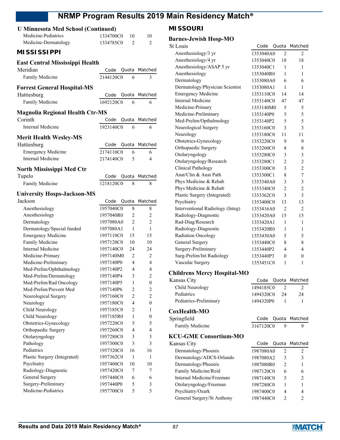### **U Minnesota Med School (Continued)**

| Medicine-Pediatrics                    | 1334700C0 | 10             | 10                      |
|----------------------------------------|-----------|----------------|-------------------------|
| Medicine-Dermatology                   | 1334785C0 | $\overline{c}$ | $\mathfrak{D}$          |
| <b>MISSISSIPPI</b>                     |           |                |                         |
| <b>East Central Mississippi Health</b> |           |                |                         |
| Meridian                               | Code      | Quota          | Matched                 |
| Family Medicine                        | 2144120C0 | 6              | 3                       |
| <b>Forrest General Hospital-MS</b>     |           |                |                         |
| Hattiesburg                            | Code      | Quota          | Matched                 |
| Family Medicine                        | 1692120C0 | 6              | 6                       |
| <b>Magnolia Regional Health Ctr-MS</b> |           |                |                         |
| Corinth                                | Code      | Quota          | Matched                 |
| Internal Medicine                      | 1923140C0 | 6              | 6                       |
| <b>Merit Health Wesley-MS</b>          |           |                |                         |
| Hattiesburg                            | Code      | Quota          | Matched                 |
| <b>Emergency Medicine</b>              | 2174110C0 | 6              | 6                       |
| <b>Internal Medicine</b>               | 2174140C0 | 5              | 4                       |
|                                        |           |                |                         |
| <b>North Mississippi Med Ctr</b>       | Code      | Quota          | Matched                 |
| Tupelo                                 | 1218120C0 |                |                         |
| Family Medicine                        |           | 8              | 8                       |
| <b>University Hosps-Jackson-MS</b>     |           |                |                         |
| Jackson                                | Code      | Quota          | Matched                 |
| Anesthesiology                         | 1957040C0 | 8              | 8                       |
| Anesthesiology                         | 1957040R0 | 2              | 2                       |
| Dermatology                            | 1957080A0 | 2              | $\overline{2}$          |
| Dermatology/Special funded             | 1957080A1 | 1              | 1                       |
| <b>Emergency Medicine</b>              | 1957110C0 | 15             | 15                      |
| Family Medicine                        | 1957120C0 | 10             | 10                      |
| <b>Internal Medicine</b>               | 1957140C0 | 24             | 24                      |
| Medicine-Primary                       | 1957140M0 | 2              | 2                       |
| Medicine-Preliminary                   | 1957140P0 | 4              | 4                       |
| Med-Prelim/Ophthalmology               | 1957140P2 | 4              | 4                       |
| Med-Prelim/Dermatology                 | 1957140P4 | 3              | $\overline{2}$          |
| Med-Prelim/Rad Oncology                | 1957140P5 | 1              | $\boldsymbol{0}$        |
| Med-Prelim/Prevent Med                 | 1957140P6 | 2              | $\overline{\mathbf{c}}$ |
| Neurological Surgery                   | 1957160C0 | $\overline{c}$ | $\overline{c}$          |
| Neurology                              | 1957180C0 | 4              | $\boldsymbol{0}$        |
| Child Neurology                        | 1957185C0 | 2              | 1                       |
| Child Neurology                        | 1957185R0 | 1              | $\boldsymbol{0}$        |
| Obstetrics-Gynecology                  | 1957220C0 | 5              | 5                       |
| Orthopaedic Surgery                    | 1957260C0 | $\overline{4}$ | $\overline{4}$          |
| Otolaryngology                         | 1957280C0 | 3              | 3                       |
| Pathology                              | 1957300C0 | 3              | 3                       |
| Pediatrics                             | 1957320C0 | 16             | 16                      |
| Plastic Surgery (Integrated)           | 1957362C0 | 1              | 1                       |
| Psychiatry                             | 1957400C0 | 10             | 10                      |
| Radiology-Diagnostic                   | 1957420C0 | 7              | 7                       |
| General Surgery                        | 1957440C0 | 6              | 6                       |
| Surgery-Preliminary                    | 1957440P0 | 5              | $\sqrt{3}$              |
| Medicine-Pediatrics                    | 1957700C0 | 5              | 5                       |

#### **MISSOURI**

#### **Barnes-Jewish Hosp-MO**

| и пез-оситян тиоэр-гиго            |           |                |                |
|------------------------------------|-----------|----------------|----------------|
| <b>St Louis</b>                    | Code      | Quota          | Matched        |
| Anesthesiology/3 yr                | 1353040A0 | $\overline{c}$ | $\overline{c}$ |
| Anesthesiology/4 yr                | 1353040C0 | 18             | 18             |
| Anesthesiology/ASAP 5 yr           | 1353040C1 | 1              | 1              |
| Anesthesiology                     | 1353040R0 | 1              | 1              |
| Dermatology                        | 1353080A0 | 6              | 6              |
| Dermatology/Physician Scientist    | 1353080A1 | 1              | 1              |
| <b>Emergency Medicine</b>          | 1353110C0 | 14             | 14             |
| <b>Internal Medicine</b>           | 1353140C0 | 47             | 47             |
| Medicine-Primary                   | 1353140M0 | 5              | 5              |
| Medicine-Preliminary               | 1353140P0 | 5              | 5              |
| Med-Prelim/Opthalmology            | 1353140P2 | 5              | 5              |
| Neurological Surgery               | 1353160C0 | 3              | 3              |
| Neurology                          | 1353180C0 | 11             | 11             |
| Obstetrics-Gynecology              | 1353220C0 | 9              | 9              |
| Orthopaedic Surgery                | 1353260C0 | 8              | 8              |
| Otolaryngology                     | 1353280C0 | 3              | 3              |
| Otolaryngology/Research            | 1353280C1 | $\overline{2}$ | $\overline{c}$ |
| <b>Clinical Pathology</b>          | 1353300C0 | 3              | $\overline{c}$ |
| Anat/Clin & Anat Path              | 1353300C1 | 8              | 7              |
| Phys Medicine & Rehab              | 1353340A0 | 3              | 3              |
| Phys Medicine & Rehab              | 1353340C0 | $\overline{c}$ | $\overline{c}$ |
| Plastic Surgery (Integrated)       | 1353362C0 | 3              | 3              |
| Psychiatry                         | 1353400C0 | 13             | 13             |
| Interventional Radiology (Integ)   | 1353416A0 | $\overline{2}$ | 2              |
| Radiology-Diagnostic               | 1353420A0 | 15             | 15             |
| Rad-Diag/Research                  | 1353420A1 | $\mathbf{1}$   | 1              |
| Radiology-Diagnostic               | 1353420R0 | 1              | 1              |
| <b>Radiation Oncology</b>          | 1353430A0 | 5              | 5              |
| General Surgery                    | 1353440C0 | 8              | 8              |
| Surgery-Preliminary                | 1353440P2 | 4              | 4              |
| Surg-Prelim/Int Radiology          | 1353440P3 | $\overline{0}$ | $\theta$       |
| Vascular Surgery                   | 1353451C0 | 1              | 1              |
| <b>Childrens Mercy Hospital-MO</b> |           |                |                |
| Kansas City                        | Code      | Quota          | Matched        |
| Child Neurology                    | 1494185C0 | $\mathfrak{2}$ | 2              |
| Pediatrics                         | 1494320C0 | 24             | 24             |
| Pediatrics-Preliminary             | 1494320P0 | $\mathbf{1}$   | 1              |
|                                    |           |                |                |

#### **CoxHealth-MO**

| Springfield                  |           |  | Code Quota Matched |
|------------------------------|-----------|--|--------------------|
| Family Medicine              | 3167120C0 |  |                    |
| <b>KCU-GME Consortium-MO</b> |           |  |                    |

#### Kansas City **Code Quota Matched** Dermatology/Phoenix 1987080A0 2 2 Dermatology/ADCS-Orlando 1987080A2 3 3 Dermatology/Phoenix 1987080R0 2 1 Family Medicine/Reid 1987120C0 6 6 Internal Medicine/Freeman 1987140C0 5 2 Otolaryngology/Freeman 1987280C0 1 1 Psychiatry/Ozark 1987400C0 4 4 General Surgery/St Anthony 1987440C0 2 2

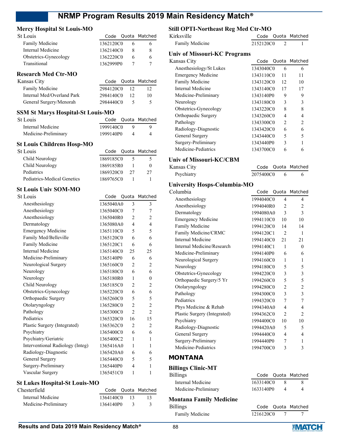#### **Mercy Hospital St Louis-MO**

| St Louis              |           | Code Quota Matched |
|-----------------------|-----------|--------------------|
| Family Medicine       | 1362120C0 | 6                  |
| Internal Medicine     | 1362140C0 | x                  |
| Obstetrics-Gynecology | 1362220C0 | 6                  |
| Transitional          | 1362999P0 |                    |
|                       |           |                    |

#### **Research Med Ctr-MO**

| Kansas City                |           |    | Code Quota Matched |
|----------------------------|-----------|----|--------------------|
| Family Medicine            | 2984120C0 | 12 | 12                 |
| Internal Med/Overland Park | 2984140C0 | 12 | 10                 |
| General Surgery/Menorah    | 2984440C0 |    | 5                  |

#### **SSM St Marys Hospital-St Louis-MO**

| St Louis             |           | Code Ouota Matched |
|----------------------|-----------|--------------------|
| Internal Medicine    | 1999140C0 |                    |
| Medicine-Preliminary | 1999140P0 |                    |

#### **St Louis Childrens Hosp-MO**

|     | $\mathcal{L}$                                                          |
|-----|------------------------------------------------------------------------|
|     | $^{\circ}$                                                             |
| -27 | 27                                                                     |
|     |                                                                        |
|     | Code Quota Matched<br>1869185C0<br>1869185R0<br>1869320C0<br>1869765C0 |

# **St Louis Univ SOM-MO**

| St Louis                         | Code      | Quota          | Matched        |
|----------------------------------|-----------|----------------|----------------|
| Anesthesiology                   | 1365040A0 | 3              | 3              |
| Anesthesiology                   | 1365040C0 | 7              | 7              |
| Anesthesiology                   | 1365040R0 | 2              | 2              |
| Dermatology                      | 1365080A0 | 4              | 4              |
| <b>Emergency Medicine</b>        | 1365110C0 | 5              | 5              |
| Family Med/Belleville            | 1365120C0 | 6              | 6              |
| Family Medicine                  | 1365120C1 | 6              | 6              |
| Internal Medicine                | 1365140C0 | 25             | 25             |
| Medicine-Preliminary             | 1365140P0 | 6              | 6              |
| Neurological Surgery             | 1365160C0 | $\overline{2}$ | 2              |
| Neurology                        | 1365180C0 | 6              | 6              |
| Neurology                        | 1365180R0 | 1              | $\mathbf{0}$   |
| Child Neurology                  | 1365185C0 | 2              | 2              |
| Obstetrics-Gynecology            | 1365220C0 | 6              | 6              |
| Orthopaedic Surgery              | 1365260C0 | 5              | 5              |
| Otolaryngology                   | 1365280C0 | 2              | $\overline{2}$ |
| Pathology                        | 1365300C0 | $\overline{2}$ | $\overline{c}$ |
| Pediatrics                       | 1365320C0 | 16             | 15             |
| Plastic Surgery (Integrated)     | 1365362C0 | $\overline{2}$ | $\overline{2}$ |
| Psychiatry                       | 1365400C0 | 6              | 6              |
| Psychiatry/Geriatric             | 1365400C2 | $\mathbf{1}$   | 1              |
| Interventional Radiology (Integ) | 1365416A0 | 1              | 1              |
| Radiology-Diagnostic             | 1365420A0 | 6              | 6              |
| General Surgery                  | 1365440C0 | 5              | 5              |
| Surgery-Preliminary              | 1365440P0 | 4              | 1              |
| Vascular Surgery                 | 1365451C0 | 1              | 1              |

#### **St Lukes Hospital-St Louis-MO**

| <b>Chesterfield</b>  |              |          | Code Quota Matched |
|----------------------|--------------|----------|--------------------|
| Internal Medicine    | 1364140C0 13 |          | -13                |
| Medicine-Preliminary | 1364140P0    | $\sim$ 3 |                    |

#### **Still OPTI-Northeast Reg Med Ctr-MO**

| Kirksville      | Code Quota Matched |  |
|-----------------|--------------------|--|
| Family Medicine | 2152120C0          |  |

#### **Univ of Missouri-KC Programs**

| Kansas City               |           |                | Code Quota Matched |
|---------------------------|-----------|----------------|--------------------|
| Anesthesiology/St Lukes   | 1343040C0 | 6              | 6                  |
| <b>Emergency Medicine</b> | 1343110C0 | 11             | 11                 |
| Family Medicine           | 1343120C0 | 12             | 10                 |
| Internal Medicine         | 1343140C0 | 17             | 17                 |
| Medicine-Preliminary      | 1343140P0 | 9              | 9                  |
| Neurology                 | 1343180C0 | 3              | 3                  |
| Obstetrics-Gynecology     | 1343220C0 | 8              | 8                  |
| Orthopaedic Surgery       | 1343260C0 | 4              | 4                  |
| Pathology                 | 1343300C0 | $\mathfrak{D}$ | $\mathfrak{D}$     |
| Radiology-Diagnostic      | 1343420C0 | 6              | 6                  |
| General Surgery           | 1343440C0 | 5              | 5                  |
| Surgery-Preliminary       | 1343440P0 | 3              |                    |
| Medicine-Pediatrics       | 1343700C0 | 6              |                    |

#### **Univ of Missouri-KC/CBM**

| Kansas City |           |    | Code Quota Matched |
|-------------|-----------|----|--------------------|
| Psychiatry  | 2075400C0 | -6 |                    |

#### **University Hosps-Columbia-MO**

| Columbia                     |           |                | Code Quota Matched |
|------------------------------|-----------|----------------|--------------------|
| Anesthesiology               | 1994040C0 | $\overline{4}$ | 4                  |
| Anesthesiology               | 1994040R0 | 2              | $\overline{c}$     |
| Dermatology                  | 1994080A0 | 3              | 3                  |
| <b>Emergency Medicine</b>    | 1994110C0 | 10             | 10                 |
| Family Medicine              | 1994120C0 | 14             | 14                 |
| Family Medicine/CRMC         | 1994120C1 | 2              | 1                  |
| Internal Medicine            | 1994140C0 | 21             | 21                 |
| Internal Medicine/Research   | 1994140C1 | 1              | $\theta$           |
| Medicine-Preliminary         | 1994140P0 | 6              | 6                  |
| Neurological Surgery         | 1994160C0 | 1              | 1                  |
| Neurology                    | 1994180C0 | 5              | 5                  |
| Obstetrics-Gynecology        | 1994220C0 | 3              | 3                  |
| Orthopaedic Surgery/5 Yr     | 1994260C0 | 5              | 5                  |
| Otolaryngology               | 1994280C0 | $\overline{2}$ | 2                  |
| Pathology                    | 1994300C0 | 3              | 3                  |
| Pediatrics                   | 1994320C0 | 7              | 7                  |
| Phys Medicine & Rehab        | 1994340A0 | 4              | 4                  |
| Plastic Surgery (Integrated) | 1994362C0 | $\mathfrak{D}$ | $\mathfrak{D}$     |
| Psychiatry                   | 1994400C0 | 10             | 10                 |
| Radiology-Diagnostic         | 1994420A0 | 5              | 5                  |
| General Surgery              | 1994440C0 | $\overline{4}$ | 4                  |
| Surgery-Preliminary          | 1994440P0 | 7              | 1                  |
| Medicine-Pediatrics          | 1994700C0 | 3              | 3                  |

#### **MONTANA**

#### **Billings Clinic-MT**

| <b>Billings</b>      |           | Code Quota Matched |
|----------------------|-----------|--------------------|
| Internal Medicine    | 1633140C0 |                    |
| Medicine-Preliminary | 1633140P0 |                    |

#### **Montana Family Medicine**

| <b>Billings</b> |           | Code Quota Matched |
|-----------------|-----------|--------------------|
| Family Medicine | 1216120C0 |                    |

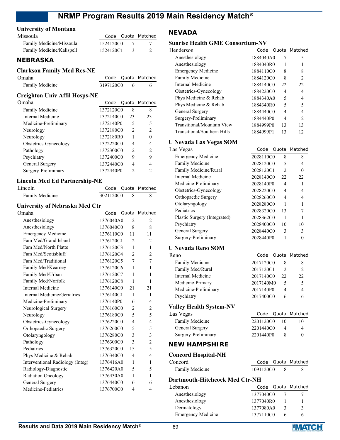#### **University of Montana**

| Missoula                  |           |               | Code Quota Matched |
|---------------------------|-----------|---------------|--------------------|
| Family Medicine/Missoula  | 1524120C0 |               |                    |
| Family Medicine/Kalispell | 1524120C1 | $\mathcal{R}$ |                    |

#### **NEBRASKA**

#### **Clarkson Family Med Res-NE**

| <b>Omaha</b>    |           | Code Quota Matched |
|-----------------|-----------|--------------------|
| Family Medicine | 3197120C0 |                    |

#### **Creighton Univ Affil Hosps-NE**

| Omaha                 | Code      |                | Quota Matched  |
|-----------------------|-----------|----------------|----------------|
| Family Medicine       | 1372120C0 | 8              | 8              |
| Internal Medicine     | 1372140C0 | 23             | 23             |
| Medicine-Preliminary  | 1372140P0 | 5              | 5              |
| Neurology             | 1372180C0 | 2              | $\mathfrak{D}$ |
| Neurology             | 1372180R0 |                | 0              |
| Obstetrics-Gynecology | 1372220C0 | 4              | 4              |
| Pathology             | 1372300C0 | $\mathfrak{D}$ | $\mathfrak{D}$ |
| Psychiatry            | 1372400C0 | 9              | 9              |
| General Surgery       | 1372440C0 | 4              | 4              |
| Surgery-Preliminary   | 1372440P0 | 2              | 2              |

#### **Lincoln Med Ed Partnership-NE**

| Lincoln         |           | Code Quota Matched |
|-----------------|-----------|--------------------|
| Family Medicine | 3021120C0 |                    |

#### **University of Nebraska Med Ctr**

| Omaha                            | Code      | Quota          | Matched        |
|----------------------------------|-----------|----------------|----------------|
| Anesthesiology                   | 1376040A0 | 2              | $\overline{2}$ |
| Anesthesiology                   | 1376040C0 | 8              | 8              |
| <b>Emergency Medicine</b>        | 1376110C0 | 11             | 11             |
| Fam Med/Grand Island             | 1376120C1 | 2              | 2              |
| Fam Med/North Platte             | 1376120C3 | 1              | 1              |
| Fam Med/Scottsbluff              | 1376120C4 | $\overline{c}$ | $\overline{2}$ |
| Fam Med/Traditional              | 1376120C5 | 7              | 7              |
| Family Med/Kearney               | 1376120C6 | 1              | 1              |
| Family Med/Urban                 | 1376120C7 | 1              | 1              |
| Family Med/Norfolk               | 1376120C8 | 1              | 1              |
| Internal Medicine                | 1376140C0 | 21             | 21             |
| Internal Medicine/Geriatrics     | 1376140C1 | 1              | 1              |
| Medicine-Preliminary             | 1376140P0 | 6              | 4              |
| Neurological Surgery             | 1376160C0 | 2              | $\overline{2}$ |
| Neurology                        | 1376180C0 | 5              | 5              |
| Obstetrics-Gynecology            | 1376220C0 | 4              | 4              |
| Orthopaedic Surgery              | 1376260C0 | 5              | 5              |
| Otolaryngology                   | 1376280C0 | 3              | 3              |
| Pathology                        | 1376300C0 | 3              | $\overline{2}$ |
| Pediatrics                       | 1376320C0 | 15             | 15             |
| Phys Medicine & Rehab            | 1376340C0 | 4              | 4              |
| Interventional Radiology (Integ) | 1376416A0 | 1              | 1              |
| Radiology-Diagnostic             | 1376420A0 | 5              | 5              |
| <b>Radiation Oncology</b>        | 1376430A0 | 1              | 1              |
| General Surgery                  | 1376440C0 | 6              | 6              |
| Medicine-Pediatrics              | 1376700C0 | 4              | 4              |
|                                  |           |                |                |

#### **NEVADA**

#### **Sunrise Health GME Consortium-NV**

| Henderson                   | Code      |    | Quota Matched |
|-----------------------------|-----------|----|---------------|
| Anesthesiology              | 1884040A0 | 7  | 5             |
| Anesthesiology              | 1884040R0 |    |               |
| <b>Emergency Medicine</b>   | 1884110C0 | 8  | 8             |
| Family Medicine             | 1884120C0 | 8  | 2             |
| Internal Medicine           | 1884140C0 | 22 | 22            |
| Obstetrics-Gynecology       | 1884220C0 | 4  | 4             |
| Phys Medicine & Rehab       | 1884340A0 | 5  | 4             |
| Phys Medicine & Rehab       | 1884340R0 | 5  | 5             |
| General Surgery             | 1884440C0 | 4  | 4             |
| Surgery-Preliminary         | 1884440P0 | 4  | 2             |
| Transitional/Mountain View  | 1884999P0 | 13 | 13            |
| Transitional/Southern Hills | 1884999P1 | 13 | 12            |
| U Nevada Las Vegas SOM      |           |    |               |

| Las Vegas                    |           |                          | Code Quota Matched |
|------------------------------|-----------|--------------------------|--------------------|
| <b>Emergency Medicine</b>    | 2028110C0 | 8                        | 8                  |
| Family Medicine              | 2028120C0 | $\overline{\mathcal{L}}$ | 4                  |
| Family Medicine/Rural        | 2028120C1 | $\mathcal{P}$            |                    |
| Internal Medicine            | 2028140C0 | 22                       | 22                 |
| Medicine-Preliminary         | 2028140P0 | 4                        |                    |
| Obstetrics-Gynecology        | 2028220C0 | 4                        |                    |
| Orthopaedic Surgery          | 2028260C0 | 4                        |                    |
| Otolaryngology               | 2028280C0 | 1                        |                    |
| Pediatrics                   | 2028320C0 | 13                       |                    |
| Plastic Surgery (Integrated) | 2028362C0 |                          |                    |
| Psychiatry                   | 2028400C0 | 10                       | 10                 |
| General Surgery              | 2028440C0 | 3                        | 3                  |
| Surgery-Preliminary          | 2028440P0 |                          |                    |
|                              |           |                          |                    |

#### **U Nevada Reno SOM**

| Reno                       |           |                | Code Quota Matched |
|----------------------------|-----------|----------------|--------------------|
| <b>Family Medicine</b>     | 2017120C0 | 8              | 8                  |
| Family Med/Rural           | 2017120C1 | $\mathfrak{D}$ | 2                  |
| Internal Medicine          | 2017140C0 | 22             | 22                 |
| Medicine-Primary           | 2017140M0 | 5              | 5                  |
| Medicine-Preliminary       | 2017140P0 | 4              | 4                  |
| Psychiatry                 | 2017400C0 | 6              | 6                  |
| Valley Health System-NV    |           |                |                    |
| Las Vegas                  | Code      |                | Quota Matched      |
| Family Medicine            | 2201120C0 | 10             | 10                 |
| General Surgery            | 2201440C0 | 4              | 4                  |
| Surgery-Preliminary        | 2201440P0 | 8              | $\Omega$           |
| <b>NEW HAMPSHIRE</b>       |           |                |                    |
| <b>Concord Hospital-NH</b> |           |                |                    |
| Concord                    | Code      | Quota          | Matched            |
| <b>Family Medicine</b>     | 1091120C0 | 8              | 8                  |

## **Dartmouth-Hitchcock Med Ctr-NH**

| DWI WILOWWII TIIVOILOODI BITOW ON THI |           |   |                    |
|---------------------------------------|-----------|---|--------------------|
| Lebanon                               |           |   | Code Quota Matched |
| Anesthesiology                        | 1377040C0 |   |                    |
| Anesthesiology                        | 1377040R0 |   |                    |
| Dermatology                           | 1377080A0 | κ |                    |
| <b>Emergency Medicine</b>             | 1377110C0 |   |                    |
|                                       |           |   |                    |

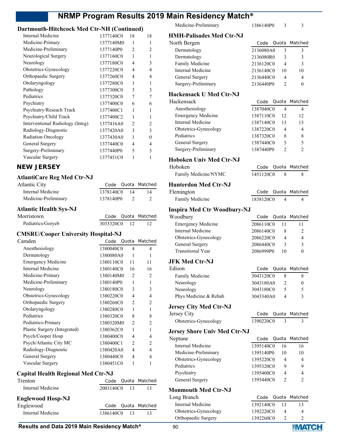#### **Dartmouth-Hitchcock Med Ctr-NH (Continued)**

| Internal Medicine                | 1377140C0 | 18             | 18 |
|----------------------------------|-----------|----------------|----|
| Medicine-Primary                 | 1377140M0 | 1              | 1  |
| Medicine-Preliminary             | 1377140P0 | 2              | 2  |
| Neurological Surgery             | 1377160C0 | 1              | 1  |
| Neurology                        | 1377180C0 | 4              | 3  |
| Obstetrics-Gynecology            | 1377220C0 | 4              | 4  |
| Orthopaedic Surgery              | 1377260C0 | 4              | 4  |
| Otolaryngology                   | 1377280C0 | 1              | 1  |
| Pathology                        | 1377300C0 | 3              | 3  |
| Pediatrics                       | 1377320C0 | 7              | 7  |
| Psychiatry                       | 1377400C0 | 6              | 6  |
| Psychiatry/Reseach Track         | 1377400C1 | 1              | 1  |
| Psychiatry/Child Track           | 1377400C2 | 1              | 1  |
| Interventional Radiology (Integ) | 1377416A0 | $\overline{c}$ | 2  |
| Radiology-Diagnostic             | 1377420A0 | 3              | 3  |
| Radiation Oncology               | 1377430A0 | 1              | 0  |
| General Surgery                  | 1377440C0 | 4              | 4  |
| Surgery-Preliminary              | 1377440P0 | 5              | 3  |
| Vascular Surgery                 | 1377451C0 | 1              |    |
|                                  |           |                |    |

#### **NEW JERSEY**

#### **AtlantiCare Reg Med Ctr-NJ**

| <b>Atlantic City</b>   |              | Code Quota Matched |
|------------------------|--------------|--------------------|
| Internal Medicine      | 1378140C0 14 | 14                 |
| Medicine-Preliminary   | 1378140P0    | $\mathcal{L}$      |
| Atlantic Hoalth Sys_NI |              |                    |

#### **Atlantic Health Sys-NJ**

| Morristown        |              | Code Quota Matched |
|-------------------|--------------|--------------------|
| Pediatrics/Goryeb | 3033320C0 12 |                    |

#### **CMSRU/Cooper University Hospital-NJ**

| Camden                       | Code      | Quota          | Matched        |
|------------------------------|-----------|----------------|----------------|
| Anesthesiology               | 1380040C0 | 4              | 4              |
| Dermatology                  | 1380080A0 | 1              |                |
| Emergency Medicine           | 1380110C0 | 11             | 11             |
| Internal Medicine            | 1380140C0 | 16             | 16             |
| Medicine-Primary             | 1380140M0 | 2              | $\mathfrak{D}$ |
| Medicine-Preliminary         | 1380140P0 | 1              |                |
| Neurology                    | 1380180C0 | 3              | 3              |
| Obstetrics-Gynecology        | 1380220C0 | 4              | 4              |
| Orthopaedic Surgery          | 1380260C0 | $\mathfrak{D}$ | $\mathfrak{D}$ |
| Otolaryngology               | 1380280C0 | 1              | 1              |
| Pediatrics                   | 1380320C0 | 8              | 8              |
| Pediatrics-Primary           | 1380320M0 | 2              | $\mathfrak{D}$ |
| Plastic Surgery (Integrated) | 1380362C0 | 1              | 1              |
| Psych/Cooper Hosp            | 1380400C0 | 4              | 4              |
| Psych/Atlantic City MC       | 1380400C1 | $\overline{c}$ | 2              |
| Radiology-Diagnostic         | 1380420A0 | 4              | 4              |
| General Surgery              | 1380440C0 | 4              | 4              |
| Vascular Surgery             | 1380451C0 | 1              |                |

#### **Capital Health Regional Med Ctr-NJ**

| <b>Trenton</b>           |              |  | Code Ouota Matched |
|--------------------------|--------------|--|--------------------|
| Internal Medicine        | 2003140C0 13 |  | 13                 |
| <b>Englewood Hosp-NJ</b> |              |  |                    |
| Englewood                |              |  | Code Quota Matched |
| Internal Medicine        | 1386140C0 13 |  | 13                 |

Medicine-Preliminary 1386140P0 3 3

#### **HMH-Palisades Med Ctr-NJ**

| North Bergen            |           |               | Code Quota Matched |
|-------------------------|-----------|---------------|--------------------|
| Dermatology             | 2136080A0 | 3             | 3                  |
| Dermatology             | 2136080R0 | 3             | 3                  |
| Family Medicine         | 2136120C0 | 4             | 3                  |
| Internal Medicine       | 2136140C0 | 10            | 10                 |
| General Surgery         | 2136440C0 | 4             | 4                  |
| Surgery-Preliminary     | 2136440P0 | $\mathcal{D}$ | 0                  |
| Hackensack U Med Ctr-NJ |           |               |                    |
| $TT \t1 \t1$            |           |               | .                  |

| Hackensack                |           |    | Code Quota Matched |
|---------------------------|-----------|----|--------------------|
| Anesthesiology            | 1387040C0 | 4  |                    |
| <b>Emergency Medicine</b> | 1387110C0 | 12 | 12                 |
| Internal Medicine         | 1387140C0 | 13 | 13                 |
| Obstetrics-Gynecology     | 1387220C0 | 4  |                    |
| Pediatrics                | 1387320C0 | 8  |                    |
| General Surgery           | 1387440C0 | 5  |                    |
| Surgery-Preliminary       | 1387440P0 | 2  |                    |
|                           |           |    |                    |

#### **Hoboken Univ Med Ctr-NJ**

| Hoboken              |           | Code Ouota Matched |
|----------------------|-----------|--------------------|
| Family Medicine/NYMC | 1451120C0 |                    |

#### **Hunterdon Med Ctr-NJ**

#### Flemington Code Quota Matched Family Medicine 1838120C0 4 4

#### **Inspira Med Ctr Woodbury-NJ**

| Woodbury                      | Code      | Quota          | Matched        |
|-------------------------------|-----------|----------------|----------------|
| <b>Emergency Medicine</b>     | 2086110C0 | 11             | 11             |
| <b>Internal Medicine</b>      | 2086140C0 | 8              | $\overline{c}$ |
| Obstetrics-Gynecology         | 2086220C0 | $\overline{4}$ | $\overline{4}$ |
| General Surgery               | 2086440C0 | 3              | 3              |
| <b>Transitional Year</b>      | 2086999P0 | 10             | $\theta$       |
| <b>JFK Med Ctr-NJ</b>         |           |                |                |
| Edison                        | Code      | Quota          | Matched        |
| Family Medicine               | 3043120C0 | 8              | 8              |
| Neurology                     | 3043180A0 | $\overline{2}$ | $\theta$       |
| Neurology                     | 3043180C0 | 5              | 5              |
| Phys Medicine & Rehab         | 3043340A0 | $\overline{4}$ | 3              |
| <b>Jersey City Med Ctr-NJ</b> |           |                |                |
| Jersey City                   | Code      | Quota          | Matched        |
| Obstetrics-Gynecology         | 1390220C0 | $\mathcal{E}$  | 3              |
| Jersey Shore Univ Med Ctr-NJ  |           |                |                |
| Neptune                       | Code      | Quota          | Matched        |
| <b>Internal Medicine</b>      | 1395140C0 | 16             | 16             |
| Medicine-Preliminary          | 1395140P0 | 10             | 10             |
| Obstetrics-Gynecology         | 1395220C0 | 4              | 4              |
| Pediatrics                    | 1395320C0 | 9              | 9              |
| Psychiatry                    | 1395400C0 | $\overline{4}$ | 4              |
| General Surgery               | 1395440C0 | $\overline{2}$ | $\overline{2}$ |
| Monmouth Med Ctr-NJ           |           |                |                |
| Long Branch                   | Code      | Quota          | Matched        |
| Internal Medicine             | 1392140C0 | 13             | 13             |
| Obstetrics-Gynecology         | 1392220C0 | $\overline{4}$ | $\overline{4}$ |

Orthopaedic Surgery 1392260C0 2

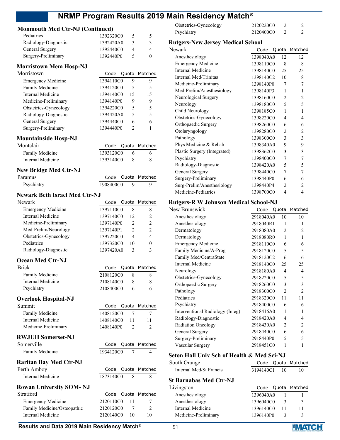#### **Monmouth Med Ctr-NJ (Continued)**

| 1392320C0 | C. |
|-----------|----|
| 1392420A0 | 3  |
| 1392440C0 | 4  |
| 1392440P0 |    |
|           |    |

#### **Morristown Mem Hosp-NJ**

| Morristown                | Code      |    | Ouota Matched |
|---------------------------|-----------|----|---------------|
| <b>Emergency Medicine</b> | 1394110C0 | 9  |               |
| Family Medicine           | 1394120C0 | 5  | 5             |
| Internal Medicine         | 1394140C0 | 15 | 15            |
| Medicine-Preliminary      | 1394140P0 | 9  | 9             |
| Obstetrics-Gynecology     | 1394220C0 | 5  |               |
| Radiology-Diagnostic      | 1394420A0 | 5  |               |
| General Surgery           | 1394440C0 | 6  |               |
| Surgery-Preliminary       | 1394440P0 | C  |               |

#### **Mountainside Hosp-NJ**

| Montclair         |           | Code Quota Matched |
|-------------------|-----------|--------------------|
| Family Medicine   | 1393120C0 | 6                  |
| Internal Medicine | 1393140C0 | X                  |

#### **New Bridge Med Ctr-NJ**

| Paramus    |           | Code Quota Matched |
|------------|-----------|--------------------|
| Psychiatry | 1908400C0 |                    |

#### **Newark Beth Israel Med Ctr-NJ**

| Newark                          | Code      | Quota          | Matched        |
|---------------------------------|-----------|----------------|----------------|
| <b>Emergency Medicine</b>       | 1397110C0 | 8              | 8              |
| <b>Internal Medicine</b>        | 1397140C0 | 12             | 12             |
| Medicine-Preliminary            | 1397140P0 | $\overline{c}$ | $\overline{2}$ |
| Med-Prelim/Neurology            | 1397140P1 | $\overline{2}$ | $\overline{2}$ |
| Obstetrics-Gynecology           | 1397220C0 | $\overline{4}$ | $\overline{4}$ |
| Pediatrics                      | 1397320C0 | 10             | 10             |
| Radiology-Diagnostic            | 1397420A0 | 3              | 3              |
| <b>Ocean Med Ctr-NJ</b>         |           |                |                |
| <b>Brick</b>                    | Code      | Quota          | Matched        |
| Family Medicine                 | 2108120C0 | 8              | 8              |
| Internal Medicine               | 2108140C0 | 8              | 8              |
| Psychiatry                      | 2108400C0 | 6              | 6              |
| <b>Overlook Hospital-NJ</b>     |           |                |                |
| Summit                          | Code      | Quota          | Matched        |
| Family Medicine                 | 1408120C0 | 7              | 7              |
| Internal Medicine               | 1408140C0 | 11             | 11             |
| Medicine-Preliminary            | 1408140P0 | $\overline{2}$ | $\overline{2}$ |
| <b>RWJUH Somerset-NJ</b>        |           |                |                |
| Somerville                      | Code      | Ouota          | Matched        |
| Family Medicine                 | 1934120C0 | 7              | 4              |
| Raritan Bay Med Ctr-NJ          |           |                |                |
| Perth Amboy                     | Code      | Ouota          | Matched        |
| <b>Internal Medicine</b>        | 1873140C0 | 8              | 8              |
| <b>Rowan University SOM- NJ</b> |           |                |                |
| Stratford                       | Code      | Quota          | Matched        |
| <b>Emergency Medicine</b>       | 2120110C0 | 11             | 7              |
| Family Medicine/Osteopathic     | 2120120C0 | 7              | $\overline{2}$ |
| <b>Internal Medicine</b>        | 2120140C0 | 10             | 10             |

| Obstetrics-Gynecology | 2120220C0 |  |
|-----------------------|-----------|--|
| Psychiatry            | 2120400C0 |  |

#### **Rutgers-New Jersey Medical School**

| Newark                       |           |                | Code Quota Matched |
|------------------------------|-----------|----------------|--------------------|
| Anesthesiology               | 1398040A0 | 12             | 12                 |
| <b>Emergency Medicine</b>    | 1398110C0 | 8              | 8                  |
| Internal Medicine            | 1398140C0 | 25             | 25                 |
| Internal Med/Trinitas        | 1398140C2 | 10             | 8                  |
| Medicine-Preliminary         | 1398140P0 | 7              | 7                  |
| Med-Prelim/Anesthesiology    | 1398140P3 | 1              | 1                  |
| Neurological Surgery         | 1398160C0 | $\overline{2}$ | 2                  |
| Neurology                    | 1398180C0 | 5              | 5                  |
| Child Neurology              | 1398185C0 | 1              | 1                  |
| Obstetrics-Gynecology        | 1398220C0 | 4              | 4                  |
| Orthopaedic Surgery          | 1398260C0 | 6              | 6                  |
| Otolaryngology               | 1398280C0 | $\overline{2}$ | 2                  |
| Pathology                    | 1398300C0 | 3              | 3                  |
| Phys Medicine & Rehab        | 1398340A0 | 9              | 9                  |
| Plastic Surgery (Integrated) | 1398362C0 | 3              | 3                  |
| Psychiatry                   | 1398400C0 | 7              | 7                  |
| Radiology-Diagnostic         | 1398420A0 | 5              | 5                  |
| General Surgery              | 1398440C0 | 7              | 7                  |
| Surgery-Preliminary          | 1398440P0 | 6              | 6                  |
| Surg-Prelim/Anesthesiology   | 1398440P4 | $\overline{c}$ | 2                  |
| Medicine-Pediatrics          | 1398700C0 | 4              | 4                  |

#### **Rutgers-R W Johnson Medical School-NJ**

| New Brunswick                    | Code      |                | Quota Matched  |
|----------------------------------|-----------|----------------|----------------|
| Anesthesiology                   | 2918040A0 | 10             | 10             |
| Anesthesiology                   | 2918040R1 | 1              | 1              |
| Dermatology                      | 2918080A0 | $\overline{2}$ | 2              |
| Dermatology                      | 2918080R0 | 1              | 1              |
| <b>Emergency Medicine</b>        | 2918110C0 | 6              | 6              |
| Family Medicine/A-Prog           | 2918120C0 | 5              | 5              |
| Family Med/CentraState           | 2918120C2 | 6              | 6              |
| Internal Medicine                | 2918140C0 | 25             | 25             |
| Neurology                        | 2918180A0 | 4              | 4              |
| Obstetrics-Gynecology            | 2918220C0 | 5              | 5              |
| Orthopaedic Surgery              | 2918260C0 | 3              | 3              |
| Pathology                        | 2918300C0 | $\mathfrak{D}$ | $\overline{2}$ |
| Pediatrics                       | 2918320C0 | 11             | 11             |
| Psychiatry                       | 2918400C0 | 6              | 6              |
| Interventional Radiology (Integ) | 2918416A0 | 1              | 1              |
| Radiology-Diagnostic             | 2918420A0 | 4              | 4              |
| <b>Radiation Oncology</b>        | 2918430A0 | 2              | 2              |
| General Surgery                  | 2918440C0 | 6              | 6              |
| Surgery-Preliminary              | 2918440P0 | 5              | 5              |
| Vascular Surgery                 | 2918451C0 | 1              | 1              |

#### **Seton Hall Univ Sch of Health & Med Sci-NJ**

| South Orange            |              | Code Ouota Matched |
|-------------------------|--------------|--------------------|
| Internal Med/St Francis | 3194140C1 10 |                    |

#### **St Barnabas Med Ctr-NJ**

| Livingston           |           |     | Code Quota Matched |
|----------------------|-----------|-----|--------------------|
| Anesthesiology       | 1396040A0 |     |                    |
| Anesthesiology       | 1396040C0 | 3   | 3                  |
| Internal Medicine    | 1396140C0 | -11 | 11                 |
| Medicine-Preliminary | 1396140P0 | 3   | 3                  |

#### **Results and Data 2019 Main Residency Match®** 91

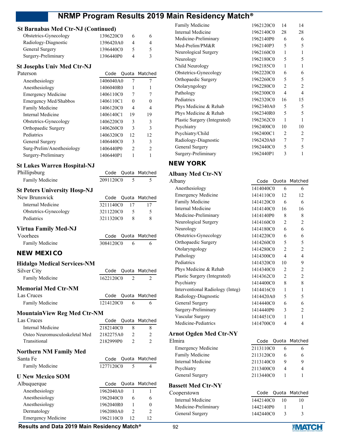#### **St Barnabas Med Ctr-NJ (Continued)**

| Obstetrics-Gynecology | 1396220C0 | h | <sub>t</sub> |
|-----------------------|-----------|---|--------------|
| Radiology-Diagnostic  | 1396420A0 |   | 4            |
| General Surgery       | 1396440C0 |   | ↖            |
| Surgery-Preliminary   | 1396440P0 |   | 3            |
|                       |           |   |              |

#### **St Josephs Univ Med Ctr-NJ**

| Paterson                     | Code      |                | Ouota Matched  |
|------------------------------|-----------|----------------|----------------|
| Anesthesiology               | 1406040A0 | 7              |                |
| Anesthesiology               | 1406040R0 |                |                |
| <b>Emergency Medicine</b>    | 1406110C0 | 7              | 7              |
| <b>Emergency Med/Shabbos</b> | 1406110C1 | 0              | 0              |
| Family Medicine              | 1406120C0 | 4              | 4              |
| Internal Medicine            | 1406140C1 | 19             | 19             |
| Obstetrics-Gynecology        | 1406220C0 | 3              | 3              |
| Orthopaedic Surgery          | 1406260C0 | 3              | 3              |
| Pediatrics                   | 1406320C0 | 12             | 12             |
| General Surgery              | 1406440C0 | 3              | 3              |
| Surg-Prelim/Anesthesiology   | 1406440P0 | $\mathfrak{D}$ | $\mathfrak{D}$ |
| Surgery-Preliminary          | 1406440P1 |                |                |

#### **St Lukes Warren Hospital-NJ**

| Phillipsburg                        | Code      |                          | Quota Matched  |
|-------------------------------------|-----------|--------------------------|----------------|
| Family Medicine                     | 2091120C0 | 5                        | 5              |
| <b>St Peters University Hosp-NJ</b> |           |                          |                |
| New Brunswick                       | Code      | Quota                    | Matched        |
| <b>Internal Medicine</b>            | 3211140C0 | 17                       | 17             |
| Obstetrics-Gynecology               | 3211220C0 | 5                        | 5              |
| Pediatrics                          | 3211320C0 | 8                        | 8              |
| <b>Virtua Family Med-NJ</b>         |           |                          |                |
| Voorhees                            | Code      | Quota                    | Matched        |
| Family Medicine                     | 3084120C0 | 6                        | 6              |
| <b>NEW MEXICO</b>                   |           |                          |                |
| <b>Hidalgo Medical Services-NM</b>  |           |                          |                |
| Silver City                         | Code      | Quota                    | Matched        |
| Family Medicine                     | 1622120C0 | $\mathfrak{D}$           | 2              |
| <b>Memorial Med Ctr-NM</b>          |           |                          |                |
| Las Cruces                          | Code      | Quota                    | Matched        |
| Family Medicine                     | 1214120C0 | 6                        | 6              |
| <b>MountainView Reg Med Ctr-NM</b>  |           |                          |                |
| Las Cruces                          | Code      | Quota                    | Matched        |
| Internal Medicine                   | 2182140C0 | 8                        | 8              |
| Osteo Neuromusculoskeletal Med      | 2182275A0 | 2                        | 2              |
| Transitional                        | 2182999P0 | $\mathfrak{D}$           | $\mathfrak{D}$ |
| <b>Northern NM Family Med</b>       |           |                          |                |
| Santa Fe                            | Code      |                          | Quota Matched  |
| Family Medicine                     | 1277120C0 | $\overline{\phantom{0}}$ | 4              |
| <b>U New Mexico SOM</b>             |           |                          |                |
| Albuquerque                         | Code      | Quota                    | Matched        |
| Anesthesiology                      | 1962040A0 | 1                        | 1              |
| Anesthesiology                      | 1962040C0 | 6                        | 6              |
| Anesthesiology                      | 1962040R0 | 1                        | $\mathbf{0}$   |
| Dermatology                         | 1962080A0 | $\overline{2}$           | 2              |
| <b>Emergency Medicine</b>           | 1962110C0 | 12                       | 12             |

| <b>Family Medicine</b>       | 1962120C0 | 14             | 14             |
|------------------------------|-----------|----------------|----------------|
| Internal Medicine            | 1962140C0 | 28             | 28             |
| Medicine-Preliminary         | 1962140P0 | 6              | 6              |
| Med-Prelim/PM&R              | 1962140P3 | 5              | 5              |
| Neurological Surgery         | 1962160C0 | 1              | 1              |
| Neurology                    | 1962180C0 | 5              | 5              |
| Child Neurology              | 1962185C0 | 1              | 1              |
| Obstetrics-Gynecology        | 1962220C0 | 6              | 6              |
| Orthopaedic Surgery          | 1962260C0 | 5              | 5              |
| Otolaryngology               | 1962280C0 | $\overline{2}$ | 2              |
| Pathology                    | 1962300C0 | 4              | $\overline{4}$ |
| Pediatrics                   | 1962320C0 | 16             | 15             |
| Phys Medicine & Rehab        | 1962340A0 | 5              | 5              |
| Phys Medicine & Rehab        | 1962340R0 | 5              | 5              |
| Plastic Surgery (Integrated) | 1962362C0 | 1              | 1              |
| Psychiatry                   | 1962400C0 | 10             | 10             |
| Psychiatry/Child             | 1962400C1 | 2              | 2              |
| Radiology-Diagnostic         | 1962420A0 | 7              | 7              |
| General Surgery              | 1962440C0 | 5              | 5              |
| Surgery-Preliminary          | 1962440P1 | 3              | 1              |

#### **NEW YORK**

#### **Albany Med Ctr-NY**

| Albany                           | Code      | Quota          | Matched        |
|----------------------------------|-----------|----------------|----------------|
| Anesthesiology                   | 1414040C0 | 6              | 6              |
| <b>Emergency Medicine</b>        | 1414110C0 | 12             | 12             |
| Family Medicine                  | 1414120C0 | 6              | 6              |
| Internal Medicine                | 1414140C0 | 16             | 16             |
| Medicine-Preliminary             | 1414140P0 | 8              | 8              |
| Neurological Surgery             | 1414160C0 | $\overline{c}$ | 2              |
| Neurology                        | 1414180C0 | 6              | 6              |
| Obstetrics-Gynecology            | 1414220C0 | 6              | 6              |
| Orthopaedic Surgery              | 1414260C0 | 5              | 5              |
| Otolaryngology                   | 1414280C0 | $\overline{2}$ | $\mathfrak{D}$ |
| Pathology                        | 1414300C0 | 4              | 4              |
| Pediatrics                       | 1414320C0 | 10             | 9              |
| Phys Medicine & Rehab            | 1414340C0 | $\overline{c}$ | 2              |
| Plastic Surgery (Integrated)     | 1414362C0 | $\mathfrak{D}$ | $\overline{2}$ |
| Psychiatry                       | 1414400C0 | 8              | 8              |
| Interventional Radiology (Integ) | 1414416C0 | 1              | 1              |
| Radiology-Diagnostic             | 1414420A0 | 5              | 5              |
| General Surgery                  | 1414440C0 | 6              | 6              |
| Surgery-Preliminary              | 1414440P0 | 3              | 2              |
| Vascular Surgery                 | 1414451C0 | 1              | 1              |
| Medicine-Pediatrics              | 1414700C0 | 4              | 4              |
|                                  |           |                |                |

#### **Arnot Ogden Med Ctr-NY**

| <b>Elmira</b>             |           |   | Code Quota Matched |
|---------------------------|-----------|---|--------------------|
| <b>Emergency Medicine</b> | 2113110C0 |   |                    |
| Family Medicine           | 2113120C0 | h |                    |
| Internal Medicine         | 2113140C0 |   |                    |
| Psychiatry                | 2113400C0 |   |                    |
| General Surgery           | 2113440C0 |   |                    |
|                           |           |   |                    |

#### **Bassett Med Ctr-NY**

| Cooperstown          |           |    | Code Quota Matched |
|----------------------|-----------|----|--------------------|
| Internal Medicine    | 1442140C0 | 10 | 10                 |
| Medicine-Preliminary | 1442140P0 |    |                    |
| General Surgery      | 1442440C0 |    | 3                  |
|                      |           |    |                    |

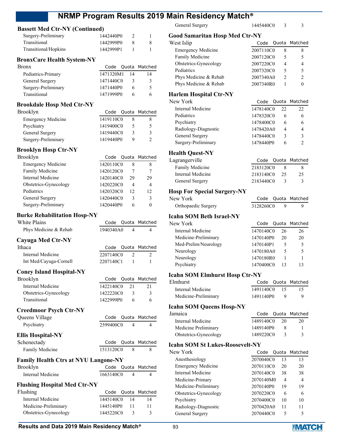#### **Bassett Med Ctr-NY (Continued)**

| Surgery-Preliminary  | 1442440P0 |  |
|----------------------|-----------|--|
| Transitional         | 1442999P0 |  |
| Transitional/Hopkins | 1442999P1 |  |

#### **BronxCare Health System-NY**

| Bronx               |              | Code Quota Matched |
|---------------------|--------------|--------------------|
| Pediatrics-Primary  | 1471320M1 14 | 14                 |
| General Surgery     | 1471440C0    | 3                  |
| Surgery-Preliminary | 1471440P0    | 5.                 |
| Transitional        | 1471999P0    |                    |

#### **Brookdale Hosp Med Ctr-NY**

| Brooklyn                  |           |   | Code Quota Matched |
|---------------------------|-----------|---|--------------------|
| <b>Emergency Medicine</b> | 1419110C0 |   | x                  |
| Psychiatry                | 1419400C0 |   | 5                  |
| General Surgery           | 1419440C0 | 3 | 3                  |
| Surgery-Preliminary       | 1419440P0 | Q |                    |
|                           |           |   |                    |

#### **Brooklyn Hosp Ctr-NY**

| Brooklyn                  |           |    | Code Quota Matched |
|---------------------------|-----------|----|--------------------|
| <b>Emergency Medicine</b> | 1420110C0 | 8  | 8                  |
| Family Medicine           | 1420120C0 |    |                    |
| Internal Medicine         | 1420140C0 | 29 | 29                 |
| Obstetrics-Gynecology     | 1420220C0 | 4  | 4                  |
| Pediatrics                | 1420320C0 | 12 | 12                 |
| General Surgery           | 1420440C0 | 3  | 3                  |
| Surgery-Preliminary       | 1420440P0 | 6  |                    |

#### **Burke Rehabilitation Hosp-NY**

| White Plains                                |           |       | Code Quota Matched                         |
|---------------------------------------------|-----------|-------|--------------------------------------------|
| Phys Medicine & Rehab                       | 1940340A0 |       | 4<br>4                                     |
| Cayuga Med Ctr-NY                           |           |       |                                            |
| Ithaca                                      | Code      |       | Quota Matched                              |
| Internal Medicine                           | 2207140C0 |       | $\overline{c}$<br>2                        |
| Int Med/Cayuga-Cornell                      | 2207140C1 |       | 1<br>1                                     |
| <b>Coney Island Hospital-NY</b>             |           |       |                                            |
| Brooklyn                                    | Code      |       | Quota Matched                              |
| Internal Medicine                           | 1422140C0 | 2.1   | 21                                         |
| Obstetrics-Gynecology                       | 1422220C0 |       | $\mathfrak{Z}$<br>3                        |
| Transitional                                | 1422999P0 |       | 6<br>6                                     |
| <b>Creedmoor Psych Ctr-NY</b>               |           |       |                                            |
| Queens Village                              | Code      |       | Quota Matched                              |
| Psychiatry                                  | 2599400C0 |       | 4<br>4                                     |
| <b>Ellis Hospital-NY</b>                    |           |       |                                            |
| Schenectady                                 | Code      |       | Quota Matched                              |
| Family Medicine                             | 1513120C0 |       | 8<br>8                                     |
| <b>Family Health Ctrs at NYU Langone-NY</b> |           |       |                                            |
| Brooklyn                                    | Code      | Quota | Matched                                    |
| Internal Medicine                           | 1663140C0 |       | $\overline{\mathcal{A}}$<br>$\overline{4}$ |
| <b>Flushing Hospital Med Ctr-NY</b>         |           |       |                                            |
| Flushing                                    | Code      | Quota | Matched                                    |
| Internal Medicine                           | 1445140C0 | 14    | 14                                         |
| Medicine-Preliminary                        | 1445140P0 | 11    | 11                                         |

General Surgery 1445440C0 3 3

#### **Good Samaritan Hosp Med Ctr-NY**

| West Islip                |           |               | Code Quota Matched |
|---------------------------|-----------|---------------|--------------------|
| <b>Emergency Medicine</b> | 2007110C0 | 8             | 8                  |
| Family Medicine           | 2007120C0 | 5             |                    |
| Obstetrics-Gynecology     | 2007220C0 | 4             | 4                  |
| Pediatrics                | 2007320C0 | 5             | 5                  |
| Phys Medicine & Rehab     | 2007340A0 | $\mathcal{D}$ |                    |
| Phys Medicine & Rehab     | 2007340R0 |               |                    |
|                           |           |               |                    |

#### **Harlem Hospital Ctr-NY**

| New York             |           |    | Code Quota Matched |
|----------------------|-----------|----|--------------------|
| Internal Medicine    | 1478140C0 | 22 | 22                 |
| Pediatrics           | 1478320C0 | 6  | 6                  |
| Psychiatry           | 1478400C0 | 6  | 6                  |
| Radiology-Diagnostic | 1478420A0 | 4  | 4                  |
| General Surgery      | 1478440C0 | 3  | 3                  |
| Surgery-Preliminary  | 1478440P0 | 6  | $\mathcal{D}$      |
|                      |           |    |                    |

#### **Health Quest-NY**

New York

Elmhurst

| Lagrangerville    |           |               | Code Quota Matched |
|-------------------|-----------|---------------|--------------------|
| Family Medicine   | 2183120C0 | x             |                    |
| Internal Medicine | 2183140C0 | 25            | 25                 |
| General Surgery   | 2183440C0 | $\mathcal{R}$ |                    |

#### **Hosp For Special Surgery-NY**

| ew York             |           |  | Code Quota Matched |
|---------------------|-----------|--|--------------------|
| Orthopaedic Surgery | 3128260C0 |  |                    |

#### **Icahn SOM Beth Israel-NY**

| New York             | Code      |    | Quota Matched |
|----------------------|-----------|----|---------------|
| Internal Medicine    | 1470140C0 | 26 | 26            |
| Medicine-Preliminary | 1470140P0 | 20 | 20            |
| Med-Prelim/Neurology | 1470140P1 | 5  |               |
| Neurology            | 1470180A0 | 5  |               |
| Neurology            | 1470180R0 |    |               |
| Psychiatry           | 1470400C0 | 13 | 13            |

#### **Icahn SOM Elmhurst Hosp Ctr-NY**

| mhurst               |              | Code Quota Matched |
|----------------------|--------------|--------------------|
| Internal Medicine    | 1491140C0 15 |                    |
| Medicine-Preliminary | 1491140P0    |                    |

#### **Icahn SOM Queens Hosp-NY**

| Jamaica               |           |     | Code Quota Matched |
|-----------------------|-----------|-----|--------------------|
| Internal Medicine     | 1489140C0 | -20 | 20                 |
| Medicine Preliminary  | 1489140P0 |     |                    |
| Obstetrics-Gynecology | 1489220C0 |     |                    |

#### **Icahn SOM St Lukes-Roosevelt-NY**

| New York                  | Code      |    | Quota Matched |
|---------------------------|-----------|----|---------------|
| Anesthesiology            | 2070040C0 | 13 | 13            |
| <b>Emergency Medicine</b> | 2070110C0 | 20 | 20            |
| Internal Medicine         | 2070140C0 | 38 | 38            |
| Medicine-Primary          | 2070140M0 | 4  | 4             |
| Medicine-Preliminary      | 2070140P0 | 19 | 19            |
| Obstetrics-Gynecology     | 2070220C0 | 6  | 6             |
| Psychiatry                | 2070400C0 | 10 | 10            |
| Radiology-Diagnostic      | 2070420A0 | 11 | 11            |
| General Surgery           | 2070440C0 | 5  | 5             |

Obstetrics-Gynecology 1445220C0 3 3

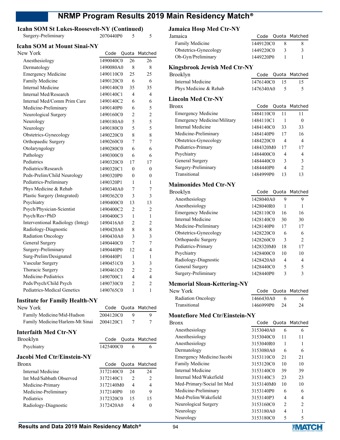#### **Icahn SOM St Lukes-Roosevelt-NY (Continued)**

Surgery-Preliminary 2070440P0 5 5

#### **Icahn SOM at Mount Sinai-NY**

| New York                              | Code      | Quota          | Matched                  |
|---------------------------------------|-----------|----------------|--------------------------|
| Anesthesiology                        | 1490040C0 | 26             | 26                       |
| Dermatology                           | 1490080A0 | 8              | 8                        |
| <b>Emergency Medicine</b>             | 1490110C0 | 25             | 25                       |
| Family Medicine                       | 1490120C0 | 6              | 6                        |
| <b>Internal Medicine</b>              | 1490140C0 | 35             | 35                       |
| Internal Med/Research                 | 1490140C1 | $\overline{4}$ | 4                        |
| Internal Med/Comm Prim Care           | 1490140C2 | 6              | 6                        |
| Medicine-Preliminary                  | 1490140P0 | 6              | 5                        |
| Neurological Surgery                  | 1490160C0 | $\overline{c}$ | $\overline{c}$           |
| Neurology                             | 1490180A0 | 5              | 5                        |
| Neurology                             | 1490180C0 | 5              | 5                        |
| Obstetrics-Gynecology                 | 1490220C0 | 8              | 8                        |
| Orthopaedic Surgery                   | 1490260C0 | 7              | 7                        |
| Otolaryngology                        | 1490280C0 | 6              | 6                        |
| Pathology                             | 1490300C0 | 6              | 6                        |
| Pediatrics                            | 1490320C0 | 17             | 17                       |
| Pediatrics/Research                   | 1490320C1 | 0              | $\boldsymbol{0}$         |
| Peds-Prelim/Child Neurology           | 1490320P0 | $\theta$       | $\theta$                 |
| Pediatrics-Preliminary                | 1490320P1 | 1              | 1                        |
| Phys Medicine & Rehab                 | 1490340A0 | 7              | 7                        |
| Plastic Surgery (Integrated)          | 1490362C0 | 3              | 3                        |
| Psychiatry                            | 1490400C0 | 13             | 13                       |
| Psych/Physician-Scientist             | 1490400C2 | $\overline{c}$ | 2                        |
| Psych/Res+PhD                         | 1490400C3 | 1              | 1                        |
| Interventional Radiology (Integ)      | 1490416A0 | 2              | $\overline{c}$           |
| Radiology-Diagnostic                  | 1490420A0 | 8              | 8                        |
| Radiation Oncology                    | 1490430A0 | 3              | 3                        |
| General Surgery                       | 1490440C0 | 7              | 7                        |
| Surgery-Preliminary                   | 1490440P0 | 12             | 4                        |
| Surg-Prelim/Designated                | 1490440P1 | 1              | 1                        |
| Vascular Surgery                      | 1490451C0 | 3              | 3                        |
| Thoracic Surgery                      | 1490461C0 | $\overline{c}$ | $\overline{c}$           |
| Medicine-Pediatrics                   | 1490700C1 | 4              | $\overline{\mathcal{L}}$ |
| Peds/Psych/Child Psych                | 1490730C0 | 2              | $\overline{2}$           |
| Pediatrics-Medical Genetics           | 1490765C0 | 1              | $\mathbf{1}$             |
| <b>Institute for Family Health-NY</b> |           |                |                          |
|                                       |           |                |                          |

| New York                        | Code      | Ouota |                | Matched        |
|---------------------------------|-----------|-------|----------------|----------------|
| Family Medicine/Mid-Hudson      | 2004120C0 |       | 9              | 9              |
| Family Medicine/Harlem-Mt Sinai | 2004120C1 |       | 7              | 7              |
| <b>Interfaith Med Ctr-NY</b>    |           |       |                |                |
| <b>Brooklyn</b>                 | Code      |       |                | Ouota Matched  |
| Psychiatry                      | 1425400C0 |       | 6              | 6              |
| Jacobi Med Ctr/Einstein-NY      |           |       |                |                |
|                                 |           |       |                |                |
| <b>Bronx</b>                    | Code      | Ouota |                | Matched        |
| Internal Medicine               | 3172140C0 |       | 24             | 24             |
| Int Med/Sabbath Observed        | 3172140C1 |       | $\mathcal{L}$  | $\mathfrak{D}$ |
| Medicine-Primary                | 3172140M0 |       | $\overline{4}$ | 4              |
| Medicine-Preliminary            | 3172140P0 |       | 10             | 9              |
| Pediatrics                      | 3172320C0 |       | 15             | 15             |

#### **Jamaica Hosp Med Ctr-NY**

| 3 |                                                           |
|---|-----------------------------------------------------------|
|   |                                                           |
|   | Code Quota Matched<br>1449120C0<br>1449220C0<br>1449220P0 |

#### **Kingsbrook Jewish Med Ctr-NY**

| Brooklyn              |              |        | Code Quota Matched |
|-----------------------|--------------|--------|--------------------|
| Internal Medicine     | 1476140C0 15 |        | 15.                |
| Phys Medicine & Rehab | 1476340A0    | $\sim$ |                    |
|                       |              |        |                    |

#### **Lincoln Med Ctr-NY**

| Bronx                              |           |    | Code Ouota Matched |
|------------------------------------|-----------|----|--------------------|
| <b>Emergency Medicine</b>          | 1484110C0 | 11 | 11                 |
| <b>Emergency Medicine/Military</b> | 1484110C1 |    | 0                  |
| Internal Medicine                  | 1484140C0 | 33 | 33                 |
| Medicine-Preliminary               | 1484140P0 | 17 | 16                 |
| Obstetrics-Gynecology              | 1484220C0 | 4  | 4                  |
| Pediatrics-Primary                 | 1484320M0 | 17 | 17                 |
| Psychiatry                         | 1484400C0 | 4  | 4                  |
| General Surgery                    | 1484440C0 | 3  | 3                  |
| Surgery-Preliminary                | 1484440P0 | 4  | 2                  |
| Transitional                       | 1484999P0 | 13 | 13                 |
|                                    |           |    |                    |

#### **Maimonides Med Ctr-NY**

| Brooklyn                  | Code      |    | Ouota Matched  |
|---------------------------|-----------|----|----------------|
| Anesthesiology            | 1428040A0 | 9  | 9              |
| Anesthesiology            | 1428040R0 | 1  |                |
| <b>Emergency Medicine</b> | 1428110C0 | 16 | 16             |
| Internal Medicine         | 1428140C0 | 30 | 30             |
| Medicine-Preliminary      | 1428140P0 | 17 | 17             |
| Obstetrics-Gynecology     | 1428220C0 | 6  | 6              |
| Orthopaedic Surgery       | 1428260C0 | 3  | $\overline{c}$ |
| Pediatrics-Primary        | 1428320M0 | 18 | 17             |
| Psychiatry                | 1428400C0 | 10 | 10             |
| Radiology-Diagnostic      | 1428420A0 | 4  | 4              |
| General Surgery           | 1428440C0 | 5  | 5              |
| Surgery-Preliminary       | 1428440P0 | 3  | 3              |

#### **Memorial Sloan-Kettering-NY**

| New York                  |           |      | Code Quota Matched |
|---------------------------|-----------|------|--------------------|
| <b>Radiation Oncology</b> | 1466430A0 | - 6  |                    |
| Transitional              | 1466999P0 | - 24 | 24                 |

#### **Montefiore Med Ctr/Einstein-NY**

| Code | Ouota                         | Matched                                                                                                                                                                            |
|------|-------------------------------|------------------------------------------------------------------------------------------------------------------------------------------------------------------------------------|
|      | 6                             | 6                                                                                                                                                                                  |
|      | 11                            | 11                                                                                                                                                                                 |
|      | 1                             | 1                                                                                                                                                                                  |
|      | 6                             | 6                                                                                                                                                                                  |
|      | 21                            | 21                                                                                                                                                                                 |
|      | 10                            | 10                                                                                                                                                                                 |
|      | 39                            | 39                                                                                                                                                                                 |
|      | 23                            | 23                                                                                                                                                                                 |
|      | 10                            | 10                                                                                                                                                                                 |
|      | 6                             | 6                                                                                                                                                                                  |
|      | 4                             | 4                                                                                                                                                                                  |
|      | $\mathfrak{D}_{\mathfrak{p}}$ | $\mathfrak{D}$                                                                                                                                                                     |
|      | 4                             | 1                                                                                                                                                                                  |
|      | 5                             | 5                                                                                                                                                                                  |
|      |                               | 3153040A0<br>3153040C0<br>3153040R0<br>3153080A0<br>3153110C0<br>3153120C0<br>3153140C0<br>3153140C3<br>3153140M0<br>3153140P0<br>3153140P3<br>3153160C0<br>3153180A0<br>3153180C0 |

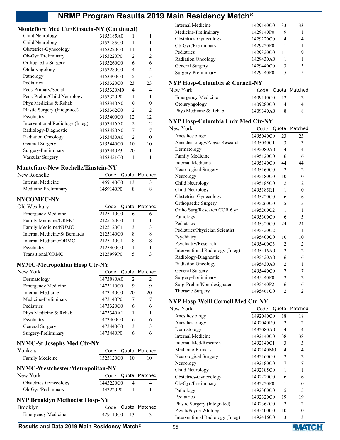#### **Montefiore Med Ctr/Einstein-NY (Continued)**

| Child Neurology                  | 3153185A0 | 1  |                |
|----------------------------------|-----------|----|----------------|
| Child Neurology                  | 3153185C0 | 1  |                |
| Obstetrics-Gynecology            | 3153220C0 | 11 | 11             |
| Ob-Gyn/Preliminary               | 3153220P0 | 2  | 2              |
| Orthopaedic Surgery              | 3153260C0 | 6  | 6              |
| Otolaryngology                   | 3153280C0 | 4  | $\overline{4}$ |
| Pathology                        | 3153300C0 | 5  | 5              |
| Pediatrics                       | 3153320C0 | 23 | 23             |
| Peds-Primary/Social              | 3153320M0 | 4  | 4              |
| Peds-Prelim/Child Neurology      | 3153320P0 | 1  | 1              |
| Phys Medicine & Rehab            | 3153340A0 | 9  | 9              |
| Plastic Surgery (Integrated)     | 3153362C0 | 2  | 2              |
| Psychiatry                       | 3153400C0 | 12 | 12             |
| Interventional Radiology (Integ) | 3153416A0 | 2  | 2              |
| Radiology-Diagnostic             | 3153420A0 | 7  | 7              |
| <b>Radiation Oncology</b>        | 3153430A0 | 2  | $\theta$       |
| General Surgery                  | 3153440C0 | 10 | 10             |
| Surgery-Preliminary              | 3153440P3 | 20 | 1              |
| Vascular Surgery                 | 3153451C0 | 1  |                |

#### **Montefiore-New Rochelle/Einstein-NY**

| New Rochelle                  | Code Ouota Matched |              |    |
|-------------------------------|--------------------|--------------|----|
| Internal Medicine             | 1459140C0          | 13           | 13 |
| Medicine-Preliminary          | 1459140P0          | 8            | 8  |
| <b>NYCOMEC-NY</b>             |                    |              |    |
| Old Westbury                  | Code Ouota Matched |              |    |
| <b>Emergency Medicine</b>     | 2125110C0          | 6            | 6  |
| Family Medicine/ORMC          | 2125120C0          |              |    |
| Family Medicine/NUMC          | 2125120C1          | $\mathbf{3}$ | 3  |
| Internal Medicine/St Bernards | 2125140C0          | 8            | 8  |
| Internal Medicine/ORMC        | 2125140C1          | 8            | 8  |
| Psychiatry                    | 2125400C0          | 1            |    |
| Transitional/ORMC             | 2125999P0          | 5            |    |

#### **NYMC-Metropolitan Hosp Ctr-NY**

| New York                  |           |    | Code Quota Matched |
|---------------------------|-----------|----|--------------------|
| Dermatology               | 1473080A0 | 2  | 2                  |
| <b>Emergency Medicine</b> | 1473110C0 | 9  | 9                  |
| Internal Medicine         | 1473140C0 | 20 | 20                 |
| Medicine-Preliminary      | 1473140P0 | 7  |                    |
| Pediatrics                | 1473320C0 | 6  |                    |
| Phys Medicine & Rehab     | 1473340A1 |    |                    |
| Psychiatry                | 1473400C0 | 6  | 6                  |
| General Surgery           | 1473440C0 | 3  | 3                  |
| Surgery-Preliminary       | 1473440P0 | 6  |                    |

#### **NYMC-St Josephs Med Ctr-NY**

| <b>Yonkers</b>  |              | Code Quota Matched |
|-----------------|--------------|--------------------|
| Family Medicine | 1525120C0 10 |                    |

#### **NYMC-Westchester/Metropolitan-NY**

| New York              |           | Code Ouota Matched |
|-----------------------|-----------|--------------------|
| Obstetrics-Gynecology | 1443220C0 |                    |
| Ob-Gyn/Preliminary    | 1443220P0 |                    |

#### **NYP Brooklyn Methodist Hosp-NY**

| Brooklyn                  |              |  | Code Quota Matched |
|---------------------------|--------------|--|--------------------|
| <b>Emergency Medicine</b> | 1429110C0 13 |  |                    |

| Internal Medicine         | 1429140C0 | 33 | 33 |
|---------------------------|-----------|----|----|
| Medicine-Preliminary      | 1429140P0 | 9  |    |
| Obstetrics-Gynecology     | 1429220C0 | 4  | 4  |
| Ob-Gyn/Preliminary        | 1429220P0 |    |    |
| Pediatrics                | 1429320C0 | 11 | 9  |
| <b>Radiation Oncology</b> | 1429430A0 |    |    |
| General Surgery           | 1429440C0 | ٩  | 3  |
| Surgery-Preliminary       | 1429440P0 |    |    |

#### **NYP Hosp-Columbia & Cornell-NY**

| New York                  |           |    | Code Quota Matched |
|---------------------------|-----------|----|--------------------|
| <b>Emergency Medicine</b> | 1409110C0 | 12 |                    |
| Otolaryngology            | 1409280C0 |    | Δ                  |
| Phys Medicine & Rehab     | 1409340A0 |    |                    |

#### **NYP Hosp-Columbia Univ Med Ctr-NY**

| New York                         | Code      | Quota          | Matched        |
|----------------------------------|-----------|----------------|----------------|
| Anesthesiology                   | 1495040C0 | 23             | 23             |
| Anesthesiology/Apgar Research    | 1495040C1 | 3              | 3              |
| Dermatology                      | 1495080A0 | 4              | 4              |
| Family Medicine                  | 1495120C0 | 6              | 6              |
| Internal Medicine                | 1495140C0 | 44             | 44             |
| Neurological Surgery             | 1495160C0 | $\mathfrak{D}$ | 2              |
| Neurology                        | 1495180C0 | 10             | 10             |
| Child Neurology                  | 1495185C0 | $\overline{c}$ | 2              |
| Child Neurology                  | 1495185R1 | 1              | $\theta$       |
| Obstetrics-Gynecology            | 1495220C0 | 6              | 6              |
| Orthopaedic Surgery              | 1495260C0 | 5              | 5              |
| Ortho Surg/Research COR 6 yr     | 1495260C2 | 1              | 1              |
| Pathology                        | 1495300C0 | 6              | 5              |
| Pediatrics                       | 1495320C0 | 24             | 24             |
| Pediatrics/Physician Scientist   | 1495320C2 | 1              | 1              |
| Psychiatry                       | 1495400C0 | 10             | 10             |
| Psychiatry/Research              | 1495400C3 | $\overline{2}$ | 2              |
| Interventional Radiology (Integ) | 1495416A0 | $\overline{2}$ | 2              |
| Radiology-Diagnostic             | 1495420A0 | 6              | 6              |
| Radiation Oncology               | 1495430A0 | $\overline{c}$ | 1              |
| General Surgery                  | 1495440C0 | 7              | 7              |
| Surgery-Preliminary              | 1495440P0 | $\overline{2}$ | 2              |
| Surg-Prelim/Non-designated       | 1495440P2 | 6              | 6              |
| Thoracic Surgery                 | 1495461C0 | $\overline{2}$ | $\overline{c}$ |
|                                  |           |                |                |

#### **NYP Hosp-Weill Cornell Med Ctr-NY**

| New York                         | Code      |                | Quota Matched |
|----------------------------------|-----------|----------------|---------------|
| Anesthesiology                   | 1492040C0 | 18             | 18            |
| Anesthesiology                   | 1492040R0 | $\overline{2}$ | 2             |
| Dermatology                      | 1492080A0 | 4              | 4             |
| Internal Medicine                | 1492140C0 | 38             | 38            |
| Internal Med/Research            | 1492140C1 | 3              | 3             |
| Medicine-Primary                 | 1492140M0 | 4              | 4             |
| Neurological Surgery             | 1492160C0 | 2              | 2             |
| Neurology                        | 1492180C0 | 7              | 7             |
| Child Neurology                  | 1492185C0 | 1              | 1             |
| Obstetrics-Gynecology            | 1492220C0 | 6              | 6             |
| Ob-Gyn/Preliminary               | 1492220P0 | 1              | $\theta$      |
| Pathology                        | 1492300C0 | 5              | 5             |
| Pediatrics                       | 1492320C0 | 19             | 19            |
| Plastic Surgery (Integrated)     | 1492362C0 | 2              | 2             |
| Psych/Payne Whitney              | 1492400C0 | 10             | 10            |
| Interventional Radiology (Integ) | 1492416C0 | 3              | 3             |



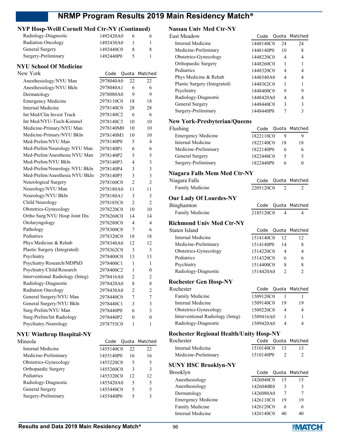| סג סוואסטו ווואווו ווידווו                    |           |                |                  |
|-----------------------------------------------|-----------|----------------|------------------|
| NYP Hosp-Weill Cornell Med Ctr-NY (Continued) |           |                |                  |
| Radiology-Diagnostic                          | 1492420A0 | 6              | 6                |
| Radiation Oncology                            | 1492430A0 | 1              | 1                |
| General Surgery                               | 1492440C0 | 8              | 8                |
| Surgery-Preliminary                           | 1492440P0 | 5              | 1                |
| <b>NYU School Of Medicine</b>                 |           |                |                  |
| New York                                      | Code      | Quota          | Matched          |
| Anesthesiology/NYU Man                        | 2978040A0 | 22             | 22               |
| Anesthesiology/NYU Bkln                       | 2978040A1 | 6              | 6                |
| Dermatology                                   | 2978080A0 | 9              | 9                |
| <b>Emergency Medicine</b>                     | 2978110C0 | 18             | 18               |
| <b>Internal Medicine</b>                      | 2978140C0 | 28             | 28               |
| Int Med/Clin Invest Track                     | 2978140C2 | 6              | 6                |
| Int Med/NYU-Tisch-Kimmel                      | 2978140C3 | 10             | 10               |
| Medicine-Primary/NYU Man                      | 2978140M0 | 10             | 10               |
| Medicine-Primary/NYU Bkln                     | 2978140M1 | 10             | 10               |
| Med-Prelim/NYU Man                            | 2978140P0 | 5              | 4                |
| Med-Prelim/Neurology NYU Man                  | 2978140P1 | 6              | 6                |
| Med-Prelim/Anesthesia NYU Man                 | 2978140P2 | 5              | 5                |
| Med-Prelim/NYU Bkln                           | 2978140P3 | 4              | 3                |
| Med-Prelim/Neurology NYU Bkln                 | 2978140P4 | 3              | 3                |
| Med-Prelim/Anesthesia NYU Bkln                | 2978140P5 | 3              | 3                |
| Neurological Surgery                          | 2978160C0 | $\overline{2}$ | $\overline{c}$   |
| Neurology/NYU Man                             | 2978180A0 | 11             | 11               |
| Neurology/NYU Bkln                            | 2978180A1 | 3              | 3                |
| Child Neurology                               | 2978185C0 | $\overline{2}$ | $\overline{c}$   |
| Obstetrics-Gynecology                         | 2978220C0 | 10             | 10               |
| Ortho Surg/NYU Hosp Joint Dis                 | 2978260C0 | 14             | 14               |
| Otolaryngology                                | 2978280C0 | 4              | 4                |
| Pathology                                     | 2978300C0 | 7              | 6                |
| Pediatrics                                    | 2978320C0 | 18             | 18               |
| Phys Medicine & Rehab                         | 2978340A0 | 12             | 12               |
| Plastic Surgery (Integrated)                  | 2978362C0 | 3              | 3                |
| Psychiatry                                    | 2978400C0 | 13             | 13               |
| Psychiatry/Research/MDPhD                     | 2978400C1 | 1              | 1                |
| Psychiatry/Child/Research                     | 2978400C2 | 1              | 0                |
| Interventional Radiology (Integ)              | 2978416A0 | 2              | 2                |
| Radiology-Diagnostic                          | 2978420A0 | 8              | 8                |
| <b>Radiation Oncology</b>                     | 2978430A0 | 2              | $\overline{c}$   |
| General Surgery/NYU Man                       | 2978440C0 | 7              | $\boldsymbol{7}$ |
| General Surgery/NYU Bkln                      | 2978440C1 | 3              | 3                |
| Surg-Prelim/NYU Man                           | 2978440P0 | 6              | 3                |
| Surg-Prelim/Int Radiology                     | 2978440P2 | 0              | 0                |
| Psychiatry-Neurology                          | 2978755C0 | 1              | 1                |
| <b>NVII Winthuon Hospital NV</b>              |           |                |                  |
|                                               |           |                |                  |

#### **NYU Winthrop Hospital-NY**

| Mineola               | Code      |     | Ouota Matched |
|-----------------------|-----------|-----|---------------|
| Internal Medicine     | 1455140C0 | 22. | 22.           |
| Medicine-Preliminary  | 1455140P0 | 16  | 16            |
| Obstetrics-Gynecology | 1455220C0 | 5   | 5             |
| Orthopaedic Surgery   | 1455260C0 | 3   | 3             |
| Pediatrics            | 1455320C0 | 12  | 12            |
| Radiology-Diagnostic  | 1455420A0 | 5   |               |
| General Surgery       | 1455440C0 | 5   |               |
| Surgery-Preliminary   | 1455440P0 | 5   |               |

#### **Nassau Univ Med Ctr-NY**

| East Meadow                  | Code      |    | Quota Matched |
|------------------------------|-----------|----|---------------|
| Internal Medicine            | 1448140C0 | 24 | 24            |
| Medicine-Preliminary         | 1448140P0 | 10 | 8             |
| Obstetrics-Gynecology        | 1448220C0 | 4  |               |
| Orthopaedic Surgery          | 1448260C0 |    |               |
| Pediatrics                   | 1448320C0 | 4  | 4             |
| Phys Medicine & Rehab        | 1448340A0 | 4  | 4             |
| Plastic Surgery (Integrated) | 1448362C0 |    |               |
| Psychiatry                   | 1448400C0 | 9  | 9             |
| Radiology-Diagnostic         | 1448420A0 | 4  |               |
| General Surgery              | 1448440C0 | 3  | 3             |
| Surgery-Preliminary          | 1448440P0 |    |               |

#### **New York-Presbyterian/Queens**

| Flushing                  |           |    | Code Quota Matched |
|---------------------------|-----------|----|--------------------|
| <b>Emergency Medicine</b> | 1822110C0 |    |                    |
| Internal Medicine         | 1822140C0 | 18 | 18                 |
| Medicine-Preliminary      | 1822140P0 |    |                    |
| General Surgery           | 1822440C0 |    |                    |
| Surgery-Preliminary       | 1822440P0 |    |                    |

#### **Niagara Falls Mem Med Ctr-NY**

| Niagara Falls                                  | Code         |       |                          | Quota Matched      |
|------------------------------------------------|--------------|-------|--------------------------|--------------------|
| Family Medicine                                | 2205120C0    |       | $\mathfrak{D}$           | $\overline{2}$     |
| <b>Our Lady Of Lourdes-NY</b>                  |              |       |                          |                    |
| Binghamton                                     | Code         |       |                          | Quota Matched      |
| Family Medicine                                | 2185120C0    |       | $\overline{\mathcal{A}}$ | $\overline{4}$     |
| <b>Richmond Univ Med Ctr-NY</b>                |              |       |                          |                    |
| Staten Island                                  |              |       |                          | Code Quota Matched |
| Internal Medicine                              | 1514140C0    |       | 12                       | 12                 |
| Medicine-Preliminary                           | 1514140P0    |       | 14                       | 8                  |
| Obstetrics-Gynecology                          | 1514220C0    |       | $\overline{4}$           | 4                  |
| Pediatrics                                     | 1514320C0    |       | 6                        | 6                  |
| Psychiatry                                     | 1514400C0    |       | 8                        | 8                  |
| Radiology-Diagnostic                           | 1514420A0    |       | $\mathfrak{D}$           | $\mathfrak{D}$     |
| <b>Rochester Gen Hosp-NY</b>                   |              |       |                          |                    |
| Rochester                                      | Code         | Quota |                          | Matched            |
| Family Medicine                                | 1509120C0    |       | $\mathbf{1}$             | 1                  |
| <b>Internal Medicine</b>                       | 1509140C0 19 |       |                          | 19                 |
| Obstetrics-Gynecology                          | 1509220C0    |       | $\overline{4}$           | $\overline{4}$     |
| Interventional Radiology (Integ)               | 1509416A0    |       | 1                        | 1                  |
| Radiology-Diagnostic                           | 1509420A0    |       | $\overline{\mathcal{A}}$ | 4                  |
| <b>Rochester Regional Health/Unity Hosp-NY</b> |              |       |                          |                    |
| Rochester                                      | Code         | Quota |                          | Matched            |
| Internal Medicine                              | 1510140C0    |       | 13                       | 13                 |
| Medicine-Preliminary                           | 1510140P0    |       | $\overline{2}$           | $\overline{2}$     |

#### **SUNY HSC Brooklyn-NY**

| Brooklyn                  | Code      |              | Quota Matched |
|---------------------------|-----------|--------------|---------------|
| Anesthesiology            | 1426040C0 | 15           | 15            |
| Anesthesiology            | 1426040R0 | $\mathbf{3}$ |               |
| Dermatology               | 1426080A0 |              |               |
| <b>Emergency Medicine</b> | 1426110C0 | 19           | 19            |
| <b>Family Medicine</b>    | 1426120C0 | 6            | 6             |
| Internal Medicine         | 1426140C0 | 40           | 40            |

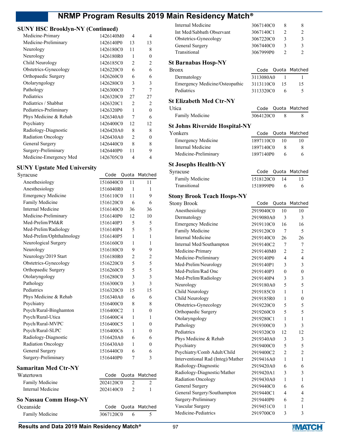#### **SUNY HSC Brooklyn-NY (Continued)**

| Medicine-Primary          | 1426140M0 | 4              | 4                |
|---------------------------|-----------|----------------|------------------|
| Medicine-Preliminary      | 1426140P0 | 13             | 13               |
| Neurology                 | 1426180C0 | 11             | 8                |
| Neurology                 | 1426180R0 | 1              | $\theta$         |
| Child Neurology           | 1426185C0 | $\overline{2}$ | $\overline{c}$   |
| Obstetrics-Gynecology     | 1426220C0 | 6              | 6                |
| Orthopaedic Surgery       | 1426260C0 | 6              | 6                |
| Otolaryngology            | 1426280C0 | 3              | 3                |
| Pathology                 | 1426300C0 | 7              | 7                |
| Pediatrics                | 1426320C0 | 27             | 27               |
| Pediatrics / Shabbat      | 1426320C1 | 2              | 2                |
| Pediatrics-Preliminary    | 1426320P0 | 1              | $\boldsymbol{0}$ |
| Phys Medicine & Rehab     | 1426340A0 | 7              | 6                |
| Psychiatry                | 1426400C0 | 12             | 12               |
| Radiology-Diagnostic      | 1426420A0 | 8              | 8                |
| <b>Radiation Oncology</b> | 1426430A0 | 2              | $\boldsymbol{0}$ |
| General Surgery           | 1426440C0 | 8              | 8                |
| Surgery-Preliminary       | 1426440P0 | 11             | 9                |
| Medicine-Emergency Med    | 1426705C0 | 4              | 4                |

#### **SUNY Upstate Med University**

| Syracuse                    | Code      | Quota          | Matched        |
|-----------------------------|-----------|----------------|----------------|
| Anesthesiology              | 1516040C0 | 11             | 11             |
| Anesthesiology              | 1516040R0 | 1              | 1              |
| <b>Emergency Medicine</b>   | 1516110C0 | 11             | 9              |
| Family Medicine             | 1516120C0 | 6              | 6              |
| <b>Internal Medicine</b>    | 1516140C0 | 36             | 36             |
| Medicine-Preliminary        | 1516140P0 | 12             | 10             |
| Med-Prelim/PM&R             | 1516140P3 | 5              | 5              |
| Med-Prelim/Radiology        | 1516140P4 | 5              | 5              |
| Med-Prelim/Ophthalmology    | 1516140P5 | 1              | 1              |
| Neurological Surgery        | 1516160C0 | 1              | 1              |
| Neurology                   | 1516180C0 | 9              | 9              |
| Neurology/2019 Start        | 1516180R0 | 2              | $\overline{2}$ |
| Obstetrics-Gynecology       | 1516220C0 | 5              | 5              |
| Orthopaedic Surgery         | 1516260C0 | 5              | 5              |
| Otolaryngology              | 1516280C0 | 3              | 3              |
| Pathology                   | 1516300C0 | 3              | 3              |
| Pediatrics                  | 1516320C0 | 15             | 15             |
| Phys Medicine & Rehab       | 1516340A0 | 6              | 6              |
| Psychiatry                  | 1516400C0 | 8              | 8              |
| Psych/Rural-Binghamton      | 1516400C2 | 1              | 0              |
| Psych/Rural-Utica           | 1516400C4 | 1              | 1              |
| Psych/Rural-MVPC            | 1516400C5 | 1              | 0              |
| Psych/Rural-SLPC            | 1516400C6 | 1              | 0              |
| Radiology-Diagnostic        | 1516420A0 | 6              | 6              |
| Radiation Oncology          | 1516430A0 | 1              | 0              |
| General Surgery             | 1516440C0 | 6              | 6              |
| Surgery-Preliminary         | 1516440P0 | 7              | 3              |
| <b>Samaritan Med Ctr-NY</b> |           |                |                |
| Watertown                   | Code      | Quota          | Matched        |
| Family Medicine             | 2024120C0 | $\overline{c}$ | $\overline{c}$ |
| <b>Internal Medicine</b>    | 2024140C0 | $\overline{2}$ | 1              |
| So Nassau Comm Hosp-NY      |           |                |                |
| Oceanside                   | Code      | Quota          | Matched        |
| Family Medicine             | 3067120C0 | 6              | 5              |

| Internal Medicine                     | 3067140C0  | 8              | 8              |
|---------------------------------------|------------|----------------|----------------|
| Int Med/Sabbath Observant             | 3067140C1  | $\overline{c}$ | $\overline{c}$ |
| Obstetrics-Gynecology                 | 3067220C0  | 3              | 3              |
| General Surgery                       | 3067440C0  | 3              | 3              |
| Transitional                          | 3067999P0  | $\overline{2}$ | 2              |
|                                       |            |                |                |
| St Barnabas Hosp-NY                   |            |                |                |
| <b>Bronx</b>                          | Code Quota |                | Matched        |
| Dermatology                           | 3113080A0  | 1              | 1              |
| Emergency Medicine/Osteopathic        | 3113110C0  | 15             | 15             |
| Pediatrics                            | 3113320C0  | 6              | 5              |
| <b>St Elizabeth Med Ctr-NY</b>        |            |                |                |
| Utica                                 | Code Quota |                | Matched        |
|                                       | 3064120C0  | 8              | 8              |
| Family Medicine                       |            |                |                |
| <b>St Johns Riverside Hospital-NY</b> |            |                |                |
| Yonkers                               | Code       | Quota          | Matched        |
| <b>Emergency Medicine</b>             | 1897110C0  | 10             | 10             |
| <b>Internal Medicine</b>              | 1897140C0  | 8              | 8              |
| Medicine-Preliminary                  | 1897140P0  | 6              | 6              |
|                                       |            |                |                |
| <b>St Josephs Health-NY</b>           |            |                |                |
| Syracuse                              | Code       | Quota          | Matched        |
| Family Medicine                       | 1518120C0  | 14             | 13             |
| Transitional                          | 1518999P0  | 6              | 6              |
|                                       |            |                |                |
| Stony Brook Teach Hosps-NY            |            |                |                |
| <b>Stony Brook</b>                    | Code       | Quota          | Matched        |
| Anesthesiology                        | 2919040C0  | 10             | 10             |
| Dermatology                           | 2919080A0  | 3              | 3              |
| <b>Emergency Medicine</b>             | 2919110C0  | 16             | 16             |
| Family Medicine                       | 2919120C0  | 7              | 5              |
| <b>Internal Medicine</b>              | 2919140C0  | 26             | 26             |
| Internal Med/Southampton              | 2919140C2  | 7              | 7              |
| Medicine-Primary                      | 2919140M0  | $\overline{c}$ | 2              |
| Medicine-Preliminary                  | 2919140P0  | 4              | 4              |
| Med-Prelim/Neurology                  | 2919140P1  | 3              | 3              |
| Med-Prelim/Rad Onc                    | 2919140P3  | 0              | 0              |
| Med-Prelim/Radiology                  | 2919140P4  | 3              | 3              |
| Neurology                             | 2919180A0  | 5              | 5              |
| Child Neurology                       | 2919185C0  | 1              | 1              |
| Child Neurology                       | 2919185R0  | 1              | 0              |
| Obstetrics-Gynecology                 | 2919220C0  | 5              | 5              |
| Orthopaedic Surgery                   | 2919260C0  | 5              | 5              |
| Otolaryngology                        | 2919280C1  | 1              | 1              |
| Pathology                             | 2919300C0  | 3              | 3              |
| Pediatrics                            | 2919320C0  | 12             | 12             |
| Phys Medicine & Rehab                 | 2919340A0  | 3              | 3              |
| Psychiatry                            | 2919400C0  | 5              | 5              |
| Psychiatry/Comb Adult/Child           | 2919400C2  | $\overline{2}$ | 2              |
| Interventional Rad (Integ)/Mather     | 2919416A0  | 1              | 1              |
| Radiology-Diagnostic                  | 2919420A0  | 6              | 6              |
| Radiology-Diagnostic/Mather           | 2919420A1  | 3              | 3              |
| Radiation Oncology                    |            | 1              | 1              |
|                                       | 2919430A0  |                |                |
| General Surgery                       | 2919440C0  | 6<br>4         | 6<br>4         |
| General Surgery/Southampton           | 2919440C1  |                |                |
| Surgery-Preliminary                   | 2919440P0  | 6              | 2              |
| Vascular Surgery                      | 2919451C0  | 1              | 1              |
| Medicine-Pediatrics                   | 2919700C0  | 3              | 3              |

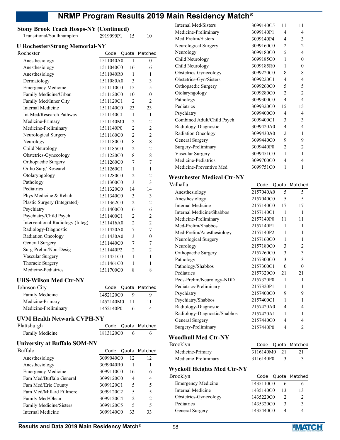# **Stony Brook Teach Hosps-NY (Continued)**<br>Transitional/Southhampton 2919999P1 15

Transitional/Southhampton 2919999P1 15 10

#### **U Rochester/Strong Memorial-NY**

| Rochester                        | Code      | Quota          | Matched                 |
|----------------------------------|-----------|----------------|-------------------------|
| Anesthesiology                   | 1511040A0 | 1              | $\theta$                |
| Anesthesiology                   | 1511040C0 | 16             | 16                      |
| Anesthesiology                   | 1511040R0 | 1              | $\mathbf{1}$            |
| Dermatology                      | 1511080A0 | 3              | 3                       |
| <b>Emergency Medicine</b>        | 1511110C0 | 15             | 15                      |
| Family Medicine/Urban            | 1511120C0 | 10             | 10                      |
| Family Med/Inner City            | 1511120C1 | $\overline{2}$ | $\overline{2}$          |
| Internal Medicine                | 1511140C0 | 23             | 23                      |
| Int Med/Research Pathway         | 1511140C1 | 1              | 1                       |
| Medicine-Primary                 | 1511140M0 | $\overline{c}$ | $\overline{\mathbf{c}}$ |
| Medicine-Preliminary             | 1511140P0 | $\overline{2}$ | $\overline{c}$          |
| Neurological Surgery             | 1511160C0 | $\overline{2}$ | $\overline{c}$          |
| Neurology                        | 1511180C0 | 8              | 8                       |
| Child Neurology                  | 1511185C0 | $\overline{2}$ | $\overline{c}$          |
| Obstetrics-Gynecology            | 1511220C0 | 8              | 8                       |
| Orthopaedic Surgery              | 1511260C0 | 7              | 7                       |
| Ortho Surg/Research              | 1511260C1 | 1              | $\mathbf{1}$            |
| Otolaryngology                   | 1511280C0 | $\overline{2}$ | $\overline{2}$          |
| Pathology                        | 1511300C0 | 3              | 3                       |
| Pediatrics                       | 1511320C0 | 14             | 14                      |
| Phys Medicine & Rehab            | 1511340C0 | 3              | 3                       |
| Plastic Surgery (Integrated)     | 1511362C0 | 2              | $\overline{c}$          |
| Psychiatry                       | 1511400C0 | 6              | 6                       |
| Psychiatry/Child Psych           | 1511400C1 | $\overline{c}$ | $\overline{c}$          |
| Interventional Radiology (Integ) | 1511416A0 | $\overline{2}$ | $\overline{2}$          |
| Radiology-Diagnostic             | 1511420A0 | 7              | 7                       |
| Radiation Oncology               | 1511430A0 | 3              | $\theta$                |
| General Surgery                  | 1511440C0 | 7              | 7                       |
| Surg-Prelim/Non-Desig            | 1511440P2 | $\overline{c}$ | $\overline{2}$          |
| Vascular Surgery                 | 1511451C0 | 1              | $\mathbf{1}$            |
| Thoracic Surgery                 | 1511461C0 | $\mathbf{1}$   | 1                       |
| Medicine-Pediatrics              | 1511700C0 | 8              | 8                       |

#### **UHS-Wilson Med Ctr-NY**

| Johnson City         |              | Code Quota Matched |
|----------------------|--------------|--------------------|
| Family Medicine      | 1452120C0    |                    |
| Medicine-Primary     | 1452140M0 11 | 11                 |
| Medicine-Preliminary | 1452140P0    | $\Delta$           |

#### **UVM Health Network CVPH-NY**

| Plattsburgh     |           | Code Quota Matched |
|-----------------|-----------|--------------------|
| Family Medicine | 1813120C0 |                    |

#### **University at Buffalo SOM-NY**

| Buffalo                        |           |               | Code Quota Matched |
|--------------------------------|-----------|---------------|--------------------|
| Anesthesiology                 | 3099040C0 | 12            | 12                 |
| Anesthesiology                 | 3099040R0 |               |                    |
| <b>Emergency Medicine</b>      | 3099110C0 | 16            | 16                 |
| Fam Med/Buffalo General        | 3099120C0 | 4             | 4                  |
| Fam Med/Erie County            | 3099120C1 | 5             | 5                  |
| Fam Med/Millard Fillmore       | 3099120C2 | 5             | 5                  |
| Family Med/Olean               | 3099120C4 | $\mathcal{D}$ | $\mathfrak{D}$     |
| <b>Family Medicine/Sisters</b> | 3099120C5 | 5             | 5                  |
| Internal Medicine              | 3099140C0 | 33            | 33                 |

| Internal Med/Sisters              | 3099140C5 | 11             | 11             |
|-----------------------------------|-----------|----------------|----------------|
| Medicine-Preliminary              | 3099140P1 | 4              | 4              |
| Med-Prelim/Sisters                | 3099140P4 | 4              | 3              |
| Neurological Surgery              | 3099160C0 | $\overline{c}$ | $\overline{2}$ |
| Neurology                         | 3099180C0 | 5              | $\overline{4}$ |
| Child Neurology                   | 3099185C0 | 1              | $\theta$       |
| Child Neurology                   | 3099185R0 | 1              | $\theta$       |
| Obstetrics-Gynecology             | 3099220C0 | 8              | 8              |
| Obstetrics-Gyn/Sisters            | 3099220C1 | 4              | 4              |
| Orthopaedic Surgery               | 3099260C0 | 5              | 5              |
| Otolaryngology                    | 3099280C0 | $\overline{2}$ | $\overline{2}$ |
| Pathology                         | 3099300C0 | 4              | $\overline{4}$ |
| Pediatrics                        | 3099320C0 | 15             | 15             |
| Psychiatry                        | 3099400C0 | 4              | 4              |
| Combined Adult/Child Psych        | 3099400C1 | 3              | 3              |
| Radiology-Diagnostic              | 3099420A0 | 4              | 4              |
| Radiation Oncology                | 3099430A0 | 2              | 1              |
| General Surgery                   | 3099440C0 | 9              | 9              |
| Surgery-Preliminary               | 3099440P0 | $\overline{2}$ | $\overline{2}$ |
| Vascular Surgery                  | 3099451C0 | 1              | 1              |
| Medicine-Pediatrics               | 3099700C0 | 4              | 4              |
| Medicine-Preventive Med           | 3099751C0 | 1              | 1              |
| <b>Westchester Medical Ctr-NY</b> |           |                |                |

| Valhalla                     | Code      |                          | Quota Matched            |
|------------------------------|-----------|--------------------------|--------------------------|
| Anesthesiology               | 2157040A0 | $\overline{\phantom{0}}$ | 5                        |
| Anesthesiology               | 2157040C0 | $\overline{\phantom{0}}$ | $\overline{\phantom{0}}$ |
| Internal Medicine            | 2157140C0 | 17                       | 17                       |
| Internal Medicine/Shabbos    | 2157140C1 | 1                        | 1                        |
| Medicine-Preliminary         | 2157140P0 | 11                       | 11                       |
| Med-Prelim/Shabbos           | 2157140P1 | 1                        | 1                        |
| Med-Prelim/Anesthesiology    | 2157140P2 | 1                        | 1                        |
| Neurological Surgery         | 2157160C0 | 1                        | 1                        |
| Neurology                    | 2157180C0 | 3                        | 2                        |
| Orthopaedic Surgery          | 2157260C0 | 3                        | 3                        |
| Pathology                    | 2157300C0 | 3                        | 3                        |
| Pathology/Shabbos            | 2157300C1 | $\theta$                 | $\theta$                 |
| Pediatrics                   | 2157320C0 | 2.1                      | 21                       |
| Peds-Prelim/Neurology-NDD    | 2157320P0 | 1                        | 1                        |
| Pediatrics-Preliminary       | 2157320P1 | 1                        | 1                        |
| Psychiatry                   | 2157400C0 | 9                        | 9                        |
| Psychiatry/Shabbos           | 2157400C1 | 1                        | 1                        |
| Radiology-Diagnostic         | 2157420A0 | 4                        | 4                        |
| Radiology-Diagnostic/Shabbos | 2157420A1 | 1                        | 1                        |
| General Surgery              | 2157440C0 | 4                        | 4                        |
| Surgery-Preliminary          | 2157440P0 | 4                        | 2                        |
|                              |           |                          |                          |

#### **Woodhull Med Ctr-NY**

| Brooklyn             | Code Quota Matched |     |
|----------------------|--------------------|-----|
| Medicine-Primary     | 3116140M0 21       | -21 |
| Medicine-Preliminary | 3116140P0<br>-3    |     |

#### **Wyckoff Heights Med Ctr-NY**

|   | n                                                                                   |
|---|-------------------------------------------------------------------------------------|
|   | 13                                                                                  |
|   |                                                                                     |
| 3 | 3                                                                                   |
| Δ |                                                                                     |
|   | Code Quota Matched<br>1435110C0<br>1435140C0<br>1435220C0<br>1435320C0<br>1435440C0 |

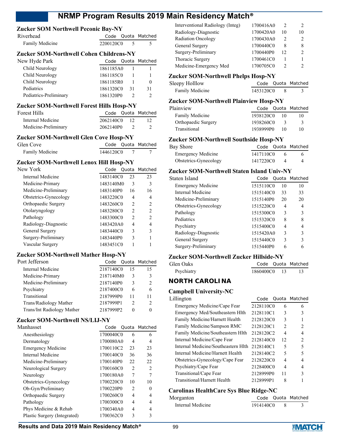#### **Zucker SOM Northwell Peconic Bay-NY**

| Riverhead       |           | Code Quota Matched |
|-----------------|-----------|--------------------|
| Family Medicine | 2200120C0 |                    |

#### **Zucker SOM-Northwell Cohen Childrens-NY**

| New Hyde Park          |           |    | Code Quota Matched |
|------------------------|-----------|----|--------------------|
| Child Neurology        | 1861185A0 |    |                    |
| Child Neurology        | 1861185C0 |    |                    |
| Child Neurology        | 1861185R0 |    |                    |
| Pediatrics             | 1861320C0 | 31 | 31                 |
| Pediatrics-Preliminary | 1861320P0 |    |                    |

#### **Zucker SOM-Northwell Forest Hills Hosp-NY**

| <b>Forest Hills</b>  |              |  | Code Quota Matched |
|----------------------|--------------|--|--------------------|
| Internal Medicine    | 2062140C0 12 |  |                    |
| Medicine-Preliminary | 2062140P0    |  |                    |

#### **Zucker SOM-Northwell Glen Cove Hosp-NY**

| Glen Cove       |           | Code Ouota Matched |
|-----------------|-----------|--------------------|
| Family Medicine | 1446120C0 |                    |

#### **Zucker SOM-Northwell Lenox Hill Hosp-NY**

| New York              | Code      |                | Ouota Matched  |
|-----------------------|-----------|----------------|----------------|
| Internal Medicine     | 1483140C0 | 23             | 23             |
| Medicine-Primary      | 1483140M0 | 3              | 3              |
| Medicine-Preliminary  | 1483140P0 | 16             | 16             |
| Obstetrics-Gynecology | 1483220C0 | 4              | 4              |
| Orthopaedic Surgery   | 1483260C0 | $\overline{c}$ | 2              |
| Otolaryngology        | 1483280C0 | $\mathfrak{D}$ | $\mathfrak{D}$ |
| Pathology             | 1483300C0 | $\mathfrak{D}$ | $\mathcal{L}$  |
| Radiology-Diagnostic  | 1483420A0 | 4              |                |
| General Surgery       | 1483440C0 | 3              | 3              |
| Surgery-Preliminary   | 1483440P0 | 3              |                |
| Vascular Surgery      | 1483451C0 |                |                |
|                       |           |                |                |

#### **Zucker SOM-Northwell Mather Hosp-NY**

| Port Jefferson             | Code      |    | Quota Matched |
|----------------------------|-----------|----|---------------|
| Internal Medicine          | 2187140C0 | 15 | 15            |
| Medicine-Primary           | 2187140M0 | 3  | 3             |
| Medicine-Preliminary       | 2187140P0 | 3  | $\mathcal{P}$ |
| Psychiatry                 | 2187400C0 | 6  | 6             |
| Transitional               | 2187999P0 | 11 | 11            |
| Trans/Radiology Mather     | 2187999P1 |    | $\mathcal{P}$ |
| Trans/Int Radiology Mather | 2187999P2 |    |               |

#### **Zucker SOM-Northwell NS/LIJ-NY**

| Manhasset                    | Code      |                | Quota Matched                 |
|------------------------------|-----------|----------------|-------------------------------|
| Anesthesiology               | 1700040C0 | 6              | 6                             |
| Dermatology                  | 1700080A0 | 4              | 4                             |
| <b>Emergency Medicine</b>    | 1700110C2 | 23             | 23                            |
| Internal Medicine            | 1700140C0 | 36             | 36                            |
| Medicine-Preliminary         | 1700140P0 | 22             | 22                            |
| Neurological Surgery         | 1700160C0 | $\overline{c}$ | $\mathfrak{D}_{\mathfrak{p}}$ |
| Neurology                    | 1700180A0 | 7              | 7                             |
| Obstetrics-Gynecology        | 1700220C0 | 10             | 10                            |
| Ob-Gyn/Preliminary           | 1700220P0 | $\mathfrak{D}$ | 0                             |
| Orthopaedic Surgery          | 1700260C0 | 4              | 4                             |
| Pathology                    | 1700300C0 | 4              | 4                             |
| Phys Medicine & Rehab        | 1700340A0 | 4              | 4                             |
| Plastic Surgery (Integrated) | 1700362C0 | 3              | 3                             |

| Interventional Radiology (Integ) | 1700416A0 |    |    |
|----------------------------------|-----------|----|----|
| Radiology-Diagnostic             | 1700420A0 | 10 | 10 |
| <b>Radiation Oncology</b>        | 1700430A0 |    |    |
| General Surgery                  | 1700440C0 | 8  |    |
| Surgery-Preliminary              | 1700440P0 | 12 |    |
| Thoracic Surgery                 | 1700461C0 |    |    |
| Medicine-Emergency Med           | 1700705C0 |    |    |

#### **Zucker SOM-Northwell Phelps Hosp-NY**

| Sleepy Holllow  |           | Code Quota Matched |
|-----------------|-----------|--------------------|
| Family Medicine | 1453120C0 |                    |

#### **Zucker SOM-Northwell Plainview Hosp-NY**

| -10           | 10                                                        |
|---------------|-----------------------------------------------------------|
| $\mathcal{R}$ | $\mathcal{R}$                                             |
| 10            | 10                                                        |
|               | Code Ouota Matched<br>1938120C0<br>1938260C0<br>1938999P0 |

#### **Zucker SOM-Northwell Southside Hosp-NY**

| Bay Shore                 |           |    | Code Quota Matched |
|---------------------------|-----------|----|--------------------|
| <b>Emergency Medicine</b> | 1417110C0 | -6 |                    |
| Obstetrics-Gynecology     | 1417220C0 |    |                    |

#### **Zucker SOM-Northwell Staten Island Univ-NY**

| Staten Island             | Code      |    | Ouota Matched |
|---------------------------|-----------|----|---------------|
| <b>Emergency Medicine</b> | 1515110C0 | 10 | 10            |
| Internal Medicine         | 1515140C0 | 33 | 33            |
| Medicine-Preliminary      | 1515140P0 | 20 | 20            |
| Obstetrics-Gynecology     | 1515220C0 | 4  | 4             |
| Pathology                 | 1515300C0 | 3  | 3             |
| Pediatrics                | 1515320C0 | 8  | 8             |
| Psychiatry                | 1515400C0 | 4  | 4             |
| Radiology-Diagnostic      | 1515420A0 | 3  | 3             |
| General Surgery           | 1515440C0 | 3  | 3             |
| Surgery-Preliminary       | 1515440P0 | 6  |               |
|                           |           |    |               |

#### **Zucker SOM-Northwell Zucker Hillside-NY**

|              |  | Code Ouota Matched |
|--------------|--|--------------------|
| 1860400C0 13 |  | -13                |

#### **NORTH CAROLINA**

Glen Oaks Psychiatry

#### **Campbell University-NC**

| Lillington                          | Code      | Ouota | Matched       |
|-------------------------------------|-----------|-------|---------------|
| Emergency Medicine/Cape Fear        | 2128110C0 | 6     | 6             |
| Emergency Med/Southeastern Hlth     | 2128110C1 | 3     | 3             |
| Family Medicine/Harnett Health      | 2128120C0 | 3     |               |
| Family Medicine/Sampson RMC         | 2128120C1 | 2     | 2             |
| Family Medicine/Southeastern Hlth   | 2128120C2 | 4     | 4             |
| Internal Medicine/Cape Fear         | 2128140C0 | 12    | $\mathcal{P}$ |
| Internal Medicine/Southeastern Hlth | 2128140C1 | 5     | 5             |
| Internal Medicine/Harnett Health    | 2128140C2 | 5     | 5             |
| Obstetrics-Gynecology/Cape Fear     | 2128220C0 | 4     | 4             |
| Psychiatry/Cape Fear                | 2128400C0 | 4     | 4             |
| Transitional/Cape Fear              | 2128999P0 | 11    | 3             |
| Transitional/Harnett Health         | 2128999P1 | 8     |               |
|                                     |           |       |               |

#### **Carolinas HealthCare Sys Blue Ridge-NC**

| Morganton         |           | Code Ouota Matched |
|-------------------|-----------|--------------------|
| Internal Medicine | 1914140C0 |                    |

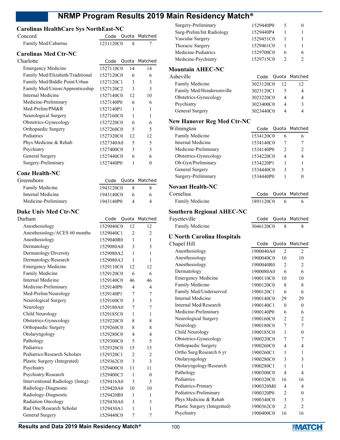### **Randright Residency Match<sup>®</sup>**

| <b>NRMP Program Results 2019 Main Re</b>     |                        |                      |                          |                   |
|----------------------------------------------|------------------------|----------------------|--------------------------|-------------------|
| <b>Carolinas HealthCare Sys NorthEast-NC</b> |                        |                      |                          | Surgery-P         |
| Concord                                      | Code                   | Quota                | Matched                  | Surg-Preli        |
| Family Med/Cabarrus                          | 1231120C0              | 8                    | 7                        | Vascular S        |
|                                              |                        |                      |                          | Thoracic S        |
| <b>Carolinas Med Ctr-NC</b>                  |                        |                      |                          | Medicine-         |
| Charlotte                                    | Code                   |                      | Quota Matched            | Medicine-         |
| <b>Emergency Medicine</b>                    | 1527110C0              | 14                   | 14                       | <b>Mountain</b>   |
| Family Med/Elizabeth/Traditional             | 1527120C0              | 6                    | 6                        | Asheville         |
| Family Med/Biddle Point/Urban                | 1527120C1              | 3                    | 3                        | Family Mo         |
| Family Med/Union/Apprenticeship              | 1527120C2              | 3                    | 3                        | Family Me         |
| <b>Internal Medicine</b>                     | 1527140C0              | 12                   | 10                       | <b>Obstetrics</b> |
| Medicine-Preliminary                         | 1527140P0              | 6                    | 6                        | Psychiatry        |
| Med-Prelim/PM&R                              | 1527140P1              | 1                    | 1                        | General St        |
| Neurological Surgery                         | 1527160C0              | 1                    | 1                        |                   |
| Obstetrics-Gynecology                        | 1527220C0              | 6                    | 6                        | <b>New Hano</b>   |
| Orthopaedic Surgery                          | 1527260C0              | 5                    | 5                        | Wilmington        |
| Pediatrics                                   | 1527320C0              | 12                   | 12                       | Family Mo         |
| Phys Medicine & Rehab                        | 1527340A0              | 5                    | 5                        | Internal M        |
| Psychiatry                                   | 1527400C0              | 3                    | 3                        | Medicine-         |
| General Surgery                              | 1527440C0              | 6                    | 6                        | Obstetrics.       |
| Surgery-Preliminary                          | 1527440P0              | 1                    | $\boldsymbol{0}$         | $Ob-Gyn/P$        |
|                                              |                        |                      |                          | General St        |
| <b>Cone Health-NC</b>                        |                        |                      |                          | Surgery-P         |
| Greensboro                                   | Code                   | Quota                | Matched                  |                   |
| Family Medicine                              | 1943120C0              | 8                    | 8                        | <b>Novant He</b>  |
| Internal Medicine                            | 1943140C0              | 6                    | 6                        | Cornelius         |
| Medicine-Preliminary                         | 1943140P0              | 4                    | 4                        | Family Mo         |
| <b>Duke Univ Med Ctr-NC</b>                  |                        |                      |                          | <b>Southern I</b> |
| Durham                                       | Code                   | Quota                | Matched                  | Fayetteville      |
| Anesthesiology                               | 1529040C0              | 12                   | 12                       | Family Mo         |
| Anesthesiology/ACES 60 months                | 1529040C1              | 2                    | 2                        |                   |
| Anesthesiology                               | 1529040R0              | $\mathbf{1}$         | 1                        | <b>U</b> North C  |
| Dermatology                                  | 1529080A0              | 3                    | 3                        | Chapel Hill       |
| Dermatology/Diversity                        | 1529080A2              | 1                    | 1                        | Anesthesic        |
| Dermatology/Research                         | 1529080A3              | 1                    | 1                        | Anesthesic        |
| <b>Emergency Medicine</b>                    | 1529110C0              | 12                   | 12                       | Anesthesic        |
| Family Medicine                              | 1529120C0              | 6                    | 6                        | Dermatolo         |
| Internal Medicine                            | 1529140C0              | 46                   | 46                       | Emergency         |
| Medicine-Preliminary                         | 1529140P0              | 4                    | 4                        | Family Mo         |
| Med-Prelim/Neurology                         | 1529140P1              | 7                    | 7                        | Family Mo         |
| Neurological Surgery                         | 1529160C0              | 3                    | 3                        | Internal M        |
| Neurology                                    | 1529180A0              | 7                    | 7                        | Internal M        |
| Child Neurology                              | 1529185C0              | $\mathbf{1}$         |                          | Medicine-         |
| Obstetrics-Gynecology                        | 1529220C0              |                      | 1<br>8                   | Neurologie        |
| Orthopaedic Surgery                          | 1529260C0              | 8<br>8               | 8                        | Neurology         |
| Otolaryngology                               |                        | 4                    | $\overline{\mathcal{L}}$ | Child Neu         |
| Pathology                                    | 1529280C0<br>1529300C0 | 5                    | 5                        | Obstetrics.       |
| Pediatrics                                   |                        |                      |                          | Orthopaed         |
| Pediatrics/Research Scholars                 | 1529320C0              | 15<br>$\overline{c}$ | 15<br>$\overline{2}$     | Ortho Surg        |
| Plastic Surgery (Integrated)                 | 1529320C1              | 3                    | 3                        | Otolaryng         |
| Psychiatry                                   | 1529362C0              | 11                   | 11                       | Otolaryng         |
| Psychiatry/Research                          | 1529400C0<br>1529400C3 | $\mathbf{1}$         | $\theta$                 | Pathology         |
| Interventional Radiology (Integ)             | 1529416A0              | 3                    | 3                        | Pediatrics        |
|                                              |                        |                      |                          |                   |

| Surgery-Preliminary                                   | 1529440P0              | 5                   | 0                   |
|-------------------------------------------------------|------------------------|---------------------|---------------------|
| Surg-Prelim/Int Radiology                             | 1529440P4              | 1                   | 1                   |
| Vascular Surgery                                      | 1529451C0              | 1                   | 1                   |
| Thoracic Surgery                                      | 1529461C0              | 1                   | 1                   |
| Medicine-Pediatrics                                   | 1529700C0              | 6                   | 6                   |
| Medicine-Psychiatry                                   | 1529715C0              | $\overline{c}$      | 2                   |
| <b>Mountain AHEC-NC</b>                               |                        |                     |                     |
| Asheville                                             | Code                   | Quota               | Matched             |
| Family Medicine                                       |                        |                     |                     |
| Family Med/Hendersonville                             | 3023120C0              | 12<br>5             | 12                  |
|                                                       | 3023120C1<br>3023220C0 |                     | 4                   |
| Obstetrics-Gynecology<br>Psychiatry                   |                        | 4<br>4              | 4                   |
| General Surgery                                       | 3023400C0<br>3023440C0 | 4                   | 3<br>4              |
|                                                       |                        |                     |                     |
| <b>New Hanover Reg Med Ctr-NC</b>                     |                        |                     |                     |
| Wilmington                                            | Code                   | Quota               | Matched             |
| Family Medicine                                       | 1534120C0              | 6                   | 6                   |
| <b>Internal Medicine</b>                              | 1534140C0              | 7                   | 7                   |
| Medicine-Preliminary                                  | 1534140P0              | 2                   | $\overline{c}$      |
| Obstetrics-Gynecology                                 | 1534220C0              | 4                   | 4                   |
| Ob-Gyn/Preliminary                                    | 1534220P1              | 1                   | 1                   |
| General Surgery                                       | 1534440C0              | 3                   | 3                   |
| Surgery-Preliminary                                   | 1534440P0              | 1                   | $\theta$            |
| <b>Novant Health-NC</b>                               |                        |                     |                     |
| Cornelius                                             | Code                   | Quota               | Matched             |
|                                                       |                        |                     |                     |
| Family Medicine                                       | 1891120C0              | 6                   | 6                   |
| <b>Southern Regional AHEC-NC</b>                      |                        |                     |                     |
| Fayetteville                                          | Code                   | Quota               | Matched             |
| Family Medicine                                       | 3046120C0              | 8                   | 8                   |
| U North Carolina Hospitals                            |                        |                     |                     |
| Chapel Hill                                           | Code                   | Quota               | Matched             |
| Anesthesiology                                        | 1900040A0              |                     |                     |
| Anesthesiology                                        | 1900040C0              | 2<br>10             | 2                   |
| Anesthesiology                                        | 1900040R0              | 2                   | 10<br>2             |
| Dermatology                                           | 1900080A0              |                     |                     |
|                                                       | 1900110C0              | 6                   | 6                   |
| <b>Emergency Medicine</b><br>Family Medicine          | 1900120C0              | 10<br>8             | 10                  |
| Family Med/Underserved                                | 1900120C1              | 6                   | 8<br>6              |
| <b>Internal Medicine</b>                              | 1900140C0              | 29                  | 29                  |
| Internal Med/Research                                 | 1900140C1              | 0                   | 0                   |
| Medicine-Preliminary                                  | 1900140P0              | 6                   | 6                   |
| Neurological Surgery                                  | 1900160C0              | 2                   | $\overline{c}$      |
| Neurology                                             | 1900180C0              | 7                   | 7                   |
| Child Neurology                                       |                        |                     |                     |
| Obstetrics-Gynecology                                 | 1900185C0              | 1                   | 0<br>7              |
|                                                       | 1900220C0              | 7                   | 4                   |
| Orthopaedic Surgery                                   | 1900260C0              | 4                   |                     |
| Ortho Surg/Research 6 yr                              | 1900260C1              | 1<br>3              | 1<br>3              |
| Otolaryngology<br>Otolaryngology/Research             | 1900280C0<br>1900280C1 |                     | 1                   |
|                                                       |                        | 1                   |                     |
| Pathology<br>Pediatrics                               | 1900300C0              | 4                   | 4                   |
|                                                       | 1900320C0              | 16                  | 16                  |
| Pediatrics-Primary                                    | 1900320M0              | 4                   | 4                   |
| Pediatrics-Preliminary                                | 1900320P0              | 2                   | 0                   |
| Phys Medicine & Rehab<br>Plastic Surgery (Integrated) | 1900340C0<br>1900362C0 | 3<br>$\overline{c}$ | 3<br>$\overline{2}$ |
|                                                       |                        |                     |                     |

Psychiatry 1900400C0 16 16

Radiology-Diagnostic 1529420A0 10 10 Radiology-Diagnostic 1529420R0 1 1 Radiation Oncology 1529430A0 3 3 Rad Onc/Research Scholar 1529430A1 1 1 General Surgery 1529440C0 7 7

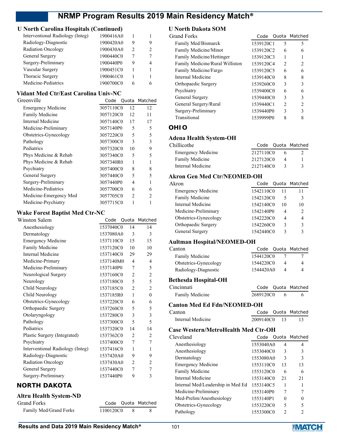#### **U North Carolina Hospitals (Continued)**

| Interventional Radiology (Integ) | 1900416A0 |               |   |
|----------------------------------|-----------|---------------|---|
| Radiology-Diagnostic             | 1900420A0 | 9             | 9 |
| <b>Radiation Oncology</b>        | 1900430A0 | $\mathcal{P}$ | 2 |
| General Surgery                  | 1900440C0 |               |   |
| Surgery-Preliminary              | 1900440P0 | 9             | 4 |
| Vascular Surgery                 | 1900451C0 |               |   |
| Thoracic Surgery                 | 1900461C0 |               |   |
| Medicine-Pediatrics              | 1900700C0 |               |   |

### **Vidant Med Ctr/East Carolina Univ-NC**

| Greenville                |           |                          | Code Quota Matched |
|---------------------------|-----------|--------------------------|--------------------|
| <b>Emergency Medicine</b> | 3057110C0 | 12                       | 12                 |
| Family Medicine           | 3057120C0 | 12                       | 11                 |
| Internal Medicine         | 3057140C0 | 17                       | 17                 |
| Medicine-Preliminary      | 3057140P0 | 5                        | 5                  |
| Obstetrics-Gynecology     | 3057220C0 | 5                        | 5                  |
| Pathology                 | 3057300C0 | $\mathbf{3}$             | 3                  |
| Pediatrics                | 3057320C0 | 10                       | 9                  |
| Phys Medicine & Rehab     | 3057340C0 | 5                        | 5                  |
| Phys Medicine & Rehab     | 3057340R0 | 1                        | 1                  |
| Psychiatry                | 3057400C0 | 8                        | 8                  |
| General Surgery           | 3057440C0 | $\overline{\phantom{0}}$ | 5                  |
| Surgery-Preliminary       | 3057440P0 | 4                        | 1                  |
| Medicine-Pediatrics       | 3057700C0 | 6                        | 6                  |
| Medicine-Emergency Med    | 3057705C0 | $\mathfrak{D}$           | 2                  |
| Medicine-Psychiatry       | 3057715C0 |                          |                    |

### **Wake Forest Baptist Med Ctr-NC**

| Winston Salem                    | Code      |                | Quota Matched  |
|----------------------------------|-----------|----------------|----------------|
| Anesthesiology                   | 1537040C0 | 14             | 14             |
| Dermatology                      | 1537080A0 | 3              | 3              |
| <b>Emergency Medicine</b>        | 1537110C0 | 15             | 15             |
| Family Medicine                  | 1537120C0 | 10             | 10             |
| Internal Medicine                | 1537140C0 | 29             | 29             |
| Medicine-Primary                 | 1537140M0 | 4              | 4              |
| Medicine-Preliminary             | 1537140P0 | 7              | 5              |
| Neurological Surgery             | 1537160C0 | $\overline{c}$ | $\overline{c}$ |
| Neurology                        | 1537180C0 | 5              | 5              |
| Child Neurology                  | 1537185C0 | $\overline{2}$ | $\overline{c}$ |
| Child Neurology                  | 1537185R0 | 1              | $\theta$       |
| Obstetrics-Gynecology            | 1537220C0 | 6              | 6              |
| Orthopaedic Surgery              | 1537260C0 | 5              | 5              |
| Otolaryngology                   | 1537280C0 | 3              | 3              |
| Pathology                        | 1537300C0 | 5              | 5              |
| Pediatrics                       | 1537320C0 | 14             | 14             |
| Plastic Surgery (Integrated)     | 1537362C0 | 2              | 2              |
| Psychiatry                       | 1537400C0 | 7              | 7              |
| Interventional Radiology (Integ) | 1537416C0 | 1              | 1              |
| Radiology-Diagnostic             | 1537420A0 | 9              | 9              |
| Radiation Oncology               | 1537430A0 | $\overline{c}$ | $\overline{2}$ |
| General Surgery                  | 1537440C0 | 7              | 7              |
| Surgery-Preliminary              | 1537440P0 | 9              | 3              |
| NORTH DAKOTA                     |           |                |                |

# **NORTH DAKOTA**

| <b>Altru Health System-ND</b> |  |
|-------------------------------|--|
|-------------------------------|--|

| <b>Grand Forks</b>     |           | Code Quota Matched |
|------------------------|-----------|--------------------|
| Family Med/Grand Forks | 1100120C0 |                    |

# **U North Dakota SOM**

| Grand Forks                     |           |                | Code Quota Matched |
|---------------------------------|-----------|----------------|--------------------|
| Family Med/Bismarck             | 1539120C1 | 5              | 5                  |
| Family Medicine/Minot           | 1539120C2 | 6              |                    |
| Family Medicine/Hettinger       | 1539120C3 |                |                    |
| Family Medicine/Rural Williston | 1539120C4 | $\mathfrak{D}$ | $\mathcal{L}$      |
| Family Medicine/Fargo           | 1539120C5 | 6              | 6                  |
| Internal Medicine               | 1539140C0 | 8              | 8                  |
| Orthopaedic Surgery             | 1539260C0 | 3              | 3                  |
| Psychiatry                      | 1539400C0 | 6              |                    |
| General Surgery                 | 1539440C0 | 3              | 3                  |
| General Surgery/Rural           | 1539440C1 | $\mathfrak{D}$ | 2                  |
| Surgery-Preliminary             | 1539440P0 | 3              |                    |
| Transitional                    | 1539999P0 | 8              |                    |
|                                 |           |                |                    |

# **OHIO**

#### **Adena Health System-OH**

| Chillicothe               |           |   | Code Ouota Matched |
|---------------------------|-----------|---|--------------------|
| <b>Emergency Medicine</b> | 2127110C0 | h |                    |
| Family Medicine           | 2127120C0 |   |                    |
| Internal Medicine         | 2127140C0 |   |                    |

#### **Akron Gen Med Ctr/NEOMED-OH**

| Akron                     | Code      |    | Quota Matched |
|---------------------------|-----------|----|---------------|
| <b>Emergency Medicine</b> | 1542110C0 |    |               |
| Family Medicine           | 1542120C0 | 5  | 3             |
| Internal Medicine         | 1542140C0 | 10 | 10            |
| Medicine-Preliminary      | 1542140P0 | 4  |               |
| Obstetrics-Gynecology     | 1542220C0 | Δ  | 4             |
| Orthopaedic Surgery       | 1542260C0 | ٩  | ٦             |
| General Surgery           | 1542440C0 |    |               |

#### **Aultman Hospital/NEOMED-OH**

| Canton                |           | Code Quota Matched |
|-----------------------|-----------|--------------------|
| Family Medicine       | 1544120C0 |                    |
| Obstetrics-Gynecology | 1544220C0 | 4                  |
| Radiology-Diagnostic  | 1544420A0 | 4                  |
| Bethesda Hospital-OH  |           |                    |

#### Cincinnati Code Quota Matched Family Medicine 2689120C0 6 6

#### **Canton Med Ed Fdn/NEOMED-OH**

| Canton            |              | Code Ouota Matched |
|-------------------|--------------|--------------------|
| Internal Medicine | 2009140C0 13 |                    |

#### **Case Western/MetroHealth Med Ctr-OH**

| Cleveland                         | Code      |    | Ouota Matched |
|-----------------------------------|-----------|----|---------------|
| Anesthesiology                    | 1553040A0 | 4  | 4             |
| Anesthesiology                    | 1553040C0 | 3  | 3             |
| Dermatology                       | 1553080A0 | 3  | 3             |
| <b>Emergency Medicine</b>         | 1553110C0 | 13 | 13            |
| Family Medicine                   | 1553120C0 | 6  | 6             |
| Internal Medicine                 | 1553140C0 | 21 | 21            |
| Internal Med/Leadership in Med Ed | 1553140C5 |    |               |
| Medicine-Preliminary              | 1553140P0 | 7  |               |
| Med-Prelim/Anesthesiology         | 1553140P1 | 0  |               |
| Obstetrics-Gynecology             | 1553220C0 | 5  |               |
| Pathology                         | 1553300C0 | າ  |               |
|                                   |           |    |               |

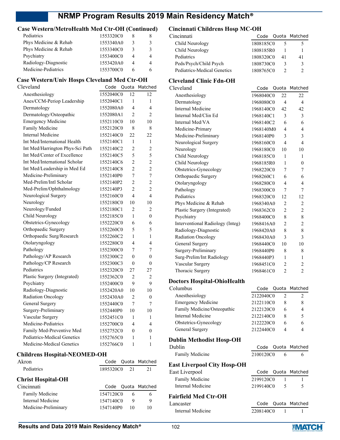### **Case Western/MetroHealth Med Ctr-OH (Continued)**

| Pediatrics            | 1553320C0 |   |   |
|-----------------------|-----------|---|---|
| Phys Medicine & Rehab | 1553340A0 |   |   |
| Phys Medicine & Rehab | 1553340C0 | 3 | 3 |
| Psychiatry            | 1553400C0 |   |   |
| Radiology-Diagnostic  | 1553420A0 |   |   |
| Medicine-Pediatrics   | 1553700C0 |   |   |
|                       |           |   |   |

## **Case Western/Univ Hosps Cleveland Med Ctr-OH**

| Cleveland                        | Code      | Quota          | Matched                  |
|----------------------------------|-----------|----------------|--------------------------|
| Anesthesiology                   | 1552040C0 | 12.            | 12                       |
| Anes/CCM-Periop Leadership       | 1552040C1 | 1              | 1                        |
| Dermatology                      | 1552080A0 | 4              | $\overline{\mathcal{L}}$ |
| Dermatology/Osteopathic          | 1552080A1 | $\overline{2}$ | $\overline{c}$           |
| <b>Emergency Medicine</b>        | 1552110C0 | 10             | 10                       |
| Family Medicine                  | 1552120C0 | 8              | 8                        |
| Internal Medicine                | 1552140C0 | 22             | 22                       |
| Int Med/International Health     | 1552140C1 | 1              | 1                        |
| Int Med/Harrington Phys-Sci Path | 1552140C2 | 2              | 2                        |
| Int Med/Center of Excellence     | 1552140C5 | 5              | 5                        |
| Int Med/International Scholar    | 1552140C6 | $\overline{2}$ | 2                        |
| Int Med/Leadership in Med Ed     | 1552140C8 | $\overline{c}$ | $\overline{2}$           |
| Medicine-Preliminary             | 1552140P0 | 7              | 7                        |
| Med-Prelim/Intl Scholar          | 1552140P2 | $\overline{c}$ | $\overline{c}$           |
| Med-Prelim/Ophthalmology         | 1552140P3 | $\overline{c}$ | $\overline{c}$           |
| Neurological Surgery             | 1552160C0 | $\overline{4}$ | $\overline{\mathcal{L}}$ |
| Neurology                        | 1552180C0 | 10             | 10                       |
| Neurology/Funded                 | 1552180C1 | $\overline{2}$ | 2                        |
| Child Neurology                  | 1552185C0 | 1              | $\theta$                 |
| Obstetrics-Gynecology            | 1552220C0 | 6              | 6                        |
| Orthopaedic Surgery              | 1552260C0 | 5              | 5                        |
| Orthopaedic Surg/Research        | 1552260C2 | 1              | 1                        |
| Otolaryngology                   | 1552280C0 | 4              | 4                        |
| Pathology                        | 1552300C0 | 7              | 7                        |
| Pathology/AP Research            | 1552300C2 | $\theta$       | 0                        |
| Pathology/CP Research            | 1552300C3 | $\theta$       | 0                        |
| Pediatrics                       | 1552320C0 | 27             | 27                       |
| Plastic Surgery (Integrated)     | 1552362C0 | $\overline{c}$ | $\overline{2}$           |
| Psychiatry                       | 1552400C0 | 9              | 9                        |
| Radiology-Diagnostic             | 1552420A0 | 10             | 10                       |
| <b>Radiation Oncology</b>        | 1552430A0 | $\overline{2}$ | $\boldsymbol{0}$         |
| General Surgery                  | 1552440C0 | 7              | 7                        |
| Surgery-Preliminary              | 1552440P0 | 10             | 10                       |
| Vascular Surgery                 | 1552451C0 | 1              | 1                        |
| Medicine-Pediatrics              | 1552700C0 | 4              | 4                        |
| Family Med-Preventive Med        | 1552752C0 | $\mathbf{0}$   | $\boldsymbol{0}$         |
| Pediatrics-Medical Genetics      | 1552765C0 | 1              | 1                        |
| Medicine-Medical Genetics        | 1552766C0 | 1              | 1                        |

# **Childrens Hospital-NEOMED-OH**

| Akron                     |           |    | Code Ouota Matched |
|---------------------------|-----------|----|--------------------|
| Pediatrics                | 1895320C0 | 21 | 21                 |
| <b>Christ Hospital-OH</b> |           |    |                    |
| Cincinnati                | Code      |    | Quota Matched      |
| Family Medicine           | 1547120C0 | 6  | 6                  |
| Internal Medicine         | 1547140C0 | 9  | 9                  |
| Medicine-Preliminary      | 1547140P0 | 10 | 10                 |

# **Cincinnati Childrens Hosp MC-OH**

| Cincinnati                  | Code      |    | Quota Matched |
|-----------------------------|-----------|----|---------------|
| Child Neurology             | 1808185C0 |    |               |
| Child Neurology             | 1808185R0 |    |               |
| Pediatrics                  | 1808320C0 | 41 | 41            |
| Peds/Psych/Child Psych      | 1808730C0 | 3  | 3             |
| Pediatrics-Medical Genetics | 1808765C0 |    |               |
|                             |           |    |               |

# **Cleveland Clinic Fdn-OH**

| Cleveland                        | Code      | Quota          | Matched        |
|----------------------------------|-----------|----------------|----------------|
| Anesthesiology                   | 1968040C0 | 22             | 22             |
| Dermatology                      | 1968080C0 | $\overline{4}$ | 4              |
| Internal Medicine                | 1968140C0 | 42             | 42             |
| Internal Med/Clin Ed             | 1968140C1 | 3              | 3              |
| Internal Med/VA                  | 1968140C2 | 6              | 6              |
| Medicine-Primary                 | 1968140M0 | 4              | 4              |
| Medicine-Preliminary             | 1968140P0 | 3              | 3              |
| Neurological Surgery             | 1968160C0 | 4              | 4              |
| Neurology                        | 1968180C0 | 10             | 10             |
| Child Neurology                  | 1968185C0 | 1              | 1              |
| Child Neurology                  | 1968185R0 | 1              | $\Omega$       |
| Obstetrics-Gynecology            | 1968220C0 | 7              | 7              |
| Orthopaedic Surgery              | 1968260C1 | 6              | 6              |
| Otolaryngology                   | 1968280C0 | 4              | 4              |
| Pathology                        | 1968300C0 | 7              | 7              |
| Pediatrics                       | 1968320C0 | 12.            | 12             |
| Phys Medicine & Rehab            | 1968340A0 | $\overline{2}$ | 2              |
| Plastic Surgery (Integrated)     | 1968362C0 | $\overline{c}$ | 2              |
| Psychiatry                       | 1968400C0 | 8              | 8              |
| Interventional Radiology (Integ) | 1968416A0 | $\overline{2}$ | $\overline{2}$ |
| Radiology-Diagnostic             | 1968420A0 | 8              | 8              |
| Radiation Oncology               | 1968430A0 | 3              | 3              |
| General Surgery                  | 1968440C0 | 10             | 10             |
| Surgery-Preliminary              | 1968440P0 | 8              | 8              |
| Surg-Prelim/Int Radiology        | 1968440P3 | 1              | 1              |
| Vascular Surgery                 | 1968451C0 | $\overline{2}$ | 2              |
| Thoracic Surgery                 | 1968461C0 | $\overline{2}$ | $\overline{c}$ |
|                                  |           |                |                |

#### **Doctors Hospital-OhioHealth**

| Columbus                    | Code      | Quota Matched |
|-----------------------------|-----------|---------------|
| Anesthesiology              | 2122040C0 |               |
| <b>Emergency Medicine</b>   | 2122110C0 |               |
| Family Medicine/Osteopathic | 2122120C0 |               |
| Internal Medicine           | 2122140C0 |               |
| Obstetrics-Gynecology       | 2122220C0 |               |
| General Surgery             | 2122440C0 |               |
|                             |           |               |

### **Dublin Methodist Hosp-OH**

| <b>Dublin</b>                      |           |   | Code Quota Matched |
|------------------------------------|-----------|---|--------------------|
| Family Medicine                    | 2100120C0 |   | 6                  |
| <b>East Liverpool City Hosp-OH</b> |           |   |                    |
| East Liverpool                     | Code      |   | Quota Matched      |
| Family Medicine                    | 2199120C0 |   |                    |
| Internal Medicine                  | 2199140C0 | 5 | 5                  |
|                                    |           |   |                    |

#### **Fairfield Med Ctr-OH**

| Lancaster         |           | Code Quota Matched |
|-------------------|-----------|--------------------|
| Internal Medicine | 2208140C0 |                    |



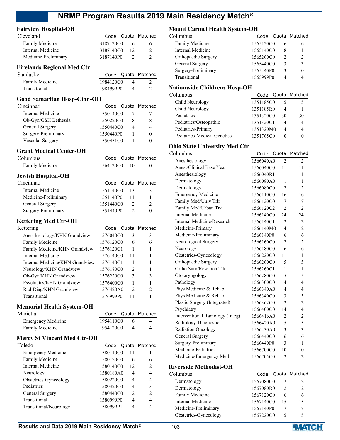#### **Fairview Hospital-OH**

| Cleveland            |           |     | Code Quota Matched |
|----------------------|-----------|-----|--------------------|
| Family Medicine      | 3187120C0 | h   | 6                  |
| Internal Medicine    | 3187140C0 | -12 | 12                 |
| Medicine-Preliminary | 3187140P0 |     | $\mathcal{D}$      |

#### **Firelands Regional Med Ctr**

| Sandusky        |           | Code Quota Matched |
|-----------------|-----------|--------------------|
| Family Medicine | 1984120C0 |                    |
| Transitional    | 1984999P0 |                    |

#### **Good Samaritan Hosp-Cinn-OH**

| Cincinnati          | Code      | Quota Matched |
|---------------------|-----------|---------------|
| Internal Medicine   | 1550140C0 |               |
| Ob-Gyn/GSH Bethesda | 1550220C0 | x             |
| General Surgery     | 1550440C0 | 4             |
| Surgery-Preliminary | 1550440P0 |               |
| Vascular Surgery    | 1550451C0 |               |

#### **Grant Medical Center-OH**

| Columbus        |              | Code Ouota Matched |
|-----------------|--------------|--------------------|
| Family Medicine | 1564120C0 10 |                    |

#### **Jewish Hospital-OH**

| Cincinnati           |           |    | Code Quota Matched |
|----------------------|-----------|----|--------------------|
| Internal Medicine    | 1551140C0 | 13 |                    |
| Medicine-Preliminary | 1551140P0 | 11 | 11                 |
| General Surgery      | 1551440C0 |    | $\mathcal{L}$      |
| Surgery-Preliminary  | 1551440P0 |    |                    |

#### **Kettering Med Ctr-OH**

| Kettering                       |           |                | Code Quota Matched |
|---------------------------------|-----------|----------------|--------------------|
| Anesthesiology/KHN Grandview    | 1576040C0 | 3              | 3                  |
| Family Medicine                 | 1576120C0 | 6              | 6                  |
| Family Medicine/KHN Grandview   | 1576120C1 |                |                    |
| Internal Medicine               | 1576140C0 | 11             | 11                 |
| Internal Medicine/KHN Grandview | 1576140C1 |                |                    |
| Neurology/KHN Grandview         | 1576180C0 | $\mathfrak{D}$ |                    |
| Ob-Gyn/KHN Grandview            | 1576220C0 | 3              | 3                  |
| Psychiatry/KHN Grandview        | 1576400C0 |                |                    |
| Rad-Diag/KHN Grandview          | 1576420A0 | 2              | $\mathcal{P}$      |
| Transitional                    | 1576999P0 |                |                    |

#### **Memorial Health System-OH**

| Marietta                  |           | Code Ouota Matched |
|---------------------------|-----------|--------------------|
| <b>Emergency Medicine</b> | 1954110C0 |                    |
| Family Medicine           | 1954120C0 |                    |

#### **Mercy St Vincent Med Ctr-OH**

| Toledo                    |           |    | Code Ouota Matched |
|---------------------------|-----------|----|--------------------|
| <b>Emergency Medicine</b> | 1580110C0 | 11 | 11                 |
| <b>Family Medicine</b>    | 1580120C0 | 6  | 6                  |
| Internal Medicine         | 1580140C0 | 12 | 12                 |
| Neurology                 | 1580180A0 | 4  | 4                  |
| Obstetrics-Gynecology     | 1580220C0 | 4  | 4                  |
| Pediatrics                | 1580320C0 | 4  | 3                  |
| General Surgery           | 1580440C0 | 2  | $\mathfrak{D}$     |
| Transitional              | 1580999P0 | 4  | 4                  |
| Transitional/Neurology    | 1580999P1 |    | 4                  |
|                           |           |    |                    |

#### **Mount Carmel Health System-OH**

| Columbus            | Code      |   | Quota Matched |
|---------------------|-----------|---|---------------|
| Family Medicine     | 1565120C0 | h |               |
| Internal Medicine   | 1565140C0 | 8 |               |
| Orthopaedic Surgery | 1565260C0 | 2 | $\mathcal{D}$ |
| General Surgery     | 1565440C0 | ٩ | 3             |
| Surgery-Preliminary | 1565440P0 | 3 |               |
| Transitional        | 1565999P0 |   |               |
|                     |           |   |               |

#### **Nationwide Childrens Hosp-OH**

| Columbus                    | Code Ouota Matched |    |    |
|-----------------------------|--------------------|----|----|
| Child Neurology             | 1351185C0          |    |    |
| Child Neurology             | 1351185R0          | 4  |    |
| Pediatrics                  | 1351320C0          | 30 | 30 |
| Pediatrics/Osteopathic      | 1351320C1          | 4  |    |
| Pediatrics-Primary          | 1351320M0          | 4  |    |
| Pediatrics-Medical Genetics | 1351765C0          |    |    |
|                             |                    |    |    |

#### **Ohio State University Med Ctr**

| Columbus                         | Code      | Quota          | Matched        |
|----------------------------------|-----------|----------------|----------------|
| Anesthesiology                   | 1566040A0 | $\mathfrak{D}$ | $\overline{2}$ |
| Anest/Clinical Base Year         | 1566040C0 | 11             | 11             |
| Anesthesiology                   | 1566040R1 | 1              | 1              |
| Dermatology                      | 1566080A0 | 1              | 1              |
| Dermatology                      | 1566080C0 | $\overline{c}$ | $\overline{c}$ |
| <b>Emergency Medicine</b>        | 1566110C0 | 16             | 16             |
| Family Med/Univ Trk              | 1566120C0 | 7              | 7              |
| Family Med/Urban Trk             | 1566120C2 | $\overline{2}$ | $\overline{2}$ |
| <b>Internal Medicine</b>         | 1566140C0 | 24             | 24             |
| Internal Medicine/Research       | 1566140C1 | $\overline{2}$ | $\overline{c}$ |
| Medicine-Primary                 | 1566140M0 | 4              | $\overline{c}$ |
| Medicine-Preliminary             | 1566140P0 | 6              | 6              |
| Neurological Surgery             | 1566160C0 | $\overline{2}$ | $\overline{c}$ |
| Neurology                        | 1566180C0 | 6              | 6              |
| Obstetrics-Gynecology            | 1566220C0 | 11             | 11             |
| Orthopaedic Surgery              | 1566260C0 | 5              | 5              |
| Ortho Surg/Research Trk          | 1566260C1 | 1              | 1              |
| Otolaryngology                   | 1566280C0 | 5              | 5              |
| Pathology                        | 1566300C0 | 4              | 4              |
| Phys Medicine & Rehab            | 1566340A0 | 4              | 4              |
| Phys Medicine & Rehab            | 1566340C0 | 3              | 3              |
| Plastic Surgery (Integrated)     | 1566362C0 | $\overline{2}$ | $\overline{2}$ |
| Psychiatry                       | 1566400C0 | 14             | 14             |
| Interventional Radiology (Integ) | 1566416A0 | $\overline{2}$ | $\overline{2}$ |
| Radiology-Diagnostic             | 1566420A0 | 5              | 5              |
| Radiation Oncology               | 1566430A0 | 3              | 3              |
| General Surgery                  | 1566440C0 | 6              | 6              |
| Surgery-Preliminary              | 1566440P0 | 3              | 1              |
| Medicine-Pediatrics              | 1566700C0 | 10             | 10             |
| Medicine-Emergency Med           | 1566705C0 | $\overline{2}$ | $\overline{2}$ |
| Riverside Methodist-OH           |           |                |                |
| Columbus                         | Code      | Quota          | Matched        |
| Dermatology                      | 1567080C0 | 2              | 2              |
| Dermatology                      | 1567080R0 | $\overline{c}$ | $\overline{c}$ |
| Family Medicine                  | 1567120C0 | 6              | 6              |

Internal Medicine 1567140C0 15 15 Medicine-Preliminary 1567140P0 7 7 Obstetrics-Gynecology 1567220C0 5 5

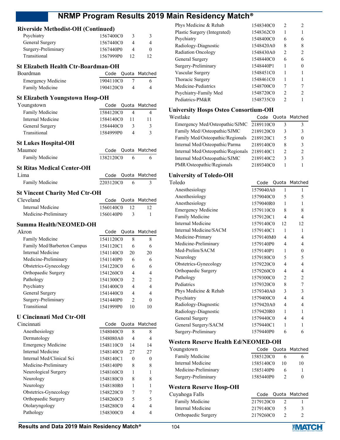#### **Riverside Methodist-OH (Continued)**

| Psychiatry          | 1567400C0 | 3  |
|---------------------|-----------|----|
| General Surgery     | 1567440C0 | 4  |
| Surgery-Preliminary | 1567440P0 |    |
| Transitional        | 1567999P0 | 12 |
|                     |           |    |

#### **St Elizabeth Health Ctr-Boardman-OH**

| Boardman                  |           | Code Ouota Matched |
|---------------------------|-----------|--------------------|
| <b>Emergency Medicine</b> | 1904110C0 |                    |
| Family Medicine           | 1904120C0 |                    |

#### **St Elizabeth Youngstown Hosp-OH**

| Youngstown        |           |    | Code Quota Matched |
|-------------------|-----------|----|--------------------|
| Family Medicine   | 1584120C0 |    |                    |
| Internal Medicine | 1584140C0 | 11 | 11                 |
| General Surgery   | 1584440C0 | 3  | 3                  |
| Transitional      | 1584999P0 |    |                    |
|                   |           |    |                    |

#### **St Lukes Hospital-OH**

| Maumee          |           | Code Quota Matched |
|-----------------|-----------|--------------------|
| Family Medicine | 1382120C0 |                    |

#### **St Ritas Medical Center-OH**

| Lima            |           | Code Ouota Matched |
|-----------------|-----------|--------------------|
| Family Medicine | 2203120C0 |                    |

#### **St Vincent Charity Med Ctr-OH**

| Cleveland            |              |    | Code Quota Matched |
|----------------------|--------------|----|--------------------|
| Internal Medicine    | 1560140C0 12 |    |                    |
| Medicine-Preliminary | 1560140P0    | -3 |                    |

#### **Summa Health/NEOMED-OH**

| Akron                       | Code      |                | Quota Matched  |
|-----------------------------|-----------|----------------|----------------|
| Family Medicine             | 1541120C0 | 8              | 8              |
| Family Med/Barberton Campus | 1541120C1 | 6              | 6              |
| Internal Medicine           | 1541140C0 | 20             | 20             |
| Medicine-Preliminary        | 1541140P0 | 6              | 6              |
| Obstetrics-Gynecology       | 1541220C0 | 6              | 6              |
| Orthopaedic Surgery         | 1541260C0 | 4              | 4              |
| Pathology                   | 1541300C0 | $\mathfrak{D}$ | $\mathfrak{D}$ |
| Psychiatry                  | 1541400C0 | 4              | 4              |
| General Surgery             | 1541440C0 | 4              | 4              |
| Surgery-Preliminary         | 1541440P0 | $\mathfrak{D}$ | $\Omega$       |
| Transitional                | 1541999P0 | 10             | 10             |

#### **U Cincinnati Med Ctr-OH**

| Cincinnati                | Code      |    | Ouota Matched |
|---------------------------|-----------|----|---------------|
| Anesthesiology            | 1548040C0 | 8  | 8             |
| Dermatology               | 1548080A0 | 4  | 4             |
| <b>Emergency Medicine</b> | 1548110C0 | 14 | 14            |
| Internal Medicine         | 1548140C0 | 27 | 27            |
| Internal Med/Clinical Sci | 1548140C1 | 0  | 0             |
| Medicine-Preliminary      | 1548140P0 | 8  | 8             |
| Neurological Surgery      | 1548160C0 |    |               |
| Neurology                 | 1548180C0 | 8  | 8             |
| Neurology                 | 1548180R0 |    |               |
| Obstetrics-Gynecology     | 1548220C0 | 7  | 7             |
| Orthopaedic Surgery       | 1548260C0 | 5  | 5             |
| Otolaryngology            | 1548280C0 | 4  | 4             |
| Pathology                 | 1548300C0 |    | 4             |

| Phys Medicine & Rehab        | 1548340C0 | $\mathcal{P}$  |                |
|------------------------------|-----------|----------------|----------------|
| Plastic Surgery (Integrated) | 1548362C0 |                |                |
| Psychiatry                   | 1548400C0 | 6              | 6              |
| Radiology-Diagnostic         | 1548420A0 | 8              | 8              |
| Radiation Oncology           | 1548430A0 | $\mathfrak{D}$ | $\mathfrak{D}$ |
| General Surgery              | 1548440C0 | 6              | 6              |
| Surgery-Preliminary          | 1548440P1 |                | 0              |
| Vascular Surgery             | 1548451C0 |                |                |
| Thoracic Surgery             | 1548461C0 |                |                |
| Medicine-Pediatrics          | 1548700C0 | 7              |                |
| Psychiatry-Family Med        | 1548720C0 | $\mathcal{D}$  | 2              |
| Pediatrics-PM&R              | 1548735C0 | 2              |                |
|                              |           |                |                |

#### **University Hosps Osteo Consortium-OH**

| Westlake                           | Code      |               | Quota Matched |
|------------------------------------|-----------|---------------|---------------|
| Emergency Med/Osteopathic/SJMC     | 2189110C0 | 3             |               |
| Family Med//Osteopathic/SJMC       | 2189120C0 | 3             | 3             |
| Family Med/Osteopathic/Regionals   | 2189120C1 | 5             |               |
| Internal Med/Osteopathic/Parma     | 2189140C0 | 8             | ٩             |
| Internal Med/Osteopathic/Regionals | 2189140C1 | $\mathcal{D}$ | 2             |
| Internal Med/Osteopathic/SJMC      | 2189140C2 | ٩             | 3             |
| PMR/Osteopathic/Regionals          | 2189340C0 |               |               |

#### **University of Toledo-OH**

| Toledo                    |           |                | Code Quota Matched |
|---------------------------|-----------|----------------|--------------------|
| Anesthesiology            | 1579040A0 | 1              | 1                  |
| Anesthesiology            | 1579040C0 | 5              | 5                  |
| Anesthesiology            | 1579040R0 | 1              | 1                  |
| <b>Emergency Medicine</b> | 1579110C0 | 8              | 8                  |
| Family Medicine           | 1579120C1 | $\overline{4}$ | 4                  |
| Internal Medicine         | 1579140C0 | 12             | 12                 |
| Internal Medicine/SACM    | 1579140C1 | $\mathbf{1}$   | 1                  |
| Medicine-Primary          | 1579140M0 | 4              | 4                  |
| Medicine-Preliminary      | 1579140P0 | 4              | 4                  |
| Med-Prelim/SACM           | 1579140P1 | 1              | $\boldsymbol{0}$   |
| Neurology                 | 1579180C0 | 5              | 5                  |
| Obstetrics-Gynecology     | 1579220C0 | 4              | $\overline{4}$     |
| Orthopaedic Surgery       | 1579260C0 | 4              | 4                  |
| Pathology                 | 1579300C0 | 2              | 2                  |
| Pediatrics                | 1579320C0 | 8              | 7                  |
| Phys Medicine & Rehab     | 1579340A0 | 3              | 3                  |
| Psychiatry                | 1579400C0 | 4              | 4                  |
| Radiology-Diagnostic      | 1579420A0 | 4              | 4                  |
| Radiology-Diagnostic      | 1579420R0 | 1              | 1                  |
| General Surgery           | 1579440C0 | 4              | 4                  |
| General Surgery/SACM      | 1579440C1 | 1              | 1                  |
| Surgery-Preliminary       | 1579440P0 | 6              | 6                  |

#### **Western Reserve Health Ed/NEOMED-OH**

| Youngstown           |           |    | Code Quota Matched |
|----------------------|-----------|----|--------------------|
| Family Medicine      | 1585120C0 |    |                    |
| Internal Medicine    | 1585140C0 | 10 | 10                 |
| Medicine-Preliminary | 1585140P0 |    |                    |
| Surgery-Preliminary  | 1585440P0 |    |                    |
|                      |           |    |                    |

#### **Western Reserve Hosp-OH**

| Cuyahoga Falls      |           |   | Code Quota Matched |
|---------------------|-----------|---|--------------------|
| Family Medicine     | 2179120C0 |   |                    |
| Internal Medicine   | 2179140C0 | 5 | $\mathbf{z}$       |
| Orthopaedic Surgery | 2179260C0 |   |                    |
|                     |           |   |                    |

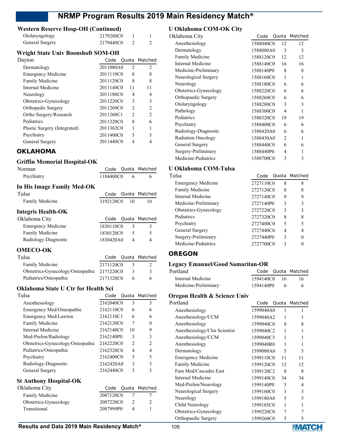### **Western Reserve Hosp-OH (Continued)**

| Otolaryngology  |  | 2179280C0 |  |
|-----------------|--|-----------|--|
| General Surgery |  | 2179440C0 |  |

### **Wright State Univ Boonshoft SOM-OH**

| Dayton                       |           |                | Code Quota Matched |
|------------------------------|-----------|----------------|--------------------|
| Dermatology                  | 2011080A0 | $\mathfrak{D}$ | $\mathfrak{D}$     |
| <b>Emergency Medicine</b>    | 2011110C0 | 8              | 8                  |
| Family Medicine              | 2011120C0 | 8              | 8                  |
| Internal Medicine            | 2011140C0 | 11             | 11                 |
| Neurology                    | 2011180C0 | 4              | 4                  |
| Obstetrics-Gynecology        | 2011220C0 | 3              | 3                  |
| Orthopedic Surgery           | 2011260C0 | $\mathfrak{D}$ | 2                  |
| Ortho Surgery/Research       | 2011260C1 | $\mathfrak{D}$ | $\mathcal{P}$      |
| Pediatrics                   | 2011320C0 | 8              | 6                  |
| Plastic Surgery (Integrated) | 2011362C0 | 1              |                    |
| Psychiatry                   | 2011400C0 | 5              | 5                  |
| General Surgery              | 2011440C0 |                |                    |

# **OKLAHOMA**

### **Griffin Memorial Hospital-OK**

| Norman                     |           |    | Code Quota Matched |
|----------------------------|-----------|----|--------------------|
| Psychiatry                 | 1184400C0 | 6  | 6                  |
| In His Image Family Med-OK |           |    |                    |
| Tulsa                      |           |    | Code Ouota Matched |
| Family Medicine            | 3192120C0 | 10 | 10                 |
| <b>Integris Health-OK</b>  |           |    |                    |
| Oklahoma City              | Code      |    | Ouota Matched      |
| <b>Emergency Medicine</b>  | 1830110C0 | 3  | 3                  |
| <b>Family Medicine</b>     | 1830120C0 | 5  | 5                  |
| Radiology-Diagnostic       | 1830420A0 | 4  | 4                  |
|                            |           |    |                    |

#### **OMECO-OK**

| Tulsa                                       |           | Code Quota Matched |
|---------------------------------------------|-----------|--------------------|
| Family Medicine                             | 2171120C0 |                    |
| Obstetrics-Gynecology/Osteopathic 2171220C0 |           | 3                  |
| Pediatrics/Osteopathic                      | 2171320C0 |                    |

#### **Oklahoma State U Ctr for Health Sci**

| Tulsa                             |           |                | Code Quota Matched |
|-----------------------------------|-----------|----------------|--------------------|
| Anesthesiology                    | 2162040C0 | 3              | 3                  |
| Emergency Med/Osteopathic         | 2162110C0 | 6              | 6                  |
| Emergency Med/Lawton              | 2162110C1 | 6              | 6                  |
| Family Medicine                   | 2162120C0 | 7              | $\theta$           |
| Internal Medicine                 | 2162140C0 | 10             | 9                  |
| Med-Prelim/Radiology              | 2162140P0 | 3              | 3                  |
| Obstetrics-Gynecology/Osteopathic | 2162220C0 | $\overline{c}$ | $\overline{2}$     |
| Pediatrics/Osteopathic            | 2162320C0 | 4              | 4                  |
| Psychiatry                        | 2162400C0 | 5              | 5                  |
| Radiology-Diagnostic              | 2162420A0 | 3              | 3                  |
| General Surgery                   | 2162440C0 | 3              | 3                  |
| <b>St Anthony Hospital-OK</b>     |           |                |                    |
| Oklahoma City                     | Code      | Quota          | Matched            |
| Family Medicine                   | 2087120C0 | 7              | 7                  |
| Obstetrics-Gynecology             | 2087220C0 | 2              | 2                  |

# **U Oklahoma COM-OK City**

|                | 12                                                                                                                                                                                                                                                                 |
|----------------|--------------------------------------------------------------------------------------------------------------------------------------------------------------------------------------------------------------------------------------------------------------------|
| 3              | 3                                                                                                                                                                                                                                                                  |
| 12             | 12                                                                                                                                                                                                                                                                 |
| 16             | 16                                                                                                                                                                                                                                                                 |
| 8              | 8                                                                                                                                                                                                                                                                  |
| 1              | 1                                                                                                                                                                                                                                                                  |
| 6              | 6                                                                                                                                                                                                                                                                  |
| 6              | 6                                                                                                                                                                                                                                                                  |
| 6              | 6                                                                                                                                                                                                                                                                  |
| 3              | 3                                                                                                                                                                                                                                                                  |
| 4              | 1                                                                                                                                                                                                                                                                  |
| 19             | 19                                                                                                                                                                                                                                                                 |
| 6              | 6                                                                                                                                                                                                                                                                  |
| 6              | 6                                                                                                                                                                                                                                                                  |
| $\overline{c}$ | 1                                                                                                                                                                                                                                                                  |
| 6              | 6                                                                                                                                                                                                                                                                  |
| 4              |                                                                                                                                                                                                                                                                    |
| 3              | 3                                                                                                                                                                                                                                                                  |
|                | Code Quota Matched<br>1588040C0<br>12<br>1588080A0<br>1588120C0<br>1588140C0<br>1588140P0<br>1588160C0<br>1588180C0<br>1588220C0<br>1588260C0<br>1588280C0<br>1588300C0<br>1588320C0<br>1588400C0<br>1588420A0<br>1588430A0<br>1588440C0<br>1588440P0<br>1588700C0 |

# **U Oklahoma COM-Tulsa**

| Tulsa                     |           |   | Code Ouota Matched |
|---------------------------|-----------|---|--------------------|
| <b>Emergency Medicine</b> | 2727110C0 | 8 | 8                  |
| <b>Family Medicine</b>    | 2727120C0 | 8 | 8                  |
| Internal Medicine         | 2727140C0 | 9 | 9                  |
| Medicine-Preliminary      | 2727140P0 | 3 | 3                  |
| Obstetrics-Gynecology     | 2727220C0 | 3 | 3                  |
| Pediatrics                | 2727320C0 | 8 | 8                  |
| Psychiatry                | 2727400C0 | 5 | 5                  |
| General Surgery           | 2727440C0 | 4 |                    |
| Surgery-Preliminary       | 2727440P0 | 3 |                    |
| Medicine-Pediatrics       | 2727700C0 | 3 |                    |
|                           |           |   |                    |

# **OREGON**

### **Legacy Emanuel/Good Samaritan-OR**

| Portland             |              |    | Code Quota Matched |
|----------------------|--------------|----|--------------------|
| Internal Medicine    | 1594140C0 16 |    | 16.                |
| Medicine-Preliminary | 1594140P0    | -6 |                    |

### **Oregon Health & Science Univ**

| Code |                          | Quota Matched                                                                                                                                                                                                             |
|------|--------------------------|---------------------------------------------------------------------------------------------------------------------------------------------------------------------------------------------------------------------------|
|      | 1                        |                                                                                                                                                                                                                           |
|      | 1                        | 1                                                                                                                                                                                                                         |
|      | 8                        | 8                                                                                                                                                                                                                         |
|      | 1                        | 1                                                                                                                                                                                                                         |
|      | 1                        | 1                                                                                                                                                                                                                         |
|      | 1                        | 1                                                                                                                                                                                                                         |
|      | $\overline{\mathcal{L}}$ | 5                                                                                                                                                                                                                         |
|      | 11                       | 11                                                                                                                                                                                                                        |
|      | 12                       | 12                                                                                                                                                                                                                        |
|      | 8                        | 8                                                                                                                                                                                                                         |
|      | 34                       | 34                                                                                                                                                                                                                        |
|      | 5                        | 4                                                                                                                                                                                                                         |
|      | 3                        | 3                                                                                                                                                                                                                         |
|      | $\overline{\phantom{0}}$ | $\overline{\phantom{0}}$                                                                                                                                                                                                  |
|      | 1                        | 1                                                                                                                                                                                                                         |
|      | 7                        | 7                                                                                                                                                                                                                         |
|      | 5                        | 5                                                                                                                                                                                                                         |
|      |                          | 1599040A0<br>1599040A2<br>1599040C0<br>1599040C2<br>1599040C3<br>1599040R0<br>1599080A0<br>1599110C0<br>1599120C0<br>1599120C2<br>1599140C0<br>1599140P0<br>1599160C0<br>1599180A0<br>1599185C0<br>1599220C0<br>1599260C0 |

Transitional 2087999P0 4 1

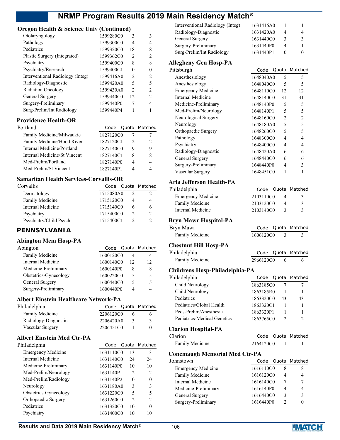#### **Oregon Health & Science Univ (Continued)**

| $\mu$ . The component $\alpha$ belongs $\mu$ and $\mu$ and $\mu$ |           |                |                |
|------------------------------------------------------------------|-----------|----------------|----------------|
| Otolaryngology                                                   | 1599280C0 | 3              | 3              |
| Pathology                                                        | 1599300C0 | 4              | 4              |
| Pediatrics                                                       | 1599320C0 | 18             | 18             |
| Plastic Surgery (Integrated)                                     | 1599362C0 | $\overline{c}$ | $\overline{c}$ |
| Psychiatry                                                       | 1599400C0 | 8              | 8              |
| Psychiatry/Research                                              | 1599400C1 | 0              | 0              |
| Interventional Radiology (Integ)                                 | 1599416A0 | $\mathfrak{D}$ | $\overline{c}$ |
| Radiology-Diagnostic                                             | 1599420A0 | 5              | 5              |
| <b>Radiation Oncology</b>                                        | 1599430A0 | $\mathfrak{D}$ | $\overline{c}$ |
| General Surgery                                                  | 1599440C0 | 12             | 12             |
| Surgery-Preliminary                                              | 1599440P0 | 7              | 4              |
| Surg-Prelim/Int Radiology                                        | 1599440P4 |                |                |
|                                                                  |           |                |                |

### **Providence Health-OR**

| Portland                     |           |   | Code Quota Matched |
|------------------------------|-----------|---|--------------------|
| Family Medicine/Milwaukie    | 1827120C0 |   |                    |
| Family Medicine/Hood River   | 1827120C1 | 2 | $\mathcal{D}$      |
| Internal Medicine/Portland   | 1827140C0 | 9 | 9                  |
| Internal Medicine/St Vincent | 1827140C1 | 8 | 8                  |
| Med-Prelim/Portland          | 1827140P0 | 4 | 4                  |
| Med-Prelim/St Vincent        | 1827140P1 |   |                    |

# **Samaritan Health Services-Corvallis-OR**

| Corvallis              | Code      |   | Quota Matched |
|------------------------|-----------|---|---------------|
| Dermatology            | 1715080A0 |   |               |
| Family Medicine        | 1715120C0 |   |               |
| Internal Medicine      | 1715140C0 | 6 |               |
| Psychiatry             | 1715400C0 | 2 |               |
| Psychiatry/Child Psych | 1715400C1 |   |               |
|                        |           |   |               |

# **PENNSYLVANIA**

### **Abington Mem Hosp-PA**

| Abington              |           |    | Code Quota Matched |
|-----------------------|-----------|----|--------------------|
| Family Medicine       | 1600120C0 | 4  |                    |
| Internal Medicine     | 1600140C0 | 12 | 12                 |
| Medicine-Preliminary  | 1600140P0 | 8  |                    |
| Obstetrics-Gynecology | 1600220C0 | 5  |                    |
| General Surgery       | 1600440C0 | 5  |                    |
| Surgery-Preliminary   | 1600440P0 |    |                    |

# **Albert Einstein Healthcare Network-PA**

|               | h                                                         |
|---------------|-----------------------------------------------------------|
| $\mathcal{R}$ | 3                                                         |
|               |                                                           |
|               | Code Quota Matched<br>2206120C0<br>2206420A0<br>2206451C0 |

# **Albert Einstein Med Ctr-PA**

| Philadelphia              | Code      |                | Ouota Matched |
|---------------------------|-----------|----------------|---------------|
| <b>Emergency Medicine</b> | 1631110C0 | 13             | 13            |
| Internal Medicine         | 1631140C0 | 24             | 24            |
| Medicine-Preliminary      | 1631140P0 | 10             | 10            |
| Med-Prelim/Neurology      | 1631140P1 | $\mathfrak{D}$ | 2             |
| Med-Prelim/Radiology      | 1631140P2 | $\Omega$       | $\theta$      |
| Neurology                 | 1631180A0 | 3              | 3             |
| Obstetrics-Gynecology     | 1631220C0 | 5              | 5             |
| Orthopaedic Surgery       | 1631260C0 | $\mathcal{D}$  | $\mathcal{L}$ |
| Pediatrics                | 1631320C0 | 10             | 10            |
| Psychiatry                | 1631400C0 | 10             | 10            |
|                           |           |                |               |

| Interventional Radiology (Integ) | 1631416A0 |   |   |
|----------------------------------|-----------|---|---|
| Radiology-Diagnostic             | 1631420A0 | 4 | 4 |
| General Surgery                  | 1631440C0 | 3 | 3 |
| Surgery-Preliminary              | 1631440P0 |   |   |
| Surg-Prelim/Int Radiology        | 1631440P1 |   |   |
|                                  |           |   |   |

### **Allegheny Gen Hosp-PA**

| Pittsburgh                | Code      | Quota   |                | Matched        |
|---------------------------|-----------|---------|----------------|----------------|
| Anesthesiology            | 1648040A0 |         | 5              | 5              |
| Anesthesiology            | 1648040C0 |         | 5              | 5              |
| <b>Emergency Medicine</b> | 1648110C0 |         | 12             | 12             |
| Internal Medicine         | 1648140C0 |         | 31             | 31             |
| Medicine-Preliminary      | 1648140P0 |         | 5              | 5              |
| Med-Prelim/Neurology      | 1648140P1 |         | 5              | 5              |
| Neurological Surgery      | 1648160C0 |         | $\overline{2}$ | $\overline{c}$ |
| Neurology                 | 1648180A0 |         | 5              | 5              |
| Orthopaedic Surgery       | 1648260C0 |         | 5              | 5              |
| Pathology                 | 1648300C0 |         | 4              | 4              |
| Psychiatry                | 1648400C0 |         | 4              | 4              |
| Radiology-Diagnostic      | 1648420A0 |         | 6              | 6              |
| General Surgery           | 1648440C0 |         | 6              | 6              |
| Surgery-Preliminary       | 1648440P0 |         | 4              | 3              |
| Vascular Surgery          | 1648451C0 |         | 1              | 1              |
| Aria Jefferson Health-PA  |           |         |                |                |
| Philadelphia              | Code      | Ounta i |                | Matched        |

# Philadelphia Code Quota Matched Emergency Medicine 2103110C0 4 3 Family Medicine 2103120C0 4 3 Internal Medicine 2103140C0 3 3 **Bryn Mawr Hospital-PA** Bryn Mawr Code Quota Matched Family Medicine 1606120C0 3 3

# **Chestnut Hill Hosp-PA**

| Philadelphia    |           | Code Quota Matched |
|-----------------|-----------|--------------------|
| Family Medicine | 2966120C0 |                    |

### **Childrens Hosp-Philadelphia-PA**

| Philadelphia                | Code      |    | Ouota Matched |
|-----------------------------|-----------|----|---------------|
| Child Neurology             | 1863185C0 |    |               |
| Child Neurology             | 1863185R0 |    |               |
| Pediatrics                  | 1863320C0 | 43 | 43            |
| Pediatrics/Global Health    | 1863320C1 |    |               |
| Peds-Prelim/Anesthesia      | 1863320P1 |    |               |
| Pediatrics-Medical Genetics | 1863765C0 |    |               |
|                             |           |    |               |

# **Clarion Hospital-PA**

| Clarion         |           | Code Ouota Matched |
|-----------------|-----------|--------------------|
| Family Medicine | 2164120C0 |                    |

#### **Conemaugh Memorial Med Ctr-PA**

| Johnstown                 |           |   | Code Ouota Matched |
|---------------------------|-----------|---|--------------------|
| <b>Emergency Medicine</b> | 1616110C0 |   |                    |
| <b>Family Medicine</b>    | 1616120C0 |   |                    |
| Internal Medicine         | 1616140C0 |   |                    |
| Medicine-Preliminary      | 1616140P0 | 4 | 4                  |
| General Surgery           | 1616440C0 | 3 | κ                  |
| Surgery-Preliminary       | 1616440P0 |   |                    |
|                           |           |   |                    |

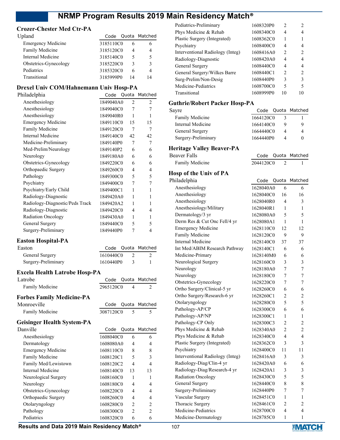# **Crozer-Chester Med Ctr-PA**

| Upland                    |           |    | Code Quota Matched |
|---------------------------|-----------|----|--------------------|
| <b>Emergency Medicine</b> | 3185110C0 | h  | 6                  |
| Family Medicine           | 3185120C0 | 4  |                    |
| Internal Medicine         | 3185140C0 | 5  | 5                  |
| Obstetrics-Gynecology     | 3185220C0 | 3  | ٩                  |
| Pediatrics                | 3185320C0 | 6  |                    |
| Transitional              | 3185999P0 | 14 | 14                 |

#### **Drexel Univ COM/Hahnemann Univ Hosp-PA**

| Philadelphia                    | Code      |                | Quota Matched  |
|---------------------------------|-----------|----------------|----------------|
| Anesthesiology                  | 1849040A0 | $\mathfrak{D}$ | $\overline{2}$ |
| Anesthesiology                  | 1849040C0 | 7              | 7              |
| Anesthesiology                  | 1849040R0 | 1              | 1              |
| <b>Emergency Medicine</b>       | 1849110C0 | 15             | 15             |
| Family Medicine                 | 1849120C0 | 7              | 7              |
| Internal Medicine               | 1849140C0 | 42             | 42             |
| Medicine-Preliminary            | 1849140P0 | 7              | 7              |
| Med-Prelim/Neurology            | 1849140P2 | 6              | 6              |
| Neurology                       | 1849180A0 | 6              | 6              |
| Obstetrics-Gynecology           | 1849220C0 | 6              | 6              |
| Orthopaedic Surgery             | 1849260C0 | 4              | 4              |
| Pathology                       | 1849300C0 | 5              | 5              |
| Psychiatry                      | 1849400C0 | 7              | 7              |
| Psychiatry/Early Child          | 1849400C1 | 1              | 1              |
| Radiology-Diagnostic            | 1849420A0 | 1              | 1              |
| Radiology-Diagnostic/Peds Track | 1849420A2 | 1              | 1              |
| Radiology-Diagnostic            | 1849420C0 | 4              | 4              |
| Radiation Oncology              | 1849430A0 | 1              | 1              |
| General Surgery                 | 1849440C0 | 5              | 5              |
| Surgery-Preliminary             | 1849440P0 | 7              | 4              |
| <b>Easton Hospital-PA</b>       |           |                |                |

| Easton              |           |  | Code Quota Matched |
|---------------------|-----------|--|--------------------|
| General Surgery     | 1610440C0 |  |                    |
| Surgery-Preliminary | 1610440P0 |  |                    |

#### **Excela Health Latrobe Hosp-PA**

| Excela Health Latrobe Hosp-PA     |           |                          |                |
|-----------------------------------|-----------|--------------------------|----------------|
| Latrobe                           | Code      | Ouota                    | Matched        |
| <b>Family Medicine</b>            | 2965120C0 | 4                        | $\mathfrak{D}$ |
| <b>Forbes Family Medicine-PA</b>  |           |                          |                |
| Monroeville                       | Code      | Quota                    | Matched        |
| <b>Family Medicine</b>            | 3087120C0 | $\overline{\phantom{0}}$ | 5              |
| <b>Geisinger Health System-PA</b> |           |                          |                |
| Danville                          | Code      | Quota                    | Matched        |
| Anesthesiology                    | 1608040C0 | 6                        | 6              |
| Dermatology                       | 1608080A0 | 4                        | 4              |
| <b>Emergency Medicine</b>         | 1608110C0 | 8                        | 8              |
| Family Medicine                   | 1608120C1 | 5                        | 3              |
| Family Med/Lewistown              | 1608120C2 | 4                        | $\overline{4}$ |
| Internal Medicine                 | 1608140C0 | 13                       | 13             |
| Neurological Surgery              | 1608160C0 | 1                        | 1              |
| Neurology                         | 1608180C0 | 4                        | 4              |
| Obstetrics-Gynecology             | 1608220C0 | 4                        | 4              |
| Orthopaedic Surgery               | 1608260C0 | 4                        | 4              |
| Otolaryngology                    | 1608280C0 | 2                        | $\overline{2}$ |
| Pathology                         | 1608300C0 | $\overline{c}$           | $\overline{2}$ |

| Pediatrics-Preliminary           | 1608320P0 | $\mathcal{P}$  | $\mathfrak{D}$        |
|----------------------------------|-----------|----------------|-----------------------|
| Phys Medicine & Rehab            | 1608340C0 | 4              |                       |
| Plastic Surgery (Integrated)     | 1608362C0 |                |                       |
| Psychiatry                       | 1608400C0 | 4              |                       |
| Interventional Radiology (Integ) | 1608416A0 | $\mathcal{P}$  | $\mathfrak{D}$        |
| Radiology-Diagnostic             | 1608420A0 | 4              |                       |
| General Surgery                  | 1608440C0 | 4              | 4                     |
| General Surgery/Wilkes Barre     | 1608440C1 | $\mathfrak{D}$ | $\mathcal{D}_{\cdot}$ |
| Surg-Prelim/Non-Desig            | 1608440P0 | 3              | 3                     |
| Medicine-Pediatrics              | 1608700C0 | 5              | 5                     |
| Transitional                     | 1608999P0 | 10             | 10                    |

#### **Guthrie/Robert Packer Hosp-PA**

| <b>OUTH IC INDUCT L 1 AUNCL 1105P-1 A</b> |                | Matched                                                                                                                                                                                                                                                                                                                                                                                                                                                                                                                                                                                                                                                                                                                              |
|-------------------------------------------|----------------|--------------------------------------------------------------------------------------------------------------------------------------------------------------------------------------------------------------------------------------------------------------------------------------------------------------------------------------------------------------------------------------------------------------------------------------------------------------------------------------------------------------------------------------------------------------------------------------------------------------------------------------------------------------------------------------------------------------------------------------|
|                                           |                | 1                                                                                                                                                                                                                                                                                                                                                                                                                                                                                                                                                                                                                                                                                                                                    |
|                                           |                | 9                                                                                                                                                                                                                                                                                                                                                                                                                                                                                                                                                                                                                                                                                                                                    |
|                                           |                | 4                                                                                                                                                                                                                                                                                                                                                                                                                                                                                                                                                                                                                                                                                                                                    |
|                                           |                | 0                                                                                                                                                                                                                                                                                                                                                                                                                                                                                                                                                                                                                                                                                                                                    |
|                                           |                |                                                                                                                                                                                                                                                                                                                                                                                                                                                                                                                                                                                                                                                                                                                                      |
|                                           |                |                                                                                                                                                                                                                                                                                                                                                                                                                                                                                                                                                                                                                                                                                                                                      |
| Code                                      |                | Matched                                                                                                                                                                                                                                                                                                                                                                                                                                                                                                                                                                                                                                                                                                                              |
|                                           | $\overline{2}$ | 1                                                                                                                                                                                                                                                                                                                                                                                                                                                                                                                                                                                                                                                                                                                                    |
|                                           |                |                                                                                                                                                                                                                                                                                                                                                                                                                                                                                                                                                                                                                                                                                                                                      |
| Code                                      |                | Matched                                                                                                                                                                                                                                                                                                                                                                                                                                                                                                                                                                                                                                                                                                                              |
|                                           | 6              | 6                                                                                                                                                                                                                                                                                                                                                                                                                                                                                                                                                                                                                                                                                                                                    |
|                                           | 16             | 16                                                                                                                                                                                                                                                                                                                                                                                                                                                                                                                                                                                                                                                                                                                                   |
|                                           | 4              | 3                                                                                                                                                                                                                                                                                                                                                                                                                                                                                                                                                                                                                                                                                                                                    |
|                                           | 1              | 1                                                                                                                                                                                                                                                                                                                                                                                                                                                                                                                                                                                                                                                                                                                                    |
|                                           | 5              | 5                                                                                                                                                                                                                                                                                                                                                                                                                                                                                                                                                                                                                                                                                                                                    |
|                                           | 1              | 1                                                                                                                                                                                                                                                                                                                                                                                                                                                                                                                                                                                                                                                                                                                                    |
|                                           | 12             | 12                                                                                                                                                                                                                                                                                                                                                                                                                                                                                                                                                                                                                                                                                                                                   |
|                                           | 9              | 9                                                                                                                                                                                                                                                                                                                                                                                                                                                                                                                                                                                                                                                                                                                                    |
|                                           | 37             | 37                                                                                                                                                                                                                                                                                                                                                                                                                                                                                                                                                                                                                                                                                                                                   |
|                                           | 6              | 6                                                                                                                                                                                                                                                                                                                                                                                                                                                                                                                                                                                                                                                                                                                                    |
|                                           |                | 6                                                                                                                                                                                                                                                                                                                                                                                                                                                                                                                                                                                                                                                                                                                                    |
|                                           |                | 3                                                                                                                                                                                                                                                                                                                                                                                                                                                                                                                                                                                                                                                                                                                                    |
|                                           |                | 7                                                                                                                                                                                                                                                                                                                                                                                                                                                                                                                                                                                                                                                                                                                                    |
|                                           | 7              | 7                                                                                                                                                                                                                                                                                                                                                                                                                                                                                                                                                                                                                                                                                                                                    |
|                                           | 7              | 7                                                                                                                                                                                                                                                                                                                                                                                                                                                                                                                                                                                                                                                                                                                                    |
|                                           |                | 6                                                                                                                                                                                                                                                                                                                                                                                                                                                                                                                                                                                                                                                                                                                                    |
|                                           | 2              | 2                                                                                                                                                                                                                                                                                                                                                                                                                                                                                                                                                                                                                                                                                                                                    |
|                                           |                | 5                                                                                                                                                                                                                                                                                                                                                                                                                                                                                                                                                                                                                                                                                                                                    |
|                                           |                | 6                                                                                                                                                                                                                                                                                                                                                                                                                                                                                                                                                                                                                                                                                                                                    |
|                                           | 1              | 1                                                                                                                                                                                                                                                                                                                                                                                                                                                                                                                                                                                                                                                                                                                                    |
|                                           |                | 2                                                                                                                                                                                                                                                                                                                                                                                                                                                                                                                                                                                                                                                                                                                                    |
|                                           |                | $\overline{c}$                                                                                                                                                                                                                                                                                                                                                                                                                                                                                                                                                                                                                                                                                                                       |
|                                           |                | 4                                                                                                                                                                                                                                                                                                                                                                                                                                                                                                                                                                                                                                                                                                                                    |
|                                           |                | 3                                                                                                                                                                                                                                                                                                                                                                                                                                                                                                                                                                                                                                                                                                                                    |
|                                           |                | 11                                                                                                                                                                                                                                                                                                                                                                                                                                                                                                                                                                                                                                                                                                                                   |
|                                           |                | 3                                                                                                                                                                                                                                                                                                                                                                                                                                                                                                                                                                                                                                                                                                                                    |
|                                           |                | 6                                                                                                                                                                                                                                                                                                                                                                                                                                                                                                                                                                                                                                                                                                                                    |
|                                           |                | 3                                                                                                                                                                                                                                                                                                                                                                                                                                                                                                                                                                                                                                                                                                                                    |
|                                           |                | 5                                                                                                                                                                                                                                                                                                                                                                                                                                                                                                                                                                                                                                                                                                                                    |
|                                           |                | 8                                                                                                                                                                                                                                                                                                                                                                                                                                                                                                                                                                                                                                                                                                                                    |
|                                           |                | $\boldsymbol{7}$                                                                                                                                                                                                                                                                                                                                                                                                                                                                                                                                                                                                                                                                                                                     |
|                                           |                | 1                                                                                                                                                                                                                                                                                                                                                                                                                                                                                                                                                                                                                                                                                                                                    |
|                                           |                | $\overline{c}$                                                                                                                                                                                                                                                                                                                                                                                                                                                                                                                                                                                                                                                                                                                       |
|                                           |                | $\overline{4}$                                                                                                                                                                                                                                                                                                                                                                                                                                                                                                                                                                                                                                                                                                                       |
|                                           |                | 1                                                                                                                                                                                                                                                                                                                                                                                                                                                                                                                                                                                                                                                                                                                                    |
|                                           | Code           | Quota<br>1664120C0<br>3<br>1664140C0<br>9<br>1664440C0<br>4<br>1664440P0<br>4<br>Quota<br>2044120C0<br>Quota<br>1628040A0<br>1628040C0<br>1628040R0<br>1628040R1<br>1628080A0<br>1628080A1<br>1628110C0<br>1628120C0<br>1628140C0<br>1628140C1<br>1628140M0<br>6<br>1628160C0<br>3<br>1628180A0<br>7<br>1628180C0<br>1628220C0<br>1628260C0<br>6<br>1628260C1<br>5<br>1628280C0<br>1628300C0<br>6<br>1628300C1<br>$\overline{2}$<br>1628300C3<br>$\overline{2}$<br>1628340A0<br>4<br>1628340C0<br>3<br>1628362C0<br>1628400C0<br>11<br>1628416A0<br>3<br>1628420A0<br>6<br>1628420A1<br>3<br>5<br>1628430C0<br>1628440C0<br>8<br>1628440P0<br>7<br>1628451C0<br>1<br>$\overline{c}$<br>1628461C0<br>4<br>1628700C0<br>1628785C0<br>1 |

Pediatrics 1608320C0 6 6

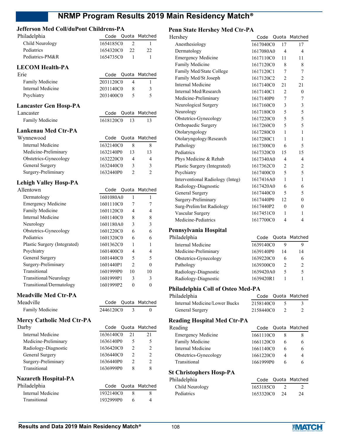# **Jefferson Med Coll/duPont Childrens-PA**

| Philadelphia                 | Quota<br>Code               | Matched                  |
|------------------------------|-----------------------------|--------------------------|
| Child Neurology              | 1654185C0<br>2              | 1                        |
| Pediatrics                   | 1654320C0<br>22             | 22                       |
| Pediatrics-PM&R              | 1654735C0<br>1              | 1                        |
| <b>LECOM Health-PA</b>       |                             |                          |
| Erie                         | Quota<br>Code               | Matched                  |
| Family Medicine              | 2031120C0<br>4              | 1                        |
| Internal Medicine            | 2031140C0<br>8              | 3                        |
| Psychiatry                   | 5<br>2031400C0              | $\overline{\phantom{0}}$ |
| <b>Lancaster Gen Hosp-PA</b> |                             |                          |
| Lancaster                    | Quota<br>Code               | Matched                  |
| Family Medicine              | 1618120C0<br>13             | 13                       |
| Lankenau Med Ctr-PA          |                             |                          |
| Wynnewood                    | Quota<br>Code               | Matched                  |
| Internal Medicine            | 1632140C0<br>8              | 8                        |
| Medicine-Preliminary         | 1632140P0<br>13             | 13                       |
| Obstetrics-Gynecology        | 1632220C0<br>4              | 4                        |
| General Surgery              | 1632440C0<br>3              | 3                        |
| Surgery-Preliminary          | 1632440P0<br>$\overline{c}$ | $\mathfrak{D}$           |
| Lehigh Valley Hosp-PA        |                             |                          |
| Allentown                    | Code<br>Quota               | Matched                  |
| Dermatology                  | 1601080A0<br>1              | 1                        |
| <b>Emergency Medicine</b>    | 1601110C0<br>7              | 7                        |
| Family Medicine              | 1601120C0<br>4              | 4                        |
| <b>Internal Medicine</b>     | 1601140C0<br>8              | 8                        |
| Neurology                    | 1601180A0<br>3              | 3                        |
| Obstetrics-Gynecology        | 1601220C0<br>6              | 6                        |
| Pediatrics                   | 1601320C0<br>6              | 6                        |
| Plastic Surgery (Integrated) | 1601362C0<br>1              | 1                        |
| Psychiatry                   | 1601400C0<br>4              | 4                        |
| General Surgery              | 1601440C0<br>5              | 5                        |
| Surgery-Preliminary          | 2<br>1601440P1              | $\theta$                 |
| Transitional                 | 1601999P0<br>10             | 10                       |
| Transitional/Neurology       | 3<br>1601999P1              | 3                        |
| Transitional/Dermatology     | 1601999P2<br>0              | 0                        |
| <b>Meadville Med Ctr-PA</b>  |                             |                          |
| Meadville                    | Code<br>Quota               | Matched                  |
| Family Medicine              | 2446120C0<br>3              | 0                        |
| Mercy Catholic Med Ctr-PA    |                             |                          |
| Darby                        | Quota<br>Code               | Matched                  |
| Internal Medicine            | 1636140C0<br>21             | 21                       |
| Medicine-Preliminary         | 1636140P0<br>5              | 5                        |
| Radiology-Diagnostic         | 1636420C0<br>2              | $\overline{c}$           |
| General Surgery              | 1636440C0<br>2              | $\overline{c}$           |
| Surgery-Preliminary          | 1636440P0<br>2              | $\overline{2}$           |
| Transitional                 | 1636999P0<br>8              | 8                        |
| <b>Nazareth Hospital-PA</b>  |                             |                          |
| Philadelphia                 | Code<br>Quota               | Matched                  |
| <b>Internal Medicine</b>     | 1932140C0<br>8              | 8                        |
| Transitional                 | 1932999P0<br>6              | 4                        |
|                              |                             |                          |

# **Penn State Hershey Med Ctr-PA**

| Hershey                          | Code      | Quota          | Matched        |
|----------------------------------|-----------|----------------|----------------|
| Anesthesiology                   | 1617040C0 | 17             | 17             |
| Dermatology                      | 1617080A0 | 4              | $\overline{4}$ |
| <b>Emergency Medicine</b>        | 1617110C0 | 11             | 11             |
| Family Medicine                  | 1617120C0 | 8              | 8              |
| Family Med/State College         | 1617120C1 | 7              | 7              |
| Family Med/St Joseph             | 1617120C2 | $\overline{2}$ | $\overline{2}$ |
| Internal Medicine                | 1617140C0 | 2.1            | 21             |
| Internal Med/Research            | 1617140C1 | $\overline{2}$ | $\theta$       |
| Medicine-Preliminary             | 1617140P0 | 7              | 7              |
| Neurological Surgery             | 1617160C0 | 3              | 3              |
| Neurology                        | 1617180C0 | 5              | 5              |
| Obstetrics-Gynecology            | 1617220C0 | 5              | 5              |
| Orthopaedic Surgery              | 1617260C0 | 5              | 5              |
| Otolaryngology                   | 1617280C0 | 1              | 1              |
| Otolaryngology/Research          | 1617280C1 | 1              | 1              |
| Pathology                        | 1617300C0 | 6              | 5              |
| Pediatrics                       | 1617320C0 | 15             | 15             |
| Phys Medicine & Rehab            | 1617340A0 | 4              | 4              |
| Plastic Surgery (Integrated)     | 1617362C0 | $\overline{c}$ | $\overline{c}$ |
| Psychiatry                       | 1617400C0 | 5              | 5              |
| Interventional Radiology (Integ) | 1617416A0 | 1              | 1              |
| Radiology-Diagnostic             | 1617420A0 | 6              | 6              |
| General Surgery                  | 1617440C0 | 5              | 5              |
| Surgery-Preliminary              | 1617440P0 | 12             | $\theta$       |
| Surg-Prelim/Int Radiology        | 1617440P2 | $\theta$       | 0              |
| Vascular Surgery                 | 1617451C0 | 1              | 1              |
| Medicine-Pediatrics              | 1617700C0 | 4              | 4              |
| Pennsylvania Hospital            |           |                |                |

#### **Pennsylvania Hospital**

| Philadelphia          |           |               | Code Quota Matched |
|-----------------------|-----------|---------------|--------------------|
| Internal Medicine     | 1639140C0 | 9             |                    |
| Medicine-Preliminary  | 1639140P0 | 14            | 14                 |
| Obstetrics-Gynecology | 1639220C0 | 6             |                    |
| Pathology             | 1639300C0 | $\mathcal{P}$ |                    |
| Radiology-Diagnostic  | 1639420A0 | 5             |                    |
| Radiology-Diagnostic  | 1639420R1 |               |                    |

# **Philadelphia Coll of Osteo Med-PA**

| Philadelphia                  |           |          | Code Quota Matched |
|-------------------------------|-----------|----------|--------------------|
| Internal Medicine/Lower Bucks | 2158140C0 | $\sim$ 5 |                    |
| General Surgery               | 2158440C0 |          |                    |

#### **Reading Hospital Med Ctr-PA**

| Reading                        |           |                | Code Ouota Matched |
|--------------------------------|-----------|----------------|--------------------|
| <b>Emergency Medicine</b>      | 1661110C0 | 8              | 8                  |
| Family Medicine                | 1661120C0 | 6              | 6                  |
| Internal Medicine              | 1661140C0 | 6              | 6                  |
| Obstetrics-Gynecology          | 1661220C0 | 4              | 4                  |
| Transitional                   | 1661999P0 | 6              | 6                  |
| <b>St Christophers Hosp-PA</b> |           |                |                    |
| Philadelphia                   | Code      |                | Ouota Matched      |
| Child Neurology                | 1653185C0 | $\mathfrak{D}$ | $\mathfrak{D}$     |
| Pediatrics                     | 1653320C0 | 24             | 24                 |
|                                |           |                |                    |

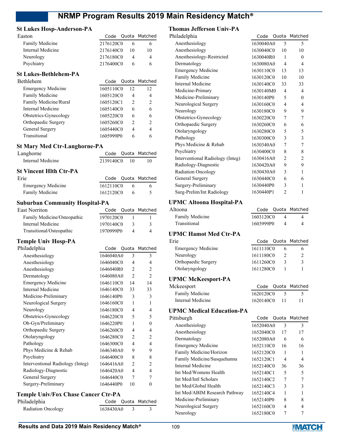#### **St Lukes Hosp-Anderson-PA**

| Easton            |           |    | Code Quota Matched |
|-------------------|-----------|----|--------------------|
| Family Medicine   | 2176120C0 |    | 6                  |
| Internal Medicine | 2176140C0 | 10 | 10                 |
| Neurology         | 2176180C0 |    | 4                  |
| Psychiatry        | 2176400C0 |    | h                  |
|                   |           |    |                    |

### **St Lukes-Bethlehem-PA**

| Bethlehem                 | Code      |               | Quota Matched |
|---------------------------|-----------|---------------|---------------|
| <b>Emergency Medicine</b> | 1605110C0 | 12            | $12^{\circ}$  |
| Family Medicine           | 1605120C0 | 4             | 4             |
| Family Medicine/Rural     | 1605120C1 | $\mathcal{P}$ | $\mathcal{P}$ |
| Internal Medicine         | 1605140C0 | 6             |               |
| Obstetrics-Gynecology     | 1605220C0 | 6             |               |
| Orthopaedic Surgery       | 1605260C0 | $\mathcal{P}$ | $\mathcal{P}$ |
| General Surgery           | 1605440C0 | 4             |               |
| Transitional              | 1605999P0 |               |               |

### **St Mary Med Ctr-Langhorne-PA**

| Langhorne         |              | Code Quota Matched |
|-------------------|--------------|--------------------|
| Internal Medicine | 2139140C0 10 |                    |

### **St Vincent Hlth Ctr-PA**

| Erie                      |           | Code Ouota Matched |
|---------------------------|-----------|--------------------|
| <b>Emergency Medicine</b> | 1612110C0 |                    |
| Family Medicine           | 1612120C0 |                    |

### **Suburban Community Hospital-PA**

| East Norriton               |           | Code Quota Matched |
|-----------------------------|-----------|--------------------|
| Family Medicine/Osteopathic | 1970120C0 |                    |
| Internal Medicine           | 1970140C0 | 3                  |
| Transitional/Osteopathic    | 1970999P0 | 4                  |

### **Temple Univ Hosp-PA**

| Philadelphia                     | Code      | Quota          | Matched          |
|----------------------------------|-----------|----------------|------------------|
| Anesthesiology                   | 1646040A0 | 3              | 3                |
| Anesthesiology                   | 1646040C0 | 4              | 4                |
| Anesthesiology                   | 1646040R0 | 2              | 2                |
| Dermatology                      | 1646080A0 | $\mathcal{D}$  | $\mathfrak{D}$   |
| <b>Emergency Medicine</b>        | 1646110C0 | 14             | 14               |
| Internal Medicine                | 1646140C0 | 33             | 33               |
| Medicine-Preliminary             | 1646140P0 | 3              | 3                |
| Neurological Surgery             | 1646160C0 | 1              | 1                |
| Neurology                        | 1646180C0 | 4              | 4                |
| Obstetrics-Gynecology            | 1646220C0 | 5              | 5                |
| Ob-Gyn/Preliminary               | 1646220P0 | 1              | $\boldsymbol{0}$ |
| Orthopaedic Surgery              | 1646260C0 | 4              | 4                |
| Otolaryngology                   | 1646280C0 | $\overline{c}$ | 2                |
| Pathology                        | 1646300C0 | 4              | 4                |
| Phys Medicine & Rehab            | 1646340A0 | 9              | 9                |
| Psychiatry                       | 1646400C0 | 8              | 8                |
| Interventional Radiology (Integ) | 1646416A0 | 2              | $\overline{c}$   |
| Radiology-Diagnostic             | 1646420A0 | 4              | 4                |
| General Surgery                  | 1646440C0 | 7              | 7                |
| Surgery-Preliminary              | 1646440P0 | 10             | 0                |
|                                  |           |                |                  |

# **Temple Univ/Fox Chase Cancer Ctr-PA**

| Philadelphia              |           | Code Quota Matched |
|---------------------------|-----------|--------------------|
| <b>Radiation Oncology</b> | 1638430A0 |                    |

# **Thomas Jefferson Univ-PA**

| Philadelphia                     | Code      | Quota          | Matched        |
|----------------------------------|-----------|----------------|----------------|
| Anesthesiology                   | 1630040A0 | 5              | 5              |
| Anesthesiology                   | 1630040C0 | 10             | 10             |
| Anesthesiology-Restricted        | 1630040R0 | 1              | $\theta$       |
| Dermatology                      | 1630080A0 | $\overline{4}$ | 4              |
| <b>Emergency Medicine</b>        | 1630110C0 | 13             | 13             |
| Family Medicine                  | 1630120C0 | 10             | 10             |
| Internal Medicine                | 1630140C0 | 33             | 33             |
| Medicine-Primary                 | 1630140M0 | 4              | 4              |
| Medicine-Preliminary             | 1630140P0 | 5              | $\theta$       |
| Neurological Surgery             | 1630160C0 | 4              | 4              |
| Neurology                        | 1630180C0 | 9              | 9              |
| Obstetrics-Gynecology            | 1630220C0 | 7              | 7              |
| Orthopaedic Surgery              | 1630260C0 | 6              | 6              |
| Otolaryngology                   | 1630280C0 | 5              | 5              |
| Pathology                        | 1630300C0 | 3              | 3              |
| Phys Medicine & Rehab            | 1630340A0 | 7              | 7              |
| Psychiatry                       | 1630400C0 | 8              | 8              |
| Interventional Radiology (Integ) | 1630416A0 | $\overline{2}$ | $\overline{c}$ |
| Radiology-Diagnostic             | 1630420A0 | 9              | 9              |
| Radiation Oncology               | 1630430A0 | 3              | 1              |
| General Surgery                  | 1630440C0 | 6              | 6              |
| Surgery-Preliminary              | 1630440P0 | 3              | 1              |
| Surg-Prelim/Int Radiology        | 1630440P1 | $\mathfrak{D}$ | 1              |
|                                  |           |                |                |

#### **UPMC Altoona Hospital-PA**

Altoona

Family Medicine Transitional

|           |  | Code Ouota Matched |
|-----------|--|--------------------|
| 1603120C0 |  |                    |
| 1603999P0 |  |                    |

#### **UPMC Hamot Med Ctr-PA**

| Erie                               |           |   | Code Quota Matched |
|------------------------------------|-----------|---|--------------------|
| <b>Emergency Medicine</b>          | 1611110C0 |   | 6                  |
| Neurology                          | 1611180C0 | 2 | 2                  |
| Orthopaedic Surgery                | 1611260C0 | 3 |                    |
| Otolaryngology                     | 1611280C0 |   |                    |
| <b>UPMC McKeesport-PA</b><br>- - - |           |   |                    |

| Mckeesport        |              |  | Code Quota Matched |
|-------------------|--------------|--|--------------------|
| Family Medicine   | 1620120C0    |  |                    |
| Internal Medicine | 1620140C0 11 |  |                    |

#### **UPMC Medical Education-PA**

| Pittsburgh                    | Code      |    | Quota Matched |
|-------------------------------|-----------|----|---------------|
| Anesthesiology                | 1652040A0 | 3  | 3             |
| Anesthesiology                | 1652040C0 | 17 | 17            |
| Dermatology                   | 1652080A0 | 6  | 6             |
| <b>Emergency Medicine</b>     | 1652110C0 | 16 | 16            |
| Family Medicine/Horizon       | 1652120C0 | 1  |               |
| Family Medicine/Susquehanna   | 1652120C1 | 4  | 4             |
| Internal Medicine             | 1652140C0 | 36 | 36            |
| Int Med/Womens Health         | 1652140C1 | 5  | 5             |
| Int Med/Intl Scholars         | 1652140C2 | 7  |               |
| Int Med/Global Health         | 1652140C3 | 3  | 3             |
| Int Med/ABIM Research Pathway | 1652140C4 | 1  |               |
| Medicine-Preliminary          | 1652140P0 | 8  | 8             |
| Neurological Surgery          | 1652160C0 | 4  |               |
| Neurology                     | 1652180C0 |    |               |
|                               |           |    |               |

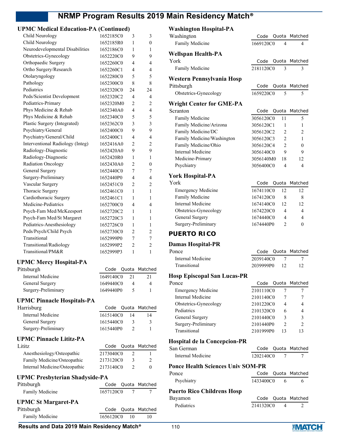## **UPMC Medical Education-PA (Continued)**

| Child Neurology                   | 1652185C0 | 3      | 3              |
|-----------------------------------|-----------|--------|----------------|
| Child Neurology                   | 1652185R0 | 1      | 0              |
| Neurodevelopmental Disabilities   | 1652186C0 | 1      | 1              |
| Obstetrics-Gynecology             | 1652220C0 | 9      | 9              |
| Orthopaedic Surgery               | 1652260C0 | 4      | 4              |
| Ortho Surgery/Research            | 1652260C1 | 4      | 4              |
| Otolaryngology                    | 1652280C0 | 5      | 5              |
| Pathology                         | 1652300C0 | 8      | 8              |
| Pediatrics                        | 1652320C0 | 24     | 24             |
| Peds/Scientist Development        | 1652320C2 | 4      | 4              |
| Pediatrics-Primary                | 1652320M0 | 2      | 2              |
| Phys Medicine & Rehab             | 1652340A0 | 4      | 4              |
| Phys Medicine & Rehab             | 1652340C0 | 5      | 5              |
| Plastic Surgery (Integrated)      | 1652362C0 | 3      | 3              |
| Psychiatry/General                | 1652400C0 | 9      | 9              |
| Psychiatry/General/Child          | 1652400C1 | 4      | 4              |
| Interventional Radiology (Integ)  | 1652416A0 | 2      | 2              |
| Radiology-Diagnostic              | 1652420A0 | 9      | 9              |
| Radiology-Diagnostic              | 1652420R0 | 1      | 1              |
| <b>Radiation Oncology</b>         | 1652430A0 | 2      | 0              |
| General Surgery                   | 1652440C0 | 7      | 7              |
| Surgery-Preliminary               | 1652440P0 | 4      | 4              |
| Vascular Surgery                  | 1652451C0 | 2      | 2              |
| Thoracic Surgery                  | 1652461C0 | 1      | 1              |
| Cardiothoracic Surgery            | 1652461C1 | 1      | 1              |
| Medicine-Pediatrics               | 1652700C0 | 4      | 4              |
| Psych-Fam Med/McKeesport          | 1652720C2 | 1      | 1              |
| Psych-Fam Med/St Margaret         | 1652720C3 | 1      | 1              |
| Pediatrics-Anesthesiology         | 1652726C0 | 1      | 1              |
| Peds/Psych/Child Psych            | 1652730C0 | 2      | 2              |
| Transitional                      | 1652999P0 | 7      | 7              |
| Transitional/Radiology            | 1652999P2 | 2      | $\overline{2}$ |
| Transitional/PM&R                 | 1652999P3 | 1      | 1              |
| <b>UPMC Mercy Hospital-PA</b>     |           |        |                |
| Pittsburgh                        | Code      | Quota  | Matched        |
| <b>Internal Medicine</b>          | 1649140C0 | 21     | 21             |
|                                   | 1649440C0 |        |                |
| General Surgery                   |           | 4<br>5 | 4<br>1         |
| Surgery-Preliminary               | 1649440P0 |        |                |
| <b>UPMC Pinnacle Hospitals-PA</b> |           |        |                |
| Harrisburg                        | Code      | Quota  | Matched        |
| Internal Medicine                 | 1615140C0 | 14     | 14             |
| General Surgery                   | 1615440C0 | 3      | 3              |
| Surgery-Preliminary               | 1615440P0 | 2      | 1              |
| <b>UPMC Pinnacle Lititz-PA</b>    |           |        |                |
| Lititz                            |           | Quota  | Matched        |
|                                   | Code      |        |                |
| Anesthesiology/Osteopathic        | 2173040C0 | 2      | 1              |
| Family Medicine/Osteopathic       | 2173120C0 | 3      | 2              |
| Internal Medicine/Osteopathic     | 2173140C0 | 2      | 0              |
| UPMC Presbyterian Shadyside-PA    |           |        |                |
| Pittsburgh                        | Code      | Quota  | Matched        |
| Family Medicine                   | 1657120C0 | 7      | 7              |
|                                   |           |        |                |
| <b>UPMC St Margaret-PA</b>        |           |        |                |
| Pittsburgh                        | Code      | Quota  | Matched        |
| Family Medicine                   | 1656120C0 | 10     | 10             |
|                                   |           |        |                |

# **Washington Hospital-PA**

| Washington                                     | Code                   | Ouota   | Matched       |
|------------------------------------------------|------------------------|---------|---------------|
| Family Medicine                                | 1669120C0              | 4       | 4             |
| Wellspan Health-PA                             |                        |         |               |
| York                                           | Code                   | Quota   | Matched       |
| Family Medicine                                | 2181120C0              | 3       | 3             |
|                                                |                        |         |               |
| Western Pennsylvania Hosp                      |                        |         |               |
| Pittsburgh                                     | Code                   | Quota   | Matched       |
| Obstetrics-Gynecology                          | 1659220C0              | 5       | 5             |
| <b>Wright Center for GME-PA</b>                |                        |         |               |
| Scranton                                       | Code                   | Quota   | Matched       |
| Family Medicine                                | 3056120C0              | 11      | 5             |
| Family Medicine/Arizona                        | 3056120C1              | 1       | 1             |
| Family Medicine/DC                             | 3056120C2              | 2       | 2             |
| Family Medicine/Washington                     | 3056120C3              | 2       | 1             |
| Family Medicine/Ohio                           | 3056120C4              | 2       | 0             |
| <b>Internal Medicine</b>                       | 3056140C0              | 9       | 9             |
| Medicine-Primary                               | 3056140M0              | 18      | 12            |
| Psychiatry                                     | 3056400C0              | 4       | 4             |
|                                                |                        |         |               |
| <b>York Hospital-PA</b><br>York                |                        |         | Matched       |
|                                                | Code                   | Quota   |               |
| <b>Emergency Medicine</b>                      | 1674110C0              | 12      | 12            |
| Family Medicine<br><b>Internal Medicine</b>    | 1674120C0              | 8<br>12 | 8<br>12       |
| Obstetrics-Gynecology                          | 1674140C0<br>1674220C0 | 4       | 4             |
| General Surgery                                | 1674440C0              | 4       | 4             |
| Surgery-Preliminary                            | 1674440P0              | 2       | $\theta$      |
|                                                |                        |         |               |
| <b>PUERTO RICO</b>                             |                        |         |               |
| <b>Damas Hospital-PR</b>                       |                        |         |               |
| Ponce                                          | Code                   |         | Quota Matched |
| <b>Internal Medicine</b>                       | 2039140C0              | 7       | 7             |
| Transitional                                   | 2039999P0              | 12      | 12            |
|                                                |                        |         |               |
| Hosp Episcopal San Lucas-PR                    | Code                   | Quota   | Matched       |
| Ponce                                          |                        |         |               |
| <b>Emergency Medicine</b><br>Internal Medicine | 2101110C0<br>2101140C0 | 7<br>7  | 7             |
|                                                | 2101220C0              | 4       | 7<br>4        |
| Obstetrics-Gynecology<br>Pediatrics            | 2101320C0              | 6       | 4             |
| General Surgery                                | 2101440C0              | 3       | 3             |
| Surgery-Preliminary                            | 2101440P0              | 2       | 2             |
| Transitional                                   | 2101999P0              | 13      | 13            |
|                                                |                        |         |               |
| Hospital de la Concepcion-PR                   |                        |         |               |
| San German                                     | Code                   | Quota   | Matched       |
| <b>Internal Medicine</b>                       | 1202140C0              | 7       | 7             |
| <b>Ponce Health Sciences Univ SOM-PR</b>       |                        |         |               |
| Ponce                                          | Code                   | Quota   | Matched       |
| Psychiatry                                     | 1433400C0              | 6       | 6             |
|                                                |                        |         |               |
| <b>Puerto Rico Childrens Hosp</b>              |                        |         |               |
| Bayamon                                        | Code                   | Quota   | Matched       |
| Pediatrics                                     | 2141320C0              | 4       | 2             |
|                                                |                        |         |               |

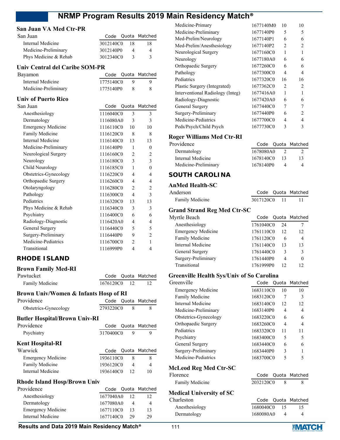## **San Juan VA Med Ctr-PR**

| San Juan              |           |     | Code Quota Matched |
|-----------------------|-----------|-----|--------------------|
| Internal Medicine     | 3012140C0 | -18 | 18.                |
| Medicine-Preliminary  | 3012140P0 |     | $\Delta$           |
| Phys Medicine & Rehab | 3012340C0 |     |                    |

#### **Univ Central del Caribe SOM-PR**

| Bayamon              |           | Code Ouota Matched |
|----------------------|-----------|--------------------|
| Internal Medicine    | 1775140C0 |                    |
| Medicine-Preliminary | 1775140P0 | X.                 |

#### **Univ of Puerto Rico**

| San Juan                  | Code      |                | Quota Matched  |
|---------------------------|-----------|----------------|----------------|
| Anesthesiology            | 1116040C0 | 3              | 3              |
| Dermatology               | 1116080A0 | 3              | 3              |
| <b>Emergency Medicine</b> | 1116110C0 | 10             | 10             |
| Family Medicine           | 1116120C0 | 8              | 8              |
| Internal Medicine         | 1116140C0 | 13             | 13             |
| Medicine-Preliminary      | 1116140P0 | 1              | $\theta$       |
| Neurological Surgery      | 1116160C0 | $\overline{c}$ | 2              |
| Neurology                 | 1116180C0 | 3              | 3              |
| Child Neurology           | 1116185C0 | 1              | $\theta$       |
| Obstetrics-Gynecology     | 1116220C0 | 4              | 4              |
| Orthopaedic Surgery       | 1116260C0 | 4              | 4              |
| Otolaryngology            | 1116280C0 | $\mathfrak{D}$ | $\overline{2}$ |
| Pathology                 | 1116300C0 | 4              | 3              |
| Pediatrics                | 1116320C0 | 13             | 13             |
| Phys Medicine & Rehab     | 1116340C0 | 3              | 3              |
| Psychiatry                | 1116400C0 | 6              | 6              |
| Radiology-Diagnostic      | 1116420A0 | 4              | 4              |
| General Surgery           | 1116440C0 | 5              | 5              |
| Surgery-Preliminary       | 1116440P0 | 9              | $\mathfrak{D}$ |
| Medicine-Pediatrics       | 1116700C0 | 2              | 1              |
| Transitional              | 1116999P0 | 4              | 4              |

### **RHODE ISLAND**

#### **Brown Family Med-RI**

| Pawtucket       |              | Code Quota Matched |
|-----------------|--------------|--------------------|
| Family Medicine | 1676120C0 12 |                    |

#### **Brown Univ/Women & Infants Hosp of RI**

| Providence                           |           | Code Quota Matched |
|--------------------------------------|-----------|--------------------|
| Obstetrics-Gynecology                | 2793220C0 |                    |
| <b>Butler Hospital/Brown Univ-RI</b> |           |                    |
| Providence                           |           | Code Quota Matched |
| Psychiatry                           | 3170400C0 |                    |

#### **Kent Hospital-RI**

| Warwick                   |           |    | Code Quota Matched |
|---------------------------|-----------|----|--------------------|
| <b>Emergency Medicine</b> | 1936110C0 |    | x                  |
| Family Medicine           | 1936120C0 |    | 4                  |
| Internal Medicine         | 1936140C0 | 12 | 10                 |

#### **Rhode Island Hosp/Brown Univ**

| Providence                |           |                 | Code Quota Matched |
|---------------------------|-----------|-----------------|--------------------|
| Anesthesiology            | 1677040A0 | $\overline{12}$ |                    |
| Dermatology               | 1677080A0 |                 |                    |
| <b>Emergency Medicine</b> | 1677110C0 | 13              | 13                 |
| Internal Medicine         | 1677140C0 | 29              | 29                 |

| 3              | Neurology                        | 1677180A0 | 6              | 6              |
|----------------|----------------------------------|-----------|----------------|----------------|
|                | Orthopaedic Surgery              | 1677260C0 | 6              | 6              |
| tched          | Pathology                        | 1677300C0 | 4              | 4              |
| 9              | Pediatrics                       | 1677320C0 | 16             | 16             |
| 8              | Plastic Surgery (Integrated)     | 1677362C0 | $\overline{2}$ | $\overline{c}$ |
|                | Interventional Radiology (Integ) | 1677416A0 | 1              |                |
|                | Radiology-Diagnostic             | 1677420A0 | 6              | 6              |
| tched          | General Surgery                  | 1677440C0 | 7              | 7              |
| 3              | Surgery-Preliminary              | 1677440P0 | 6              | 2              |
| 3              | Medicine-Pediatrics              | 1677700C0 | 4              | 4              |
| 10             | Peds/Psych/Child Psych           | 1677730C0 | 3              | 3              |
| 8              |                                  |           |                |                |
| 13             | <b>Roger Williams Med Ctr-RI</b> |           |                |                |
| $\theta$       | Providence                       | Code      |                | Quota Matched  |
| $\overline{c}$ | Dermatology                      | 1678080A0 | $\mathcal{L}$  | 2              |
| 3              | Internal Medicine                | 1678140C0 | 13             | 13             |
| $\Omega$       | Medicine-Preliminary             | 1678140P0 | 4              | 4              |
|                |                                  |           |                |                |

#### **SOUTH CAROLINA**

#### **AnMed Health-SC**

| Anderson        |              | Code Ouota Matched |
|-----------------|--------------|--------------------|
| Family Medicine | 3017120C0 11 |                    |

Medicine-Primary 1677140M0 10 10 Medicine-Preliminary 1677140P0 5 5 Med-Prelim/Neurology 1677140P1 6 6 Med-Prelim/Anesthesiology 1677140P2 2 2 Neurological Surgery 1677160C0 1 1

#### **Grand Strand Reg Med Ctr-SC**

| Myrtle Beach              | Code      |    | Quota Matched |
|---------------------------|-----------|----|---------------|
| Anesthesiology            | 1761040C0 | 24 |               |
| <b>Emergency Medicine</b> | 1761110C0 | 12 | 12            |
| Family Medicine           | 1761120C0 | 6  |               |
| Internal Medicine         | 1761140C0 | 13 | 13            |
| General Surgery           | 1761440C0 | 3  | 3             |
| Surgery-Preliminary       | 1761440P0 | 4  |               |
| Transitional              | 1761999P0 | 12 |               |

#### **Greenville Health Sys/Univ of So Carolina**

| Greenville                |           |                          | Code Ouota Matched |
|---------------------------|-----------|--------------------------|--------------------|
| <b>Emergency Medicine</b> | 1683110C0 | 10                       | 10                 |
| <b>Family Medicine</b>    | 1683120C0 | 7                        | 3                  |
| Internal Medicine         | 1683140C0 | 12                       | 12                 |
| Medicine-Preliminary      | 1683140P0 | 4                        | 4                  |
| Obstetrics-Gynecology     | 1683220C0 | 6                        | 6                  |
| Orthopaedic Surgery       | 1683260C0 | 4                        | 4                  |
| Pediatrics                | 1683320C0 | 11                       | 11                 |
| Psychiatry                | 1683400C0 | 5                        | 5                  |
| General Surgery           | 1683440C0 | 6                        | 6                  |
| Surgery-Preliminary       | 1683440P0 | 3                        |                    |
| Medicine-Pediatrics       | 1683700C0 | $\overline{\mathcal{L}}$ | 5                  |
| McLeod Reg Med Ctr-SC     |           |                          |                    |

# Florence Code Quota Matched Family Medicine 2032120C0 8 8 **Medical University of SC** Charleston Code Quota Matched

| Anesthesiology | 1680040C0 | -15 |  |
|----------------|-----------|-----|--|
| Dermatology    | 1680080A0 |     |  |
|                |           |     |  |

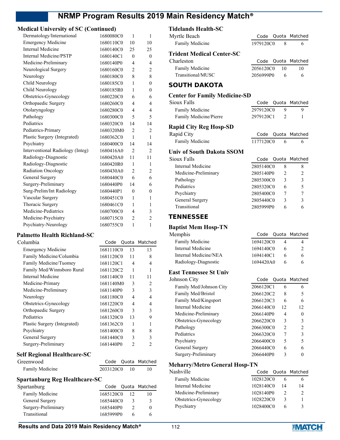#### **Medical University of SC (Continued)**

| Dermatology/International        | 1680080C0 | 1              | $\mathbf{1}$     |
|----------------------------------|-----------|----------------|------------------|
| <b>Emergency Medicine</b>        | 1680110C0 | 10             | 10               |
| Internal Medicine                | 1680140C0 | 25             | 25               |
| Internal Medicine/PSTP           | 1680140C1 | $\theta$       | $\theta$         |
| Medicine-Preliminary             | 1680140P0 | $\overline{4}$ | 4                |
| Neurological Surgery             | 1680160C0 | $\overline{c}$ | 2                |
| Neurology                        | 1680180C0 | 8              | 8                |
| Child Neurology                  | 1680185C0 | 1              | $\theta$         |
| Child Neurology                  | 1680185R0 | 1              | $\mathbf{0}$     |
| Obstetrics-Gynecology            | 1680220C0 | 6              | 6                |
| Orthopaedic Surgery              | 1680260C0 | 4              | 4                |
| Otolaryngology                   | 1680280C0 | 4              | 4                |
| Pathology                        | 1680300C0 | 5              | 5                |
| Pediatrics                       | 1680320C0 | 14             | 14               |
| Pediatrics-Primary               | 1680320M0 | 2              | $\overline{c}$   |
| Plastic Surgery (Integrated)     | 1680362C0 | 1              | 1                |
| Psychiatry                       | 1680400C0 | 14             | 14               |
| Interventional Radiology (Integ) | 1680416A0 | $\overline{c}$ | 2                |
| Radiology-Diagnostic             | 1680420A0 | 11             | 11               |
| Radiology-Diagnostic             | 1680420R0 | 1              | 1                |
| Radiation Oncology               | 1680430A0 | 2              | 2                |
| General Surgery                  | 1680440C0 | 6              | 6                |
| Surgery-Preliminary              | 1680440P0 | 14             | 6                |
| Surg-Prelim/Int Radiology        | 1680440P1 | $\theta$       | $\boldsymbol{0}$ |
| Vascular Surgery                 | 1680451C0 | 1              | 1                |
| Thoracic Surgery                 | 1680461C0 | 1              | 1                |
| Medicine-Pediatrics              | 1680700C0 | 4              | 3                |
| Medicine-Psychiatry              | 1680715C0 | $\overline{2}$ | $\overline{c}$   |
| Psychiatry-Neurology             | 1680755C0 | 1              | $\mathbf{1}$     |

#### **Palmetto Health Richland-SC**

| Code | Quota        | Matched                                                                                                                                                                                         |
|------|--------------|-------------------------------------------------------------------------------------------------------------------------------------------------------------------------------------------------|
|      | 13           | 13                                                                                                                                                                                              |
|      | 11           | 8                                                                                                                                                                                               |
|      | 4            | 4                                                                                                                                                                                               |
|      | 1            |                                                                                                                                                                                                 |
|      | 11           | 11                                                                                                                                                                                              |
|      | 3            | $\mathfrak{D}$                                                                                                                                                                                  |
|      | 3            | 3                                                                                                                                                                                               |
|      | 4            | 4                                                                                                                                                                                               |
|      | 4            | 4                                                                                                                                                                                               |
|      | $\mathbf{3}$ | 3                                                                                                                                                                                               |
|      | 13           | 9                                                                                                                                                                                               |
|      | 1            |                                                                                                                                                                                                 |
|      | 8            | 8                                                                                                                                                                                               |
|      | 3            | 3                                                                                                                                                                                               |
|      | 2            | 2                                                                                                                                                                                               |
|      |              | 1681110C0<br>1681120C0<br>1681120C1<br>1681120C2<br>1681140C0<br>1681140M0<br>1681140P0<br>1681180C0<br>1681220C0<br>1681260C0<br>1681320C0<br>1681362C0<br>1681400C0<br>1681440C0<br>1681440P0 |

### **Self Regional Healthcare-SC**

| Greenwood                            |           |  |      | Code Quota Matched |  |  |
|--------------------------------------|-----------|--|------|--------------------|--|--|
| Family Medicine                      | 2033120C0 |  | - 10 | 10                 |  |  |
| <b>Spartanburg Reg Healthcare-SC</b> |           |  |      |                    |  |  |

| Spartanburg         |           |   | Code Quota Matched |
|---------------------|-----------|---|--------------------|
| Family Medicine     | 1685120C0 |   | 10                 |
| General Surgery     | 1685440C0 | 3 |                    |
| Surgery-Preliminary | 1685440P0 |   |                    |
| Transitional        | 1685999P0 |   |                    |

# **Tidelands Health-SC**

| Myrtle Beach                                        | Code      | Quota                   | Matched          |
|-----------------------------------------------------|-----------|-------------------------|------------------|
| Family Medicine                                     | 1979120C0 | 8                       | 6                |
| <b>Trident Medical Center-SC</b>                    |           |                         |                  |
| Charleston                                          | Code      |                         | Quota Matched    |
| Family Medicine                                     | 2056120C0 | 10                      | 10               |
| Transitional/MUSC                                   | 2056999P0 | 6                       | 6                |
| <b>SOUTH DAKOTA</b>                                 |           |                         |                  |
|                                                     |           |                         |                  |
| <b>Center for Family Medicine-SD</b><br>Sioux Falls |           |                         |                  |
|                                                     | Code      |                         | Quota Matched    |
| Family Medicine                                     | 2979120C0 | 9                       | 9                |
| Family Medicine/Pierre                              | 2979120C1 | 2                       | 1                |
| <b>Rapid City Reg Hosp-SD</b>                       |           |                         |                  |
| Rapid City                                          | Code      |                         | Quota Matched    |
| Family Medicine                                     | 1177120C0 | 6                       | 6                |
| <b>Univ of South Dakota SSOM</b>                    |           |                         |                  |
| <b>Sioux Falls</b>                                  | Code      |                         | Quota Matched    |
| Internal Medicine                                   | 2805140C0 | 8                       | 8                |
| Medicine-Preliminary                                | 2805140P0 | $\overline{c}$          | $\overline{2}$   |
| Pathology                                           | 2805300C0 | 3                       | 3                |
| Pediatrics                                          | 2805320C0 | 6                       | 5                |
| Psychiatry                                          | 2805400C0 | 7                       | 7                |
| General Surgery                                     | 2805440C0 | 3                       | 3                |
| Transitional                                        | 2805999P0 | 6                       | 6                |
| <b>TENNESSEE</b>                                    |           |                         |                  |
| <b>Baptist Mem Hosp-TN</b>                          |           |                         |                  |
| Memphis                                             | Code      |                         | Quota Matched    |
| Family Medicine                                     | 1694120C0 | 4                       | 4                |
| <b>Internal Medicine</b>                            | 1694140C0 | 6                       | 2                |
| Internal Medicine/NEA                               | 1694140C1 | 6                       | 6                |
| Radiology-Diagnostic                                | 1694420A0 | 6                       | 6                |
| <b>East Tennessee St Univ</b>                       |           |                         |                  |
| Johnson City                                        | Code      | Quota                   | Matched          |
| Family Med/Johnson City                             | 2066120C1 | 6                       | 6                |
| Family Med/Bristol                                  | 2066120C2 | 8                       | 5                |
| Family Med/Kingsport                                | 2066120C3 | 6                       | 6                |
| <b>Internal Medicine</b>                            | 2066140C0 | 12                      | 12               |
| Medicine-Preliminary                                | 2066140P0 | 4                       | $\theta$         |
| Obstetrics-Gynecology                               | 2066220C0 | 3                       | 3                |
| Pathology                                           | 2066300C0 | $\overline{\mathbf{c}}$ | $\overline{c}$   |
| Pediatrics                                          | 2066320C0 | 7                       | 3                |
| Psychiatry                                          | 2066400C0 | 5                       | 5                |
| General Surgery                                     | 2066440C0 | 6                       | 6                |
| Surgery-Preliminary                                 | 2066440P0 | 3                       | $\boldsymbol{0}$ |

# **Meharry/Metro General Hosp-TN**

| Nashville             |           |    | Code Quota Matched |
|-----------------------|-----------|----|--------------------|
| Family Medicine       | 1028120C0 |    |                    |
| Internal Medicine     | 1028140C0 | 14 | 14                 |
| Medicine-Preliminary  | 1028140P0 |    |                    |
| Obstetrics-Gynecology | 1028220C0 | 3  |                    |
| Psychiatry            | 1028400C0 | h  |                    |
|                       |           |    |                    |

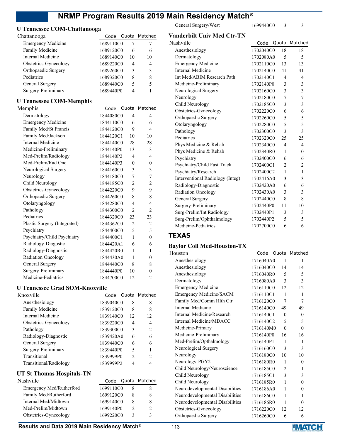### **U Tennessee COM-Chattanooga**

| Chattanooga               | Code      |    | Ouota Matched |
|---------------------------|-----------|----|---------------|
| <b>Emergency Medicine</b> | 1689110C0 |    |               |
| Family Medicine           | 1689120C0 | 6  | 6             |
| Internal Medicine         | 1689140C0 | 10 | 10            |
| Obstetrics-Gynecology     | 1689220C0 | 4  |               |
| Orthopaedic Surgery       | 1689260C0 | 3  |               |
| Pediatrics                | 1689320C0 | 8  | 8             |
| General Surgery           | 1689440C0 | 5  |               |
| Surgery-Preliminary       | 1689440P0 |    |               |

### **U Tennessee COM-Memphis**

| Memphis                      | Code      | Quota          | Matched        |
|------------------------------|-----------|----------------|----------------|
| Dermatology                  | 1844080C0 | 4              | 4              |
| <b>Emergency Medicine</b>    | 1844110C0 | 6              | 6              |
| Family Med/St Francis        | 1844120C0 | 9              | 4              |
| Family Med/Jackson           | 1844120C1 | 10             | 10             |
| Internal Medicine            | 1844140C0 | 28             | 28             |
| Medicine-Preliminary         | 1844140P0 | 13             | 13             |
| Med-Prelim/Radiology         | 1844140P2 | 4              | 4              |
| Med-Prelim/Rad Onc           | 1844140P3 | $\theta$       | $\mathbf{0}$   |
| Neurological Surgery         | 1844160C0 | 3              | 3              |
| Neurology                    | 1844180C0 | 7              | 7              |
| Child Neurology              | 1844185C0 | 2              | $\overline{c}$ |
| Obstetrics-Gynecology        | 1844220C0 | 9              | 9              |
| Orthopaedic Surgery          | 1844260C0 | 8              | 8              |
| Otolaryngology               | 1844280C0 | 4              | $\overline{4}$ |
| Pathology                    | 1844300C0 | $\overline{2}$ | $\overline{2}$ |
| Pediatrics                   | 1844320C0 | 23             | 23             |
| Plastic Surgery (Integrated) | 1844362C0 | $\overline{2}$ | $\overline{c}$ |
| Psychiatry                   | 1844400C0 | 5              | 5              |
| Psychiatry/Child Psychiatry  | 1844400C1 | 1              | $\theta$       |
| Radiology-Diagostic          | 1844420A1 | 6              | 6              |
| Radiology-Diagnostic         | 1844420R0 | 1              | 1              |
| Radiation Oncology           | 1844430A0 | 1              | $\theta$       |
| General Surgery              | 1844440C0 | 8              | 8              |
| Surgery-Preliminary          | 1844440P0 | 10             | $\theta$       |
| Medicine-Pediatrics          | 1844700C0 | 12             | 12             |

#### **U Tennessee Grad SOM-Knoxville**

| Knoxville              | Code      |    | Ouota Matched |
|------------------------|-----------|----|---------------|
| Anesthesiology         | 1839040C0 | 8  | 8             |
| Family Medicine        | 1839120C0 | 8  | 8             |
| Internal Medicine      | 1839140C0 | 12 | 12            |
| Obstetrics-Gynecology  | 1839220C0 | 4  | 4             |
| Pathology              | 1839300C0 | 3  | 2             |
| Radiology-Diagnostic   | 1839420A0 | 6  | 6             |
| General Surgery        | 1839440C0 | 6  |               |
| Surgery-Preliminary    | 1839440P0 | 5  |               |
| Transitional           | 1839999P0 | 2  | 2             |
| Transitional/Radiology | 1839999P2 |    |               |

### **UT St Thomas Hospitals-TN**

| Nashville                |           |   | Code Quota Matched |
|--------------------------|-----------|---|--------------------|
| Emergency Med/Rutherford | 1699110C0 |   |                    |
| Family Med/Rutherford    | 1699120C0 |   | x                  |
| Internal Med/Midtown     | 1699140C0 | x | 8                  |
| Med-Prelim/Midtown       | 1699140P0 |   | $\mathcal{D}$      |
| Obstetrics-Gynecology    | 1699220C0 |   | κ                  |

General Surgery/West 1699440C0 3 3

#### **Vanderbilt Univ Med Ctr-TN**

| Nashville                        | Code      | Quota          | Matched        |
|----------------------------------|-----------|----------------|----------------|
| Anesthesiology                   | 1702040C0 | 18             | 18             |
| Dermatology                      | 1702080A0 | 5              | 5              |
| <b>Emergency Medicine</b>        | 1702110C0 | 13             | 13             |
| Internal Medicine                | 1702140C0 | 41             | 41             |
| Int Med/ABIM Research Path       | 1702140C1 | 4              | 4              |
| Medicine-Preliminary             | 1702140P0 | 3              | 3              |
| Neurological Surgery             | 1702160C0 | 3              | 3              |
| Neurology                        | 1702180C0 | 7              | 7              |
| Child Neurology                  | 1702185C0 | 3              | 3              |
| Obstetrics-Gynecology            | 1702220C0 | 6              | 6              |
| Orthopaedic Surgery              | 1702260C0 | 5              | 5              |
| Otolaryngology                   | 1702280C0 | 5              | 5              |
| Pathology                        | 1702300C0 | 3              | 3              |
| Pediatrics                       | 1702320C0 | 25             | 25             |
| Phys Medicine & Rehab            | 1702340C0 | 4              | 4              |
| Phys Medicine & Rehab            | 1702340R0 | 1              | $\theta$       |
| Psychiatry                       | 1702400C0 | 6              | 6              |
| Psychiatry/Child Fast Track      | 1702400C1 | $\overline{c}$ | $\overline{2}$ |
| Psychiatry/Research              | 1702400C2 | 1              | $\mathbf{1}$   |
| Interventional Radiology (Integ) | 1702416A0 | 3              | 3              |
| Radiology-Diagnostic             | 1702420A0 | 6              | 6              |
| Radiation Oncology               | 1702430A0 | 3              | 3              |
| General Surgery                  | 1702440C0 | 8              | 8              |
| Surgery-Preliminary              | 1702440P0 | 11             | 10             |
| Surg-Prelim/Int Radiology        | 1702440P1 | 3              | 3              |
| Surg-Prelim/Ophthalmology        | 1702440P2 | 5              | 5              |
| Medicine-Pediatrics              | 1702700C0 | 6              | 6              |

# **TEXAS**

## **Baylor Coll Med-Houston-TX**

| Houston                         | Code      | Quota          | Matched  |
|---------------------------------|-----------|----------------|----------|
| Anesthesiology                  | 1716040A0 | 1              | 1        |
| Anesthesiology                  | 1716040C0 | 14             | 14       |
| Anesthesiology                  | 1716040R0 | 5              | 5        |
| Dermatology                     | 1716080A0 | 3              | 3        |
| <b>Emergency Medicine</b>       | 1716110C0 | 12             | 12       |
| Emergency Medicine/SACM         | 1716110C1 | 1              | 1        |
| Family Med/Comm Hlth Ctr        | 1716120C0 | 7              | 7        |
| Internal Medicine               | 1716140C0 | 49             | 49       |
| Internal Medicine/Research      | 1716140C1 | $\theta$       | 0        |
| Internal Medicine/MDACC         | 1716140C2 | 5              | 5        |
| Medicine-Primary                | 1716140M0 | $\theta$       | $\theta$ |
| Medicine-Preliminary            | 1716140P0 | 16             | 16       |
| Med-Prelim/Opthalmology         | 1716140P1 | 1              | 1        |
| Neurological Surgery            | 1716160C0 | 3              | 3        |
| Neurology                       | 1716180C0 | 10             | 10       |
| Neurology-PGY2                  | 1716180R0 | 1              | 0        |
| Child Neurology/Neuroscience    | 1716185C0 | $\overline{2}$ | 1        |
| Child Neurology                 | 1716185C1 | 3              | 3        |
| Child Neurology                 | 1716185R0 | 1              | $\theta$ |
| Neurodevelopmental Disabilities | 1716186A0 | 1              | $\theta$ |
| Neurodevelopmental Disabilities | 1716186C0 | 1              | 1        |
| Neurodevelopmental Disabilities | 1716186R0 | 1              | $\theta$ |
| Obstetrics-Gynecology           | 1716220C0 | 12             | 12.      |
| Orthopaedic Surgery             | 1716260C0 | 6              | 6        |
|                                 |           |                |          |

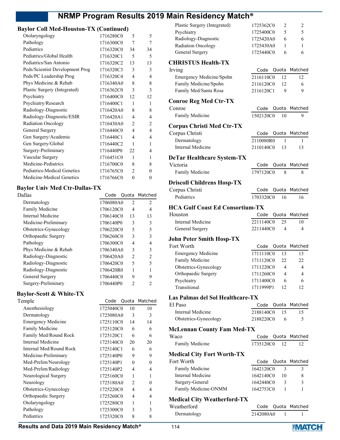# **Baylor Coll Med-Houston-TX (Continued)**

| Payfor Con McG-Houston-TA (Continueu) |           |                |                |
|---------------------------------------|-----------|----------------|----------------|
| Otolaryngology                        | 1716280C0 | 5              | 5              |
| Pathology                             | 1716300C0 | 7              | 7              |
| Pediatrics                            | 1716320C0 | 34             | 34             |
| Pediatrics/Global Health              | 1716320C1 | 5              | 5              |
| Pediatrics/San Antonio                | 1716320C2 | 13             | 13             |
| Peds/Scientist Development Prog       | 1716320C3 | 3              | 3              |
| Peds/PC Leadership Prog               | 1716320C4 | $\overline{4}$ | 4              |
| Phys Medicine & Rehab                 | 1716340A0 | 8              | 8              |
| Plastic Surgery (Integrated)          | 1716362C0 | 3              | 3              |
| Psychiatry                            | 1716400C0 | 12             | 12             |
| Psychiatry/Research                   | 1716400C1 | 1              | 1              |
| Radiology-Diagnostic                  | 1716420A0 | 8              | 8              |
| Radiology-Diagnostic/ESIR             | 1716420A1 | $\overline{4}$ | 4              |
| Radiation Oncology                    | 1716430A0 | $\overline{2}$ | 2              |
| General Surgery                       | 1716440C0 | $\overline{4}$ | $\overline{4}$ |
| Gen Surgery/Academic                  | 1716440C1 | $\overline{4}$ | 4              |
| Gen Surgery/Global                    | 1716440C2 | 1              | $\mathbf{1}$   |
| Surgery-Preliminary                   | 1716440P0 | 22.            | 4              |
| Vascular Surgery                      | 1716451C0 | 1              | 1              |
| Medicine-Pediatrics                   | 1716700C0 | 8              | 8              |
| Pediatrics-Medical Genetics           | 1716765C0 | $\overline{c}$ | $\theta$       |
| Medicine-Medical Genetics             | 1716766C0 | $\theta$       | $\theta$       |
|                                       |           |                |                |

# **Baylor Univ Med Ctr-Dallas-TX**

| Dallas                | Code      |                | Ouota Matched  |
|-----------------------|-----------|----------------|----------------|
| Dermatology           | 1706080A0 | $\overline{2}$ | $\overline{c}$ |
| Family Medicine       | 1706120C0 | 4              | 4              |
| Internal Medicine     | 1706140C0 | 13             | 13             |
| Medicine-Preliminary  | 1706140P0 | 3              | 3              |
| Obstetrics-Gynecology | 1706220C0 | 5              | 5              |
| Orthopaedic Surgery   | 1706260C0 | 3              | 3              |
| Pathology             | 1706300C0 | 4              | 4              |
| Phys Medicine & Rehab | 1706340A0 | 3              | 3              |
| Radiology-Diagnostic  | 1706420A0 | 2              | 2              |
| Radiology-Diagnostic  | 1706420C0 | 5              | 5              |
| Radiology-Diagnostic  | 1706420R0 | 1              |                |
| General Surgery       | 1706440C0 | 9              | 9              |
| Surgery-Preliminary   | 1706440P0 | C              |                |

### **Baylor-Scott & White-TX**

| Temple                    | Code      | Quota          | Matched  |
|---------------------------|-----------|----------------|----------|
| Anesthesiology            | 1725040C0 | 10             | 10       |
| Dermatology               | 1725080A0 | 3              | 3        |
| <b>Emergency Medicine</b> | 1725110C0 | 14             | 14       |
| <b>Family Medicine</b>    | 1725120C0 | 6              | 6        |
| Family Med/Round Rock     | 1725120C1 | 6              | 6        |
| Internal Medicine         | 1725140C0 | 20             | 20       |
| Internal Med/Round Rock   | 1725140C1 | 6              | 6        |
| Medicine-Preliminary      | 1725140P0 | 9              | 9        |
| Med-Prelim/Neurology      | 1725140P1 | 0              | $\Omega$ |
| Med-Prelim/Radiology      | 1725140P2 | 4              | 4        |
| Neurological Surgery      | 1725160C0 | 1              | 1        |
| Neurology                 | 1725180A0 | $\mathfrak{D}$ | $\Omega$ |
| Obstetrics-Gynecology     | 1725220C0 | 4              | 4        |
| Orthopaedic Surgery       | 1725260C0 | 4              | 4        |
| Otolaryngology            | 1725280C0 | 1              |          |
| Pathology                 | 1725300C0 | 3              | 3        |
| Pediatrics                | 1725320C0 | 8              | 8        |

| Plastic Surgery (Integrated)                | 1725362C0      | 2     | 2       |
|---------------------------------------------|----------------|-------|---------|
| Psychiatry                                  | 5<br>1725400C0 |       | 5       |
| Radiology-Diagnostic                        | 6<br>1725420A0 |       | 6       |
| Radiation Oncology                          | 1725430A0<br>1 |       | 1       |
| General Surgery                             | 1725440C0<br>6 |       | 6       |
|                                             |                |       |         |
| <b>CHRISTUS Health-TX</b>                   |                |       |         |
| Irving                                      | Code           | Quota | Matched |
| Emergency Medicine/Spohn                    | 2116110C0      | 12    | 12      |
| Family Medicine/Spohn                       | 2116120C0      | 12    | 6       |
| Family Med/Santa Rosa                       | 2116120C1      | 9     | 9       |
| <b>Conroe Reg Med Ctr-TX</b>                |                |       |         |
| Conroe                                      | Code           | Quota | Matched |
|                                             | 1502120C0      |       |         |
| Family Medicine                             |                | 10    | 9       |
| <b>Corpus Christi Med Ctr-TX</b>            |                |       |         |
| Corpus Christi                              | Code           | Quota | Matched |
| Dermatology                                 | 2110080R0      | 1     | 1       |
| Internal Medicine                           | 2110140C0      | 13    | 13      |
|                                             |                |       |         |
| <b>DeTar Healthcare System-TX</b>           |                |       |         |
| Victoria                                    | Code           | Quota | Matched |
| Family Medicine                             | 1797120C0      | 8     | 8       |
| <b>Driscoll Childrens Hosp-TX</b>           |                |       |         |
| Corpus Christi                              | Code           | Quota | Matched |
| Pediatrics                                  | 1703320C0      | 16    | 16      |
|                                             |                |       |         |
| <b>HCA Gulf Coast Ed Consortium-TX</b>      |                |       |         |
| Houston                                     | Code           | Quota | Matched |
| Internal Medicine                           | 2211140C0      | 25    | 10      |
| General Surgery                             | 2211440C0      | 4     | 4       |
|                                             |                |       |         |
|                                             |                |       |         |
| <b>John Peter Smith Hosp-TX</b>             |                |       |         |
| Fort Worth                                  | Code           | Quota | Matched |
| <b>Emergency Medicine</b>                   | 1711110C0      | 13    | 13      |
| Family Medicine                             | 1711120C0      | 22    | 22      |
| Obstetrics-Gynecology                       | 1711220C0      | 4     | 4       |
| Orthopaedic Surgery                         | 1711260C0      | 4     | 4       |
| Psychiatry                                  | 1711400C0      | 6     | 6       |
| Transitional                                | 1711999P1      | 12    | 12      |
|                                             |                |       |         |
| Las Palmas del Sol Healthcare-TX<br>El Paso | Code           | Quota | Matched |
|                                             |                |       |         |
| Internal Medicine                           | 2188140C0      | 15    | 15      |
| Obstetrics-Gynecology                       | 2188220C0      | 6     | 5       |
| <b>McLennan County Fam Med-TX</b>           |                |       |         |
| Waco                                        | Code           | Quota | Matched |
| Family Medicine                             | 1735120C0      | 12    | 12      |
|                                             |                |       |         |
| <b>Medical City Fort Worth-TX</b>           |                |       |         |
| Fort Worth                                  | Code           | Quota | Matched |
| <b>Family Medicine</b>                      | 1642120C0      | 3     | 3       |
| <b>Internal Medicine</b>                    | 1642140C0      | 10    | 8       |
| Surgery-General                             | 1642440C0      | 3     | 3       |
| Family Medicine-ONMM                        | 1642753C0      | 1     | 1       |
| <b>Medical City Weatherford-TX</b>          |                |       |         |
| Weatherford                                 | Code           | Quota | Matched |
| Dermatology                                 | 2142080A0      | 1     | 1       |

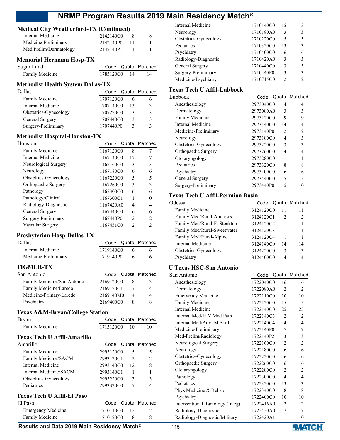#### **Medical City Weatherford-TX (Continued)**

| Internal Medicine      | .<br>2142140C0 | X            | x  |
|------------------------|----------------|--------------|----|
| Medicine-Preliminary   | 2142140P0      | - 11         | 11 |
| Med Prelim/Dermatology | 2142140P1      | $\mathbf{1}$ |    |

### **Memorial Hermann Hosp-TX**

| Sugar Land      |              | Code Quota Matched |
|-----------------|--------------|--------------------|
| Family Medicine | 1785120C0 14 |                    |

#### **Methodist Health System Dallas-TX**

| Dallas                |           |    | Code Quota Matched |
|-----------------------|-----------|----|--------------------|
| Family Medicine       | 1707120C0 |    |                    |
| Internal Medicine     | 1707140C0 | 13 | 13                 |
| Obstetrics-Gynecology | 1707220C0 | 3  |                    |
| General Surgery       | 1707440C0 | 3  |                    |
| Surgery-Preliminary   | 1707440P0 |    |                    |

#### **Methodist Hospital-Houston-TX**

| Houston               | Code Ouota Matched |                |    |
|-----------------------|--------------------|----------------|----|
| Family Medicine       | 1167120C0          | 8              | 7  |
| Internal Medicine     | 1167140C0          | 17             | 17 |
| Neurological Surgery  | 1167160C0          | 3              | 3  |
| Neurology             | 1167180C0          | 6              | 6  |
| Obstetrics-Gynecology | 1167220C0          | 5              | 5  |
| Orthopaedic Surgery   | 1167260C0          | 3              | 3  |
| Pathology             | 1167300C0          | 6              | 6  |
| Pathology/Clinical    | 1167300C1          |                |    |
| Radiology-Diagnostic  | 1167420A0          | 4              |    |
| General Surgery       | 1167440C0          | 6              | 6  |
| Surgery-Preliminary   | 1167440P0          | $\overline{2}$ | 2  |
| Vascular Surgery      | 1167451C0          | $\mathcal{P}$  | 2  |

# **Presbyterian Hosp-Dallas-TX**

| Dallas               |           | Code Ouota Matched |
|----------------------|-----------|--------------------|
| Internal Medicine    | 1719140C0 | 6                  |
| Medicine-Preliminary | 1719140P0 | 6                  |

### **TIGMER-TX**

| San Antonio                 |           | Code Quota Matched |
|-----------------------------|-----------|--------------------|
| Family Medicine/San Antonio | 2169120C0 |                    |
| Family Medicine/Laredo      | 2169120C1 | Δ                  |
| Medicine-Primary/Laredo     | 2169140M0 | 4                  |
| Psychiatry                  | 2169400C0 |                    |

# **Texas A&M-Bryan/College Station**

| Bryan                       | Code      |               | Quota Matched      |
|-----------------------------|-----------|---------------|--------------------|
| Family Medicine             | 1713120C0 | 10            | 10                 |
| Texas Tech U Affil-Amarillo |           |               |                    |
| Amarillo                    |           |               | Code Ouota Matched |
| Family Medicine             | 2993120C0 | 5             | 5                  |
| Family Medicine/SACM        | 2993120C1 | $\mathcal{L}$ | $\overline{2}$     |
| Internal Medicine           | 2993140C0 | 12            | 8                  |
| Internal Medicine/SACM      | 2993140C1 | 1             | 1                  |
| Obstetrics-Gynecology       | 2993220C0 | 3             | 3                  |
| Pediatrics                  | 2993320C0 | 7             | 4                  |
| Texas Tech U Affil-El Paso  |           |               |                    |
| El Paso                     | Code      |               | Quota Matched      |
| <b>Emergency Medicine</b>   | 1710110C0 | 12            | 12                 |
| Family Medicine             | 1710120C0 | 8             | 8                  |

| Internal Medicine     | 1710140C0 | 15 | 15             |
|-----------------------|-----------|----|----------------|
| Neurology             | 1710180A0 | 3  | 3              |
| Obstetrics-Gynecology | 1710220C0 | 5  | 5              |
| Pediatrics            | 1710320C0 | 13 | 13             |
| Psychiatry            | 1710400C0 | 6  | 6              |
| Radiology-Diagnostic  | 1710420A0 | 3  | 3              |
| General Surgery       | 1710440C0 | 3  | ٩              |
| Surgery-Preliminary   | 1710440P0 | 3  | ٩              |
| Medicine-Psychiatry   | 1710715C0 | C  | $\mathfrak{D}$ |

# **Texas Tech U Affil-Lubbock**

| Code |                          | Quota Matched                                                                                                                                                         |
|------|--------------------------|-----------------------------------------------------------------------------------------------------------------------------------------------------------------------|
|      | 4                        | 4                                                                                                                                                                     |
|      | 3                        | 3                                                                                                                                                                     |
|      | 9                        | 9                                                                                                                                                                     |
|      | 14                       | 14                                                                                                                                                                    |
|      | $\overline{c}$           | 2                                                                                                                                                                     |
|      | 4                        | 3                                                                                                                                                                     |
|      | 3                        | 3                                                                                                                                                                     |
|      | 4                        |                                                                                                                                                                       |
|      |                          |                                                                                                                                                                       |
|      | 8                        | 8                                                                                                                                                                     |
|      | 6                        | 6                                                                                                                                                                     |
|      | $\overline{\mathcal{L}}$ |                                                                                                                                                                       |
|      | 5                        |                                                                                                                                                                       |
|      |                          | 2973040C0<br>2973080A0<br>2973120C0<br>2973140C0<br>2973140P0<br>2973180C0<br>2973220C0<br>2973260C0<br>2973280C0<br>2973320C0<br>2973400C0<br>2973440C0<br>2973440P0 |

#### **Texas Tech U Affil-Permian Basin**

| Odessa                       | Code      |                | Quota Matched         |
|------------------------------|-----------|----------------|-----------------------|
| Family Medicine              | 3124120C0 |                | 11                    |
| Family Med/Rural-Andrews     | 3124120C1 | $\mathfrak{D}$ | $\mathcal{D}_{\cdot}$ |
| Family Med/Rural-Ft Stockton | 3124120C2 |                |                       |
| Family Med/Rural-Sweetwater  | 3124120C3 |                |                       |
| Family Med/Rural-Alpine      | 3124120C4 |                |                       |
| Internal Medicine            | 3124140C0 | 14             | 14                    |
| Obstetrics-Gynecology        | 3124220C0 | 3              | 3                     |
| Psychiatry                   | 3124400C0 | 4              |                       |

#### **U Texas HSC-San Antonio**

| San Antonio                      | Code      | Quota          | Matched        |
|----------------------------------|-----------|----------------|----------------|
| Anesthesiology                   | 1722040C0 | 16             | 16             |
| Dermatology                      | 1722080A0 | $\overline{2}$ | 2              |
| <b>Emergency Medicine</b>        | 1722110C0 | 10             | 10             |
| Family Medicine                  | 1722120C0 | 15             | 15             |
| Internal Medicine                | 1722140C0 | 25             | 25             |
| Internal Med/HIV Med Path        | 1722140C3 | 2              | 2              |
| Internal Med/Adv IM Skill        | 1722140C4 | 4              | 4              |
| Medicine-Preliminary             | 1722140P0 | 7              | 7              |
| Med-Prelim/Radiology             | 1722140P2 | 3              | 3              |
| Neurological Surgery             | 1722160C0 | $\mathfrak{D}$ | $\overline{2}$ |
| Neurology                        | 1722180C0 | 6              | 6              |
| Obstetrics-Gynecology            | 1722220C0 | 6              | 6              |
| Orthopaedic Surgery              | 1722260C0 | 6              | 6              |
| Otolaryngology                   | 1722280C0 | $\mathfrak{D}$ | 2              |
| Pathology                        | 1722300C0 | 4              | 4              |
| Pediatrics                       | 1722320C0 | 13             | 13             |
| Phys Medicine & Rehab            | 1722340C0 | 8              | 8              |
| Psychiatry                       | 1722400C0 | 10             | 10             |
| Interventional Radiology (Integ) | 1722416A0 | $\mathfrak{D}$ | 2              |
| Radiology-Diagnostic             | 1722420A0 | 7              | 7              |
| Radiology-Diagnostic/Military    | 1722420A1 | 1              | $\theta$       |

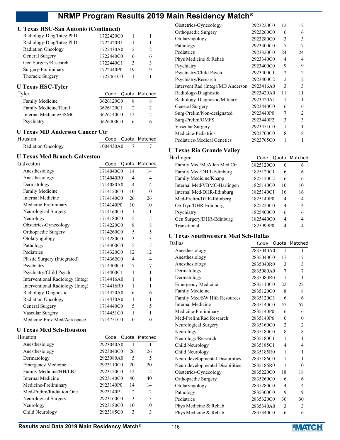### **U Texas HSC-San Antonio (Continued)**

| Radiology-Diag/Integ PhD  | 1722420C0 |    |               |
|---------------------------|-----------|----|---------------|
| Radiology-Diag/Integ PhD  | 1722420R1 |    |               |
| <b>Radiation Oncology</b> | 1722430A0 | 2  | $\mathcal{L}$ |
| General Surgery           | 1722440C0 | 6  | 6             |
| Gen Surgery/Research      | 1722440C1 | 3  | 3             |
| Surgery-Preliminary       | 1722440P0 | 19 | 19            |
| Thoracic Surgery          | 1722461C0 |    |               |

# **U Texas HSC-Tyler**

| Tyler                  |           | Code Quota Matched |
|------------------------|-----------|--------------------|
| Family Medicine        | 3626120C0 |                    |
| Family Medicine/Rural  | 3626120C1 |                    |
| Internal Medicine/GSMC | 3626140C0 | 12                 |
| Psychiatry             | 3626400C0 |                    |

### **U Texas MD Anderson Cancer Ctr**

| Houston                   |           |  | Code Ouota Matched |
|---------------------------|-----------|--|--------------------|
| <b>Radiation Oncology</b> | 1004430A0 |  |                    |

### **U Texas Med Branch-Galveston**

| Galveston                        | Code      | Quota          | Matched      |
|----------------------------------|-----------|----------------|--------------|
| Anesthesiology                   | 1714040C0 | 14             | 14           |
| Anesthesiology                   | 1714040R0 | 4              | 4            |
| Dermatology                      | 1714080A0 | 4              | 4            |
| Family Medicine                  | 1714120C0 | 10             | 10           |
| <b>Internal Medicine</b>         | 1714140C0 | 26             | 26           |
| Medicine-Preliminary             | 1714140P0 | 10             | 10           |
| Neurological Surgery             | 1714160C0 | 1              | 1            |
| Neurology                        | 1714180C0 | 5              | 5            |
| Obstetrics-Gynecology            | 1714220C0 | 8              | 8            |
| Orthopaedic Surgery              | 1714260C0 | 5              | 5            |
| Otolaryngology                   | 1714280C0 | 3              | 3            |
| Pathology                        | 1714300C0 | 5              | 5            |
| Pediatrics                       | 1714320C0 | 12             | 12           |
| Plastic Surgery (Integrated)     | 1714362C0 | $\overline{4}$ | 4            |
| Psychiatry                       | 1714400C0 | 7              | 7            |
| Psychiatry/Child Psych           | 1714400C1 | 1              | 1            |
| Interventional Radiology (Integ) | 1714416A0 | 1              | 1            |
| Interventional Radiology (Integ) | 1714416R0 | 1              | 1            |
| Radiology-Diagnostic             | 1714420A0 | 6              | 6            |
| <b>Radiation Oncology</b>        | 1714430A0 | 1              | 1            |
| General Surgery                  | 1714440C0 | 5              | 5            |
| Vascular Surgery                 | 1714451C0 | 1              | 1            |
| Medicine-Prev Med/Aerospace      | 1714751C0 | $\theta$       | $\theta$     |
| <b>U Texas Med Sch-Houston</b>   |           |                |              |
| Houston                          | Code      | Quota          | Matched      |
| Anesthesiology                   | 2923040A0 | 1              | $\mathbf{1}$ |
| Anesthesiology                   | 2923040C0 | 26             | 26           |
| Dermatology                      | 2923080A0 | 5              | 5            |
| <b>Emergency Medicine</b>        | 2923110C0 | 20             | 20           |
| Family Medicine/HH/LBJ           | 2923120C0 | 12             | 12           |

| Obstetrics-Gynecology             | 2923220C0 | 12             | 12 |
|-----------------------------------|-----------|----------------|----|
| Orthopaedic Surgery               | 2923260C0 | 6              | 6  |
| Otolaryngology                    | 2923280C0 | 3              | 3  |
| Pathology                         | 2923300C0 | 7              | 7  |
| Pediatrics                        | 2923320C0 | 24             | 24 |
| Phys Medicine & Rehab             | 2923340C0 | 4              | 4  |
| Psychiatry                        | 2923400C0 | 9              | 9  |
| Psychiatry/Child Psych            | 2923400C1 | $\overline{c}$ | 2  |
| Psychiatry/Research               | 2923400C2 | $\overline{2}$ | 2  |
| Intervent Rad (Integ)/MD Anderson | 2923416A0 | 3              | 3  |
| Radiology-Diagnostic              | 2923420A0 | 11             | 11 |
| Radiology-Diagnostic/Military     | 2923420A1 | 1              | 1  |
| General Surgery                   | 2923440C0 | 6              | 6  |
| Surg-Prelim/Non-designated        | 2923440P0 | 7              | 2  |
| Surg-Prelim/OMFS                  | 2923440P2 | 3              | 3  |
| Vascular Surgery                  | 2923451C0 | 1              | 1  |
| Medicine-Pediatrics               | 2923700C0 | 8              | 8  |
| Pediatrics-Medical Genetics       | 2923765C0 |                | 1  |

#### **U Texas Rio Grande Valley**

| Harlingen                   | Code      |    | Quota Matched |
|-----------------------------|-----------|----|---------------|
| Family Med/McAllen Med Ctr  | 1825120C0 | 6  | 6             |
| Family Med/DHR-Edinburg     | 1825120C1 | 6  | 6             |
| Family Medicine/Knapp       | 1825120C2 | 6  | 6             |
| Internal Med/VBMC-Harlingen | 1825140C0 | 10 | 10            |
| Internal Med/DHR-Edinburg   | 1825140C1 | 16 | 16            |
| Med-Prelim/DHR-Edinberg     | 1825140P0 | 4  | 4             |
| Ob-Gyn/DHR-Edinburg         | 1825220C0 | 4  | 4             |
| Psychiatry                  | 1825400C0 | 6  | 6             |
| Gen Surgery/DHR-Edinburg    | 1825440C0 | 4  |               |
| Transitional                | 1825999P0 | 4  |               |

#### **U Texas Southwestern Med Sch-Dallas**

| Dallas                          | Code      | Quota    | Matched  |
|---------------------------------|-----------|----------|----------|
| Anesthesiology                  | 2835040A0 | 1        | 1        |
| Anesthesiology                  | 2835040C0 | 17       | 17       |
| Anesthesiology                  | 2835040R0 | 3        | 3        |
| Dermatology                     | 2835080A0 | 7        | 7        |
| Dermatology                     | 2835080R0 | 1        | 1        |
| <b>Emergency Medicine</b>       | 2835110C0 | 22       | 22       |
| Family Medicine                 | 2835120C0 | 8        | 8        |
| Family Med/SW Hlth Resources    | 2835120C3 | 6        | 6        |
| <b>Internal Medicine</b>        | 2835140C0 | 57       | 57       |
| Medicine-Preliminary            | 2835140P0 | 6        | 6        |
| Med-Prelim/Rad Research         | 2835140P6 | $\theta$ | $\theta$ |
| Neurological Surgery            | 2835160C0 | 2        | 2        |
| Neurology                       | 2835180C0 | 8        | 8        |
| Neurology/Research              | 2835180C1 | 1        | 1        |
| Child Neurology                 | 2835185C1 | 4        | 4        |
| Child Neurology                 | 2835185R0 | 1        | 1        |
| Neurodevelopmental Disabilities | 2835186C0 | 1        | 1        |
| Neurodevelopmental Disabilities | 2835186R0 | 1        | $\theta$ |
| Obstetrics-Gynecology           | 2835220C0 | 18       | 18       |
| Orthopaedic Surgery             | 2835260C0 | 6        | 6        |
| Otolaryngology                  | 2835280C0 | 4        | 4        |
| Pathology                       | 2835300C0 | 9        | 9        |
| Pediatrics                      | 2835320C0 | 30       | 30       |
| Phys Medicine & Rehab           | 2835340A0 | 3        | 3        |
| Phys Medicine & Rehab           | 2835340C0 | 6        | 6        |
|                                 |           |          |          |

Internal Medicine 2923140C0 40 40 Medicine-Preliminary 2923140P0 14 14 Med-Prelim/Radiation Onc 2923140P1 2 2 Neurological Surgery 2923160C0 3 3 Neurology 2923180C0 10 10 Child Neurology 2923185C0 3 3

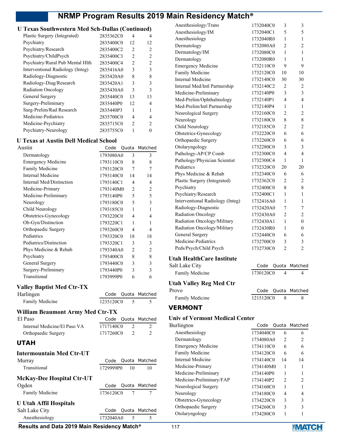#### **U Texas Southwestern Med Sch-Dallas (Continued)**

| Plastic Surgery (Integrated)     | 2835362C0 | 4              | 4             |  |
|----------------------------------|-----------|----------------|---------------|--|
| Psychiatry                       | 2835400C0 | 12             | 12            |  |
| Psychiatry/Research              | 2835400C2 | $\overline{c}$ | 2             |  |
| Psychiatry/ChildPsych            | 2835400C3 | 2              | 2             |  |
| Psychiatry/Rural Pub Mental Hlth | 2835400C4 | $\overline{2}$ | 2             |  |
| Interventional Radiology (Integ) | 2835416A0 | 3              | 3             |  |
| Radiology-Diagnostic             | 2835420A0 | 8              | 8             |  |
| Radiology-Diag/Research          | 2835420A1 | 3              | 3             |  |
| <b>Radiation Oncology</b>        | 2835430A0 | 3              | 3             |  |
| General Surgery                  | 2835440C0 | 13             | 13            |  |
| Surgery-Preliminary              | 2835440P0 | 12             | 4             |  |
| Surg-Prelim/Rad Research         | 2835440P3 | 1              |               |  |
| Medicine-Pediatrics              | 2835700C0 | 4              | 4             |  |
| Medicine-Psychiatry              | 2835715C0 | $\overline{c}$ | $\mathcal{L}$ |  |
| Psychiatry-Neurology             | 2835755C0 |                |               |  |
|                                  |           |                |               |  |

#### **U Texas at Austin Dell Medical School**

| Austin                   |           |    | Code Quota Matched |
|--------------------------|-----------|----|--------------------|
| Dermatology              | 1793080A0 | 3  | 3                  |
| Emergency Medicine       | 1793110C0 | 8  | 8                  |
| Family Medicine          | 1793120C0 | 7  | 7                  |
| Internal Medicine        | 1793140C0 | 14 | 14                 |
| Internal Med/Distinction | 1793140C1 | 4  | 4                  |
| Medicine-Primary         | 1793140M0 | 2  | 2                  |
| Medicine-Preliminary     | 1793140P0 | 5  | 5                  |
| Neurology                | 1793180C0 | 5  | 3                  |
| Child Neurology          | 1793185C0 | 1  |                    |
| Obstetrics-Gynecology    | 1793220C0 | 4  | 4                  |
| Ob-Gyn/Distinction       | 1793220C1 | 1  | 1                  |
| Orthopaedic Surgery      | 1793260C0 | 4  | 4                  |
| Pediatrics               | 1793320C0 | 18 | 18                 |
| Pediatrics/Distinction   | 1793320C1 | 3  | 3                  |
| Phys Medicine & Rehab    | 1793340A0 | 2  | 2                  |
| Psychiatry               | 1793400C0 | 8  | 8                  |
| General Surgery          | 1793440C0 | 3  | 3                  |
| Surgery-Preliminary      | 1793440P0 | 3  | 3                  |
| Transitional             | 1793999P0 | 6  | 6                  |

#### **Valley Baptist Med Ctr-TX**

| Harlingen                        |           |          | Code Quota Matched |
|----------------------------------|-----------|----------|--------------------|
| Family Medicine                  | 1235120C0 | $\sim$ 5 |                    |
| William Beaumont Army Med Ctr-TX |           |          |                    |
| El Paso                          |           |          | Code Quota Matched |

| Internal Medicine/El Paso VA     | 1717140C0 | $\mathcal{L}$  | $\mathfrak{D}$     |
|----------------------------------|-----------|----------------|--------------------|
| Orthopaedic Surgery              | 1717260C0 | $\overline{c}$ | $\mathfrak{D}$     |
| <b>UTAH</b>                      |           |                |                    |
| <b>Intermountain Med Ctr-UT</b>  |           |                |                    |
| Murray                           |           |                | Code Ouota Matched |
| Transitional                     | 1729999P0 | 10             | 10                 |
| <b>McKay-Dee Hospital Ctr-UT</b> |           |                |                    |
| Ogden                            |           |                | Code Quota Matched |
| Family Medicine                  | 1736120C0 | 7              | 7                  |
| <b>U</b> Utah Affil Hospitals    |           |                |                    |
| Salt Lake City                   | Code      |                | Quota Matched      |
| Anesthesiology                   | 1732040A0 | 5              | 5                  |

| Anesthesiology/Trans             | 1732040C0 | 3              | 3              |
|----------------------------------|-----------|----------------|----------------|
| Anesthesiology/IM                | 1732040C1 | 5              | 5              |
| Anesthesiology                   | 1732040R0 | 1              | $\mathbf{1}$   |
| Dermatology                      | 1732080A0 | $\overline{2}$ | $\overline{c}$ |
| Dermatology/IM                   | 1732080C0 | $\mathbf{1}$   | 1              |
| Dermatology                      | 1732080R0 | 1              | 1              |
| <b>Emergency Medicine</b>        | 1732110C0 | 9              | 9              |
| Family Medicine                  | 1732120C0 | 10             | 10             |
| <b>Internal Medicine</b>         | 1732140C0 | 30             | 30             |
| Internal Med/Intl Partnership    | 1732140C2 | $\overline{2}$ | $\overline{c}$ |
| Medicine-Preliminary             | 1732140P0 | 3              | 3              |
| Med-Prelim/Ophthalmology         | 1732140P1 | $\overline{4}$ | $\overline{4}$ |
| Med-Prelim/Intl Partnership      | 1732140P4 | 1              | 1              |
| Neurological Surgery             | 1732160C0 | $\overline{2}$ | $\overline{c}$ |
| Neurology                        | 1732180C0 | 8              | $\,$ $\,$      |
| Child Neurology                  | 1732185C0 | $\overline{c}$ | $\overline{c}$ |
| Obstetrics-Gynecology            | 1732220C0 | 6              | 6              |
| Orthopaedic Surgery              | 1732260C0 | 6              | 6              |
| Otolaryngology                   | 1732280C0 | 3              | 3              |
| Pathology-AP/CP Comb             | 1732300C0 | 4              | $\overline{4}$ |
| Pathology/Physician Scientist    | 1732300C4 | $\mathbf{1}$   | 1              |
| Pediatrics                       | 1732320C0 | 20             | 20             |
| Phys Medicine & Rehab            | 1732340C0 | 6              | 6              |
| Plastic Surgery (Integrated)     | 1732362C0 | $\overline{2}$ | $\overline{c}$ |
| Psychiatry                       | 1732400C0 | 8              | 8              |
| Psychiatry/Research              | 1732400C1 | 1              | 1              |
| Interventional Radiology (Integ) | 1732416A0 | 1              | 1              |
| Radiology-Diagnostic             | 1732420A0 | 7              | 7              |
| Radiation Oncology               | 1732430A0 | $\overline{2}$ | $\overline{2}$ |
| Radiation Oncology/Military      | 1732430A1 | 1              | $\theta$       |
| Radiation Oncology/Military      | 1732430R0 | $\mathbf{1}$   | $\mathbf{0}$   |
| <b>General Surgery</b>           | 1732440C0 | 6              | 6              |
| Medicine-Pediatrics              | 1732700C0 | 3              | 3              |
| Peds/Psych/Child Psych           | 1732730C0 | $\overline{2}$ | $\overline{2}$ |
|                                  |           |                |                |

### **Utah HealthCare Institute**

| Salt Lake City                 |           | Code Quota Matched |
|--------------------------------|-----------|--------------------|
| Family Medicine                | 1730120C0 |                    |
| <b>Utah Valley Reg Med Ctr</b> |           |                    |
| Provo                          |           | Code Quota Matched |
| Family Medicine                | 1215120C0 |                    |

### **VERMONT**

### **Univ of Vermont Medical Center**

| Burlington                | Code      |                | Quota Matched  |
|---------------------------|-----------|----------------|----------------|
| Anesthesiology            | 1734040C0 | 6              | 6              |
| Dermatology               | 1734080A0 | $\mathfrak{D}$ | 2              |
| <b>Emergency Medicine</b> | 1734110C0 | 6              | 6              |
| Family Medicine           | 1734120C0 | 6              | 6              |
| Internal Medicine         | 1734140C0 | 14             | 14             |
| Medicine-Primary          | 1734140M0 | 1              |                |
| Medicine-Preliminary      | 1734140P0 |                |                |
| Medicine-Preliminary/FAP  | 1734140P2 | $\mathfrak{D}$ | $\mathfrak{D}$ |
| Neurological Surgery      | 1734160C0 |                |                |
| Neurology                 | 1734180C0 | 4              | 4              |
| Obstetrics-Gynecology     | 1734220C0 | 3              | 3              |
| Orthopaedic Surgery       | 1734260C0 | 3              | 3              |
| Otolaryngology            | 1734280C0 |                |                |
|                           |           |                |                |

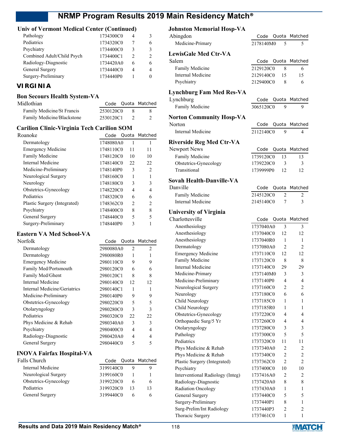#### **Univ of Vermont Medical Center (Continued)**

| Pathology                  | 1734300C0 |   |   |
|----------------------------|-----------|---|---|
| Pediatrics                 | 1734320C0 |   |   |
| Psychiatry                 | 1734400C0 |   | 3 |
| Combined Adult/Child Psych | 1734400C1 |   | 2 |
| Radiology-Diagnostic       | 1734420A0 | 6 | 6 |
| General Surgery            | 1734440C0 | Δ | 4 |
| Surgery-Preliminary        | 1734440P0 |   |   |
|                            |           |   |   |

# **VIRGINIA**

### **Bon Secours Health System-VA**

| Midlothian                 |             |      | Code Quota Matched |
|----------------------------|-------------|------|--------------------|
| Family Medicine/St Francis | 2530120C0   | - 83 |                    |
| Family Medicine/Blackstone | 2530120C1 2 |      |                    |

#### **Carilion Clinic-Virginia Tech Carilion SOM**

| Roanoke                      | Code      |                | Quota Matched  |
|------------------------------|-----------|----------------|----------------|
| Dermatology                  | 1748080A0 | 1              |                |
| <b>Emergency Medicine</b>    | 1748110C0 | 11             | 11             |
| Family Medicine              | 1748120C0 | 10             | 10             |
| Internal Medicine            | 1748140C0 | 22.            | 22             |
| Medicine-Preliminary         | 1748140P0 | 3              | 2              |
| Neurological Surgery         | 1748160C0 | 1              |                |
| Neurology                    | 1748180C0 | 3              | 3              |
| Obstetrics-Gynecology        | 1748220C0 | 4              | 4              |
| Pediatrics                   | 1748320C0 | 6              | 6              |
| Plastic Surgery (Integrated) | 1748362C0 | $\mathfrak{D}$ | $\mathfrak{D}$ |
| Psychiatry                   | 1748400C0 | 8              | 8              |
| General Surgery              | 1748440C0 | 5              | 5              |
| Surgery-Preliminary          | 1748440P0 | 3              |                |
|                              |           |                |                |

#### **Eastern VA Med School-VA**

| Norfolk                      | Code      | Quota | Matched |
|------------------------------|-----------|-------|---------|
| Dermatology                  | 2980080A0 | 2     | 2       |
| Dermatology                  | 2980080R0 | 1     |         |
| <b>Emergency Medicine</b>    | 2980110C0 | 9     | 9       |
| Family Med/Portsmouth        | 2980120C0 | 6     | 6       |
| Family Med/Ghent             | 2980120C1 | 8     | 8       |
| Internal Medicine            | 2980140C0 | 12    | 12      |
| Internal Medicine/Geriatrics | 2980140C1 | 1     |         |
| Medicine-Preliminary         | 2980140P0 | 9     | 9       |
| Obstetrics-Gynecology        | 2980220C0 | 5     | 5       |
| Otolaryngology               | 2980280C0 | 3     | 3       |
| Pediatrics                   | 2980320C0 | 22    | 22      |
| Phys Medicine & Rehab        | 2980340A0 | 3     | 3       |
| Psychiatry                   | 2980400C0 | 4     | 4       |
| Radiology-Diagnostic         | 2980420A0 | 4     | 4       |
| General Surgery              | 2980440C0 | 5     | 5       |

### **INOVA Fairfax Hospital-VA**

| Falls Church          |           |    | Code Quota Matched |
|-----------------------|-----------|----|--------------------|
| Internal Medicine     | 3199140C0 |    |                    |
| Neurological Surgery  | 3199160C0 |    |                    |
| Obstetrics-Gynecology | 3199220C0 |    |                    |
| Pediatrics            | 3199320C0 | 13 | 13                 |
| General Surgery       | 3199440C0 |    |                    |

# **Johnston Memorial Hosp-VA**

| Abingdon                                              | Code                   | Quota                            | Matched                          |
|-------------------------------------------------------|------------------------|----------------------------------|----------------------------------|
| Medicine-Primary                                      | 2178140M0              | 5                                | 5                                |
| <b>LewisGale Med Ctr-VA</b>                           |                        |                                  |                                  |
| Salem                                                 |                        |                                  |                                  |
|                                                       | Code                   | Quota                            | Matched                          |
| Family Medicine                                       | 2129120C0              | 8                                | 6                                |
| <b>Internal Medicine</b>                              | 2129140C0              | 15                               | 15                               |
| Psychiatry                                            | 2129400C0              | 8                                | 6                                |
| <b>Lynchburg Fam Med Res-VA</b>                       |                        |                                  |                                  |
| Lynchburg                                             | Code                   | Quota                            | Matched                          |
| Family Medicine                                       | 3065120C0              | 9                                | 9                                |
|                                                       |                        |                                  |                                  |
| Norton Community Hosp-VA                              |                        |                                  |                                  |
| Norton                                                | Code                   | Quota                            | Matched                          |
| Internal Medicine                                     | 2112140C0              | 9                                | 4                                |
| Riverside Reg Med Ctr-VA                              |                        |                                  |                                  |
| Newport News                                          | Code                   | Quota                            | Matched                          |
| Family Medicine                                       | 1739120C0              | 13                               | 13                               |
| Obstetrics-Gynecology                                 | 1739220C0              | 3                                | 3                                |
| Transitional                                          | 1739999P0              | 12                               | 12                               |
|                                                       |                        |                                  |                                  |
| <b>Sovah Health-Danville-VA</b>                       |                        |                                  |                                  |
| Danville                                              | Code                   | Quota                            | Matched                          |
| Family Medicine                                       | 2145120C0              | 2                                | 2                                |
| <b>Internal Medicine</b>                              | 2145140C0              | 7                                | 3                                |
|                                                       |                        |                                  |                                  |
| <b>University of Virginia</b>                         |                        |                                  |                                  |
| Charlottesville                                       | Code                   | Quota                            | Matched                          |
| Anesthesiology                                        | 1737040A0              | 3                                | 3                                |
| Anesthesiology                                        | 1737040C0              | 12                               | 12                               |
| Anesthesiology                                        | 1737040R0              | 1                                | 1                                |
| Dermatology                                           | 1737080A0              | $\overline{2}$                   | 2                                |
| <b>Emergency Medicine</b>                             | 1737110C0              | 12                               | 12                               |
| Family Medicine                                       | 1737120C0              | 8                                | 8                                |
| <b>Internal Medicine</b>                              | 1737140C0              | 29                               | 29                               |
| Medicine-Primary                                      | 1737140M0              | 3                                | 3                                |
| Medicine-Preliminary                                  | 1737140P0              | 4                                | 4                                |
| Neurological Surgery                                  | 1737160C0              | 2                                | 2                                |
| Neurology                                             | 1737180C0              | 6                                | 6                                |
| Child Neurology                                       | 1737185C0              | 1                                | 1                                |
| Child Neurology                                       | 1737185R0              | 1                                | 1                                |
| Obstetrics-Gynecology                                 | 1737220C0              | 4                                | 4                                |
| Orthopaedic Surg/5 Yr                                 | 1737260C0<br>1737280C0 | 4                                | 4<br>3                           |
| Otolaryngology<br>Pathology                           |                        | 3                                |                                  |
| Pediatrics                                            | 1737300C0              | 5                                | 5                                |
|                                                       | 1737320C0              | 11                               | 11                               |
| Phys Medicine & Rehab                                 | 1737340A0              | 2                                | $\overline{c}$                   |
| Phys Medicine & Rehab<br>Plastic Surgery (Integrated) | 1737340C0              | $\overline{c}$<br>$\overline{2}$ | $\overline{c}$<br>$\overline{2}$ |
| Psychiatry                                            | 1737362C0<br>1737400C0 | 10                               | 10                               |
| Interventional Radiology (Integ)                      |                        | 2                                | 2                                |
|                                                       | 1737416A0              |                                  |                                  |
| Radiology-Diagnostic<br>Radiation Oncology            | 1737420A0              | 8                                | 8                                |
|                                                       | 1737430A0              | 1                                | 1                                |
| General Surgery                                       | 1737440C0              | 5                                | 5<br>1                           |
| Surgery-Preliminary                                   | 1737440P1              | 8                                |                                  |
| Surg-Prelim/Int Radiology                             | 1737440P3              | 2                                | 2                                |
| Thoracic Surgery                                      | 1737461C0              | 1                                | 1                                |

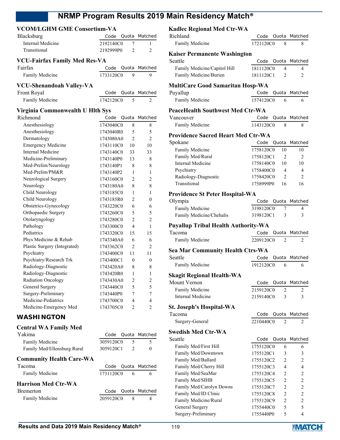### **VCOM/LGHM GME Consortium-VA**

| Blacksburg        |           | Code Quota Matched |
|-------------------|-----------|--------------------|
| Internal Medicine | 2192140C0 |                    |
| Transitional      | 2192999P0 |                    |

#### **VCU-Fairfax Family Med Res-VA**

|  | Code Quota Matched<br>1733120C0 |
|--|---------------------------------|

### **VCU-Shenandoah Valley-VA**

| Front Royal     |           | Code Ouota Matched |
|-----------------|-----------|--------------------|
| Family Medicine | 1742120C0 |                    |

### **Virginia Commonwealth U Hlth Sys**

| Richmond                     | Code      | Quota          | Matched          |
|------------------------------|-----------|----------------|------------------|
| Anesthesiology               | 1743040C0 | 8              | 8                |
| Anesthesiology               | 1743040R0 | 5              | 5                |
| Dermatology                  | 1743080A0 | $\overline{2}$ | $\overline{2}$   |
| <b>Emergency Medicine</b>    | 1743110C0 | 10             | 10               |
| <b>Internal Medicine</b>     | 1743140C0 | 33             | 33               |
| Medicine-Preliminary         | 1743140P0 | 13             | 8                |
| Med-Prelim/Neurology         | 1743140P1 | 8              | 8                |
| Med-Prelim/PM&R              | 1743140P2 | 1              | 1                |
| Neurological Surgery         | 1743160C0 | $\overline{2}$ | 2                |
| Neurology                    | 1743180A0 | 8              | 8                |
| Child Neurology              | 1743185C0 | 1              | 1                |
| Child Neurology              | 1743185R0 | $\overline{2}$ | $\mathbf{0}$     |
| Obstetrics-Gynecology        | 1743220C0 | 6              | 6                |
| Orthopaedic Surgery          | 1743260C0 | 5              | 5                |
| Otolaryngology               | 1743280C0 | $\overline{c}$ | $\overline{c}$   |
| Pathology                    | 1743300C0 | $\overline{4}$ | 1                |
| Pediatrics                   | 1743320C0 | 15             | 15               |
| Phys Medicine & Rehab        | 1743340A0 | 6              | 6                |
| Plastic Surgery (Integrated) | 1743362C0 | $\overline{2}$ | 2                |
| Psychiatry                   | 1743400C0 | 11             | 11               |
| Psychiatry/Research Trk      | 1743400C1 | $\mathbf{0}$   | $\boldsymbol{0}$ |
| Radiology-Diagnostic         | 1743420A0 | 8              | 8                |
| Radiology-Diagnostic         | 1743420R0 | 1              | 1                |
| <b>Radiation Oncology</b>    | 1743430A0 | $\overline{2}$ | 2                |
| <b>General Surgery</b>       | 1743440C0 | 5              | 5                |
| Surgery-Preliminary          | 1743440P0 | 7              | 7                |
| Medicine-Pediatrics          | 1743700C0 | $\overline{4}$ | 4                |
| Medicine-Emergency Med       | 1743705C0 | $\overline{2}$ | $\overline{2}$   |

### **WASHINGTON**

# **Central WA Family Med**

| 5             | 5                                                                                                                  |
|---------------|--------------------------------------------------------------------------------------------------------------------|
| $\mathcal{L}$ |                                                                                                                    |
|               |                                                                                                                    |
|               |                                                                                                                    |
| -6            | 6                                                                                                                  |
|               |                                                                                                                    |
|               |                                                                                                                    |
| 8             | 4                                                                                                                  |
|               | Code Ouota Matched<br>3059120C0<br>3059120C1<br>Code Quota Matched<br>1731120C0<br>Code Quota Matched<br>2059120C0 |

# **Kadlec Regional Med Ctr-WA**

| Kauiec Kegional Med Cif-WA                  |                        |                                  |                                  |
|---------------------------------------------|------------------------|----------------------------------|----------------------------------|
| Richland                                    | Quota<br>Code          |                                  | Matched                          |
| Family Medicine                             | 1721120C0              | 8                                | 8                                |
| <b>Kaiser Permanente Washington</b>         |                        |                                  |                                  |
| Seattle                                     | Code                   |                                  | Quota Matched                    |
| Family Medicine/Capitol Hill                | 1811120C0              | 4                                | 4                                |
| Family Medicine/Burien                      | 1811120C1              | 2                                | 2                                |
| MultiCare Good Samaritan Hosp-WA            |                        |                                  |                                  |
| Puyallup                                    | Code<br>Quota          |                                  | Matched                          |
| Family Medicine                             | 1574120C0              | 6                                | 6                                |
|                                             |                        |                                  |                                  |
| <b>PeaceHealth Southwest Med Ctr-WA</b>     |                        |                                  |                                  |
| Vancouver                                   | Quota<br>Code          |                                  | Matched                          |
| Family Medicine                             | 1143120C0              | 8                                | 8                                |
| <b>Providence Sacred Heart Med Ctr-WA</b>   |                        |                                  |                                  |
| Spokane                                     | Code<br>Quota          |                                  | Matched                          |
| Family Medicine                             | 1758120C0              | 10                               | 10                               |
| Family Med/Rural                            | 1758120C1              | 2                                | 2                                |
| <b>Internal Medicine</b>                    | 1758140C0              | 10                               | 10                               |
| Psychiatry                                  | 1758400C0              | 4                                | 4                                |
| Radiology-Diagnostic                        | 1758420C0              | 2                                | 2                                |
| Transitional                                | 1758999P0              | 16                               | 16                               |
|                                             |                        |                                  |                                  |
| <b>Providence St Peter Hospital-WA</b>      |                        |                                  |                                  |
| Olympia                                     | Code Quota Matched     |                                  |                                  |
| Family Medicine                             | 3198120C0              | 7                                | 4                                |
| Family Medicine/Chehalis                    | 3198120C1              | 3                                | 3                                |
| <b>Puyallup Tribal Health Authority-WA</b>  |                        |                                  |                                  |
| Tacoma                                      | Code                   |                                  | Quota Matched                    |
| Family Medicine                             | 2209120C0              | $\overline{c}$                   | 2                                |
| <b>Sea Mar Community Health Ctrs-WA</b>     |                        |                                  |                                  |
| Seattle                                     | Code                   |                                  | Quota Matched                    |
| Family Medicine                             | 1912120C0              | 6                                | 6                                |
|                                             |                        |                                  |                                  |
| <b>Skagit Regional Health-WA</b>            |                        |                                  |                                  |
| Mount Vernon                                | Code<br>Quota          |                                  | Matched                          |
| Family Medicine                             | 2159120C0              | 2                                | 2                                |
| <b>Internal Medicine</b>                    | 2159140C0              | 3                                | 3                                |
| <b>St. Joseph's Hospital-WA</b>             |                        |                                  |                                  |
| Tacoma                                      | Code<br>Quota          |                                  | Matched                          |
| Surgery-General                             | 2210440C0              | 2                                | 2                                |
|                                             |                        |                                  |                                  |
| <b>Swedish Med Ctr-WA</b>                   |                        |                                  |                                  |
| Seattle                                     | Quota<br>Code          |                                  | Matched                          |
| Family Med/First Hill                       | 1755120C0              | 6                                | 6                                |
| Family Med/Downtown                         | 1755120C1              | 3                                | 3                                |
| Family Med/Ballard                          | 1755120C2              | 2                                | $\overline{c}$                   |
| Family Med/Cherry Hill                      | 1755120C3              | 4                                | $\overline{4}$                   |
| Family Med/SeaMar                           | 1755120C4              | $\overline{c}$<br>$\overline{c}$ | $\overline{c}$<br>$\overline{c}$ |
| Family Med/SIHB<br>Family Med/Carolyn Downs | 1755120C5              | $\overline{c}$                   | $\overline{c}$                   |
| Family Med/ID Clinic                        | 1755120C7<br>1755120C8 | $\overline{c}$                   | $\overline{c}$                   |
| Family Medicine/Rural                       | 1755120C9              | $\overline{2}$                   | $\overline{c}$                   |
| General Surgery                             | 1755440C0              | 5                                | 5                                |
| Surgery-Preliminary                         | 1755440P0              | 5                                | 4                                |
|                                             |                        |                                  |                                  |

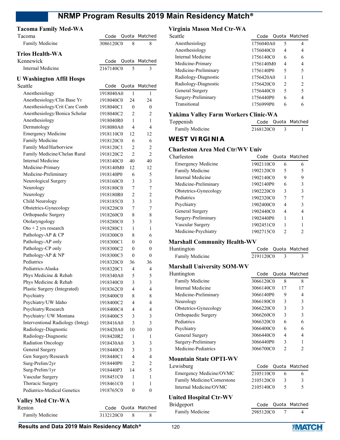#### **Tacoma Family Med-WA**

| 1 асоша 1 ашну 191си- VI $\Lambda$ |           |                |                |
|------------------------------------|-----------|----------------|----------------|
| Tacoma                             | Code      | Quota          | Matched        |
| Family Medicine                    | 3086120C0 | 8              | 8              |
|                                    |           |                |                |
| <b>Trios Health-WA</b>             |           |                |                |
| Kennewick                          | Code      | Quota          | Matched        |
| Internal Medicine                  | 2167140C0 | 5              | 3              |
| <b>U Washington Affil Hosps</b>    |           |                |                |
| Seattle                            | Code      | Quota          | Matched        |
| Anesthesiology                     | 1918040A0 | 1              | 1              |
| Anesthesiology/Clin Base Yr        | 1918040C0 | 24             | 24             |
| Anesthesiology/Crit Care Comb      | 1918040C1 | 0              | $\theta$       |
| Anesthesiology/Bonica Scholar      | 1918040C2 | 2              | 2              |
| Anesthesiology                     | 1918040R0 | 1              | 1              |
|                                    |           | 4              | 4              |
| Dermatology                        | 1918080A0 |                |                |
| <b>Emergency Medicine</b>          | 1918110C0 | 12             | 12             |
| Family Medicine                    | 1918120C0 | 6              | 6              |
| Family Med/Harborview              | 1918120C1 | $\overline{c}$ | 2              |
| Family Medicine/Chelan Rural       | 1918120C2 | $\overline{c}$ | $\overline{2}$ |
| <b>Internal Medicine</b>           | 1918140C0 | 40             | 40             |
| Medicine-Primary                   | 1918140M0 | 12             | 12             |
| Medicine-Preliminary               | 1918140P0 | 6              | 5              |
| Neurological Surgery               | 1918160C0 | 3              | 3              |
| Neurology                          | 1918180C0 | 7              | 7              |
| Neurology                          | 1918180R0 | 2              | 2              |
| Child Neurology                    | 1918185C0 | 3              | 3              |
| Obstetrics-Gynecology              | 1918220C0 | 7              | 7              |
| Orthopaedic Surgery                | 1918260C0 | 8              | 8              |
| Otolaryngology                     | 1918280C0 | 3              | 3              |
| $Oto + 2$ yrs research             | 1918280C1 | 1              | 1              |
| Pathology-AP & CP                  | 1918300C0 | 8              | 6              |
| Pathology-AP only                  | 1918300C1 | 0              | 0              |
| Pathology-CP only                  | 1918300C2 | 0              | $\theta$       |
| Pathology-AP & NP                  | 1918300C3 | 0              | $\theta$       |
| Pediatrics                         | 1918320C0 | 36             | 36             |
| Pediatrics-Alaska                  | 1918320C1 | 4              | 4              |
| Phys Medicine & Rehab              | 1918340A0 | 5              | 5              |
| Phys Medicine & Rehab              | 1918340C0 | 3              | 3              |
| Plastic Surgery (Integrated)       | 1918362C0 | 4              | 4              |
| Psychiatry                         | 1918400C0 | 8              | 8              |
| Psychiatry/UW Idaho                | 1918400C2 | 4              | 4              |
| Psychiatry/Research                | 1918400C4 | 4              | 4              |
| Psychiatry/ UW Montana             | 1918400C5 | 3              | 3              |
| Interventional Radiology (Integ)   | 1918416A0 | 3              | 3              |
| Radiology-Diagnostic               | 1918420A0 | 10             | 10             |
| Radiology-Diagnostic               | 1918420R2 | 1              | 1              |
| Radiation Oncology                 | 1918430A0 | 3              | 3              |
| General Surgery                    | 1918440C0 | 3              | 3              |
| Gen Surgery/Research               | 1918440C1 | 4              | 4              |
| Surg-Prelim/2yr                    | 1918440P0 | 2              | $\overline{c}$ |
| Surg-Prelim/1yr                    | 1918440P3 | 14             | 5              |
| Vascular Surgery                   | 1918451C0 | 1              | 1              |
| Thoracic Surgery                   | 1918461C0 | 1              | 1              |
| <b>Pediatrics-Medical Genetics</b> | 1918765C0 | $\mathbf{0}$   | $\theta$       |
|                                    |           |                |                |
| <b>Valley Med Ctr-WA</b>           |           |                |                |
| Renton                             | Code      | Quota          | Matched        |
| Family Medicine                    | 3132120C0 | 8              | 8              |

# **Virginia Mason Med Ctr-WA**

| Seattle              | Code      |                          | Quota Matched |
|----------------------|-----------|--------------------------|---------------|
| Anesthesiology       | 1756040A0 | 5                        | 4             |
| Anesthesiology       | 1756040C0 | 4                        | 4             |
| Internal Medicine    | 1756140C0 | 6                        | 6             |
| Medicine-Primary     | 1756140M0 | 4                        |               |
| Medicine-Preliminary | 1756140P0 | 5                        | 5             |
| Radiology-Diagnostic | 1756420A0 |                          |               |
| Radiology-Diagnostic | 1756420C0 | $\mathcal{P}$            | 2             |
| General Surgery      | 1756440C0 | $\overline{\phantom{0}}$ | 5             |
| Surgery-Preliminary  | 1756440P0 | 6                        |               |
| Transitional         | 1756999P0 | 6                        |               |
|                      |           |                          |               |

#### **Yakima Valley Farm Workers Clinic-WA**

| Toppenish       |           | Code Quota Matched |
|-----------------|-----------|--------------------|
| Family Medicine | 2168120C0 |                    |

#### **WEST VIRGINIA**

#### **Charleston Area Med Ctr/WV Univ**

| Charleston                | Code      |   | Quota Matched |
|---------------------------|-----------|---|---------------|
| <b>Emergency Medicine</b> | 1902110C0 | 6 | 6             |
| Family Medicine           | 1902120C0 | 5 | 5             |
| Internal Medicine         | 1902140C0 | 9 | 9             |
| Medicine-Preliminary      | 1902140P0 | 6 | 3             |
| Obstetrics-Gynecology     | 1902220C0 | 3 | 3             |
| Pediatrics                | 1902320C0 | 7 |               |
| Psychiatry                | 1902400C0 | 4 | 3             |
| General Surgery           | 1902440C0 | 4 |               |
| Surgery-Preliminary       | 1902440P0 |   |               |
| Vascular Surgery          | 1902451C0 |   |               |
| Medicine-Psychiatry       | 1902715C0 | っ |               |

#### **Marshall Community Health-WV**

|           | Code Ouota Matched |
|-----------|--------------------|
| 2191120C0 |                    |

### **Marshall University SOM-WV**

Huntington

Family Medicine

| Huntington                    | Code      | Quota          | Matched                  |
|-------------------------------|-----------|----------------|--------------------------|
| Family Medicine               | 3066120C0 | 8              | 8                        |
| Internal Medicine             | 3066140C0 | 17             | 17                       |
| Medicine-Preliminary          | 3066140P0 | 9              | 4                        |
| Neurology                     | 3066180C0 | 3              | 3                        |
| Obstetrics-Gynecology         | 3066220C0 | 3              | 3                        |
| Orthopaedic Surgery           | 3066260C0 | 3              | 3                        |
| Pediatrics                    | 3066320C0 | 6              | 6                        |
| Psychiatry                    | 3066400C0 | 6              | 6                        |
| General Surgery               | 3066440C0 | 4              | 4                        |
| Surgery-Preliminary           | 3066440P0 | 3              | 1                        |
| Medicine-Pediatrics           | 3066700C0 | $\overline{c}$ | $\mathfrak{D}$           |
| <b>Mountain State OPTI-WV</b> |           |                |                          |
| Lewisburg                     | Code      | Quota          | Matched                  |
| Emergency Medicine/OVMC       | 2105110C0 | 6              | 6                        |
| Family Medicine/Cornerstone   | 2105120C0 | 3              | 3                        |
| Internal Medicine/OVMC        | 2105140C0 | 5              | $\overline{\phantom{0}}$ |
| <b>United Hospital Ctr-WV</b> |           |                |                          |
| Bridgeport                    | Code      | Quota          | Matched                  |
| Family Medicine               | 2985120C0 | 7              | 4                        |

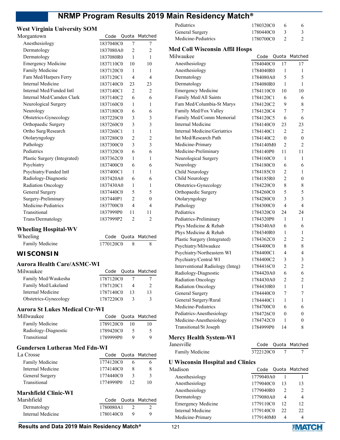# **West Virginia University SOM**

| Morgantown                   | Code      |                | Quota Matched  |
|------------------------------|-----------|----------------|----------------|
| Anesthesiology               | 1837040C0 | 7              | 7              |
| Dermatology                  | 1837080A0 | $\overline{2}$ | $\overline{c}$ |
| Dermatology                  | 1837080R0 | $\mathbf{1}$   | 1              |
| <b>Emergency Medicine</b>    | 1837110C0 | 10             | 10             |
| Family Medicine              | 1837120C0 | 1              | 1              |
| Fam Med/Harpers Ferry        | 1837120C1 | 4              | 4              |
| Internal Medicine            | 1837140C0 | 23             | 23             |
| Internal Med/Funded Intl     | 1837140C1 | $\mathfrak{D}$ | $\overline{2}$ |
| Internal Med/Camden Clark    | 1837140C2 | 6              | 6              |
| Neurological Surgery         | 1837160C0 | 1              | 1              |
| Neurology                    | 1837180C0 | 6              | 6              |
| Obstetrics-Gynecology        | 1837220C0 | 3              | 3              |
| Orthopaedic Surgery          | 1837260C0 | 3              | 3              |
| Ortho Surg/Research          | 1837260C1 | 1              | 1              |
| Otolaryngology               | 1837280C0 | $\overline{2}$ | $\overline{2}$ |
| Pathology                    | 1837300C0 | 3              | 3              |
| Pediatrics                   | 1837320C0 | 6              | 6              |
| Plastic Surgery (Integrated) | 1837362C0 | 1              | 1              |
| Psychiatry                   | 1837400C0 | 6              | 6              |
| Psychiatry/Funded Intl       | 1837400C1 | 1              | 1              |
| Radiology-Diagnostic         | 1837420A0 | 6              | 6              |
| Radiation Oncology           | 1837430A0 | 1              | 1              |
| General Surgery              | 1837440C0 | 5              | 5              |
| Surgery-Preliminary          | 1837440P1 | $\overline{c}$ | $\theta$       |
| Medicine-Pediatrics          | 1837700C0 | $\overline{4}$ | 4              |
| Transitional                 | 1837999P0 | 11             | 11             |
| Trans/Dermatology            | 1837999P2 | $\overline{2}$ | $\overline{2}$ |
|                              |           |                |                |

#### **Wheeling Hospital-WV**

| Wheeling        |           | Code Quota Matched |
|-----------------|-----------|--------------------|
| Family Medicine | 1770120C0 |                    |

### **WISCONSIN**

### **Aurora Health Care/ASMC-WI**

| Milwaukee             |           |    | Code Quota Matched |
|-----------------------|-----------|----|--------------------|
| Family Med/Waukesha   | 1787120C0 |    |                    |
| Family Med/Lakeland   | 1787120C1 |    |                    |
| Internal Medicine     | 1787140C0 | 13 | 13                 |
| Obstetrics-Gynecology | 1787220C0 | 3  |                    |

#### **Aurora St Lukes Medical Ctr-WI**

| Millwaukee             | Code Quota Matched         |
|------------------------|----------------------------|
| <b>Family Medicine</b> | 1789120C0<br>10<br>10      |
| Radiology-Diagnostic   | 1789420C0<br>$\mathcal{L}$ |
| Transitional           | 1789999P0<br>Q             |

#### **Gundersen Lutheran Med Fdn-WI**

| La Crosse                   | Ouota Matched<br>Code |
|-----------------------------|-----------------------|
| Family Medicine             | 1774120C0<br>6<br>6   |
| Internal Medicine           | 1774140C0<br>8<br>8   |
| General Surgery             | 3<br>1774440C0<br>3   |
| Transitional                | 1774999P0<br>12<br>10 |
| <b>Marshfield Clinic-WI</b> |                       |
| Marshfield                  | Ouota Matched<br>Code |
| Dermatology                 | 1780080A1<br>2<br>2   |
| Internal Medicine           | 9<br>1780140C0<br>9   |

| <b>Pediatrics</b>   | 1780320C0 |  |
|---------------------|-----------|--|
| General Surgery     | 1780440C0 |  |
| Medicine-Pediatrics | 1780700C0 |  |

#### **Med Coll Wisconsin Affil Hosps**

| Milwaukee                               | Code      |                | Quota Matched  |
|-----------------------------------------|-----------|----------------|----------------|
| Anesthesiology                          | 1784040C0 | 17             | 17             |
| Anesthesiology                          | 1784040R0 | 1              | 1              |
| Dermatology                             | 1784080A0 | 5              | 5              |
| Dermatology                             | 1784080R0 | 1              | 1              |
| <b>Emergency Medicine</b>               | 1784110C0 | 10             | 10             |
| Family Med/All Saints                   | 1784120C1 | 6              | 6              |
| Fam Med/Columbia-St Marys               | 1784120C2 | 9              | 8              |
| Family Med/Fox Valley                   | 1784120C4 | 7              | 7              |
| Family Med/Comm Memorial                | 1784120C5 | 6              | 6              |
| <b>Internal Medicine</b>                | 1784140C0 | 23             | 23             |
| Internal Medicine/Geriatrics            | 1784140C1 | 2              | 2              |
| Int Med/Research Path                   | 1784140C2 | $\theta$       | 0              |
| Medicine-Primary                        | 1784140M0 | $\overline{c}$ | 2              |
| Medicine-Preliminary                    | 1784140P0 | 11             | 11             |
| Neurological Surgery                    | 1784160C0 | 1              | 1              |
| Neurology                               | 1784180C0 | 6              | 6              |
| Child Neurology                         | 1784185C0 | 2              | 1              |
| Child Neurology                         | 1784185R0 | $\overline{2}$ | 0              |
| Obstetrics-Gynecology                   | 1784220C0 | 8              | 8              |
| Orthopaedic Surgery                     | 1784260C0 | 5              | 5              |
| Otolaryngology                          | 1784280C0 | 3              | 3              |
| Pathology                               | 1784300C0 | 4              | 4              |
| Pediatrics                              | 1784320C0 | 24             | 24             |
| Pediatrics-Preliminary                  | 1784320P0 | 1              | 1              |
| Phys Medicine & Rehab                   | 1784340A0 | 6              | 6              |
| Phys Medicine & Rehab                   | 1784340R0 | 1              | 1              |
| Plastic Surgery (Integrated)            | 1784362C0 | $\overline{2}$ | 2              |
| Psychiatry/Milwaukee                    | 1784400C0 | 8              | 8              |
| Psychiatry/Northeastern WI              | 1784400C1 | 4              | 4              |
| Psychiatry/Central WI                   | 1784400C2 | 3              | 3              |
| Interventional Radiology (Integ)        | 1784416C0 | $\overline{2}$ | 2              |
| Radiology-Diagnostic                    | 1784420A0 | 6              | 6              |
| Radiation Oncology                      | 1784430A0 | $\overline{c}$ | $\overline{c}$ |
| Radiation Oncology                      | 1784430R0 | 1              | 1              |
| General Surgery                         | 1784440C0 | 7              | 7              |
| General Surgery/Rural                   | 1784440C1 | 1              | 1              |
| Medicine-Pediatrics                     | 1784700C0 | 6              | 6              |
| Pediatrics-Anesthesiology               | 1784726C0 | 0              | 0              |
| Medicine-Anesthesiology                 | 1784742C0 | 1              | 0              |
| Transitional/St Joseph                  | 1784999P0 | 14             | 8              |
|                                         |           |                |                |
| Mercy Health System-WI                  |           |                |                |
| Janesville                              | Code      | Quota          | Matched        |
| Family Medicine                         | 3722120C0 | 7              | 7              |
| <b>U Wisconsin Hospital and Clinics</b> |           |                |                |
| Madison                                 | Code      | Quota          | Matched        |
| A nesthesiology                         | 1779040A0 | $\overline{1}$ | 1              |

| Madison                   | Code      |    | Quota Matched |
|---------------------------|-----------|----|---------------|
| Anesthesiology            | 1779040A0 |    |               |
| Anesthesiology            | 1779040C0 | 13 | 13            |
| Anesthesiology            | 1779040R0 | 2  | $\mathcal{P}$ |
| Dermatology               | 1779080A0 | 4  | 4             |
| <b>Emergency Medicine</b> | 1779110C0 | 12 | 12            |
| Internal Medicine         | 1779140C0 | 22 | 22.           |
| Medicine-Primary          | 1779140M0 |    |               |

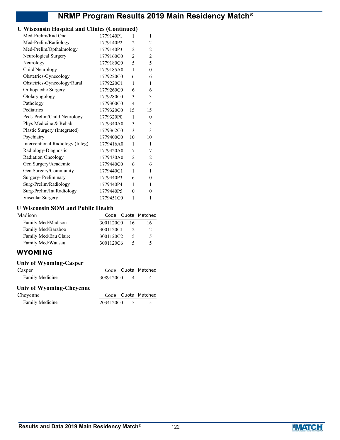# **U Wisconsin Hospital and Clinics (Continued)**

| Med-Prelim/Rad Onc               | 1779140P1 | 1              | 1                |
|----------------------------------|-----------|----------------|------------------|
| Med-Prelim/Radiology             | 1779140P2 | $\overline{c}$ | 2                |
| Med-Prelim/Opthalmology          | 1779140P3 | $\overline{2}$ | 2                |
| Neurological Surgery             | 1779160C0 | $\overline{c}$ | $\overline{c}$   |
| Neurology                        | 1779180C0 | 5              | 5                |
| Child Neurology                  | 1779185A0 | 1              | $\theta$         |
| Obstetrics-Gynecology            | 1779220C0 | 6              | 6                |
| Obstetrics-Gynecology/Rural      | 1779220C1 | $\mathbf{1}$   | 1                |
| Orthopaedic Surgery              | 1779260C0 | 6              | 6                |
| Otolaryngology                   | 1779280C0 | 3              | 3                |
| Pathology                        | 1779300C0 | 4              | $\overline{4}$   |
| Pediatrics                       | 1779320C0 | 15             | 15               |
| Peds-Prelim/Child Neurology      | 1779320P0 | 1              | $\boldsymbol{0}$ |
| Phys Medicine & Rehab            | 1779340A0 | 3              | 3                |
| Plastic Surgery (Integrated)     | 1779362C0 | 3              | 3                |
| Psychiatry                       | 1779400C0 | 10             | 10               |
| Interventional Radiology (Integ) | 1779416A0 | 1              | 1                |
| Radiology-Diagnostic             | 1779420A0 | 7              | 7                |
| Radiation Oncology               | 1779430A0 | $\overline{c}$ | 2                |
| Gen Surgery/Academic             | 1779440C0 | 6              | 6                |
| Gen Surgery/Community            | 1779440C1 | 1              | $\mathbf{1}$     |
| Surgery-Preliminary              | 1779440P3 | 6              | $\theta$         |
| Surg-Prelim/Radiology            | 1779440P4 | 1              | 1                |
| Surg-Prelim/Int Radiology        | 1779440P5 | $\theta$       | $\boldsymbol{0}$ |
| Vascular Surgery                 | 1779451C0 | 1              | 1                |

#### **U Wisconsin SOM and Public Health**

| Madison               |           |     | Code Quota Matched |
|-----------------------|-----------|-----|--------------------|
| Family Med/Madison    | 3001120C0 | -16 | 16                 |
| Family Med/Baraboo    | 3001120C1 |     | $\mathcal{P}$      |
| Family Med/Eau Claire | 3001120C2 |     | 5.                 |
| Family Med/Wausau     | 3001120C6 |     | 5                  |

#### **WYOMING**

| <b>Univ of Wyoming-Casper</b>   |           |                |                    |
|---------------------------------|-----------|----------------|--------------------|
| Casper                          |           |                | Code Quota Matched |
| Family Medicine                 | 3089120C0 | $\overline{4}$ |                    |
| <b>Univ of Wyoming-Cheyenne</b> |           |                |                    |
| Cheyenne                        |           |                | Code Ouota Matched |
| Family Medicine                 | 2034120C0 | - 5            |                    |